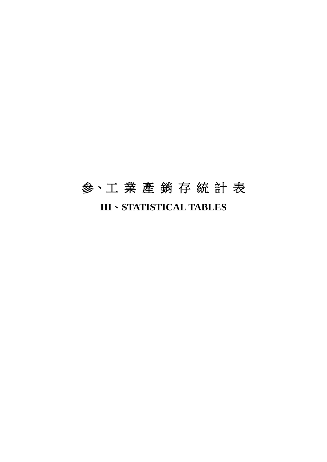# 參、工 業 產 銷 存 統 計 表 **III**、**STATISTICAL TABLES**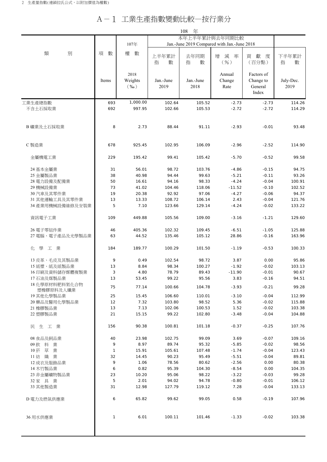## A-1 工業生產指數變動比較—按行業分

|                      |              |                            |                   | 108<br>年          |                                             |                                             |                   |  |
|----------------------|--------------|----------------------------|-------------------|-------------------|---------------------------------------------|---------------------------------------------|-------------------|--|
|                      |              |                            |                   |                   | 本年上半年累計與去年同期比較                              |                                             |                   |  |
|                      |              | 107年                       |                   |                   | Jan.-June 2019 Compared with Jan.-June 2018 |                                             |                   |  |
| 別<br>類               | 項<br>數       | 權<br>數                     | 上半年累計<br>指<br>數   | 去年同期<br>指<br>數    | 增<br>減<br>率<br>$($ %)                       | 獻<br>貢<br>度<br>(百分點)                        | 下半年累計<br>指<br>數   |  |
|                      | Items        | 2018<br>Weights<br>$(\%0)$ | Jan.-June<br>2019 | Jan.-June<br>2018 | Annual<br>Change<br>Rate                    | Factors of<br>Change to<br>General<br>Index | July-Dec.<br>2019 |  |
| 工業生產總指數              | 693          | 1,000.00                   | 102.64            | 105.52            | $-2.73$                                     | $-2.73$                                     | 114.26            |  |
| 不含土石採取業              | 692          | 997.95                     | 102.66            | 105.53            | $-2.72$                                     | $-2.72$                                     | 114.29            |  |
| B 礦業及土石採取業           | 8            | 2.73                       | 88.44             | 91.11             | $-2.93$                                     | $-0.01$                                     | 93.48             |  |
| C 製造業                | 678          | 925.45                     | 102.95            | 106.09            | $-2.96$                                     | $-2.52$                                     | 114.90            |  |
| 金屬機電工業               | 229          | 195.42                     | 99.41             | 105.42            | $-5.70$                                     | $-0.52$                                     | 99.58             |  |
| 24 基本金屬業             | 31           | 56.01                      | 98.72             | 103.76            | $-4.86$                                     | $-0.15$                                     | 94.75             |  |
| 25 金屬製品業             | 38           | 40.98                      | 94.44             | 99.63             | $-5.21$                                     | $-0.11$                                     | 93.26             |  |
| 28 電力設備及配備業          | 50           | 16.61                      | 94.16             | 98.33             | $-4.24$                                     | $-0.04$                                     | 100.91            |  |
| 29 機械設備業             | 73           | 41.02                      | 104.46            | 118.06            | $-11.52$                                    | $-0.10$                                     | 102.52            |  |
| 30 汽車及其零件業           | 19           | 20.38                      | 92.92             | 97.06             | $-4.27$                                     | $-0.06$                                     | 94.37             |  |
| 31 其他運輸工具及其零件業       | 13           | 13.33                      | 108.72            | 106.14            | 2.43                                        | $-0.04$                                     | 121.76            |  |
| 34 產業用機械設備維修及安裝業     | 5            | 7.10                       | 123.66            | 129.14            | $-4.24$                                     | $-0.02$                                     | 133.22            |  |
| 資訊電子工業               | 109          | 449.88                     | 105.56            | 109.00            | $-3.16$                                     | $-1.21$                                     | 129.60            |  |
| 26 電子零組件業            | 46           | 405.36                     | 102.32            | 109.45            | $-6.51$                                     | $-1.05$                                     | 125.88            |  |
| 27 電腦、電子產品及光學製品業     | 63           | 44.52                      | 135.46            | 105.12            | 28.86                                       | $-0.16$                                     | 163.96            |  |
| 化 學<br>工業            | 184          | 189.77                     | 100.29            | 101.50            | $-1.19$                                     | $-0.53$                                     | 100.33            |  |
| 13 皮革、毛皮及其製品業        | 9            | 0.49                       | 102.54            | 98.72             | 3.87                                        | 0.00                                        | 95.86             |  |
| 15紙漿、紙及紙製品業          | 13           | 8.84                       | 98.34             | 100.27            | $-1.92$                                     | $-0.02$                                     | 103.13            |  |
| 16印刷及資料儲存媒體複製業       | 3            | 4.80                       | 78.79             | 89.43             | $-11.90$                                    | $-0.01$                                     | 90.67             |  |
| 17 石油及煤製品業           | 13           | 53.45                      | 99.22             | 95.56             | 3.83                                        | $-0.16$                                     | 94.51             |  |
| 18 化學原材料肥料氮化合物       | 75           | 77.14                      | 100.66            | 104.78            | $-3.93$                                     | $-0.21$                                     | 99.28             |  |
| 塑橡膠原料及人纖業            |              |                            |                   |                   |                                             |                                             |                   |  |
| 19 其他化學製品業           | 25           | 15.45                      | 106.60            | 110.01            | $-3.10$                                     | $-0.04$                                     | 112.99            |  |
| 20 藥品及醫用化學製品業        | 12           | 7.32                       | 103.80            | 98.52             | 5.36                                        | $-0.02$                                     | 115.88            |  |
| 21 橡膠製品業<br>22 塑膠製品業 | 13<br>21     | 7.13<br>15.15              | 102.06<br>99.22   | 100.53<br>102.80  | 1.52<br>$-3.48$                             | $-0.02$<br>$-0.04$                          | 103.38<br>104.88  |  |
|                      |              |                            |                   |                   |                                             |                                             |                   |  |
| 民生工業                 | 156          | 90.38                      | 100.81            | 101.18            | $-0.37$                                     | $-0.25$                                     | 107.76            |  |
| 08 食品及飼品業            | 40           | 23.98                      | 102.75            | 99.09             | 3.69                                        | $-0.07$                                     | 109.16            |  |
| 09飲料<br>業            | 9            | 8.97                       | 89.74             | 95.32             | $-5.85$                                     | $-0.02$                                     | 98.56             |  |
| 10 菸 草<br>業          | 1            | 15.91                      | 105.61            | 107.48            | $-1.74$                                     | $-0.04$                                     | 123.43            |  |
| 11 紡 織 業             | 32           | 14.45                      | 90.23             | 95.49             | $-5.51$                                     | $-0.04$                                     | 89.81             |  |
| 12 成衣及服飾品業           | 9            | 1.06                       | 78.56             | 80.62             | $-2.56$                                     | 0.00                                        | 80.38             |  |
| 14 木竹製品業             | 6            | 0.82                       | 95.39             | 104.30            | $-8.54$                                     | 0.00                                        | 104.35            |  |
| 23 非金屬礦物製品業          | 23           | 10.20                      | 95.06             | 98.22             | $-3.22$                                     | $-0.03$                                     | 99.28             |  |
| 32 家 具 業             | 5            | 2.01                       | 94.02             | 94.78             | $-0.80$                                     | $-0.01$                                     | 106.12            |  |
| 33 其他製造業             | 31           | 12.98                      | 127.79            | 119.12            | 7.28                                        | $-0.04$                                     | 133.13            |  |
| D電力及燃氣供應業            | 6            | 65.82                      | 99.62             | 99.05             | 0.58                                        | $-0.19$                                     | 107.96            |  |
| 36 用水供應業             | $\mathbf{1}$ | 6.01                       | 100.11            | 101.46            | $-1.33$                                     | $-0.02$                                     | 103.38            |  |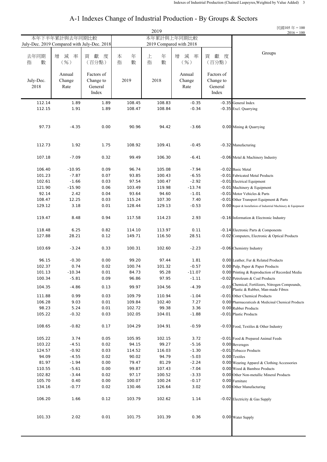#### 2019 去年同期 ┃ 増 減 率 ┃ 貮 度 ┃ 本 年 ┃ 上 年 ┃ 増 減 率 ┃ 獻 度 指 數 | (06) | (百分點) | 指 數 | 指 數 | (06) | (百分點) Annual Factors of **Annual** Factors of **Annual** Factors of July-Dec. Change Change to 2019 2018 Change Change to 2018 Rate General **Rate** General Rate General Index Index Index 112.14 1.89 1.89 108.45 108.83 -0.35 -0.35 General Index 112.15 1.91 1.89 108.47 108.84 -0.34 -0.35 Excl. Quarrying 97.73 -4.35 0.00 90.96 94.42 -3.66 0.00 Mining & Quarrying 112.73 1.92 1.75 108.92 109.41 -0.45 -0.32 Manufacturing 107.18 -7.09 0.32 99.49 106.30 -6.41 -0.06 Metal & Machinery Industry 106.40 -10.95 0.09 96.74 105.08 -7.94 -0.02 Basic Metal 101.23 -7.87 0.07 93.85 100.43 -6.55 -0.01 Fabricated Metal Products 102.61 -1.66 0.03 97.54 100.47 -2.92 -0.01 Electrical Equipment 121.90 -15.90 0.06 103.49 119.98 -13.74 -0.01 Machinery & Equipment 92.14 2.42 0.04 93.64 94.60 -1.01 -0.01 Motor Vehicles & Parts 108.47 12.25 0.03 115.24 107.30 7.40 -0.01 Other Transport Equipment & Parts 129.12 3.18 0.01 128.44 129.13 -0.53 0.00 Repair & Installation of Industrial Machinery & Equipment 119.47 8.48 0.94 117.58 114.23 2.93 -0.16 Information & Electronic Industry 118.48 6.25 0.82 114.10 113.97 0.11 -0.14 Electronic Parts & Components 127.88 28.21 0.12 149.71 116.50 28.51 -0.02 Computers, Electronic & Optical Products 103.69 -3.24 0.33 100.31 102.60 -2.23 -0.06 Chemistry Industry 96.15 -0.30 0.00 99.20 97.44 1.81 0.00 Leather, Fur & Related Products 102.37 0.74 0.02 100.74 101.32 -0.57 0.00 Pulp, Paper & Paper Products 101.13 -10.34 0.01 84.73 95.28 -11.07 0.00 Printing & Reproduction of Recorded Media 100.34 -5.81 0.09 96.86 97.95 -1.11 -0.02 Petroleum & Coal Products 104.35 -4.86 0.13 99.97 104.56 -4.39 -0.03 Chemical, Fertilizers, Nitrogen Compounds, Plastic & Rubber, Man-made Fibres 111.88 0.99 0.03 109.79 110.94 -1.04 -0.01 Other Chemical Products 106.28 9.03 0.01 109.84 102.40 7.27 0.00 Pharmaceuticals & Medicinal Chemical Products 98.23 5.24 0.01 102.72 99.38 3.36 0.00 Rubber Products 105.22 -0.32 0.03 102.05 104.01 -1.88 -0.01 Plastic Products 108.65 -0.82 0.17 104.29 104.91 -0.59 -0.03 Food, Textiles & Other Industry 105.22 3.74 0.05 105.95 102.15 3.72 -0.01 Food & Prepared Animal Feeds 103.22 -4.51 0.02 94.15 99.27 -5.16 0.00 Beverages 124.57 -0.92 0.03 114.52 116.03 -1.30 -0.01 Tobacco Products 94.09 -4.55 0.02 90.02 94.79 -5.03 0.00 Textiles 81.97 -1.94 0.00 79.47 81.29 -2.24 0.00 Wearing Apparel & Clothing Accessories 110.55 -5.61 0.00 99.87 107.43 -7.04 0.00 Wood & Bamboo Products 102.82 -3.44 0.02 97.17 100.52 -3.33 0.00 Other Non-metallic Mineral Products 105.70 0.40 0.00 100.07 100.24 -0.17 0.00 Furniture 134.16 -0.77 0.02 130.46 126.64 3.02 0.00 Other Manufacturing 106.20 1.66 0.12 103.79 102.62 1.14 -0.02 Electricity & Gas Supply 101.33 2.02 0.01 101.75 101.39 0.36 0.00 Water Supply July-Dec. 2019 Compared with July-Dec. 2018 2019 Compared with 2018 Groups 民國105 年 = 100  $2016 = 100$ 本年下半年累計與去年同期比較 本年累計與上年同期比較

#### A-1 Indexes Change of Industrial Production - By Groups & Sectors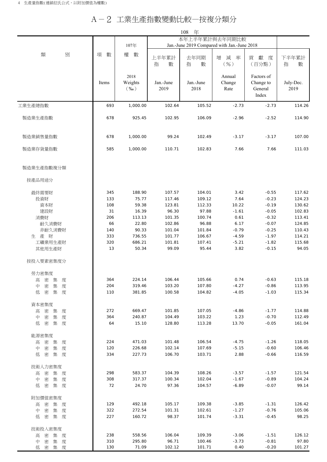## A-2 工業生產指數變動比較—按複分類分

|                                |            |                            |                                             | 年<br>108          |                          |                                             |                   |
|--------------------------------|------------|----------------------------|---------------------------------------------|-------------------|--------------------------|---------------------------------------------|-------------------|
|                                |            |                            |                                             |                   | 本年上半年累計與去年同期比較           |                                             |                   |
|                                |            | 107年                       | Jan.-June 2019 Compared with Jan.-June 2018 |                   |                          |                                             |                   |
| 別<br>類                         | 數<br>項     | 權<br>數                     | 上半年累計<br>指<br>數                             | 去年同期<br>指<br>數    | 減<br>增<br>率<br>$($ % $)$ | 獻<br>貢<br>度<br>(百分點)                        | 下半年累計<br>指<br>數   |
|                                | Items      | 2018<br>Weights<br>$(\%0)$ | Jan.-June<br>2019                           | Jan.-June<br>2018 | Annual<br>Change<br>Rate | Factors of<br>Change to<br>General<br>Index | July-Dec.<br>2019 |
| 工業生產總指數                        | 693        | 1,000.00                   | 102.64                                      | 105.52            | $-2.73$                  | $-2.73$                                     | 114.26            |
| 製造業生產指數                        | 678        | 925.45                     | 102.95                                      | 106.09            | $-2.96$                  | $-2.52$                                     | 114.90            |
| 製造業銷售量指數                       | 678        | 1,000.00                   | 99.24                                       | 102.49            | $-3.17$                  | $-3.17$                                     | 107.00            |
| 製造業存貨量指數                       | 585        | 1,000.00                   | 110.71                                      | 102.83            | 7.66                     | 7.66                                        | 111.03            |
| 製造業生產指數複分類                     |            |                            |                                             |                   |                          |                                             |                   |
| 按產品用途分                         |            |                            |                                             |                   |                          |                                             |                   |
| 最終需要財                          | 345        | 188.90                     | 107.57                                      | 104.01            | 3.42                     | $-0.55$                                     | 117.62            |
| 投資財                            | 133        | 75.77                      | 117.46                                      | 109.12            | 7.64                     | $-0.23$                                     | 124.23            |
| 資本財                            | 108        | 59.38                      | 123.81                                      | 112.33            | 10.22                    | $-0.19$                                     | 130.62            |
| 建設財                            | 31         | 16.39                      | 96.30                                       | 97.88             | $-1.61$                  | $-0.05$                                     | 102.83            |
| 消費財                            | 206        | 113.13                     | 101.35                                      | 100.74            | 0.61                     | $-0.32$                                     | 113.41            |
| 耐久消費財                          | 66         | 22.80                      | 102.86                                      | 96.88             | 6.17                     | $-0.07$                                     | 124.85            |
| 非耐久消費財                         | 140<br>333 | 90.33<br>736.55            | 101.04<br>101.77                            | 101.84<br>106.67  | $-0.79$<br>$-4.59$       | $-0.25$<br>$-1.97$                          | 110.43<br>114.21  |
| 生產財<br>工礦業用生產財                 | 320        | 686.21                     | 101.81                                      | 107.41            | $-5.21$                  | $-1.82$                                     | 115.68            |
| 其他用生產財                         | 13         | 50.34                      | 99.09                                       | 95.44             | 3.82                     | $-0.15$                                     | 94.05             |
| 按投入要素密集度分                      |            |                            |                                             |                   |                          |                                             |                   |
| 勞力密集度                          |            |                            |                                             |                   |                          |                                             |                   |
| 密 集<br>度<br>高                  | 364        | 224.14                     | 106.44                                      | 105.66            | 0.74                     | $-0.63$                                     | 115.18            |
| 密<br>集<br>度<br>中               | 204        | 319.46                     | 103.20                                      | 107.80            | $-4.27$                  | $-0.86$                                     | 113.95            |
| 密<br>集 度<br>低                  | 110        | 381.85                     | 100.58                                      | 104.82            | $-4.05$                  | $-1.03$                                     | 115.34            |
| 資本密集度                          |            |                            |                                             |                   |                          |                                             |                   |
| 密<br>集<br>度<br>高               | 272        | 669.47                     | 101.85                                      | 107.05            | $-4.86$                  | $-1.77$                                     | 114.88            |
| 密<br>集 度<br>中                  | 364        | 240.87                     | 104.49                                      | 103.22            | 1.23                     | $-0.70$                                     | 112.49            |
| 低<br>密<br>集 度                  | 64         | 15.10                      | 128.80                                      | 113.28            | 13.70                    | $-0.05$                                     | 161.04            |
| 能源密集度                          |            |                            |                                             |                   |                          |                                             |                   |
| 密<br>集<br>高<br>度               | 224        | 471.03                     | 101.48                                      | 106.54            | $-4.75$                  | $-1.26$                                     | 118.05            |
| 密<br>集<br>中<br>度<br>集 度<br>低 密 | 120<br>334 | 226.68<br>227.73           | 102.14<br>106.70                            | 107.69<br>103.71  | $-5.15$<br>2.88          | $-0.60$<br>$-0.66$                          | 106.46<br>116.59  |
|                                |            |                            |                                             |                   |                          |                                             |                   |
| 技術人力密集度                        |            |                            |                                             |                   |                          |                                             |                   |
| 密<br>集<br>度<br>高               | 298        | 583.37                     | 104.39                                      | 108.26            | $-3.57$                  | $-1.57$                                     | 121.54            |
| 中<br>密<br>集<br>度               | 308        | 317.37                     | 100.34                                      | 102.04            | $-1.67$                  | $-0.89$                                     | 104.24            |
| 低<br>密<br>集 度                  | 72         | 24.70                      | 97.36                                       | 104.57            | $-6.89$                  | $-0.07$                                     | 99.14             |
| 附加價值密集度                        |            |                            |                                             |                   |                          |                                             |                   |
| 密<br>集 度<br>高                  | 129        | 492.18                     | 105.17                                      | 109.38            | $-3.85$                  | $-1.31$                                     | 126.42            |
| 密<br>集 度<br>中<br>集 度<br>低      | 322<br>227 | 272.54<br>160.72           | 101.31<br>98.37                             | 102.61<br>101.74  | $-1.27$<br>$-3.31$       | $-0.76$<br>$-0.45$                          | 105.06<br>98.25   |
| 密                              |            |                            |                                             |                   |                          |                                             |                   |
| 技術投入密集度                        |            |                            |                                             |                   |                          |                                             |                   |
| 高密集度                           | 238        | 558.56                     | 106.04                                      | 109.39            | $-3.06$                  | $-1.51$                                     | 126.12            |
| 中 密 集 度<br>低密集度                | 310<br>130 | 295.80<br>71.09            | 96.71<br>102.12                             | 100.46<br>101.71  | $-3.73$<br>0.40          | $-0.81$<br>$-0.20$                          | 97.80<br>101.27   |
|                                |            |                            |                                             |                   |                          |                                             |                   |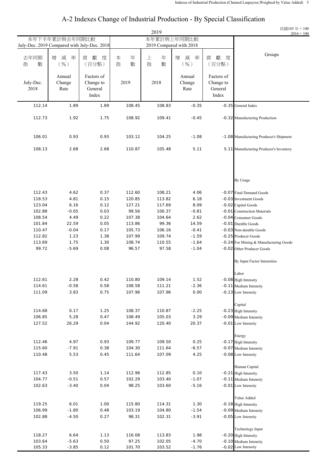#### 2019 去年同期 增 減 率 貢 獻 度 本 年 上 年 增 減 率 貢 獻 度 指 數 | (%) | (百分點) | 指 數 | 指 數 | (%) | (百分點) Annual Factors of **Annual** Factors of **Annual** Factors of July-Dec. Change Change Change Change Change Change Change Change Change Change Change Change Change Change Change Change Change Change Change Change Change Change Change Change Change Change Change Change Change Change Ch 2018 Rate General Rate General Rate General Index Index Index 112.14 1.89 1.89 108.45 108.83 -0.35 -0.35 General Index 112.73 1.92 1.75 108.92 109.41 -0.45 -0.32 Manufacturing Production 106.01 0.93 0.93 103.12 104.25 -1.08 -1.08 Manufacturing Producer's Shipment 108.13 2.68 2.68 110.87 105.48 5.11 5.11 Manufacturing Producer's Inventory By Usage 112.43 4.62 0.37 112.60 108.21 4.06 -0.07 Final Demand Goods 118.53 4.81 0.15 120.85 113.82 6.18 -0.03 Investment Goods 123.04 6.16 0.12 127.21 117.69 8.09 -0.02 Capital Goods 102.88 -0.05 0.03 99.56 100.37 -0.81 -0.01 Construction Materials 108.54 4.49 0.22 107.38 104.64 2.62 -0.04 Consumer Goods 101.84 22.59 0.05 113.86 99.36 14.59 -0.01 Durable Goods 110.47 -0.04 0.17 105.73 106.16 -0.41 -0.03 Non-durable Goods 112.82 1.23 1.38 107.99 109.74 -1.59 -0.25 Producer Goods 113.69 1.75 1.30 108.74 110.55 -1.64 -0.24 For Mining & Manufacturing Goods 99.72 -5.69 0.08 96.57 97.58 -1.04 -0.02 Other Producer Goods By Input Factor Intensities Labor 112.61 2.28 0.42 110.80 109.14 1.52 -0.08 High Intensity 114.61 -0.58 0.58 108.58 111.21 -2.36 -0.11 Medium Intensity 111.09 3.83 0.75 107.96 107.96 0.00 -0.13 Low Intensity Capital 114.68 0.17 1.25 108.37 110.87 -2.25 -0.23 High Intensity 106.85 5.28 0.47 108.49 105.03 3.29 -0.09 Medium Intensity 127.52 26.29 0.04 144.92 120.40 20.37 -0.01 Low Intensity Energy 112.46 4.97 0.93 109.77 109.50 0.25 -0.17 High Intensity 115.60 -7.91 0.38 104.30 111.64 -6.57 -0.07 Medium Intensity 110.48 5.53 0.45 111.64 107.09 4.25 -0.08 Low Intensity Human Capital 117.43 3.50 1.14 112.96 112.85 0.10 -0.21 High Intensity 104.77 -0.51 0.57 102.29 103.40 -1.07 -0.11 Medium Intensity 102.63 -3.40 0.04 98.25 103.60 -5.16 -0.01 Low Intensity Value Added 119.25 6.01 1.00 115.80 114.31 1.30 -0.18 High Intensity 106.99 -1.80 0.48 103.19 104.80 -1.54 -0.09 Medium Intensity 102.88 -4.50 0.27 98.31 102.31 -3.91 -0.05 Low Intensity Technology Input 118.27 6.64 1.13 116.08 113.83 1.98 -0.20 High Intensity 103.64 -5.63 0.50 97.25 102.05 -4.70 -0.10 Medium Intensity 105.33 -3.85 0.12 101.70 103.52 -1.76 -0.02 Low Intensity July-Dec. 2019 Compared with July-Dec. 2018 2019 Compared with 2018 Groups 民國105 年 = 100  $2016 = 100$ 本年下半年累計與去年同期比較 - 南東市 本年累計與上年同期比較

#### A-2 Indexes Change of Industrial Production - By Special Classification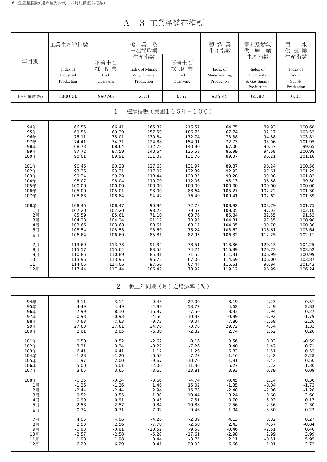A-3 工業產銷存指標

| 年月別        | 工業生產總指數<br>Index of<br>Industrial | 不含土石<br>採取業<br>Excl. | 業<br>及<br>礦<br>土石採取業<br>生產指數<br>Index of Mining<br>& Quarrying | 不含土石<br>採取業<br>Excl. | 製造業<br>生產指數<br>Index of<br>Manufacturing | 電力及燃氣<br>供<br>應<br>業<br>生產指數<br>Index of<br>Electricity | 用<br>水<br>應業<br>供<br>生產指數<br>Index of<br>Water |
|------------|-----------------------------------|----------------------|----------------------------------------------------------------|----------------------|------------------------------------------|---------------------------------------------------------|------------------------------------------------|
|            | Production                        | Quarrying            | Production                                                     | Quarrying            | Production                               | & Gas Supply<br>Production                              | Supply<br>Production                           |
| 107年權數 (‰) | 1000.00                           | 997.95               | 2.73                                                           | 0.67                 | 925.45                                   | 65.82                                                   | 6.01                                           |
|            |                                   | $1$ .                |                                                                | 連鎖指數(民國105年=100)     |                                          |                                                         |                                                |
| 94年        | 66.56                             | 66.41                | 165.87                                                         | 216.57               | 64.75                                    | 89.93                                                   | 100.68                                         |
| 95年        | 69.55                             | 69.39                | 157.59                                                         | 186.75               | 67.74                                    | 92.17                                                   | 103.53                                         |
| 96年        | 75.11                             | 75.01                | 130.84                                                         | 172.74               | 73.38                                    | 94.88                                                   | 103.81                                         |
| 97年        | 74.41                             | 74.31                | 124.88                                                         | 154.91               | 72.73                                    | 93.06                                                   | 101.95                                         |
| 98年        | 68.73                             | 68.64                | 112.73                                                         | 140.90               | 67.06                                    | 90.57                                                   | 99.65                                          |
| 99年        | 87.72                             | 87.59                | 140.64                                                         | 135.58               | 86.99                                    | 94.68                                                   | 100.98                                         |
| 100年       | 90.01                             | 89.91                | 131.07                                                         | 131.76               | 89.37                                    | 96.21                                                   | 101.18                                         |
| 101年       | 90.46                             | 90.38                | 127.63                                                         | 131.97               | 89.87                                    | 96.24                                                   | 100.58                                         |
| 102年       | 93.36                             | 93.31                | 117.07                                                         | 122.39               | 92.93                                    | 97.61                                                   | 101.29                                         |
| 103年       | 99.34                             | 99.29                | 118.44                                                         | 120.85               | 99.28                                    | 99.08                                                   | 101.82                                         |
| 104年       | 98.07                             | 98.04                | 110.70                                                         | 112.06               | 98.13                                    | 96.68                                                   | 99.50                                          |
| 105年       | 100.00                            | 100.00               | 100.00                                                         | 100.00               | 100.00                                   | 100.00                                                  | 100.00                                         |
| 106年       | 105.00                            | 105.01               | 98.00                                                          | 88.64                | 105.27                                   | 102.22                                                  | 101.30                                         |
| 107年       | 108.83                            | 108.84               | 94.42                                                          | 76.40                | 109.41                                   | 102.62                                                  | 101.39                                         |
| 108年       | 108.45                            | 108.47               | 90.96                                                          | 72.78                | 108.92                                   | 103.79                                                  | 101.75                                         |
| 1月         | 107.20                            | 107.20               | 98.23                                                          | 79.57                | 108.05                                   | 97.03                                                   | 102.10                                         |
| 2月         | 85.59                             | 85.61                | 71.10                                                          | 63.76                | 85.84                                    | 82.55                                                   | 91.53                                          |
| 3月         | 104.23                            | 104.24               | 91.17                                                          | 70.95                | 104.81                                   | 97.55                                                   | 100.98                                         |
| 4月         | 103.66                            | 103.68               | 88.61                                                          | 68.17                | 104.05                                   | 99.70                                                   | 100.30                                         |
| 5月         | 108.54                            | 108.55               | 95.69                                                          | 75.24                | 108.62                                   | 108.61                                                  | 103.64                                         |
| 6月         | 106.64                            | 106.69               | 85.81                                                          | 82.95                | 106.32                                   | 112.25                                                  | 102.11                                         |
| 7月         | 113.69                            | 113.73               | 91.34                                                          | 78.51                | 113.36                                   | 120.13                                                  | 104.25                                         |
| 8月         | 115.57                            | 115.64               | 83.53                                                          | 74.24                | 115.39                                   | 120.73                                                  | 103.52                                         |
| 9月         | 110.85                            | 110.89               | 85.31                                                          | 71.55                | 111.31                                   | 106.99                                                  | 100.99                                         |
| 10月        | 113.95                            | 113.95               | 96.72                                                          | 67.06                | 114.69                                   | 106.00                                                  | 103.87                                         |
| 11月        | 114.05                            | 114.06               | 97.50                                                          | 67.44                | 115.51                                   | 96.94                                                   | 101.43                                         |
| 12月        | 117.44                            | 117.44               | 106.47                                                         | 73.92                | 119.12                                   | 96.99                                                   | 106.24                                         |
|            |                                   | 2.                   |                                                                | 較上年同期(月)之增減率(%)      |                                          |                                                         |                                                |
| 94年        | 3.11                              | 3.14                 | $-9.43$                                                        | $-22.00$             | 3.19                                     | 4.23                                                    | 0.51                                           |
| 95年        | 4.49                              | 4.49                 | $-4.99$                                                        | $-13.77$             | 4.62                                     | 2.49                                                    | 2.83                                           |
| 96年        | 7.99                              | 8.10                 | $-16.97$                                                       | $-7.50$              | 8.33                                     | 2.94                                                    | 0.27                                           |
| 97年        | $-0.93$                           | $-0.93$              | $-4.56$                                                        | $-10.32$             | $-0.89$                                  | $-1.92$                                                 | $-1.79$                                        |
| 98年        | $-7.63$                           | $-7.63$              | $-9.73$                                                        | $-9.04$              | $-7.80$                                  | $-2.68$                                                 | $-2.26$                                        |
| 99年        | 27.63                             | 27.61                | 24.76                                                          | $-3.78$              | 29.72                                    | 4.54                                                    | 1.33                                           |
| 100年       | 2.61                              | 2.65                 | $-6.80$                                                        | $-2.82$              | 2.74                                     | 1.62                                                    | 0.20                                           |
| 101年       | 0.50                              | 0.52                 | $-2.62$                                                        | 0.16                 | 0.56                                     | 0.03                                                    | -0.59                                          |
| 102年       | 3.21                              | 3.24                 | $-8.27$                                                        | $-7.26$              | 3.40                                     | 1.42                                                    | 0.71                                           |
| 103年       | 6.41                              | 6.41                 | 1.17                                                           | $-1.26$              | 6.83                                     | 1.51                                                    | 0.52                                           |
| 104年       | $-1.28$                           | $-1.26$              | $-6.53$                                                        | $-7.27$              | $-1.16$                                  | $-2.42$                                                 | $-2.28$                                        |
| 105年       | 1.97                              | 2.00                 | $-9.67$                                                        | $-10.76$             | 1.91                                     | 3.43                                                    | 0.50                                           |
| 106年       | 5.00                              | 5.01                 | $-2.00$                                                        | $-11.36$             | 5.27                                     | 2.22                                                    | 1.30                                           |
| 107年       | 3.65                              | 3.65                 | $-3.65$                                                        | $-13.81$             | 3.93                                     | 0.39                                                    | 0.09                                           |
| 108年       | $-0.35$                           | $-0.34$              | $-3.66$                                                        | $-4.74$              | $-0.45$                                  | 1.14                                                    | 0.36                                           |
| 1月         | $-1.26$                           | $-1.26$              | 1.46                                                           | 15.02                | $-1.35$                                  | $-0.04$                                                 | $-1.73$                                        |
| 2月         | $-2.44$                           | $-2.44$              | 2.94                                                           | 15.78                | $-2.48$                                  | $-2.06$                                                 | $-1.28$                                        |
| 3月         | $-9.52$                           | $-9.55$              | $-1.38$                                                        | $-10.44$             | $-10.24$                                 | 0.68                                                    | $-2.60$                                        |
| 4月         | 0.90                              | 0.91                 | $-0.45$                                                        | $-7.31$              | 0.70                                     | 3.92                                                    | -0.17                                          |
| 5月         | $-2.58$                           | $-2.57$              | $-9.84$                                                        | $-10.88$             | $-2.56$                                  | $-2.56$                                                 | $-2.30$                                        |
| 6月         | $-0.74$                           | $-0.71$              | $-7.92$                                                        | 9.46                 | $-1.04$                                  | 3.30                                                    | 0.23                                           |
| 7月         | 4.05                              | 4.06                 | $-4.20$                                                        | $-2.39$              | 4.13                                     | 3.82                                                    | 0.27                                           |
| 8月         | 2.53                              | 2.56                 | $-7.70$                                                        | $-2.50$              | 2.43                                     | 4.67                                                    | $-0.84$                                        |
| 9月         | $-0.63$                           | $-0.61$              | $-10.52$                                                       | $-9.58$              | $-0.46$                                  | $-2.51$                                                 | 0.40                                           |
| 10月        | $-2.57$                           | $-2.58$              | $-5.28$                                                        | $-17.61$             | $-2.98$                                  | 2.99                                                    | 3.99                                           |
| 11月        | 1.98                              | 1.98                 | 0.44                                                           | $-3.75$              | 2.11                                     | $-0.51$                                                 | 5.95                                           |
| 12月        | 6.29                              | 6.29                 | 0.41                                                           | $-20.02$             | 6.66                                     | 1.01                                                    | 2.72                                           |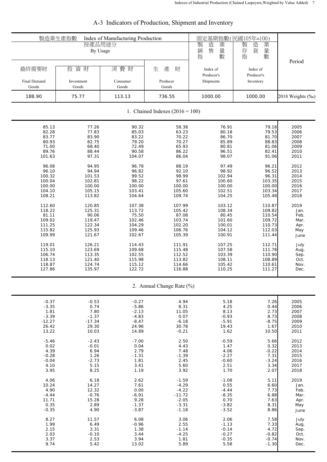| 製造業生產指數                        | 按產品用途分<br>By Usage         | Index of Manufacturing Production |                                   | 製<br>造<br>業<br>售<br>銷<br>量                    | 固定基期指數(民國105年=100)<br>製<br>業<br>造<br>存<br>貨<br>量 |                  |
|--------------------------------|----------------------------|-----------------------------------|-----------------------------------|-----------------------------------------------|--------------------------------------------------|------------------|
| 最終需要財<br>Final Demand<br>Goods | 投資財<br>Investment<br>Goods | 消費 財<br>Consumer<br>Goods         | 生<br>產<br>財<br>Producer<br>Goods  | 指<br>數<br>Index of<br>Producer's<br>Shipments | 指<br>數<br>Index of<br>Producer's<br>Inventory    | Period           |
| 188.90                         | 75.77                      | 113.13                            | 736.55                            | 1000.00                                       | 1000.00                                          | 2018 Weights (%) |
|                                |                            |                                   | 1. Chained Indexes $(2016 = 100)$ |                                               |                                                  |                  |
| 85.13                          | 77.26                      | 90.32                             | 58.38                             | 76.91                                         | 79.18                                            | 2005             |
| 82.28                          | 77.83                      | 85.03                             | 63.23                             | 80.18                                         | 79.53                                            | 2006             |
| 83.77                          | 83.90                      | 83.22                             | 70.22                             | 86.70                                         | 81.70                                            | 2007             |
| 80.93                          | 82.75                      | 79.20                             | 70.27                             | 85.89                                         | 88.83                                            | 2008             |
| 71.00                          | 68.40                      | 72.49                             | 65.93                             | 80.81                                         | 81.06                                            | 2009             |
| 89.76                          | 88.44                      | 90.58                             | 86.22                             | 96.51                                         | 82.41                                            | 2010             |
| 101.63                         | 97.31                      | 104.07                            | 86.04                             | 98.07                                         | 91.06                                            | 2011             |
| 96.08                          | 94.95                      | 96.78                             | 88.19                             | 97.49                                         | 96.21                                            | 2012             |
| 96.10                          | 94.94                      | 96.82                             | 92.10                             | 98.92                                         | 96.52                                            | 2013             |
| 100.32                         | 101.53                     | 99.52                             | 98.99                             | 102.94                                        | 96.31                                            | 2014             |
| 100.04                         | 102.81                     | 98.22                             | 97.61                             | 100.60                                        | 103.35                                           | 2015             |
| 100.00                         | 100.00                     | 100.00                            | 100.00                            | 100.00                                        | 100.00                                           | 2016             |
| 104.10                         | 105.15                     | 103.41                            | 105.60                            | 102.51                                        | 103.34                                           | 2017             |
| 108.21                         | 113.82                     | 104.64                            | 109.74                            | 104.25                                        | 105.48                                           | 2018             |
| 112.60                         | 120.85                     | 107.38                            | 107.99                            | 103.12                                        | 110.87                                           | 2019             |
| 118.22                         | 125.31                     | 113.72                            | 105.42                            | 108.34                                        | 109.82                                           | Jan.             |
| 81.11                          | 90.06                      | 75.50                             | 87.08                             | 80.45                                         | 110.54                                           | Feb.             |
| 109.02                         | 119.47                     | 102.46                            | 103.74                            | 101.60                                        | 109.72                                           | Mar.             |
| 111.25                         | 122.34                     | 104.29                            | 102.20                            | 100.01                                        | 110.73                                           | Apr.             |
| 115.82                         | 125.93                     | 109.46                            | 106.76                            | 104.12                                        | 112.03                                           | May              |
| 109.99                         | 121.67                     | 102.67                            | 105.39                            | 100.91                                        | 111.44                                           | June             |
| 119.01                         | 126.21                     | 114.43                            | 111.91                            | 107.25                                        | 112.71                                           | July             |
| 115.10                         | 123.69                     | 109.68                            | 115.48                            | 107.58                                        | 111.78                                           | Aug.             |
| 106.74                         | 113.35                     | 102.55                            | 112.52                            | 103.39                                        | 110.90                                           | Sep.             |
| 118.13                         | 121.40                     | 115.98                            | 113.82                            | 108.11                                        | 108.89                                           | Oct.             |
| 118.87                         | 124.74                     | 115.12                            | 114.66                            | 105.42                                        | 110.61                                           | Nov.             |
| 127.86                         | 135.97                     | 122.72                            | 116.88                            | 110.25                                        | 111.27                                           | Dec.             |
|                                |                            |                                   | 2. Annual Change Rate (%)         |                                               |                                                  |                  |
| $-0.37$                        | $-0.53$                    | $-0.27$                           | 4.94                              | 5.18                                          | 7.26                                             | 2005             |
| $-3.35$                        | 0.74                       | $-5.86$                           | 8.31                              | 4.25                                          | 0.44                                             | 2006             |
| 1.81                           | 7.80                       | $-2.13$                           | 11.05                             | 8.13                                          | 2.73                                             | 2007             |
| $-3.39$                        | $-1.37$                    | $-4.83$                           | 0.07                              | $-0.93$                                       | 8.73                                             | 2008             |
| $-12.27$                       | $-17.34$                   | $-8.47$                           | $-6.18$                           | $-5.91$                                       | $-8.75$                                          | 2009             |
| 26.42                          | 29.30                      | 24.96                             | 30.78                             | 19.43                                         | 1.67                                             | 2010             |
| 13.22                          | 10.03                      | 14.89                             | $-0.21$                           | 1.62                                          | 10.50                                            | 2011             |
| $-5.46$                        | $-2.43$                    | $-7.00$                           | 2.50                              | $-0.59$                                       | 5.66                                             | 2012             |
| 0.02                           | $-0.01$                    | 0.04                              | 4.43                              | 1.47                                          | 0.32                                             | 2013             |
| 4.39                           | 6.94                       | 2.79                              | 7.48                              | 4.06                                          | $-0.22$                                          | 2014             |
| $-0.28$                        | 1.26                       | $-1.31$                           | $-1.39$                           | $-2.27$                                       | 7.31                                             | 2015             |
| $-0.04$                        | $-2.73$                    | 1.81                              | 2.45                              | $-0.60$                                       | $-3.24$                                          | 2016             |
| 4.10                           | 5.15                       | 3.41                              | 5.60                              | 2.51                                          | 3.34                                             | 2017             |
| 3.95                           | 8.25                       | 1.19                              | 3.92                              | 1.70                                          | 2.07                                             | 2018             |
| 4.06                           | 6.18                       | 2.62                              | $-1.59$                           | $-1.08$                                       | 5.11                                             | 2019             |
| 10.24                          | 14.27                      | 7.61                              | $-4.29$                           | 0.55                                          | 6.60                                             | Jan.             |
| 4.90                           | 12.32                      | 0.00                              | $-4.22$                           | $-4.44$                                       | 7.73                                             | Feb.             |
| $-4.44$                        | $-0.76$                    | $-6.91$                           | $-11.72$                          | $-8.35$                                       | 6.88                                             | Mar.             |
| 11.71                          | 15.28                      | 9.28                              | $-2.05$                           | 0.70                                          | 7.63                                             | Apr.             |
| 0.35                           | 2.89                       | $-1.37$                           | $-3.31$                           | $-3.82$                                       | 8.31                                             | May              |
| $-0.35$                        | 4.90                       | $-3.87$                           | $-1.18$                           | $-3.52$                                       | 8.86                                             | June             |
| 8.27                           | 11.57                      | 6.08                              | 3.06                              | 2.06                                          | 7.58                                             | July             |
| 1.99                           | 6.49                       | $-0.96$                           | 2.55                              | $-1.13$                                       | 7.33                                             | Aug.             |
| 2.15                           | 3.31                       | 1.38                              | $-1.14$                           | $-0.14$                                       | 4.72                                             | Sep.             |
| 2.03                           | $-0.10$                    | 3.44                              | $-4.25$                           | $-0.27$                                       | $-0.82$                                          | Oct.             |
| 3.37                           | 2.53                       | 3.94                              | 1.81                              | $-0.35$                                       | $-0.74$                                          | Nov.             |
| 9.74                           | 5.42                       | 13.02                             | 5.89                              | 5.58                                          | $-1.30$                                          | Dec.             |

## A-3 Indicators of Production, Shipment and Inventory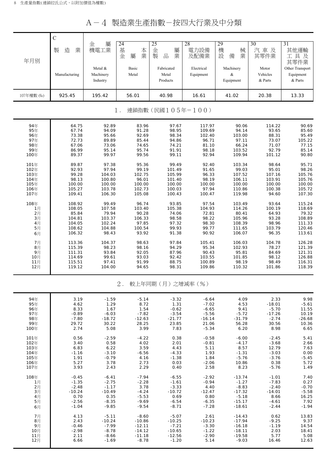| A-4 製造業生產指數-按四大行業及中分類 |  |
|-----------------------|--|
|-----------------------|--|

|            | $\mathcal{C}$ |                                  |                         |                                 |                         |                             |                              |                                         |
|------------|---------------|----------------------------------|-------------------------|---------------------------------|-------------------------|-----------------------------|------------------------------|-----------------------------------------|
| 年月別        | 業<br>製<br>造   | 屬<br>金<br>機電工業                   | 24<br>基<br>本業<br>金<br>屬 | 25<br>金<br>屬<br>品<br>製<br>業     | 28<br>電力設備<br>及配備業      | 29<br>機<br>械<br>設<br>備<br>業 | 30<br>汽車及<br>其零件業            | 31<br>其他運輸<br>工具及<br>其零件業               |
|            | Manufacturing | Metal &<br>Machinery<br>Industry | Basic<br>Metal          | Fabricated<br>Metal<br>Products | Electrical<br>Equipment | Machinery<br>&<br>Equipment | Motor<br>Vehicles<br>& Parts | Other Transport<br>Equipment<br>& Parts |
| 107年權數 (‰) | 925.45        | 195.42                           | 56.01                   | 40.98                           | 16.61                   | 41.02                       | 20.38                        | 13.33                                   |
|            |               |                                  | 1.                      | 連鎖指數(民國105年=100)                |                         |                             |                              |                                         |
| 94年        | 64.75         | 92.89                            | 83.96                   | 97.67                           | 117.97                  | 90.06                       | 114.22                       | 90.69                                   |
| 95年        | 67.74         | 94.09                            | 91.28                   | 98.95                           | 109.69                  | 94.14                       | 93.65                        | 85.60                                   |
| 96年        | 73.38         | 95.66                            | 92.69                   | 98.34                           | 102.40                  | 103.00                      | 88.31                        | 95.49                                   |
| 97年        | 72.73         | 89.89                            | 85.44                   | 94.86                           | 96.71                   | 97.11                       | 73.07                        | 105.22                                  |
| 98年        | 67.06         | 73.06                            | 74.65                   | 74.21                           | 81.10                   | 66.24                       | 71.07                        | 77.15                                   |
| 99年        | 86.99         | 95.14                            | 95.74                   | 91.91                           | 98.18                   | 103.52                      | 92.79                        | 85.14                                   |
| 100年       | 89.37         | 99.97                            | 99.56                   | 99.11                           | 92.94                   | 109.94                      | 101.12                       | 90.80                                   |
| 101年       | 89.87         | 97.38                            | 95.36                   | 99.49                           | 92.40                   | 103.34                      | 98.64                        | 95.71                                   |
| 102年       | 92.93         | 97.94                            | 99.19                   | 101.49                          | 91.65                   | 99.03                       | 95.01                        | 98.26                                   |
| 103年       | 99.28         | 104.03                           | 102.75                  | 105.99                          | 96.33                   | 107.52                      | 107.16                       | 105.76                                  |
| 104年       | 98.13         | 100.80                           | 96.01                   | 101.40                          | 98.19                   | 106.11                      | 103.91                       | 105.76                                  |
| 105年       | 100.00        | 100.00                           | 100.00                  | 100.00                          | 100.00                  | 100.00                      | 100.00                       | 100.00                                  |
| 106年       | 105.27        | 103.78                           | 102.73                  | 100.03                          | 97.94                   | 110.86                      | 100.38                       | 105.72                                  |
| 107年       | 109.41        | 106.30                           | 105.08                  | 100.43                          | 100.47                  | 119.98                      | 94.60                        | 107.30                                  |
| 108年       | 108.92        | 99.49                            | 96.74                   | 93.85                           | 97.54                   | 103.49                      | 93.64                        | 115.24                                  |
| 1月         | 108.05        | 107.58                           | 103.40                  | 105.38                          | 104.93                  | 114.26                      | 100.19                       | 118.69                                  |
| 2月         | 85.84         | 79.94                            | 90.28                   | 74.06                           | 72.81                   | 80.41                       | 64.93                        | 79.32                                   |
| 3月         | 104.81        | 103.37                           | 106.33                  | 98.58                           | 98.22                   | 105.96                      | 93.28                        | 108.89                                  |
| 4月         | 104.05        | 102.24                           | 97.85                   | 97.32                           | 98.30                   | 108.39                      | 98.96                        | 111.33                                  |
| 5月         | 108.62        | 104.88                           | 100.54                  | 99.93                           | 99.77                   | 111.65                      | 103.79                       | 120.46                                  |
| 6月         | 106.32        | 98.43                            | 93.92                   | 91.38                           | 90.92                   | 106.07                      | 96.35                        | 113.61                                  |
| 7月         | 113.36        | 104.37                           | 98.63                   | 97.84                           | 105.41                  | 106.03                      | 104.78                       | 126.28                                  |
| 8月         | 115.39        | 98.23                            | 98.16                   | 94.29                           | 95.34                   | 102.93                      | 78.27                        | 121.39                                  |
| 9月         | 111.31        | 93.84                            | 92.05                   | 87.96                           | 90.43                   | 95.81                       | 84.69                        | 121.31                                  |
| 10月        | 114.69        | 99.61                            | 93.03                   | 92.42                           | 103.55                  | 101.85                      | 98.12                        | 126.88                                  |
| 11月        | 115.51        | 97.41                            | 91.99                   | 88.75                           | 100.89                  | 98.19                       | 98.49                        | 116.31                                  |
| 12月        | 119.12        | 104.00                           | 94.65                   | 98.31                           | 109.86                  | 110.32                      | 101.86                       | 118.39                                  |
|            |               |                                  | $2$ .                   | 較上年同期(月)之增減率(%)                 |                         |                             |                              |                                         |
| 94年        | 3.19          | $-1.59$                          | $-5.14$                 | $-3.32$                         | $-6.64$                 | 4.09                        | 2.33                         | 9.98                                    |
| 95年        | 4.62          | 1.29                             | 8.72                    | 1.31                            | $-7.02$                 | 4.53                        | $-18.01$                     | $-5.61$                                 |
| 96年        | 8.33          | 1.67                             | 1.54                    | $-0.62$                         | $-6.65$                 | 9.41                        | $-5.70$                      | 11.55                                   |
| 97年        | $-0.89$       | $-6.03$                          | $-7.82$                 | $-3.54$                         | $-5.56$                 | $-5.72$                     | $-17.26$                     | 10.19                                   |
| 98年        | $-7.80$       | $-18.72$                         | $-12.63$                | $-21.77$                        | $-16.14$                | $-31.79$                    | $-2.74$                      | $-26.68$                                |
| 99年        | 29.72         | 30.22                            | 28.25                   | 23.85                           | 21.06                   | 56.28                       | 30.56                        | 10.36                                   |
| 100年       | 2.74          | 5.08                             | 3.99                    | 7.83                            | $-5.34$                 | 6.20                        | 8.98                         | 6.65                                    |
| 101年       | 0.56          | $-2.59$                          | $-4.22$                 | 0.38                            | $-0.58$                 | $-6.00$                     | $-2.45$                      | 5.41                                    |
| 102年       | 3.40          | 0.58                             | 4.02                    | 2.01                            | $-0.81$                 | $-4.17$                     | $-3.68$                      | 2.66                                    |
| 103年       | 6.83          | 6.22                             | 3.59                    | 4.43                            | 5.11                    | 8.57                        | 12.79                        | 7.63                                    |
| 104年       | $-1.16$       | $-3.10$                          | $-6.56$                 | $-4.33$                         | 1.93                    | $-1.31$                     | $-3.03$                      | 0.00                                    |
| 105年       | 1.91          | $-0.79$                          | 4.16                    | $-1.38$                         | 1.84                    | $-5.76$                     | $-3.76$                      | $-5.45$                                 |
| 106年       | 5.27          | 3.78                             | 2.73                    | 0.03                            | $-2.06$                 | 10.86                       | 0.38                         | 5.72                                    |
| 107年       | 3.93          | 2.43                             | 2.29                    | 0.40                            | 2.58                    | 8.23                        | $-5.76$                      | 1.49                                    |
| 108年       | $-0.45$       | $-6.41$                          | $-7.94$                 | $-6.55$                         | $-2.92$                 | $-13.74$                    | $-1.01$                      | 7.40                                    |
| 1月         | $-1.35$       | $-2.75$                          | $-2.28$                 | $-1.61$                         | $-0.94$                 | $-1.27$                     | $-7.83$                      | 0.27                                    |
| 2月         | $-2.48$       | $-1.17$                          | 3.78                    | $-3.33$                         | 4.40                    | $-8.83$                     | $-2.40$                      | $-0.70$                                 |
| 3月         | $-10.24$      | $-10.49$                         | $-4.24$                 | $-10.72$                        | $-12.47$                | $-17.32$                    | $-14.01$                     | $-5.58$                                 |
| 4月         | 0.70          | 0.35                             | $-5.53$                 | 0.69                            | 0.80                    | $-5.18$                     | 8.66                         | 16.25                                   |
| 5月         | $-2.56$       | $-8.35$                          | $-9.69$                 | $-6.54$                         | $-6.35$                 | $-15.17$                    | $-4.61$                      | 7.92                                    |
| 6月         | $-1.04$       | $-9.85$                          | $-9.54$                 | $-8.71$                         | $-7.28$                 | $-18.61$                    | $-2.44$                      | $-1.94$                                 |
| 7月         | 4.13          | $-5.11$                          | $-8.60$                 | $-5.07$                         | 2.61                    | $-14.43$                    | 0.62                         | 13.83                                   |
| 8月         | 2.43          | $-10.24$                         | $-10.86$                | $-10.25$                        | $-10.23$                | $-17.94$                    | $-9.25$                      | 9.37                                    |
| 9月         | $-0.46$       | $-7.99$                          | $-12.11$                | $-7.21$                         | $-3.30$                 | $-16.18$                    | $-1.19$                      | 14.54                                   |
| 10月        | $-2.98$       | $-8.78$                          | $-14.12$                | $-10.65$                        | $-1.22$                 | $-18.11$                    | 2.03                         | 18.41                                   |
| 11月        | 2.11          | $-8.66$                          | $-11.18$                | $-12.56$                        | $-2.90$                 | $-19.58$                    | 5.77                         | 5.08                                    |
| 12月        | 6.66          | $-1.69$                          | $-8.78$                 | $-1.20$                         | 5.14                    | $-9.03$                     | 16.46                        | 12.63                                   |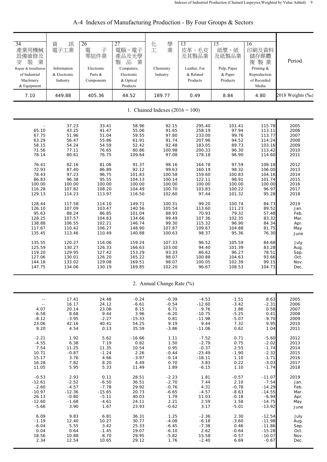| $\overline{34}$<br>產業用機械<br>設備維修及<br>業<br>装<br>安<br>Repair & Installation<br>of Industrial<br>Machinery<br>& Equipment | 資<br>訊<br>電子工業<br>Information<br>& Electronic<br>Industry   | 26<br>電<br>子<br>零組件業<br>Electronic<br>Parts &<br>Components | 27<br>電腦、電子<br>產品及光學<br>品<br>製<br>業<br>Computers,<br>Electronic<br>& Optical<br>Products | 學<br>化<br>業<br>工<br>Chemistry<br>Industry                    | 13<br>皮革、毛皮<br>及其製品業<br>Leather, Fur<br>& Related<br>Products      | 15<br>紙漿、紙<br>及紙製品業<br>Pulp, Paper<br>& Paper<br>Products    | 16<br>印刷及資料<br>儲存媒體<br>複製業<br>Printing &<br>Reproduction<br>of Recorded<br>Media | Period                                               |
|------------------------------------------------------------------------------------------------------------------------|-------------------------------------------------------------|-------------------------------------------------------------|------------------------------------------------------------------------------------------|--------------------------------------------------------------|--------------------------------------------------------------------|--------------------------------------------------------------|----------------------------------------------------------------------------------|------------------------------------------------------|
| 7.10                                                                                                                   | 449.88                                                      | 405.36                                                      | 44.52                                                                                    | 189.77                                                       | 0.49                                                               | 8.84                                                         | 4.80                                                                             | 2018 Weights (‰)                                     |
|                                                                                                                        |                                                             |                                                             |                                                                                          | 1. Chained Indexes $(2016 = 100)$                            |                                                                    |                                                              |                                                                                  |                                                      |
| 65.10<br>67.75<br>63.29<br>58.15<br>71.56<br>78.14                                                                     | 37.23<br>43.25<br>51.96<br>56.47<br>54.24<br>77.11<br>80.61 | 33.41<br>41.47<br>51.04<br>55.86<br>54.59<br>76.65<br>76.75 | 58.96<br>55.06<br>59.55<br>61.91<br>52.42<br>80.86<br>109.64                             | 92.15<br>91.65<br>97.80<br>91.74<br>92.48<br>100.98<br>97.08 | 295.40<br>258.19<br>233.00<br>207.96<br>183.05<br>200.33<br>178.18 | 101.41<br>97.94<br>99.76<br>94.52<br>89.73<br>96.30<br>96.90 | 115.78<br>113.11<br>113.77<br>114.24<br>103.16<br>113.42<br>114.60               | 2005<br>2006<br>2007<br>2008<br>2009<br>2010<br>2011 |
| 76.41                                                                                                                  | 82.16                                                       | 81.06                                                       | 91.37                                                                                    | 98.16                                                        | 164.78                                                             | 97.59                                                        | 108.18                                                                           | 2012                                                 |
| 72.93                                                                                                                  | 87.40                                                       | 86.89                                                       | 92.12                                                                                    | 99.63                                                        | 160.19                                                             | 98.32                                                        | 106.00                                                                           | 2013                                                 |
| 78.43                                                                                                                  | 97.23                                                       | 96.75                                                       | 101.83                                                                                   | 100.58                                                       | 159.60                                                             | 100.83                                                       | 104.16                                                                           | 2014                                                 |
| 86.83                                                                                                                  | 96.38                                                       | 95.55                                                       | 104.13                                                                                   | 100.14                                                       | 122.11                                                             | 98.91                                                        | 101.74                                                                           | 2015                                                 |
| 100.00                                                                                                                 | 100.00                                                      | 100.00                                                      | 100.00                                                                                   | 100.00                                                       | 100.00                                                             | 100.00                                                       | 100.00                                                                           | 2016                                                 |
| 116.28                                                                                                                 | 107.82                                                      | 108.20                                                      | 104.49                                                                                   | 100.70                                                       | 103.83                                                             | 100.22                                                       | 96.97                                                                            | 2017                                                 |
| 129.13                                                                                                                 | 114.23                                                      | 113.97                                                      | 116.50                                                                                   | 102.60                                                       | 97.44                                                              | 101.32                                                       | 95.28                                                                            | 2018                                                 |
| 128.44                                                                                                                 | 117.58                                                      | 114.10                                                      | 149.71                                                                                   | 100.31                                                       | 99.20                                                              | 100.74                                                       | 84.73                                                                            | 2019                                                 |
| 126.10                                                                                                                 | 107.09                                                      | 103.47                                                      | 140.56                                                                                   | 105.54                                                       | 113.60                                                             | 111.23                                                       | 89.52                                                                            | Jan.                                                 |
| 95.63                                                                                                                  | 88.24                                                       | 86.85                                                       | 101.04                                                                                   | 88.93                                                        | 70.93                                                              | 79.32                                                        | 57.48                                                                            | Feb.                                                 |
| 128.25                                                                                                                 | 107.57                                                      | 104.63                                                      | 134.66                                                                                   | 99.49                                                        | 107.36                                                             | 102.35                                                       | 83.32                                                                            | Mar.                                                 |
| 138.88                                                                                                                 | 106.55                                                      | 102.21                                                      | 146.74                                                                                   | 99.30                                                        | 115.32                                                             | 96.90                                                        | 84.34                                                                            | Apr.                                                 |
| 117.67                                                                                                                 | 110.42                                                      | 106.27                                                      | 148.90                                                                                   | 107.87                                                       | 109.67                                                             | 104.88                                                       | 81.75                                                                            | May                                                  |
| 135.45                                                                                                                 | 113.46                                                      | 110.49                                                      | 140.88                                                                                   | 100.63                                                       | 98.37                                                              | 95.36                                                        | 76.30                                                                            | June                                                 |
| 135.55                                                                                                                 | 120.27                                                      | 116.06                                                      | 159.24                                                                                   | 107.33                                                       | 96.52                                                              | 105.59                                                       | 84.68                                                                            | July                                                 |
| 125.59                                                                                                                 | 130.27                                                      | 126.33                                                      | 166.63                                                                                   | 103.00                                                       | 94.40                                                              | 101.39                                                       | 83.28                                                                            | Aug.                                                 |
| 119.20                                                                                                                 | 129.95                                                      | 127.42                                                      | 153.29                                                                                   | 93.33                                                        | 86.62                                                              | 96.27                                                        | 78.51                                                                            | Sep.                                                 |
| 127.06                                                                                                                 | 130.01                                                      | 126.20                                                      | 165.22                                                                                   | 98.07                                                        | 100.88                                                             | 104.63                                                       | 93.66                                                                            | Oct.                                                 |
| 144.18                                                                                                                 | 133.02                                                      | 129.08                                                      | 169.51                                                                                   | 98.07                                                        | 100.05                                                             | 102.39                                                       | 99.15                                                                            | Nov.                                                 |
| 147.75                                                                                                                 | 134.06                                                      | 130.19                                                      | 169.85                                                                                   | 102.20                                                       | 96.67                                                              | 108.53                                                       | 104.73                                                                           | Dec.                                                 |
|                                                                                                                        |                                                             |                                                             |                                                                                          | 2. Annual Change Rate (%)                                    |                                                                    |                                                              |                                                                                  |                                                      |
| $\sim$ $-$                                                                                                             | 17.41                                                       | 24.48                                                       | $-0.24$                                                                                  | $-0.39$                                                      | $-4.53$                                                            | $-1.51$                                                      | 8.63                                                                             | 2005                                                 |
| $\sim$ $\sim$                                                                                                          | 16.17                                                       | 24.12                                                       | $-6.61$                                                                                  | $-0.54$                                                      | $-12.60$                                                           | $-3.42$                                                      | $-2.31$                                                                          | 2006                                                 |
| 4.07                                                                                                                   | 20.14                                                       | 23.08                                                       | 8.15                                                                                     | 6.71                                                         | $-9.76$                                                            | 1.86                                                         | 0.58                                                                             | 2007                                                 |
| $-6.58$                                                                                                                | 8.68                                                        | 9.44                                                        | 3.96                                                                                     | $-6.20$                                                      | $-10.75$                                                           | $-5.25$                                                      | 0.41                                                                             | 2008                                                 |
| $-8.12$                                                                                                                | $-3.95$                                                     | $-2.27$                                                     | $-15.33$                                                                                 | 0.81                                                         | $-11.98$                                                           | $-5.07$                                                      | $-9.70$                                                                          | 2009                                                 |
| 23.06                                                                                                                  | 42.16                                                       | 40.41                                                       | 54.25                                                                                    | 9.19                                                         | 9.44                                                               | 7.32                                                         | 9.95                                                                             | 2010                                                 |
| 9.20                                                                                                                   | 4.54                                                        | 0.13                                                        | 35.59                                                                                    | $-3.86$                                                      | $-11.06$                                                           | 0.62                                                         | 1.04                                                                             | 2011                                                 |
| $-2.21$                                                                                                                | 1.92                                                        | 5.62                                                        | $-16.66$                                                                                 | 1.11                                                         | $-7.52$                                                            | 0.71                                                         | $-5.60$                                                                          | 2012                                                 |
| $-4.55$                                                                                                                | 6.38                                                        | 7.19                                                        | 0.82                                                                                     | 1.50                                                         | $-2.79$                                                            | 0.75                                                         | $-2.02$                                                                          | 2013                                                 |
| 7.54                                                                                                                   | 11.25                                                       | 11.35                                                       | 10.54                                                                                    | 0.95                                                         | $-0.37$                                                            | 2.55                                                         | $-1.74$                                                                          | 2014                                                 |
| 10.71                                                                                                                  | $-0.87$                                                     | $-1.24$                                                     | 2.26                                                                                     | $-0.44$                                                      | $-23.49$                                                           | $-1.90$                                                      | $-2.32$                                                                          | 2015                                                 |
| 15.17                                                                                                                  | 3.76                                                        | 4.66                                                        | $-3.97$                                                                                  | $-0.14$                                                      | $-18.11$                                                           | 1.10                                                         | $-1.71$                                                                          | 2016                                                 |
| 16.28                                                                                                                  | 7.82                                                        | 8.20                                                        | 4.49                                                                                     | 0.70                                                         | 3.83                                                               | 0.22                                                         | $-3.03$                                                                          | 2017                                                 |
| 11.05                                                                                                                  | 5.95                                                        | 5.33                                                        | 11.49                                                                                    | 1.89                                                         | $-6.15$                                                            | 1.10                                                         | $-1.74$                                                                          | 2018                                                 |
| $-0.53$                                                                                                                | 2.93                                                        | 0.11                                                        | 28.51                                                                                    | $-2.23$                                                      | 1.81                                                               | $-0.57$                                                      | $-11.07$                                                                         | 2019                                                 |
| $-12.61$                                                                                                               | $-2.52$                                                     | $-6.50$                                                     | 36.51                                                                                    | $-2.70$                                                      | 7.44                                                               | 2.10                                                         | $-7.54$                                                                          | Jan.                                                 |
| $-2.60$                                                                                                                | $-4.57$                                                     | $-7.78$                                                     | 29.92                                                                                    | $-0.76$                                                      | 4.31                                                               | $-0.78$                                                      | $-14.29$                                                                         | Feb.                                                 |
| $-10.97$                                                                                                               | $-12.36$                                                    | $-15.65$                                                    | 20.73                                                                                    | $-6.65$                                                      | $-4.57$                                                            | $-8.63$                                                      | $-14.55$                                                                         | Mar.                                                 |
| 26.13                                                                                                                  | $-0.80$                                                     | $-5.11$                                                     | 40.03                                                                                    | 1.79                                                         | 11.03                                                              | $-0.18$                                                      | $-6.94$                                                                          | Apr.                                                 |
| $-12.60$                                                                                                               | $-1.68$                                                     | $-4.61$                                                     | 24.11                                                                                    | 2.21                                                         | 2.59                                                               | 1.58                                                         | $-14.75$                                                                         | May                                                  |
| $-5.66$                                                                                                                | 3.90                                                        | 1.67                                                        | 23.93                                                                                    | $-0.62$                                                      | 3.17                                                               | $-5.01$                                                      | $-13.92$                                                                         | June                                                 |
| 6.09                                                                                                                   | 9.83                                                        | 6.81                                                        | 36.31                                                                                    | 1.25                                                         | $-2.36$                                                            | 2.30                                                         | $-12.54$                                                                         | July                                                 |
| $-1.19$                                                                                                                | 12.40                                                       | 10.27                                                       | 30.77                                                                                    | $-4.08$                                                      | $-6.18$                                                            | $-3.60$                                                      | $-11.98$                                                                         | Aug.                                                 |
| $-6.04$                                                                                                                | 5.55                                                        | 3.42                                                        | 25.33                                                                                    | $-6.45$                                                      | $-7.38$                                                            | 0.46                                                         | $-11.86$                                                                         | Sep.                                                 |
| 0.04                                                                                                                   | 0.64                                                        | $-1.45$                                                     | 19.07                                                                                    | $-6.10$                                                      | 2.62                                                               | $-0.64$                                                      | $-15.28$                                                                         | Oct.                                                 |
| 18.56                                                                                                                  | 10.88                                                       | 8.70                                                        | 29.95                                                                                    | $-5.82$                                                      | 15.58                                                              | $-0.57$                                                      | $-10.07$                                                                         | Nov.                                                 |
| 2.34                                                                                                                   | 12.54                                                       | 10.65                                                       | 29.12                                                                                    | 1.76                                                         | $-2.40$                                                            | 6.69                                                         | $-0.67$                                                                          | Dec.                                                 |

## A-4 Indexes of Manufacturing Production - By Four Groups & Sectors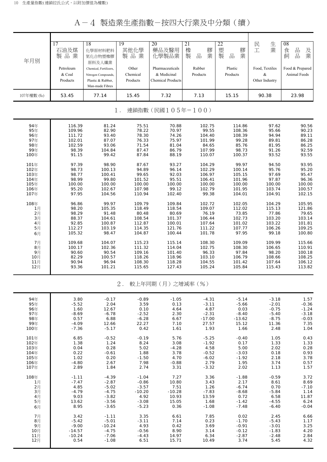## A-4 製造業生產指數-按四大行業及中分類(續)

| 年月別        | 17<br>石油及煤<br>製品業<br>Petroleum<br>& Coal<br>Products | 18<br>化學原材料肥料<br>氮化合物塑橡膠<br>原料及人纖業<br>Chemical, Fertilizers,<br>Nitrogen Compounds,<br>Plastic & Rubber,<br>Man-made Fibres | 19<br>其他化學<br>製品業<br>Other<br>Chemical<br>Products | 20<br>藥品及醫用<br>化學製品業<br>Pharmaceuticals<br>& Medicinal<br><b>Chemical Products</b> | 21<br>橡<br>膠<br>製<br>業<br>$\frac{\Box}{\Box \Box}$<br>Rubber<br>Products | 22<br>塑製<br>膠<br>業<br>品<br>Plastic<br>Products | 生業<br>民工<br>Food, Textiles<br>&<br>Other Industry | 08<br>品<br>食<br>及業<br>$\frac{\Box}{\Box \Box}$<br>飼<br>Food & Prepared<br>Animal Feeds |
|------------|------------------------------------------------------|-----------------------------------------------------------------------------------------------------------------------------|----------------------------------------------------|------------------------------------------------------------------------------------|--------------------------------------------------------------------------|------------------------------------------------|---------------------------------------------------|----------------------------------------------------------------------------------------|
| 107年權數 (‰) | 53.45                                                | 77.14                                                                                                                       | 15.45                                              | 7.32                                                                               | 7.13                                                                     | 15.15                                          | 90.38                                             | 23.98                                                                                  |
|            |                                                      |                                                                                                                             | $1$ .                                              | 連鎖指數(民國105年=100)                                                                   |                                                                          |                                                |                                                   |                                                                                        |
| 94年        | 116.39                                               | 81.24                                                                                                                       | 75.51                                              | 70.88                                                                              | 102.75                                                                   | 114.86                                         | 97.62                                             | 90.56                                                                                  |
| 95年        | 109.96                                               | 82.90                                                                                                                       | 78.22                                              | 70.97                                                                              | 99.55                                                                    | 108.36                                         | 95.66                                             | 90.23                                                                                  |
| 96年        | 111.72                                               | 93.40                                                                                                                       | 78.30                                              | 74.26                                                                              | 104.40                                                                   | 108.39                                         | 94.94                                             | 89.11                                                                                  |
| 97年        | 102.01                                               | 87.07                                                                                                                       | 76.33                                              | 75.97                                                                              | 101.99                                                                   | 99.28                                          | 89.81                                             | 86.28                                                                                  |
| 98年        | 102.59                                               | 93.06                                                                                                                       | 71.54                                              | 81.04                                                                              | 84.65                                                                    | 85.76                                          | 81.95                                             | 86.25                                                                                  |
| 99年        | 98.39                                                | 104.84                                                                                                                      | 87.47                                              | 86.79                                                                              | 107.99                                                                   | 98.73                                          | 91.26                                             | 92.59                                                                                  |
| 100年       | 91.15                                                | 99.42                                                                                                                       | 87.84                                              | 88.19                                                                              | 110.07                                                                   | 100.37                                         | 93.52                                             | 93.55                                                                                  |
| 101年       | 97.39                                                | 98.90                                                                                                                       | 87.67                                              | 93.27                                                                              | 104.29                                                                   | 99.97                                          | 94.50                                             | 93.95                                                                                  |
| 102年       | 98.73                                                | 100.13                                                                                                                      | 94.89                                              | 96.14                                                                              | 102.29                                                                   | 100.14                                         | 95.76                                             | 95.20                                                                                  |
| 103年       | 98.77                                                | 100.41                                                                                                                      | 99.65                                              | 92.03                                                                              | 106.97                                                                   | 105.15                                         | 97.69                                             | 95.47                                                                                  |
| 104年       | 98.99                                                | 99.80                                                                                                                       | 101.52                                             | 95.51                                                                              | 106.41                                                                   | 101.96                                         | 97.87                                             | 96.36                                                                                  |
| 105年       | 100.00                                               | 100.00                                                                                                                      | 100.00                                             | 100.00                                                                             | 100.00                                                                   | 100.00                                         | 100.00                                            | 100.00                                                                                 |
| 106年       | 95.20                                                | 102.67                                                                                                                      | 107.98                                             | 99.12                                                                              | 102.79                                                                   | 101.95                                         | 103.74                                            | 100.57                                                                                 |
| 107年       | 97.95                                                | 104.56                                                                                                                      | 110.94                                             | 102.40                                                                             | 99.38                                                                    | 104.01                                         | 104.91                                            | 102.15                                                                                 |
| 108年       | 96.86                                                | 99.97                                                                                                                       | 109.79                                             | 109.84                                                                             | 102.72                                                                   | 102.05                                         | 104.29                                            | 105.95                                                                                 |
| 1月         | 98.20                                                | 105.35                                                                                                                      | 118.49                                             | 118.54                                                                             | 109.07                                                                   | 112.02                                         | 115.13                                            | 121.86                                                                                 |
| 2月         | 98.29                                                | 91.48                                                                                                                       | 80.48                                              | 80.69                                                                              | 76.19                                                                    | 73.85                                          | 77.86                                             | 79.65                                                                                  |
| $3\n  3$   | 88.37                                                | 104.61                                                                                                                      | 108.54                                             | 101.37                                                                             | 106.44                                                                   | 102.73                                         | 103.20                                            | 103.14                                                                                 |
| 4月         | 92.85                                                | 100.87                                                                                                                      | 112.87                                             | 100.01                                                                             | 107.64                                                                   | 101.02                                         | 103.22                                            | 101.81                                                                                 |
| 5月         | 112.27                                               | 103.19                                                                                                                      | 114.35                                             | 121.76                                                                             | 111.22                                                                   | 107.77                                         | 106.26                                            | 109.25                                                                                 |
| 6月         | 105.32                                               | 98.47                                                                                                                       | 104.87                                             | 100.44                                                                             | 101.78                                                                   | 97.95                                          | 99.18                                             | 100.80                                                                                 |
| 7月         | 109.68                                               | 104.07                                                                                                                      | 115.23                                             | 115.14                                                                             | 108.30                                                                   | 109.09                                         | 109.99                                            | 115.66                                                                                 |
| $8$ 月      | 100.17                                               | 102.36                                                                                                                      | 111.32                                             | 114.04                                                                             | 102.75                                                                   | 108.30                                         | 106.65                                            | 110.91                                                                                 |
| 9月         | 90.60                                                | 90.54                                                                                                                       | 109.16                                             | 101.40                                                                             | 96.33                                                                    | 97.84                                          | 98.20                                             | 100.18                                                                                 |
| 10月        | 82.29                                                | 100.57                                                                                                                      | 118.26                                             | 118.96                                                                             | 103.10                                                                   | 106.79                                         | 108.66                                            | 108.25                                                                                 |
| 11月        | 90.94                                                | 96.94                                                                                                                       | 108.30                                             | 118.28                                                                             | 104.55                                                                   | 101.42                                         | 107.64                                            | 106.12                                                                                 |
| 12月        | 93.36                                                | 101.21                                                                                                                      | 115.65                                             | 127.43                                                                             | 105.24                                                                   | 105.84                                         | 115.43                                            | 113.82                                                                                 |
|            |                                                      |                                                                                                                             | $2$ .                                              | 較上年同期(月)之增減率(%)                                                                    |                                                                          |                                                |                                                   |                                                                                        |
| 94年        | 3.80                                                 | $-0.17$                                                                                                                     | $-0.89$                                            | $-1.05$                                                                            | $-4.31$                                                                  | $-5.14$                                        | $-3.18$                                           | 1.57                                                                                   |
| 95年        | $-5.52$                                              | 2.04                                                                                                                        | 3.59                                               | 0.13                                                                               | $-3.11$                                                                  | $-5.66$                                        | $-2.01$                                           | $-0.36$                                                                                |
| 96年        | 1.60                                                 | 12.67                                                                                                                       | 0.10                                               | 4.64                                                                               | 4.87                                                                     | 0.03                                           | $-0.75$                                           | $-1.24$                                                                                |
| 97年        | $-8.69$                                              | $-6.78$                                                                                                                     | $-2.52$                                            | 2.30                                                                               | $-2.31$                                                                  | $-8.40$                                        | $-5.40$                                           | $-3.18$                                                                                |
| 98年        | 0.57                                                 | 6.88                                                                                                                        | $-6.28$                                            | 6.67                                                                               | $-17.00$                                                                 | $-13.62$                                       | $-8.75$                                           | $-0.03$                                                                                |
| 99年        | $-4.09$                                              | 12.66                                                                                                                       | 22.27                                              | 7.10                                                                               | 27.57                                                                    | 15.12                                          | 11.36                                             | 7.35                                                                                   |
| 100年       | $-7.36$                                              | $-5.17$                                                                                                                     | 0.42                                               | 1.61                                                                               | 1.93                                                                     | 1.66                                           | 2.48                                              | 1.04                                                                                   |
| 101年       | 6.85                                                 | $-0.52$                                                                                                                     | $-0.19$                                            | 5.76                                                                               | $-5.25$                                                                  | $-0.40$                                        | 1.05                                              | 0.43                                                                                   |
| 102年       | 1.38                                                 | 1.24                                                                                                                        | 8.24                                               | 3.08                                                                               | $-1.92$                                                                  | 0.17                                           | 1.33                                              | 1.33                                                                                   |
| 103年       | 0.04                                                 | 0.28                                                                                                                        | 5.02                                               | $-4.28$                                                                            | 4.58                                                                     | 5.00                                           | 2.02                                              | 0.28                                                                                   |
| 104年       | 0.22                                                 | $-0.61$                                                                                                                     | 1.88                                               | 3.78                                                                               | $-0.52$                                                                  | $-3.03$                                        | 0.18                                              | 0.93                                                                                   |
| 105年       | 1.02                                                 | 0.20                                                                                                                        | $-1.50$                                            | 4.70                                                                               | $-6.02$                                                                  | $-1.92$                                        | 2.18                                              | 3.78                                                                                   |
| 106年       | $-4.80$                                              | 2.67                                                                                                                        | 7.98                                               | $-0.88$                                                                            | 2.79                                                                     | 1.95                                           | 3.74                                              | 0.57                                                                                   |
| 107年       | 2.89                                                 | 1.84                                                                                                                        | 2.74                                               | 3.31                                                                               | $-3.32$                                                                  | 2.02                                           | 1.13                                              | 1.57                                                                                   |
| 108年       | $-1.11$                                              | $-4.39$                                                                                                                     | $-1.04$                                            | 7.27                                                                               | 3.36                                                                     | $-1.88$                                        | $-0.59$                                           | 3.72                                                                                   |
| 1月         | $-7.47$                                              | $-2.87$                                                                                                                     | $-0.86$                                            | 10.80                                                                              | 3.43                                                                     | 2.17                                           | 8.61                                              | 8.69                                                                                   |
| 2月         | 4.85                                                 | $-5.02$                                                                                                                     | $-3.57$                                            | 7.51                                                                               | 1.26                                                                     | $-6.74$                                        | 0.70                                              | $-7.10$                                                                                |
| 3月         | $-4.79$                                              | $-4.75$                                                                                                                     | $-10.20$                                           | $-10.28$                                                                           | $-7.83$                                                                  | $-8.68$                                        | $-5.84$                                           | 1.14                                                                                   |
| 4月         | 9.03                                                 | $-3.82$                                                                                                                     | 4.92                                               | 10.93                                                                              | 13.59                                                                    | 0.72                                           | 6.58                                              | 11.87                                                                                  |
| 5月         | 13.62                                                | $-3.56$                                                                                                                     | $-3.08$                                            | 15.05                                                                              | 1.68                                                                     | $-1.42$                                        | $-4.55$                                           | 6.24                                                                                   |
| 6月         | 8.95                                                 | $-3.65$                                                                                                                     | $-5.23$                                            | 0.36                                                                               | $-1.08$                                                                  | $-7.48$                                        | $-6.40$                                           | $-0.04$                                                                                |
| 7月         | 3.42                                                 | $-1.11$                                                                                                                     | 3.35                                               | 6.61                                                                               | 7.85                                                                     | 0.02                                           | 2.45                                              | 6.66                                                                                   |
| 8月         | $-5.42$                                              | $-5.01$                                                                                                                     | $-3.11$                                            | 7.14                                                                               | 0.23                                                                     | $-1.70$                                        | $-5.43$                                           | 1.17                                                                                   |
| 9月         | $-9.00$                                              | $-10.24$                                                                                                                    | 4.93                                               | 0.42                                                                               | 3.69                                                                     | $-0.91$                                        | $-3.01$                                           | 3.25                                                                                   |
| 10月        | $-14.57$                                             | $-4.75$                                                                                                                     | $-0.56$                                            | 8.90                                                                               | 3.14                                                                     | $-0.12$                                        | $-1.83$                                           | 4.20                                                                                   |
| 11月        | $-10.24$                                             | $-7.06$                                                                                                                     | $-4.43$                                            | 14.97                                                                              | 6.34                                                                     | $-2.87$                                        | $-2.48$                                           | 2.84                                                                                   |
| 12月        | 0.54                                                 | $-1.08$                                                                                                                     | 6.51                                               | 15.71                                                                              | 10.49                                                                    | 3.74                                           | 5.45                                              | 4.32                                                                                   |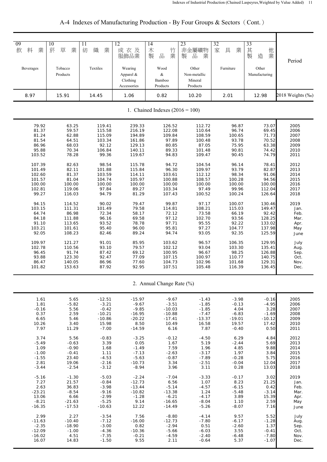| 09<br>飲<br>料<br>業 | 10<br>菸<br>草<br>業   | 11<br>紡<br>織<br>業 | 12<br>成衣及<br>服飾品業                               | 14<br>木<br>竹<br>製<br>品<br>業       | 23<br>非金屬礦物<br>業<br>製<br>品                   | 32<br>家<br>具<br>業 | 33<br>其<br>他<br>業<br>製<br>造 | Period           |
|-------------------|---------------------|-------------------|-------------------------------------------------|-----------------------------------|----------------------------------------------|-------------------|-----------------------------|------------------|
| Beverages         | Tobacco<br>Products | Textiles          | Wearing<br>Apparel &<br>Clothing<br>Accessories | Wood<br>&<br>Bamboo<br>Products   | Other<br>Non-metallic<br>Mineral<br>Products | Furniture         | Other<br>Manufacturing      |                  |
| 8.97              | 15.91               | 14.45             | 1.06                                            | 0.82                              | 10.20                                        | 2.01              | 12.98                       | 2018 Weights (‰) |
|                   |                     |                   |                                                 | 1. Chained Indexes $(2016 = 100)$ |                                              |                   |                             |                  |
| 79.92             | 63.25               | 119.41            | 239.33                                          | 126.52                            | 112.72                                       | 96.87             | 73.07                       | 2005             |
| 81.37             | 59.57               | 115.58            | 216.19                                          | 122.08                            | 110.64                                       | 96.74             | 69.45                       | 2006             |
| 81.24             | 62.88               | 115.09            | 194.89                                          | 109.84                            | 108.59                                       | 100.65            | 71.73                       | 2007             |
| 81.54             | 64.51               | 103.34            | 161.86                                          | 97.89                             | 100.48                                       | 93.78             | 70.52                       | 2008             |
| 86.96             | 68.03               | 92.12             | 129.13                                          | 80.85                             | 87.05                                        | 75.95             | 63.38                       | 2009             |
| 95.88             | 70.34               | 106.84            | 140.11                                          | 89.33                             | 101.48                                       | 90.81             | 74.42                       | 2010             |
| 103.52            | 78.28               | 99.36             | 119.67                                          | 94.83                             | 109.47                                       | 90.45             | 74.79                       | 2011             |
| 107.39            | 82.63               | 98.54             | 115.78                                          | 94.72                             | 104.54                                       | 96.14             | 78.41                       | 2012             |
| 101.49            | 82.11               | 101.88            | 115.84                                          | 96.30                             | 109.97                                       | 93.79             | 82.87                       | 2013             |
| 102.60            | 81.37               | 103.59            | 114.11                                          | 103.61                            | 112.12                                       | 98.34             | 91.06                       | 2014             |
| 101.57            | 81.04               | 104.74            | 105.97                                          | 100.88                            | 108.57                                       | 100.28            | 94.56                       | 2015             |
| 100.00            | 100.00              | 100.00            | 100.00                                          | 100.00                            | 100.00                                       | 100.00            | 100.00                      | 2016             |
| 102.81            | 119.06              | 97.84             | 89.27                                           | 103.34                            | 97.49                                        | 99.96             | 112.04                      | 2017             |
| 99.27             | 116.03              | 94.79             | 81.29                                           | 107.43                            | 100.52                                       | 100.24            | 126.64                      | 2018             |
| 94.15             | 114.52              | 90.02             | 79.47                                           | 99.87                             | 97.17                                        | 100.07            | 130.46                      | 2019             |
| 103.15            | 111.31              | 101.49            | 79.58                                           | 114.81                            | 108.21                                       | 115.03            | 149.47                      | Jan.             |
| 64.74             | 86.98               | 72.34             | 58.17                                           | 72.12                             | 73.58                                        | 66.19             | 92.42                       | Feb.             |
| 84.18             | 111.88              | 96.16             | 69.58                                           | 97.12                             | 102.70                                       | 93.56             | 128.25                      | Mar.             |
| 91.10             | 113.65              | 93.52             | 78.78                                           | 97.71                             | 95.55                                        | 92.22             | 133.02                      | Apr.             |
| 103.21            | 101.61              | 95.40             | 96.00                                           | 95.81                             | 97.27                                        | 104.77            | 137.98                      | May              |
| 92.05             | 108.23              | 82.46             | 89.24                                           | 94.74                             | 93.05                                        | 92.35             | 125.59                      | June             |
| 109.97            | 121.27              | 91.01             | 85.95                                           | 103.62                            | 96.57                                        | 106.35            | 129.95                      | July             |
| 102.78            | 110.56              | 93.10             | 79.57                                           | 102.12                            | 93.04                                        | 103.30            | 135.41                      | Aug.             |
| 96.45             | 91.74               | 87.42             | 69.12                                           | 100.95                            | 96.67                                        | 98.25             | 126.88                      | Sep.             |
| 93.88             | 123.30              | 92.47             | 77.09                                           | 107.15                            | 100.97                                       | 110.77            | 140.75                      | Oct.             |
| 86.47             | 140.05              | 86.96             | 77.60                                           | 104.73                            | 102.96                                       | 101.68            | 129.31                      | Nov.             |
| 101.82            | 153.63              | 87.92             | 92.95                                           | 107.51                            | 105.48                                       | 116.39            | 136.45                      | Dec.             |
|                   |                     |                   |                                                 | 2. Annual Change Rate (%)         |                                              |                   |                             |                  |
| 1.61              | 5.65                | $-12.51$          | $-15.97$                                        | $-9.67$                           | $-1.43$                                      | $-3.98$           | $-0.16$                     | 2005             |
| 1.81              | $-5.82$             | $-3.21$           | $-9.67$                                         | $-3.51$                           | $-1.85$                                      | $-0.13$           | $-4.95$                     | 2006             |
| $-0.16$           | 5.56                | $-0.42$           | $-9.85$                                         | $-10.03$                          | $-1.85$                                      | 4.04              | 3.28                        | 2007             |
| 0.37              | 2.59                | $-10.21$          | $-16.95$                                        | $-10.88$                          | $-7.47$                                      | $-6.83$           | $-1.69$                     | 2008             |
| 6.65              | 5.46                | $-10.86$          | $-20.22$                                        | $-17.41$                          | $-13.37$                                     | $-19.01$          | $-10.12$                    | 2009             |
| 10.26             | 3.40                | 15.98             | 8.50                                            | 10.49                             | 16.58                                        | 19.57             | 17.42                       | 2010             |
| 7.97              | 11.29               | $-7.00$           | $-14.59$                                        | 6.16                              | 7.87                                         | $-0.40$           | 0.50                        | 2011             |
| 3.74              | 5.56                | $-0.83$           | $-3.25$                                         | $-0.12$                           | $-4.50$                                      | 6.29              | 4.84                        | 2012             |
| $-5.49$           | $-0.63$             | 3.39              | 0.05                                            | 1.67                              | 5.19                                         | $-2.44$           | 5.69                        | 2013             |
| 1.09              | $-0.90$             | 1.68              | $-1.49$                                         | 7.59                              | 1.96                                         | 4.85              | 9.88                        | 2014             |
| $-1.00$           | $-0.41$             | 1.11              | $-7.13$                                         | $-2.63$                           | $-3.17$                                      | 1.97              | 3.84                        | 2015             |
| $-1.55$           | 23.40               | $-4.53$           | $-5.63$                                         | $-0.87$                           | -7.89                                        | $-0.28$           | 5.75                        | 2016             |
| 2.81              | 19.06               | $-2.16$           | $-10.73$                                        | 3.34                              | $-2.51$                                      | $-0.04$           | 12.04                       | 2017             |
| $-3.44$           | $-2.54$             | $-3.12$           | $-8.94$                                         | 3.96                              | 3.11                                         | 0.28              | 13.03                       | 2018             |
| $-5.16$           | $-1.30$             | $-5.03$           | $-2.24$                                         | $-7.04$                           | $-3.33$                                      | $-0.17$           | 3.02                        | 2019             |
| 7.27              | 21.57               | $-0.84$           | $-12.73$                                        | 6.56                              | 1.07                                         | 8.23              | 21.25                       | Jan.             |
| 2.63              | 36.83               | $-3.98$           | $-13.44$                                        | $-5.14$                           | $-4.57$                                      | $-6.15$           | 0.42                        | Feb.             |
| $-23.21$          | $-8.54$             | $-9.16$           | $-10.82$                                        | $-13.38$                          | 1.24                                         | $-5.48$           | $-3.14$                     | Mar.             |
| 13.06             | 6.66                | $-2.99$           | $-1.28$                                         | $-6.21$                           | $-4.17$                                      | 3.89              | 15.39                       | Apr.             |
| $-8.21$           | $-21.63$            | $-5.25$           | 9.14                                            | $-16.65$                          | $-8.04$                                      | 1.10              | 2.59                        | May              |
| $-16.35$          | $-17.53$            | $-10.63$          | 12.22                                           | $-14.49$                          | $-5.26$                                      | $-8.07$           | 7.16                        | June             |
| 2.99              | 2.27                | $-3.54$           | 7.56                                            | $-8.80$                           | $-4.14$                                      | 9.57              | 5.52                        | July             |
| $-11.63$          | $-10.40$            | $-7.12$           | $-16.00$                                        | $-12.73$                          | $-7.80$                                      | $-6.17$           | $-1.28$                     | Aug.             |
| $-2.35$           | $-18.90$            | $-3.00$           | 0.82                                            | $-2.94$                           | 0.51                                         | $-2.60$           | 1.37                        | Sep.             |
| $-12.09$          | $-1.00$             | $-4.36$           | $-10.36$                                        | $-5.66$                           | $-6.03$                                      | 3.55              | $-0.41$                     | Oct.             |
| $-16.02$          | 4.51                | $-7.35$           | $-0.21$                                         | $-4.59$                           | $-2.40$                                      | $-6.48$           | $-7.80$                     | Nov.             |
| 16.07             | 14.83               | $-1.50$           | 9.55                                            | 2.11                              | $-0.64$                                      | 5.37              | $-1.07$                     | Dec.             |

A-4 Indexes of Manufacturing Production - By Four Groups & Sectors (Cont.)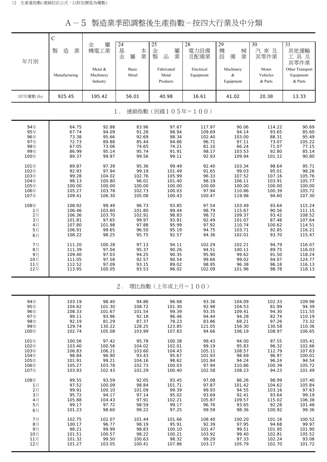A-5 製造業季節調整後生產指數-按四大行業及中分類

|              | $\mathbf C$      |                 |                 |                                     |                |                  |                  |                  |
|--------------|------------------|-----------------|-----------------|-------------------------------------|----------------|------------------|------------------|------------------|
|              |                  | 屬<br>金          | 24              | 25                                  | 28             | 29               | 30               | 31               |
|              | 製<br>造<br>業      | 機電工業            |                 | 屬                                   | 電力設備           | 機<br>械           | 汽車及              | 其他運輸             |
|              |                  |                 | 基金<br>本業<br>屬   | 金製<br>業<br>$\frac{\Box}{\Box \Box}$ | 及配備業           | 設<br>業<br>備      | 其零件業             | 工具及              |
| 年月別          |                  |                 |                 |                                     |                |                  |                  | 其零件業             |
|              |                  |                 |                 |                                     |                |                  |                  |                  |
|              |                  | Metal &         | Basic           | Fabricated                          | Electrical     | Machinery        | Motor            | Other Transport  |
|              | Manufacturing    | Machinery       | Metal           | Metal                               | Equipment      | &                | Vehicles         | Equipment        |
|              |                  | Industry        |                 | Products                            |                | Equipment        | & Parts          | & Parts          |
|              |                  |                 |                 |                                     |                |                  |                  |                  |
| 107年權數 (‰)   | 925.45           | 195.42          | 56.01           | 40.98                               | 16.61          | 41.02            | 20.38            | 13.33            |
|              |                  |                 |                 |                                     |                |                  |                  |                  |
|              |                  |                 |                 |                                     |                |                  |                  |                  |
|              |                  |                 | $1$ .           | 連鎖指數(民國105年=100)                    |                |                  |                  |                  |
|              |                  |                 |                 |                                     |                |                  |                  |                  |
| 94年          | 64.75            | 92.88           | 83.96           | 97.67                               | 117.97         | 90.06            | 114.22           | 90.69            |
| 95年          | 67.74            | 94.09           | 91.28           | 98.94                               | 109.69         | 94.14            | 93.65            | 85.60            |
| 96年          | 73.38            | 95.66           | 92.69           | 98.34                               | 102.40         | 103.00           | 88.31            | 95.49            |
| 97年          | 72.73            | 89.88           | 85.44           | 94.86                               | 96.71          | 97.11            | 73.07            | 105.22           |
| 98年          | 67.05            | 73.06           | 74.65           | 74.21                               | 81.10          | 66.24            | 71.07            | 77.15            |
| 99年          | 86.99            | 95.14           | 95.74           | 91.91                               | 98.17          | 103.53           | 92.80            | 85.14            |
| 100年         | 89.37            | 99.97           | 99.56           | 99.11                               | 92.93          | 109.94           | 101.12           | 90.80            |
|              |                  |                 |                 |                                     |                |                  |                  |                  |
| 101年         | 89.87            | 97.39           | 95.36           | 99.49                               | 92.40          | 103.34<br>99.03  | 98.64            | 95.71            |
| 102年<br>103年 | 92.93<br>99.28   | 97.94<br>104.02 | 99.19<br>102.76 | 101.49<br>105.99                    | 91.65<br>96.33 | 107.52           | 95.01<br>107.16  | 98.26<br>105.76  |
| 104年         | 98.13            | 100.80          | 96.01           | 101.40                              | 98.19          | 106.11           | 103.91           | 105.77           |
| 105年         | 100.00           | 100.00          | 100.00          | 100.00                              | 100.00         | 100.00           | 100.00           | 100.00           |
| 106年         | 105.27           | 103.78          | 102.73          | 100.03                              | 97.94          | 110.86           | 100.39           | 105.72           |
| 107年         | 109.41           | 106.30          | 105.08          | 100.43                              | 100.47         | 119.98           | 94.60            | 107.30           |
|              |                  |                 |                 |                                     |                |                  |                  |                  |
| 108年         | 108.92           | 99.49           | 96.73           | 93.85                               | 97.54          | 103.49           | 93.64            | 115.24           |
| 1月           | 106.46           | 103.60          | 101.80          | 99.44                               | 98.79          | 115.67           | 90.56            | 111.15           |
| 2月           | 106.36           | 103.70          | 102.91          | 98.83                               | 98.72          | 109.37           | 93.42            | 108.52           |
| 3月           | 101.81           | 97.65           | 99.97           | 93.91                               | 92.49          | 101.07           | 87.48            | 107.64           |
| 4月<br>5月     | 107.80<br>106.91 | 101.98<br>99.65 | 97.88<br>96.50  | 95.99<br>95.19                      | 97.92<br>94.75 | 110.74<br>103.71 | 100.62<br>92.85  | 114.51<br>116.21 |
| 6月           | 108.22           | 98.25           | 95.75           | 92.57                               | 94.36          | 102.01           | 93.70            | 115.47           |
|              |                  |                 |                 |                                     |                |                  |                  |                  |
| 7月           | 111.20           | 100.28          | 97.13           | 94.11                               | 102.29         | 102.21           | 94.79            | 116.07           |
| 8月           | 111.39           | 97.04           | 95.37           | 90.26                               | 94.51          | 100.11           | 89.75            | 116.03           |
| 9月           | 109.40           | 97.03           | 94.25           | 90.35                               | 95.90          | 99.62            | 91.50            | 118.24           |
| 10月          | 111.05           | 97.58           | 92.57           | 90.54                               | 99.66          | 99.02            | 94.07            | 124.77           |
| 11月          | 112.52           | 97.09           | 93.15           | 89.02                               | 98.95          | 96.38            | 96.18            | 116.13           |
| 12月          | 113.95           | 100.05          | 93.53           | 96.02                               | 102.09         | 101.96           | 98.78            | 118.13           |
|              |                  |                 |                 |                                     |                |                  |                  |                  |
|              |                  |                 | $2$ .           | 環比指數 (上年或上月=100)                    |                |                  |                  |                  |
|              |                  |                 |                 |                                     |                |                  |                  |                  |
|              |                  |                 |                 |                                     |                |                  |                  |                  |
| 94年          | 103.19           | 98.40           | 94.86           | 96.68                               | 93.36          | 104.09           | 102.33           | 109.98           |
| 95年          | 104.62           | 101.30          | 108.72          | 101.30                              | 92.98          | 104.53           | 81.99            | 94.39            |
| 96年          | 108.33           | 101.67          | 101.54          | 99.39                               | 93.35          | 109.41           | 94.30            | 111.55           |
| 97年          | 99.11            | 93.96           | 92.18           | 96.46                               | 94.44          | 94.28            | 82.74            | 110.19           |
| 98年          | 92.19            | 81.29           | 87.37           | 78.23                               | 83.86          | 68.21            | 97.26            | 73.32            |
| 99年          | 129.74           | 130.22          | 128.25          | 123.85                              | 121.05         | 156.30           | 130.58           | 110.36           |
| 100年         | 102.74           | 105.08          | 103.99          | 107.83                              | 94.66          | 106.19           | 108.97           | 106.65           |
| 101年         | 100.56           | 97.42           | 95.78           | 100.38                              | 99.43          | 94.00            | 97.55            | 105.41           |
| 102年         | 103.40           | 100.56          | 104.02          | 102.01                              | 99.19          | 95.83            | 96.32            | 102.66           |
| 103年         | 106.83           | 106.21          | 103.60          | 104.43                              | 105.11         | 108.57           | 112.79           | 107.63           |
| 104年         | 98.84            | 96.90           | 93.43           | 95.67                               | 101.93         | 98.69            | 96.97            | 100.01           |
| 105年         | 101.91           | 99.21           | 104.16          | 98.62                               | 101.84         | 94.24            | 96.24            | 94.54            |
| 106年         | 105.27           | 103.78          | 102.73          | 100.03                              | 97.94          | 110.86           | 100.39           | 105.72           |
| 107年         | 103.93           | 102.43          | 102.29          | 100.40                              | 102.58         | 108.23           | 94.23            | 101.49           |
|              |                  |                 |                 |                                     |                |                  |                  |                  |
| 108年         | 99.55<br>97.52   | 93.59<br>100.09 | 92.05<br>98.84  | 93.45<br>101.71                     | 97.08<br>97.87 | 86.26<br>101.42  | 98.99            | 107.40<br>105.84 |
| 1月<br>2月     | 99.91            | 100.10          | 101.09          | 99.39                               | 99.93          | 94.55            | 104.62<br>103.16 | 97.63            |
| 3月           | 95.72            | 94.17           | 97.14           | 95.02                               | 93.69          | 92.41            | 93.64            | 99.19            |
| 4月           | 105.88           | 104.43          | 97.91           | 102.21                              | 105.87         | 109.57           | 115.02           | 106.38           |
| 5月           | 99.17            | 97.72           | 98.59           | 99.17                               | 96.76          | 93.65            | 92.28            | 101.48           |

6月 | 101.23 98.60 99.22 97.25 99.59 98.36 100.92 99.36 7月 | 102.75 102.07 101.44 101.66 108.40 100.20 101.16 100.52 8月 | 100.17 96.77 98.19 95.91 92.39 97.95 94.68 99.97 9月 | 98.21 99.99 98.83 100.10 101.47 99.51 101.95 101.90 10月 101.51 100.57 98.22 100.21 103.92 99.40 102.81 105.52 11月 101.32 99.50 100.63 98.32 99.29 97.33 102.24 93.08 12月 101.27 103.05 100.41 107.86 103.17 105.79 102.70 101.72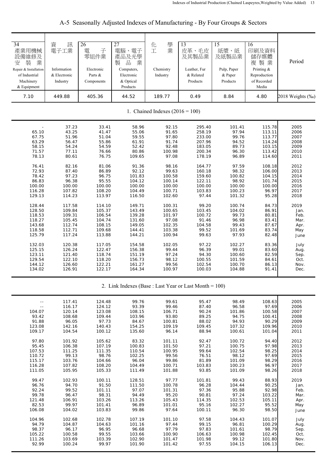| 34<br>產業用機械<br>設備維修及<br>裝<br>業<br>安<br>Repair & Installation<br>of Industrial<br>Machinery<br>& Equipment                                                                                                                          | 資<br>訊<br>電子工業<br>Information<br>& Electronic<br>Industry                                                                                                                                                                                   | 26<br>雷<br>子<br>零組件業<br>Electronic<br>Parts &<br>Components                                                                                                                                                                                 | 27<br>電腦、電子<br>產品及光學<br>品<br>製<br>業<br>Computers,<br>Electronic<br>& Optical<br>Products                                                                                                                                                       | 學<br>化<br>業<br>工<br>Chemistry<br>Industry                                                                                                                                                                                                  | 13<br>皮革、毛皮<br>及其製品業<br>Leather, Fur<br>& Related<br>Products                                                                                                                                                                                  | 15<br>紙漿、紙<br>及紙製品業<br>Pulp, Paper<br>& Paper<br>Products                                                                                                                                                                                | 16<br>印刷及資料<br>儲存媒體<br>複製業<br>Printing &<br>Reproduction<br>of Recorded<br>Media                                                                                                                                                          | Period                                                                                                                                                                                              |
|------------------------------------------------------------------------------------------------------------------------------------------------------------------------------------------------------------------------------------|---------------------------------------------------------------------------------------------------------------------------------------------------------------------------------------------------------------------------------------------|---------------------------------------------------------------------------------------------------------------------------------------------------------------------------------------------------------------------------------------------|------------------------------------------------------------------------------------------------------------------------------------------------------------------------------------------------------------------------------------------------|--------------------------------------------------------------------------------------------------------------------------------------------------------------------------------------------------------------------------------------------|------------------------------------------------------------------------------------------------------------------------------------------------------------------------------------------------------------------------------------------------|------------------------------------------------------------------------------------------------------------------------------------------------------------------------------------------------------------------------------------------|-------------------------------------------------------------------------------------------------------------------------------------------------------------------------------------------------------------------------------------------|-----------------------------------------------------------------------------------------------------------------------------------------------------------------------------------------------------|
| 7.10                                                                                                                                                                                                                               | 449.88                                                                                                                                                                                                                                      | 405.36                                                                                                                                                                                                                                      | 44.52                                                                                                                                                                                                                                          | 189.77                                                                                                                                                                                                                                     | 0.49                                                                                                                                                                                                                                           | 8.84                                                                                                                                                                                                                                     | 4.80                                                                                                                                                                                                                                      | 2018 Weights (‰)                                                                                                                                                                                    |
|                                                                                                                                                                                                                                    |                                                                                                                                                                                                                                             |                                                                                                                                                                                                                                             |                                                                                                                                                                                                                                                | 1. Chained Indexes $(2016 = 100)$                                                                                                                                                                                                          |                                                                                                                                                                                                                                                |                                                                                                                                                                                                                                          |                                                                                                                                                                                                                                           |                                                                                                                                                                                                     |
| 65.10<br>67.75<br>63.29<br>58.15<br>71.57<br>78.13<br>76.41<br>72.93<br>78.42<br>86.83<br>100.00<br>116.28<br>129.13<br>128.44<br>128.50<br>118.53<br>118.27<br>143.68<br>118.58<br>125.79<br>132.03<br>125.15<br>123.11<br>129.54 | 37.23<br>43.25<br>51.96<br>56.47<br>54.24<br>77.11<br>80.61<br>82.16<br>87.40<br>97.23<br>96.38<br>100.00<br>107.82<br>114.23<br>117.58<br>109.84<br>109.31<br>105.45<br>112.74<br>112.71<br>117.24<br>120.38<br>126.24<br>121.40<br>122.10 | 33.41<br>41.47<br>51.04<br>55.86<br>54.59<br>76.66<br>76.75<br>81.06<br>86.89<br>96.75<br>95.55<br>100.00<br>108.20<br>113.97<br>114.10<br>105.37<br>106.54<br>104.74<br>108.15<br>109.68<br>113.88<br>117.05<br>122.47<br>118.74<br>118.20 | 58.96<br>55.06<br>59.55<br>61.91<br>52.42<br>80.86<br>109.65<br>91.36<br>92.12<br>101.83<br>104.12<br>100.00<br>104.49<br>116.50<br>149.71<br>143.49<br>139.28<br>131.60<br>149.05<br>144.41<br>144.21<br>154.58<br>156.38<br>151.19<br>156.73 | 92.15<br>91.65<br>97.80<br>91.74<br>92.48<br>100.98<br>97.08<br>98.16<br>99.63<br>100.58<br>100.14<br>100.00<br>100.71<br>102.60<br>100.31<br>100.65<br>101.97<br>97.08<br>102.35<br>103.38<br>100.94<br>102.05<br>99.44<br>97.24<br>98.12 | 295.40<br>258.19<br>233.00<br>207.96<br>183.05<br>200.34<br>178.19<br>164.77<br>160.18<br>159.60<br>122.11<br>100.00<br>103.83<br>97.44<br>99.20<br>103.45<br>100.72<br>91.46<br>104.58<br>99.52<br>99.63<br>97.22<br>96.39<br>94.30<br>100.55 | 101.41<br>97.94<br>99.76<br>94.52<br>89.73<br>96.30<br>96.89<br>97.59<br>98.32<br>100.82<br>98.92<br>100.00<br>100.23<br>101.32<br>100.74<br>104.02<br>99.73<br>96.98<br>99.43<br>101.69<br>97.93<br>102.27<br>99.01<br>100.60<br>101.59 | 115.78<br>113.11<br>113.77<br>114.24<br>103.15<br>113.42<br>114.60<br>108.18<br>106.00<br>104.15<br>101.74<br>100.00<br>96.97<br>95.28<br>84.73<br>86.91<br>80.81<br>83.41<br>87.67<br>83.74<br>82.48<br>83.36<br>83.60<br>82.59<br>84.61 | 2005<br>2006<br>2007<br>2008<br>2009<br>2010<br>2011<br>2012<br>2013<br>2014<br>2015<br>2016<br>2017<br>2018<br>2019<br>Jan.<br>Feb.<br>Mar.<br>Apr.<br>May<br>June<br>July<br>Aug.<br>Sep.<br>Oct. |
| 144.12<br>134.02                                                                                                                                                                                                                   | 126.60<br>126.91                                                                                                                                                                                                                            | 122.21<br>122.17                                                                                                                                                                                                                            | 161.27<br>164.34                                                                                                                                                                                                                               | 99.56<br>100.97                                                                                                                                                                                                                            | 102.54<br>100.03                                                                                                                                                                                                                               | 100.70<br>104.88                                                                                                                                                                                                                         | 86.13<br>91.41                                                                                                                                                                                                                            | Nov.<br>Dec.                                                                                                                                                                                        |

A-5 Seasonally Adjusted Indexes of Manufacturing - By Four Groups & Sectors

2. Link Indexes (Base : Last Year or Last Month = 100)

| $-$        | 117.41 | 124.48 | 99.76  | 99.61  | 95.47  | 98.49  | 108.63 | 2005 |
|------------|--------|--------|--------|--------|--------|--------|--------|------|
| $\sim$ $-$ | 116.17 | 124.12 | 93.39  | 99.46  | 87.40  | 96.58  | 97.69  | 2006 |
| 104.07     | 120.14 | 123.08 | 108.15 | 106.71 | 90.24  | 101.86 | 100.58 | 2007 |
| 93.42      | 108.68 | 109.44 | 103.96 | 93.80  | 89.25  | 94.75  | 100.41 | 2008 |
| 91.88      | 96.05  | 97.73  | 84.67  | 100.81 | 88.02  | 94.93  | 90.29  | 2009 |
| 123.08     | 142.16 | 140.43 | 154.25 | 109.19 | 109.45 | 107.32 | 109.96 | 2010 |
| 109.17     | 104.54 | 100.12 | 135.60 | 96.14  | 88.94  | 100.61 | 101.04 | 2011 |
| 97.80      | 101.92 | 105.62 | 83.32  | 101.11 | 92.47  | 100.72 | 94.40  | 2012 |
| 95.45      | 106.38 | 107.19 | 100.83 | 101.50 | 97.21  | 100.75 | 97.98  | 2013 |
| 107.53     | 111.25 | 111.35 | 110.54 | 100.95 | 99.64  | 102.54 | 98.25  | 2014 |
| 110.72     | 99.13  | 98.76  | 102.25 | 99.56  | 76.51  | 98.12  | 97.69  | 2015 |
| 115.17     | 103.76 | 104.66 | 96.04  | 99.86  | 81.89  | 101.09 | 98.29  | 2016 |
| 116.28     | 107.82 | 108.20 | 104.49 | 100.71 | 103.83 | 100.23 | 96.97  | 2017 |
| 111.05     | 105.95 | 105.33 | 111.49 | 101.88 | 93.85  | 101.09 | 98.26  | 2018 |
| 99.47      | 102.93 | 100.11 | 128.51 | 97.77  | 101.81 | 99.43  | 88.93  | 2019 |
| 96.76      | 94.70  | 91.50  | 111.50 | 100.78 | 96.28  | 104.44 | 90.25  | Jan. |
| 92.24      | 99.52  | 101.11 | 97.07  | 101.31 | 97.36  | 95.88  | 92.98  | Feb. |
| 99.78      | 96.47  | 98.31  | 94.49  | 95.20  | 90.81  | 97.24  | 103.22 | Mar. |
| 121.48     | 106.91 | 103.26 | 113.26 | 105.43 | 114.35 | 102.53 | 105.11 | Apr. |
| 82.53      | 99.97  | 101.41 | 96.89  | 101.01 | 95.16  | 102.27 | 95.52  | May  |
| 106.08     | 104.02 | 103.83 | 99.86  | 97.64  | 100.11 | 96.30  | 98.50  | June |
| 104.96     | 102.68 | 102.78 | 107.19 | 101.10 | 97.58  | 104.43 | 101.07 | July |
| 94.79      | 104.87 | 104.63 | 101.16 | 97.44  | 99.15  | 96.81  | 100.29 | Aug. |
| 98.37      | 96.17  | 96.95  | 96.68  | 97.79  | 97.83  | 101.61 | 98.79  | Sep. |
| 105.22     | 100.58 | 99.55  | 103.66 | 100.90 | 106.63 | 100.98 | 102.45 | Oct. |
| 111.26     | 103.69 | 103.39 | 102.90 | 101.47 | 101.98 | 99.12  | 101.80 | Nov. |
| 92.99      | 100.24 | 99.97  | 101.90 | 101.42 | 97.55  | 104.15 | 106.13 | Dec. |
|            |        |        |        |        |        |        |        |      |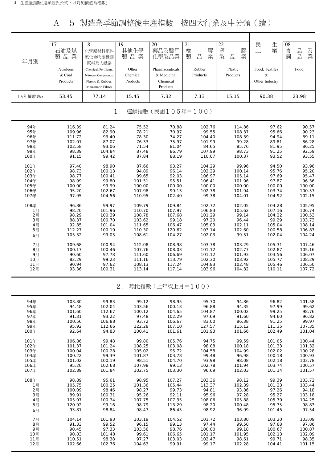A-5 製造業季節調整後生產指數-按四大行業及中分類(續)

| 年月別                     | 17<br>石油及煤<br>製品業               | 18<br>化學原材料肥料<br>氮化合物塑橡膠<br>原料及人纖業                                                    | 19<br>其他化學<br>製品業             | 20<br>藥品及醫用<br>化學製品業                                   | 21<br>膠<br>橡<br>製<br>業<br>品 | 22<br>塑<br>膠<br>製<br>業<br>品 | 民<br>生<br>業<br>工                      | 08<br>品<br>食<br>及<br>業<br>飼<br>品 |
|-------------------------|---------------------------------|---------------------------------------------------------------------------------------|-------------------------------|--------------------------------------------------------|-----------------------------|-----------------------------|---------------------------------------|----------------------------------|
|                         | Petroleum<br>& Coal<br>Products | Chemical, Fertilizers,<br>Nitrogen Compounds,<br>Plastic & Rubber,<br>Man-made Fibres | Other<br>Chemical<br>Products | Pharmaceuticals<br>& Medicinal<br>Chemical<br>Products | Rubber<br>Products          | Plastic<br>Products         | Food, Textiles<br>&<br>Other Industry | Food                             |
| 107年權數 (%)              | 53.45                           | 77.14                                                                                 | 15.45                         | 7.32                                                   | 7.13                        | 15.15                       | 90.38                                 | 23.98                            |
|                         |                                 |                                                                                       | $1$ .                         | 連鎖指數(民國105年=100)                                       |                             |                             |                                       |                                  |
| 94年                     | 116.39                          | 81.24                                                                                 | 75.52                         | 70.88                                                  | 102.76                      | 114.86                      | 97.62                                 | 90.57                            |
| 95年<br>96年              | 109.96                          | 82.90                                                                                 | 78.21                         | 70.97                                                  | 99.55                       | 108.37                      | 95.66                                 | 90.23                            |
| 97年                     | 111.72<br>102.01                | 93.40<br>87.07                                                                        | 78.30<br>76.33                | 74.27<br>75.97                                         | 104.40<br>101.99            | 108.39<br>99.28             | 94.94<br>89.81                        | 89.11<br>86.28                   |
| 98年                     | 102.58                          | 93.06                                                                                 | 71.54                         | 81.04                                                  | 84.65                       | 85.76                       | 81.95                                 | 86.25                            |
| 99年                     | 98.39                           | 104.84                                                                                | 87.48                         | 86.79                                                  | 107.99                      | 98.73                       | 91.25                                 | 92.59                            |
| 100年                    | 91.15                           | 99.42                                                                                 | 87.84                         | 88.19                                                  | 110.07                      | 100.37                      | 93.52                                 | 93.55                            |
| 101年                    | 97.40                           | 98.90                                                                                 | 87.66                         | 93.27                                                  | 104.29                      | 99.96                       | 94.50                                 | 93.96                            |
| 102年                    | 98.73                           | 100.13                                                                                | 94.89                         | 96.14                                                  | 102.29                      | 100.14                      | 95.76                                 | 95.20                            |
| 103年                    | 98.77                           | 100.41                                                                                | 99.65                         | 92.03                                                  | 106.97                      | 105.14                      | 97.69                                 | 95.47                            |
| 104年                    | 98.99                           | 99.80                                                                                 | 101.51                        | 95.51                                                  | 106.41                      | 101.96                      | 97.87                                 | 96.36                            |
| 105年                    | 100.00                          | 99.99                                                                                 | 100.00                        | 100.00<br>99.13                                        | 100.00                      | 100.00                      | 100.00                                | 100.00                           |
| 106年<br>107年            | 95.20<br>97.95                  | 102.67<br>104.56                                                                      | 107.98<br>110.95              | 102.40                                                 | 102.78<br>99.38             | 101.94<br>104.01            | 103.74<br>104.92                      | 100.57<br>102.15                 |
|                         |                                 |                                                                                       |                               |                                                        |                             |                             |                                       |                                  |
| 108年                    | 96.86                           | 99.97                                                                                 | 109.79                        | 109.84                                                 | 102.72                      | 102.05                      | 104.28                                | 105.95                           |
| 1月                      | 98.20                           | 101.96                                                                                | 110.70                        | 107.97                                                 | 106.83                      | 105.62                      | 107.16                                | 106.74                           |
| $2$ 月<br>3 <sub>月</sub> | 98.29<br>88.37                  | 100.39<br>100.70                                                                      | 108.78<br>103.62              | 107.68<br>99.18                                        | 101.29<br>97.20             | 99.14<br>96.44              | 104.22<br>99.29                       | 100.53<br>103.73                 |
| 4月                      | 92.85                           | 101.04                                                                                | 111.65                        | 106.47                                                 | 105.03                      | 102.11                      | 105.04                                | 108.14                           |
| 5月                      | 112.27                          | 100.19                                                                                | 110.30                        | 120.62                                                 | 103.14                      | 102.60                      | 100.58                                | 106.87                           |
| 6月                      | 105.32                          | 99.03                                                                                 | 108.61                        | 104.27                                                 | 102.03                      | 99.51                       | 102.04                                | 104.24                           |
| 7月                      | 109.68                          | 100.94                                                                                | 112.08                        | 108.98                                                 | 103.78                      | 103.29                      | 105.31                                | 107.46                           |
| 8月                      | 100.17                          | 100.46                                                                                | 107.76                        | 108.03                                                 | 101.12                      | 102.77                      | 102.87                                | 105.16                           |
| 9月                      | 90.60                           | 97.78                                                                                 | 111.60                        | 106.69                                                 | 101.12                      | 101.93                      | 103.56                                | 106.07                           |
| 10月                     | 82.29                           | 99.23                                                                                 | 111.16                        | 113.79                                                 | 102.30                      | 103.92                      | 105.77                                | 108.29                           |
| 11月                     | 90.94                           | 97.62                                                                                 | 108.13                        | 117.24                                                 | 104.83                      | 102.48                      | 105.46                                | 106.50                           |
| 12月                     | 93.36                           | 100.31                                                                                | 113.14                        | 117.14                                                 | 103.96                      | 104.82                      | 110.11                                | 107.72                           |
|                         |                                 |                                                                                       | $2$ .                         | 環比指數(上年或上月=100)                                        |                             |                             |                                       |                                  |
| 94年<br>95年              | 103.80<br>94.48                 | 99.83<br>102.04                                                                       | 99.12<br>103.56               | 98.95<br>100.13                                        | 95.70<br>96.88              | 94.86<br>94.35              | 96.82<br>97.99                        | 101.58<br>99.62                  |
| 96年<br>07E              | 101.60<br>01.21                 | 112.67<br>റാറ                                                                         | 100.12<br>07.40               | 104.65<br>102.20                                       | 104.87<br>07.60             | 100.02<br>01K               | 99.25<br>01K                          | 98.76<br>0 <sub>0</sub>          |

| 96年  | 101.60 | 112.67 | 100.12 | 104.65 | 104.87 | 100.02 | 99.25  | 98.76  |
|------|--------|--------|--------|--------|--------|--------|--------|--------|
| 97年  | 91.31  | 93.22  | 97.48  | 102.29 | 97.69  | 91.60  | 94.60  | 96.82  |
| 98年  | 100.56 | 106.88 | 93.72  | 106.67 | 83.00  | 86.38  | 91.25  | 99.97  |
| 99年  | 95.92  | 112.66 | 122.28 | 107.10 | 127.57 | 115.12 | 111.35 | 107.35 |
| 100年 | 92.64  | 94.83  | 100.41 | 101.61 | 101.93 | 101.66 | 102.49 | 101.04 |
| 101年 | 106.86 | 99.48  | 99.80  | 105.76 | 94.75  | 99.59  | 101.05 | 100.44 |
| 102年 | 101.37 | 101.24 | 108.25 | 103.08 | 98.08  | 100.18 | 101.33 | 101.32 |
| 103年 | 100.04 | 100.28 | 105.02 | 95.72  | 104.58 | 104.99 | 102.02 | 100.28 |
| 104年 | 100.22 | 99.39  | 101.87 | 103.78 | 99.48  | 96.98  | 100.18 | 100.93 |
| 105年 | 101.02 | 100.19 | 98.51  | 104.70 | 93.98  | 98.08  | 102.18 | 103.78 |
| 106年 | 95.20  | 102.68 | 107.98 | 99.13  | 102.78 | 101.94 | 103.74 | 100.57 |
| 107年 | 102.89 | 101.84 | 102.75 | 103.30 | 96.69  | 102.03 | 101.14 | 101.57 |
| 108年 | 98.89  | 95.61  | 98.95  | 107.27 | 103.36 | 98.12  | 99.39  | 103.72 |
| 1月   | 105.75 | 100.25 | 101.36 | 105.44 | 113.37 | 102.39 | 101.23 | 103.44 |
| 2月   | 100.09 | 98.46  | 98.27  | 99.73  | 94.81  | 93.86  | 97.26  | 94.18  |
| 3月   | 89.91  | 100.31 | 95.26  | 92.11  | 95.96  | 97.28  | 95.27  | 103.18 |
| 4月   | 105.07 | 100.34 | 107.75 | 107.35 | 108.06 | 105.88 | 105.79 | 104.25 |
| 5月   | 120.92 | 99.16  | 98.79  | 113.29 | 98.20  | 100.48 | 95.75  | 98.83  |
| 6月   | 93.81  | 98.84  | 98.47  | 86.45  | 98.92  | 96.99  | 101.45 | 97.54  |
| 7月   | 104.14 | 101.93 | 103.19 | 104.52 | 101.72 | 103.80 | 103.20 | 103.09 |
| 8月   | 91.33  | 99.52  | 96.15  | 99.13  | 97.44  | 99.50  | 97.68  | 97.86  |
| 9月   | 90.45  | 97.33  | 103.56 | 98.76  | 100.00 | 99.18  | 100.67 | 100.87 |
| 10月  | 90.83  | 101.48 | 99.61  | 106.65 | 101.17 | 101.95 | 102.13 | 102.09 |
| 11月  | 110.51 | 98.38  | 97.27  | 103.03 | 102.47 | 98.61  | 99.71  | 98.35  |
| 12月  | 102.66 | 102.76 | 104.63 | 99.91  | 99.17  | 102.28 | 104.41 | 101.15 |
|      |        |        |        |        |        |        |        |        |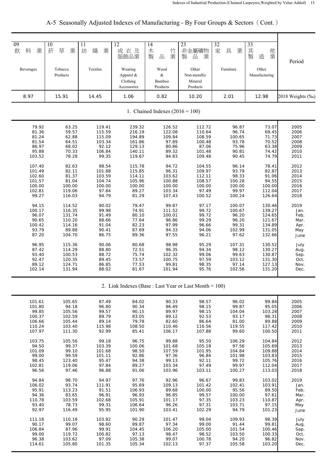A-5 Seasonally Adjusted Indexes of Manufacturing - By Four Groups & Sectors(Cont.)

| 09<br>10<br>草<br>料<br>業<br>菸<br>飲                                                                                                                                                                                                                         | 11<br>業<br>紡<br>織<br>業                                                                                                                                                                                                                                                                                                                                                                                                                                                                                                     | 12<br>成衣及<br>服飾品業                                                                                                                                                                                                                                           | $\overline{14}$<br>木<br>竹<br>製<br>品<br>業                                                                                                                                                                                                                     | 23<br>非金屬礦物<br>品<br>業<br>製                                                                                                                                                                                                                                  | 32<br>家<br>具<br>業                                                                                                                                                                                                                                         | 33<br>其製<br>他業<br>造                                                                                                                                                                                                                                             | Period                                                                                                                                                                                                              |
|-----------------------------------------------------------------------------------------------------------------------------------------------------------------------------------------------------------------------------------------------------------|----------------------------------------------------------------------------------------------------------------------------------------------------------------------------------------------------------------------------------------------------------------------------------------------------------------------------------------------------------------------------------------------------------------------------------------------------------------------------------------------------------------------------|-------------------------------------------------------------------------------------------------------------------------------------------------------------------------------------------------------------------------------------------------------------|--------------------------------------------------------------------------------------------------------------------------------------------------------------------------------------------------------------------------------------------------------------|-------------------------------------------------------------------------------------------------------------------------------------------------------------------------------------------------------------------------------------------------------------|-----------------------------------------------------------------------------------------------------------------------------------------------------------------------------------------------------------------------------------------------------------|-----------------------------------------------------------------------------------------------------------------------------------------------------------------------------------------------------------------------------------------------------------------|---------------------------------------------------------------------------------------------------------------------------------------------------------------------------------------------------------------------|
| Tobacco<br>Beverages<br>Products                                                                                                                                                                                                                          | Textiles                                                                                                                                                                                                                                                                                                                                                                                                                                                                                                                   | Wearing<br>Apparel &<br>Clothing<br>Accessories                                                                                                                                                                                                             | Wood<br>$\&$<br>Bamboo<br>Products                                                                                                                                                                                                                           | Other<br>Non-metallic<br>Mineral<br>Products                                                                                                                                                                                                                | Furniture                                                                                                                                                                                                                                                 | Other<br>Manufacturing                                                                                                                                                                                                                                          |                                                                                                                                                                                                                     |
| 8.97<br>15.91                                                                                                                                                                                                                                             | 14.45                                                                                                                                                                                                                                                                                                                                                                                                                                                                                                                      | 1.06                                                                                                                                                                                                                                                        | 0.82                                                                                                                                                                                                                                                         | 10.20                                                                                                                                                                                                                                                       | 2.01                                                                                                                                                                                                                                                      | 12.98                                                                                                                                                                                                                                                           | 2018 Weights (‰)                                                                                                                                                                                                    |
|                                                                                                                                                                                                                                                           |                                                                                                                                                                                                                                                                                                                                                                                                                                                                                                                            |                                                                                                                                                                                                                                                             | 1. Chained Indexes $(2016 = 100)$                                                                                                                                                                                                                            |                                                                                                                                                                                                                                                             |                                                                                                                                                                                                                                                           |                                                                                                                                                                                                                                                                 |                                                                                                                                                                                                                     |
| 79.92<br>81.36<br>81.24<br>81.54<br>86.97<br>95.88<br>103.52<br>107.40<br>101.49<br>102.60<br>101.57<br>100.00<br>102.81<br>99.27<br>94.15<br>100.17<br>96.07<br>90.65<br>100.42<br>93.79<br>87.20<br>96.95<br>87.42<br>93.40<br>92.47<br>89.12<br>102.14 | 119.41<br>63.25<br>59.57<br>115.59<br>62.88<br>115.09<br>64.51<br>103.34<br>92.12<br>68.02<br>70.33<br>106.84<br>78.28<br>99.35<br>82.63<br>98.54<br>82.11<br>101.88<br>81.37<br>103.59<br>81.04<br>104.74<br>100.00<br>100.00<br>119.06<br>97.84<br>116.03<br>94.79<br>114.52<br>90.02<br>99.98<br>116.35<br>131.74<br>91.49<br>110.20<br>88.66<br>91.04<br>114.16<br>90.41<br>89.88<br>104.70<br>86.75<br>90.06<br>115.36<br>114.29<br>88.80<br>100.53<br>88.72<br>89.45<br>120.35<br>124.71<br>86.85<br>131.94<br>88.02 | 239.32<br>216.19<br>194.89<br>161.86<br>129.13<br>140.11<br>119.67<br>115.78<br>115.85<br>114.11<br>105.96<br>100.00<br>89.27<br>81.29<br>79.47<br>74.91<br>80.10<br>77.64<br>82.23<br>87.69<br>89.36<br>80.68<br>72.51<br>75.74<br>73.57<br>77.53<br>81.67 | 126.52<br>122.08<br>109.84<br>97.89<br>80.86<br>89.32<br>94.83<br>94.72<br>96.31<br>103.62<br>100.88<br>100.00<br>103.34<br>107.43<br>99.87<br>111.52<br>100.01<br>96.86<br>97.99<br>94.33<br>97.55<br>98.98<br>96.35<br>102.32<br>100.75<br>99.81<br>101.94 | 112.72<br>110.64<br>108.59<br>100.48<br>87.06<br>101.48<br>109.48<br>104.55<br>109.97<br>112.11<br>108.57<br>100.00<br>97.49<br>100.52<br>97.17<br>99.72<br>99.72<br>99.29<br>96.66<br>94.06<br>96.21<br>95.29<br>94.34<br>99.06<br>97.59<br>98.35<br>95.76 | 96.87<br>96.74<br>100.65<br>93.78<br>75.96<br>90.81<br>90.45<br>96.14<br>93.79<br>98.33<br>100.28<br>100.00<br>99.97<br>100.24<br>100.07<br>100.67<br>96.20<br>96.20<br>99.31<br>102.99<br>97.62<br>107.31<br>98.12<br>99.63<br>103.12<br>97.14<br>102.56 | 73.07<br>69.45<br>71.73<br>70.52<br>63.38<br>74.42<br>74.79<br>78.41<br>82.87<br>91.06<br>94.55<br>100.00<br>112.04<br>126.64<br>130.46<br>139.27<br>124.65<br>121.67<br>134.89<br>131.05<br>132.66<br>130.52<br>130.27<br>130.87<br>131.30<br>127.13<br>131.20 | 2005<br>2006<br>2007<br>2008<br>2009<br>2010<br>2011<br>2012<br>2013<br>2014<br>2015<br>2016<br>2017<br>2018<br>2019<br>Jan.<br>Feb.<br>Mar.<br>Apr.<br>May<br>June<br>July<br>Aug.<br>Sep.<br>Oct.<br>Nov.<br>Dec. |

2. Link Indexes (Base : Last Year or Last Month = 100)

| 101.61 | 105.65 | 87.49  | 84.02  | 90.33  | 98.57  | 96.02  | 99.84  | 2005 |
|--------|--------|--------|--------|--------|--------|--------|--------|------|
| 101.80 | 94.18  | 96.80  | 90.34  | 96.49  | 98.15  | 99.87  | 95.05  | 2006 |
| 99.85  | 105.56 | 99.57  | 90.15  | 89.97  | 98.15  | 104.04 | 103.28 | 2007 |
| 100.37 | 102.59 | 89.79  | 83.05  | 89.12  | 92.53  | 93.17  | 98.31  | 2008 |
| 106.66 | 105.44 | 89.14  | 79.78  | 82.60  | 86.64  | 81.00  | 89.88  | 2009 |
| 110.24 | 103.40 | 115.98 | 108.50 | 110.46 | 116.56 | 119.55 | 117.42 | 2010 |
| 107.97 | 111.30 | 92.99  | 85.41  | 106.17 | 107.88 | 99.60  | 100.50 | 2011 |
|        |        |        |        |        |        |        |        |      |
| 103.75 | 105.56 | 99.18  | 96.75  | 99.88  | 95.50  | 106.29 | 104.84 | 2012 |
| 94.50  | 99.37  | 103.39 | 100.06 | 101.68 | 105.18 | 97.56  | 105.69 | 2013 |
| 101.09 | 99.10  | 101.68 | 98.50  | 107.59 | 101.95 | 104.84 | 109.88 | 2014 |
| 99.00  | 99.59  | 101.11 | 92.86  | 97.36  | 96.84  | 101.98 | 103.83 | 2015 |
| 98.45  | 123.40 | 95.47  | 94.38  | 99.13  | 92.11  | 99.72  | 105.76 | 2016 |
| 102.81 | 119.06 | 97.84  | 89.27  | 103.34 | 97.49  | 99.97  | 112.04 | 2017 |
| 96.56  | 97.46  | 96.88  | 91.06  | 103.96 | 103.11 | 100.27 | 113.03 | 2018 |
|        |        |        |        |        |        |        |        |      |
| 94.84  | 98.70  | 94.97  | 97.76  | 92.96  | 96.67  | 99.83  | 103.02 | 2019 |
| 106.02 | 93.74  | 111.91 | 95.69  | 109.13 | 101.42 | 102.41 | 103.91 | Jan. |
| 95.91  | 113.23 | 91.51  | 106.93 | 89.68  | 100.00 | 95.56  | 89.50  | Feb. |
| 94.36  | 83.65  | 96.91  | 96.93  | 96.85  | 99.57  | 100.00 | 97.61  | Mar. |
| 110.78 | 103.59 | 102.68 | 105.91 | 101.17 | 97.35  | 103.23 | 110.87 | Apr. |
| 93.40  | 78.73  | 99.31  | 106.64 | 96.26  | 97.31  | 103.71 | 97.15  | May  |
| 92.97  | 116.49 | 95.95  | 101.90 | 103.41 | 102.29 | 94.79  | 101.23 | June |
|        |        |        |        |        |        |        |        |      |
| 111.18 | 110.18 | 103.82 | 90.29  | 101.47 | 99.04  | 109.93 | 98.39  | July |
| 90.17  | 99.07  | 98.60  | 89.87  | 97.34  | 99.00  | 91.44  | 99.81  | Aug. |
| 106.84 | 87.96  | 99.91  | 104.45 | 106.20 | 105.00 | 101.54 | 100.46 | Sep. |
| 99.00  | 119.72 | 100.82 | 97.13  | 98.47  | 98.52  | 103.50 | 100.33 | Oct. |
| 96.38  | 103.62 | 97.09  | 105.38 | 99.07  | 100.78 | 94.20  | 96.82  | Nov. |
| 114.61 | 105.80 | 101.35 | 105.34 | 102.13 | 97.37  | 105.58 | 103.20 | Dec. |
|        |        |        |        |        |        |        |        |      |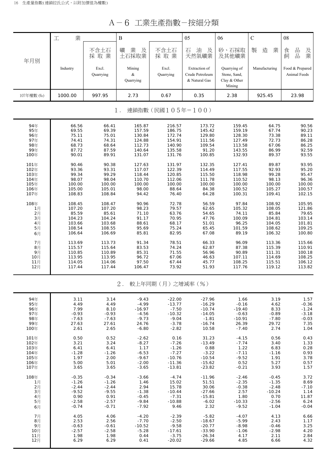A-6 工業生產指數-按細分類

|                                                      | $A - 6$<br>-- 茉生產指數-按細分類                                          |                                                                   |                                                                          |                                                                              |                                                                              |                                                                        |                                                                   |                                                                   |  |  |
|------------------------------------------------------|-------------------------------------------------------------------|-------------------------------------------------------------------|--------------------------------------------------------------------------|------------------------------------------------------------------------------|------------------------------------------------------------------------------|------------------------------------------------------------------------|-------------------------------------------------------------------|-------------------------------------------------------------------|--|--|
|                                                      | 業<br>工                                                            |                                                                   | $\, {\bf B}$                                                             |                                                                              | 05                                                                           | 06                                                                     | $\mathsf{C}$                                                      | 08                                                                |  |  |
| 年月別                                                  |                                                                   | 不含土石<br>採取業                                                       | 業<br>礦<br>及<br>土石採取業                                                     | 不含土石<br>採取業                                                                  | 石<br>油<br>及<br>天然氣礦業                                                         | 砂、石採取<br>及其他礦業                                                         | 造<br>業<br>製                                                       | 品<br>食<br>及業<br>$\frac{\Box}{\Box \Box}$<br>飼                     |  |  |
|                                                      | Industry                                                          | Excl.<br>Quarrying                                                | Mining<br>&<br>Quarrying                                                 | Excl.<br>Quarrying                                                           | Extraction of<br>Crude Petroleum<br>& Natural Gas                            | Quarrying of<br>Stone, Sand,<br>Clay & Other<br>Mining                 | Manufacturing                                                     | Food & Prepared<br>Animal Feeds                                   |  |  |
| 107年權數 (%)                                           | 1000.00                                                           | 997.95                                                            | 2.73                                                                     | 0.67                                                                         | 0.35                                                                         | 2.38                                                                   | 925.45                                                            | 23.98                                                             |  |  |
| 連鎖指數(民國105年=100)<br>$1$ .                            |                                                                   |                                                                   |                                                                          |                                                                              |                                                                              |                                                                        |                                                                   |                                                                   |  |  |
| 94年<br>95年<br>96年<br>97年<br>98年<br>99年<br>100年       | 66.56<br>69.55<br>75.11<br>74.41<br>68.73<br>87.72<br>90.01       | 66.41<br>69.39<br>75.01<br>74.31<br>68.64<br>87.59<br>89.91       | 165.87<br>157.59<br>130.84<br>124.88<br>112.73<br>140.64<br>131.07       | 216.57<br>186.75<br>172.74<br>154.91<br>140.90<br>135.58<br>131.76           | 173.72<br>145.42<br>129.80<br>111.56<br>109.54<br>91.20<br>100.85            | 159.45<br>159.19<br>128.30<br>127.49<br>113.58<br>143.55<br>132.93     | 64.75<br>67.74<br>73.38<br>72.73<br>67.06<br>86.99<br>89.37       | 90.56<br>90.23<br>89.11<br>86.28<br>86.25<br>92.59<br>93.55       |  |  |
| 101年<br>102年<br>103年<br>104年<br>105年<br>106年<br>107年 | 90.46<br>93.36<br>99.34<br>98.07<br>100.00<br>105.00<br>108.83    | 90.38<br>93.31<br>99.29<br>98.04<br>100.00<br>105.01<br>108.84    | 127.63<br>117.07<br>118.44<br>110.70<br>100.00<br>98.00<br>94.42         | 131.97<br>122.39<br>120.85<br>112.06<br>100.00<br>88.64<br>76.40             | 132.35<br>114.49<br>115.50<br>111.78<br>100.00<br>84.38<br>64.28             | 127.41<br>117.55<br>118.98<br>110.52<br>100.00<br>100.52<br>100.31     | 89.87<br>92.93<br>99.28<br>98.13<br>100.00<br>105.27<br>109.41    | 93.95<br>95.20<br>95.47<br>96.36<br>100.00<br>100.57<br>102.15    |  |  |
| 108年<br>1月<br>2月<br>3月<br>4月<br>5月<br>6月             | 108.45<br>107.20<br>85.59<br>104.23<br>103.66<br>108.54<br>106.64 | 108.47<br>107.20<br>85.61<br>104.24<br>103.68<br>108.55<br>106.69 | 90.96<br>98.23<br>71.10<br>91.17<br>88.61<br>95.69<br>85.81              | 72.78<br>79.57<br>63.76<br>70.95<br>68.17<br>75.24<br>82.95                  | 56.59<br>62.65<br>54.65<br>47.76<br>51.01<br>65.45<br>67.08                  | 97.84<br>105.32<br>74.11<br>100.09<br>96.25<br>101.59<br>89.19         | 108.92<br>108.05<br>85.84<br>104.81<br>104.05<br>108.62<br>106.32 | 105.95<br>121.86<br>79.65<br>103.14<br>101.81<br>109.25<br>100.80 |  |  |
| 7月<br>8月<br>9月<br>10月<br>11月<br>12月                  | 113.69<br>115.57<br>110.85<br>113.95<br>114.05<br>117.44          | 113.73<br>115.64<br>110.89<br>113.95<br>114.06<br>117.44          | 91.34<br>83.53<br>85.31<br>96.72<br>97.50<br>106.47                      | 78.51<br>74.24<br>71.55<br>67.06<br>67.44<br>73.92                           | 66.33<br>62.87<br>56.96<br>46.63<br>45.77<br>51.93                           | 96.09<br>87.38<br>90.89<br>107.11<br>108.25<br>117.76                  | 113.36<br>115.39<br>111.31<br>114.69<br>115.51<br>119.12          | 115.66<br>110.91<br>100.18<br>108.25<br>106.12<br>113.82          |  |  |
|                                                      |                                                                   |                                                                   | $2$ .                                                                    | 較上年同期(月)之增減率(%)                                                              |                                                                              |                                                                        |                                                                   |                                                                   |  |  |
| 94年<br>95年<br>96年<br>97年<br>98年<br>99年<br>100年       | 3.11<br>4.49<br>7.99<br>$-0.93$<br>$-7.63$<br>27.63<br>2.61       | 3.14<br>4.49<br>8.10<br>$-0.93$<br>$-7.63$<br>27.61<br>2.65       | $-9.43$<br>$-4.99$<br>$-16.97$<br>$-4.56$<br>$-9.73$<br>24.76<br>$-6.80$ | $-22.00$<br>$-13.77$<br>$-7.50$<br>$-10.32$<br>$-9.04$<br>$-3.78$<br>$-2.82$ | $-27.96$<br>$-16.29$<br>$-10.74$<br>$-14.05$<br>$-1.81$<br>$-16.74$<br>10.58 | 1.66<br>$-0.16$<br>$-19.40$<br>$-0.63$<br>$-10.91$<br>26.39<br>$-7.40$ | 3.19<br>4.62<br>8.33<br>$-0.89$<br>$-7.80$<br>29.72<br>2.74       | 1.57<br>$-0.36$<br>$-1.24$<br>$-3.18$<br>$-0.03$<br>7.35<br>1.04  |  |  |
| 101年<br>102年<br>103年<br>104年<br>105年<br>106年         | 0.50<br>3.21<br>6.41<br>$-1.28$<br>1.97<br>5.00                   | 0.52<br>3.24<br>6.41<br>$-1.26$<br>2.00<br>5.01                   | $-2.62$<br>$-8.27$<br>1.17<br>$-6.53$<br>$-9.67$<br>$-2.00$              | 0.16<br>$-7.26$<br>$-1.26$<br>$-7.27$<br>$-10.76$<br>$-11.36$                | 31.23<br>$-13.49$<br>0.88<br>$-3.22$<br>$-10.54$<br>$-15.62$                 | $-4.15$<br>$-7.74$<br>1.22<br>$-7.11$<br>$-9.52$<br>0.52               | 0.56<br>3.40<br>6.83<br>$-1.16$<br>1.91<br>5.27                   | 0.43<br>1.33<br>0.28<br>0.93<br>3.78<br>0.57                      |  |  |

| 98年  | -7.63   | -7.63   | -9.73    | -9.04    | -1.81    | -10.91   | -7.80    | -0.03   |
|------|---------|---------|----------|----------|----------|----------|----------|---------|
| 99年  | 27.63   | 27.61   | 24.76    | $-3.78$  | $-16.74$ | 26.39    | 29.72    | 7.35    |
| 100年 | 2.61    | 2.65    | $-6.80$  | $-2.82$  | 10.58    | -7.40    | 2.74     | 1.04    |
| 101年 | 0.50    | 0.52    | $-2.62$  | 0.16     | 31.23    | $-4.15$  | 0.56     | 0.43    |
| 102年 | 3.21    | 3.24    | $-8.27$  | $-7.26$  | $-13.49$ | $-7.74$  | 3.40     | 1.33    |
| 103年 | 6.41    | 6.41    | 1.17     | $-1.26$  | 0.88     | 1.22     | 6.83     | 0.28    |
| 104年 | $-1.28$ | $-1.26$ | $-6.53$  | $-7.27$  | $-3.22$  | $-7.11$  | $-1.16$  | 0.93    |
| 105年 | 1.97    | 2.00    | $-9.67$  | $-10.76$ | $-10.54$ | $-9.52$  | 1.91     | 3.78    |
| 106年 | 5.00    | 5.01    | $-2.00$  | $-11.36$ | $-15.62$ | 0.52     | 5.27     | 0.57    |
| 107年 | 3.65    | 3.65    | $-3.65$  | $-13.81$ | $-23.82$ | $-0.21$  | 3.93     | 1.57    |
| 108年 | $-0.35$ | $-0.34$ | $-3.66$  | $-4.74$  | $-11.96$ | $-2.46$  | $-0.45$  | 3.72    |
| 1月   | $-1.26$ | $-1.26$ | 1.46     | 15.02    | 51.51    | $-2.35$  | $-1.35$  | 8.69    |
| 2月   | $-2.44$ | $-2.44$ | 2.94     | 15.78    | 30.06    | $-0.38$  | $-2.48$  | $-7.10$ |
| 3月   | $-9.52$ | $-9.55$ | $-1.38$  | $-10.44$ | $-27.66$ | 2.57     | $-10.24$ | 1.14    |
| 4月   | 0.90    | 0.91    | $-0.45$  | $-7.31$  | $-15.81$ | 1.80     | 0.70     | 11.87   |
| 5月   | $-2.58$ | $-2.57$ | $-9.84$  | $-10.88$ | $-6.02$  | $-10.33$ | $-2.56$  | 6.24    |
| 6月   | $-0.74$ | $-0.71$ | -7.92    | 9.46     | 2.32     | $-9.52$  | $-1.04$  | $-0.04$ |
| 7月   | 4.05    | 4.06    | $-4.20$  | $-2.39$  | $-5.82$  | $-4.07$  | 4.13     | 6.66    |
| 8月   | 2.53    | 2.56    | $-7.70$  | $-2.50$  | $-18.67$ | $-5.99$  | 2.43     | 1.17    |
| 9月   | $-0.63$ | $-0.61$ | $-10.52$ | $-9.58$  | $-20.77$ | $-8.98$  | $-0.46$  | 3.25    |
| 10月  | $-2.57$ | $-2.58$ | $-5.28$  | $-17.61$ | $-33.90$ | $-1.06$  | $-2.98$  | 4.20    |
| 11月  | 1.98    | 1.98    | 0.44     | $-3.75$  | $-26.34$ | 4.17     | 2.11     | 2.84    |
| 12月  | 6.29    | 6.29    | 0.41     | $-20.02$ | $-29.66$ | 4.85     | 6.66     | 4.32    |
|      |         |         |          |          |          |          |          |         |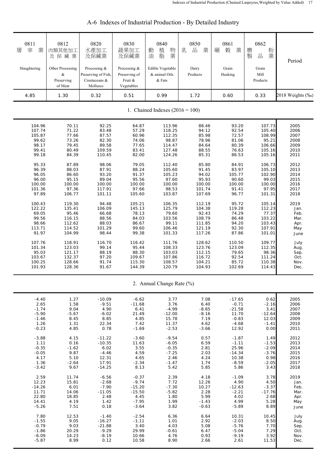| 0811<br>業<br>宰<br>屠<br>Slaughtering<br>4.85 | 0812<br>肉類其他加工<br>及保藏業<br>Other Processing<br>&<br>Preserving<br>of Meat<br>1.30 | 0820<br>水產加工<br>及保藏業<br>Processing &<br>Preserving of Fish,<br>Crustaceans &<br>Molluscs<br>0.32 | 0830<br>蔬果加工<br>及保藏業<br>Processing &<br>Preserving of<br>Fruit &<br>Vegetables<br>0.51 | 0840<br>植<br>物<br>動<br>業<br>脂<br>油<br>Edible Vegetable<br>& animal Oils<br>& Fats<br>0.99 | 0850<br>乳<br>品<br>業<br>Dairy<br>Products<br>1.72 | 0861<br>榖<br>業<br>碾<br>Grain<br>Husking<br>0.60 | 0862<br>粉<br>磨<br>製<br>業<br>品<br>Grain<br>Mill<br>Products<br>0.33 | Period<br>2018 Weights (‰) |
|---------------------------------------------|----------------------------------------------------------------------------------|--------------------------------------------------------------------------------------------------|----------------------------------------------------------------------------------------|-------------------------------------------------------------------------------------------|--------------------------------------------------|-------------------------------------------------|--------------------------------------------------------------------|----------------------------|
|                                             |                                                                                  |                                                                                                  |                                                                                        | 1. Chained Indexes $(2016 = 100)$                                                         |                                                  |                                                 |                                                                    |                            |
|                                             |                                                                                  |                                                                                                  |                                                                                        |                                                                                           |                                                  |                                                 |                                                                    |                            |
| 104.96                                      | 70.11                                                                            | 92.25                                                                                            | 64.87                                                                                  | 113.96                                                                                    | 88.46                                            | 93.20                                           | 107.73                                                             | 2005                       |
| 107.74                                      | 71.22                                                                            | 83.48                                                                                            | 57.29                                                                                  | 118.25                                                                                    | 94.12                                            | 92.54                                           | 105.40                                                             | 2006                       |
| 105.87                                      | 77.66                                                                            | 87.57                                                                                            | 60.96                                                                                  | 112.35                                                                                    | 85.98                                            | 72.57                                           | 108.99                                                             | 2007                       |
| 99.62                                       | 73.26                                                                            | 82.30                                                                                            | 74.06                                                                                  | 98.87                                                                                     | 78.96                                            | 81.06                                           | 95.21                                                              | 2008                       |
| 98.17                                       | 79.45                                                                            | 89.58                                                                                            | 77.65                                                                                  | 114.47                                                                                    | 84.64                                            | 80.39                                           | 106.66                                                             | 2009                       |
| 99.41                                       | 80.49                                                                            | 109.59                                                                                           | 83.41                                                                                  | 127.48                                                                                    | 88.55                                            | 76.63                                           | 105.16                                                             | 2010                       |
| 99.18                                       | 84.39                                                                            | 110.45                                                                                           | 82.00                                                                                  | 124.26                                                                                    | 85.31                                            | 86.53                                           | 105.16                                                             | 2011                       |
| 95.33                                       | 87.89                                                                            | 98.06                                                                                            | 79.05                                                                                  | 112.40                                                                                    | 85.80                                            | 84.91                                           | 106.73                                                             | 2012                       |
| 96.39                                       | 88.03                                                                            | 87.91                                                                                            | 88.24                                                                                  | 105.60                                                                                    | 91.45                                            | 83.97                                           | 105.10                                                             | 2013                       |
| 96.05                                       | 86.60                                                                            | 93.20                                                                                            | 91.37                                                                                  | 105.23                                                                                    | 94.02                                            | 105.77                                          | 102.90                                                             | 2014                       |
| 96.00                                       | 95.15                                                                            | 89.04                                                                                            | 95.56                                                                                  | 97.60                                                                                     | 95.93                                            | 90.60                                           | 99.03                                                              | 2015                       |
| 100.00                                      | 100.00                                                                           | 100.00                                                                                           | 100.00                                                                                 | 100.00                                                                                    | 100.00                                           | 100.00                                          | 100.00                                                             | 2016                       |
| 101.36                                      | 97.36                                                                            | 117.91                                                                                           | 97.66                                                                                  | 98.53                                                                                     | 101.74                                           | 91.41                                           | 97.95                                                              | 2017                       |
| 97.89                                       | 106.77                                                                           | 101.11                                                                                           | 105.60                                                                                 | 103.87                                                                                    | 107.69                                           | 96.77                                           | 101.31                                                             | 2018                       |
| 100.43                                      | 119.30                                                                           | 94.48                                                                                            | 105.21                                                                                 | 106.35                                                                                    | 112.19                                           | 95.72                                           | 105.14                                                             | 2019                       |
| 122.22                                      | 135.41                                                                           | 106.09                                                                                           | 145.13                                                                                 | 125.79                                                                                    | 104.38                                           | 119.28                                          | 112.23                                                             | Jan.                       |
| 69.05                                       | 95.46                                                                            | 66.68                                                                                            | 78.13                                                                                  | 79.60                                                                                     | 92.43                                            | 74.29                                           | 77.37                                                              | Feb.                       |
| 99.56                                       | 116.15                                                                           | 88.56                                                                                            | 84.03                                                                                  | 103.56                                                                                    | 108.79                                           | 86.48                                           | 103.22                                                             | Mar.                       |
| 98.66                                       | 112.62                                                                           | 88.03                                                                                            | 86.67                                                                                  | 99.11                                                                                     | 111.85                                           | 94.20                                           | 103.43                                                             | Apr.                       |
| 113.71                                      | 114.52                                                                           | 101.29                                                                                           | 99.60                                                                                  | 106.46                                                                                    | 121.19                                           | 92.30                                           | 107.91                                                             | May                        |
| 91.97                                       | 104.99                                                                           | 98.44                                                                                            | 99.38                                                                                  | 101.33                                                                                    | 117.26                                           | 87.86                                           | 101.01                                                             | June                       |
| 107.76                                      | 118.91                                                                           | 116.70                                                                                           | 116.42                                                                                 | 111.76                                                                                    | 128.62                                           | 110.50                                          | 109.77                                                             | July                       |
| 101.34                                      | 123.03                                                                           | 99.14                                                                                            | 95.44                                                                                  | 108.33                                                                                    | 123.76                                           | 123.09                                          | 112.35                                                             | Aug.                       |
| 95.03                                       | 121.17                                                                           | 88.19                                                                                            | 88.30                                                                                  | 103.03                                                                                    | 112.15                                           | 79.65                                           | 98.36                                                              | Sep.                       |
| 103.67                                      | 132.37                                                                           | 97.20                                                                                            | 109.67                                                                                 | 107.86                                                                                    | 116.72                                           | 92.54                                           | 111.24                                                             | Oct.                       |
| 100.25                                      | 128.66                                                                           | 91.74                                                                                            | 115.30                                                                                 | 108.57                                                                                    | 104.21                                           | 85.72                                           | 110.38                                                             | Nov.                       |
| 101.93                                      | 128.36                                                                           | 91.67                                                                                            | 144.39                                                                                 | 120.79                                                                                    | 104.93                                           | 102.69                                          | 114.43                                                             | Dec.                       |
|                                             |                                                                                  |                                                                                                  |                                                                                        | 2. Annual Change Rate (%)                                                                 |                                                  |                                                 |                                                                    |                            |
| $-4.40$                                     | 1.27                                                                             | $-10.09$                                                                                         | $-6.62$                                                                                | 3.77                                                                                      | 7.08                                             | $-17.65$                                        | 0.62                                                               | 2005                       |
| 2.65                                        | 1.58                                                                             | $-9.51$                                                                                          | $-11.68$                                                                               | 3.76                                                                                      | 6.40                                             | $-0.71$                                         | $-2.16$                                                            | 2006                       |
| $-1.74$                                     | 9.04                                                                             | 4.90                                                                                             | 6.41                                                                                   | $-4.99$                                                                                   | $-8.65$                                          | $-21.58$                                        | 3.41                                                               | 2007                       |
| $-5.90$                                     | $-5.67$                                                                          | $-6.02$                                                                                          | 21.49                                                                                  | $-12.00$                                                                                  | $-8.16$                                          | 11.70                                           | $-12.64$                                                           | 2008                       |
| $-1.46$                                     | 8.45                                                                             | 8.85                                                                                             | 4.85                                                                                   | 15.78                                                                                     | 7.19                                             | $-0.83$                                         | 12.03                                                              | 2009                       |
| 1.26                                        | 1.31                                                                             | 22.34                                                                                            | 7.42                                                                                   | 11.37                                                                                     | 4.62                                             | $-4.68$                                         | $-1.41$                                                            | 2010                       |
| $-0.23$                                     | 4.85                                                                             | 0.78                                                                                             | $-1.69$                                                                                | $-2.53$                                                                                   | $-3.66$                                          | 12.92                                           | 0.00                                                               | 2011                       |
| $-3.88$                                     | 4.15                                                                             | $-11.22$                                                                                         | $-3.60$                                                                                | $-9.54$                                                                                   | 0.57                                             | $-1.87$                                         | 1.49                                                               | 2012                       |
| 1.11                                        | 0.16                                                                             | $-10.35$                                                                                         | 11.63                                                                                  | $-6.05$                                                                                   | 6.59                                             | $-1.11$                                         | $-1.53$                                                            | 2013                       |
| $-0.35$                                     | $-1.62$                                                                          | 6.02                                                                                             | 3.55                                                                                   | $-0.35$                                                                                   | 2.81                                             | 25.96                                           | $-2.09$                                                            | 2014                       |
| $-0.05$                                     | 9.87                                                                             | $-4.46$                                                                                          | 4.59                                                                                   | $-7.25$                                                                                   | 2.03                                             | $-14.34$                                        | $-3.76$                                                            | 2015                       |
| 4.17                                        | 5.10                                                                             | 12.31                                                                                            | 4.65                                                                                   | 2.46                                                                                      | 4.24                                             | 10.38                                           | 0.98                                                               | 2016                       |
| 1.36                                        | $-2.64$                                                                          | 17.91                                                                                            | $-2.34$                                                                                | $-1.47$                                                                                   | 1.74                                             | $-8.59$                                         | $-2.05$                                                            | 2017                       |
| $-3.42$                                     | 9.67                                                                             | $-14.25$                                                                                         | 8.13                                                                                   | 5.42                                                                                      | 5.85                                             | 5.86                                            | 3.43                                                               | 2018                       |
| 2.59                                        | 11.74                                                                            | $-6.56$                                                                                          | $-0.37$                                                                                | 2.39                                                                                      | 4.18                                             | $-1.09$                                         | 3.78                                                               | 2019                       |
| 12.23                                       | 15.81                                                                            | $-2.68$                                                                                          | $-9.74$                                                                                | 7.72                                                                                      | 12.26                                            | 4.90                                            | 4.50                                                               | Jan.                       |
| $-14.26$                                    | 6.01                                                                             | $-7.90$                                                                                          | $-15.20$                                                                               | $-7.30$                                                                                   | 10.27                                            | $-12.63$                                        | $-3.37$                                                            | Feb.                       |
| 11.71                                       | 14.06                                                                            | $-11.05$                                                                                         | $-15.50$                                                                               | $-5.82$                                                                                   | 2.28                                             | $-2.21$                                         | $-17.76$                                                           | Mar.                       |
| 22.80                                       | 18.85                                                                            | 2.48                                                                                             | 4.45                                                                                   | 1.80                                                                                      | 5.99                                             | 4.02                                            | 2.68                                                               | Apr.                       |
| 14.41                                       | 4.19                                                                             | 1.42                                                                                             | $-7.95$                                                                                | 1.99                                                                                      | $-1.43$                                          | 4.99                                            | 5.28                                                               | May                        |
| $-5.26$                                     | 7.51                                                                             | 0.18                                                                                             | $-3.64$                                                                                | 3.82                                                                                      | $-0.63$                                          | $-5.89$                                         | 8.89                                                               | June                       |
| 7.80                                        | 12.53                                                                            | $-1.40$                                                                                          | $-2.54$                                                                                | 6.36                                                                                      | 6.64                                             | 10.31                                           | 10.45                                                              | July                       |
| $-1.55$                                     | 9.05                                                                             | $-16.27$                                                                                         | $-1.11$                                                                                | 1.01                                                                                      | 2.92                                             | $-2.03$                                         | 8.50                                                               | Aug.                       |
| $-0.79$                                     | 9.03                                                                             | $-21.88$                                                                                         | 3.40                                                                                   | 4.03                                                                                      | 5.08                                             | $-5.76$                                         | 7.70                                                               | Sep.                       |
| $-1.86$                                     | 20.29                                                                            | $-9.29$                                                                                          | 29.99                                                                                  | $-0.61$                                                                                   | 6.47                                             | $-5.04$                                         | 7.29                                                               | Oct.                       |
| $-6.09$                                     | 14.23                                                                            | $-8.19$                                                                                          | 10.66                                                                                  | 4.76                                                                                      | 0.93                                             | $-9.19$                                         | 3.92                                                               | Nov.                       |
| $-5.87$                                     | 8.99                                                                             | 0.12                                                                                             | 10.58                                                                                  | 8.90                                                                                      | 2.66                                             | 2.61                                            | 11.53                                                              | Dec.                       |

## A-6 Indexes of Industrial Production - By Detailed Industry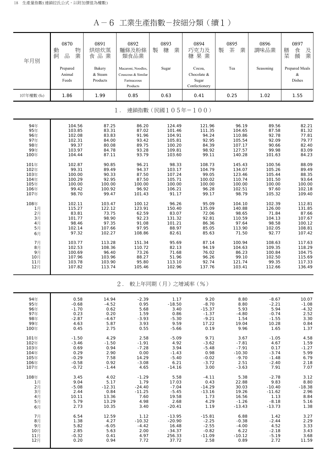A-6 工業生產指數-按細分類(續1)

| 年月別               | 0870<br>動<br>物<br>品<br>業<br>飼 | 0891<br>烘焙炊蒸<br>食品業           | 0892<br>麵條及粉條<br>類食品業                                               | 0893<br>糖<br>業<br>製     | 0894<br>巧克力及<br>糖果業                             | 0895<br>茶<br>業<br>製      | 0896<br>調味品業               | 0897<br>膳<br>及<br>食<br>業<br>菜<br>餚 |
|-------------------|-------------------------------|-------------------------------|---------------------------------------------------------------------|-------------------------|-------------------------------------------------|--------------------------|----------------------------|------------------------------------|
|                   | Prepared<br>Animal<br>Feeds   | Bakery<br>& Steam<br>Products | Macaroni, Noodles,<br>Couscous & Similar<br>Farinaceous<br>Products | Sugar                   | Cocoa,<br>Chocolate &<br>Sugar<br>Confectionery | Tea                      | Seasoning                  | Prepared Meals<br>$\&$<br>Dishes   |
| 107年權數 (%)        | 1.86                          | 1.99                          | 0.85                                                                | 0.63                    | 0.41                                            | 0.25                     | 1.02                       | 1.55                               |
|                   |                               |                               | $1$ .                                                               | 連鎖指數(民國105年=100)        |                                                 |                          |                            |                                    |
| 94年               | 104.56                        | 87.25                         | 86.20                                                               | 124.49                  | 121.96                                          | 96.19                    | 89.56                      | 82.21                              |
| 95年               | 103.85                        | 83.31                         | 87.02                                                               | 101.46                  | 111.35                                          | 104.65                   | 87.58                      | 81.32                              |
| 96年               | 102.08                        | 83.83                         | 91.96                                                               | 104.91                  | 94.24                                           | 110.86                   | 92.78                      | 77.81                              |
| 97年               | 102.31                        | 84.00                         | 93.42                                                               | 105.81                  | 92.95                                           | 105.54                   | 92.09                      | 79.77                              |
| 98年               | 99.37                         | 80.08                         | 89.75                                                               | 100.20                  | 84.39                                           | 107.17                   | 90.66                      | 82.40                              |
| 99年               | 103.97                        | 84.78                         | 93.28                                                               | 109.81                  | 98.92                                           | 127.57                   | 99.98                      | 83.09                              |
| 100年              | 104.44                        | 87.11                         | 93.79                                                               | 103.60                  | 99.11                                           | 140.28                   | 101.63                     | 84.23                              |
| 101年              | 102.87                        | 90.85                         | 96.21                                                               | 98.33                   | 108.73                                          | 145.43                   | 100.56                     | 88.09                              |
| 102年              | 99.31                         | 89.49                         | 94.37                                                               | 103.17                  | 104.79                                          | 134.07                   | 105.26                     | 89.49                              |
| 103年              | 100.00                        | 90.33                         | 87.50                                                               | 107.24                  | 99.05                                           | 123.46                   | 105.44                     | 88.35                              |
| 104年              | 100.29                        | 92.95                         | 87.50                                                               | 105.71                  | 100.02                                          | 110.74                   | 101.50                     | 93.64                              |
| 105年              | 100.00                        | 100.00                        | 100.00                                                              | 100.00                  | 100.00                                          | 100.00                   | 100.00                     | 100.00                             |
| 106年              | 99.42                         | 100.92                        | 96.92                                                               | 106.21                  | 96.28                                           | 102.51                   | 97.60                      | 102.18                             |
| 107年              | 98.70                         | 99.47                         | 101.43                                                              | 91.17                   | 99.17                                           | 98.79                    | 105.32                     | 109.40                             |
| 108年              | 102.11                        | 103.47                        | 100.12                                                              | 96.26                   | 95.09                                           | 104.10                   | 102.39                     | 112.81                             |
| 1月                | 115.27                        | 122.12                        | 123.91                                                              | 150.40                  | 135.09                                          | 140.88                   | 126.00                     | 131.85                             |
| 2月                | 83.81                         | 73.75                         | 62.59                                                               | 83.07                   | 72.06                                           | 98.65                    | 71.84                      | 87.66                              |
| 3月                | 101.77                        | 98.90                         | 92.23                                                               | 131.32                  | 92.81                                           | 110.59                   | 104.13                     | 107.67                             |
| 4月                | 98.46                         | 97.35                         | 91.08                                                               | 101.21                  | 86.36                                           | 97.64                    | 98.58                      | 100.12                             |
| 5月                | 102.14                        | 107.66                        | 97.95                                                               | 88.97                   | 85.05                                           | 113.90                   | 102.05                     | 108.81                             |
| 6月                | 97.32                         | 102.27                        | 108.86                                                              | 82.61                   | 85.63                                           | 71.50                    | 92.77                      | 107.42                             |
| 7月                | 103.77                        | 113.28                        | 151.34                                                              | 95.69                   | 87.14                                           | 100.94                   | 108.63                     | 117.63                             |
| 8月<br>9月          | 102.53<br>100.69              | 108.36<br>96.40               | 110.72<br>73.26<br>88.27                                            | 82.13<br>71.68<br>51.96 | 94.19<br>76.02<br>96.26                         | 104.63<br>86.23<br>99.10 | 109.35<br>100.84<br>102.50 | 118.29<br>104.75<br>115.69         |
| 10月<br>11月<br>12月 | 107.96<br>103.78<br>107.82    | 103.96<br>103.90<br>113.74    | 95.80<br>105.46                                                     | 113.10<br>102.96        | 92.74<br>137.76                                 | 121.74<br>103.41         | 99.35<br>112.66            | 117.33<br>136.49                   |
|                   |                               |                               | 2.                                                                  | 較上年同期(月)之增減率(%)         |                                                 |                          |                            |                                    |
| 94年               | 0.58                          | 14.94                         | $-2.39$                                                             | 1.17                    | 9.20                                            | 8.80                     | $-8.67$                    | 10.07                              |
| 95年               | $-0.68$                       | $-4.52$                       | 0.95                                                                | $-18.50$                | $-8.70$                                         | 8.80                     | $-2.21$                    | $-1.08$                            |
| 96年               | $-1.70$                       | 0.62                          | 5.68                                                                | 3.40                    | $-15.37$                                        | 5.93                     | 5.94                       | $-4.32$                            |
| 97年               | 0.23                          | 0.20                          | 1.59                                                                | 0.86                    | $-1.37$                                         | $-4.80$                  | $-0.74$                    | 2.52                               |
| 98年               | $-2.87$                       | $-4.67$                       | $-3.93$                                                             | $-5.30$                 | $-9.21$                                         | 1.54                     | $-1.55$                    | 3.30                               |
| 99年               | 4.63                          | 5.87                          | 3.93                                                                | 9.59                    | 17.22                                           | 19.04                    | 10.28                      | 0.84                               |
| 100年              | 0.45                          | 2.75                          | 0.55                                                                | $-5.66$                 | 0.19                                            | 9.96                     | 1.65                       | 1.37                               |
| 101年              | $-1.50$                       | 4.29                          | 2.58                                                                | $-5.09$                 | 9.71                                            | 3.67                     | $-1.05$                    | 4.58                               |
| 102年              | $-3.46$                       | $-1.50$                       | $-1.91$                                                             | 4.92                    | $-3.62$                                         | $-7.81$                  | 4.67                       | 1.59                               |
| 103年              | 0.69                          | 0.94                          | $-7.28$                                                             | 3.94                    | $-5.48$                                         | $-7.91$                  | 0.17                       | $-1.27$                            |
| 104年              | 0.29                          | 2.90                          | 0.00                                                                | $-1.43$                 | 0.98                                            | $-10.30$                 | $-3.74$                    | 5.99                               |
| 105年              | $-0.29$                       | 7.58                          | 14.29                                                               | $-5.40$                 | $-0.02$                                         | $-9.70$                  | $-1.48$                    | 6.79                               |
| 106年              | $-0.58$                       | 0.92                          | $-3.08$                                                             | 6.21                    | $-3.72$                                         | 2.51                     | $-2.40$                    | 2.18                               |
| 107年              | $-0.72$                       | $-1.44$                       | 4.65                                                                | $-14.16$                | 3.00                                            | $-3.63$                  | 7.91                       | 7.07                               |
| 108年              | 3.45                          | 4.02                          | $-1.29$                                                             | 5.58                    | $-4.11$                                         | 5.38                     | $-2.78$                    | 3.12                               |
| 1月                | 9.04                          | 5.17                          | 1.79                                                                | 17.03                   | 0.43                                            | 22.88                    | 9.83                       | 8.80                               |
| 2月                | $-5.08$                       | $-12.31$                      | $-24.40$                                                            | $-7.04$                 | $-14.29$                                        | 30.03                    | $-10.40$                   | $-18.38$                           |
| 3月                | 2.44                          | 0.84                          | $-11.25$                                                            | $-5.45$                 | $-13.16$                                        | 19.26                    | $-11.62$                   | 2.96                               |
| 4月                | 10.11                         | 13.36                         | 7.60                                                                | 19.58                   | 1.73                                            | 16.56                    | 1.13                       | 8.84                               |
| 5月                | 5.79                          | 13.29                         | 4.98                                                                | 2.68                    | 4.29                                            | $-1.26$                  | $-8.18$                    | 5.16                               |
| 6月                | 2.73                          | 10.35                         | 3.40                                                                | $-20.41$                | 1.19                                            | $-13.43$                 | $-13.73$                   | 1.38                               |
| 7月                | 6.54                          | 12.59                         | 1.12                                                                | $-13.95$                | $-15.81$                                        | 6.88                     | 1.42                       | 3.27                               |
| 8月                | 1.38                          | 4.27                          | $-10.32$                                                            | $-20.90$                | $-2.25$                                         | $-0.38$                  | $-2.44$                    | 2.29                               |
| 9月                | 5.82                          | $-6.05$                       | $-4.42$                                                             | 16.48                   | $-2.55$                                         | $-4.00$                  | 4.52                       | 3.33                               |
| 10月               | 2.85                          | 5.63                          | 2.00                                                                | $-34.37$                | $-0.82$                                         | 6.22                     | $-2.18$                    | 3.43                               |
| 11月               | $-0.32$                       | 0.41                          | 4.97                                                                | 256.33                  | $-11.09$                                        | $-10.12$                 | $-5.19$                    | 3.68                               |
| 12月               | 0.20                          | 0.94                          | 7.72                                                                | 37.72                   | 2.58                                            | 0.89                     | 2.72                       | 11.59                              |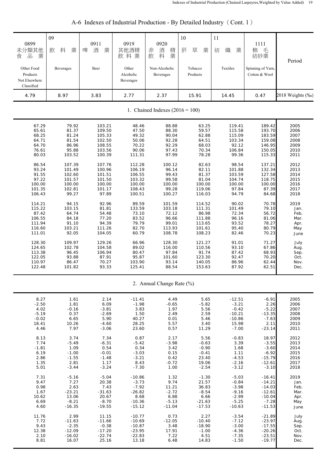| 0899<br>未分類其他<br>品<br>業<br>食<br>Other Food<br>Products<br>Not Elsewhere<br>Classified | 09<br>料<br>業<br>飲<br>Beverages | 0911<br>業<br>啤<br>酒<br>Beer | 0919<br>其他酒精<br>飲料業<br>Other<br>Alcoholic<br>Beverages | 0920<br>非<br>酒<br>精<br>業<br>料<br>飲<br>Non-Alcoholic<br>Beverages | 10<br>菸<br>草<br>業<br>Tobacco<br>Products | 11<br>織<br>業<br>紡<br>Textiles | 1111<br>毛<br>棉<br>紡紗業<br>Spinning of Yarn,<br>Cotton & Wool | Period           |
|---------------------------------------------------------------------------------------|--------------------------------|-----------------------------|--------------------------------------------------------|------------------------------------------------------------------|------------------------------------------|-------------------------------|-------------------------------------------------------------|------------------|
| 4.79                                                                                  | 8.97                           | 3.83                        | 2.77                                                   | 2.37                                                             | 15.91                                    | 14.45                         | 0.47                                                        | 2018 Weights (‰) |
|                                                                                       |                                |                             |                                                        | 1. Chained Indexes $(2016 = 100)$                                |                                          |                               |                                                             |                  |
| 67.29                                                                                 | 79.92                          | 103.21                      | 48.46                                                  | 88.88                                                            | 63.25                                    | 119.41                        | 189.42                                                      | 2005             |
| 65.61                                                                                 | 81.37                          | 109.50                      | 47.50                                                  | 88.30                                                            | 59.57                                    | 115.58                        | 193.70                                                      | 2006             |
| 68.25                                                                                 | 81.24                          | 105.33                      | 49.32                                                  | 90.04                                                            | 62.88                                    | 115.09                        | 183.59                                                      | 2007             |
| 64.71                                                                                 | 81.54                          | 102.50                      | 50.06                                                  | 92.28                                                            | 64.51                                    | 103.34                        | 159.08                                                      | 2008             |
| 64.70                                                                                 | 86.96                          | 108.55                      | 70.22                                                  | 92.29                                                            | 68.03                                    | 92.12                         | 146.95                                                      | 2009             |
| 76.61                                                                                 | 95.88                          | 103.56                      | 90.06                                                  | 97.43                                                            | 70.34                                    | 106.84                        | 150.05                                                      | 2010             |
| 80.03                                                                                 | 103.52                         | 100.39                      | 111.31                                                 | 97.99                                                            | 78.28                                    | 99.36                         | 115.33                                                      | 2011             |
| 86.54                                                                                 | 107.39                         | 107.76                      | 112.28                                                 | 100.12                                                           | 82.63                                    | 98.54                         | 137.21                                                      | 2012             |
| 93.24                                                                                 | 101.49                         | 100.96                      | 106.19                                                 | 96.14                                                            | 82.11                                    | 101.88                        | 132.34                                                      | 2013             |
| 91.55                                                                                 | 102.60                         | 101.51                      | 106.55                                                 | 99.43                                                            | 81.37                                    | 103.59                        | 127.58                                                      | 2014             |
| 97.22                                                                                 | 101.57                         | 101.50                      | 103.32                                                 | 99.58                                                            | 81.04                                    | 104.74                        | 118.75                                                      | 2015             |
| 100.00                                                                                | 100.00                         | 100.00                      | 100.00                                                 | 100.00                                                           | 100.00                                   | 100.00                        | 100.00                                                      | 2016             |
| 101.35                                                                                | 102.81                         | 101.17                      | 108.43                                                 | 99.28                                                            | 119.06                                   | 97.84                         | 87.39                                                       | 2017             |
| 106.43                                                                                | 99.27                          | 97.89                       | 100.51                                                 | 100.27                                                           | 116.03                                   | 94.79                         | 84.68                                                       | 2018             |
| 114.21                                                                                | 94.15                          | 92.96                       | 89.59                                                  | 101.59                                                           | 114.52                                   | 90.02                         | 70.78                                                       | 2019             |
| 115.22                                                                                | 103.15                         | 81.81                       | 133.59                                                 | 103.18                                                           | 111.31                                   | 101.49                        | 79.10                                                       | Jan.             |
| 87.42                                                                                 | 64.74                          | 54.48                       | 73.10                                                  | 72.12                                                            | 86.98                                    | 72.34                         | 56.72                                                       | Feb.             |
| 106.55                                                                                | 84.18                          | 77.20                       | 83.52                                                  | 96.66                                                            | 111.88                                   | 96.16                         | 81.06                                                       | Mar.             |
| 111.94                                                                                | 91.10                          | 94.39                       | 79.79                                                  | 99.01                                                            | 113.65                                   | 93.52                         | 78.27                                                       | Apr.             |
| 116.60                                                                                | 103.21                         | 111.26                      | 82.70                                                  | 113.93                                                           | 101.61                                   | 95.40                         | 80.79                                                       | May              |
| 111.01                                                                                | 92.05                          | 104.05                      | 60.79                                                  | 108.78                                                           | 108.23                                   | 82.46                         | 70.23                                                       | June             |
| 128.30                                                                                | 109.97                         | 129.26                      | 66.96                                                  | 128.30                                                           | 121.27                                   | 91.01                         | 71.27                                                       | July             |
| 124.65                                                                                | 102.78                         | 104.58                      | 89.02                                                  | 116.00                                                           | 110.56                                   | 93.10                         | 67.86                                                       | Aug.             |
| 113.38                                                                                | 96.45                          | 106.94                      | 80.47                                                  | 97.84                                                            | 91.74                                    | 87.42                         | 68.93                                                       | Sep.             |
| 122.05                                                                                | 93.88                          | 87.91                       | 95.87                                                  | 101.60                                                           | 123.30                                   | 92.47                         | 70.20                                                       | Oct.             |
| 110.97                                                                                | 86.47                          | 70.27                       | 103.90                                                 | 93.14                                                            | 140.05                                   | 86.96                         | 62.44                                                       | Nov.             |
| 122.48                                                                                | 101.82                         | 93.33                       | 125.41                                                 | 88.54                                                            | 153.63                                   | 87.92                         | 62.51                                                       | Dec.             |
|                                                                                       |                                |                             |                                                        | 2. Annual Change Rate (%)                                        |                                          |                               |                                                             |                  |
| 8.27                                                                                  | 1.61                           | 2.14                        | $-11.41$                                               | 4.49                                                             | 5.65                                     | $-12.51$                      | $-6.91$                                                     | 2005             |
| $-2.50$                                                                               | 1.81                           | 6.09                        | $-1.98$                                                | $-0.65$                                                          | $-5.82$                                  | $-3.21$                       | 2.26                                                        | 2006             |
| 4.02                                                                                  | $-0.16$                        | $-3.81$                     | 3.83                                                   | 1.97                                                             | 5.56                                     | $-0.42$                       | $-5.22$                                                     | 2007             |
| $-5.19$                                                                               | 0.37                           | $-2.69$                     | 1.50                                                   | 2.49                                                             | 2.59                                     | $-10.21$                      | $-13.35$                                                    | 2008             |
| $-0.02$                                                                               | 6.65                           | 5.90                        | 40.27                                                  | 0.01                                                             | 5.46                                     | $-10.86$                      | $-7.63$                                                     | 2009             |
| 18.41                                                                                 | 10.26                          | $-4.60$                     | 28.25                                                  | 5.57                                                             | 3.40                                     | 15.98                         | 2.11                                                        | 2010             |
| 4.46                                                                                  | 7.97                           | $-3.06$                     | 23.60                                                  | 0.57                                                             | 11.29                                    | $-7.00$                       | $-23.14$                                                    | 2011             |
| 8.13                                                                                  | 3.74                           | 7.34                        | 0.87                                                   | 2.17                                                             | 5.56                                     | $-0.83$                       | 18.97                                                       | 2012             |
| 7.74                                                                                  | $-5.49$                        | $-6.31$                     | $-5.42$                                                | $-3.98$                                                          | $-0.63$                                  | 3.39                          | $-3.55$                                                     | 2013             |
| $-1.81$                                                                               | 1.09                           | 0.54                        | 0.34                                                   | 3.42                                                             | $-0.90$                                  | 1.68                          | $-3.60$                                                     | 2014             |
| 6.19                                                                                  | $-1.00$                        | $-0.01$                     | $-3.03$                                                | 0.15                                                             | $-0.41$                                  | 1.11                          | $-6.92$                                                     | 2015             |
| 2.86                                                                                  | $-1.55$                        | $-1.48$                     | $-3.21$                                                | 0.42                                                             | 23.40                                    | $-4.53$                       | $-15.79$                                                    | 2016             |
| 1.35                                                                                  | 2.81                           | 1.17                        | 8.43                                                   | $-0.72$                                                          | 19.06                                    | $-2.16$                       | $-12.61$                                                    | 2017             |
| 5.01                                                                                  | $-3.44$                        | $-3.24$                     | $-7.30$                                                | 1.00                                                             | $-2.54$                                  | $-3.12$                       | $-3.10$                                                     | 2018             |
| 7.31                                                                                  | $-5.16$                        | $-5.04$                     | $-10.86$                                               | 1.32                                                             | $-1.30$                                  | $-5.03$                       | $-16.41$                                                    | 2019             |
| 9.47                                                                                  | 7.27                           | 20.38                       | $-3.73$                                                | 9.74                                                             | 21.57                                    | $-0.84$                       | $-14.21$                                                    | Jan.             |
| 0.98                                                                                  | 2.63                           | 7.43                        | $-7.92$                                                | 11.21                                                            | 36.83                                    | $-3.98$                       | $-14.03$                                                    | Feb.             |
| 1.67                                                                                  | $-23.21$                       | $-31.63$                    | $-26.82$                                               | $-2.72$                                                          | $-8.54$                                  | $-9.16$                       | $-12.61$                                                    | Mar.             |
| 10.62                                                                                 | 13.06                          | 20.67                       | 8.68                                                   | 6.88                                                             | 6.66                                     | $-2.99$                       | $-10.04$                                                    | Apr.             |
| 6.69                                                                                  | $-8.21$                        | $-8.70$                     | $-10.36$                                               | $-5.13$                                                          | $-21.63$                                 | $-5.25$                       | $-7.28$                                                     | May              |
| 4.60                                                                                  | $-16.35$                       | $-19.55$                    | $-15.12$                                               | $-11.04$                                                         | $-17.53$                                 | $-10.63$                      | $-11.53$                                                    | June             |
| 11.76                                                                                 | 2.99                           | 11.15                       | $-10.77$                                               | 0.73                                                             | 2.27                                     | $-3.54$                       | $-21.89$                                                    | July             |
| 7.72                                                                                  | $-11.63$                       | $-11.66$                    | $-10.69$                                               | $-12.05$                                                         | $-10.40$                                 | $-7.12$                       | $-23.97$                                                    | Aug.             |
| 9.43                                                                                  | $-2.35$                        | $-0.38$                     | $-10.87$                                               | 3.48                                                             | $-18.90$                                 | $-3.00$                       | $-17.55$                                                    | Sep.             |
| 12.38                                                                                 | $-12.09$                       | $-17.20$                    | $-23.95$                                               | 17.91                                                            | $-1.00$                                  | $-4.36$                       | $-20.26$                                                    | Oct.             |
| 2.10                                                                                  | $-16.02$                       | $-22.74$                    | $-22.83$                                               | 7.22                                                             | 4.51                                     | $-7.35$                       | $-23.51$                                                    | Nov.             |
| 8.81                                                                                  | 16.07                          | 25.16                       | 13.18                                                  | 6.48                                                             | 14.83                                    | $-1.50$                       | $-19.77$                                                    | Dec.             |

## A-6 Indexes of Industrial Production - By Detailed Industry (Cont. 1)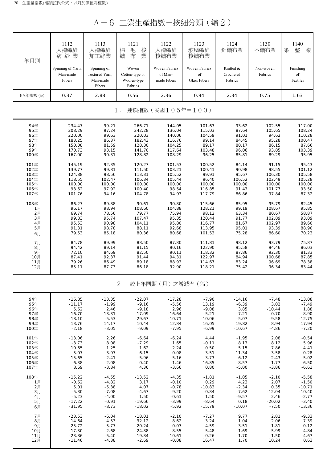A-6 工業生產指數-按細分類(續2)

| 年月別                                                  | 1112<br>人造纖維<br>紡紗業<br>Spinning of Yarn,<br>Man-made<br>Fibers    | 1113<br>人造纖維<br>加工絲業<br>Spinning of<br>Textured Yarn,<br>Man-made<br>Fibers | 1121<br>毛<br>梭業<br>棉<br>織<br>布<br>Woven<br>Cotton-type or<br>Woolen-type<br>Fabrics | 1122<br>人造纖維<br>梭織布業<br>Woven Fabrics<br>of Man-<br>made Fibers  | 1123<br>玻璃纖維<br>梭織布業<br>Woven Fabrics<br>$_{\mathrm{of}}$<br><b>Glass Fibers</b> | 1124<br>針織布業<br>Knitted &<br>Crocheted<br>Fabrics             | 1130<br>不織布業<br>Non-woven<br>Fabrics                            | 1140<br>整<br>染<br>業<br>Finishing<br>$_{\mathrm{of}}$<br>Textiles |
|------------------------------------------------------|-------------------------------------------------------------------|-----------------------------------------------------------------------------|-------------------------------------------------------------------------------------|------------------------------------------------------------------|----------------------------------------------------------------------------------|---------------------------------------------------------------|-----------------------------------------------------------------|------------------------------------------------------------------|
| 107年權數 (%)                                           | 0.37                                                              | 2.88                                                                        | 0.56                                                                                | 2.36                                                             | 0.94                                                                             | 2.34                                                          | 0.75                                                            | 1.63                                                             |
|                                                      |                                                                   |                                                                             | $1$ .                                                                               | 連鎖指數(民國105年=100)                                                 |                                                                                  |                                                               |                                                                 |                                                                  |
|                                                      |                                                                   |                                                                             |                                                                                     |                                                                  |                                                                                  |                                                               |                                                                 |                                                                  |
| 94年<br>95年<br>96年<br>97年<br>98年                      | 234.47<br>208.29<br>220.00<br>183.25<br>150.08                    | 99.21<br>97.24<br>99.63<br>86.37<br>81.59                                   | 266.71<br>242.28<br>220.03<br>182.43<br>128.30                                      | 144.05<br>136.04<br>140.06<br>116.76<br>104.25                   | 101.63<br>115.03<br>104.59<br>99.14<br>89.17                                     | 93.62<br>87.64<br>91.01<br>84.45<br>80.17                     | 102.55<br>105.65<br>94.62<br>95.28<br>86.15                     | 117.00<br>108.24<br>110.28<br>100.47<br>87.66                    |
| 99年                                                  | 170.73                                                            | 93.15                                                                       | 141.70                                                                              | 117.64                                                           | 103.48                                                                           | 96.06                                                         | 93.85                                                           | 103.39                                                           |
| 100年                                                 | 167.00                                                            | 90.31                                                                       | 128.82                                                                              | 108.29                                                           | 96.25                                                                            | 85.81                                                         | 89.29                                                           | 95.95                                                            |
| 101年<br>102年<br>103年<br>104年<br>105年<br>106年<br>107年 | 145.19<br>139.77<br>124.88<br>118.55<br>100.00<br>93.62<br>101.76 | 92.35<br>99.81<br>98.56<br>102.47<br>100.00<br>97.92<br>94.16               | 120.27<br>111.50<br>113.31<br>106.34<br>100.00<br>100.40<br>104.78                  | 101.53<br>103.21<br>105.52<br>105.44<br>100.00<br>98.54<br>94.93 | 100.52<br>100.41<br>99.91<br>96.40<br>100.00<br>116.85<br>117.79                 | 84.14<br>90.98<br>95.67<br>106.52<br>100.00<br>91.43<br>86.86 | 91.15<br>98.55<br>106.30<br>102.49<br>100.00<br>101.77<br>97.84 | 95.43<br>101.12<br>105.58<br>105.28<br>100.00<br>93.50<br>87.32  |
| 108年<br>1月<br>2月<br>3月<br>4月<br>5月<br>6月             | 86.27<br>96.17<br>69.74<br>99.83<br>95.53<br>91.31<br>79.53       | 89.88<br>98.94<br>78.56<br>95.74<br>90.98<br>98.78<br>85.18                 | 90.61<br>108.60<br>79.77<br>107.47<br>104.11<br>88.11<br>80.36                      | 90.80<br>104.88<br>75.94<br>95.35<br>95.80<br>92.68<br>80.68     | 115.66<br>128.21<br>98.12<br>120.44<br>116.77<br>113.95<br>101.53                | 85.95<br>99.19<br>63.34<br>91.77<br>81.67<br>95.01<br>75.28   | 95.79<br>108.67<br>80.67<br>102.89<br>102.97<br>93.39<br>86.60  | 82.45<br>95.85<br>58.87<br>93.09<br>89.60<br>88.90<br>70.23      |
| 7月<br>8月<br>9月<br>10月<br>11月<br>12月                  | 84.78<br>94.42<br>72.10<br>87.41<br>79.26<br>85.11                | 89.99<br>89.14<br>84.69<br>92.37<br>86.49<br>87.73                          | 88.50<br>81.15<br>82.50<br>91.44<br>89.18<br>86.18                                  | 87.80<br>90.16<br>90.11<br>94.31<br>88.93<br>92.90               | 111.81<br>122.90<br>118.32<br>122.97<br>114.67<br>118.21                         | 98.12<br>95.58<br>87.86<br>84.94<br>83.24<br>75.42            | 93.79<br>94.46<br>92.30<br>100.68<br>96.69<br>96.34             | 75.87<br>86.03<br>81.33<br>87.85<br>78.38<br>83.44               |

#### 2. 較上年同期(月)之增減率(%)

| 94年  | $-16.85$ | $-13.35$ | $-22.07$ | $-17.28$ | $-7.90$  | $-14.16$ | $-7.48$  | $-13.08$ |
|------|----------|----------|----------|----------|----------|----------|----------|----------|
| 95年  | $-11.17$ | $-1.99$  | $-9.16$  | $-5.56$  | 13.19    | $-6.39$  | 3.02     | $-7.49$  |
| 96年  | 5.62     | 2.46     | $-9.18$  | 2.96     | $-9.08$  | 3.85     | $-10.44$ | 1.88     |
| 97年  | $-16.70$ | $-13.31$ | $-17.09$ | $-16.64$ | $-5.21$  | $-7.21$  | 0.70     | $-8.90$  |
| 98年  | $-18.10$ | $-5.53$  | $-29.67$ | $-10.71$ | $-10.06$ | $-5.07$  | $-9.58$  | $-12.75$ |
| 99年  | 13.76    | 14.17    | 10.44    | 12.84    | 16.05    | 19.82    | 8.94     | 17.94    |
| 100年 | $-2.18$  | $-3.05$  | $-9.09$  | $-7.95$  | $-6.99$  | $-10.67$ | $-4.86$  | $-7.20$  |
| 101年 | $-13.06$ | 2.26     | $-6.64$  | $-6.24$  | 4.44     | $-1.95$  | 2.08     | $-0.54$  |
| 102年 | $-3.73$  | 8.08     | $-7.29$  | 1.65     | $-0.11$  | 8.13     | 8.12     | 5.96     |
| 103年 | $-10.65$ | $-1.25$  | 1.62     | 2.24     | $-0.50$  | 5.15     | 7.86     | 4.41     |
| 104年 | $-5.07$  | 3.97     | $-6.15$  | $-0.08$  | $-3.51$  | 11.34    | $-3.58$  | $-0.28$  |
| 105年 | $-15.65$ | $-2.41$  | $-5.96$  | $-5.16$  | 3.73     | $-6.12$  | $-2.43$  | $-5.02$  |
| 106年 | $-6.38$  | $-2.08$  | 0.40     | $-1.46$  | 16.85    | $-8.57$  | 1.77     | $-6.50$  |
| 107年 | 8.69     | $-3.84$  | 4.36     | $-3.66$  | 0.80     | $-5.00$  | $-3.86$  | $-6.61$  |
| 108年 | $-15.22$ | $-4.55$  | $-13.52$ | $-4.35$  | $-1.81$  | $-1.05$  | $-2.10$  | $-5.58$  |
| 1月   | $-0.62$  | $-4.82$  | 3.17     | $-0.10$  | 0.29     | 4.23     | 2.07     | $-1.50$  |
| 2月   | 5.01     | $-5.38$  | 4.07     | $-0.78$  | $-10.83$ | $-2.34$  | 0.35     | $-10.71$ |
| 3月   | $-5.30$  | $-7.08$  | $-4.67$  | $-9.20$  | $-0.84$  | $-7.62$  | $-12.04$ | $-10.40$ |
| 4月   | $-5.23$  | $-4.00$  | 1.50     | $-0.61$  | 1.50     | $-9.57$  | 2.46     | $-2.77$  |
| 5月   | $-17.22$ | $-0.91$  | $-19.66$ | $-3.99$  | $-8.64$  | 0.18     | $-20.02$ | $-3.40$  |
| 6月   | $-31.95$ | $-8.73$  | $-18.02$ | $-5.92$  | $-15.79$ | $-10.07$ | $-7.50$  | $-13.36$ |
| 7月   | $-23.53$ | $-6.04$  | $-18.01$ | $-2.10$  | $-7.27$  | 9.77     | 2.81     | $-9.33$  |
| 8月   | $-14.64$ | $-4.53$  | $-32.12$ | $-8.62$  | $-3.24$  | 1.04     | $-2.06$  | $-7.39$  |
| 9月   | $-25.72$ | $-5.77$  | $-20.24$ | 0.07     | 4.59     | 3.51     | $-1.81$  | $-0.12$  |
| 10月  | $-17.30$ | 2.68     | $-24.88$ | $-8.55$  | 5.48     | $-1.69$  | 5.99     | $-4.84$  |
| 11月  | $-23.86$ | $-5.40$  | $-19.84$ | $-10.61$ | $-0.26$  | $-1.70$  | 1.50     | $-4.67$  |
| 12月  | $-11.46$ | $-4.38$  | $-2.69$  | $-0.08$  | 16.47    | 1.70     | 10.24    | 0.63     |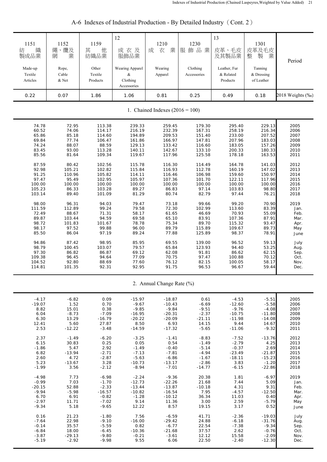| 1151<br>織<br>紡<br>製成品業<br>Made-up | 1152<br>繩、纜及<br>業<br>網<br>Rope, | 1159<br>其<br>他<br>紡織品業<br>Other | 12<br>成衣及<br>服飾品業<br>Wearing Apparel | 1210<br>業<br>成<br>衣<br>Wearing    | 1230<br>服飾品業<br>Clothing | 13<br>皮革、毛皮<br>及其製品業<br>Leather, Fur | 1301<br>皮革及毛皮<br>製<br>整<br>業<br>Tanning | Period           |
|-----------------------------------|---------------------------------|---------------------------------|--------------------------------------|-----------------------------------|--------------------------|--------------------------------------|-----------------------------------------|------------------|
| Textile<br>Articles               | Cable<br>& Net                  | Textile<br>Products             | &<br>Clothing<br>Accessories         | Apparel                           | Accessories              | & Related<br>Products                | & Dressing<br>of Leather                |                  |
| 0.22                              | 0.07                            | 1.86                            | 1.06                                 | 0.81                              | 0.25                     | 0.49                                 | 0.18                                    | 2018 Weights (%) |
|                                   |                                 |                                 |                                      | 1. Chained Indexes $(2016 = 100)$ |                          |                                      |                                         |                  |
| 74.78                             | 72.95                           | 113.38                          | 239.33                               | 259.45                            | 179.30                   | 295.40                               | 229.13                                  | 2005             |
| 60.52                             | 74.06                           | 114.17                          | 216.19                               | 232.39                            | 167.31                   | 258.19                               | 216.34                                  | 2006             |
| 65.86                             | 85.18                           | 114.60                          | 194.89                               | 209.53                            | 151.40                   | 233.00                               | 207.52                                  | 2007             |
| 69.84                             | 77.74                           | 106.47                          | 161.86                               | 166.97                            | 147.81                   | 207.96                               | 183.03                                  | 2008             |
| 74.24                             | 88.07                           | 88.59                           | 129.13                               | 133.42                            | 116.60                   | 183.05                               | 157.26                                  | 2009             |
| 83.45                             | 93.00                           | 113.28                          | 140.11                               | 142.67                            | 133.10                   | 200.33                               | 180.33                                  | 2010             |
| 85.56                             | 81.64                           | 109.34                          | 119.67                               | 117.96                            | 125.58                   | 178.18                               | 163.53                                  | 2011             |
| 87.59                             | 80.42                           | 102.56                          | 115.78                               | 116.30                            | 114.49                   | 164.78                               | 141.03                                  | 2012             |
| 92.98                             | 105.21                          | 102.82                          | 115.84                               | 116.93                            | 112.78                   | 160.19                               | 147.02                                  | 2013             |
| 91.25                             | 110.96                          | 105.82                          | 114.11                               | 116.46                            | 106.98                   | 159.60                               | 150.97                                  | 2014             |
| 97.47                             | 95.49                           | 102.95                          | 105.97                               | 107.36                            | 101.70                   | 122.11                               | 117.96                                  | 2015             |
| 100.00                            | 100.00                          | 100.00                          | 100.00                               | 100.00                            | 100.00                   | 100.00                               | 100.00                                  | 2016             |
| 105.23                            | 86.33                           | 103.28                          | 89.27                                | 86.83                             | 97.14                    | 103.83                               | 98.80                                   | 2017             |
| 103.14                            | 89.40                           | 101.09                          | 81.29                                | 80.74                             | 82.79                    | 97.44                                | 76.21                                   | 2018             |
| 98.00                             | 96.31                           | 94.03                           | 79.47                                | 73.18                             | 99.66                    | 99.20                                | 70.90                                   | 2019             |
| 111.59                            | 112.89                          | 99.24                           | 79.58                                | 72.30                             | 102.99                   | 113.60                               | 83.39                                   | Jan.             |
| 72.49                             | 88.67                           | 71.31                           | 58.17                                | 61.65                             | 46.69                    | 70.93                                | 55.09                                   | Feb.             |
| 89.87                             | 103.44                          | 94.59                           | 69.58                                | 65.10                             | 83.91                    | 107.36                               | 87.91                                   | Mar.             |
| 98.72                             | 101.83                          | 101.67                          | 78.78                                | 75.34                             | 89.70                    | 115.32                               | 93.47                                   | Apr.             |
| 98.17                             | 97.52                           | 99.88                           | 96.00                                | 89.79                             | 115.89                   | 109.67                               | 89.73                                   | May              |
| 85.50                             | 86.04                           | 97.19                           | 89.24                                | 77.88                             | 125.89                   | 98.37                                | 78.91                                   | June             |
| 94.86                             | 87.42                           | 98.95                           | 85.95                                | 69.55                             | 139.00                   | 96.52                                | 59.13                                   | July             |
| 98.79                             | 100.45                          | 103.07                          | 79.57                                | 65.84                             | 123.93                   | 94.40                                | 53.25                                   | Aug.             |
| 97.30                             | 86.82                           | 86.87                           | 69.12                                | 62.08                             | 91.81                    | 86.62                                | 62.15                                   | Sep.             |
| 109.38                            | 96.45                           | 94.64                           | 77.09                                | 70.75                             | 97.47                    | 100.88                               | 70.12                                   | Oct.             |
| 104.52                            | 92.80                           | 88.69                           | 77.60                                | 76.12                             | 82.15                    | 100.05                               | 58.17                                   | Nov.             |
| 114.81                            | 101.35                          | 92.31                           | 92.95                                | 91.75                             | 96.53                    | 96.67                                | 59.44                                   | Dec.             |
|                                   |                                 |                                 |                                      | 2. Annual Change Rate (%)         |                          |                                      |                                         |                  |
| $-4.17$                           | $-6.82$                         | 0.09                            | $-15.97$                             | $-18.87$                          | 0.61                     | $-4.53$                              | $-5.51$                                 | 2005             |
| $-19.07$                          | 1.52                            | 0.70                            | $-9.67$                              | $-10.43$                          | $-6.69$                  | $-12.60$                             | $-5.58$                                 | 2006             |
| 8.82                              | 15.01                           | 0.38                            | $-9.85$                              | $-9.84$                           | $-9.51$                  | $-9.76$                              | $-4.08$                                 | 2007             |
| 6.04                              | $-8.73$                         | $-7.09$                         | $-16.95$                             | $-20.31$                          | $-2.37$                  | $-10.75$                             | $-11.80$                                | 2008             |
| 6.30                              | 13.29                           | $-16.79$                        | $-20.22$                             | $-20.09$                          | $-21.11$                 | $-11.98$                             | $-14.08$                                | 2009             |
| 12.41                             | 5.60                            | 27.87                           | 8.50                                 | 6.93                              | 14.15                    | 9.44                                 | 14.67                                   | 2010             |
| 2.53                              | $-12.22$                        | $-3.48$                         | $-14.59$                             | $-17.32$                          | $-5.65$                  | $-11.06$                             | $-9.32$                                 | 2011             |
| 2.37                              | $-1.49$                         | $-6.20$                         | $-3.25$                              | $-1.41$                           | $-8.83$                  | $-7.52$                              | $-13.76$                                | 2012             |
| 6.15                              | 30.83                           | 0.25                            | 0.05                                 | 0.54                              | $-1.49$                  | $-2.79$                              | 4.25                                    | 2013             |
| $-1.86$                           | 5.47                            | 2.92                            | $-1.49$                              | $-0.40$                           | $-5.14$                  | $-0.37$                              | 2.69                                    | 2014             |
| 6.82                              | $-13.94$                        | $-2.71$                         | $-7.13$                              | $-7.81$                           | $-4.94$                  | $-23.49$                             | $-21.87$                                | 2015             |
| 2.60                              | 4.72                            | $-2.87$                         | $-5.63$                              | $-6.86$                           | $-1.67$                  | $-18.11$                             | $-15.23$                                | 2016             |
| 5.23                              | $-13.67$                        | 3.28                            | $-10.73$                             | $-13.17$                          | $-2.86$                  | 3.83                                 | $-1.20$                                 | 2017             |
| $-1.99$                           | 3.56                            | $-2.12$                         | $-8.94$                              | $-7.01$                           | $-14.77$                 | $-6.15$                              | $-22.86$                                | 2018             |
| $-4.98$                           | 7.73                            | $-6.98$                         | $-2.24$                              | $-9.36$                           | 20.38                    | 1.81                                 | $-6.97$                                 | 2019             |
| $-0.99$                           | 7.03                            | $-1.70$                         | $-12.73$                             | $-22.26$                          | 21.68                    | 7.44                                 | 5.09                                    | Jan.             |
| $-20.15$                          | 52.88                           | $-2.33$                         | $-13.44$                             | $-13.87$                          | $-10.18$                 | 4.31                                 | 9.31                                    | Feb.             |
| $-9.94$                           | $-5.98$                         | $-16.57$                        | $-10.82$                             | $-16.54$                          | 7.95                     | $-4.57$                              | $-12.50$                                | Mar.             |
| 6.70                              | 6.91                            | $-0.82$                         | $-1.28$                              | $-10.12$                          | 36.34                    | 11.03                                | 0.40                                    | Apr.             |
| $-2.97$                           | 11.71                           | $-7.02$                         | 9.14                                 | 11.36                             | 3.00                     | 2.59                                 | $-5.79$                                 | May              |
| $-9.34$                           | 5.18                            | $-9.65$                         | 12.22                                | 8.57                              | 19.15                    | 3.17                                 | 0.52                                    | June             |
| 0.16                              | 21.23                           | $-1.80$                         | 7.56                                 | $-6.59$                           | 41.71                    | $-2.36$                              | $-19.03$                                | July             |
| $-7.64$                           | 22.98                           | $-9.10$                         | $-16.00$                             | $-29.42$                          | 24.88                    | $-6.18$                              | $-31.76$                                | Aug.             |
| $-0.14$                           | 35.57                           | $-5.59$                         | 0.82                                 | $-6.77$                           | 22.54                    | $-7.38$                              | $-9.34$                                 | Sep.             |
| $-6.84$                           | 18.00                           | $-6.45$                         | $-10.36$                             | $-21.68$                          | 37.57                    | 2.62                                 | $-0.76$                                 | Oct.             |
| $-3.87$                           | $-29.13$                        | $-9.80$                         | $-0.21$                              | $-3.61$                           | 12.12                    | 15.58                                | $-2.09$                                 | Nov.             |
| $-5.19$                           | $-2.92$                         | $-9.98$                         | 9.55                                 | 6.06                              | 22.50                    | $-2.40$                              | $-12.30$                                | Dec.             |

## A-6 Indexes of Industrial Production - By Detailed Industry (Cont. 2)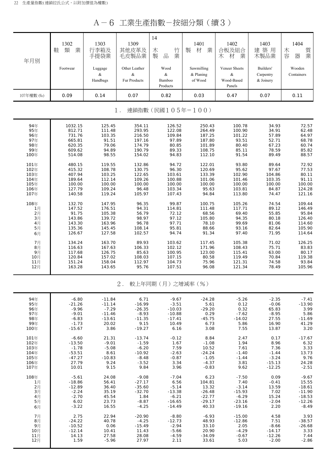A-6 工業生產指數-按細分類(續3)

| 年月別        | 1302<br>類<br>業<br>鞋 | 1303<br>行李箱及<br>手提袋業     | 1309<br>其他皮革及<br>毛皮製品業             | 14<br>竹<br>木<br>製<br>業<br>品     | 1401<br>業<br>材<br>製                  | 1402<br>合板及組合<br>業<br>材<br>木               | 1403<br>建築用<br>木製品業                 | 1404<br>質業<br>木<br>容<br>器 |
|------------|---------------------|--------------------------|------------------------------------|---------------------------------|--------------------------------------|--------------------------------------------|-------------------------------------|---------------------------|
|            | Footwear            | Luggage<br>&<br>Handbags | Other Leather<br>&<br>Fur Products | Wood<br>&<br>Bamboo<br>Products | Sawmilling<br>$&$ Planing<br>of Wood | Veneer Sheets<br>&<br>Wood-Based<br>Panels | Builders'<br>Carpentry<br>& Joinery | Wooden<br>Containers      |
| 107年權數 (‰) | 0.09                | 0.14                     | 0.07                               | 0.82                            | 0.03                                 | 0.47                                       | 0.07                                | 0.11                      |

1. 連鎖指數(民國105年=100)

| 94年  | 1032.15 | 125.45 | 354.11 | 126.52 | 250.43 | 100.78 | 34.93  | 72.57  |
|------|---------|--------|--------|--------|--------|--------|--------|--------|
| 95年  | 812.71  | 111.48 | 293.95 | 122.08 | 264.49 | 100.90 | 34.91  | 62.48  |
| 96年  | 731.76  | 103.35 | 216.50 | 109.84 | 187.25 | 101.22 | 57.89  | 64.97  |
| 97年  | 665.81  | 91.51  | 197.16 | 97.89  | 187.80 | 93.51  | 52.71  | 68.78  |
| 98年  | 620.35  | 79.06  | 174.79 | 80.85  | 101.89 | 80.40  | 67.23  | 60.74  |
| 99年  | 609.62  | 94.89  | 190.79 | 89.33  | 108.75 | 85.11  | 78.59  | 85.82  |
| 100年 | 514.08  | 98.55  | 154.02 | 94.83  | 112.10 | 91.54  | 89.49  | 88.57  |
| 101年 | 480.15  | 119.55 | 132.86 | 94.72  | 122.01 | 93.80  | 89.64  | 72.92  |
| 102年 | 415.32  | 108.78 | 130.75 | 96.30  | 120.69 | 95.62  | 97.67  | 77.53  |
| 103年 | 407.94  | 103.25 | 122.65 | 103.61 | 133.39 | 102.90 | 104.86 | 80.11  |
| 104年 | 189.64  | 112.14 | 109.26 | 100.88 | 101.06 | 101.46 | 103.35 | 91.11  |
| 105年 | 100.00  | 100.00 | 100.00 | 100.00 | 100.00 | 100.00 | 100.00 | 100.00 |
| 106年 | 127.79  | 109.24 | 96.48  | 103.34 | 95.63  | 103.81 | 84.87  | 124.28 |
| 107年 | 140.58  | 119.24 | 105.97 | 107.43 | 94.84  | 113.80 | 74.47  | 121.16 |
| 108年 | 132.70  | 147.95 | 96.35  | 99.87  | 100.75 | 105.26 | 74.54  | 109.44 |
| 1月   | 147.52  | 176.51 | 94.31  | 114.81 | 111.48 | 117.71 | 89.12  | 146.49 |
| 2月   | 91.75   | 105.38 | 56.79  | 72.12  | 68.56  | 69.40  | 55.85  | 95.84  |
| 3月   | 143.86  | 139.72 | 98.97  | 97.12  | 105.80 | 94.35  | 80.18  | 126.40 |
| 4月   | 143.30  | 163.96 | 96.78  | 97.71  | 78.10  | 99.69  | 81.06  | 114.60 |
| 5月   | 135.36  | 145.45 | 108.14 | 95.81  | 88.66  | 93.16  | 82.64  | 105.90 |
| 6月   | 126.67  | 127.58 | 102.57 | 94.74  | 91.34  | 97.40  | 71.95  | 114.64 |
| 7月   | 134.24  | 163.70 | 89.93  | 103.62 | 117.45 | 105.38 | 71.02  | 126.25 |
| 8月   | 116.63  | 167.63 | 106.33 | 102.12 | 171.96 | 108.43 | 75.71  | 83.83  |
| 9月   | 117.68  | 126.75 | 85.63  | 100.95 | 123.00 | 115.41 | 63.00  | 80.17  |
| 10月  | 120.84  | 157.02 | 108.03 | 107.15 | 80.58  | 119.49 | 70.84  | 119.38 |
| 11月  | 151.24  | 158.04 | 112.97 | 104.73 | 75.96  | 121.31 | 74.58  | 93.84  |
| 12月  | 163.28  | 143.65 | 95.76  | 107.51 | 96.08  | 121.34 | 78.49  | 105.96 |

#### 2. 較上年同期(月)之增減率(%)

| 94年  | $-6.80$  | $-11.84$ | 6.71     | $-9.67$  | $-24.28$ | $-5.26$  | $-2.35$  | $-7.41$  |
|------|----------|----------|----------|----------|----------|----------|----------|----------|
| 95年  | $-21.26$ | $-11.14$ | $-16.99$ | $-3.51$  | 5.61     | 0.12     | $-0.06$  | $-13.90$ |
| 96年  | $-9.96$  | $-7.29$  | $-26.35$ | $-10.03$ | $-29.20$ | 0.32     | 65.83    | 3.99     |
| 97年  | $-9.01$  | $-11.46$ | $-8.93$  | $-10.88$ | 0.29     | $-7.62$  | $-8.95$  | 5.86     |
| 98年  | $-6.83$  | $-13.61$ | $-11.35$ | $-17.41$ | $-45.75$ | $-14.02$ | 27.55    | $-11.69$ |
| 99年  | $-1.73$  | 20.02    | 9.15     | 10.49    | 6.73     | 5.86     | 16.90    | 41.29    |
| 100年 | $-15.67$ | 3.86     | $-19.27$ | 6.16     | 3.08     | 7.55     | 13.87    | 3.20     |
| 101年 | $-6.60$  | 21.31    | $-13.74$ | $-0.12$  | 8.84     | 2.47     | 0.17     | $-17.67$ |
| 102年 | $-13.50$ | $-9.01$  | $-1.59$  | 1.67     | $-1.08$  | 1.94     | 8.96     | 6.32     |
| 103年 | $-1.78$  | $-5.08$  | $-6.20$  | 7.59     | 10.52    | 7.61     | 7.36     | 3.33     |
| 104年 | $-53.51$ | 8.61     | $-10.92$ | $-2.63$  | $-24.24$ | $-1.40$  | $-1.44$  | 13.73    |
| 105年 | $-47.27$ | $-10.83$ | $-8.48$  | $-0.87$  | $-1.05$  | $-1.44$  | $-3.24$  | 9.76     |
| 106年 | 27.79    | 9.24     | $-3.52$  | 3.34     | $-4.37$  | 3.81     | $-15.13$ | 24.28    |
| 107年 | 10.01    | 9.15     | 9.84     | 3.96     | $-0.83$  | 9.62     | $-12.25$ | $-2.51$  |
| 108年 | $-5.61$  | 24.08    | $-9.08$  | $-7.04$  | 6.23     | $-7.50$  | 0.09     | $-9.67$  |
| 1月   | $-18.86$ | 56.41    | $-27.17$ | 6.56     | 104.81   | 7.40     | $-0.41$  | 15.55    |
| 2月   | $-12.89$ | 36.40    | $-35.60$ | $-5.14$  | 13.32    | $-3.14$  | 13.59    | $-18.61$ |
| 3月   | $-2.24$  | 35.19    | $-32.70$ | $-13.38$ | $-26.48$ | $-15.93$ | 7.02     | $-11.90$ |
| 4月   | $-2.70$  | 45.54    | 1.84     | $-6.21$  | $-22.77$ | $-6.29$  | 15.24    | $-18.53$ |
| 5月   | 6.02     | 23.73    | $-8.87$  | $-16.65$ | $-29.17$ | $-23.16$ | $-2.04$  | $-12.26$ |
| 6月   | $-3.22$  | 16.55    | $-4.25$  | $-14.49$ | 40.33    | $-19.16$ | 2.20     | $-8.49$  |
| 7月   | 2.75     | 22.94    | $-20.90$ | $-8.80$  | $-6.93$  | $-15.00$ | 4.58     | 3.93     |
| 8月   | $-24.22$ | 40.78    | $-4.25$  | $-12.73$ | 48.93    | $-12.86$ | 7.51     | $-38.57$ |
| 9月   | $-10.52$ | 0.06     | $-15.49$ | $-2.94$  | 33.10    | 2.05     | $-8.66$  | $-26.68$ |
| 10月  | $-12.14$ | 10.41    | 11.43    | $-5.66$  | 20.90    | $-4.29$  | $-14.17$ | 3.33     |
| 11月  | 14.13    | 27.58    | 28.08    | $-4.59$  | $-34.09$ | $-0.67$  | $-12.26$ | 7.44     |
| 12月  | 1.59     | $-5.96$  | 27.97    | 2.11     | 33.61    | 5.03     | $-2.00$  | $-2.86$  |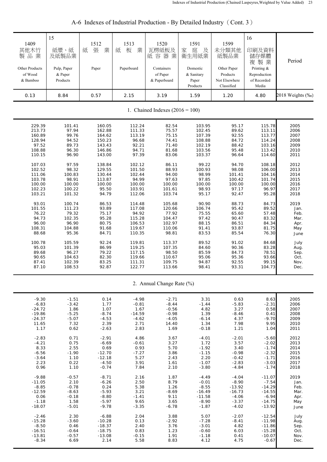| 1409<br>其他木竹<br>製品業<br>Other Products<br>of Wood<br>& Bamboo | 15<br>紙漿、紙<br>及紙製品業<br>Pulp, Paper<br>& Paper<br>Products | 1512<br>張<br>業<br>紙<br>Paper | 1513<br>業<br>板<br>紙<br>Paperboard | 1520<br>瓦楞紙板及<br>紙容器業<br>Containers<br>of Paper<br>& Paperboard | 1591<br>庭<br>家<br>及<br>衛生用紙業<br>Domestic<br>& Sanitary<br>Paper<br>Products | 1599<br>未分類其他<br>紙製品業<br>Other Paper<br>Products<br>Not Elsewhere<br>Classified | 16<br>印刷及資料<br>儲存媒體<br>複製業<br>Printing &<br>Reproduction<br>of Recorded<br>Media | Period           |
|--------------------------------------------------------------|-----------------------------------------------------------|------------------------------|-----------------------------------|-----------------------------------------------------------------|-----------------------------------------------------------------------------|---------------------------------------------------------------------------------|----------------------------------------------------------------------------------|------------------|
| 0.13                                                         | 8.84                                                      | 0.57                         | 2.15                              | 3.19                                                            | 1.59                                                                        | 1.20                                                                            | 4.80                                                                             | 2018 Weights (‰) |
|                                                              |                                                           |                              |                                   | 1. Chained Indexes $(2016 = 100)$                               |                                                                             |                                                                                 |                                                                                  |                  |
| 229.39                                                       | 101.41                                                    | 160.05                       | 112.24                            | 82.54                                                           | 103.95                                                                      | 95.17                                                                           | 115.78                                                                           | 2005             |
| 213.73                                                       | 97.94                                                     | 162.88                       | 111.33                            | 75.57                                                           | 102.45                                                                      | 89.62                                                                           | 113.11                                                                           | 2006             |
| 160.89                                                       | 99.76                                                     | 164.62                       | 113.19                            | 75.15                                                           | 107.39                                                                      | 92.55                                                                           | 113.77                                                                           | 2007             |
| 128.94                                                       | 94.52                                                     | 150.23                       | 96.68                             | 74.41                                                           | 108.88                                                                      | 84.72                                                                           | 114.24                                                                           | 2008             |
| 97.52                                                        | 89.73                                                     | 143.43                       | 92.21                             | 71.40                                                           | 102.19                                                                      | 88.42                                                                           | 103.16                                                                           | 2009             |
| 108.88                                                       | 96.30                                                     | 146.86                       | 94.71                             | 81.68                                                           | 103.56                                                                      | 95.48                                                                           | 113.42                                                                           | 2010             |
| 110.15                                                       | 96.90                                                     | 143.00                       | 97.39                             | 83.06                                                           | 103.37                                                                      | 96.64                                                                           | 114.60                                                                           | 2011             |
| 107.03                                                       | 97.59                                                     | 138.84                       | 102.12                            | 86.11                                                           | 99.22                                                                       | 94.70                                                                           | 108.18                                                                           | 2012             |
| 102.52                                                       | 98.32                                                     | 129.55                       | 101.50                            | 88.93                                                           | 100.93                                                                      | 98.08                                                                           | 106.00                                                                           | 2013             |
| 111.06                                                       | 100.83                                                    | 130.44                       | 102.44                            | 94.00                                                           | 98.99                                                                       | 101.41                                                                          | 104.16                                                                           | 2014             |
| 103.78                                                       | 98.91                                                     | 113.87                       | 94.99                             | 97.63                                                           | 97.85                                                                       | 100.42                                                                          | 101.74                                                                           | 2015             |
| 100.00                                                       | 100.00                                                    | 100.00                       | 100.00                            | 100.00                                                          | 100.00                                                                      | 100.00                                                                          | 100.00                                                                           | 2016             |
| 102.23                                                       | 100.22                                                    | 95.50                        | 103.91                            | 101.61                                                          | 98.93                                                                       | 97.17                                                                           | 96.97                                                                            | 2017             |
| 103.21                                                       | 101.32                                                    | 94.79                        | 112.06                            | 103.74                                                          | 95.17                                                                       | 92.47                                                                           | 95.28                                                                            | 2018             |
| 93.01                                                        | 100.74                                                    | 86.53                        | 114.48                            | 105.68                                                          | 90.90                                                                       | 88.73                                                                           | 84.73                                                                            | 2019             |
| 101.55                                                       | 111.23                                                    | 93.89                        | 117.08                            | 120.66                                                          | 106.74                                                                      | 95.42                                                                           | 89.52                                                                            | Jan.             |
| 76.22                                                        | 79.32                                                     | 75.17                        | 94.92                             | 77.92                                                           | 75.55                                                                       | 65.60                                                                           | 57.48                                                                            | Feb.             |
| 94.73                                                        | 102.35                                                    | 95.28                        | 115.28                            | 104.47                                                          | 97.42                                                                       | 90.47                                                                           | 83.32                                                                            | Mar.             |
| 96.00                                                        | 96.90                                                     | 80.75                        | 106.53                            | 102.97                                                          | 88.15                                                                       | 86.51                                                                           | 84.34                                                                            | Apr.             |
| 108.31                                                       | 104.88                                                    | 91.68                        | 119.67                            | 110.06                                                          | 91.41                                                                       | 93.87                                                                           | 81.75                                                                            | May              |
| 88.68                                                        | 95.36                                                     | 84.71                        | 110.35                            | 98.81                                                           | 83.53                                                                       | 85.54                                                                           | 76.30                                                                            | June             |
| 100.78                                                       | 105.59                                                    | 92.24                        | 119.81                            | 113.37                                                          | 89.52                                                                       | 91.02                                                                           | 84.68                                                                            | July             |
| 95.03                                                        | 101.39                                                    | 86.99                        | 119.25                            | 107.35                                                          | 84.60                                                                       | 90.36                                                                           | 83.28                                                                            | Aug.             |
| 89.68                                                        | 96.27                                                     | 79.22                        | 117.15                            | 98.50                                                           | 85.59                                                                       | 84.73                                                                           | 78.51                                                                            | Sep.             |
| 90.65                                                        | 104.63                                                    | 82.30                        | 119.66                            | 110.67                                                          | 95.06                                                                       | 95.36                                                                           | 93.66                                                                            | Oct.             |
| 87.41                                                        | 102.39                                                    | 83.25                        | 111.31                            | 109.75                                                          | 94.87                                                                       | 92.55                                                                           | 99.15                                                                            | Nov.             |
| 87.10                                                        | 108.53                                                    | 92.87                        | 122.77                            | 113.66                                                          | 98.41                                                                       | 93.31                                                                           | 104.73                                                                           | Dec.             |
|                                                              |                                                           |                              |                                   | 2. Annual Change Rate (%)                                       |                                                                             |                                                                                 |                                                                                  |                  |
| $-9.30$                                                      | $-1.51$                                                   | 0.14                         | $-4.98$                           | $-2.71$                                                         | 3.31                                                                        | 0.63                                                                            | 8.63                                                                             | 2005             |
| $-6.83$                                                      | $-3.42$                                                   | 1.77                         | $-0.81$                           | $-8.44$                                                         | $-1.44$                                                                     | $-5.83$                                                                         | $-2.31$                                                                          | 2006             |
| $-24.72$                                                     | 1.86                                                      | 1.07                         | 1.67                              | $-0.56$                                                         | 4.82                                                                        | 3.27                                                                            | 0.58                                                                             | 2007             |
| $-19.86$                                                     | $-5.25$                                                   | $-8.74$                      | $-14.59$                          | $-0.98$                                                         | 1.39                                                                        | $-8.46$                                                                         | 0.41                                                                             | 2008             |
| $-24.37$                                                     | $-5.07$                                                   | $-4.53$                      | $-4.62$                           | $-4.05$                                                         | $-6.14$                                                                     | 4.37                                                                            | $-9.70$                                                                          | 2009             |
| 11.65                                                        | 7.32                                                      | 2.39                         | 2.71                              | 14.40                                                           | 1.34                                                                        | 7.98                                                                            | 9.95                                                                             | 2010             |
| 1.17                                                         | 0.62                                                      | $-2.63$                      | 2.83                              | 1.69                                                            | $-0.18$                                                                     | 1.21                                                                            | 1.04                                                                             | 2011             |
| $-2.83$                                                      | 0.71                                                      | $-2.91$                      | 4.86                              | 3.67                                                            | $-4.01$                                                                     | $-2.01$                                                                         | $-5.60$                                                                          | 2012             |
| $-4.21$                                                      | 0.75                                                      | $-6.69$                      | $-0.61$                           | 3.27                                                            | 1.72                                                                        | 3.57                                                                            | $-2.02$                                                                          | 2013             |
| 8.33                                                         | 2.55                                                      | 0.69                         | 0.93                              | 5.70                                                            | $-1.92$                                                                     | 3.40                                                                            | $-1.74$                                                                          | 2014             |
| $-6.56$                                                      | $-1.90$                                                   | $-12.70$                     | $-7.27$                           | 3.86                                                            | $-1.15$                                                                     | $-0.98$                                                                         | $-2.32$                                                                          | 2015             |
| $-3.64$                                                      | 1.10                                                      | $-12.18$                     | 5.27                              | 2.43                                                            | 2.20                                                                        | $-0.42$                                                                         | $-1.71$                                                                          | 2016             |
| 2.23                                                         | 0.22                                                      | $-4.50$                      | 3.91                              | 1.61                                                            | $-1.07$                                                                     | $-2.83$                                                                         | $-3.03$                                                                          | 2017             |
| 0.96                                                         | 1.10                                                      | $-0.74$                      | 7.84                              | 2.10                                                            | $-3.80$                                                                     | $-4.84$                                                                         | $-1.74$                                                                          | 2018             |
| $-9.88$                                                      | $-0.57$                                                   | $-8.71$                      | 2.16                              | 1.87                                                            | $-4.49$                                                                     | $-4.04$                                                                         | $-11.07$                                                                         | 2019             |
| $-11.05$                                                     | 2.10                                                      | $-6.26$                      | 2.50                              | 8.79                                                            | $-0.01$                                                                     | $-8.90$                                                                         | $-7.54$                                                                          | Jan.             |
| $-8.85$                                                      | $-0.78$                                                   | 0.24                         | 5.38                              | 1.26                                                            | $-8.55$                                                                     | $-13.92$                                                                        | $-14.29$                                                                         | Feb.             |
| $-12.59$                                                     | $-8.63$                                                   | $-5.93$                      | 3.21                              | $-8.69$                                                         | $-16.49$                                                                    | $-16.73$                                                                        | $-14.55$                                                                         | Mar.             |
| 0.06                                                         | $-0.18$                                                   | $-8.80$                      | $-1.41$                           | 9.11                                                            | $-11.58$                                                                    | $-4.06$                                                                         | $-6.94$                                                                          | Apr.             |
| $-1.18$                                                      | 1.58                                                      | $-5.97$                      | 9.65                              | 3.65                                                            | $-8.90$                                                                     | $-3.37$                                                                         | $-14.75$                                                                         | May              |
| $-18.07$                                                     | $-5.01$                                                   | $-9.78$                      | $-3.35$                           | $-6.78$                                                         | $-1.87$                                                                     | $-4.02$                                                                         | $-13.92$                                                                         | June             |
| $-2.46$                                                      | 2.30                                                      | $-6.88$                      | 2.04                              | 3.88                                                            | 5.07                                                                        | $-2.07$                                                                         | $-12.54$                                                                         | July             |
| $-15.28$                                                     | $-3.60$                                                   | $-10.28$                     | 0.13                              | $-2.92$                                                         | $-7.28$                                                                     | $-8.41$                                                                         | $-11.98$                                                                         | Aug.             |
| $-8.50$                                                      | 0.46                                                      | $-18.37$                     | 2.40                              | 3.76                                                            | $-3.01$                                                                     | 4.82                                                                            | $-11.86$                                                                         | Sep.             |
| $-16.51$                                                     | $-0.64$                                                   | $-18.75$                     | 0.83                              | 1.23                                                            | $-0.60$                                                                     | 6.03                                                                            | $-15.28$                                                                         | Oct.             |
| $-13.81$                                                     | $-0.57$                                                   | $-13.08$                     | $-0.15$                           | 1.91                                                            | $-1.18$                                                                     | 0.41                                                                            | $-10.07$                                                                         | Nov.             |
| $-8.34$                                                      | 6.69                                                      | 2.14                         | 5.58                              | 8.83                                                            | 4.12                                                                        | 4.75                                                                            | $-0.67$                                                                          | Dec.             |

A-6 Indexes of Industrial Production - By Detailed Industry (Cont. 3)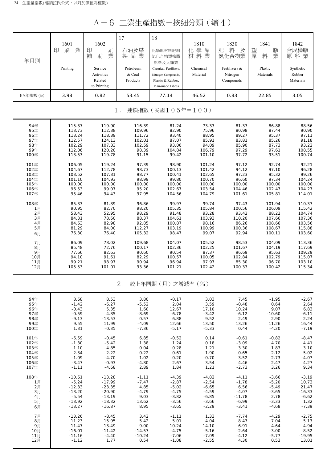A-6 工業生產指數-按細分類(續4)

| 年月別        | 1601<br>業<br>刷<br>印 | 1602<br>印<br>刷<br>業<br>輔<br>助                   | 17<br>石油及煤<br>製品業               | 18<br>化學原材料肥料<br>氮化合物塑橡膠<br>原料及人纖業                                                    | 1810<br>學原<br>化<br>材料業 | 1830<br>肥<br>料<br>及<br>氮化合物業           | 1841<br>膠<br>塑<br>業<br>原<br>料 | 1842<br>合成橡膠<br>原料業              |
|------------|---------------------|-------------------------------------------------|---------------------------------|---------------------------------------------------------------------------------------|------------------------|----------------------------------------|-------------------------------|----------------------------------|
|            | Printing            | Service<br>Activities<br>Related<br>to Printing | Petroleum<br>& Coal<br>Products | Chemical, Fertilizers,<br>Nitrogen Compounds,<br>Plastic & Rubber,<br>Man-made Fibres | Chemical<br>Material   | Fertilizers &<br>Nitrogen<br>Compounds | Plastic<br>Materials          | Synthetic<br>Rubber<br>Materials |
| 107年權數 (‰) | 3.98                | 0.82                                            | 53.45                           | 77.14                                                                                 | 46.52                  | 0.83                                   | 22.85                         | 3.05                             |
|            |                     |                                                 | $1$ .                           | 連鎖指數(民國105年=100)                                                                      |                        |                                        |                               |                                  |
| 94年        | 115.37              | 119.90                                          | 116.39                          | 81.24                                                                                 | 73.33                  | 81.37                                  | 86.88                         | 88.56                            |
| 95年        | 113.73              | 112.38                                          | 109.96                          | 82.90                                                                                 | 75.96                  | 80.98                                  | 87.44                         | 90.90                            |
| 96年        | 113.24              | 118.39                                          | 111.72                          | 93.40                                                                                 | 88.95                  | 89.27                                  | 95.37                         | 97.11                            |
| 97年        | 112.57              | 124.13                                          | 102.01                          | 87.07                                                                                 | 85.91                  | 83.81                                  | 85.26                         | 91.18                            |
| 98年        | 102.29              | 107.33                                          | 102.59                          | 93.06                                                                                 | 94.09                  | 85.90                                  | 87.73                         | 93.22                            |
| 99年        | 112.06              | 120.20                                          | 98.39                           | 104.84                                                                                | 106.79                 | 97.29                                  | 97.61                         | 108.55                           |
| 100年       | 113.53              | 119.78                                          | 91.15                           | 99.42                                                                                 | 101.10                 | 97.72                                  | 93.51                         | 100.74                           |
| 101年       | 106.05              | 119.24                                          | 97.39                           | 98.90                                                                                 | 101.24                 | 97.12                                  | 92.74                         | 92.21                            |
| 102年       | 104.67              | 112.78                                          | 98.73                           | 100.13                                                                                | 101.42                 | 94.12                                  | 97.10                         | 96.28                            |
| 103年       | 103.52              | 107.31                                          | 98.77                           | 100.41                                                                                | 102.65                 | 97.23                                  | 95.32                         | 99.26                            |
| 104年       | 101.10              | 104.93                                          | 98.99                           | 99.80                                                                                 | 100.70                 | 96.60                                  | 97.34                         | 104.24                           |
| 105年       | 100.00              | 100.00                                          | 100.00                          | 100.00                                                                                | 100.00                 | 100.00                                 | 100.00                        | 100.00                           |
| 106年       | 96.53               | 99.07                                           | 95.20                           | 102.67                                                                                | 103.54                 | 104.46                                 | 102.47                        | 104.27                           |
| 107年       | 95.46               | 94.43                                           | 97.95                           | 104.56                                                                                | 104.79                 | 101.61                                 | 105.81                        | 114.01                           |
| 108年       | 85.33               | 81.89                                           | 96.86                           | 99.97                                                                                 | 99.74                  | 97.43                                  | 101.94                        | 110.37                           |
| 1月         | 90.95               | 82.70                                           | 98.20                           | 105.35                                                                                | 105.84                 | 100.56                                 | 106.09                        | 115.42                           |
| 2月         | 58.43               | 52.95                                           | 98.29                           | 91.48                                                                                 | 93.28                  | 93.42                                  | 88.22                         | 104.74                           |
| $3\n $     | 84.31               | 78.60                                           | 88.37                           | 104.61                                                                                | 103.93                 | 110.20                                 | 107.66                        | 107.36                           |
| 4月         | 84.63               | 82.98                                           | 92.85                           | 100.87                                                                                | 98.16                  | 86.26                                  | 108.66                        | 103.56                           |
| 5月         | 81.29               | 84.00                                           | 112.27                          | 103.19                                                                                | 100.99                 | 100.36                                 | 108.67                        | 115.88                           |
| 6月         | 76.30               | 76.40                                           | 105.32                          | 98.47                                                                                 | 99.07                  | 92.94                                  | 100.11                        | 103.60                           |
| 7月         | 86.09               | 78.02                                           | 109.68                          | 104.07                                                                                | 105.52                 | 98.53                                  | 104.09                        | 113.36                           |
| 8月         | 85.48               | 72.76                                           | 100.17                          | 102.36                                                                                | 102.25                 | 101.67                                 | 104.19                        | 117.69                           |
| 9月         | 77.66               | 82.63                                           | 90.60                           | 90.54                                                                                 | 87.37                  | 96.69                                  | 95.63                         | 109.29                           |
| 10月        | 94.10               | 91.61                                           | 82.29                           | 100.57                                                                                | 100.05                 | 102.84                                 | 102.79                        | 115.07                           |
| 11月        | 99.21               | 98.97                                           | 90.94                           | 96.94                                                                                 | 97.97                  | 85.30                                  | 96.70                         | 103.10                           |
| 12月        | 105.53              | 101.01                                          | 93.36                           | 101.21                                                                                | 102.42                 | 100.33                                 | 100.42                        | 115.34                           |
|            |                     |                                                 | $2$ .                           | 較上年同期(月)之增減率(%)                                                                       |                        |                                        |                               |                                  |
| 94年        | 8.68                | 8.53                                            | 3.80                            | $-0.17$                                                                               | 3.03                   | 7.45                                   | $-1.95$                       | $-2.67$                          |
| 95年        | $-1.42$             | $-6.27$                                         | $-5.52$                         | 2.04                                                                                  | 3.59                   | $-0.48$                                | 0.64                          | 2.64                             |
| 96年        | $-0.43$             | 5.35                                            | 1.60                            | 12.67                                                                                 | 17.10                  | 10.24                                  | 9.07                          | 6.83                             |
| 97年        | $-0.59$             | 4.85                                            | $-8.69$                         | $-6.78$                                                                               | $-3.42$                | $-6.12$                                | $-10.60$                      | $-6.11$                          |
| 98年        | $-9.13$             | $-13.53$                                        | 0.57                            | 6.88                                                                                  | 9.52                   | 2.49                                   | 2.90                          | 2.24                             |
| 99年        | 9.55                | 11.99                                           | $-4.09$                         | 12.66                                                                                 | 13.50                  | 13.26                                  | 11.26                         | 16.44                            |
| 100年       | 1.31                | $-0.35$                                         | $-7.36$                         | $-5.17$                                                                               | $-5.33$                | 0.44                                   | $-4.20$                       | $-7.19$                          |
| 101年       | $-6.59$             | $-0.45$                                         | 6.85                            | $-0.52$                                                                               | 0.14                   | $-0.61$                                | $-0.82$                       | $-8.47$                          |
| 102年       | $-1.30$             | $-5.42$                                         | 1.38                            | 1.24                                                                                  | 0.18                   | $-3.09$                                | 4.70                          | 4.41                             |
| 103年       | $-1.10$             | $-4.85$                                         | 0.04                            | 0.28                                                                                  | 1.21                   | 3.30                                   | $-1.83$                       | 3.10                             |
| 104年       | $-2.34$             | $-2.22$                                         | 0.22                            | $-0.61$                                                                               | $-1.90$                | $-0.65$                                | 2.12                          | 5.02                             |
| 105年       | $-1.09$             | $-4.70$                                         | 1.02                            | 0.20                                                                                  | $-0.70$                | 3.52                                   | 2.73                          | $-4.07$                          |
| 106年       | $-3.47$             | $-0.93$                                         | $-4.80$                         | 2.67                                                                                  | 3.54                   | 4.46                                   | 2.47                          | 4.27                             |
| 107年       | $-1.11$             | $-4.68$                                         | 2.89                            | 1.84                                                                                  | 1.21                   | $-2.73$                                | 3.26                          | 9.34                             |
| 108年       | $-10.61$            | $-13.28$                                        | $-1.11$                         | $-4.39$                                                                               | $-4.82$                | $-4.11$                                | $-3.66$                       | $-3.19$                          |
| 1月         | $-5.24$             | $-17.99$                                        | $-7.47$                         | $-2.87$                                                                               | $-2.54$                | $-1.78$                                | $-5.20$                       | 10.73                            |
| 2月         | $-12.33$            | $-23.35$                                        | 4.85                            | $-5.02$                                                                               | $-6.65$                | 6.56                                   | $-5.49$                       | 21.47                            |
| 3月         | $-13.20$            | $-20.90$                                        | $-4.79$                         | $-4.75$                                                                               | $-4.59$                | $-4.07$                                | $-3.65$                       | $-16.33$                         |
| 4月         | $-5.54$             | $-13.19$                                        | 9.03                            | $-3.82$                                                                               | $-6.85$                | $-11.78$                               | 2.78                          | $-6.62$                          |
| 5月         | $-13.92$            | $-18.32$                                        | 13.62                           | $-3.56$                                                                               | $-3.66$                | $-6.99$                                | $-3.33$                       | 1.32                             |
| 6月         | $-13.27$            | $-16.87$                                        | 8.95                            | $-3.65$                                                                               | $-2.29$                | $-3.41$                                | $-4.68$                       | $-7.39$                          |
| 7月         | $-13.26$            | $-8.45$                                         | 3.42                            | $-1.11$                                                                               | 1.33                   | $-7.74$                                | $-4.29$                       | $-2.75$                          |
| 8月         | $-11.23$            | $-15.95$                                        | $-5.42$                         | $-5.01$                                                                               | $-4.04$                | $-8.47$                                | $-7.04$                       | $-5.13$                          |
| 9月         | $-11.47$            | $-13.49$                                        | $-9.00$                         | $-10.24$                                                                              | $-14.10$               | $-6.91$                                | $-4.64$                       | $-4.94$                          |
| 10月        | $-16.01$            | $-11.42$                                        | $-14.57$                        | $-4.75$                                                                               | $-5.16$                | $-2.64$                                | $-3.00$                       | $-8.52$                          |
| 11月        | $-11.16$            | $-4.40$                                         | $-10.24$                        | $-7.06$                                                                               | $-7.09$                | $-4.12$                                | $-5.77$                       | $-19.95$                         |
| 12月        | $-1.12$             | 1.77                                            | 0.54                            | $-1.08$                                                                               | $-2.55$                | 4.30                                   | 0.53                          | 13.01                            |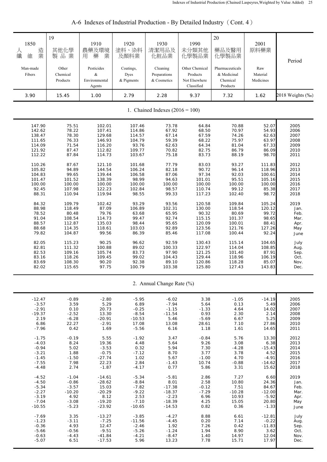| 1850<br>造<br>人<br>業<br>纖<br>維 | 19<br>其他化學<br>製品業             | 1910<br>農藥及環境<br>藥<br>業<br>用                  | 1920<br>塗料、染料<br>及顏料業           | 1930<br>清潔用品及<br>化粧品業                   | 1990<br>未分類其他<br>化學製品業                                    | 20<br>藥品及醫用<br>化學製品業                                   | 2001<br>原料藥業                 | Period           |
|-------------------------------|-------------------------------|-----------------------------------------------|---------------------------------|-----------------------------------------|-----------------------------------------------------------|--------------------------------------------------------|------------------------------|------------------|
| Man-made<br>Fibers            | Other<br>Chemical<br>Products | Pesticides<br>$\&$<br>Environmental<br>Agents | Coatings,<br>Dyes<br>& Pigments | Cleaning<br>Preparations<br>& Cosmetics | Other Chemical<br>Products<br>Not Elsewhere<br>Classified | Pharmaceuticals<br>& Medicinal<br>Chemical<br>Products | Raw<br>Material<br>Medicines |                  |
| 3.90                          | 15.45                         | 1.00                                          | 2.79                            | 2.28                                    | 9.37                                                      | 7.32                                                   | 1.62                         | 2018 Weights (‰) |
|                               |                               |                                               |                                 | 1. Chained Indexes $(2016 = 100)$       |                                                           |                                                        |                              |                  |
| 147.90                        | 75.51                         | 102.01                                        | 107.46                          | 73.78                                   | 64.84                                                     | 70.88                                                  | 52.07                        | 2005             |
| 142.62                        | 78.22                         | 107.41                                        | 114.86                          | 67.92                                   | 68.50                                                     | 70.97                                                  | 54.93                        | 2006             |
| 138.47                        | 78.30                         | 129.68                                        | 114.57                          | 67.14                                   | 67.59                                                     | 74.26                                                  | 62.63                        | 2007             |
| 111.65                        | 76.33                         | 146.93                                        | 104.79                          | 59.39                                   | 68.22                                                     | 75.97                                                  | 63.97                        | 2008             |
| 114.09                        | 71.54                         | 116.20                                        | 93.76                           | 62.63                                   | 64.34                                                     | 81.04                                                  | 67.33                        | 2009             |
| 121.92                        | 87.47                         | 112.82                                        | 109.77                          | 70.82                                   | 82.75                                                     | 86.79                                                  | 86.09                        | 2010             |
| 112.22                        | 87.84                         | 114.73                                        | 103.67                          | 75.18                                   | 83.73                                                     | 88.19                                                  | 98.70                        | 2011             |
| 110.26                        | 87.67                         | 121.10                                        | 101.68                          | 77.79                                   | 83.03                                                     | 93.27                                                  | 111.83                       | 2012             |
| 105.82                        | 94.89                         | 144.54                                        | 106.24                          | 82.18                                   | 90.72                                                     | 96.14                                                  | 118.96                       | 2013             |
| 104.83                        | 99.65                         | 139.44                                        | 106.58                          | 87.06                                   | 97.34                                                     | 92.03                                                  | 100.61                       | 2014             |
| 101.47                        | 101.52                        | 138.39                                        | 98.99                           | 94.63                                   | 101.01                                                    | 95.51                                                  | 105.16                       | 2015             |
| 100.00                        | 100.00                        | 100.00                                        | 100.00                          | 100.00                                  | 100.00                                                    | 100.00                                                 | 100.00                       | 2016             |
| 92.45                         | 107.98                        | 122.23                                        | 102.84                          | 98.57                                   | 110.74                                                    | 99.12                                                  | 85.38                        | 2017             |
| 88.31                         | 110.94                        | 119.94                                        | 98.55                           | 99.33                                   | 117.23                                                    | 102.40                                                 | 98.72                        | 2018             |
| 84.32                         | 109.79                        | 102.42                                        | 93.29                           | 93.56                                   | 120.58                                                    | 109.84                                                 | 105.24                       | 2019             |
| 88.98                         | 118.49                        | 87.09                                         | 106.89                          | 102.31                                  | 130.00                                                    | 118.54                                                 | 120.12                       | Jan.             |
| 78.52                         | 80.48                         | 79.76                                         | 63.68                           | 65.95                                   | 90.32                                                     | 80.69                                                  | 99.72                        | Feb.             |
| 91.04                         | 108.54                        | 114.73                                        | 99.47                           | 92.74                                   | 115.15                                                    | 101.37                                                 | 98.65                        | Mar.             |
| 88.57                         | 112.87                        | 135.03                                        | 98.44                           | 95.65                                   | 120.09                                                    | 100.01                                                 | 88.41                        | Apr.             |
| 88.68                         | 114.35                        | 118.61                                        | 103.03                          | 92.89                                   | 123.56                                                    | 121.76                                                 | 127.26                       | May              |
| 79.82                         | 104.87                        | 99.56                                         | 86.39                           | 85.46                                   | 117.08                                                    | 100.44                                                 | 92.24                        | June             |
| 82.05                         | 115.23                        | 90.25                                         | 96.62                           | 92.59                                   | 130.43                                                    | 115.14                                                 | 104.65                       | July             |
| 82.81                         | 111.32                        | 100.88                                        | 89.02                           | 100.33                                  | 122.97                                                    | 114.04                                                 | 108.85                       | Aug.             |
| 82.53                         | 109.16                        | 105.74                                        | 83.73                           | 97.90                                   | 121.25                                                    | 101.40                                                 | 87.91                        | Sep.             |
| 83.16                         | 118.26                        | 109.45                                        | 99.02                           | 104.43                                  | 129.44                                                    | 118.96                                                 | 106.19                       | Oct.             |
| 83.69                         | 108.30                        | 90.20                                         | 92.38                           | 89.10                                   | 120.86                                                    | 118.28                                                 | 85.07                        | Nov.             |
| 82.02                         | 115.65                        | 97.75                                         | 100.79                          | 103.38                                  | 125.80                                                    | 127.43                                                 | 143.83                       | Dec.             |
|                               |                               |                                               |                                 | 2. Annual Change Rate (%)               |                                                           |                                                        |                              |                  |
| $-12.47$                      | $-0.89$                       | $-2.80$                                       | $-5.95$                         | $-6.02$                                 | 3.38                                                      | $-1.05$                                                | $-14.19$                     | 2005             |
| $-3.57$                       | 3.59                          | 5.29                                          | 6.89                            | $-7.94$                                 | 5.64                                                      | 0.13                                                   | 5.49                         | 2006             |
| $-2.91$                       | 0.10                          | 20.73                                         | $-0.25$                         | $-1.15$                                 | $-1.33$                                                   | 4.64                                                   | 14.02                        | 2007             |
| $-19.37$                      | $-2.52$                       | 13.30                                         | $-8.54$                         | $-11.54$                                | 0.93                                                      | 2.30                                                   | 2.14                         | 2008             |
| 2.19                          | $-6.28$                       | $-20.91$                                      | $-10.53$                        | 5.46                                    | $-5.69$                                                   | 6.67                                                   | 5.25                         | 2009             |
| 6.86                          | 22.27                         | $-2.91$                                       | 17.08                           | 13.08                                   | 28.61                                                     | 7.10                                                   | 27.86                        | 2010             |
| $-7.96$                       | 0.42                          | 1.69                                          | $-5.56$                         | 6.16                                    | 1.18                                                      | 1.61                                                   | 14.65                        | 2011             |
| $-1.75$                       | $-0.19$                       | 5.55                                          | $-1.92$                         | 3.47                                    | $-0.84$                                                   | 5.76                                                   | 13.30                        | 2012             |
| $-4.03$                       | 8.24                          | 19.36                                         | 4.48                            | 5.64                                    | 9.26                                                      | 3.08                                                   | 6.38                         | 2013             |
| $-0.94$                       | 5.02                          | $-3.53$                                       | 0.32                            | 5.94                                    | 7.30                                                      | $-4.28$                                                | $-15.43$                     | 2014             |
| $-3.21$                       | 1.88                          | $-0.75$                                       | $-7.12$                         | 8.70                                    | 3.77                                                      | 3.78                                                   | 4.52                         | 2015             |
| $-1.45$                       | $-1.50$                       | $-27.74$                                      | 1.02                            | 5.67                                    | $-1.00$                                                   | 4.70                                                   | $-4.91$                      | 2016             |
| $-7.55$                       | 7.98                          | 22.23                                         | 2.84                            | $-1.43$                                 | 10.74                                                     | $-0.88$                                                | $-14.62$                     | 2017             |
| $-4.48$                       | 2.74                          | $-1.87$                                       | $-4.17$                         | 0.77                                    | 5.86                                                      | 3.31                                                   | 15.62                        | 2018             |
| $-4.52$                       | $-1.04$                       | $-14.61$                                      | $-5.34$                         | $-5.81$                                 | 2.86                                                      | 7.27                                                   | 6.60                         | 2019             |
| $-4.50$                       | $-0.86$                       | $-28.62$                                      | $-8.84$                         | 8.01                                    | 2.58                                                      | 10.80                                                  | 24.36                        | Jan.             |
| $-5.34$                       | $-3.57$                       | 15.03                                         | $-7.82$                         | $-17.38$                                | $-0.12$                                                   | 7.51                                                   | 84.67                        | Feb.             |
| $-2.27$                       | $-10.20$                      | $-20.29$                                      | $-9.22$                         | $-18.37$                                | $-7.29$                                                   | $-10.28$                                               | $-12.00$                     | Mar.             |
| $-3.19$                       | 4.92                          | 8.12                                          | 2.53                            | $-2.23$                                 | 6.96                                                      | 10.93                                                  | $-5.92$                      | Apr.             |
| $-7.04$                       | $-3.08$                       | $-19.20$                                      | $-7.10$                         | $-18.39$                                | 4.25                                                      | 15.05                                                  | 20.80                        | May              |
| $-10.55$                      | $-5.23$                       | $-23.92$                                      | $-10.65$                        | $-14.53$                                | 0.82                                                      | 0.36                                                   | $-1.33$                      | June             |
| $-7.69$                       | 3.35                          | $-13.27$                                      | $-3.85$                         | $-4.27$                                 | 8.88                                                      | 6.61                                                   | $-12.81$                     | July             |
| $-1.23$                       | $-3.11$                       | $-7.25$                                       | $-11.56$                        | $-4.45$                                 | 0.20                                                      | 7.14                                                   | $-0.22$                      | Aug.             |
| $-0.36$                       | 4.93                          | 12.47                                         | $-2.46$                         | 1.92                                    | 7.26                                                      | 0.42                                                   | $-11.83$                     | Sep.             |
| $-5.66$                       | $-0.56$                       | $-9.51$                                       | $-5.26$                         | $-1.24$                                 | 1.94                                                      | 8.90                                                   | 3.62                         | Oct.             |
| $-0.63$                       | $-4.43$                       | $-41.84$                                      | $-4.21$                         | $-8.47$                                 | 1.40                                                      | 14.97                                                  | 12.04                        | Nov.             |
| $-5.07$                       | 6.51                          | $-17.53$                                      | 5.96                            | 13.23                                   | 7.78                                                      | 15.71                                                  | 17.97                        | Dec.             |

## A-6 Indexes of Industrial Production - By Detailed Industry (Cont. 4)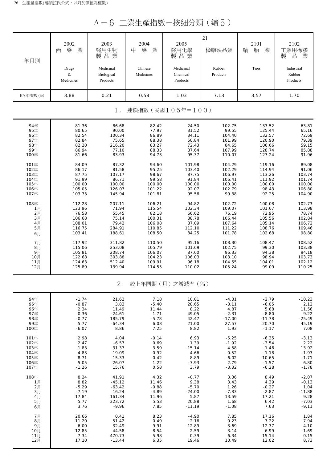A-6 工業生產指數-按細分類(續5)

| 年月別                  | 2002<br>業<br>藥<br>西<br>Drugs<br>$\&$ | 2003<br>醫用生物<br>製品業<br>Medicinal<br>Biological | 2004<br>中<br>藥<br>業<br>Chinese<br>Medicines | 2005<br>醫用化學<br>製品業<br>Medicinal<br>Chemical | 21<br>橡膠製品業<br>Rubber<br>Products | 2101<br>輪<br>胎<br>業<br>Tires | 2102<br>工業用橡膠<br>業<br>品<br>製<br>Industrial<br>Rubber |
|----------------------|--------------------------------------|------------------------------------------------|---------------------------------------------|----------------------------------------------|-----------------------------------|------------------------------|------------------------------------------------------|
|                      | Medicines                            | Products                                       |                                             | Products                                     |                                   |                              | Products                                             |
| 107年權數 (‰)           | 3.88                                 | 0.21                                           | 0.58                                        | 1.03                                         | 7.13                              | 3.57                         | 1.70                                                 |
|                      |                                      | $1$ .                                          |                                             | 連鎖指數(民國105年=100)                             |                                   |                              |                                                      |
| 94年<br>95年           | 81.36<br>80.65                       | 86.68<br>90.00                                 | 82.42<br>77.97                              | 24.50<br>31.52                               | 102.75<br>99.55                   | 133.52<br>125.44             | 63.81<br>65.16                                       |
| 96年                  | 82.54                                | 100.34                                         | 86.89                                       | 34.11                                        | 104.40                            | 132.57                       | 72.69                                                |
| 97年                  | 82.84                                | 75.65                                          | 88.38                                       | 50.84                                        | 101.99                            | 120.90                       | 79.39                                                |
| 98年<br>99年           | 82.20<br>86.94                       | 216.20<br>77.10                                | 83.27<br>88.33                              | 72.43<br>87.64                               | 84.65<br>107.99                   | 106.66<br>128.74             | 59.15<br>85.88                                       |
| 100年                 | 81.66                                | 83.93                                          | 94.73                                       | 95.37                                        | 110.07                            | 127.24                       | 91.96                                                |
| 101年                 | 84.09                                | 87.32                                          | 94.60                                       | 101.98                                       | 104.29                            | 119.16                       | 89.08                                                |
| 102年<br>103年         | 86.17<br>87.75                       | 81.58<br>107.17                                | 95.25<br>98.67                              | 103.40<br>87.75                              | 102.29<br>106.97                  | 114.94<br>113.26             | 91.06<br>103.74                                      |
| 104年                 | 91.99                                | 86.71                                          | 99.58                                       | 91.84                                        | 106.41                            | 111.92                       | 101.74                                               |
| 105年                 | 100.00                               | 100.00                                         | 100.00                                      | 100.00                                       | 100.00                            | 100.00                       | 100.00                                               |
| 106年<br>107年         | 105.05<br>103.73                     | 126.07<br>145.94                               | 101.22<br>101.81                            | 92.07<br>95.56                               | 102.79<br>99.38                   | 98.43<br>92.25               | 106.80<br>104.90                                     |
| 108年                 | 112.28                               | 207.11                                         | 106.21                                      | 94.82                                        | 102.72                            | 100.08                       | 102.73                                               |
| 1月                   | 123.96                               | 71.94                                          | 115.54                                      | 102.34                                       | 109.07                            | 101.67                       | 113.98                                               |
| 2月                   | 76.58                                | 55.45                                          | 82.18                                       | 66.62                                        | 76.19                             | 72.95                        | 78.74                                                |
| 3 <sub>月</sub><br>4月 | 106.68<br>108.01                     | 75.14<br>79.42                                 | 100.31<br>106.08                            | 88.78<br>87.09                               | 106.44<br>107.64                  | 105.56<br>105.14             | 102.84<br>106.72                                     |
| 5月                   | 116.75                               | 284.91                                         | 110.85                                      | 112.10                                       | 111.22                            | 108.76                       | 109.46                                               |
| 6月                   | 103.41                               | 188.61                                         | 108.50                                      | 84.25                                        | 101.78                            | 102.68                       | 98.80                                                |
| 7月                   | 117.92                               | 311.82                                         | 110.50                                      | 95.16                                        | 108.30                            | 108.47                       | 108.52                                               |
| $8$ 月<br>9月          | 115.06<br>105.81                     | 253.08<br>208.74                               | 105.79<br>106.07                            | 101.69<br>87.60                              | 102.75<br>96.33                   | 99.30<br>94.38               | 103.38<br>94.18                                      |
| 10月                  | 122.68                               | 303.88                                         | 104.23                                      | 106.03                                       | 103.10                            | 98.94                        | 103.73                                               |
| 11月                  | 124.63                               | 512.40                                         | 109.91                                      | 96.18                                        | 104.55                            | 104.01                       | 102.12                                               |
| 12月                  | 125.89                               | 139.94                                         | 114.55                                      | 110.02                                       | 105.24                            | 99.09                        | 110.25                                               |
|                      |                                      | $2$ .                                          |                                             | 較上年同期(月)之增減率(%)                              |                                   |                              |                                                      |
| 94年                  | $-1.74$                              | 21.62                                          | 7.18                                        | 10.01                                        | $-4.31$                           | $-2.79$                      | $-10.23$                                             |
| 95年                  | $-0.87$                              | 3.83                                           | $-5.40$                                     | 28.65                                        | $-3.11$                           | $-6.05$                      | 2.12                                                 |
| 96年<br>97年           | 2.34<br>0.36                         | 11.49<br>$-24.61$                              | 11.44<br>1.71                               | 8.22<br>49.05                                | 4.87<br>$-2.31$                   | 5.68<br>$-8.80$              | 11.56<br>9.22                                        |
| 98年                  | $-0.77$                              | 185.79                                         | $-5.78$                                     | 42.47                                        | $-17.00$                          | $-11.78$                     | $-25.49$                                             |
| 99年<br>100年          | 5.77<br>$-6.07$                      | $-64.34$<br>8.86                               | 6.08<br>7.25                                | 21.00<br>8.82                                | 27.57<br>1.93                     | 20.70<br>$-1.17$             | 45.19<br>7.08                                        |
|                      |                                      |                                                |                                             |                                              |                                   |                              |                                                      |
| 101年<br>102年         | 2.98<br>2.47                         | 4.04<br>$-6.57$                                | $-0.14$<br>0.69                             | 6.93<br>1.39                                 | $-5.25$<br>$-1.92$                | $-6.35$<br>$-3.54$           | $-3.13$<br>2.22                                      |
| 103年                 | 1.83                                 | 31.37                                          | 3.59                                        | $-15.14$                                     | 4.58                              | $-1.46$                      | 13.92                                                |
| 104年                 | 4.83                                 | $-19.09$                                       | 0.92                                        | 4.66                                         | $-0.52$                           | $-1.18$                      | $-1.93$                                              |
| 105年<br>106年         | 8.71<br>5.05                         | 15.33<br>26.07                                 | 0.42<br>1.22                                | 8.89<br>$-7.93$                              | $-6.02$<br>2.79                   | $-10.65$<br>$-1.57$          | $-1.71$<br>6.80                                      |
| 107年                 | $-1.26$                              | 15.76                                          | 0.58                                        | 3.79                                         | $-3.32$                           | $-6.28$                      | $-1.78$                                              |
| 108年                 | 8.24                                 | 41.91                                          | 4.32                                        | $-0.77$                                      | 3.36                              | 8.49                         | $-2.07$                                              |
| 1月                   | 8.82                                 | $-45.12$                                       | 11.46                                       | 9.38                                         | 3.43                              | 4.39                         | $-0.13$                                              |
| 2月<br>3月             | $-5.29$<br>$-7.19$                   | $-63.42$<br>16.24                              | $-0.88$<br>$-4.89$                          | $-5.70$<br>$-24.00$                          | 1.26<br>$-7.83$                   | $-0.27$<br>$-2.87$           | 1.04<br>$-11.88$                                     |
| 4月                   | 17.84                                | 161.34                                         | 11.96                                       | 5.87                                         | 13.59                             | 17.21                        | 9.28                                                 |
| 5月                   | 5.77<br>3.76                         | 323.72<br>$-9.96$                              | 5.53<br>7.85                                | 20.88                                        | 1.68<br>$-1.08$                   | 6.42<br>7.63                 | $-7.03$                                              |
| 6月                   |                                      |                                                |                                             | $-11.19$                                     |                                   |                              | $-9.11$                                              |
| 7月                   | 20.66                                | 0.41                                           | 8.23                                        | $-4.90$                                      | 7.85                              | 17.16                        | 1.84                                                 |
| 8月<br>9月             | 11.20<br>6.00                        | 51.42<br>32.49                                 | 0.49<br>9.91                                | $-2.16$<br>$-12.89$                          | 0.23<br>3.69                      | 7.22<br>12.37                | $-7.94$<br>$-4.10$                                   |
| 10月                  | 12.85                                | 44.58                                          | $-8.54$                                     | 2.59                                         | 3.14                              | 6.99                         | $-1.69$                                              |
| 11月                  | 7.34                                 | 470.73                                         | 5.98                                        | 0.39                                         | 6.34                              | 15.14                        | 0.15<br>8.73                                         |
| 12月                  | 17.10                                | $-13.44$                                       | 6.35                                        | 19.46                                        | 10.49                             | 12.02                        |                                                      |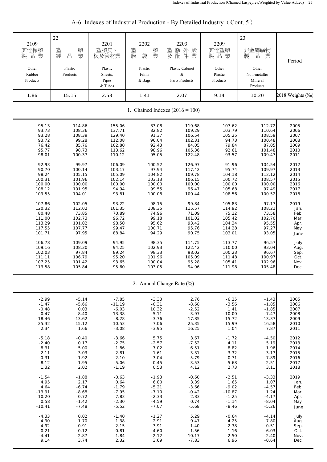| 2109<br>其他橡膠<br>製品業<br>Other<br>Rubber<br>Products | 22<br>塑<br>膠<br>製<br>品<br>業<br>Plastic<br>Products | 2201<br>塑膠皮、<br>板及管材業<br>Plastic<br>Sheets,<br>Pipes<br>& Tubes | 2202<br>塑膜<br>膠<br>業<br>袋<br>Plastic<br>Films<br>& Bags | 2203<br>塑膠外殼<br>Plastic Cabinet<br>&<br>Parts Products | 2209<br>其他塑膠<br>製品業<br>Other<br>Plastic<br>Products | 23<br>非金屬礦物<br>品<br>業<br>製<br>Other<br>Non-metallic<br>Mineral<br>Products | Period           |
|----------------------------------------------------|----------------------------------------------------|-----------------------------------------------------------------|---------------------------------------------------------|--------------------------------------------------------|-----------------------------------------------------|----------------------------------------------------------------------------|------------------|
| 1.86                                               | 15.15                                              | 2.53                                                            | 1.41                                                    | 2.07                                                   | 9.14                                                | 10.20                                                                      | 2018 Weights (‰) |
|                                                    |                                                    |                                                                 |                                                         | 1. Chained Indexes $(2016 = 100)$                      |                                                     |                                                                            |                  |
| 95.13                                              | 114.86                                             | 155.06                                                          | 83.08                                                   | 119.68                                                 | 107.62                                              | 112.72                                                                     | 2005             |
| 93.73                                              | 108.36                                             | 137.71                                                          | 82.82                                                   | 109.29                                                 | 103.79                                              | 110.64                                                                     | 2006             |
| 93.28                                              | 108.39                                             | 129.40                                                          | 91.37                                                   | 106.54                                                 | 105.25                                              | 108.59                                                                     | 2007             |
| 93.72                                              | 99.28                                              | 112.08                                                          | 96.04                                                   | 102.31                                                 | 94.73                                               | 100.48                                                                     | 2008             |
| 76.42                                              | 85.76                                              | 102.80                                                          | 92.43                                                   | 84.05                                                  | 79.84                                               | 87.05                                                                      | 2009             |
| 95.77                                              | 98.73                                              | 113.62                                                          | 98.96                                                   | 105.36                                                 | 92.61                                               | 101.48                                                                     | 2010             |
| 98.01                                              | 100.37                                             | 110.12                                                          | 95.05                                                   | 122.48                                                 | 93.57                                               | 109.47                                                                     | 2011             |
| 92.93                                              | 99.97                                              | 106.09                                                          | 100.52                                                  | 126.97                                                 | 91.96                                               | 104.54                                                                     | 2012             |
| 90.70                                              | 100.14                                             | 103.17                                                          | 97.94                                                   | 117.42                                                 | 95.74                                               | 109.97                                                                     | 2013             |
| 98.24                                              | 105.15                                             | 105.09                                                          | 104.82                                                  | 109.78                                                 | 104.18                                              | 112.12                                                                     | 2014             |
| 100.31                                             | 101.96                                             | 102.14                                                          | 103.13                                                  | 106.15                                                 | 100.72                                              | 108.57                                                                     | 2015             |
| 100.00                                             | 100.00                                             | 100.00                                                          | 100.00                                                  | 100.00                                                 | 100.00                                              | 100.00                                                                     | 2016             |
| 108.12                                             | 101.95                                             | 94.94                                                           | 99.55                                                   | 96.47                                                  | 105.68                                              | 97.49                                                                      | 2017             |
| 109.55                                             | 104.01                                             | 93.81                                                           | 100.08                                                  | 100.44                                                 | 108.56                                              | 100.52                                                                     | 2018             |
| 107.86                                             | 102.05                                             | 93.22                                                           | 98.15                                                   | 99.84                                                  | 105.83                                              | 97.17                                                                      | 2019             |
| 120.32                                             | 112.02                                             | 101.35                                                          | 108.35                                                  | 115.57                                                 | 114.92                                              | 108.21                                                                     | Jan.             |
| 80.48                                              | 73.85                                              | 70.89                                                           | 74.96                                                   | 71.09                                                  | 75.12                                               | 73.58                                                                      | Feb.             |
| 111.00                                             | 102.73                                             | 96.72                                                           | 99.18                                                   | 101.02                                                 | 105.42                                              | 102.70                                                                     | Mar.             |
| 113.29                                             | 101.02                                             | 98.50                                                           | 95.62                                                   | 93.42                                                  | 104.34                                              | 95.55                                                                      | Apr.             |
| 117.55                                             | 107.77                                             | 99.47                                                           | 100.71                                                  | 95.76                                                  | 114.28                                              | 97.27                                                                      | May              |
| 101.71                                             | 97.95                                              | 88.84                                                           | 94.29                                                   | 90.75                                                  | 103.01                                              | 93.05                                                                      | June             |
| 106.78                                             | 109.09                                             | 94.95                                                           | 98.35                                                   | 114.75                                                 | 113.77                                              | 96.57                                                                      | July             |
| 109.16                                             | 108.30                                             | 94.25                                                           | 102.93                                                  | 122.42                                                 | 110.00                                              | 93.04                                                                      | Aug.             |
| 102.03                                             | 97.84                                              | 89.24                                                           | 98.33                                                   | 98.02                                                  | 100.23                                              | 96.67                                                                      | Sep.             |
| 111.11                                             | 106.79                                             | 95.20                                                           | 101.96                                                  | 105.09                                                 | 111.48                                              | 100.97                                                                     | Oct.             |
| 107.25                                             | 101.42                                             | 93.65                                                           | 100.04                                                  | 95.28                                                  | 105.41                                              | 102.96                                                                     | Nov.             |
| 113.58                                             | 105.84                                             | 95.60                                                           | 103.05                                                  | 94.96                                                  | 111.98                                              | 105.48                                                                     | Dec.             |
|                                                    |                                                    |                                                                 |                                                         | 2. Annual Change Rate (%)                              |                                                     |                                                                            |                  |
| $-2.99$                                            | $-5.14$                                            | $-7.85$                                                         | $-3.33$                                                 | 2.76                                                   | $-6.25$                                             | $-1.43$                                                                    | 2005             |
| $-1.47$                                            | $-5.66$                                            | $-11.19$                                                        | $-0.31$                                                 | $-8.68$                                                | $-3.56$                                             | $-1.85$                                                                    | 2006             |
| $-0.48$                                            | 0.03                                               | $-6.03$                                                         | 10.32                                                   | $-2.52$                                                | 1.41                                                | $-1.85$                                                                    | 2007             |
| 0.47                                               | $-8.40$                                            | $-13.38$                                                        | 5.11                                                    | $-3.97$                                                | $-10.00$                                            | $-7.47$                                                                    | 2008             |
| $-18.46$                                           | $-13.62$                                           | $-8.28$                                                         | $-3.76$                                                 | $-17.85$                                               | $-15.72$                                            | $-13.37$                                                                   | 2009             |
| 25.32                                              | 15.12                                              | 10.53                                                           | 7.06                                                    | 25.35                                                  | 15.99                                               | 16.58                                                                      | 2010             |
| 2.34                                               | 1.66                                               | $-3.08$                                                         | $-3.95$                                                 | 16.25                                                  | 1.04                                                | 7.87                                                                       | 2011             |
| $-5.18$                                            | $-0.40$                                            | $-3.66$                                                         | 5.75                                                    | 3.67                                                   | $-1.72$                                             | $-4.50$                                                                    | 2012             |
| $-2.40$                                            | 0.17                                               | $-2.75$                                                         | $-2.57$                                                 | $-7.52$                                                | 4.11                                                | 5.19                                                                       | 2013             |
| 8.31                                               | 5.00                                               | 1.86                                                            | 7.02                                                    | $-6.51$                                                | 8.82                                                | 1.96                                                                       | 2014             |
| 2.11                                               | $-3.03$                                            | $-2.81$                                                         | $-1.61$                                                 | $-3.31$                                                | $-3.32$                                             | $-3.17$                                                                    | 2015             |
| $-0.31$                                            | $-1.92$                                            | $-2.10$                                                         | $-3.04$                                                 | $-5.79$                                                | $-0.71$                                             | $-7.89$                                                                    | 2016             |
| 8.12                                               | 1.95                                               | $-5.06$                                                         | $-0.45$                                                 | $-3.53$                                                | 5.68                                                | $-2.51$                                                                    | 2017             |
| 1.32                                               | 2.02                                               | $-1.19$                                                         | 0.53                                                    | 4.12                                                   | 2.73                                                | 3.11                                                                       | 2018             |
| $-1.54$                                            | $-1.88$                                            | $-0.63$                                                         | $-1.93$                                                 | $-0.60$                                                | $-2.51$                                             | $-3.33$                                                                    | 2019             |
| 4.95                                               | 2.17                                               | 0.64                                                            | 6.80                                                    | 3.39                                                   | 1.65                                                | 1.07                                                                       | Jan.             |
| 4.64                                               | $-6.74$                                            | $-1.79$                                                         | $-5.21$                                                 | $-3.66$                                                | $-9.02$                                             | $-4.57$                                                                    | Feb.             |
| $-13.91$                                           | $-8.68$                                            | $-7.95$                                                         | $-7.10$                                                 | $-0.42$                                                | $-10.87$                                            | 1.24                                                                       | Mar.             |
| 10.20                                              | 0.72                                               | 7.83                                                            | $-2.33$                                                 | 2.83                                                   | $-1.25$                                             | $-4.17$                                                                    | Apr.             |
| 0.58                                               | $-1.42$                                            | $-2.30$                                                         | $-4.59$                                                 | 0.74                                                   | $-1.14$                                             | $-8.04$                                                                    | May              |
| $-10.41$                                           | $-7.48$                                            | $-5.52$                                                         | $-7.07$                                                 | $-5.68$                                                | $-8.46$                                             | $-5.26$                                                                    | June             |
| $-4.33$                                            | 0.02                                               | $-1.40$                                                         | $-1.27$                                                 | 5.29                                                   | $-0.64$                                             | $-4.14$                                                                    | July             |
| $-4.90$                                            | $-1.70$                                            | $-1.38$                                                         | $-2.91$                                                 | 9.47                                                   | $-4.25$                                             | $-7.80$                                                                    | Aug.             |
| $-4.92$                                            | $-0.91$                                            | 2.15                                                            | 3.91                                                    | $-1.40$                                                | $-2.38$                                             | 0.51                                                                       | Sep.             |
| 0.21                                               | $-0.12$                                            | $-0.81$                                                         | $-4.60$                                                 | $-1.56$                                                | 1.16                                                | $-6.03$                                                                    | Oct.             |
| $-4.41$                                            | $-2.87$                                            | 1.84                                                            | $-2.12$                                                 | $-10.17$                                               | $-2.50$                                             | $-2.40$                                                                    | Nov.             |
| 9.14                                               | 3.74                                               | 2.32                                                            | 3.69                                                    | $-7.83$                                                | 6.96                                                | $-0.64$                                                                    | Dec.             |

## A-6 Indexes of Industrial Production - By Detailed Industry (Cont. 5)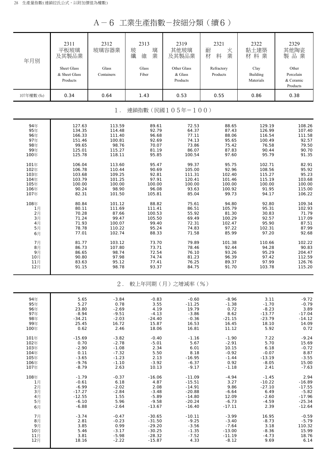A-6 工業生產指數-按細分類(續6)

| 年月別        | 2311<br>平板玻璃<br>及其製品業<br>Sheet Glass<br>& Sheet Glass<br>Products | 2312<br>玻璃容器業<br>Glass<br>Containers | 2313<br>璃<br>玻纖<br>業<br>維<br>Glass<br>Fiber | 2319<br>其他玻璃<br>及其製品業<br>Other Glass<br>& Glass<br>Products | 2321<br>火<br>耐<br>業<br>材<br>料<br>Refractory<br>Products | 2322<br>黏土建築<br>材料業<br>Clay<br><b>Building</b><br>Materials | 2329<br>其他陶瓷<br>製品業<br>Other<br>Porcelain<br>& Ceramic<br>Products |
|------------|-------------------------------------------------------------------|--------------------------------------|---------------------------------------------|-------------------------------------------------------------|---------------------------------------------------------|-------------------------------------------------------------|--------------------------------------------------------------------|
| 107年權數 (%) | 0.34                                                              | 0.64                                 | 1.43                                        | 0.53                                                        | 0.55                                                    | 0.86                                                        | 0.38                                                               |
|            |                                                                   | $1$ .                                |                                             | 連鎖指數(民國105年=100)                                            |                                                         |                                                             |                                                                    |
| 94年        | 127.63                                                            | 113.59                               | 89.61                                       | 72.53                                                       | 88.65                                                   | 129.19                                                      | 108.26                                                             |
| 95年        | 134.35                                                            | 114.48                               | 92.79                                       | 64.37                                                       | 87.43                                                   | 126.99                                                      | 107.40                                                             |
| 96年        | 166.33                                                            | 111.40                               | 96.68                                       | 77.11                                                       | 88.06                                                   | 116.54                                                      | 111.58                                                             |
| 97年        | 151.46                                                            | 100.81                               | 92.69                                       | 74.13                                                       | 95.65                                                   | 100.49                                                      | 92.57                                                              |
| 98年        | 99.65                                                             | 98.76                                | 70.07                                       | 73.86                                                       | 75.42                                                   | 76.58                                                       | 79.50                                                              |
| 99年        | 125.01                                                            | 115.27                               | 81.19                                       | 86.07                                                       | 87.83                                                   | 90.44                                                       | 90.70                                                              |
| 100年       | 125.78                                                            | 118.11                               | 95.85                                       | 100.54                                                      | 97.60                                                   | 95.79                                                       | 91.35                                                              |
| 101年       | 106.04                                                            | 113.60                               | 95.47                                       | 99.37                                                       | 95.75                                                   | 102.71                                                      | 82.91                                                              |
| 102年       | 106.78                                                            | 110.44                               | 90.69                                       | 105.00                                                      | 92.96                                                   | 108.56                                                      | 95.92                                                              |
| 103年       | 103.68                                                            | 109.25                               | 92.81                                       | 111.31                                                      | 102.40                                                  | 115.27                                                      | 95.23                                                              |
| 104年       | 103.79                                                            | 101.25                               | 97.91                                       | 120.41                                                      | 101.46                                                  | 115.19                                                      | 103.68                                                             |
| 105年       | 100.00                                                            | 100.00                               | 100.00                                      | 100.00                                                      | 100.00                                                  | 100.00                                                      | 100.00                                                             |
| 106年       | 90.24                                                             | 98.90                                | 96.08                                       | 93.63                                                       | 100.92                                                  | 91.95                                                       | 115.00                                                             |
| 107年       | 82.31                                                             | 101.50                               | 105.81                                      | 85.04                                                       | 99.73                                                   | 94.17                                                       | 106.22                                                             |
| 108年       | 80.84                                                             | 101.12                               | 88.82                                       | 75.61                                                       | 94.80                                                   | 92.80                                                       | 109.34                                                             |
| 1月         | 80.11                                                             | 111.69                               | 111.41                                      | 86.51                                                       | 105.79                                                  | 95.31                                                       | 102.93                                                             |
| 2月         | 70.28                                                             | 87.66                                | 100.53                                      | 55.92                                                       | 81.30                                                   | 30.83                                                       | 71.79                                                              |
| 3月         | 71.24                                                             | 99.47                                | 105.50                                      | 69.49                                                       | 100.29                                                  | 92.57                                                       | 117.09                                                             |
| 4月         | 71.93                                                             | 100.07                               | 99.40                                       | 72.31                                                       | 102.47                                                  | 95.90                                                       | 87.51                                                              |
| 5月         | 78.78                                                             | 110.22                               | 95.24                                       | 74.83                                                       | 97.22                                                   | 102.31                                                      | 87.99                                                              |
| 6月         | 77.01                                                             | 102.74                               | 88.33                                       | 71.58                                                       | 85.99                                                   | 97.20                                                       | 92.68                                                              |
| 7月         | 81.77                                                             | 103.12                               | 73.70                                       | 79.89                                                       | 101.38                                                  | 110.66                                                      | 102.22                                                             |
| 8月         | 86.73                                                             | 107.80                               | 73.71                                       | 78.46                                                       | 92.44                                                   | 94.28                                                       | 90.83                                                              |
| 9月         | 86.65                                                             | 98.74                                | 72.54                                       | 76.10                                                       | 93.26                                                   | 95.29                                                       | 204.47                                                             |
| 10月        | 90.80                                                             | 97.98                                | 74.74                                       | 81.23                                                       | 96.39                                                   | 97.42                                                       | 112.59                                                             |
| 11月        | 83.63                                                             | 95.12                                | 77.41                                       | 76.25                                                       | 89.37                                                   | 97.99                                                       | 126.76                                                             |
| 12月        | 91.15                                                             | 98.78                                | 93.37                                       | 84.75                                                       | 91.70                                                   | 103.78                                                      | 115.20                                                             |
|            |                                                                   | $2$ .                                |                                             | 較上年同期(月)之增減率(%)                                             |                                                         |                                                             |                                                                    |
| 94年        | 5.65                                                              | $-3.84$                              | $-0.83$                                     | $-0.60$                                                     | $-8.96$                                                 | 3.11                                                        | $-9.72$                                                            |
| 95年        | 5.27                                                              | 0.78                                 | 3.55                                        | $-11.25$                                                    | $-1.38$                                                 | $-1.70$                                                     | $-0.79$                                                            |
| 96年        | 23.80                                                             | $-2.69$                              | 4.19                                        | 19.79                                                       | 0.72                                                    | $-8.23$                                                     | 3.89                                                               |
| 97年        | $-8.94$                                                           | $-9.51$                              | $-4.13$                                     | $-3.86$                                                     | 8.62                                                    | $-13.77$                                                    | $-17.04$                                                           |
| 98年        | $-34.21$                                                          | $-2.03$                              | $-24.40$                                    | $-0.36$                                                     | $-21.15$                                                | $-23.79$                                                    | $-14.12$                                                           |
| 99年        | 25.45                                                             | 16.72                                | 15.87                                       | 16.53                                                       | 16.45                                                   | 18.10                                                       | 14.09                                                              |
| 100年       | 0.62                                                              | 2.46                                 | 18.06                                       | 16.81                                                       | 11.12                                                   | 5.92                                                        | 0.72                                                               |
| 101年       | $-15.69$                                                          | $-3.82$                              | $-0.40$                                     | $-1.16$                                                     | $-1.90$                                                 | 7.22                                                        | $-9.24$                                                            |
| 102年       | 0.70                                                              | $-2.78$                              | $-5.01$                                     | 5.67                                                        | $-2.91$                                                 | 5.70                                                        | 15.69                                                              |
| 103年       | $-2.90$                                                           | $-1.08$                              | 2.34                                        | 6.01                                                        | 10.15                                                   | 6.18                                                        | $-0.72$                                                            |
| 104年       | 0.11                                                              | $-7.32$                              | 5.50                                        | 8.18                                                        | $-0.92$                                                 | $-0.07$                                                     | 8.87                                                               |
| 105年       | $-3.65$                                                           | $-1.23$                              | 2.13                                        | $-16.95$                                                    | $-1.44$                                                 | $-13.19$                                                    | $-3.55$                                                            |
| 106年       | $-9.76$                                                           | $-1.10$                              | $-3.92$                                     | $-6.37$                                                     | 0.92                                                    | $-8.05$                                                     | 15.00                                                              |
| 107年       | $-8.79$                                                           | 2.63                                 | 10.13                                       | $-9.17$                                                     | $-1.18$                                                 | 2.41                                                        | $-7.63$                                                            |
| 108年       | $-1.79$                                                           | $-0.37$                              | $-16.06$                                    | $-11.09$                                                    | $-4.94$                                                 | $-1.45$                                                     | 2.94                                                               |
| 1月         | $-0.61$                                                           | 6.18                                 | 4.87                                        | $-15.51$                                                    | 3.27                                                    | $-10.22$                                                    | $-16.89$                                                           |
| 2月         | $-6.99$                                                           | $-2.02$                              | 2.08                                        | $-14.91$                                                    | 9.86                                                    | $-27.10$                                                    | $-17.55$                                                           |
| 3月         | $-17.27$                                                          | $-2.84$                              | $-3.48$                                     | $-20.88$                                                    | $-6.64$                                                 | 6.49                                                        | $-5.82$                                                            |
| 4月         | $-12.55$                                                          | 1.55                                 | $-5.89$                                     | $-14.80$                                                    | 12.09                                                   | $-2.60$                                                     | $-17.96$                                                           |
| 5月         | $-6.10$                                                           | 5.96                                 | $-9.58$                                     | $-20.24$                                                    | $-6.73$                                                 | $-4.59$                                                     | $-25.34$                                                           |
| 6月         | $-6.88$                                                           | $-2.64$                              | $-13.67$                                    | $-16.40$                                                    | $-17.11$                                                | 2.39                                                        | $-12.64$                                                           |
| 7月         | $-3.74$                                                           | $-0.47$                              | $-30.65$                                    | $-10.11$                                                    | $-3.99$                                                 | 16.95                                                       | $-0.59$                                                            |
| 8月         | 2.81                                                              | $-0.23$                              | $-31.50$                                    | $-9.25$                                                     | $-3.40$                                                 | $-8.73$                                                     | $-5.79$                                                            |
| 9月         | 3.85                                                              | 0.99                                 | $-29.20$                                    | $-3.56$                                                     | $-7.64$                                                 | 3.18                                                        | 110.32                                                             |
| 10月        | 5.46                                                              | $-3.17$                              | $-30.25$                                    | $-1.35$                                                     | $-13.00$                                                | $-8.36$                                                     | 15.99                                                              |
| 11月        | 3.81                                                              | $-5.98$                              | $-28.32$                                    | $-7.52$                                                     | $-11.19$                                                | $-4.73$                                                     | 18.76                                                              |
| 12月        | 18.16                                                             | $-2.22$                              | $-15.87$                                    | 4.33                                                        | $-8.12$                                                 | 9.69                                                        | 6.14                                                               |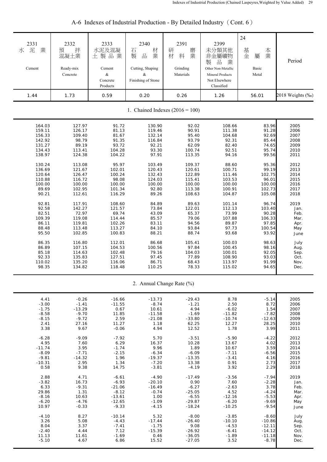| 2331<br>泥<br>業<br>水<br>Cement<br>1.44 | 2332<br>拌<br>預<br>混凝土業<br>Ready-mix<br>Concrete<br>1.73 | 2333<br>水泥及混凝<br>土製品業<br>Cement<br>$\&$<br>Concrete<br>Products<br>0.59 | 2340<br>材<br>石<br>品<br>業<br>製<br>Cutting, Shaping<br>&<br>Finishing of Stone<br>0.20 | 2391<br>研<br>磨<br>業<br>材<br>料<br>Grinding<br>Materials<br>0.26 | 2399<br>未分類其他<br>非金屬礦物<br>製<br>品<br>業<br>Other Non-Metallic<br>Mineral Products<br>Not Elsewhere<br>Classified<br>1.26 | 24<br>基<br>本業<br>金<br>屬<br>Basic<br>Metal<br>56.01 | Period<br>2018 Weights (‰) |
|---------------------------------------|---------------------------------------------------------|-------------------------------------------------------------------------|--------------------------------------------------------------------------------------|----------------------------------------------------------------|------------------------------------------------------------------------------------------------------------------------|----------------------------------------------------|----------------------------|
|                                       |                                                         |                                                                         |                                                                                      | 1. Chained Indexes $(2016 = 100)$                              |                                                                                                                        |                                                    |                            |
| 164.03                                | 127.97                                                  | 91.72                                                                   | 130.90                                                                               | 92.02                                                          | 108.66                                                                                                                 | 83.96                                              | 2005                       |
| 159.11                                | 126.17                                                  | 81.13                                                                   | 119.46                                                                               | 90.91                                                          | 111.38                                                                                                                 | 91.28                                              | 2006                       |
| 156.33                                | 109.40                                                  | 81.67                                                                   | 132.14                                                                               | 95.40                                                          | 104.68                                                                                                                 | 92.69                                              | 2007                       |
| 142.92                                | 98.79                                                   | 91.35                                                                   | 116.84                                                                               | 93.79                                                          | 92.31                                                                                                                  | 85.44                                              | 2008                       |
| 131.27                                | 89.19                                                   | 93.72                                                                   | 92.21                                                                                | 62.09                                                          | 82.40                                                                                                                  | 74.65                                              | 2009                       |
| 134.43                                | 113.41                                                  | 104.28                                                                  | 93.30                                                                                | 100.74                                                         | 92.51                                                                                                                  | 95.74                                              | 2010                       |
| 138.97                                | 124.38                                                  | 104.22                                                                  | 97.91                                                                                | 113.35                                                         | 94.16                                                                                                                  | 99.56                                              | 2011                       |
| 130.24                                | 113.08                                                  | 95.97                                                                   | 103.49                                                                               | 109.37                                                         | 88.60                                                                                                                  | 95.36                                              | 2012                       |
| 136.69                                | 121.67                                                  | 102.01                                                                  | 120.43                                                                               | 120.61                                                         | 100.71                                                                                                                 | 99.19                                              | 2013                       |
| 120.64                                | 126.47                                                  | 100.24                                                                  | 132.43                                                                               | 122.89                                                         | 111.46                                                                                                                 | 102.75                                             | 2014                       |
| 110.88                                | 116.72                                                  | 98.08                                                                   | 124.03                                                                               | 115.41                                                         | 103.53                                                                                                                 | 96.01                                              | 2015                       |
| 100.00                                | 100.00                                                  | 100.00                                                                  | 100.00                                                                               | 100.00                                                         | 100.00                                                                                                                 | 100.00                                             | 2016                       |
| 89.69                                 | 102.95                                                  | 101.34                                                                  | 92.80                                                                                | 113.38                                                         | 100.91                                                                                                                 | 102.73                                             | 2017                       |
| 90.21                                 | 112.61                                                  | 116.29                                                                  | 89.26                                                                                | 108.63                                                         | 104.87                                                                                                                 | 105.08                                             | 2018                       |
| 92.81                                 | 117.91                                                  | 108.60                                                                  | 84.89                                                                                | 89.63                                                          | 101.14                                                                                                                 | 96.74                                              | 2019                       |
| 92.58                                 | 142.27                                                  | 121.57                                                                  | 73.84                                                                                | 122.01                                                         | 112.13                                                                                                                 | 103.40                                             | Jan.                       |
| 82.51                                 | 72.97                                                   | 69.74                                                                   | 43.09                                                                                | 65.37                                                          | 73.99                                                                                                                  | 90.28                                              | Feb.                       |
| 109.39                                | 119.08                                                  | 114.44                                                                  | 85.57                                                                                | 79.06                                                          | 107.88                                                                                                                 | 106.33                                             | Mar.                       |
| 86.11                                 | 119.81                                                  | 102.26                                                                  | 83.11                                                                                | 94.56                                                          | 89.87                                                                                                                  | 97.85                                              | Apr.                       |
| 88.48                                 | 113.48                                                  | 113.27                                                                  | 84.10                                                                                | 93.84                                                          | 97.73                                                                                                                  | 100.54                                             | May                        |
| 95.50                                 | 102.85                                                  | 100.83                                                                  | 88.21                                                                                | 88.74                                                          | 93.68                                                                                                                  | 93.92                                              | June                       |
| 86.35                                 | 116.80                                                  | 112.01                                                                  | 86.68                                                                                | 105.41                                                         | 100.03                                                                                                                 | 98.63                                              | July                       |
| 86.89                                 | 107.15                                                  | 104.53                                                                  | 100.56                                                                               | 97.84                                                          | 100.45                                                                                                                 | 98.16                                              | Aug.                       |
| 85.18                                 | 114.63                                                  | 102.48                                                                  | 79.16                                                                                | 104.03                                                         | 100.01                                                                                                                 | 92.05                                              | Sep.                       |
| 92.33                                 | 135.83                                                  | 127.51                                                                  | 97.45                                                                                | 77.89                                                          | 108.90                                                                                                                 | 93.03                                              | Oct.                       |
| 110.02                                | 135.20                                                  | 116.06                                                                  | 86.71                                                                                | 68.43                                                          | 113.97                                                                                                                 | 91.99                                              | Nov.                       |
| 98.35                                 | 134.82                                                  | 118.48                                                                  | 110.25                                                                               | 78.33                                                          | 115.02                                                                                                                 | 94.65                                              | Dec.                       |
|                                       |                                                         |                                                                         |                                                                                      | 2. Annual Change Rate (%)                                      |                                                                                                                        |                                                    |                            |
| 4.41                                  | $-0.26$                                                 | $-16.66$                                                                | $-13.73$                                                                             | $-29.43$                                                       | 8.78                                                                                                                   | $-5.14$                                            | 2005                       |
| $-3.00$                               | $-1.41$                                                 | $-11.55$                                                                | $-8.74$                                                                              | $-1.21$                                                        | 2.50                                                                                                                   | 8.72                                               | 2006                       |
| $-1.75$                               | $-13.29$                                                | 0.67                                                                    | 10.61                                                                                | 4.94                                                           | $-6.02$                                                                                                                | 1.54                                               | 2007                       |
| $-8.58$                               | $-9.70$                                                 | 11.85                                                                   | $-11.58$                                                                             | $-1.69$                                                        | $-11.82$                                                                                                               | $-7.82$                                            | 2008                       |
| $-8.15$                               | $-9.72$                                                 | 2.59                                                                    | $-21.08$                                                                             | $-33.80$                                                       | $-10.74$                                                                                                               | $-12.63$                                           | 2009                       |
| 2.41                                  | 27.16                                                   | 11.27                                                                   | 1.18                                                                                 | 62.25                                                          | 12.27                                                                                                                  | 28.25                                              | 2010                       |
| 3.38                                  | 9.67                                                    | $-0.06$                                                                 | 4.94                                                                                 | 12.52                                                          | 1.78                                                                                                                   | 3.99                                               | 2011                       |
| $-6.28$                               | $-9.09$                                                 | $-7.92$                                                                 | 5.70                                                                                 | $-3.51$                                                        | $-5.90$                                                                                                                | $-4.22$                                            | 2012                       |
| 4.95                                  | 7.60                                                    | 6.29                                                                    | 16.37                                                                                | 10.28                                                          | 13.67                                                                                                                  | 4.02                                               | 2013                       |
| $-11.74$                              | 3.95                                                    | $-1.74$                                                                 | 9.96                                                                                 | 1.89                                                           | 10.67                                                                                                                  | 3.59                                               | 2014                       |
| $-8.09$                               | $-7.71$                                                 | $-2.15$                                                                 | $-6.34$                                                                              | $-6.09$                                                        | $-7.11$                                                                                                                | $-6.56$                                            | 2015                       |
| $-9.81$                               | $-14.32$                                                | 1.96                                                                    | $-19.37$                                                                             | $-13.35$                                                       | $-3.41$                                                                                                                | 4.16                                               | 2016                       |
| $-10.31$                              | 2.95                                                    | 1.34                                                                    | $-7.20$                                                                              | 13.38                                                          | 0.91                                                                                                                   | 2.73                                               | 2017                       |
| 0.58                                  | 9.38                                                    | 14.75                                                                   | $-3.81$                                                                              | $-4.19$                                                        | 3.92                                                                                                                   | 2.29                                               | 2018                       |
| 2.88                                  | 4.71                                                    | $-6.61$                                                                 | $-4.90$                                                                              | $-17.49$                                                       | $-3.56$                                                                                                                | $-7.94$                                            | 2019                       |
| $-3.82$                               | 16.73                                                   | $-6.93$                                                                 | $-20.10$                                                                             | 0.90                                                           | 7.60                                                                                                                   | $-2.28$                                            | Jan.                       |
| 6.33                                  | $-9.31$                                                 | $-21.06$                                                                | $-16.49$                                                                             | $-6.27$                                                        | $-2.63$                                                                                                                | 3.78                                               | Feb.                       |
| 29.86                                 | 1.31                                                    | $-8.12$                                                                 | $-0.74$                                                                              | $-25.05$                                                       | 4.52                                                                                                                   | $-4.24$                                            | Mar.                       |
| $-8.16$                               | 10.63                                                   | $-13.61$                                                                | 1.00                                                                                 | $-6.55$                                                        | $-12.16$                                                                                                               | $-5.53$                                            | Apr.                       |
| $-6.20$                               | $-4.76$                                                 | $-12.65$                                                                | $-1.09$                                                                              | $-29.87$                                                       | $-6.20$                                                                                                                | $-9.69$                                            | May                        |
| 10.97                                 | $-0.33$                                                 | $-9.33$                                                                 | $-4.15$                                                                              | $-18.24$                                                       | $-10.25$                                                                                                               | $-9.54$                                            | June                       |
| $-4.10$                               | 8.27                                                    | $-10.14$                                                                | 5.32                                                                                 | $-8.00$                                                        | $-3.85$                                                                                                                | $-8.60$                                            | July                       |
| 3.26                                  | 5.08                                                    | $-4.43$                                                                 | $-17.44$                                                                             | $-26.40$                                                       | $-10.10$                                                                                                               | $-10.86$                                           | Aug.                       |
| 8.04                                  | 3.37                                                    | $-7.41$                                                                 | $-1.75$                                                                              | 9.08                                                           | $-4.53$                                                                                                                | $-12.11$                                           | Sep.                       |
| $-2.40$                               | 4.44                                                    | 7.12                                                                    | $-15.39$                                                                             | $-26.92$                                                       | $-6.41$                                                                                                                | $-14.12$                                           | Oct.                       |
| 11.13                                 | 11.61                                                   | $-1.69$                                                                 | 0.46                                                                                 | $-36.05$                                                       | $-1.89$                                                                                                                | $-11.18$                                           | Nov.                       |
| $-5.10$                               | 4.67                                                    | 6.86                                                                    | 15.52                                                                                | $-27.05$                                                       | 3.52                                                                                                                   | $-8.78$                                            | Dec.                       |

## A-6 Indexes of Industrial Production - By Detailed Industry (Cont. 6)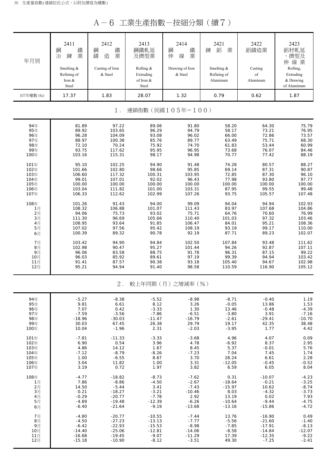A-6 工業生產指數-按細分類(續7)

| 年月別        | 2411<br>鋼<br>鐵<br>冶<br>業<br>鍊<br>Smelting &<br>Refining of<br>Iron &<br>Steel | 2412<br>鋼<br>鐵<br>造<br>業<br>鑄<br>Casting of Iron<br>& Steel | 2413<br>鋼鐵軋延<br>及擠型業<br>Rolling &<br>Extruding<br>of Iron &<br>Steel | 2414<br>鋼<br>鐵<br>業<br>伸<br>線<br>Drawing of Iron<br>& Steel | 2421<br>鋁<br>鍊<br>業<br>Smelting &<br>Refining of<br>Aluminum | 2422<br>鋁鑄造業<br>Casting<br>of<br>Aluminum | 2423<br>鋁材軋延<br>、擠型及<br>伸線業<br>Rolling,<br>Extruding<br>& Drawing<br>of Aluminum |
|------------|-------------------------------------------------------------------------------|-------------------------------------------------------------|----------------------------------------------------------------------|-------------------------------------------------------------|--------------------------------------------------------------|-------------------------------------------|----------------------------------------------------------------------------------|
| 107年權數 (‰) | 17.37                                                                         | 1.83                                                        | 28.07                                                                | 1.32                                                        | 0.79                                                         | 0.62                                      | 1.87                                                                             |
|            |                                                                               | $1$ .                                                       |                                                                      | 連鎖指數(民國105年=100)                                            |                                                              |                                           |                                                                                  |
| 94年        | 81.89                                                                         | 97.22                                                       | 89.06                                                                | 91.80                                                       | 58.20                                                        | 64.30                                     | 75.79                                                                            |
| 95年        | 89.92                                                                         | 103.65                                                      | 96.29                                                                | 94.79                                                       | 58.17                                                        | 73.21                                     | 76.95                                                                            |
| 96年        | 96.28                                                                         | 104.09                                                      | 93.08                                                                | 96.02                                                       | 66.00                                                        | 72.86                                     | 73.57                                                                            |
| 97年        | 88.97                                                                         | 100.38                                                      | 85.76                                                                | 89.77                                                       | 63.49                                                        | 75.71                                     | 68.30                                                                            |
| 98年        | 72.10                                                                         | 70.24                                                       | 75.92                                                                | 74.70                                                       | 61.83                                                        | 53.44                                     | 60.99                                                                            |
| 99年        | 93.75                                                                         | 117.62                                                      | 95.95                                                                | 96.95                                                       | 73.68                                                        | 76.07                                     | 84.46                                                                            |
| 100年       | 103.16                                                                        | 115.31                                                      | 98.17                                                                | 94.98                                                       | 70.77                                                        | 77.42                                     | 88.19                                                                            |
| 101年       | 95.10                                                                         | 102.25                                                      | 94.90                                                                | 91.48                                                       | 74.28                                                        | 80.57                                     | 88.27                                                                            |
| 102年       | 101.66                                                                        | 102.80                                                      | 98.66                                                                | 95.85                                                       | 69.14                                                        | 87.31                                     | 90.87                                                                            |
| 103年       | 106.60                                                                        | 117.32                                                      | 100.31                                                               | 103.95                                                      | 72.85                                                        | 87.30                                     | 96.10                                                                            |
| 104年       | 99.01                                                                         | 107.01                                                      | 92.02                                                                | 96.43                                                       | 77.98                                                        | 93.80                                     | 97.77                                                                            |
| 105年       | 100.00                                                                        | 100.00                                                      | 100.00                                                               | 100.00                                                      | 100.00                                                       | 100.00                                    | 100.00                                                                           |
| 106年       | 103.04                                                                        | 111.82                                                      | 101.00                                                               | 103.31                                                      | 87.95                                                        | 99.55                                     | 99.48                                                                            |
| 107年       | 106.33                                                                        | 112.62                                                      | 102.99                                                               | 107.26                                                      | 93.75                                                        | 105.57                                    | 107.48                                                                           |
| 108年       | 101.26                                                                        | 91.43                                                       | 94.00                                                                | 99.09                                                       | 94.04                                                        | 94.94                                     | 102.93                                                                           |
| 1月         | 108.32                                                                        | 106.88                                                      | 101.07                                                               | 111.43                                                      | 83.97                                                        | 107.68                                    | 104.86                                                                           |
| 2月         | 94.06                                                                         | 75.73                                                       | 93.02                                                                | 75.71                                                       | 64.76                                                        | 70.60                                     | 76.99                                                                            |
| 3月         | 111.30                                                                        | 96.69                                                       | 105.66                                                               | 110.40                                                      | 101.03                                                       | 97.32                                     | 103.46                                                                           |
| 4月         | 108.95                                                                        | 93.64                                                       | 91.85                                                                | 106.47                                                      | 84.01                                                        | 95.21                                     | 108.36                                                                           |
| 5月         | 107.02                                                                        | 97.56                                                       | 95.42                                                                | 108.19                                                      | 93.19                                                        | 99.17                                     | 110.00                                                                           |
| 6月         | 100.39                                                                        | 89.32                                                       | 90.78                                                                | 92.19                                                       | 87.71                                                        | 89.23                                     | 102.07                                                                           |
| 7月         | 103.42                                                                        | 94.90                                                       | 94.84                                                                | 102.50                                                      | 107.84                                                       | 93.48                                     | 111.62                                                                           |
| 8月         | 102.98                                                                        | 90.47                                                       | 95.27                                                                | 101.44                                                      | 94.26                                                        | 92.87                                     | 107.11                                                                           |
| 9月         | 96.06                                                                         | 83.58                                                       | 88.75                                                                | 91.78                                                       | 96.31                                                        | 87.15                                     | 99.22                                                                            |
| 10月        | 96.03                                                                         | 85.92                                                       | 89.61                                                                | 97.19                                                       | 99.39                                                        | 94.94                                     | 103.42                                                                           |
| 11月        | 91.41                                                                         | 87.57                                                       | 90.38                                                                | 93.18                                                       | 105.40                                                       | 94.67                                     | 102.98                                                                           |
| 12月        | 95.21                                                                         | 94.94                                                       | 91.40                                                                | 98.58                                                       | 110.59                                                       | 116.90                                    | 105.12                                                                           |
|            |                                                                               | 2.                                                          |                                                                      | 較上年同期(月)之增減率(%)                                             |                                                              |                                           |                                                                                  |
| 94年        | $-5.27$                                                                       | $-8.38$                                                     | $-5.52$                                                              | $-8.98$                                                     | $-8.71$                                                      | $-0.40$                                   | 1.19                                                                             |
| 95年        | 9.81                                                                          | 6.61                                                        | 8.12                                                                 | 3.26                                                        | $-0.05$                                                      | 13.86                                     | 1.53                                                                             |
| 96年        | 7.07                                                                          | 0.42                                                        | $-3.33$                                                              | 1.30                                                        | 13.46                                                        | $-0.48$                                   | $-4.39$                                                                          |
| 97年        | $-7.59$                                                                       | $-3.56$                                                     | $-7.86$                                                              | $-6.51$                                                     | $-3.80$                                                      | 3.91                                      | $-7.16$                                                                          |
| 98年        | $-18.96$                                                                      | $-30.03$                                                    | $-11.47$                                                             | $-16.79$                                                    | $-2.61$                                                      | $-29.41$                                  | $-10.70$                                                                         |
| 99年        | 30.03                                                                         | 67.45                                                       | 26.38                                                                | 29.79                                                       | 19.17                                                        | 42.35                                     | 38.48                                                                            |
| 100年       | 10.04                                                                         | $-1.96$                                                     | 2.31                                                                 | $-2.03$                                                     | $-3.95$                                                      | 1.77                                      | 4.42                                                                             |
| 101年       | $-7.81$                                                                       | $-11.33$                                                    | $-3.33$                                                              | $-3.68$                                                     | 4.96                                                         | 4.07                                      | 0.09                                                                             |
| 102年       | 6.90                                                                          | 0.54                                                        | 3.96                                                                 | 4.78                                                        | $-6.92$                                                      | 8.37                                      | 2.95                                                                             |
| 103年       | 4.86                                                                          | 14.12                                                       | 1.67                                                                 | 8.45                                                        | 5.37                                                         | $-0.01$                                   | 5.76                                                                             |
| 104年       | $-7.12$                                                                       | $-8.79$                                                     | $-8.26$                                                              | $-7.23$                                                     | 7.04                                                         | 7.45                                      | 1.74                                                                             |
| 105年       | 1.00                                                                          | $-6.55$                                                     | 8.67                                                                 | 3.70                                                        | 28.24                                                        | 6.61                                      | 2.28                                                                             |
| 106年       | 3.04                                                                          | 11.82                                                       | 1.00                                                                 | 3.31                                                        | $-12.05$                                                     | $-0.45$                                   | $-0.52$                                                                          |
| 107年       | 3.19                                                                          | 0.72                                                        | 1.97                                                                 | 3.82                                                        | 6.59                                                         | 6.05                                      | 8.04                                                                             |
| 108年       | $-4.77$                                                                       | $-18.82$                                                    | $-8.73$                                                              | $-7.62$                                                     | 0.31                                                         | $-10.07$                                  | $-4.23$                                                                          |
| 1月         | 7.86                                                                          | $-8.86$                                                     | $-4.50$                                                              | $-2.67$                                                     | $-18.64$                                                     | $-0.21$                                   | $-3.25$                                                                          |
| 2月         | 14.50                                                                         | $-5.44$                                                     | 3.41                                                                 | $-7.43$                                                     | $-15.97$                                                     | 10.62                                     | $-8.74$                                                                          |
| 3月         | 0.21                                                                          | $-18.27$                                                    | $-3.21$                                                              | $-10.46$                                                    | 8.03                                                         | $-4.32$                                   | $-3.73$                                                                          |
| 4月         | $-0.29$                                                                       | $-20.77$                                                    | $-7.78$                                                              | 2.92                                                        | 13.19                                                        | 0.02                                      | 7.93                                                                             |
| 5月         | $-4.89$                                                                       | $-19.48$                                                    | $-12.39$                                                             | $-6.26$                                                     | $-10.64$                                                     | $-9.44$                                   | $-4.75$                                                                          |
| 6月         | $-6.40$                                                                       | $-21.64$                                                    | $-9.19$                                                              | $-13.68$                                                    | $-13.16$                                                     | $-15.86$                                  | $-4.72$                                                                          |
| 7月         | $-4.80$                                                                       | $-20.77$                                                    | $-10.55$                                                             | $-7.44$                                                     | 13.76                                                        | $-16.90$                                  | 0.49                                                                             |
| 8月         | $-4.50$                                                                       | $-27.23$                                                    | $-13.13$                                                             | $-7.77$                                                     | $-5.56$                                                      | $-21.60$                                  | $-1.40$                                                                          |
| 9月         | $-6.42$                                                                       | $-22.93$                                                    | $-15.53$                                                             | $-8.98$                                                     | $-7.85$                                                      | $-17.91$                                  | $-8.13$                                                                          |
| 10月        | $-14.40$                                                                      | $-25.06$                                                    | $-12.81$                                                             | $-14.06$                                                    | $-8.58$                                                      | $-14.84$                                  | $-12.07$                                                                         |
| 11月        | $-16.68$                                                                      | $-19.45$                                                    | $-9.07$                                                              | $-11.29$                                                    | 17.39                                                        | $-12.35$                                  | $-9.22$                                                                          |
| 12月        | $-15.18$                                                                      | $-10.90$                                                    | $-8.12$                                                              | $-3.51$                                                     | 49.30                                                        | $-7.25$                                   | $-2.41$                                                                          |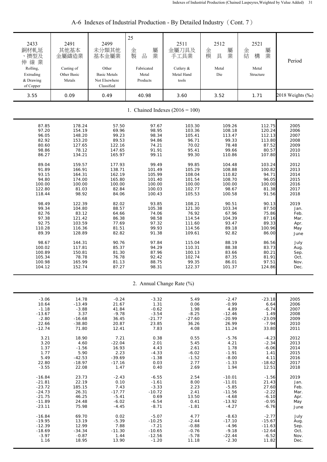| 2433<br>銅材軋延<br>、擠型及<br>伸線業<br>Rolling,<br>Extruding<br>& Drawing | 2491<br>其他基本<br>金屬鑄造業<br>Casting of<br>Other Basic<br>Metals | 2499<br>未分類其他<br>基本金屬業<br>Other<br><b>Basic Metals</b><br>Not Elsewhere | 25<br>屬<br>金<br>製<br>業<br>$\frac{\Box}{\Box \Box}$<br>Fabricated<br>Metal<br>Products | 2511<br>金屬刀具及<br>手工具業<br>Cutlery &<br>Metal Hand<br>tools | 2512<br>金<br>屬<br>業<br>模<br>具<br>Metal<br>Die | 2521<br>屬<br>金<br>業<br>結<br>構<br>Metal<br>Structure | Period               |
|-------------------------------------------------------------------|--------------------------------------------------------------|-------------------------------------------------------------------------|---------------------------------------------------------------------------------------|-----------------------------------------------------------|-----------------------------------------------|-----------------------------------------------------|----------------------|
| of Copper<br>3.55                                                 | 0.09                                                         | Classified<br>0.49                                                      | 40.98                                                                                 | 3.60                                                      | 3.52                                          | 1.71                                                | 2018 Weights (‰)     |
|                                                                   |                                                              |                                                                         |                                                                                       |                                                           |                                               |                                                     |                      |
|                                                                   |                                                              |                                                                         |                                                                                       | 1. Chained Indexes $(2016 = 100)$                         |                                               |                                                     |                      |
| 87.85<br>97.20<br>96.05                                           | 178.24<br>154.19<br>148.20                                   | 57.50<br>69.96<br>99.23                                                 | 97.67<br>98.95<br>98.34                                                               | 103.30<br>103.36<br>105.41                                | 109.26<br>108.18<br>113.47                    | 112.75<br>120.24<br>112.13                          | 2005<br>2006<br>2007 |
| 82.92                                                             | 153.20                                                       | 89.53                                                                   | 94.86                                                                                 | 96.71                                                     | 99.33                                         | 113.80                                              | 2008                 |
| 80.60                                                             | 127.65                                                       | 122.16                                                                  | 74.21                                                                                 | 70.02                                                     | 78.48                                         | 87.52                                               | 2009                 |
| 98.86                                                             | 78.12                                                        | 147.65                                                                  | 91.91                                                                                 | 95.41                                                     | 99.66                                         | 80.57                                               | 2010                 |
| 86.27                                                             | 134.21                                                       | 165.97                                                                  | 99.11                                                                                 | 99.30                                                     | 110.86                                        | 107.80                                              | 2011                 |
| 89.04                                                             | 159.57                                                       | 177.93                                                                  | 99.49                                                                                 | 99.85                                                     | 104.48                                        | 103.24                                              | 2012                 |
| 91.89                                                             | 166.91                                                       | 138.71                                                                  | 101.49                                                                                | 105.29                                                    | 108.88                                        | 100.82<br>94.71                                     | 2013<br>2014         |
| 93.15<br>94.80                                                    | 164.31<br>174.00                                             | 162.19<br>165.80                                                        | 105.99<br>101.40                                                                      | 108.04<br>101.54                                          | 110.82<br>108.70                              | 96.05                                               | 2015                 |
| 100.00                                                            | 100.00                                                       | 100.00                                                                  | 100.00                                                                                | 100.00                                                    | 100.00                                        | 100.00                                              | 2016                 |
| 122.80                                                            | 81.03                                                        | 82.84                                                                   | 100.03                                                                                | 102.77                                                    | 98.67                                         | 81.38                                               | 2017                 |
| 118.44                                                            | 98.92                                                        | 84.06                                                                   | 100.43                                                                                | 105.53                                                    | 100.58                                        | 91.56                                               | 2018                 |
| 98.49                                                             | 122.39                                                       | 82.02                                                                   | 93.85                                                                                 | 108.21                                                    | 90.51                                         | 90.13                                               | 2019                 |
| 99.34                                                             | 104.80                                                       | 88.57                                                                   | 105.38                                                                                | 121.30                                                    | 103.34                                        | 87.50                                               | Jan.                 |
| 82.76                                                             | 83.12                                                        | 64.66                                                                   | 74.06                                                                                 | 76.92                                                     | 67.96                                         | 75.86                                               | Feb.                 |
| 97.38                                                             | 121.42                                                       | 86.38                                                                   | 98.58                                                                                 | 114.54                                                    | 104.39                                        | 87.16                                               | Mar.                 |
| 92.75                                                             | 103.59                                                       | 77.69                                                                   | 97.32                                                                                 | 111.60                                                    | 93.47                                         | 89.33                                               | Apr.                 |
| 110.28                                                            | 116.36                                                       | 81.51                                                                   | 99.93                                                                                 | 114.56                                                    | 89.18                                         | 100.96                                              | May                  |
| 89.39                                                             | 128.89                                                       | 82.82                                                                   | 91.38                                                                                 | 109.61                                                    | 92.82                                         | 86.00                                               | June                 |
| 98.67                                                             | 144.31                                                       | 90.76                                                                   | 97.84                                                                                 | 115.04                                                    | 88.19                                         | 86.56                                               | July                 |
| 100.02                                                            | 117.81                                                       | 85.37                                                                   | 94.29                                                                                 | 110.31                                                    | 88.38                                         | 83.73                                               | Aug.                 |
| 100.89                                                            | 150.81                                                       | 81.30                                                                   | 87.96                                                                                 | 100.13                                                    | 83.66                                         | 80.21                                               | Sep.                 |
| 105.34<br>100.98                                                  | 78.78<br>165.99                                              | 76.78<br>81.13                                                          | 92.42<br>88.75                                                                        | 102.74<br>99.35                                           | 87.35<br>86.01                                | 81.91<br>97.51                                      | Oct.<br>Nov.         |
| 104.12                                                            | 152.74                                                       | 87.27                                                                   | 98.31                                                                                 | 122.37                                                    | 101.37                                        | 124.86                                              | Dec.                 |
|                                                                   |                                                              |                                                                         |                                                                                       |                                                           |                                               |                                                     |                      |
|                                                                   |                                                              |                                                                         |                                                                                       | 2. Annual Change Rate (%)                                 |                                               |                                                     |                      |
| $-3.06$                                                           | 14.78                                                        | $-0.24$                                                                 | $-3.32$                                                                               | 5.49                                                      | $-2.47$                                       | $-23.18$                                            | 2005                 |
| 10.64                                                             | $-13.49$                                                     | 21.67                                                                   | 1.31                                                                                  | 0.06                                                      | $-0.99$                                       | 6.64                                                | 2006                 |
| $-1.18$                                                           | $-3.88$                                                      | 41.84                                                                   | $-0.62$                                                                               | 1.98                                                      | 4.89                                          | $-6.74$                                             | 2007                 |
| $-13.67$                                                          | 3.37                                                         | $-9.78$                                                                 | $-3.54$                                                                               | $-8.25$                                                   | $-12.46$                                      | 1.49                                                | 2008                 |
| $-2.80$                                                           | $-16.68$                                                     | 36.45                                                                   | $-21.77$                                                                              | $-27.60$                                                  | $-20.99$                                      | $-23.09$                                            | 2009                 |
| 22.66<br>$-12.74$                                                 | $-38.80$<br>71.80                                            | 20.87<br>12.41                                                          | 23.85<br>7.83                                                                         | 36.26<br>4.08                                             | 26.99<br>11.24                                | $-7.94$<br>33.80                                    | 2010<br>2011         |
|                                                                   |                                                              |                                                                         |                                                                                       |                                                           |                                               |                                                     |                      |
| 3.21                                                              | 18.90                                                        | 7.21                                                                    | 0.38                                                                                  | 0.55                                                      | $-5.76$                                       | $-4.23$                                             | 2012                 |
| 3.20                                                              | 4.60                                                         | $-22.04$                                                                | 2.01                                                                                  | 5.45                                                      | 4.21                                          | $-2.34$                                             | 2013                 |
| 1.37<br>1.77                                                      | $-1.56$<br>5.90                                              | 16.93<br>2.23                                                           | 4.43<br>$-4.33$                                                                       | 2.61<br>$-6.02$                                           | 1.78<br>$-1.91$                               | $-6.06$                                             | 2014<br>2015         |
| 5.49                                                              | $-42.53$                                                     | $-39.69$                                                                | $-1.38$                                                                               | $-1.52$                                                   | $-8.00$                                       | 1.41<br>4.11                                        | 2016                 |
| 22.80                                                             | $-18.97$                                                     | $-17.16$                                                                | 0.03                                                                                  | 2.77                                                      | $-1.33$                                       | $-18.62$                                            | 2017                 |
| $-3.55$                                                           | 22.08                                                        | 1.47                                                                    | 0.40                                                                                  | 2.69                                                      | 1.94                                          | 12.51                                               | 2018                 |
| $-16.84$                                                          | 23.73                                                        | $-2.43$                                                                 | $-6.55$                                                                               | 2.54                                                      | $-10.01$                                      | $-1.56$                                             | 2019                 |
| $-21.81$                                                          | 22.19                                                        | 0.10                                                                    | $-1.61$                                                                               | 8.00                                                      | $-11.01$                                      | 21.43                                               | Jan.                 |
| $-23.72$                                                          | 185.15                                                       | 7.43                                                                    | $-3.33$                                                                               | 2.23                                                      | $-5.85$                                       | 27.60                                               | Feb.                 |
| $-24.73$                                                          | 26.31                                                        | $-17.77$                                                                | $-10.72$                                                                              | 2.41                                                      | $-11.56$                                      | $-2.22$                                             | Mar.                 |
| $-21.75$                                                          | 46.25                                                        | $-5.41$                                                                 | 0.69                                                                                  | 13.50                                                     | $-4.68$                                       | $-6.10$                                             | Apr.                 |
| $-11.89$                                                          | 24.48                                                        | $-6.02$                                                                 | $-6.54$                                                                               | 0.41                                                      | $-13.92$                                      | $-0.95$                                             | May                  |
| $-23.11$                                                          | 75.98                                                        | $-4.45$                                                                 | $-8.71$                                                                               | $-1.81$                                                   | $-4.27$                                       | $-6.76$                                             | June                 |
| $-16.84$                                                          | 69.70                                                        | 0.02                                                                    | $-5.07$                                                                               | 4.77                                                      | $-8.63$                                       | $-2.77$                                             | July                 |
| $-19.95$                                                          | 13.19                                                        | $-5.39$                                                                 | $-10.25$                                                                              | $-2.44$                                                   | $-17.10$                                      | $-15.67$                                            | Aug.                 |
| $-12.39$                                                          | 12.99                                                        | 7.88                                                                    | $-7.21$                                                                               | $-0.88$                                                   | $-4.96$                                       | $-11.63$                                            | Sep.                 |
| $-18.69$<br>$-3.97$                                               | $-34.34$<br>$-0.87$                                          | $-11.30$<br>1.44                                                        | $-10.65$<br>$-12.56$                                                                  | $-0.76$<br>$-5.78$                                        | $-9.18$<br>$-22.44$                           | $-12.64$<br>$-6.52$                                 | Oct.<br>Nov.         |
| 1.16                                                              | 18.95                                                        | 13.90                                                                   | $-1.20$                                                                               | 11.18                                                     | $-2.30$                                       | 11.82                                               | Dec.                 |

## A-6 Indexes of Industrial Production - By Detailed Industry (Cont. 7)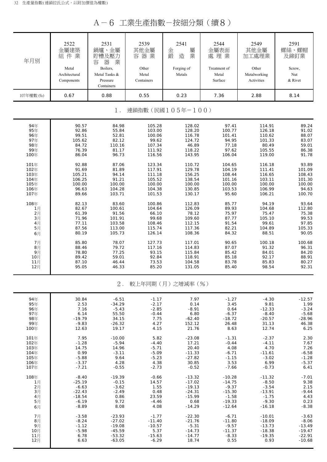A-6 工業生產指數-按細分類(續8)

| 年月別                       | 2522<br>金屬建築<br>組件業<br>Metal<br>Architectural<br>Components | 2531<br>鍋爐、金屬<br>貯槽及壓力<br>器<br>業<br>容<br>Boilers,<br>Metal Tanks &<br>Pressure<br>Containers | 2539<br>其他金屬<br>容器業<br>Other<br>Metal<br>Containers | 2541<br>屬<br>金<br>業<br>鍛<br>造<br>Forging of<br>Metals | 2544<br>金屬表面<br>處理業<br>Treatment of<br>Metal<br>Surface | 2549<br>其他金屬<br>加工處理業<br>Other<br>Metalworking<br>Activities | 2591<br>螺絲、螺帽<br>及鉚釘業<br>Screw,<br>Nut<br>& Rivet |
|---------------------------|-------------------------------------------------------------|----------------------------------------------------------------------------------------------|-----------------------------------------------------|-------------------------------------------------------|---------------------------------------------------------|--------------------------------------------------------------|---------------------------------------------------|
| 107年權數 (‰)                | 0.67                                                        | 0.88                                                                                         | 0.55                                                | 0.23                                                  | 7.36                                                    | 2.88                                                         | 8.14                                              |
| 連鎖指數(民國105年=100)<br>$1$ . |                                                             |                                                                                              |                                                     |                                                       |                                                         |                                                              |                                                   |
| 94年                       | 90.57                                                       | 84.98                                                                                        | 105.28                                              | 128.02                                                | 97.41                                                   | 114.91                                                       | 89.24                                             |
| 95年                       | 92.86                                                       | 55.84                                                                                        | 103.00                                              | 128.20                                                | 100.77                                                  | 126.18                                                       | 91.02                                             |
| 96年                       | 99.51                                                       | 52.81                                                                                        | 100.06                                              | 116.78                                                | 101.41                                                  | 110.62                                                       | 88.07                                             |
| 97年                       | 105.62                                                      | 82.12                                                                                        | 99.62                                               | 124.72                                                | 94.95                                                   | 101.33                                                       | 83.07                                             |
| 98年                       | 84.72                                                       | 110.16                                                                                       | 107.34                                              | 46.89                                                 | 77.18                                                   | 80.49                                                        | 59.01                                             |
| 99年                       | 76.39                                                       | 81.17                                                                                        | 111.92                                              | 118.22                                                | 97.62                                                   | 105.55                                                       | 86.38                                             |
| 100年                      | 86.04                                                       | 96.73                                                                                        | 116.56                                              | 143.95                                                | 106.04                                                  | 119.00                                                       | 91.78                                             |
| 101年                      | 92.88                                                       | 87.06                                                                                        | 123.34                                              | 110.72                                                | 104.65                                                  | 116.18                                                       | 93.89                                             |
| 102年                      | 91.69                                                       | 81.89                                                                                        | 117.91                                              | 129.78                                                | 104.19                                                  | 111.41                                                       | 101.09                                            |
| 103年                      | 105.21                                                      | 94.14                                                                                        | 111.18                                              | 156.25                                                | 108.44                                                  | 116.65                                                       | 108.43                                            |
| 104年                      | 106.25                                                      | 91.21                                                                                        | 105.52                                              | 138.54                                                | 101.16                                                  | 103.11                                                       | 101.30                                            |
| 105年                      | 100.00                                                      | 100.00                                                                                       | 100.00                                              | 100.00                                                | 100.00                                                  | 100.00                                                       | 100.00                                            |
| 106年                      | 96.63                                                       | 104.28                                                                                       | 104.38                                              | 130.85                                                | 103.53                                                  | 106.99                                                       | 94.63                                             |
| 107年                      | 89.66                                                       | 103.71                                                                                       | 101.53                                              | 130.17                                                | 95.60                                                   | 106.21                                                       | 100.70                                            |
| 108年                      | 82.13                                                       | 83.60                                                                                        | 100.86                                              | 112.83                                                | 85.77                                                   | 94.19                                                        | 93.64                                             |
| 1月                        | 82.67                                                       | 100.61                                                                                       | 104.64                                              | 126.09                                                | 89.93                                                   | 104.68                                                       | 112.80                                            |
| 2月                        | 61.39                                                       | 91.56                                                                                        | 66.10                                               | 78.12                                                 | 75.97                                                   | 75.47                                                        | 75.38                                             |
| 3月                        | 71.96                                                       | 101.91                                                                                       | 99.68                                               | 109.60                                                | 87.77                                                   | 105.10                                                       | 99.53                                             |
| 4月                        | 77.11                                                       | 103.58                                                                                       | 108.46                                              | 112.15                                                | 91.54                                                   | 99.61                                                        | 97.85                                             |
| 5月                        | 87.56                                                       | 113.00                                                                                       | 115.74                                              | 117.36                                                | 82.21                                                   | 104.89                                                       | 105.33                                            |
| 6月                        | 80.19                                                       | 105.73                                                                                       | 126.14                                              | 108.36                                                | 84.32                                                   | 88.51                                                        | 90.05                                             |
| 7月                        | 85.80                                                       | 78.07                                                                                        | 127.73                                              | 117.01                                                | 90.65                                                   | 100.18                                                       | 100.68                                            |
| 8月                        | 88.46                                                       | 79.72                                                                                        | 117.16                                              | 114.83                                                | 87.07                                                   | 91.32                                                        | 96.31                                             |
| 9月                        | 78.80                                                       | 77.25                                                                                        | 93.15                                               | 115.84                                                | 85.42                                                   | 84.01                                                        | 84.20                                             |
| 10月                       | 89.42                                                       | 59.01                                                                                        | 92.84                                               | 118.91                                                | 85.18                                                   | 92.17                                                        | 88.91                                             |
| 11月                       | 87.10                                                       | 46.44                                                                                        | 73.53                                               | 104.58                                                | 83.78                                                   | 85.83                                                        | 80.27                                             |
| 12月                       | 95.05                                                       | 46.33                                                                                        | 85.20                                               | 131.05                                                | 85.40                                                   | 98.54                                                        | 92.31                                             |
|                           |                                                             | $2$ .                                                                                        |                                                     | 較上年同期(月)之增減率(%)                                       |                                                         |                                                              |                                                   |
| 94年                       | 30.84                                                       | $-6.51$                                                                                      | $-1.17$                                             | 7.97                                                  | $-1.27$                                                 | $-4.30$                                                      | $-12.57$                                          |
| 95年                       | 2.53                                                        | $-34.29$                                                                                     | $-2.17$                                             | 0.14                                                  | 3.45                                                    | 9.81                                                         | 1.99                                              |
| 96年                       | 7.16                                                        | $-5.43$                                                                                      | $-2.85$                                             | $-8.91$                                               | 0.64                                                    | $-12.33$                                                     | $-3.24$                                           |
| 97年                       | 6.14                                                        | 55.50                                                                                        | $-0.44$                                             | 6.80                                                  | $-6.37$                                                 | $-8.40$                                                      | $-5.68$                                           |
| 98年                       | $-19.79$                                                    | 34.15                                                                                        | 7.75                                                | $-62.40$                                              | $-18.72$                                                | $-20.57$                                                     | $-28.96$                                          |
| 99年                       | $-9.83$                                                     | $-26.32$                                                                                     | 4.27                                                | 152.12                                                | 26.48                                                   | 31.13                                                        | 46.38                                             |
| 100年                      | 12.63                                                       | 19.17                                                                                        | 4.15                                                | 21.76                                                 | 8.63                                                    | 12.74                                                        | 6.25                                              |
| 101年                      | 7.95                                                        | $-10.00$                                                                                     | 5.82                                                | $-23.08$                                              | $-1.31$                                                 | $-2.37$                                                      | 2.30                                              |
| 102年                      | $-1.28$                                                     | $-5.94$                                                                                      | $-4.40$                                             | 17.21                                                 | $-0.44$                                                 | $-4.11$                                                      | 7.67                                              |
| 103年                      | 14.75                                                       | 14.96                                                                                        | $-5.71$                                             | 20.40                                                 | 4.08                                                    | 4.70                                                         | 7.26                                              |
| 104年                      | 0.99                                                        | $-3.11$                                                                                      | $-5.09$                                             | $-11.33$                                              | $-6.71$                                                 | $-11.61$                                                     | $-6.58$                                           |
| 105年                      | $-5.88$                                                     | 9.64                                                                                         | $-5.23$                                             | $-27.82$                                              | $-1.15$                                                 | $-3.02$                                                      | $-1.28$                                           |
| 106年                      | $-3.37$                                                     | 4.28                                                                                         | 4.38                                                | 30.85                                                 | 3.53                                                    | 6.99                                                         | $-5.37$                                           |
| 107年                      | $-7.21$                                                     | $-0.55$                                                                                      | $-2.73$                                             | $-0.52$                                               | $-7.66$                                                 | $-0.73$                                                      | 6.41                                              |
| 108年                      | $-8.40$                                                     | $-19.39$                                                                                     | $-0.66$                                             | $-13.32$                                              | $-10.28$                                                | $-11.32$                                                     | $-7.01$                                           |
| 1月                        | $-25.19$                                                    | $-0.15$                                                                                      | 14.57                                               | $-17.02$                                              | $-14.75$                                                | $-8.50$                                                      | 9.38                                              |
| 2月                        | $-6.63$                                                     | $-3.62$                                                                                      | 1.55                                                | $-19.13$                                              | $-9.37$                                                 | $-3.54$                                                      | 2.15                                              |
| 3月                        | $-22.43$                                                    | $-2.49$                                                                                      | 0.48                                                | $-24.31$                                              | $-15.30$                                                | $-13.91$                                                     | $-9.44$                                           |
| 4月                        | $-18.54$                                                    | 0.86                                                                                         | 23.59                                               | $-15.99$                                              | $-1.58$                                                 | $-1.75$                                                      | 4.43                                              |
| 5月                        | $-6.19$                                                     | 9.72                                                                                         | $-4.46$                                             | 0.68                                                  | $-19.33$                                                | $-9.30$                                                      | 0.23                                              |
| 6月                        | $-8.89$                                                     | 8.08                                                                                         | 4.08                                                | $-14.29$                                              | $-12.64$                                                | $-16.18$                                                     | $-8.38$                                           |
| 7月                        | $-3.58$                                                     | $-23.93$                                                                                     | $-1.77$                                             | $-22.30$                                              | $-6.71$                                                 | $-10.01$                                                     | $-3.63$                                           |
| 8月                        | $-8.24$                                                     | $-27.02$                                                                                     | $-11.40$                                            | $-21.76$                                              | $-11.80$                                                | $-18.09$                                                     | $-8.06$                                           |
| 9月                        | $-1.12$                                                     | $-19.08$                                                                                     | $-10.57$                                            | $-5.31$                                               | $-9.57$                                                 | $-13.73$                                                     | $-13.49$                                          |
| 10月                       | $-5.98$                                                     | $-45.59$                                                                                     | 5.37                                                | $-14.73$                                              | $-11.37$                                                | $-18.38$                                                     | $-19.47$                                          |
| 11月                       | 6.78                                                        | $-53.32$                                                                                     | $-15.63$                                            | $-14.77$                                              | $-8.33$                                                 | $-19.35$                                                     | $-22.91$                                          |
| 12月                       | 6.63                                                        | $-63.05$                                                                                     | $-6.29$                                             | 18.74                                                 | 0.55                                                    | 0.93                                                         | $-10.68$                                          |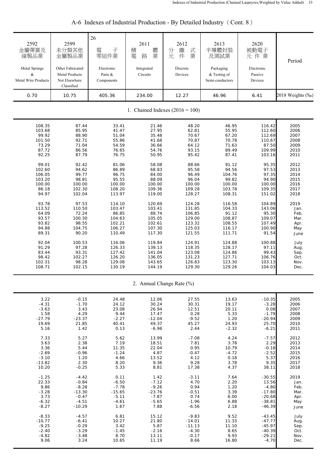| 2592<br>金屬彈簧及<br>線製品業<br>Metal Springs<br>&<br>Metal Wire Products | 2599<br>未分類其他<br>金屬製品業<br>Other Fabricated<br><b>Metal Products</b><br>Not Elsewhere<br>Classified | 26<br>子<br>電<br>零組件業<br>Electronic<br>Parts &<br>Components | 2611<br>體<br>積<br>業<br>電<br>路<br>Integrated<br>Circuits | 2612<br>式<br>離<br>分<br>完<br>件<br>業<br>Discrete<br>Devices | 2613<br>半導體封裝<br>及測試業<br>Packaging<br>& Testing of<br>Semi-conductors | 2620<br>被動電子<br>元件業<br>Electronic<br>Passive<br>Devices | Period           |
|--------------------------------------------------------------------|----------------------------------------------------------------------------------------------------|-------------------------------------------------------------|---------------------------------------------------------|-----------------------------------------------------------|-----------------------------------------------------------------------|---------------------------------------------------------|------------------|
| 0.70                                                               | 10.75                                                                                              | 405.36                                                      | 234.00                                                  | 12.27                                                     | 46.96                                                                 | 6.41                                                    | 2018 Weights (‰) |
|                                                                    |                                                                                                    |                                                             |                                                         | 1. Chained Indexes $(2016 = 100)$                         |                                                                       |                                                         |                  |
| 108.35                                                             | 87.44                                                                                              | 33.41                                                       | 21.46                                                   | 48.20                                                     | 46.95                                                                 | 116.42                                                  | 2005             |
| 103.68                                                             | 85.95                                                                                              | 41.47                                                       | 27.95                                                   | 62.81                                                     | 55.95                                                                 | 112.60                                                  | 2006             |
| 99.92                                                              | 88.90                                                                                              | 51.04                                                       | 35.48                                                   | 70.67                                                     | 67.20                                                                 | 112.69                                                  | 2007             |
| 101.50                                                             | 92.71                                                                                              | 55.86                                                       | 41.68                                                   | 70.87                                                     | 70.78                                                                 | 110.67                                                  | 2008             |
| 73.29                                                              | 71.04                                                                                              | 54.59                                                       | 36.66                                                   | 64.12                                                     | 71.63                                                                 | 87.50                                                   | 2009             |
| 87.72                                                              | 86.56                                                                                              | 76.65                                                       | 54.76                                                   | 93.15                                                     | 89.49                                                                 | 109.99                                                  | 2010             |
| 92.25                                                              | 87.79                                                                                              | 76.75                                                       | 50.95                                                   | 95.42                                                     | 87.41                                                                 | 103.16                                                  | 2011             |
| 99.01                                                              | 92.42                                                                                              | 81.06                                                       | 58.08                                                   | 88.66                                                     | 91.12                                                                 | 95.35                                                   | 2012             |
| 102.60                                                             | 94.62                                                                                              | 86.89                                                       | 68.83                                                   | 95.58                                                     | 94.56                                                                 | 97.53                                                   | 2013             |
| 106.05                                                             | 99.77                                                                                              | 96.75                                                       | 84.00                                                   | 96.49                                                     | 104.76                                                                | 97.35                                                   | 2014             |
| 103.20                                                             | 98.81                                                                                              | 95.55                                                       | 88.09                                                   | 96.04                                                     | 99.82                                                                 | 94.90                                                   | 2015             |
| 100.00                                                             | 100.00                                                                                             | 100.00                                                      | 100.00                                                  | 100.00                                                    | 100.00                                                                | 100.00                                                  | 2016             |
| 86.18                                                              | 102.30                                                                                             | 108.20                                                      | 109.36                                                  | 109.28                                                    | 103.78                                                                | 109.35                                                  | 2017             |
| 94.97                                                              | 102.04                                                                                             | 113.97                                                      | 119.00                                                  | 128.27                                                    | 108.31                                                                | 151.02                                                  | 2018             |
| 93.78                                                              | 97.53                                                                                              | 114.10                                                      | 120.69                                                  | 124.28                                                    | 116.58                                                                | 104.89                                                  | 2019             |
| 113.52                                                             | 110.50                                                                                             | 103.47                                                      | 103.41                                                  | 131.85                                                    | 104.33                                                                | 143.06                                                  | Jan.             |
| 64.09                                                              | 72.24                                                                                              | 86.85                                                       | 88.74                                                   | 106.85                                                    | 91.12                                                                 | 95.30                                                   | Feb.             |
| 93.57                                                              | 100.30                                                                                             | 104.63                                                      | 105.05                                                  | 129.00                                                    | 108.87                                                                | 109.07                                                  | Mar.             |
| 93.82                                                              | 98.55                                                                                              | 102.21                                                      | 102.61                                                  | 123.32                                                    | 108.55                                                                | 107.49                                                  | Apr.             |
| 94.88                                                              | 104.75                                                                                             | 106.27                                                      | 107.30                                                  | 125.03                                                    | 116.17                                                                | 100.90                                                  | May              |
| 89.31                                                              | 90.20                                                                                              | 110.49                                                      | 117.30                                                  | 121.55                                                    | 111.71                                                                | 91.54                                                   | June             |
| 92.04                                                              | 100.53                                                                                             | 116.06                                                      | 119.84                                                  | 124.91                                                    | 124.88                                                                | 100.88                                                  | July             |
| 91.29                                                              | 97.28                                                                                              | 126.33                                                      | 139.13                                                  | 118.35                                                    | 128.17                                                                | 97.11                                                   | Aug.             |
| 83.44                                                              | 93.31                                                                                              | 127.42                                                      | 141.04                                                  | 123.08                                                    | 124.86                                                                | 99.43                                                   | Sep.             |
| 98.42                                                              | 102.27                                                                                             | 126.20                                                      | 136.05                                                  | 131.23                                                    | 127.71                                                                | 106.76                                                  | Oct.             |
| 102.31                                                             | 98.28                                                                                              | 129.08                                                      | 143.65                                                  | 126.83                                                    | 123.30                                                                | 103.13                                                  | Nov.             |
| 108.71                                                             | 102.15                                                                                             | 130.19                                                      | 144.19                                                  | 129.30                                                    | 129.26                                                                | 104.03                                                  | Dec.             |
|                                                                    |                                                                                                    |                                                             |                                                         | 2. Annual Change Rate (%)                                 |                                                                       |                                                         |                  |
| 3.22                                                               | $-0.15$                                                                                            | 24.48                                                       | 12.06                                                   | 27.55                                                     | 13.63                                                                 | $-10.35$                                                | 2005             |
| $-4.31$                                                            | $-1.70$                                                                                            | 24.12                                                       | 30.24                                                   | 30.31                                                     | 19.17                                                                 | $-3.28$                                                 | 2006             |
| $-3.63$                                                            | 3.43                                                                                               | 23.08                                                       | 26.94                                                   | 12.51                                                     | 20.11                                                                 | 0.08                                                    | 2007             |
| 1.58                                                               | 4.29                                                                                               | 9.44                                                        | 17.47                                                   | 0.28                                                      | 5.33                                                                  | $-1.79$                                                 | 2008             |
| $-27.79$                                                           | $-23.37$                                                                                           | $-2.27$                                                     | $-12.04$                                                | $-9.52$                                                   | 1.20                                                                  | $-20.94$                                                | 2009             |
| 19.69                                                              | 21.85                                                                                              | 40.41                                                       | 49.37                                                   | 45.27                                                     | 24.93                                                                 | 25.70                                                   | 2010             |
| 5.16                                                               | 1.42                                                                                               | 0.13                                                        | $-6.96$                                                 | 2.44                                                      | $-2.32$                                                               | $-6.21$                                                 | 2011             |
| 7.33                                                               | 5.27                                                                                               | 5.62                                                        | 13.99                                                   | $-7.08$                                                   | 4.24                                                                  | $-7.57$                                                 | 2012             |
| 3.63                                                               | 2.38                                                                                               | 7.19                                                        | 18.51                                                   | 7.81                                                      | 3.78                                                                  | 2.29                                                    | 2013             |
| 3.36                                                               | 5.44                                                                                               | 11.35                                                       | 22.04                                                   | 0.95                                                      | 10.79                                                                 | $-0.18$                                                 | 2014             |
| $-2.69$                                                            | $-0.96$                                                                                            | $-1.24$                                                     | 4.87                                                    | $-0.47$                                                   | $-4.72$                                                               | $-2.52$                                                 | 2015             |
| $-3.10$                                                            | 1.20                                                                                               | 4.66                                                        | 13.52                                                   | 4.12                                                      | 0.18                                                                  | 5.37                                                    | 2016             |
| $-13.82$                                                           | 2.30                                                                                               | 8.20                                                        | 9.36                                                    | 9.28                                                      | 3.78                                                                  | 9.35                                                    | 2017             |
| 10.20                                                              | $-0.25$                                                                                            | 5.33                                                        | 8.81                                                    | 17.38                                                     | 4.37                                                                  | 38.11                                                   | 2018             |
| $-1.25$                                                            | $-4.42$                                                                                            | 0.11                                                        | 1.42                                                    | $-3.11$                                                   | 7.64                                                                  | $-30.55$                                                | 2019             |
| 22.33                                                              | $-0.84$                                                                                            | $-6.50$                                                     | $-7.12$                                                 | 4.70                                                      | 2.20                                                                  | 13.56                                                   | Jan.             |
| 9.86                                                               | $-8.28$                                                                                            | $-7.78$                                                     | $-9.26$                                                 | 0.94                                                      | 1.20                                                                  | $-4.80$                                                 | Feb.             |
| $-3.28$                                                            | $-13.30$                                                                                           | $-15.65$                                                    | $-23.76$                                                | $-0.51$                                                   | 3.39                                                                  | $-17.80$                                                | Mar.             |
| 3.73                                                               | $-0.47$                                                                                            | $-5.11$                                                     | $-7.87$                                                 | 0.74                                                      | 6.00                                                                  | $-20.68$                                                | Apr.             |
| $-6.32$                                                            | $-4.51$                                                                                            | $-4.61$                                                     | $-5.65$                                                 | $-1.96$                                                   | 6.88                                                                  | $-38.81$                                                | May              |
| $-8.27$                                                            | $-10.29$                                                                                           | 1.67                                                        | 7.88                                                    | $-6.56$                                                   | 2.18                                                                  | $-46.39$                                                | June             |
| $-8.33$                                                            | $-4.57$                                                                                            | 6.81                                                        | 15.12                                                   | $-9.83$                                                   | 9.52                                                                  | $-43.45$                                                | July             |
| $-10.77$                                                           | $-6.41$                                                                                            | 10.27                                                       | 21.80                                                   | $-14.01$                                                  | 11.33                                                                 | $-47.77$                                                | Aug.             |
| $-9.25$                                                            | $-0.29$                                                                                            | 3.42                                                        | 5.87                                                    | $-11.13$                                                  | 11.10                                                                 | $-45.97$                                                | Sep.             |
| $-2.40$                                                            | $-3.29$                                                                                            | $-1.45$                                                     | $-2.16$                                                 | $-4.30$                                                   | 8.65                                                                  | $-40.39$                                                | Oct.             |
| $-4.82$                                                            | $-3.48$                                                                                            | 8.70                                                        | 13.11                                                   | $-0.17$                                                   | 9.93                                                                  | $-29.21$                                                | Nov.             |
| 9.06                                                               | 3.24                                                                                               | 10.65                                                       | 11.19                                                   | 8.66                                                      | 16.80                                                                 | $-4.70$                                                 | Dec.             |

## A-6 Indexes of Industrial Production - By Detailed Industry (Cont. 8)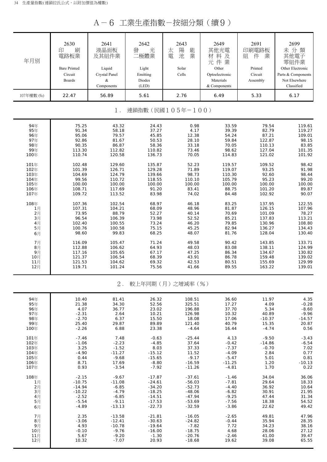A-6 工業生產指數-按細分類(續9)

| 年月別        | 2630<br>刷<br>印<br>電路板業<br><b>Bare Printed</b><br>Circuit<br><b>Boards</b> | 2641<br>液晶面板<br>及其組件業<br>Liquid<br>Crystal Panel<br>&<br>Components | 2642<br>光<br>發<br>二極體業<br>Light<br>Emitting<br>Diodes<br>(LED) | 2643<br>陽<br>太<br>能<br>電<br>業<br>池<br>Solar<br>Cells | 2649<br>其他光電<br>材料及<br>元件業<br>Other<br>Optoelectronic<br>Materials<br>& Components | 2691<br>印刷電路板<br>組<br>件<br>業<br>Printed<br>Circuit<br>Assembly | 2699<br>未分類<br>其他電子<br>零組件業<br>Other Electronic<br>Parts & Components<br>Not Elsewhere<br>Classified |
|------------|---------------------------------------------------------------------------|---------------------------------------------------------------------|----------------------------------------------------------------|------------------------------------------------------|------------------------------------------------------------------------------------|----------------------------------------------------------------|------------------------------------------------------------------------------------------------------|
| 107年權數 (‰) | 22.47                                                                     | 56.89                                                               | 5.61                                                           | 2.76                                                 | 6.49                                                                               | 5.33                                                           | 6.17                                                                                                 |
|            |                                                                           | $1$ .                                                               |                                                                | 連鎖指數(民國105年=100)                                     |                                                                                    |                                                                |                                                                                                      |
| 94年        | 75.25                                                                     | 43.32                                                               | 24.43                                                          | 0.98                                                 | 33.59                                                                              | 79.54                                                          | 119.61                                                                                               |
| 95年        | 91.34                                                                     | 58.18                                                               | 37.27                                                          | 4.17                                                 | 39.39                                                                              | 82.79                                                          | 119.27                                                                                               |
| 96年        | 95.06                                                                     | 79.57                                                               | 45.85                                                          | 12.38                                                | 54.24                                                                              | 87.21                                                          | 109.01                                                                                               |
| 97年        | 92.86                                                                     | 81.67                                                               | 50.53                                                          | 28.10                                                | 59.84                                                                              | 122.87                                                         | 98.15                                                                                                |
| 98年        | 90.35                                                                     | 86.87                                                               | 58.36                                                          | 33.18                                                | 70.05                                                                              | 110.13                                                         | 83.85                                                                                                |
| 99年        | 113.30                                                                    | 112.82                                                              | 110.82                                                         | 73.46                                                | 98.62                                                                              | 127.04                                                         | 101.35                                                                                               |
| 100年       | 110.74                                                                    | 120.58                                                              | 136.73                                                         | 70.05                                                | 114.83                                                                             | 121.02                                                         | 101.92                                                                                               |
| 101年       | 102.48                                                                    | 129.60                                                              | 135.87                                                         | 52.23                                                | 119.57                                                                             | 109.52                                                         | 98.42                                                                                                |
| 102年       | 101.39                                                                    | 126.71                                                              | 129.28                                                         | 71.89                                                | 119.07                                                                             | 93.25                                                          | 91.98                                                                                                |
| 103年       | 104.69                                                                    | 124.79                                                              | 139.66                                                         | 98.73                                                | 110.30                                                                             | 92.60                                                          | 98.44                                                                                                |
| 104年       | 99.56                                                                     | 110.72                                                              | 118.55                                                         | 110.10                                               | 105.79                                                                             | 95.23                                                          | 99.20                                                                                                |
| 105年       | 100.00                                                                    | 100.00                                                              | 100.00                                                         | 100.00                                               | 100.00                                                                             | 100.00                                                         | 100.00                                                                                               |
| 106年       | 108.71                                                                    | 117.69                                                              | 91.20                                                          | 83.41                                                | 88.75                                                                              | 101.20                                                         | 89.87                                                                                                |
| 107年       | 109.72                                                                    | 113.52                                                              | 83.98                                                          | 74.02                                                | 84.48                                                                              | 102.92                                                         | 90.07                                                                                                |
| 108年       | 107.36                                                                    | 102.54                                                              | 68.97                                                          | 46.18                                                | 83.25                                                                              | 137.95                                                         | 122.55                                                                                               |
| 1月         | 107.31                                                                    | 104.21                                                              | 68.09                                                          | 48.96                                                | 81.87                                                                              | 126.15                                                         | 107.96                                                                                               |
| 2月         | 73.95                                                                     | 88.79                                                               | 52.27                                                          | 40.14                                                | 70.69                                                                              | 101.09                                                         | 78.27                                                                                                |
| 3月         | 96.54                                                                     | 106.39                                                              | 73.98                                                          | 52.52                                                | 85.21                                                                              | 137.83                                                         | 113.21                                                                                               |
| 4月         | 102.40                                                                    | 100.55                                                              | 73.24                                                          | 46.20                                                | 79.85                                                                              | 130.96                                                         | 108.80                                                                                               |
| 5月         | 100.76                                                                    | 100.58                                                              | 75.15                                                          | 45.25                                                | 82.94                                                                              | 136.27                                                         | 134.43                                                                                               |
| 6月         | 98.60                                                                     | 99.83                                                               | 68.25                                                          | 48.07                                                | 81.76                                                                              | 128.04                                                         | 130.40                                                                                               |
| 7月         | 116.09                                                                    | 105.47                                                              | 71.24                                                          | 49.58                                                | 90.42                                                                              | 143.85                                                         | 133.71                                                                                               |
| 8月         | 112.88                                                                    | 106.62                                                              | 64.93                                                          | 48.03                                                | 83.08                                                                              | 138.11                                                         | 124.99                                                                                               |
| 9月         | 117.16                                                                    | 105.65                                                              | 67.17                                                          | 47.25                                                | 86.34                                                                              | 134.67                                                         | 130.82                                                                                               |
| 10月        | 121.37                                                                    | 106.54                                                              | 68.39                                                          | 43.91                                                | 86.78                                                                              | 159.48                                                         | 139.02                                                                                               |
| 11月        | 121.53                                                                    | 104.62                                                              | 69.32                                                          | 42.53                                                | 80.51                                                                              | 155.69                                                         | 129.99                                                                                               |
| 12月        | 119.71                                                                    | 101.24                                                              | 75.56                                                          | 41.66                                                | 89.55                                                                              | 163.22                                                         | 139.01                                                                                               |
|            |                                                                           | $2$ .                                                               |                                                                | 較上年同期(月)之增減率(%)                                      |                                                                                    |                                                                |                                                                                                      |
| 94年        | 10.40                                                                     | 81.41                                                               | 26.32                                                          | 108.51                                               | 36.60                                                                              | 11.97                                                          | 4.35                                                                                                 |
| 95年        | 21.38                                                                     | 34.30                                                               | 52.56                                                          | 325.51                                               | 17.27                                                                              | 4.09                                                           | $-0.28$                                                                                              |
| 96年        | 4.07                                                                      | 36.77                                                               | 23.02                                                          | 196.88                                               | 37.70                                                                              | 5.34                                                           | $-8.60$                                                                                              |
| 97年        | $-2.31$                                                                   | 2.64                                                                | 10.21                                                          | 126.98                                               | 10.32                                                                              | 40.89                                                          | $-9.96$                                                                                              |
| 98年        | $-2.70$                                                                   | 6.37                                                                | 15.50                                                          | 18.08                                                | 17.06                                                                              | $-10.37$                                                       | $-14.57$                                                                                             |
| 99年        | 25.40                                                                     | 29.87                                                               | 89.89                                                          | 121.40                                               | 40.79                                                                              | 15.35                                                          | 20.87                                                                                                |
| 100年       | $-2.26$                                                                   | 6.88                                                                | 23.38                                                          | $-4.64$                                              | 16.44                                                                              | $-4.74$                                                        | 0.56                                                                                                 |
| 101年       | $-7.46$                                                                   | 7.48                                                                | $-0.63$                                                        | $-25.44$                                             | 4.13                                                                               | $-9.50$                                                        | $-3.43$                                                                                              |
| 102年       | $-1.06$                                                                   | $-2.23$                                                             | $-4.85$                                                        | 37.64                                                | $-0.42$                                                                            | $-14.86$                                                       | $-6.54$                                                                                              |
| 103年       | 3.25                                                                      | $-1.52$                                                             | 8.03                                                           | 37.33                                                | $-7.37$                                                                            | $-0.70$                                                        | 7.02                                                                                                 |
| 104年       | $-4.90$                                                                   | $-11.27$                                                            | $-15.12$                                                       | 11.52                                                | $-4.09$                                                                            | 2.84                                                           | 0.77                                                                                                 |
| 105年       | 0.44                                                                      | $-9.68$                                                             | $-15.65$                                                       | $-9.17$                                              | $-5.47$                                                                            | 5.01                                                           | 0.81                                                                                                 |
| 106年       | 8.71                                                                      | 17.69                                                               | $-8.80$                                                        | $-16.59$                                             | $-11.25$                                                                           | 1.20                                                           | $-10.13$                                                                                             |
| 107年       | 0.93                                                                      | $-3.54$                                                             | $-7.92$                                                        | $-11.26$                                             | $-4.81$                                                                            | 1.70                                                           | 0.22                                                                                                 |
| 108年       | $-2.15$                                                                   | $-9.67$                                                             | $-17.87$                                                       | $-37.61$                                             | $-1.46$                                                                            | 34.04                                                          | 36.06                                                                                                |
| 1月         | $-10.75$                                                                  | $-11.08$                                                            | $-24.61$                                                       | $-56.03$                                             | $-7.81$                                                                            | 29.64                                                          | 18.33                                                                                                |
| 2月         | $-14.94$                                                                  | $-6.85$                                                             | $-34.20$                                                       | $-52.73$                                             | $-4.40$                                                                            | 36.92                                                          | 10.64                                                                                                |
| 3月         | $-10.22$                                                                  | $-4.79$                                                             | $-18.25$                                                       | $-48.06$                                             | $-6.82$                                                                            | 30.91                                                          | 21.95                                                                                                |
| 4月         | $-2.52$                                                                   | $-6.85$                                                             | $-14.51$                                                       | $-47.94$                                             | $-9.25$                                                                            | 47.44                                                          | 31.34                                                                                                |
| 5月         | $-5.54$                                                                   | $-9.11$                                                             | $-17.53$                                                       | $-53.69$                                             | $-7.56$                                                                            | 18.38                                                          | 54.52                                                                                                |
| 6月         | $-4.89$                                                                   | $-13.13$                                                            | $-22.73$                                                       | $-32.59$                                             | $-3.86$                                                                            | 22.62                                                          | 49.42                                                                                                |
| 7月         | 2.35                                                                      | $-13.58$                                                            | $-21.81$                                                       | $-16.05$                                             | $-2.65$                                                                            | 49.81                                                          | 47.96                                                                                                |
| 8月         | $-3.06$                                                                   | $-12.41$                                                            | $-30.63$                                                       | $-24.82$                                             | $-0.44$                                                                            | 35.94                                                          | 28.35                                                                                                |
| 9月         | 4.93                                                                      | $-10.78$                                                            | $-19.64$                                                       | $-7.82$                                              | 7.72                                                                               | 34.23                                                          | 38.16                                                                                                |
| 10月        | $-0.10$                                                                   | $-9.76$                                                             | $-16.00$                                                       | $-18.75$                                             | 4.68                                                                               | 28.06                                                          | 27.12                                                                                                |
| 11月        | 5.67                                                                      | $-9.20$                                                             | $-1.30$                                                        | $-20.76$                                             | $-2.46$                                                                            | 41.00                                                          | 39.47                                                                                                |
| 12月        | 10.32                                                                     | $-7.07$                                                             | 20.93                                                          | $-18.68$                                             | 19.62                                                                              | 39.08                                                          | 65.55                                                                                                |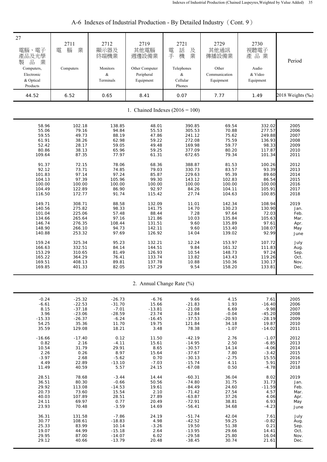| 27<br>電腦、電子<br>產品及光學<br>品<br>業<br>製<br>Computers,<br>Electronic<br>& Optical<br>Products | 2711<br>業<br>腦<br>電<br>Computers | 2712<br>顯示器及<br>終端機業<br>Monitors<br>&<br>Terminals | 2719<br>其他電腦<br>週邊設備業<br>Other Computer<br>Peripheral<br>Equipment | 2721<br>話<br>及<br>電<br>業<br>手<br>機<br>Telephones<br>&<br>Cellular<br>Phones | 2729<br>其他通訊<br>傳播設備業<br>Other<br>Communication<br>Equipment | 2730<br>視聽電子<br>產品業<br>Audio<br>& Video<br>Equipment | Period           |  |
|------------------------------------------------------------------------------------------|----------------------------------|----------------------------------------------------|--------------------------------------------------------------------|-----------------------------------------------------------------------------|--------------------------------------------------------------|------------------------------------------------------|------------------|--|
| 44.52                                                                                    | 6.52                             | 0.65                                               | 8.41                                                               | 0.07                                                                        | 7.77                                                         | 1.49                                                 | 2018 Weights (‰) |  |
| 1. Chained Indexes $(2016 = 100)$                                                        |                                  |                                                    |                                                                    |                                                                             |                                                              |                                                      |                  |  |
| 58.96                                                                                    | 102.18                           | 138.85                                             | 48.01                                                              | 390.85                                                                      | 69.54                                                        | 332.02                                               | 2005             |  |
| 55.06                                                                                    | 79.16                            | 94.84                                              | 55.53                                                              | 305.53                                                                      | 70.88                                                        | 277.57                                               | 2006             |  |
| 59.55                                                                                    | 49.73                            | 88.19                                              | 47.86                                                              | 241.12                                                                      | 75.62                                                        | 249.88                                               | 2007             |  |
| 61.91                                                                                    | 38.26                            | 62.98                                              | 59.22                                                              | 272.08                                                                      | 75.59                                                        | 136.93                                               | 2008             |  |
| 52.42                                                                                    | 28.17                            | 59.05                                              | 49.48                                                              | 169.98                                                                      | 59.77                                                        | 98.33                                                | 2009             |  |
| 80.86                                                                                    | 38.13                            | 65.96                                              | 59.25                                                              | 377.09                                                                      | 80.20                                                        | 117.87                                               | 2010             |  |
| 109.64                                                                                   | 87.35                            | 77.97                                              | 61.31                                                              | 672.65                                                                      | 79.34                                                        | 101.34                                               | 2011             |  |
| 91.37                                                                                    | 72.15                            | 78.06                                              | 68.36                                                              | 388.87                                                                      | 81.53                                                        | 100.26                                               | 2012             |  |
| 92.12                                                                                    | 73.71                            | 74.85                                              | 79.03                                                              | 330.73                                                                      | 83.57                                                        | 93.39                                                | 2013             |  |
| 101.83                                                                                   | 97.14                            | 97.24                                              | 85.87                                                              | 229.63                                                                      | 95.39                                                        | 89.60                                                | 2014             |  |
| 104.13                                                                                   | 97.39                            | 105.96                                             | 99.30                                                              | 143.12                                                                      | 102.83                                                       | 86.54                                                | 2015             |  |
| 100.00                                                                                   | 100.00                           | 100.00                                             | 100.00                                                             | 100.00                                                                      | 100.00                                                       | 100.00                                               | 2016             |  |
| 104.49                                                                                   | 122.89                           | 86.90                                              | 92.97                                                              | 84.26                                                                       | 104.11                                                       | 105.91                                               | 2017             |  |
| 116.50                                                                                   | 172.77                           | 91.74                                              | 115.42                                                             | 27.74                                                                       | 104.63                                                       | 100.85                                               | 2018             |  |
| 149.71                                                                                   | 308.71                           | 88.58                                              | 132.09                                                             | 11.01                                                                       | 142.34                                                       | 108.94                                               | 2019             |  |
| 140.56                                                                                   | 275.82                           | 98.33                                              | 141.75                                                             | 14.70                                                                       | 130.23                                                       | 130.90                                               | Jan.             |  |
| 101.04                                                                                   | 225.06                           | 57.48                                              | 88.44                                                              | 7.28                                                                        | 97.64                                                        | 72.03                                                | Feb.             |  |
| 134.66                                                                                   | 265.64                           | 97.16                                              | 121.86                                                             | 10.03                                                                       | 135.84                                                       | 105.63                                               | Mar.             |  |
| 146.74                                                                                   | 276.35                           | 108.44                                             | 131.51                                                             | 9.60                                                                        | 135.89                                                       | 97.61                                                | Apr.             |  |
| 148.90                                                                                   | 266.10                           | 94.73                                              | 142.11                                                             | 9.60                                                                        | 153.40                                                       | 108.07                                               | May              |  |
| 140.88                                                                                   | 253.32                           | 97.69                                              | 126.92                                                             | 14.04                                                                       | 139.02                                                       | 92.99                                                | June             |  |
| 159.24                                                                                   | 325.34                           | 95.23                                              | 132.21                                                             | 12.24                                                                       | 153.97                                                       | 107.72                                               | July             |  |
| 166.63                                                                                   | 332.51                           | 84.14                                              | 144.51                                                             | 9.84                                                                        | 161.32                                                       | 111.83                                               | Aug.             |  |
| 153.29                                                                                   | 310.65                           | 81.49                                              | 126.93                                                             | 10.54                                                                       | 148.73                                                       | 97.24                                                | Sep.             |  |
| 165.22                                                                                   | 364.29                           | 76.41                                              | 133.74                                                             | 13.82                                                                       | 143.43                                                       | 119.26                                               | Oct.             |  |
| 169.51                                                                                   | 408.13                           | 89.81                                              | 137.78                                                             | 10.88                                                                       | 150.36                                                       | 130.17                                               | Nov.             |  |
| 169.85                                                                                   | 401.33                           | 82.05                                              | 157.29                                                             | 9.54                                                                        | 158.20                                                       | 133.81                                               | Dec.             |  |
|                                                                                          |                                  |                                                    |                                                                    | 2. Annual Change Rate (%)                                                   |                                                              |                                                      |                  |  |
| $-0.24$                                                                                  | $-25.32$                         | $-26.73$                                           | $-6.76$                                                            | 9.66                                                                        | 4.15                                                         | 7.61                                                 | 2005             |  |
| $-6.61$                                                                                  | $-22.53$                         | $-31.70$                                           | 15.66                                                              | $-21.83$                                                                    | 1.93                                                         | $-16.40$                                             | 2006             |  |
| 8.15                                                                                     | $-37.18$                         | $-7.01$                                            | $-13.81$                                                           | $-21.08$                                                                    | 6.69                                                         | $-9.98$                                              | 2007             |  |
| 3.96                                                                                     | $-23.06$                         | $-28.59$                                           | 23.74                                                              | 12.84                                                                       | $-0.04$                                                      | $-45.20$                                             | 2008             |  |
| $-15.33$                                                                                 | $-26.37$                         | $-6.24$                                            | $-16.45$                                                           | $-37.53$                                                                    | $-20.93$                                                     | $-28.19$                                             | 2009             |  |
| 54.25                                                                                    | 35.36                            | 11.70                                              | 19.75                                                              | 121.84                                                                      | 34.18                                                        | 19.87                                                | 2010             |  |
| 35.59                                                                                    | 129.08                           | 18.21                                              | 3.48                                                               | 78.38                                                                       | $-1.07$                                                      | $-14.02$                                             | 2011             |  |
| $-16.66$                                                                                 | $-17.40$                         | 0.12                                               | 11.50                                                              | $-42.19$                                                                    | 2.76                                                         | $-1.07$                                              | 2012             |  |
| 0.82                                                                                     | 2.16                             | $-4.11$                                            | 15.61                                                              | $-14.95$                                                                    | 2.50                                                         | $-6.85$                                              | 2013             |  |
| 10.54                                                                                    | 31.79                            | 29.91                                              | 8.65                                                               | $-30.57$                                                                    | 14.14                                                        | $-4.06$                                              | 2014             |  |
| 2.26                                                                                     | 0.26                             | 8.97                                               | 15.64                                                              | $-37.67$                                                                    | 7.80                                                         | $-3.42$                                              | 2015             |  |
| $-3.97$                                                                                  | 2.68                             | $-5.62$                                            | 0.70                                                               | $-30.13$                                                                    | $-2.75$                                                      | 15.55                                                | 2016             |  |
| 4.49                                                                                     | 22.89                            | $-13.10$                                           | $-7.03$                                                            | $-15.74$                                                                    | 4.11                                                         | 5.91                                                 | 2017             |  |
| 11.49                                                                                    | 40.59                            | 5.57                                               | 24.15                                                              | $-67.08$                                                                    | 0.50                                                         | $-4.78$                                              | 2018             |  |
| 28.51                                                                                    | 78.68                            | $-3.44$                                            | 14.44                                                              | $-60.31$                                                                    | 36.04                                                        | 8.02                                                 | 2019             |  |
| 36.51                                                                                    | 80.30                            | $-0.66$                                            | 50.56                                                              | $-74.80$                                                                    | 31.75                                                        | 31.73                                                | Jan.             |  |
| 29.92                                                                                    | 113.08                           | $-14.53$                                           | 19.61                                                              | $-84.49$                                                                    | 24.60                                                        | $-11.59$                                             | Feb.             |  |
| 20.73                                                                                    | 73.60                            | 15.54                                              | 2.10                                                               | $-71.42$                                                                    | 27.54                                                        | 4.57                                                 | Mar.             |  |
| 40.03                                                                                    | 107.89                           | 28.51                                              | 27.89                                                              | $-63.87$                                                                    | 37.26                                                        | 4.06                                                 | Apr.             |  |
| 24.11                                                                                    | 69.97                            | 0.77                                               | 20.49                                                              | $-72.91$                                                                    | 38.81                                                        | 6.93                                                 | May              |  |
| 23.93                                                                                    | 70.48                            | $-3.59$                                            | 14.69                                                              | $-56.41$                                                                    | 34.68                                                        | $-4.23$                                              | June             |  |
| 36.31                                                                                    | 131.58                           | $-7.86$                                            | 24.19                                                              | $-51.74$                                                                    | 42.04                                                        | 7.61                                                 | July             |  |
| 30.77                                                                                    | 108.61                           | $-18.83$                                           | 4.98                                                               | $-42.52$                                                                    | 59.25                                                        | $-0.82$                                              | Aug.             |  |
| 25.33                                                                                    | 83.99                            | 10.14                                              | $-3.26$                                                            | 19.50                                                                       | 51.38                                                        | 0.21                                                 | Sep.             |  |
| 19.07                                                                                    | 44.99                            | $-15.18$                                           | 2.64                                                               | $-13.95$                                                                    | 29.66                                                        | 14.41                                                | Oct.             |  |
| 29.95                                                                                    | 87.00                            | $-14.07$                                           | 6.02                                                               | $-29.58$                                                                    | 25.80                                                        | 16.04                                                | Nov.             |  |
| 29.12                                                                                    | 40.66                            | $-13.79$                                           | 20.48                                                              | $-38.45$                                                                    | 30.74                                                        | 21.61                                                | Dec.             |  |

| A-6 Indexes of Industrial Production - By Detailed Industry (Cont. 9) |  |
|-----------------------------------------------------------------------|--|
|                                                                       |  |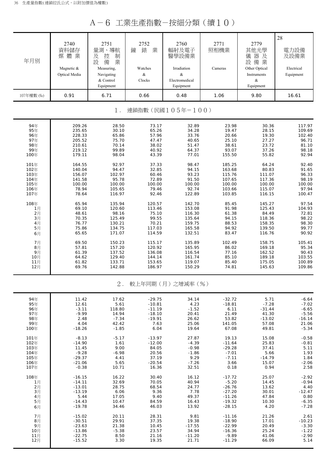A-6 工業生產指數-按細分類(續10)

| 年月別        | 2740<br>資料儲存<br>媒體業<br>Magnetic &<br>Optical Media | 2751<br>量測、導航<br>及<br>控<br>制<br>設<br>備<br>業<br>Measuring,<br>Navigating<br>& Control<br>Equipment | 2752<br>錶<br>業<br>鐘<br>Watches<br>$\&$<br>Clocks | 2760<br>輻射及電子<br>醫學設備業<br>Irradiation<br>$\&$<br>Electromedical<br>Equipment | 2771<br>照相機業<br>Cameras | 2779<br>其他光學<br>器及<br>儀<br>設備業<br>Other Optical<br>Instruments<br>&<br>Equipment | 28<br>電力設備<br>及設備業<br>Electrical<br>Equipment |
|------------|----------------------------------------------------|---------------------------------------------------------------------------------------------------|--------------------------------------------------|------------------------------------------------------------------------------|-------------------------|----------------------------------------------------------------------------------|-----------------------------------------------|
| 107年權數 (%) | 0.91                                               | 6.71                                                                                              | 0.66                                             | 0.48                                                                         | 1.06                    | 9.80                                                                             | 16.61                                         |
|            |                                                    | $1$ .                                                                                             |                                                  | 連鎖指數(民國105年=100)                                                             |                         |                                                                                  |                                               |
| 94年        | 209.26                                             | 28.50                                                                                             | 73.17                                            | 32.89                                                                        | 23.98                   | 30.36                                                                            | 117.97                                        |
| 95年        | 235.65                                             | 30.10                                                                                             | 65.26                                            | 34.28                                                                        | 19.47                   | 28.15                                                                            | 109.69                                        |
| 96年        | 228.33                                             | 65.86                                                                                             | 57.96                                            | 33.76                                                                        | 20.66                   | 19.30                                                                            | 102.40                                        |
| 97年        | 205.52                                             | 75.70                                                                                             | 47.47                                            | 40.65                                                                        | 25.10                   | 27.27                                                                            | 96.71                                         |
| 98年        | 210.61                                             | 70.14                                                                                             | 38.02                                            | 51.47                                                                        | 38.61                   | 23.72                                                                            | 81.10                                         |
| 99年        | 219.12                                             | 99.89                                                                                             | 40.92                                            | 64.37                                                                        | 93.07                   | 37.26                                                                            | 98.18                                         |
| 100年       | 179.11                                             | 98.04                                                                                             | 43.39                                            | 77.01                                                                        | 155.50                  | 55.82                                                                            | 92.94                                         |
| 101年       | 164.55                                             | 92.97                                                                                             | 37.33                                            | 98.47                                                                        | 185.25                  | 64.24                                                                            | 92.40                                         |
| 102年       | 140.04                                             | 94.47                                                                                             | 32.85                                            | 94.15                                                                        | 163.68                  | 80.83                                                                            | 91.65                                         |
| 103年       | 156.07                                             | 102.97                                                                                            | 60.46                                            | 93.23                                                                        | 115.76                  | 111.07                                                                           | 96.33                                         |
| 104年       | 141.58                                             | 95.78                                                                                             | 72.89                                            | 91.50                                                                        | 107.65                  | 117.36                                                                           | 98.19                                         |
| 105年       | 100.00                                             | 100.00                                                                                            | 100.00                                           | 100.00                                                                       | 100.00                  | 100.00                                                                           | 100.00                                        |
| 106年       | 78.94                                              | 105.65                                                                                            | 79.46                                            | 92.74                                                                        | 103.66                  | 115.07                                                                           | 97.94                                         |
| 107年       | 78.64                                              | 116.97                                                                                            | 92.46                                            | 122.89                                                                       | 103.85                  | 116.15                                                                           | 100.47                                        |
| 108年       | 65.94                                              | 135.94                                                                                            | 120.57                                           | 142.70                                                                       | 85.45                   | 145.27                                                                           | 97.54                                         |
| 1月         | 69.10                                              | 120.60                                                                                            | 113.46                                           | 153.08                                                                       | 91.98                   | 125.43                                                                           | 104.93                                        |
| 2月         | 48.61                                              | 98.16                                                                                             | 75.10                                            | 116.30                                                                       | 61.38                   | 84.49                                                                            | 72.81                                         |
| 3月         | 70.35                                              | 125.49                                                                                            | 99.55                                            | 135.64                                                                       | 94.15                   | 118.36                                                                           | 98.22                                         |
| 4月         | 76.77                                              | 130.21                                                                                            | 70.21                                            | 159.75                                                                       | 88.53                   | 158.35                                                                           | 98.30                                         |
| 5月         | 75.86                                              | 134.75                                                                                            | 117.03                                           | 165.58                                                                       | 94.92                   | 139.50                                                                           | 99.77                                         |
| 6月         | 65.65                                              | 171.07                                                                                            | 114.59                                           | 132.51                                                                       | 83.47                   | 116.76                                                                           | 90.92                                         |
| 7月         | 69.50                                              | 150.23                                                                                            | 115.17                                           | 135.89                                                                       | 102.49                  | 158.75                                                                           | 105.41                                        |
| 8月         | 57.81                                              | 157.20                                                                                            | 120.92                                           | 165.95                                                                       | 86.02                   | 169.18                                                                           | 95.34                                         |
| 9月         | 61.39                                              | 137.52                                                                                            | 136.08                                           | 116.54                                                                       | 77.16                   | 162.52                                                                           | 90.43                                         |
| 10月        | 64.62                                              | 129.40                                                                                            | 144.14                                           | 161.74                                                                       | 85.10                   | 189.18                                                                           | 103.55                                        |
| 11月        | 61.82                                              | 133.71                                                                                            | 153.65                                           | 119.07                                                                       | 85.40                   | 175.05                                                                           | 100.89                                        |
| 12月        | 69.76                                              | 142.88                                                                                            | 186.97                                           | 150.29                                                                       | 74.81                   | 145.63                                                                           | 109.86                                        |
|            |                                                    | $2$ .                                                                                             |                                                  | 較上年同期(月)之增減率(%)                                                              |                         |                                                                                  |                                               |
| 94年        | 11.42                                              | 17.62                                                                                             | $-29.75$                                         | 34.14                                                                        | $-32.72$                | 5.71                                                                             | $-6.64$                                       |
| 95年        | 12.61                                              | 5.61                                                                                              | $-10.81$                                         | 4.23                                                                         | $-18.81$                | $-7.28$                                                                          | $-7.02$                                       |
| 96年        | $-3.11$                                            | 118.80                                                                                            | $-11.19$                                         | $-1.52$                                                                      | 6.11                    | $-31.44$                                                                         | $-6.65$                                       |
| 97年        | $-9.99$                                            | 14.94                                                                                             | $-18.10$                                         | 20.41                                                                        | 21.49                   | 41.30                                                                            | $-5.56$                                       |
| 98年        | 2.48                                               | $-7.34$                                                                                           | $-19.91$                                         | 26.62                                                                        | 53.82                   | $-13.02$                                                                         | $-16.14$                                      |
| 99年        | 4.04                                               | 42.42                                                                                             | 7.63                                             | 25.06                                                                        | 141.05                  | 57.08                                                                            | 21.06                                         |
| 100年       | $-18.26$                                           | $-1.85$                                                                                           | 6.04                                             | 19.64                                                                        | 67.08                   | 49.81                                                                            | $-5.34$                                       |
| 101年       | $-8.13$                                            | $-5.17$                                                                                           | $-13.97$                                         | 27.87                                                                        | 19.13                   | 15.08                                                                            | $-0.58$                                       |
| 102年       | $-14.90$                                           | 1.61                                                                                              | $-12.00$                                         | $-4.39$                                                                      | $-11.64$                | 25.83                                                                            | $-0.81$                                       |
| 103年       | 11.45                                              | 9.00                                                                                              | 84.05                                            | $-0.98$                                                                      | $-29.28$                | 37.41                                                                            | 5.11                                          |
| 104年       | $-9.28$                                            | $-6.98$                                                                                           | 20.56                                            | $-1.86$                                                                      | $-7.01$                 | 5.66                                                                             | 1.93                                          |
| 105年       | $-29.37$                                           | 4.41                                                                                              | 37.19                                            | 9.29                                                                         | $-7.11$                 | $-14.79$                                                                         | 1.84                                          |
| 106年       | $-21.06$                                           | 5.65                                                                                              | $-20.54$                                         | $-7.26$                                                                      | 3.66                    | 15.07                                                                            | $-2.06$                                       |
| 107年       | $-0.38$                                            | 10.71                                                                                             | 16.36                                            | 32.51                                                                        | 0.18                    | 0.94                                                                             | 2.58                                          |
| 108年       | $-16.15$                                           | 16.22                                                                                             | 30.40                                            | 16.12                                                                        | $-17.72$                | 25.07                                                                            | $-2.92$                                       |
| 1月         | $-14.11$                                           | 32.69                                                                                             | 70.05                                            | 40.94                                                                        | $-5.20$                 | 14.45                                                                            | $-0.94$                                       |
| 2月         | $-13.01$                                           | 28.75                                                                                             | 68.54                                            | 24.77                                                                        | $-26.76$                | 13.62                                                                            | 4.40                                          |
| 3月         | $-13.19$                                           | 6.06                                                                                              | 9.36                                             | 7.78                                                                         | $-27.20$                | 30.01                                                                            | $-12.47$                                      |
| 4月         | 5.44                                               | 17.05                                                                                             | 9.40                                             | 49.37                                                                        | $-11.26$                | 47.84                                                                            | 0.80                                          |
| 5月         | $-14.43$                                           | 10.47                                                                                             | 84.59                                            | 16.43                                                                        | $-19.32$                | 10.30                                                                            | $-6.35$                                       |
| 6月         | $-19.78$                                           | 34.46                                                                                             | 46.03                                            | 13.92                                                                        | $-28.15$                | 4.20                                                                             | $-7.28$                                       |
| 7月         | $-15.02$                                           | 20.11                                                                                             | 28.31                                            | 9.81                                                                         | $-11.16$                | 21.26                                                                            | 2.61                                          |
| 8月         | $-30.51$                                           | 29.91                                                                                             | 37.35                                            | 19.38                                                                        | $-18.90$                | 17.01                                                                            | $-10.23$                                      |
| 9月         | $-23.63$                                           | 21.38                                                                                             | 10.45                                            | $-17.55$                                                                     | $-22.99$                | 20.49                                                                            | $-3.30$                                       |
| 10月        | $-13.86$                                           | $-5.38$                                                                                           | 23.57                                            | 34.94                                                                        | $-16.36$                | 25.24                                                                            | $-1.22$                                       |
| 11月        | $-22.75$                                           | 8.50                                                                                              | 21.16                                            | $-11.20$                                                                     | $-9.89$                 | 41.06                                                                            | $-2.90$                                       |
| 12月        | $-15.52$                                           | 3.30                                                                                              | 19.35                                            | 21.71                                                                        | $-11.29$                | 66.09                                                                            | 5.14                                          |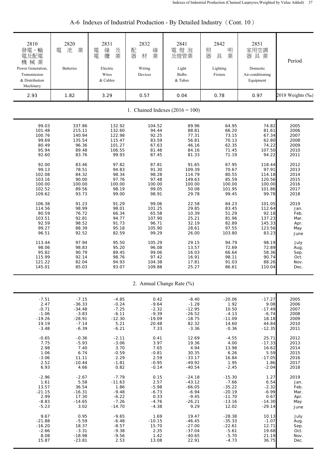| 2810<br>發電、輸<br>電及配電<br>機械業<br>Power Generation,<br>Transmission<br>& Distribution<br>Machinery | 2820<br>業<br>池<br>電<br><b>Batteries</b> | 2831<br>線<br>電<br>及<br>業<br>纜<br>電<br>Electric<br>Wires<br>& Cables | 2832<br>配<br>線<br>器<br>業<br>材<br>Wiring<br>Devices | 2841<br>電燈泡<br>及燈管業<br>Light<br><b>Bulbs</b><br>& Tubes | 2842<br>照<br>明<br>器<br>業<br>具<br>Lighting<br>Fixture | 2851<br>家用空調<br>器具業<br>Domestic<br>Air-conditioning<br>Equipment | Period           |
|-------------------------------------------------------------------------------------------------|-----------------------------------------|---------------------------------------------------------------------|----------------------------------------------------|---------------------------------------------------------|------------------------------------------------------|------------------------------------------------------------------|------------------|
| 2.93                                                                                            | 1.82                                    | 3.29                                                                | 0.57                                               | 0.04                                                    | 0.78                                                 | 0.97                                                             | 2018 Weights (‰) |
|                                                                                                 |                                         |                                                                     |                                                    | 1. Chained Indexes $(2016 = 100)$                       |                                                      |                                                                  |                  |
| 99.03                                                                                           | 337.86                                  | 132.92                                                              | 104.52                                             | 89.96                                                   | 64.95                                                | 74.82                                                            | 2005             |
| 101.48                                                                                          | 215.11                                  | 132.60                                                              | 94.44                                              | 88.81                                                   | 66.20                                                | 81.61                                                            | 2006             |
| 100.76                                                                                          | 140.94                                  | 122.98                                                              | 92.25                                              | 77.31                                                   | 73.15                                                | 67.34                                                            | 2007             |
| 99.69                                                                                           | 135.54                                  | 115.47                                                              | 83.59                                              | 56.81                                                   | 70.13                                                | 62.80                                                            | 2008             |
| 80.49                                                                                           | 96.36                                   | 101.27                                                              | 67.63                                              | 46.16                                                   | 62.35                                                | 74.22                                                            | 2009             |
| 95.94                                                                                           | 89.48                                   | 106.55                                                              | 81.48                                              | 84.16                                                   | 71.45                                                | 107.50                                                           | 2010             |
| 92.60                                                                                           | 83.76                                   | 99.93                                                               | 87.45                                              | 81.33                                                   | 71.19                                                | 94.22                                                            | 2011             |
| 92.00                                                                                           | 83.46                                   | 97.82                                                               | 87.81                                              | 91.65                                                   | 67.95                                                | 118.44                                                           | 2012             |
| 99.13                                                                                           | 78.51                                   | 94.83                                                               | 91.30                                              | 109.39                                                  | 70.67                                                | 97.91                                                            | 2013             |
| 102.08                                                                                          | 84.32                                   | 98.34                                                               | 98.28                                              | 114.79                                                  | 80.55                                                | 114.18                                                           | 2014             |
| 103.16                                                                                          | 90.00                                   | 97.76                                                               | 97.48                                              | 149.63                                                  | 85.59                                                | 120.56                                                           | 2015             |
| 100.00                                                                                          | 100.00                                  | 100.00                                                              | 100.00                                             | 100.00                                                  | 100.00                                               | 100.00                                                           | 2016             |
| 102.52                                                                                          | 89.56                                   | 98.19                                                               | 99.05                                              | 50.08                                                   | 101.95                                               | 101.86                                                           | 2017             |
| 109.62                                                                                          | 93.73                                   | 99.00                                                               | 98.91                                              | 29.78                                                   | 99.45                                                | 99.78                                                            | 2018             |
| 106.38                                                                                          | 91.23                                   | 91.29                                                               | 99.06                                              | 22.58                                                   | 84.23                                                | 101.05                                                           | 2019             |
| 114.56                                                                                          | 98.99                                   | 98.01                                                               | 101.25                                             | 29.85                                                   | 83.45                                                | 112.64                                                           | Jan.             |
| 80.59                                                                                           | 76.72                                   | 66.34                                                               | 65.58                                              | 10.39                                                   | 51.29                                                | 92.18                                                            | Feb.             |
| 103.51                                                                                          | 92.81                                   | 94.77                                                               | 107.90                                             | 25.21                                                   | 81.96                                                | 137.23                                                           | Mar.             |
| 92.59                                                                                           | 98.52                                   | 91.73                                                               | 96.71                                              | 32.19                                                   | 82.89                                                | 145.33                                                           | Apr.             |
| 99.27                                                                                           | 88.39                                   | 95.18                                                               | 105.90                                             | 28.61                                                   | 97.55                                                | 123.56                                                           | May              |
| 96.51                                                                                           | 92.52                                   | 82.59                                                               | 99.29                                              | 26.00                                                   | 103.80                                               | 83.23                                                            | June             |
| 113.44                                                                                          | 97.94                                   | 95.50                                                               | 105.29                                             | 29.15                                                   | 94.79                                                | 98.19                                                            | July             |
| 98.06                                                                                           | 98.83                                   | 95.20                                                               | 96.08                                              | 13.57                                                   | 72.69                                                | 72.89                                                            | Aug.             |
| 95.82                                                                                           | 90.79                                   | 89.45                                                               | 99.06                                              | 16.03                                                   | 66.64                                                | 58.36                                                            | Sep.             |
| 115.99                                                                                          | 92.14                                   | 98.76                                                               | 97.42                                              | 16.91                                                   | 98.11                                                | 90.74                                                            | Oct.             |
| 121.22                                                                                          | 82.04                                   | 94.93                                                               | 104.38                                             | 17.81                                                   | 91.03                                                | 88.26                                                            | Nov.             |
| 145.01                                                                                          | 85.03                                   | 93.07                                                               | 109.88                                             | 25.27                                                   | 86.61                                                | 110.04                                                           | Dec.             |
|                                                                                                 |                                         |                                                                     |                                                    | 2. Annual Change Rate (%)                               |                                                      |                                                                  |                  |
| $-7.51$                                                                                         | $-7.15$                                 | $-4.85$                                                             | 0.42                                               | $-8.40$                                                 | $-20.06$                                             | $-17.27$                                                         | 2005             |
| 2.47                                                                                            | $-36.33$                                | $-0.24$                                                             | $-9.64$                                            | $-1.28$                                                 | 1.92                                                 | 9.08                                                             | 2006             |
| $-0.71$                                                                                         | $-34.48$                                | $-7.25$                                                             | $-2.32$                                            | $-12.95$                                                | 10.50                                                | $-17.49$                                                         | 2007             |
| $-1.06$                                                                                         | $-3.83$                                 | $-6.11$                                                             | $-9.39$                                            | $-26.52$                                                | $-4.13$                                              | $-6.74$                                                          | 2008             |
| $-19.26$                                                                                        | $-28.91$                                | $-12.30$                                                            | $-19.09$                                           | $-18.75$                                                | $-11.09$                                             | 18.18                                                            | 2009             |
| 19.19                                                                                           | $-7.14$                                 | 5.21                                                                | 20.48                                              | 82.32                                                   | 14.60                                                | 44.84                                                            | 2010             |
| $-3.48$                                                                                         | $-6.39$                                 | $-6.21$                                                             | 7.33                                               | $-3.36$                                                 | $-0.36$                                              | $-12.35$                                                         | 2011             |
| $-0.65$                                                                                         | $-0.36$                                 | $-2.11$                                                             | 0.41                                               | 12.69                                                   | $-4.55$                                              | 25.71                                                            | 2012             |
| 7.75                                                                                            | $-5.93$                                 | $-3.06$                                                             | 3.97                                               | 19.36                                                   | 4.00                                                 | $-17.33$                                                         | 2013             |
| 2.98                                                                                            | 7.40                                    | 3.70                                                                | 7.65                                               | 4.94                                                    | 13.98                                                | 16.62                                                            | 2014             |
| 1.06                                                                                            | 6.74                                    | $-0.59$                                                             | $-0.81$                                            | 30.35                                                   | 6.26                                                 | 5.59                                                             | 2015             |
| $-3.06$                                                                                         | 11.11                                   | 2.29                                                                | 2.59                                               | $-33.17$                                                | 16.84                                                | $-17.05$                                                         | 2016             |
| 2.52                                                                                            | $-10.44$                                | $-1.81$                                                             | $-0.95$                                            | $-49.92$                                                | 1.95                                                 | 1.86                                                             | 2017             |
| 6.93                                                                                            | 4.66                                    | 0.82                                                                | $-0.14$                                            | $-40.54$                                                | $-2.45$                                              | $-2.04$                                                          | 2018             |
| $-2.96$                                                                                         | $-2.67$                                 | $-7.79$                                                             | 0.15                                               | $-24.18$                                                | $-15.30$                                             | 1.27                                                             | 2019             |
| 1.61                                                                                            | 5.58                                    | $-11.63$                                                            | 2.57                                               | $-43.12$                                                | $-7.66$                                              | 6.54                                                             | Jan.             |
| 13.57                                                                                           | 36.54                                   | 1.86                                                                | $-5.98$                                            | $-66.05$                                                | $-35.22$                                             | $-2.32$                                                          | Feb.             |
| $-21.15$                                                                                        | $-16.31$                                | $-9.48$                                                             | $-6.73$                                            | $-6.94$                                                 | $-20.19$                                             | $-6.99$                                                          | Mar.             |
| 2.99                                                                                            | 17.30                                   | $-6.22$                                                             | 0.33                                               | $-9.45$                                                 | $-11.70$                                             | 0.67                                                             | Apr.             |
| $-8.83$                                                                                         | $-14.65$                                | $-7.26$                                                             | $-4.76$                                            | $-26.21$                                                | $-13.16$                                             | $-14.30$                                                         | May              |
| $-5.23$                                                                                         | 3.02                                    | $-14.70$                                                            | $-4.38$                                            | 9.29                                                    | 12.02                                                | $-29.14$                                                         | June             |
| 9.67                                                                                            | 0.95                                    | $-9.65$                                                             | 1.69                                               | 19.47                                                   | $-28.38$                                             | 10.13                                                            | July             |
| $-21.88$                                                                                        | $-5.59$                                 | $-6.48$                                                             | $-10.15$                                           | $-46.45$                                                | $-35.33$                                             | $-1.07$                                                          | Aug.             |
| $-16.20$                                                                                        | 18.37                                   | $-8.57$                                                             | 15.70                                              | $-27.00$                                                | $-22.61$                                             | 12.71                                                            | Sep.             |
| $-2.66$                                                                                         | $-3.31$                                 | $-9.38$                                                             | 2.35                                               | $-37.04$                                                | $-5.61$                                              | 19.68                                                            | Oct.             |
| 8.08                                                                                            | $-18.98$                                | $-9.56$                                                             | 1.42                                               | $-40.65$                                                | $-5.70$                                              | 21.19                                                            | Nov.             |
| 15.87                                                                                           | $-23.81$                                | 2.53                                                                | 13.08                                              | 22.91                                                   | $-4.73$                                              | 36.75                                                            | Dec.             |

# A-6 Indexes of Industrial Production - By Detailed Industry (Cont. 10)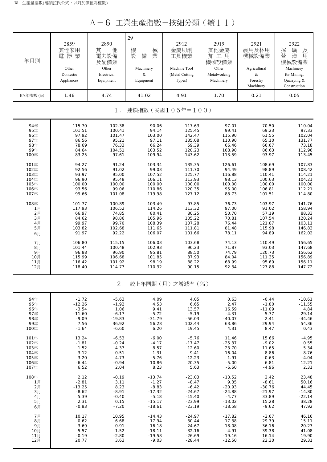A-6 工業生產指數-按細分類(續11)

| 年月別        | 2859<br>其他家用<br>電器業<br>Other<br>Domestic<br>Appliances | 2890<br>其<br>他<br>電力設備<br>及配備業<br>Other<br>Electrical<br>Equipment | 29<br>機<br>械<br>設<br>業<br>備<br>Machinery<br>$\&$<br>Equipment | 2912<br>金屬切削<br>工具機業<br>Machine Tool<br>(Metal Cutting<br>Types) | 2919<br>其他金屬<br>加工用<br>機械設備業<br>Other<br>Metalworking<br>Machinery | 2921<br>農用及林用<br>機械設備業<br>Agricultural<br>$\&$<br>Forestry<br>Machinery | 2922<br>採<br>礦<br>及<br>營<br>造<br>用<br>機械設備業<br>Machinery<br>for Mining,<br>Quarrying &<br>Construction |
|------------|--------------------------------------------------------|--------------------------------------------------------------------|---------------------------------------------------------------|------------------------------------------------------------------|--------------------------------------------------------------------|-------------------------------------------------------------------------|--------------------------------------------------------------------------------------------------------|
| 107年權數 (%) | 1.46                                                   | 4.74                                                               | 41.02                                                         | 4.91                                                             | 1.70                                                               | 0.21                                                                    | 0.05                                                                                                   |
|            |                                                        | $1$ .                                                              |                                                               | 連鎖指數(民國105年=100)                                                 |                                                                    |                                                                         |                                                                                                        |
| 94年        | 115.70                                                 | 102.38                                                             | 90.06                                                         | 117.63                                                           | 97.01                                                              | 70.50                                                                   | 110.04                                                                                                 |
| 95年        | 101.51                                                 | 100.41                                                             | 94.14                                                         | 125.45                                                           | 99.41                                                              | 69.23                                                                   | 97.33                                                                                                  |
| 96年        | 97.92                                                  | 101.47                                                             | 103.00                                                        | 142.47                                                           | 115.90                                                             | 61.55                                                                   | 102.04                                                                                                 |
| 97年        | 86.56                                                  | 95.21                                                              | 97.11                                                         | 135.08                                                           | 110.90                                                             | 65.10                                                                   | 131.77                                                                                                 |
| 98年        | 78.69                                                  | 76.33                                                              | 66.24                                                         | 59.39                                                            | 66.46                                                              | 66.67                                                                   | 73.18                                                                                                  |
| 99年        | 84.64                                                  | 104.51                                                             | 103.52                                                        | 120.23                                                           | 108.90                                                             | 86.63                                                                   | 112.96                                                                                                 |
| 100年       | 83.25                                                  | 97.61                                                              | 109.94                                                        | 143.62                                                           | 113.59                                                             | 93.97                                                                   | 113.45                                                                                                 |
| 101年       | 94.27                                                  | 91.24                                                              | 103.34                                                        | 135.35                                                           | 126.61                                                             | 108.69                                                                  | 107.83                                                                                                 |
| 102年       | 92.56                                                  | 91.02                                                              | 99.03                                                         | 111.70                                                           | 94.49                                                              | 98.89                                                                   | 108.42                                                                                                 |
| 103年       | 93.97                                                  | 95.00                                                              | 107.52                                                        | 125.77                                                           | 116.88                                                             | 110.41                                                                  | 114.21                                                                                                 |
| 104年       | 96.90                                                  | 95.48                                                              | 106.11                                                        | 113.93                                                           | 98.13                                                              | 100.63                                                                  | 104.21                                                                                                 |
| 105年       | 100.00                                                 | 100.00                                                             | 100.00                                                        | 100.00                                                           | 100.00                                                             | 100.00                                                                  | 100.00                                                                                                 |
| 106年       | 93.56                                                  | 99.06                                                              | 110.86                                                        | 120.35                                                           | 95.00                                                              | 106.81                                                                  | 112.21                                                                                                 |
| 107年       | 99.66                                                  | 101.08                                                             | 119.98                                                        | 127.12                                                           | 88.73                                                              | 101.51                                                                  | 114.80                                                                                                 |
| 108年       | 101.77                                                 | 100.89                                                             | 103.49                                                        | 97.85                                                            | 76.73                                                              | 103.97                                                                  | 141.76                                                                                                 |
| 1月         | 117.93                                                 | 106.52                                                             | 114.26                                                        | 113.32                                                           | 97.00                                                              | 91.02                                                                   | 158.94                                                                                                 |
| 2月         | 66.97                                                  | 74.85                                                              | 80.41                                                         | 80.25                                                            | 50.70                                                              | 57.19                                                                   | 88.33                                                                                                  |
| 3月         | 84.62                                                  | 98.86                                                              | 105.96                                                        | 105.22                                                           | 70.81                                                              | 107.54                                                                  | 120.24                                                                                                 |
| 4月         | 99.97                                                  | 99.70                                                              | 108.39                                                        | 107.28                                                           | 76.44                                                              | 121.87                                                                  | 103.11                                                                                                 |
| 5月         | 103.82                                                 | 102.68                                                             | 111.65                                                        | 111.81                                                           | 81.48                                                              | 115.98                                                                  | 146.83                                                                                                 |
| 6月         | 91.97                                                  | 92.22                                                              | 106.07                                                        | 101.66                                                           | 78.11                                                              | 94.89                                                                   | 162.02                                                                                                 |
| 7月         | 106.80                                                 | 115.15                                                             | 106.03                                                        | 103.68                                                           | 74.13                                                              | 110.49                                                                  | 156.65                                                                                                 |
| 8月         | 101.44                                                 | 100.48                                                             | 102.93                                                        | 96.23                                                            | 71.87                                                              | 93.03                                                                   | 147.68                                                                                                 |
| 9月         | 96.88                                                  | 96.90                                                              | 95.81                                                         | 88.50                                                            | 74.79                                                              | 120.73                                                                  | 156.62                                                                                                 |
| 10月        | 115.99                                                 | 106.68                                                             | 101.85                                                        | 87.93                                                            | 84.04                                                              | 111.35                                                                  | 156.89                                                                                                 |
| 11月        | 116.42                                                 | 101.92                                                             | 98.19                                                         | 88.22                                                            | 68.99                                                              | 95.69                                                                   | 156.11                                                                                                 |
| 12月        | 118.40                                                 | 114.77                                                             | 110.32                                                        | 90.15                                                            | 92.34                                                              | 127.88                                                                  | 147.72                                                                                                 |
|            |                                                        | $2$ .                                                              |                                                               | 較上年同期(月)之增減率(%)                                                  |                                                                    |                                                                         |                                                                                                        |
| 94年        | $-1.72$                                                | $-5.63$                                                            | 4.09                                                          | 4.05                                                             | 0.63                                                               | $-0.44$                                                                 | $-10.61$                                                                                               |
| 95年        | $-12.26$                                               | $-1.92$                                                            | 4.53                                                          | 6.65                                                             | 2.47                                                               | $-1.80$                                                                 | $-11.55$                                                                                               |
| 96年        | $-3.54$                                                | 1.06                                                               | 9.41                                                          | 13.57                                                            | 16.59                                                              | $-11.09$                                                                | 4.84                                                                                                   |
| 97年        | $-11.60$                                               | $-6.17$                                                            | $-5.72$                                                       | $-5.19$                                                          | $-4.31$                                                            | 5.77                                                                    | 29.14                                                                                                  |
| 98年        | $-9.09$                                                | $-19.83$                                                           | $-31.79$                                                      | $-56.03$                                                         | $-40.07$                                                           | 2.41                                                                    | $-44.46$                                                                                               |
| 99年        | 7.56                                                   | 36.92                                                              | 56.28                                                         | 102.44                                                           | 63.86                                                              | 29.94                                                                   | 54.36                                                                                                  |
| 100年       | $-1.64$                                                | $-6.60$                                                            | 6.20                                                          | 19.45                                                            | 4.31                                                               | 8.47                                                                    | 0.43                                                                                                   |
| 101年       | 13.24                                                  | $-6.53$                                                            | $-6.00$                                                       | $-5.76$                                                          | 11.46                                                              | 15.66                                                                   | $-4.95$                                                                                                |
| 102年       | $-1.81$                                                | $-0.24$                                                            | $-4.17$                                                       | $-17.47$                                                         | $-25.37$                                                           | $-9.02$                                                                 | 0.55                                                                                                   |
| 103年       | 1.52                                                   | 4.37                                                               | 8.57                                                          | 12.60                                                            | 23.70                                                              | 11.65                                                                   | 5.34                                                                                                   |
| 104年       | 3.12                                                   | 0.51                                                               | $-1.31$                                                       | $-9.41$                                                          | $-16.04$                                                           | $-8.86$                                                                 | $-8.76$                                                                                                |
| 105年       | 3.20                                                   | 4.73                                                               | $-5.76$                                                       | $-12.23$                                                         | 1.91                                                               | $-0.63$                                                                 | $-4.04$                                                                                                |
| 106年       | $-6.44$                                                | $-0.94$                                                            | 10.86                                                         | 20.35                                                            | $-5.00$                                                            | 6.81                                                                    | 12.21                                                                                                  |
| 107年       | 6.52                                                   | 2.04                                                               | 8.23                                                          | 5.63                                                             | $-6.60$                                                            | $-4.96$                                                                 | 2.31                                                                                                   |
| 108年       | 2.12                                                   | $-0.19$                                                            | $-13.74$                                                      | $-23.03$                                                         | $-13.52$                                                           | 2.42                                                                    | 23.48                                                                                                  |
| 1月         | $-2.81$                                                | 3.11                                                               | $-1.27$                                                       | $-8.47$                                                          | 9.35                                                               | $-8.61$                                                                 | 50.16                                                                                                  |
| 2月         | $-13.25$                                               | 8.23                                                               | $-8.83$                                                       | $-6.42$                                                          | $-20.93$                                                           | $-30.76$                                                                | 44.45                                                                                                  |
| 3月         | $-8.62$                                                | $-8.91$                                                            | $-17.32$                                                      | $-24.67$                                                         | $-24.88$                                                           | $-21.97$                                                                | $-14.80$                                                                                               |
| 4月         | 5.39                                                   | $-0.40$                                                            | $-5.18$                                                       | $-15.40$                                                         | $-4.77$                                                            | 33.89                                                                   | $-22.14$                                                                                               |
| 5月         | 2.31                                                   | 0.15                                                               | $-15.17$                                                      | $-23.99$                                                         | $-13.02$                                                           | 15.28                                                                   | 38.28                                                                                                  |
| 6月         | $-0.83$                                                | $-7.20$                                                            | $-18.61$                                                      | $-23.19$                                                         | $-18.58$                                                           | $-9.62$                                                                 | 47.92                                                                                                  |
| 7月         | 10.17                                                  | 10.95                                                              | $-14.43$                                                      | $-24.97$                                                         | $-17.82$                                                           | $-2.67$                                                                 | 46.16                                                                                                  |
| 8月         | 0.62                                                   | $-6.68$                                                            | $-17.94$                                                      | $-30.44$                                                         | $-17.38$                                                           | $-29.79$                                                                | 15.11                                                                                                  |
| 9月         | 3.69                                                   | $-0.91$                                                            | $-16.18$                                                      | $-24.67$                                                         | $-18.08$                                                           | 36.16                                                                   | 20.27                                                                                                  |
| 10月        | 5.57                                                   | 1.52                                                               | $-18.11$                                                      | $-32.16$                                                         | $-4.91$                                                            | 39.38                                                                   | 41.08                                                                                                  |
| 11月        | $-0.19$                                                | $-2.80$                                                            | $-19.58$                                                      | $-26.69$                                                         | $-19.16$                                                           | 16.14                                                                   | 19.90                                                                                                  |
| 12月        | 20.77                                                  | 3.63                                                               | $-9.03$                                                       | $-28.44$                                                         | $-12.50$                                                           | 22.30                                                                   | 29.31                                                                                                  |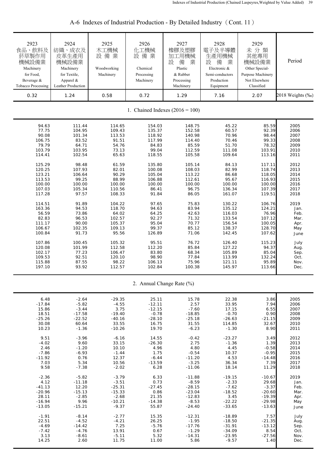| 2923<br>食品、飲料及<br>菸草製作用<br>機械設備業<br>Machinery<br>for Food,<br>Beverage &<br><b>Tobacco Processing</b> | 2924<br>紡織、成衣及<br>皮革生產用<br>機械設備業<br>Machinery<br>for Textile,<br>Apparel &<br>Leather Production | 2925<br>木工機械<br>設備業<br>Woodworking<br>Machinery | 2926<br>化工機械<br>設備業<br>Chemical<br>Processing<br>Machinery | 2927<br>橡膠及塑膠<br>加工用機械<br>設<br>備<br>業<br>Plastic<br>& Rubber<br>Processing<br>Machinery | 2928<br>電子及半導體<br>生產用機械<br>設<br>備<br>業<br>Electronic &<br>Semi-conductors<br>Production<br>Equipment | 2929<br>未分類<br>其他專用<br>機械設備業<br>Other Special-<br>Purpose Machinery<br>Not Elsewhere<br>Classified | Period           |
|-------------------------------------------------------------------------------------------------------|--------------------------------------------------------------------------------------------------|-------------------------------------------------|------------------------------------------------------------|-----------------------------------------------------------------------------------------|------------------------------------------------------------------------------------------------------|----------------------------------------------------------------------------------------------------|------------------|
| 0.32                                                                                                  | 1.24                                                                                             | 0.58                                            | 0.72                                                       | 1.29                                                                                    | 7.16                                                                                                 | 2.07                                                                                               | 2018 Weights (%) |
|                                                                                                       |                                                                                                  |                                                 |                                                            | 1. Chained Indexes $(2016 = 100)$                                                       |                                                                                                      |                                                                                                    |                  |
| 94.63                                                                                                 | 111.44                                                                                           | 114.65                                          | 154.03                                                     | 148.75                                                                                  | 45.22                                                                                                | 85.59                                                                                              | 2005             |
| 77.75                                                                                                 | 104.95                                                                                           | 109.43                                          | 135.37                                                     | 152.58                                                                                  | 60.57                                                                                                | 92.39                                                                                              | 2006             |
| 90.08                                                                                                 | 101.34                                                                                           | 113.53                                          | 118.92                                                     | 140.98                                                                                  | 70.96                                                                                                | 98.44                                                                                              | 2007             |
| 106.75                                                                                                | 83.52                                                                                            | 91.51                                           | 117.99                                                     | 114.40                                                                                  | 70.46                                                                                                | 99.33                                                                                              | 2008             |
| 79.79                                                                                                 | 64.71                                                                                            | 54.76                                           | 84.83                                                      | 85.59                                                                                   | 51.70                                                                                                | 78.32                                                                                              | 2009             |
| 103.79                                                                                                | 103.95                                                                                           | 73.13                                           | 99.04                                                      | 112.59                                                                                  | 111.08                                                                                               | 103.91                                                                                             | 2010             |
| 114.41                                                                                                | 102.54                                                                                           | 65.63                                           | 118.55                                                     | 105.58                                                                                  | 109.64                                                                                               | 113.16                                                                                             | 2011             |
| 125.29                                                                                                | 98.48                                                                                            | 61.59                                           | 135.80                                                     | 105.14                                                                                  | 84.13                                                                                                | 117.11                                                                                             | 2012             |
| 120.25                                                                                                | 107.93                                                                                           | 82.01                                           | 100.08                                                     | 108.03                                                                                  | 82.99                                                                                                | 118.74                                                                                             | 2013             |
| 123.21                                                                                                | 106.64                                                                                           | 90.29                                           | 105.04                                                     | 113.22                                                                                  | 86.68                                                                                                | 118.05                                                                                             | 2014             |
| 113.53                                                                                                | 99.25                                                                                            | 88.99                                           | 106.88                                                     | 112.61                                                                                  | 95.67                                                                                                | 116.93                                                                                             | 2015             |
| 100.00                                                                                                | 100.00                                                                                           | 100.00                                          | 100.00                                                     | 100.00                                                                                  | 100.00                                                                                               | 100.00                                                                                             | 2016             |
| 107.03                                                                                                | 105.34                                                                                           | 110.56                                          | 86.41                                                      | 96.75                                                                                   | 136.34                                                                                               | 107.39                                                                                             | 2017             |
| 117.28                                                                                                | 97.57                                                                                            | 108.33                                          | 91.84                                                      | 86.05                                                                                   | 161.07                                                                                               | 119.51                                                                                             | 2018             |
| 114.51                                                                                                | 91.89                                                                                            | 104.22                                          | 97.65                                                      | 75.83                                                                                   | 130.22                                                                                               | 106.76                                                                                             | 2019             |
| 163.36                                                                                                | 94.53                                                                                            | 118.70                                          | 94.63                                                      | 83.94                                                                                   | 135.12                                                                                               | 124.21                                                                                             | Jan.             |
| 56.59                                                                                                 | 73.86                                                                                            | 64.02                                           | 64.25                                                      | 42.63                                                                                   | 116.03                                                                                               | 76.96                                                                                              | Feb.             |
| 82.83                                                                                                 | 96.53                                                                                            | 102.57                                          | 92.27                                                      | 71.32                                                                                   | 133.54                                                                                               | 107.12                                                                                             | Mar.             |
| 111.17                                                                                                | 90.00                                                                                            | 105.37                                          | 95.04                                                      | 70.77                                                                                   | 156.54                                                                                               | 100.05                                                                                             | Apr.             |
| 106.67                                                                                                | 102.35                                                                                           | 109.13                                          | 99.37                                                      | 85.12                                                                                   | 138.37                                                                                               | 128.70                                                                                             | May              |
| 100.84                                                                                                | 91.73                                                                                            | 95.56                                           | 126.89                                                     | 71.06                                                                                   | 142.45                                                                                               | 107.62                                                                                             | June             |
| 107.86                                                                                                | 100.45                                                                                           | 105.32                                          | 95.51                                                      | 76.72                                                                                   | 126.40                                                                                               | 115.23                                                                                             | July             |
| 120.08                                                                                                | 101.99                                                                                           | 112.58                                          | 112.20                                                     | 85.84                                                                                   | 127.22                                                                                               | 94.37                                                                                              | Aug.             |
| 102.17                                                                                                | 77.23                                                                                            | 106.47                                          | 83.80                                                      | 68.34                                                                                   | 105.89                                                                                               | 85.04                                                                                              | Sep.             |
| 109.53                                                                                                | 92.51                                                                                            | 120.10                                          | 98.90                                                      | 77.84                                                                                   | 113.99                                                                                               | 132.24                                                                                             | Oct.             |
| 115.88                                                                                                | 87.55                                                                                            | 98.22                                           | 106.13                                                     | 75.96                                                                                   | 121.11                                                                                               | 95.89                                                                                              | Nov.             |
| 197.10                                                                                                | 93.92                                                                                            | 112.57                                          | 102.84                                                     | 100.38                                                                                  | 145.97                                                                                               | 113.66                                                                                             | Dec.             |
|                                                                                                       |                                                                                                  |                                                 |                                                            | 2. Annual Change Rate (%)                                                               |                                                                                                      |                                                                                                    |                  |
| 6.48                                                                                                  | $-2.64$                                                                                          | $-29.35$                                        | 25.11                                                      | 15.78                                                                                   | 22.38                                                                                                | 3.86                                                                                               | 2005             |
| $-17.84$                                                                                              | $-5.82$                                                                                          | $-4.55$                                         | $-12.11$                                                   | 2.57                                                                                    | 33.95                                                                                                | 7.94                                                                                               | 2006             |
| 15.86                                                                                                 | $-3.44$                                                                                          | 3.75                                            | $-12.15$                                                   | $-7.60$                                                                                 | 17.15                                                                                                | 6.55                                                                                               | 2007             |
| 18.51                                                                                                 | $-17.58$                                                                                         | $-19.40$                                        | $-0.78$                                                    | $-18.85$                                                                                | $-0.70$                                                                                              | 0.90                                                                                               | 2008             |
| $-25.26$                                                                                              | $-22.52$                                                                                         | $-40.16$                                        | $-28.10$                                                   | $-25.18$                                                                                | $-26.63$                                                                                             | $-21.15$                                                                                           | 2009             |
| 30.08                                                                                                 | 60.64                                                                                            | 33.55                                           | 16.75                                                      | 31.55                                                                                   | 114.85                                                                                               | 32.67                                                                                              | 2010             |
| 10.23                                                                                                 | $-1.36$                                                                                          | $-10.26$                                        | 19.70                                                      | $-6.23$                                                                                 | $-1.30$                                                                                              | 8.90                                                                                               | 2011             |
| 9.51                                                                                                  | $-3.96$                                                                                          | $-6.16$                                         | 14.55                                                      | $-0.42$                                                                                 | $-23.27$                                                                                             | 3.49                                                                                               | 2012             |
| $-4.02$                                                                                               | 9.60                                                                                             | 33.15                                           | $-26.30$                                                   | 2.75                                                                                    | $-1.36$                                                                                              | 1.39                                                                                               | 2013             |
| 2.46                                                                                                  | $-1.20$                                                                                          | 10.10                                           | 4.96                                                       | 4.80                                                                                    | 4.45                                                                                                 | $-0.58$                                                                                            | 2014             |
| $-7.86$                                                                                               | $-6.93$                                                                                          | $-1.44$                                         | 1.75                                                       | $-0.54$                                                                                 | 10.37                                                                                                | $-0.95$                                                                                            | 2015             |
| $-11.92$                                                                                              | 0.76                                                                                             | 12.37                                           | $-6.44$                                                    | $-11.20$                                                                                | 4.53                                                                                                 | $-14.48$                                                                                           | 2016             |
| 7.03                                                                                                  | 5.34                                                                                             | 10.56                                           | $-13.59$                                                   | $-3.25$                                                                                 | 36.34                                                                                                | 7.39                                                                                               | 2017             |
| 9.58                                                                                                  | $-7.38$                                                                                          | $-2.02$                                         | 6.28                                                       | $-11.06$                                                                                | 18.14                                                                                                | 11.29                                                                                              | 2018             |
| $-2.36$                                                                                               | $-5.82$                                                                                          | $-3.79$                                         | 6.33                                                       | $-11.88$                                                                                | $-19.15$                                                                                             | $-10.67$                                                                                           | 2019             |
| 4.12                                                                                                  | $-11.18$                                                                                         | $-3.51$                                         | 0.73                                                       | $-8.59$                                                                                 | $-2.33$                                                                                              | 29.68                                                                                              | Jan.             |
| $-41.13$                                                                                              | 12.20                                                                                            | $-25.31$                                        | $-27.45$                                                   | $-28.15$                                                                                | $-7.62$                                                                                              | $-3.37$                                                                                            | Feb.             |
| $-20.96$                                                                                              | $-15.13$                                                                                         | $-15.33$                                        | 0.86                                                       | $-23.04$                                                                                | $-18.52$                                                                                             | $-20.60$                                                                                           | Mar.             |
| 28.11                                                                                                 | $-2.85$                                                                                          | $-2.68$                                         | 21.35                                                      | $-12.83$                                                                                | 3.45                                                                                                 | $-19.39$                                                                                           | Apr.             |
| $-16.94$                                                                                              | 9.96                                                                                             | $-10.21$                                        | $-14.38$                                                   | $-8.53$                                                                                 | $-22.22$                                                                                             | $-29.98$                                                                                           | May              |
| $-13.05$                                                                                              | $-15.21$                                                                                         | $-9.37$                                         | 55.87                                                      | $-24.40$                                                                                | $-33.65$                                                                                             | $-13.63$                                                                                           | June             |
| $-1.91$                                                                                               | $-8.14$                                                                                          | $-2.77$                                         | 15.35                                                      | $-12.31$                                                                                | $-18.89$                                                                                             | 7.57                                                                                               | July             |
| 22.51                                                                                                 | $-4.52$                                                                                          | $-4.21$                                         | 26.25                                                      | $-1.95$                                                                                 | $-18.50$                                                                                             | $-21.35$                                                                                           | Aug.             |
| $-4.69$                                                                                               | $-14.42$                                                                                         | 7.25                                            | $-5.76$                                                    | $-17.76$                                                                                | $-31.91$                                                                                             | $-13.12$                                                                                           | Sep.             |
| $-7.42$                                                                                               | $-4.76$                                                                                          | 13.91                                           | 0.67                                                       | $-1.29$                                                                                 | $-34.09$                                                                                             | 8.54                                                                                               | Oct.             |
| 3.13                                                                                                  | $-8.61$                                                                                          | $-5.11$                                         | 5.32                                                       | $-14.31$                                                                                | $-23.95$                                                                                             | $-27.56$                                                                                           | Nov.             |
| 14.25                                                                                                 | 2.60                                                                                             | 11.75                                           | 11.00                                                      | 5.86                                                                                    | $-9.57$                                                                                              | 1.40                                                                                               | Dec.             |

A-6 Indexes of Industrial Production - By Detailed Industry (Cont. 11)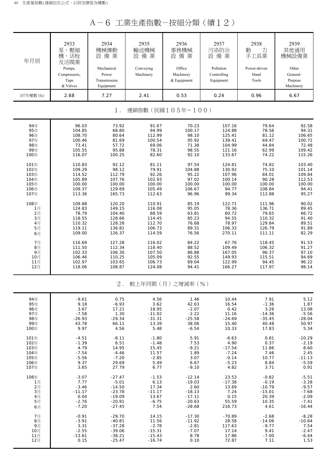A-6 工業生產指數-按細分類(續12)

| 年月別                       | 2933<br>泵、壓縮<br>機、活栓<br>及活閥業<br>Pumps,<br>Compressors,<br>Taps<br>& Valves | 2934<br>機械傳動<br>設備業<br>Mechanical<br>Power<br>Transmission<br>Equipment | 2935<br>輸送機械<br>設備業<br>Conveying<br>Machinery | 2936<br>事務機械<br>設備業<br>Office<br>Machinery<br>& Equipment | 2937<br>污染防治<br>設備業<br>Pollution<br>Controlling<br>Equipment | 2938<br>力<br>動<br>手工具業<br>Power-driven<br>Hand<br>Tools | 2939<br>其他通用<br>機械設備業<br>Other<br>General-<br>Purpose<br>Machinery |  |  |
|---------------------------|----------------------------------------------------------------------------|-------------------------------------------------------------------------|-----------------------------------------------|-----------------------------------------------------------|--------------------------------------------------------------|---------------------------------------------------------|--------------------------------------------------------------------|--|--|
| 107年權數 (‰)                | 2.68                                                                       | 7.27                                                                    | 2.41                                          | 0.53                                                      | 0.24                                                         | 0.96                                                    | 6.67                                                               |  |  |
| 連鎖指數(民國105年=100)<br>$1$ . |                                                                            |                                                                         |                                               |                                                           |                                                              |                                                         |                                                                    |  |  |
| 94年                       | 96.03                                                                      | 73.92                                                                   | 91.67                                         | 70.23                                                     | 107.16                                                       | 79.64                                                   | 92.58                                                              |  |  |
| 95年                       | 104.85                                                                     | 68.80                                                                   | 94.99                                         | 100.17                                                    | 124.88                                                       | 78.56                                                   | 94.31                                                              |  |  |
| 96年                       | 108.70                                                                     | 80.64                                                                   | 112.99                                        | 98.10                                                     | 125.41                                                       | 81.12                                                   | 106.65                                                             |  |  |
| 97年                       | 100.46                                                                     | 81.69                                                                   | 100.54                                        | 95.92                                                     | 139.41                                                       | 69.47                                                   | 100.72                                                             |  |  |
| 98年                       | 73.41                                                                      | 57.72                                                                   | 69.06                                         | 71.38                                                     | 104.99                                                       | 44.84                                                   | 72.48                                                              |  |  |
| 99年                       | 105.55                                                                     | 95.88                                                                   | 78.31                                         | 98.55                                                     | 121.16                                                       | 62.99                                                   | 109.42                                                             |  |  |
| 100年                      | 116.07                                                                     | 100.25                                                                  | 82.60                                         | 92.10                                                     | 133.67                                                       | 74.22                                                   | 115.26                                                             |  |  |
| 101年                      | 110.83                                                                     | 92.12                                                                   | 81.11                                         | 97.54                                                     | 124.81                                                       | 74.82                                                   | 103.40                                                             |  |  |
| 102年                      | 109.29                                                                     | 98.12                                                                   | 79.91                                         | 104.88                                                    | 130.92                                                       | 75.10                                                   | 101.14                                                             |  |  |
| 103年                      | 114.52                                                                     | 112.79                                                                  | 92.26                                         | 95.22                                                     | 107.96                                                       | 84.01                                                   | 109.84                                                             |  |  |
| 104年                      | 105.89                                                                     | 107.76                                                                  | 102.93                                        | 97.02                                                     | 100.14                                                       | 90.28                                                   | 112.53                                                             |  |  |
| 105年                      | 100.00                                                                     | 100.00                                                                  | 100.00                                        | 100.00                                                    | 100.00                                                       | 100.00                                                  | 100.00                                                             |  |  |
| 106年                      | 109.37                                                                     | 129.69                                                                  | 105.49                                        | 106.67                                                    | 94.77                                                        | 108.84                                                  | 94.41                                                              |  |  |
| 107年                      | 113.36                                                                     | 165.73                                                                  | 112.63                                        | 96.96                                                     | 99.34                                                        | 112.88                                                  | 95.27                                                              |  |  |
| 108年                      | 109.88                                                                     | 120.20                                                                  | 110.91                                        | 85.19                                                     | 122.71                                                       | 111.96                                                  | 90.02                                                              |  |  |
| 1月                        | 124.83                                                                     | 149.15                                                                  | 116.08                                        | 95.05                                                     | 78.36                                                        | 136.71                                                  | 89.45                                                              |  |  |
| 2月                        | 78.79                                                                      | 104.40                                                                  | 88.59                                         | 63.81                                                     | 60.72                                                        | 79.65                                                   | 66.72                                                              |  |  |
| 3月                        | 118.55                                                                     | 128.66                                                                  | 114.45                                        | 85.23                                                     | 94.55                                                        | 110.32                                                  | 91.40                                                              |  |  |
| 4月                        | 110.32                                                                     | 128.28                                                                  | 112.70                                        | 76.68                                                     | 78.97                                                        | 129.84                                                  | 89.51                                                              |  |  |
| 5月                        | 119.11                                                                     | 136.81                                                                  | 106.73                                        | 89.31                                                     | 106.33                                                       | 126.79                                                  | 91.89                                                              |  |  |
| 6月                        | 109.00                                                                     | 126.37                                                                  | 114.59                                        | 76.56                                                     | 270.11                                                       | 111.11                                                  | 82.29                                                              |  |  |
| 7月                        | 116.69                                                                     | 127.28                                                                  | 116.02                                        | 84.22                                                     | 67.76                                                        | 118.45                                                  | 91.53                                                              |  |  |
| 8月                        | 111.50                                                                     | 112.34                                                                  | 118.40                                        | 88.52                                                     | 109.49                                                       | 106.32                                                  | 91.27                                                              |  |  |
| 9月                        | 102.33                                                                     | 106.30                                                                  | 107.50                                        | 86.88                                                     | 167.05                                                       | 96.37                                                   | 97.10                                                              |  |  |
| 10月                       | 106.46                                                                     | 110.25                                                                  | 105.09                                        | 92.55                                                     | 149.93                                                       | 115.51                                                  | 94.69                                                              |  |  |
| 11月                       | 102.97                                                                     | 103.65                                                                  | 106.73                                        | 89.04                                                     | 122.99                                                       | 94.45                                                   | 96.22                                                              |  |  |
| 12月                       | 118.06                                                                     | 108.87                                                                  | 124.08                                        | 94.41                                                     | 166.27                                                       | 117.97                                                  | 98.14                                                              |  |  |
|                           |                                                                            | $2$ .                                                                   |                                               | 較上年同期(月)之增減率(%)                                           |                                                              |                                                         |                                                                    |  |  |
| 94年                       | $-9.61$                                                                    | 0.75                                                                    | 4.56                                          | 1.46                                                      | 10.44                                                        | 7.91                                                    | 5.12                                                               |  |  |
| 95年                       | 9.18                                                                       | $-6.93$                                                                 | 3.62                                          | 42.63                                                     | 16.54                                                        | $-1.36$                                                 | 1.87                                                               |  |  |
| 96年                       | 3.67                                                                       | 17.21                                                                   | 18.95                                         | $-2.07$                                                   | 0.42                                                         | 3.26                                                    | 13.08                                                              |  |  |
| 97年                       | $-7.58$                                                                    | 1.30                                                                    | $-11.02$                                      | $-2.22$                                                   | 11.16                                                        | $-14.36$                                                | $-5.56$                                                            |  |  |
| 98年                       | $-26.93$                                                                   | $-29.34$                                                                | $-31.31$                                      | $-25.58$                                                  | $-24.69$                                                     | $-35.45$                                                | $-28.04$                                                           |  |  |
| 99年                       | 43.78                                                                      | 66.11                                                                   | 13.39                                         | 38.06                                                     | 15.40                                                        | 40.48                                                   | 50.97                                                              |  |  |
| 100年                      | 9.97                                                                       | 4.56                                                                    | 5.48                                          | $-6.54$                                                   | 10.33                                                        | 17.83                                                   | 5.34                                                               |  |  |
| 101年                      | $-4.51$                                                                    | $-8.11$                                                                 | $-1.80$                                       | 5.91                                                      | $-6.63$                                                      | 0.81                                                    | $-10.29$                                                           |  |  |
| 102年                      | $-1.39$                                                                    | 6.51                                                                    | $-1.48$                                       | 7.53                                                      | 4.90                                                         | 0.37                                                    | $-2.19$                                                            |  |  |
| 103年                      | 4.79                                                                       | 14.95                                                                   | 15.45                                         | $-9.21$                                                   | $-17.54$                                                     | 11.86                                                   | 8.60                                                               |  |  |
| 104年                      | $-7.54$                                                                    | $-4.46$                                                                 | 11.57                                         | 1.89                                                      | $-7.24$                                                      | 7.46                                                    | 2.45                                                               |  |  |
| 105年                      | $-5.56$                                                                    | $-7.20$                                                                 | $-2.85$                                       | 3.07                                                      | $-0.14$                                                      | 10.77                                                   | $-11.13$                                                           |  |  |
| 106年                      | 9.37                                                                       | 29.69                                                                   | 5.49                                          | 6.67                                                      | $-5.23$                                                      | 8.84                                                    | $-5.59$                                                            |  |  |
| 107年                      | 3.65                                                                       | 27.79                                                                   | 6.77                                          | $-9.10$                                                   | 4.82                                                         | 3.71                                                    | 0.91                                                               |  |  |
| 108年                      | $-3.07$                                                                    | $-27.47$                                                                | $-1.53$                                       | $-12.14$                                                  | 23.53                                                        | $-0.82$                                                 | $-5.51$                                                            |  |  |
| 1月                        | 7.77                                                                       | $-5.01$                                                                 | 6.13                                          | $-19.03$                                                  | $-17.38$                                                     | $-0.19$                                                 | $-3.28$                                                            |  |  |
| 2月                        | $-3.46$                                                                    | $-14.50$                                                                | 17.34                                         | 2.60                                                      | 13.69                                                        | $-10.79$                                                | $-9.57$                                                            |  |  |
| 3月                        | $-11.17$                                                                   | $-23.78$                                                                | $-11.17$                                      | $-18.13$                                                  | 7.24                                                         | $-15.01$                                                | $-7.68$                                                            |  |  |
| 4月                        | 0.04                                                                       | $-19.09$                                                                | 13.67                                         | $-17.11$                                                  | 0.15                                                         | 20.39                                                   | $-2.09$                                                            |  |  |
| 5月                        | $-2.76$                                                                    | $-20.91$                                                                | $-6.75$                                       | $-20.63$                                                  | 55.59                                                        | 10.35                                                   | $-7.41$                                                            |  |  |
| 6月                        | $-7.20$                                                                    | $-27.45$                                                                | 7.54                                          | $-28.68$                                                  | 216.73                                                       | 4.61                                                    | $-16.44$                                                           |  |  |
| 7月                        | $-0.91$                                                                    | $-29.70$                                                                | 14.15                                         | $-17.30$                                                  | $-70.89$                                                     | $-2.68$                                                 | $-8.28$                                                            |  |  |
| 8月                        | $-3.91$                                                                    | $-40.81$                                                                | 11.56                                         | $-11.92$                                                  | 28.58                                                        | $-14.06$                                                | $-10.64$                                                           |  |  |
| 9月                        | 3.31                                                                       | $-37.28$                                                                | $-2.78$                                       | $-2.81$                                                   | 117.63                                                       | $-9.77$                                                 | 7.54                                                               |  |  |
| 10月                       | $-2.55$                                                                    | $-39.06$                                                                | $-15.31$                                      | $-7.07$                                                   | 17.14                                                        | 9.41                                                    | $-2.47$                                                            |  |  |
| 11月                       | $-13.61$                                                                   | $-38.21$                                                                | $-15.43$                                      | 8.78                                                      | 17.86                                                        | $-7.00$                                                 | $-6.44$                                                            |  |  |
| 12月                       | 0.15                                                                       | $-25.47$                                                                | $-16.74$                                      | 0.10                                                      | 72.87                                                        | 7.11                                                    | 1.53                                                               |  |  |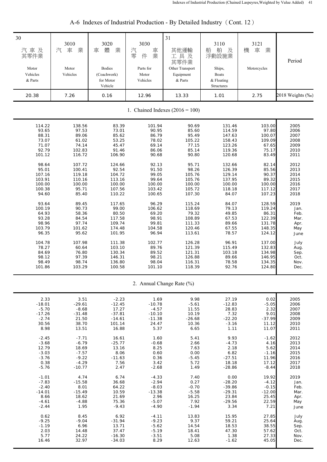| 30<br>汽車及<br>其零件業<br>Motor<br>Vehicles<br>& Parts                                                   | 3010<br>業<br>汽<br>車<br>Motor<br>Vehicles                                                               | 3020<br>體<br>業<br>車<br><b>Bodies</b><br>(Coachwork)<br>for Motor<br>Vehicle                                   | 3030<br>汽<br>車業<br>零<br>件<br>Parts for<br>Motor<br>Vehicles                                      | 31<br>其他運輸<br>工具及<br>其零件業<br>Other Transport<br>Equipment<br>& Parts                                         | 3110<br>船<br>舶<br>及<br>浮動設施業<br>Ships,<br><b>Boats</b><br>& Floating<br>Structures                                   | 3121<br>車<br>業<br>機<br>Motorcycles                                                                           | Period                                                                                       |
|-----------------------------------------------------------------------------------------------------|--------------------------------------------------------------------------------------------------------|---------------------------------------------------------------------------------------------------------------|--------------------------------------------------------------------------------------------------|--------------------------------------------------------------------------------------------------------------|----------------------------------------------------------------------------------------------------------------------|--------------------------------------------------------------------------------------------------------------|----------------------------------------------------------------------------------------------|
| 20.38                                                                                               | 7.26                                                                                                   | 0.16                                                                                                          | 12.96                                                                                            | 13.33                                                                                                        | 1.01                                                                                                                 | 2.75                                                                                                         | 2018 Weights (‰)                                                                             |
|                                                                                                     |                                                                                                        |                                                                                                               |                                                                                                  | 1. Chained Indexes $(2016 = 100)$                                                                            |                                                                                                                      |                                                                                                              |                                                                                              |
| 114.22<br>93.65<br>88.31<br>73.07<br>71.07<br>92.79<br>101.12<br>98.64<br>95.01<br>107.16<br>103.91 | 138.56<br>97.53<br>89.06<br>61.02<br>74.14<br>102.83<br>116.72<br>107.72<br>100.41<br>119.18<br>110.16 | 83.39<br>73.01<br>85.62<br>53.25<br>45.47<br>91.46<br>106.90<br>124.66<br>92.54<br>104.72<br>113.16<br>100.00 | 101.94<br>90.95<br>86.79<br>78.02<br>69.14<br>86.06<br>90.68<br>92.13<br>91.50<br>99.05<br>99.64 | 90.69<br>85.60<br>95.49<br>105.22<br>77.15<br>85.14<br>90.80<br>95.71<br>98.26<br>105.76<br>105.76<br>100.00 | 131.46<br>114.59<br>147.63<br>158.43<br>123.26<br>119.36<br>120.68<br>132.66<br>126.39<br>129.14<br>137.95<br>100.00 | 103.00<br>97.80<br>100.07<br>109.09<br>67.65<br>75.17<br>83.49<br>82.14<br>85.56<br>90.37<br>89.32<br>100.00 | 2005<br>2006<br>2007<br>2008<br>2009<br>2010<br>2011<br>2012<br>2013<br>2014<br>2015<br>2016 |
| 100.00<br>100.38<br>94.60<br>93.64<br>100.19<br>64.93<br>93.28<br>98.96<br>103.79<br>96.35          | 100.00<br>95.71<br>85.40<br>89.45<br>90.73<br>58.36<br>84.54<br>97.74<br>101.62<br>95.62               | 107.56<br>110.22<br>117.65<br>99.00<br>80.50<br>117.58<br>109.74<br>174.48<br>101.95                          | 100.00<br>103.42<br>100.65<br>96.29<br>106.62<br>69.20<br>98.91<br>99.81<br>104.58<br>96.94      | 105.72<br>107.30<br>115.24<br>118.69<br>79.32<br>108.89<br>111.33<br>120.46<br>113.61                        | 118.18<br>84.07<br>84.07<br>79.13<br>49.85<br>67.53<br>89.66<br>67.55<br>78.57                                       | 117.12<br>107.23<br>128.59<br>119.24<br>86.31<br>122.39<br>131.78<br>148.35<br>124.12                        | 2017<br>2018<br>2019<br>Jan.<br>Feb.<br>Mar.<br>Apr.<br>May<br>June                          |
| 104.78<br>78.27<br>84.69<br>98.12<br>98.49<br>101.86                                                | 107.98<br>60.64<br>76.80<br>97.39<br>98.74<br>103.29                                                   | 111.38<br>103.10<br>130.34<br>146.31<br>136.80<br>100.58                                                      | 102.77<br>89.76<br>89.52<br>98.21<br>98.04<br>101.10                                             | 126.28<br>121.39<br>121.31<br>126.88<br>116.31<br>118.39                                                     | 96.91<br>115.49<br>103.18<br>89.66<br>78.58<br>92.76                                                                 | 137.00<br>132.83<br>134.98<br>146.95<br>134.35<br>124.80                                                     | July<br>Aug.<br>Sep.<br>Oct.<br>Nov.<br>Dec.                                                 |
|                                                                                                     |                                                                                                        |                                                                                                               |                                                                                                  | 2. Annual Change Rate (%)                                                                                    |                                                                                                                      |                                                                                                              |                                                                                              |
| 2.33<br>$-18.01$<br>$-5.70$<br>$-17.26$<br>$-2.74$<br>30.56<br>8.98                                 | 3.51<br>$-29.61$<br>$-8.68$<br>$-31.48$<br>21.50<br>38.70<br>13.51                                     | $-2.23$<br>$-12.45$<br>17.27<br>$-37.81$<br>$-14.61$<br>101.14<br>16.88                                       | 1.69<br>$-10.78$<br>$-4.57$<br>$-10.10$<br>$-11.38$<br>24.47<br>5.37                             | 9.98<br>$-5.61$<br>11.55<br>10.19<br>$-26.68$<br>10.36<br>6.65                                               | 27.19<br>$-12.83$<br>28.83<br>7.32<br>$-22.20$<br>$-3.16$<br>1.11                                                    | 0.02<br>$-5.05$<br>2.32<br>9.01<br>$-37.99$<br>11.12<br>11.07                                                | 2005<br>2006<br>2007<br>2008<br>2009<br>2010<br>2011                                         |
| $-2.45$<br>$-3.68$<br>12.79<br>$-3.03$<br>$-3.76$<br>0.38<br>$-5.76$                                | $-7.71$<br>$-6.79$<br>18.69<br>$-7.57$<br>$-9.22$<br>$-4.29$<br>$-10.77$                               | 16.61<br>$-25.77$<br>13.16<br>8.06<br>$-11.63$<br>7.56<br>2.47                                                | 1.60<br>$-0.68$<br>8.25<br>0.60<br>0.36<br>3.42<br>$-2.68$                                       | 5.41<br>2.66<br>7.63<br>0.00<br>$-5.45$<br>5.72<br>1.49                                                      | 9.93<br>$-4.73$<br>2.18<br>6.82<br>$-27.51$<br>18.18<br>$-28.86$                                                     | $-1.62$<br>4.16<br>5.62<br>$-1.16$<br>11.96<br>17.12<br>$-8.44$                                              | 2012<br>2013<br>2014<br>2015<br>2016<br>2017<br>2018                                         |
| $-1.01$<br>$-7.83$<br>$-2.40$<br>$-14.01$<br>8.66<br>$-4.61$<br>$-2.44$                             | 4.74<br>$-15.58$<br>8.01<br>$-15.49$<br>18.62<br>$-4.88$<br>1.95                                       | 6.74<br>36.68<br>64.22<br>10.59<br>21.69<br>75.36<br>$-9.43$                                                  | $-4.33$<br>$-2.94$<br>$-8.03$<br>$-13.38$<br>2.96<br>$-5.07$<br>$-4.90$                          | 7.40<br>0.27<br>$-0.70$<br>$-5.58$<br>16.25<br>7.92<br>$-1.94$                                               | 0.00<br>$-28.20$<br>$-39.86$<br>$-29.31$<br>23.84<br>$-29.56$<br>3.34                                                | 19.92<br>$-4.12$<br>$-0.15$<br>$-12.00$<br>25.45<br>22.59<br>7.21                                            | 2019<br>Jan.<br>Feb.<br>Mar.<br>Apr.<br>May<br>June                                          |
| 0.62<br>$-9.25$<br>$-1.19$<br>2.03<br>5.77<br>16.46                                                 | 8.45<br>$-9.04$<br>6.96<br>14.48<br>24.22<br>32.97                                                     | 6.92<br>$-31.94$<br>13.71<br>37.47<br>$-16.30$<br>$-34.03$                                                    | $-4.11$<br>$-9.23$<br>$-5.62$<br>$-5.19$<br>$-3.51$<br>8.29                                      | 13.83<br>9.37<br>14.54<br>18.41<br>5.08<br>12.63                                                             | 15.95<br>59.21<br>18.53<br>47.30<br>1.38<br>$-1.62$                                                                  | 27.85<br>25.64<br>38.55<br>57.62<br>27.33<br>45.05                                                           | July<br>Aug.<br>Sep.<br>Oct.<br>Nov.<br>Dec.                                                 |

# A-6 Indexes of Industrial Production - By Detailed Industry (Cont. 12)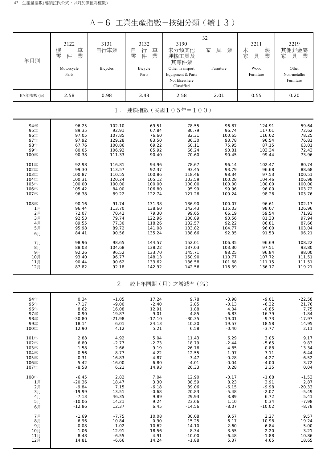A-6 工業生產指數-按細分類(續13)

| 年月別            | 3122<br>機<br>車<br>業<br>零<br>件<br>Motorcycle<br>Parts | 3131<br>自行車業<br>Bicycles | 3132<br>行<br>車<br>自<br>業<br>零<br>件<br>Bicycle<br>Parts | 3190<br>未分類其他<br>運輸工具及<br>其零件業<br>Other Transport<br>Equipment & Parts<br>Not Elsewhere<br>Classified | 32<br>具<br>業<br>家<br>Furniture | 3211<br>製業<br>木<br>家<br>具<br>Wood<br>Furniture | 3219<br>其他非金屬<br>具<br>業<br>家<br>Other<br>Non-metallic<br>Furniture |
|----------------|------------------------------------------------------|--------------------------|--------------------------------------------------------|-------------------------------------------------------------------------------------------------------|--------------------------------|------------------------------------------------|--------------------------------------------------------------------|
| 107年權數 (‰)     | 2.58                                                 | 0.98                     | 3.43                                                   | 2.58                                                                                                  | 2.01                           | 0.55                                           | 0.20                                                               |
|                |                                                      | $1$ .                    |                                                        | 連鎖指數(民國105年=100)                                                                                      |                                |                                                |                                                                    |
| 94年            | 96.25                                                | 102.10                   | 69.51                                                  | 78.55                                                                                                 | 96.87                          | 124.91                                         | 59.64                                                              |
| 95年            | 89.35                                                | 92.91                    | 67.84                                                  | 80.79                                                                                                 | 96.74                          | 117.01                                         | 72.62                                                              |
| 96年            | 97.05                                                | 107.85                   | 76.60                                                  | 82.31                                                                                                 | 100.65                         | 116.02                                         | 78.25                                                              |
| 97年            | 97.92                                                | 129.28                   | 83.50                                                  | 86.30                                                                                                 | 93.78                          | 96.54                                          | 76.81                                                              |
| 98年            | 67.76                                                | 100.86                   | 69.22                                                  | 60.11                                                                                                 | 75.95                          | 87.15                                          | 63.01                                                              |
| 99年            | 80.05                                                | 106.92                   | 85.92                                                  | 66.24                                                                                                 | 90.81                          | 103.34                                         | 72.43                                                              |
| 100年           | 90.38                                                | 111.33                   | 90.40                                                  | 70.60                                                                                                 | 90.45                          | 99.44                                          | 73.96                                                              |
| 101年           | 92.98                                                | 116.81                   | 94.96                                                  | 78.67                                                                                                 | 96.14                          | 102.47                                         | 80.74                                                              |
| 102年           | 99.30                                                | 113.57                   | 92.37                                                  | 93.45                                                                                                 | 93.79                          | 96.68                                          | 88.68                                                              |
| 103年           | 100.87                                               | 110.55                   | 100.86                                                 | 118.46                                                                                                | 98.34                          | 97.53                                          | 100.51                                                             |
| 104年           | 100.31                                               | 120.24                   | 105.12                                                 | 103.59                                                                                                | 100.28                         | 104.46                                         | 106.98                                                             |
| 105年           | 100.00                                               | 100.00                   | 100.00                                                 | 100.00                                                                                                | 100.00                         | 100.00                                         | 100.00                                                             |
| 106年           | 105.42                                               | 84.00                    | 106.80                                                 | 95.99                                                                                                 | 99.96                          | 96.00                                          | 103.72                                                             |
| 107年           | 96.38                                                | 89.22                    | 122.74                                                 | 121.26                                                                                                | 100.24                         | 98.26                                          | 103.76                                                             |
| 108年           | 90.16                                                | 91.74                    | 131.38                                                 | 136.90                                                                                                | 100.07                         | 96.61                                          | 102.17                                                             |
| 1月             | 96.44                                                | 113.70                   | 138.60                                                 | 142.43                                                                                                | 115.03                         | 98.07                                          | 126.96                                                             |
| 2月             | 72.07                                                | 70.42                    | 79.30                                                  | 99.65                                                                                                 | 66.19                          | 59.54                                          | 71.93                                                              |
| 3 <sub>月</sub> | 92.53                                                | 79.74                    | 122.96                                                 | 130.89                                                                                                | 93.56                          | 81.33                                          | 97.94                                                              |
| 4月             | 89.55                                                | 77.30                    | 118.26                                                 | 132.57                                                                                                | 92.22                          | 86.81                                          | 87.66                                                              |
| 5月             | 95.98                                                | 89.72                    | 141.08                                                 | 133.82                                                                                                | 104.77                         | 96.00                                          | 103.04                                                             |
| 6月             | 84.41                                                | 90.56                    | 135.24                                                 | 138.66                                                                                                | 92.35                          | 91.53                                          | 96.21                                                              |
| 7月             | 98.96                                                | 98.65                    | 144.57                                                 | 152.01                                                                                                | 106.35                         | 96.69                                          | 108.22                                                             |
| 8月             | 88.03                                                | 104.68                   | 138.22                                                 | 137.03                                                                                                | 103.30                         | 97.51                                          | 93.80                                                              |
| 9月             | 92.26                                                | 96.52                    | 133.70                                                 | 145.71                                                                                                | 98.25                          | 96.84                                          | 98.00                                                              |
| 10月            | 93.40                                                | 96.77                    | 148.13                                                 | 150.90                                                                                                | 110.77                         | 107.72                                         | 111.51                                                             |
| 11月            | 90.44                                                | 90.62                    | 133.62                                                 | 136.58                                                                                                | 101.68                         | 111.15                                         | 111.51                                                             |
| 12月            | 87.82                                                | 92.18                    | 142.92                                                 | 142.56                                                                                                | 116.39                         | 136.17                                         | 119.21                                                             |
|                |                                                      | $2$ .                    |                                                        | 較上年同期(月)之增減率(%)                                                                                       |                                |                                                |                                                                    |
| 94年            | 0.34                                                 | $-1.05$                  | 17.24                                                  | 9.78                                                                                                  | $-3.98$                        | $-9.01$                                        | $-22.58$                                                           |
| 95年            | $-7.17$                                              | $-9.00$                  | $-2.40$                                                | 2.85                                                                                                  | $-0.13$                        | $-6.32$                                        | 21.76                                                              |
| 96年            | 8.62                                                 | 16.08                    | 12.91                                                  | 1.88                                                                                                  | 4.04                           | $-0.85$                                        | 7.75                                                               |
| 97年            | 0.90                                                 | 19.87                    | 9.01                                                   | 4.85                                                                                                  | $-6.83$                        | $-16.79$                                       | $-1.84$                                                            |
| 98年            | $-30.80$                                             | $-21.98$                 | $-17.10$                                               | $-30.35$                                                                                              | $-19.01$                       | $-9.73$                                        | $-17.97$                                                           |
| 99年            | 18.14                                                | 6.01                     | 24.13                                                  | 10.20                                                                                                 | 19.57                          | 18.58                                          | 14.95                                                              |
| 100年           | 12.90                                                | 4.12                     | 5.21                                                   | 6.58                                                                                                  | $-0.40$                        | $-3.77$                                        | 2.11                                                               |
| 101年           | 2.88                                                 | 4.92                     | 5.04                                                   | 11.43                                                                                                 | 6.29                           | 3.05                                           | 9.17                                                               |
| 102年           | 6.80                                                 | $-2.77$                  | $-2.73$                                                | 18.79                                                                                                 | $-2.44$                        | $-5.65$                                        | 9.83                                                               |
| 103年           | 1.58                                                 | $-2.66$                  | 9.19                                                   | 26.76                                                                                                 | 4.85                           | 0.88                                           | 13.34                                                              |
| 104年           | $-0.56$                                              | 8.77                     | 4.22                                                   | $-12.55$                                                                                              | 1.97                           | 7.11                                           | 6.44                                                               |
| 105年           | $-0.31$                                              | $-16.83$                 | $-4.87$                                                | $-3.47$                                                                                               | $-0.28$                        | $-4.27$                                        | $-6.52$                                                            |
| 106年           | 5.42                                                 | $-16.00$                 | 6.80                                                   | $-4.01$                                                                                               | $-0.04$                        | $-4.00$                                        | 3.72                                                               |
| 107年           | $-8.58$                                              | 6.21                     | 14.93                                                  | 26.33                                                                                                 | 0.28                           | 2.35                                           | 0.04                                                               |
| 108年           | $-6.45$                                              | 2.82                     | 7.04                                                   | 12.90                                                                                                 | $-0.17$                        | $-1.68$                                        | $-1.53$                                                            |
| 1月             | $-20.36$                                             | 18.47                    | 3.30                                                   | 38.59                                                                                                 | 8.23                           | 3.91                                           | 2.87                                                               |
| 2月             | $-9.84$                                              | 7.15                     | $-6.18$                                                | 39.06                                                                                                 | $-6.15$                        | $-9.98$                                        | $-20.33$                                                           |
| 3月             | $-19.99$                                             | 13.51                    | $-0.68$                                                | 20.83                                                                                                 | $-5.48$                        | $-2.07$                                        | $-5.49$                                                            |
| 4月             | $-7.13$                                              | 46.35                    | 9.89                                                   | 29.93                                                                                                 | 3.89                           | 6.72                                           | 5.41                                                               |
| 5月             | $-10.06$                                             | 14.21                    | 9.24                                                   | 23.66                                                                                                 | 1.10                           | 0.34                                           | $-7.98$                                                            |
| 6月             | $-12.86$                                             | 12.37                    | 6.45                                                   | $-14.56$                                                                                              | $-8.07$                        | $-10.02$                                       | $-8.78$                                                            |
| 7月             | $-1.69$                                              | $-7.75$                  | 10.08                                                  | 30.08                                                                                                 | 9.57                           | 2.27                                           | 9.57                                                               |
| 8月             | $-6.96$                                              | $-10.84$                 | 0.90                                                   | 15.25                                                                                                 | $-6.17$                        | $-10.98$                                       | $-19.24$                                                           |
| 9月             | $-0.08$                                              | 1.02                     | 10.62                                                  | 14.10                                                                                                 | $-2.60$                        | $-6.84$                                        | $-5.00$                                                            |
| 10月            | 1.06                                                 | $-12.91$                 | 18.56                                                  | 8.34                                                                                                  | 3.55                           | 2.20                                           | 3.21                                                               |
| 11月            | 8.48                                                 | $-6.55$                  | 4.91                                                   | $-10.00$                                                                                              | $-6.48$                        | $-1.88$                                        | 10.86                                                              |
| 12月            | 14.81                                                | $-6.66$                  | 14.24                                                  | $-1.88$                                                                                               | 5.37                           | 4.65                                           | 18.65                                                              |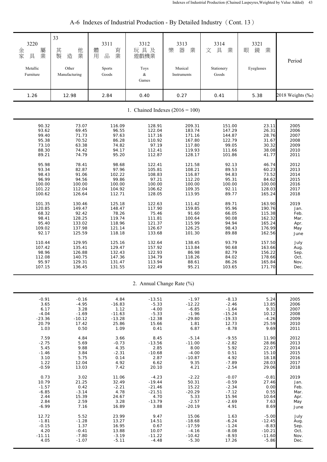| 3220<br>屬業<br>金家<br>具<br>Metallic<br>Furniture | 33<br>其<br>他<br>製<br>業<br>造<br>Other<br>Manufacturing | 3311<br>體<br>育<br>業<br>品<br>用<br>Sports<br>Goods | 3312<br>玩具及<br>遊戲機業<br>Toys<br>$\&$<br>Games | 3313<br>器<br>業<br>樂<br>Musical<br>Instruments | 3314<br>具<br>文<br>業<br>Stationery<br>Goods | 3321<br>鏡<br>業<br>眼<br>Eyeglasses | Period           |
|------------------------------------------------|-------------------------------------------------------|--------------------------------------------------|----------------------------------------------|-----------------------------------------------|--------------------------------------------|-----------------------------------|------------------|
| 1.26                                           | 12.98                                                 | 2.84                                             | 0.40                                         | 0.27                                          | 0.41                                       | 5.38                              | 2018 Weights (‰) |
|                                                |                                                       |                                                  |                                              | 1. Chained Indexes $(2016 = 100)$             |                                            |                                   |                  |
| 90.32                                          | 73.07                                                 | 116.09                                           | 128.91                                       | 209.31                                        | 151.00                                     | 23.11                             | 2005             |
| 93.62                                          | 69.45                                                 | 96.55                                            | 122.04                                       | 183.74                                        | 147.29                                     | 26.31                             | 2006             |
| 99.40                                          | 71.73                                                 | 97.63                                            | 117.16                                       | 171.16                                        | 144.87                                     | 28.76                             | 2007             |
| 95.38                                          | 70.52                                                 | 86.28                                            | 110.92                                       | 167.80                                        | 122.79                                     | 31.67                             | 2008             |
| 73.10                                          | 63.38                                                 | 74.82                                            | 97.19                                        | 117.80                                        | 99.05                                      | 30.32                             | 2009             |
| 88.30                                          | 74.42                                                 | 94.17                                            | 112.41                                       | 119.93                                        | 111.66                                     | 38.08                             | 2010             |
| 89.21                                          | 74.79                                                 | 95.20                                            | 112.87                                       | 128.17                                        | 101.86                                     | 41.77                             | 2011             |
| 95.98                                          | 78.41                                                 | 98.68                                            | 122.41                                       | 121.58                                        | 92.13                                      | 46.74                             | 2012             |
| 93.34                                          | 82.87                                                 | 97.96                                            | 105.81                                       | 108.21                                        | 89.53                                      | 60.23                             | 2013             |
| 98.43                                          | 91.06                                                 | 102.22                                           | 108.83                                       | 116.87                                        | 94.83                                      | 73.52                             | 2014             |
| 96.99                                          | 94.56                                                 | 99.86                                            | 97.21                                        | 112.20                                        | 95.31                                      | 84.62                             | 2015             |
| 100.00                                         | 100.00                                                | 100.00                                           | 100.00                                       | 100.00                                        | 100.00                                     | 100.00                            | 2016             |
| 101.22                                         | 112.04                                                | 104.92                                           | 106.62                                       | 109.35                                        | 92.11                                      | 128.03                            | 2017             |
| 100.62                                         | 126.64                                                | 112.71                                           | 128.05                                       | 113.95                                        | 89.77                                      | 165.24                            | 2018             |
| 101.35                                         | 130.46                                                | 125.18                                           | 122.63                                       | 111.42                                        | 89.71                                      | 163.90                            | 2019             |
| 120.85                                         | 149.47                                                | 148.47                                           | 117.90                                       | 159.85                                        | 95.96                                      | 190.76                            | Jan.             |
| 68.32                                          | 92.42                                                 | 78.26                                            | 75.46                                        | 91.60                                         | 66.05                                      | 115.38                            | Feb.             |
| 98.41                                          | 128.25                                                | 119.74                                           | 111.81                                       | 100.64                                        | 90.08                                      | 162.32                            | Mar.             |
| 95.40                                          | 133.02                                                | 118.96                                           | 121.37                                       | 115.99                                        | 94.94                                      | 165.24                            | Apr.             |
| 109.02                                         | 137.98                                                | 121.14                                           | 126.67                                       | 126.25                                        | 98.43                                      | 176.99                            | May              |
| 92.17                                          | 125.59                                                | 118.18                                           | 133.68                                       | 101.30                                        | 89.88                                      | 162.56                            | June             |
| 110.44                                         | 129.95                                                | 125.16                                           | 132.64                                       | 138.45                                        | 93.79                                      | 157.50                            | July             |
| 107.42                                         | 135.41                                                | 129.47                                           | 157.92                                       | 113.84                                        | 90.68                                      | 163.66                            | Aug.             |
| 98.96                                          | 126.88                                                | 132.43                                           | 122.93                                       | 86.98                                         | 82.79                                      | 156.22                            | Sep.             |
| 112.08                                         | 140.75                                                | 147.36                                           | 134.79                                       | 118.26                                        | 84.02                                      | 178.66                            | Oct.             |
| 95.97                                          | 129.31                                                | 131.47                                           | 113.94                                       | 88.61                                         | 86.26                                      | 165.84                            | Nov.             |
| 107.15                                         | 136.45                                                | 131.55                                           | 122.49                                       | 95.21                                         | 103.65                                     | 171.70                            | Dec.             |
|                                                |                                                       |                                                  |                                              | 2. Annual Change Rate (%)                     |                                            |                                   |                  |
| $-0.91$                                        | $-0.16$                                               | 4.84                                             | $-13.51$                                     | $-1.97$                                       | $-8.13$                                    | 5.24                              | 2005             |
| 3.65                                           | $-4.95$                                               | $-16.83$                                         | $-5.33$                                      | $-12.22$                                      | $-2.46$                                    | 13.85                             | 2006             |
| 6.17                                           | 3.28                                                  | 1.12                                             | $-4.00$                                      | $-6.85$                                       | $-1.64$                                    | 9.31                              | 2007             |
| $-4.04$                                        | $-1.69$                                               | $-11.63$                                         | $-5.33$                                      | $-1.96$                                       | $-15.24$                                   | 10.12                             | 2008             |
| $-23.36$                                       | $-10.12$                                              | $-13.28$                                         | $-12.38$                                     | $-29.80$                                      | $-19.33$                                   | $-4.26$                           | 2009             |
| 20.79                                          | 17.42                                                 | 25.86                                            | 15.66                                        | 1.81                                          | 12.73                                      | 25.59                             | 2010             |
| 1.03                                           | 0.50                                                  | 1.09                                             | 0.41                                         | 6.87                                          | $-8.78$                                    | 9.69                              | 2011             |
| 7.59                                           | 4.84                                                  | 3.66                                             | 8.45                                         | $-5.14$                                       | $-9.55$                                    | 11.90                             | 2012             |
| $-2.75$                                        | 5.69                                                  | $-0.73$                                          | $-13.56$                                     | $-11.00$                                      | $-2.82$                                    | 28.86                             | 2013             |
| 5.45                                           | 9.88                                                  | 4.35                                             | 2.85                                         | 8.00                                          | 5.92                                       | 22.07                             | 2014             |
| $-1.46$                                        | 3.84                                                  | $-2.31$                                          | $-10.68$                                     | $-4.00$                                       | 0.51                                       | 15.10                             | 2015             |
| 3.10                                           | 5.75                                                  | 0.14                                             | 2.87                                         | $-10.87$                                      | 4.92                                       | 18.18                             | 2016             |
| 1.22                                           | 12.04                                                 | 4.92                                             | 6.62                                         | 9.35                                          | $-7.89$                                    | 28.03                             | 2017             |
| $-0.59$                                        | 13.03                                                 | 7.42                                             | 20.10                                        | 4.21                                          | $-2.54$                                    | 29.06                             | 2018             |
| 0.73                                           | 3.02                                                  | 11.06                                            | $-4.23$                                      | $-2.22$                                       | $-0.07$                                    | $-0.81$                           | 2019             |
| 10.79                                          | 21.25                                                 | 32.49                                            | $-19.44$                                     | 50.31                                         | $-0.59$                                    | 27.46                             | Jan.             |
| $-1.57$                                        | 0.42                                                  | $-2.21$                                          | $-21.46$                                     | 15.22                                         | $-2.34$                                    | 0.00                              | Feb.             |
| $-6.85$                                        | $-3.14$                                               | 4.78                                             | $-21.51$                                     | $-20.29$                                      | $-7.12$                                    | 0.55                              | Mar.             |
| 2.44                                           | 15.39                                                 | 24.67                                            | 4.70                                         | 5.33                                          | 15.94                                      | 10.64                             | Apr.             |
| 2.84                                           | 2.59                                                  | 3.28                                             | $-13.79$                                     | $-2.57$                                       | $-2.69$                                    | 7.63                              | May              |
| $-6.99$                                        | 7.16                                                  | 16.89                                            | 3.88                                         | $-20.19$                                      | 4.91                                       | 8.69                              | June             |
| 12.72                                          | 5.52                                                  | 23.99                                            | 9.47                                         | 15.06                                         | 1.63                                       | $-5.00$                           | July             |
| $-1.81$                                        | $-1.28$                                               | 13.27                                            | 14.51                                        | $-18.68$                                      | $-6.24$                                    | $-12.45$                          | Aug.             |
| $-0.15$                                        | 1.37                                                  | 16.95                                            | 0.67                                         | $-17.59$                                      | $-1.24$                                    | $-8.83$                           | Sep.             |
| 4.20                                           | $-0.41$                                               | 13.88                                            | 10.07                                        | $-4.16$                                       | $-8.08$                                    | $-10.21$                          | Oct.             |
| $-11.11$                                       | $-7.80$                                               | $-3.19$                                          | $-11.22$                                     | $-10.42$                                      | $-8.93$                                    | $-11.60$                          | Nov.             |
| 4.05                                           | $-1.07$                                               | $-5.11$                                          | $-4.48$                                      | $-5.30$                                       | 17.26                                      | $-5.86$                           | Dec.             |

| A-6 Indexes of Industrial Production - By Detailed Industry (Cont. 13) |  |
|------------------------------------------------------------------------|--|
|                                                                        |  |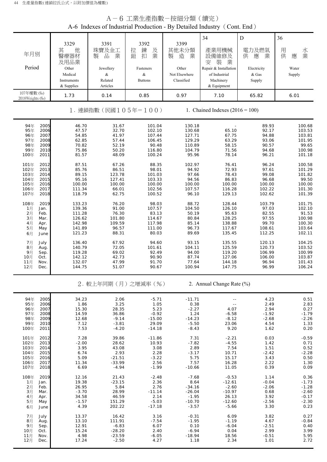|                                                                                                              | A-6 工業生產指數-按細分類 ( 續完 )<br>A-6 Indexes of Industrial Production - By Detailed Industry (Cont. End) |                                                                    |                                                                     |                                                                           |                                                                            |                                                                |                                                                     |  |  |  |  |
|--------------------------------------------------------------------------------------------------------------|---------------------------------------------------------------------------------------------------|--------------------------------------------------------------------|---------------------------------------------------------------------|---------------------------------------------------------------------------|----------------------------------------------------------------------------|----------------------------------------------------------------|---------------------------------------------------------------------|--|--|--|--|
| 年月別<br>Period                                                                                                | 3329<br>其<br>他<br>醫療器材<br>及用品業<br>Other                                                           | 3391<br>珠寶及金工<br>業<br>品<br>製<br>Jewellery                          | 3392<br>拉<br>鍊<br>及<br>業<br>鈕<br>扣<br>Fasteners                     | 3399<br>其他未分類<br>製<br>業<br>造<br>Other                                     | 34<br>產業用機械<br>設備維修及<br>装<br>業<br>安<br>Repair & Installation               | $\mathbf D$<br>電力及燃氣<br>業<br>供<br>應<br>Electricity             | 36<br>用<br>水業<br>供<br>應<br>Water                                    |  |  |  |  |
|                                                                                                              | Medical<br>Instruments<br>& Supplies                                                              | &<br>Related<br>Articles                                           | &<br><b>Buttons</b>                                                 | Not Elsewhere<br>Classified                                               | of Industrial<br>Machinery<br>& Equipment                                  | & Gas<br>Supply                                                | Supply                                                              |  |  |  |  |
| 107年權數 (‰)<br>2018 Weights (%)                                                                               | 1.73                                                                                              | 0.14                                                               | 0.85                                                                | 0.97                                                                      | 7.10                                                                       | 65.82                                                          | 6.01                                                                |  |  |  |  |
|                                                                                                              |                                                                                                   | 1. 連鎖指數(民國105年=100)                                                |                                                                     |                                                                           | 1. Chained Indexes $(2016 = 100)$                                          |                                                                |                                                                     |  |  |  |  |
| 94年<br>2005<br>2006<br>95年<br>96年<br>2007<br>97年<br>2008<br>98年<br>2009<br>99年<br>2010<br>100年<br>2011       | 46.70<br>47.57<br>54.85<br>62.85<br>70.82<br>75.86<br>81.57                                       | 31.67<br>32.70<br>41.97<br>57.44<br>52.19<br>50.20<br>48.09        | 101.04<br>102.10<br>107.44<br>106.45<br>90.48<br>116.80<br>100.24   | 130.18<br>130.68<br>127.71<br>129.29<br>110.89<br>104.79<br>95.96         | 65.10<br>67.75<br>63.29<br>58.15<br>71.56<br>78.14                         | 89.93<br>92.17<br>94.88<br>93.06<br>90.57<br>94.68<br>96.21    | 100.68<br>103.53<br>103.81<br>101.95<br>99.65<br>100.98<br>101.18   |  |  |  |  |
| 101年<br>2012<br>102年<br>2013<br>103年<br>2014<br>104年<br>2015<br>105年<br>2016<br>106年<br>2017<br>107年<br>2018 | 87.51<br>85.76<br>89.15<br>95.16<br>100.00<br>111.34<br>118.79                                    | 67.26<br>86.51<br>123.78<br>127.41<br>100.00<br>66.01<br>62.75     | 88.35<br>98.01<br>101.03<br>103.33<br>100.00<br>102.56<br>100.52    | 102.97<br>94.92<br>97.66<br>94.56<br>100.00<br>107.57<br>96.10            | 76.41<br>72.93<br>78.43<br>86.83<br>100.00<br>116.28<br>129.13             | 96.24<br>97.61<br>99.08<br>96.68<br>100.00<br>102.22<br>102.62 | 100.58<br>101.29<br>101.82<br>99.50<br>100.00<br>101.30<br>101.39   |  |  |  |  |
| 108年<br>2019<br>1月<br>Jan.<br>2月<br>Feb.<br>3月<br>Mar.<br>4月<br>Apr.<br>5月<br>May<br>6月<br>June              | 133.23<br>139.36<br>111.28<br>126.62<br>142.98<br>141.89<br>121.23                                | 76.20<br>91.00<br>76.30<br>101.80<br>109.59<br>96.57<br>88.31      | 98.03<br>107.57<br>83.13<br>114.67<br>117.98<br>111.00<br>80.03     | 88.72<br>104.50<br>50.19<br>80.84<br>85.14<br>96.73<br>89.69              | 128.44<br>126.10<br>95.63<br>128.25<br>138.88<br>117.67<br>135.45          | 103.79<br>97.03<br>82.55<br>97.55<br>99.70<br>108.61<br>112.25 | 101.75<br>102.10<br>91.53<br>100.98<br>100.30<br>103.64<br>102.11   |  |  |  |  |
| 7月<br>July<br>8月<br>Aug.<br>9月<br>Sep.<br>10月<br>Oct.<br>11月<br>Nov.<br>12月<br>Dec.                          | 136.40<br>140.79<br>119.28<br>142.12<br>132.07<br>144.75                                          | 67.92<br>72.05<br>69.02<br>42.73<br>47.99<br>51.07                 | 94.60<br>101.61<br>92.49<br>90.90<br>91.70<br>90.67                 | 93.15<br>104.11<br>94.00<br>87.74<br>77.64<br>100.94                      | 135.55<br>125.59<br>119.20<br>127.06<br>144.18<br>147.75                   | 120.13<br>120.73<br>106.99<br>106.00<br>96.94<br>96.99         | 104.25<br>103.52<br>100.99<br>103.87<br>101.43<br>106.24            |  |  |  |  |
|                                                                                                              |                                                                                                   |                                                                    | 2. 較上年同期 (月) 之增減率 (%)                                               |                                                                           | 2. Annual Change Rate (%)                                                  |                                                                |                                                                     |  |  |  |  |
| 94年<br>2005<br>95年<br>2006<br>96年<br>2007<br>97年<br>2008<br>98年<br>2009<br>99年<br>2010<br>100年<br>2011       | 34.23<br>1.86<br>15.30<br>14.59<br>12.68<br>7.12<br>7.53                                          | 2.06<br>3.25<br>28.35<br>36.86<br>$-9.14$<br>$-3.81$<br>$-4.20$    | $-5.71$<br>1.05<br>5.23<br>$-0.92$<br>$-15.00$<br>29.09<br>$-14.18$ | $-11.71$<br>0.38<br>$-2.27$<br>1.24<br>$-14.23$<br>$-5.50$<br>$-8.43$     | 4.07<br>$-6.58$<br>$-8.12$<br>23.06<br>9.20                                | 4.23<br>2.49<br>2.94<br>$-1.92$<br>$-2.68$<br>4.54<br>1.62     | 0.51<br>2.83<br>0.27<br>$-1.79$<br>$-2.26$<br>1.33<br>0.20          |  |  |  |  |
| 101年<br>2012<br>102年<br>2013<br>103年<br>2014<br>104年<br>2015<br>105年<br>2016<br>106年<br>2017<br>107年<br>2018 | 7.28<br>$-2.00$<br>3.95<br>6.74<br>5.09<br>11.34<br>6.69                                          | 39.86<br>28.62<br>43.08<br>2.93<br>$-21.51$<br>$-33.99$<br>$-4.94$ | $-11.86$<br>10.93<br>3.08<br>2.28<br>$-3.22$<br>2.56<br>$-1.99$     | 7.31<br>$-7.82$<br>2.89<br>$-3.17$<br>5.75<br>7.57<br>$-10.66$            | $-2.21$<br>$-4.55$<br>7.54<br>10.71<br>15.17<br>16.28<br>11.05             | 0.03<br>1.42<br>1.51<br>$-2.42$<br>3.43<br>2.22<br>0.39        | $-0.59$<br>0.71<br>0.52<br>$-2.28$<br>0.50<br>1.30<br>0.09          |  |  |  |  |
| 108年<br>2019<br>1月<br>Jan.<br>2月<br>Feb.<br>3月<br>Mar.<br>4月<br>Apr.<br>5月<br>May<br>6月<br>June              | 12.16<br>19.38<br>26.95<br>$-3.70$<br>34.58<br>$-1.57$<br>4.39                                    | 21.43<br>$-23.15$<br>5.84<br>28.99<br>46.59<br>151.29<br>202.22    | $-2.48$<br>2.36<br>2.76<br>$-11.14$<br>2.14<br>$-5.03$<br>$-17.18$  | $-7.68$<br>8.64<br>$-34.16$<br>$-26.04$<br>$-1.95$<br>$-10.70$<br>$-3.57$ | $-0.53$<br>$-12.61$<br>$-2.60$<br>$-10.97$<br>26.13<br>$-12.60$<br>$-5.66$ | 1.14<br>$-0.04$<br>$-2.06$<br>0.68<br>3.92<br>$-2.56$<br>3.30  | 0.36<br>$-1.73$<br>$-1.28$<br>$-2.60$<br>$-0.17$<br>$-2.30$<br>0.23 |  |  |  |  |
| 7月<br>July<br>8月<br>Aug.<br>9月<br>Sep.<br>10月<br>Oct.<br>11月<br>Nov.<br>12月<br>Dec.                          | 13.37<br>13.10<br>12.91<br>15.24<br>4.98<br>17.24                                                 | 16.42<br>111.91<br>$-6.83$<br>$-28.20$<br>$-23.59$<br>$-2.50$      | 3.16<br>$-7.54$<br>6.07<br>2.40<br>$-6.05$<br>4.27                  | $-0.31$<br>$-1.95$<br>0.10<br>$-6.94$<br>-18.94<br>1.18                   | 6.09<br>$-1.19$<br>$-6.04$<br>0.04<br>18.56<br>2.34                        | 3.82<br>4.67<br>$-2.51$<br>2.99<br>$-0.51$<br>1.01             | 0.27<br>$-0.84$<br>0.40<br>3.99<br>5.95<br>2.72                     |  |  |  |  |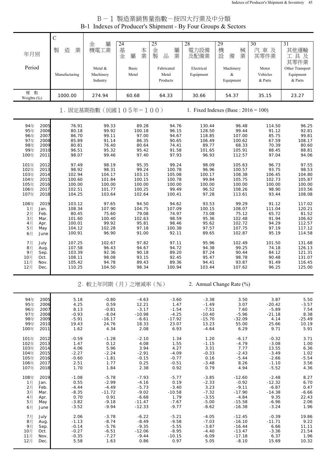### B-1 製造業銷售量指數-按四大行業及中分類 B-1 Indexes of Producer's Shipment - By Four Groups & Sectors

|                              | $\mathsf{C}$       |                                  |                             |                                 |                         |                                         |                              |                                         |
|------------------------------|--------------------|----------------------------------|-----------------------------|---------------------------------|-------------------------|-----------------------------------------|------------------------------|-----------------------------------------|
| 年月別                          | 造<br>製<br>業        | 屬<br>金<br>機電工業                   | 24<br>基<br>本<br>業<br>金<br>屬 | 25<br>金<br>屬<br>製<br>業<br>品     | 28<br>電力設備<br>及配備業      | 29<br>機<br>械<br>設<br>業<br>備             | 30<br>汽車及<br>其零件業            | 31<br>其他運輸<br>工具及<br>其零件業               |
| Period                       | Manufacturing      | Metal &<br>Machinery<br>Industry | Basic<br>Metal              | Fabricated<br>Metal<br>Products | Electrical<br>Equipment | Machinery<br>&<br>Equipment             | Motor<br>Vehicles<br>& Parts | Other Transport<br>Equipment<br>& Parts |
| 數<br>權<br>Weights (%)        | 1000.00            | 274.94                           | 60.68                       | 64.33                           | 30.66                   | 54.37                                   | 35.15                        | 23.27                                   |
|                              |                    | 1. 固定基期指數(民國105年=100)            |                             |                                 |                         | 1. Fixed Indexes (Base : $2016 = 100$ ) |                              |                                         |
| 2005<br>94年<br>2006<br>95年   | 76.91<br>80.18     | 99.33<br>99.92                   | 89.28<br>100.18             | 94.76<br>96.15                  | 130.44<br>128.50        | 96.48<br>99.44                          | 114.50<br>91.12              | 96.25<br>92.81                          |
| 2007<br>96年<br>97年<br>2008   | 86.70<br>85.89     | 99.11<br>91.14                   | 97.00<br>86.35              | 94.67<br>90.65                  | 118.85<br>106.49        | 107.00<br>100.62                        | 85.75<br>67.59               | 99.81<br>108.17                         |
| 2009<br>98年                  | 80.81              | 76.40                            | 80.64                       | 74.41                           | 89.77                   | 68.33                                   | 70.39                        | 80.60                                   |
| 99年<br>2010<br>100年<br>2011  | 96.51<br>98.07     | 95.32<br>99.46                   | 95.42<br>97.40              | 91.58<br>97.93                  | 101.65<br>96.93         | 105.91<br>112.57                        | 88.45<br>97.04               | 88.81<br>94.06                          |
| 101年<br>2012                 | 97.49              | 98.19                            | 95.35                       | 99.24                           | 98.09                   | 105.63                                  | 96.73                        | 97.55                                   |
| 102年<br>2013<br>103年<br>2014 | 98.92<br>102.94    | 98.31<br>104.17                  | 99.24<br>103.15             | 100.78<br>105.08                | 96.96<br>100.17         | 100.57<br>108.38                        | 93.75<br>106.45              | 98.53<br>104.80                         |
| 104年<br>2015                 | 100.60             | 101.84                           | 100.15                      | 100.78                          | 99.84                   | 105.75                                  | 102.73                       | 105.87                                  |
| 105年<br>2016<br>2017<br>106年 | 100.00<br>102.51   | 100.00<br>101.77                 | 100.00<br>100.25            | 100.00<br>99.49                 | 100.00<br>96.52         | 100.00<br>108.26                        | 100.00<br>98.90              | 100.00<br>103.56                        |
| 107年<br>2018                 | 104.25             | 103.64                           | 102.64                      | 100.41                          | 97.28                   | 113.61                                  | 93.44                        | 108.08                                  |
| 108年<br>2019                 | 103.12             | 97.65                            | 94.50                       | 94.62                           | 93.53                   | 99.29                                   | 91.12                        | 117.02                                  |
| 1月<br>Jan.<br>2月<br>Feb.     | 108.34<br>80.45    | 107.90<br>75.60                  | 104.75<br>79.08             | 107.09<br>74.97                 | 100.15<br>73.08         | 108.07<br>75.12                         | 111.04<br>65.72              | 120.21<br>81.52                         |
| 3月<br>Mar.<br>4月<br>Apr.     | 101.60<br>100.01   | 100.40<br>99.92                  | 102.63<br>95.81             | 98.59<br>98.46                  | 95.36<br>95.62          | 102.48<br>102.72                        | 91.94<br>94.29               | 106.62<br>112.57                        |
| 5月<br>May                    | 104.12             | 102.28                           | 97.18                       | 100.38                          | 97.57                   | 107.75                                  | 97.19                        | 117.12                                  |
| 6月<br>June                   | 100.91             | 96.90                            | 91.00                       | 92.11                           | 89.65                   | 102.87                                  | 95.19                        | 114.58                                  |
| 7月<br>July<br>8月<br>Aug.     | 107.25<br>107.58   | 102.67<br>96.43                  | 97.82<br>94.67              | 97.11<br>94.72                  | 95.96<br>94.38          | 102.49<br>99.25                         | 101.50<br>74.18              | 131.68<br>126.13                        |
| 9月<br>Sep.<br>10月            | 103.39<br>108.11   | 92.36<br>98.08                   | 90.18<br>93.15              | 89.20<br>92.45                  | 87.24<br>95.47          | 90.44<br>98.78                          | 84.12<br>90.48               | 121.31<br>131.07                        |
| Oct.<br>11月<br>Nov.          | 105.42             | 94.78                            | 89.43                       | 89.36                           | 94.41                   | 93.87                                   | 91.49                        | 116.45                                  |
| 12月<br>Dec.                  | 110.25             | 104.50                           | 98.34                       | 100.94                          | 103.44                  | 107.62                                  | 96.25                        | 125.00                                  |
|                              |                    | 2. 較上年同期(月)之增減率(%)               |                             |                                 |                         | 2. Annual Change Rate (%)               |                              |                                         |
| 94年<br>2005                  | 5.18               | $-0.80$                          | $-4.63$                     | $-3.60$                         | $-3.38$                 | 3.50                                    | 3.87                         | 5.50                                    |
| 95年<br>2006<br>96年<br>2007   | 4.25<br>8.13       | 0.59<br>$-0.81$                  | 12.21<br>$-3.17$            | 1.47<br>$-1.54$                 | $-1.49$<br>$-7.51$      | 3.07<br>7.60                            | $-20.42$<br>$-5.89$          | $-3.57$<br>7.54                         |
| 97年<br>2008                  | $-0.93$            | $-8.04$                          | $-10.98$                    | $-4.25$                         | $-10.40$                | $-5.96$                                 | $-21.18$                     | 8.38                                    |
| 98年<br>2009<br>99年<br>2010   | $-5.91$<br>19.43   | $-16.17$<br>24.76                | $-6.61$<br>18.33            | $-17.92$<br>23.07               | $-15.70$<br>13.23       | $-32.09$<br>55.00                       | 4.14<br>25.66                | $-25.49$<br>10.19                       |
| 100年<br>2011                 | 1.62               | 4.34                             | 2.08                        | 6.93                            | $-4.64$                 | 6.29                                    | 9.71                         | 5.91                                    |
| 101年<br>2012<br>2013<br>102年 | $-0.59$<br>1.47    | $-1.28$<br>0.12                  | $-2.10$<br>4.08             | 1.34<br>1.55                    | 1.20<br>$-1.15$         | $-6.17$<br>$-4.79$                      | $-0.32$<br>$-3.08$           | 3.71<br>1.00                            |
| 103年<br>2014                 | 4.06               | 5.96                             | 3.94                        | 4.27                            | 3.31                    | 7.77                                    | 13.55                        | 6.36                                    |
| 104年<br>2015<br>105年<br>2016 | $-2.27$<br>$-0.60$ | $-2.24$<br>$-1.81$               | $-2.91$<br>$-0.15$          | $-4.09$<br>$-0.77$              | $-0.33$<br>0.16         | $-2.43$<br>$-5.44$                      | $-3.49$<br>$-2.66$           | 1.02<br>$-5.54$                         |
| 106年<br>2017                 | 2.51               | 1.77                             | 0.25                        | $-0.51$                         | $-3.48$                 | 8.26                                    | $-1.10$                      | 3.56                                    |
| 107年<br>2018                 | 1.70               | 1.84                             | 2.38                        | 0.92                            | 0.79                    | 4.94                                    | $-5.52$                      | 4.36                                    |
| 108年<br>2019<br>1月<br>Jan.   | $-1.08$<br>0.55    | $-5.78$<br>$-2.99$               | $-7.93$<br>$-4.16$          | $-5.77$<br>0.19                 | $-3.85$<br>$-2.33$      | $-12.60$<br>$-0.92$                     | $-2.48$<br>$-12.32$          | 8.27<br>6.70                            |
| 2月<br>Feb.<br>3月<br>Mar.     | $-4.44$<br>$-8.35$ | $-4.49$<br>$-11.72$              | $-5.73$<br>$-9.02$          | $-3.40$<br>$-10.58$             | 3.23<br>$-7.32$         | $-9.11$<br>$-17.90$                     | $-6.87$<br>$-14.38$          | 0.47<br>$-6.66$                         |
| 4月<br>Apr.                   | 0.70               | 0.91                             | $-6.68$                     | 1.79                            | $-3.55$                 | $-4.84$                                 | 9.35                         | 22.43                                   |
| 5月<br>May<br>6月<br>June      | $-3.82$<br>$-3.52$ | $-9.18$<br>$-9.94$               | $-11.47$<br>$-12.33$        | $-7.67$<br>$-9.77$              | $-5.00$<br>$-8.62$      | $-15.58$<br>$-16.38$                    | $-6.96$<br>$-3.24$           | 2.06<br>1.96                            |
| 7月                           | 2.06               | $-3.78$                          | $-6.22$                     | $-5.21$                         | $-4.05$                 | $-12.45$                                | $-0.39$                      | 19.86                                   |
| July<br>8月<br>Aug.           | $-1.13$            | $-8.74$                          | $-8.49$                     | $-9.58$                         | $-7.03$                 | $-16.10$                                | $-11.71$                     | 9.22                                    |
| 9月<br>Sep.<br>10月<br>Oct.    | $-0.14$<br>$-0.27$ | $-5.76$<br>$-6.51$               | $-9.35$<br>$-12.06$         | $-5.55$<br>$-8.95$              | $-3.87$<br>$-4.40$      | $-16.44$<br>$-13.47$                    | 6.66<br>$-3.36$              | 11.11<br>21.54                          |
| 11月<br>Nov.                  | $-0.35$            | $-7.27$                          | $-9.44$                     | $-10.15$                        | $-6.09$                 | $-17.18$                                | 6.37                         | 1.96                                    |
| 12月<br>Dec.                  | 5.58               | 1.63                             | 0.86                        | 0.97                            | 5.05                    | $-8.10$                                 | 15.69                        | 10.32                                   |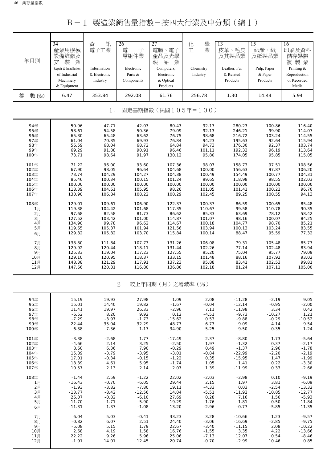B-1 製造業銷售量指數-按四大行業及中分類(續1)

| 年月別        | $\overline{34}$<br>產業用機械<br>設備維修及<br>裝<br>業<br>安<br>Repair & Installation<br>of Industrial<br>Machinery<br>& Equipment | 訊<br>資<br>電子工業<br>Information<br>& Electronic<br>Industry | 26<br>電<br>子<br>零組件業<br>Electronic<br>Parts &<br>Components | 27<br>電腦、電子<br>產品及光學<br>業<br>製<br>品<br>Computers,<br>Electronic<br>& Optical<br>Products | 學<br>化<br>業<br>工<br>Chemistry<br>Industry | 13<br>皮革、毛皮<br>及其製品業<br>Leather, Fur<br>& Related<br>Products | $\overline{15}$<br>紙漿、紙<br>及紙製品業<br>Pulp, Paper<br>& Paper<br>Products | 16<br>印刷及資料<br>儲存媒體<br>複製業<br>Printing &<br>Reproduction<br>of Recorded<br>Media |
|------------|------------------------------------------------------------------------------------------------------------------------|-----------------------------------------------------------|-------------------------------------------------------------|------------------------------------------------------------------------------------------|-------------------------------------------|---------------------------------------------------------------|------------------------------------------------------------------------|----------------------------------------------------------------------------------|
| 權<br>數 (%) | 6.47                                                                                                                   | 353.84                                                    | 292.08                                                      | 61.76                                                                                    | 256.78                                    | 1.30                                                          | 14.44                                                                  | 5.94                                                                             |
|            |                                                                                                                        | $1$ .                                                     |                                                             | 固定基期指數(民國105年=100)                                                                       |                                           |                                                               |                                                                        |                                                                                  |
| 94年        | 50.96                                                                                                                  | 47.71                                                     | 42.03                                                       | 80.43                                                                                    | 92.17                                     | 280.23                                                        | 100.86                                                                 | 116.40                                                                           |
| 95年        | 58.61                                                                                                                  | 54.58                                                     | 50.36                                                       | 79.09                                                                                    | 92.13                                     | 246.21                                                        | 99.90                                                                  | 114.07                                                                           |
| 96年        | 65.30                                                                                                                  | 65.48                                                     | 63.62                                                       | 76.75                                                                                    | 98.68                                     | 216.72                                                        | 103.24                                                                 | 114.55                                                                           |
| 97年        | 61.04                                                                                                                  | 70.85                                                     | 69.93                                                       | 76.84                                                                                    | 94.23                                     | 195.63                                                        | 92.64                                                                  | 115.94                                                                           |
| 98年        | 56.59                                                                                                                  | 68.04                                                     | 68.72                                                       | 64.84                                                                                    | 94.73                                     | 176.30                                                        | 92.37                                                                  | 103.74                                                                           |
| 99年        | 69.29                                                                                                                  | 91.88                                                     | 90.91                                                       | 96.46                                                                                    | 101.11                                    | 192.32                                                        | 96.19                                                                  | 113.64                                                                           |
| 100年       | 73.71                                                                                                                  | 98.64                                                     | 91.97                                                       | 130.12                                                                                   | 95.80                                     | 174.05                                                        | 95.85                                                                  | 115.05                                                                           |
| 101年       | 71.22                                                                                                                  | 96.00                                                     | 93.60                                                       | 107.36                                                                                   | 98.07                                     | 158.73                                                        | 97.51                                                                  | 108.56                                                                           |
| 102年       | 67.90                                                                                                                  | 98.05                                                     | 96.64                                                       | 104.68                                                                                   | 100.00                                    | 156.63                                                        | 97.87                                                                  | 106.20                                                                           |
| 103年       | 73.74                                                                                                                  | 104.29                                                    | 104.27                                                      | 104.38                                                                                   | 100.49                                    | 154.49                                                        | 100.77                                                                 | 104.31                                                                           |
| 104年       | 85.46                                                                                                                  | 100.34                                                    | 100.15                                                      | 101.24                                                                                   | 99.65                                     | 118.98                                                        | 98.55                                                                  | 102.03                                                                           |
| 105年       | 100.00                                                                                                                 | 100.00                                                    | 100.00                                                      | 100.00                                                                                   | 100.00                                    | 100.00                                                        | 100.00                                                                 | 100.00                                                                           |
| 106年       | 118.39                                                                                                                 | 104.61                                                    | 105.95                                                      | 98.26                                                                                    | 101.05                                    | 101.41                                                        | 100.22                                                                 | 96.70                                                                            |
| 107年       | 130.90                                                                                                                 | 106.84                                                    | 108.22                                                      | 100.29                                                                                   | 102.45                                    | 89.25                                                         | 100.55                                                                 | 94.13                                                                            |
| 108年       | 129.01                                                                                                                 | 109.61                                                    | 106.90                                                      | 122.37                                                                                   | 100.37                                    | 86.59                                                         | 100.65                                                                 | 85.48                                                                            |
| 1月         | 119.38                                                                                                                 | 104.42                                                    | 101.68                                                      | 117.35                                                                                   | 110.67                                    | 99.58                                                         | 110.78                                                                 | 90.35                                                                            |
| 2月         | 97.68                                                                                                                  | 82.58                                                     | 81.73                                                       | 86.62                                                                                    | 85.33                                     | 63.69                                                         | 78.12                                                                  | 58.42                                                                            |
| 3月         | 127.52                                                                                                                 | 103.42                                                    | 101.00                                                      | 114.87                                                                                   | 101.07                                    | 98.16                                                         | 100.07                                                                 | 84.25                                                                            |
| 4月         | 134.90                                                                                                                 | 99.78                                                     | 96.62                                                       | 114.67                                                                                   | 100.18                                    | 104.77                                                        | 98.70                                                                  | 85.21                                                                            |
| 5月         | 119.65                                                                                                                 | 105.37                                                    | 101.94                                                      | 121.56                                                                                   | 103.94                                    | 100.13                                                        | 103.24                                                                 | 83.55                                                                            |
| 6月         | 129.82                                                                                                                 | 105.82                                                    | 103.70                                                      | 115.84                                                                                   | 100.14                                    | 88.47                                                         | 95.59                                                                  | 77.32                                                                            |
| 7月         | 138.80                                                                                                                 | 111.84                                                    | 107.73                                                      | 131.26                                                                                   | 106.08                                    | 79.31                                                         | 105.48                                                                 | 85.77                                                                            |
| 8月         | 129.92                                                                                                                 | 120.44                                                    | 118.11                                                      | 131.44                                                                                   | 102.26                                    | 77.14                                                         | 102.48                                                                 | 83.94                                                                            |
| 9月         | 125.33                                                                                                                 | 119.04                                                    | 117.23                                                      | 127.55                                                                                   | 95.20                                     | 75.04                                                         | 95.77                                                                  | 79.09                                                                            |
| 10月        | 129.10                                                                                                                 | 120.95                                                    | 118.37                                                      | 133.15                                                                                   | 101.48                                    | 88.16                                                         | 107.92                                                                 | 93.02                                                                            |
| 11月        | 148.38                                                                                                                 | 121.29                                                    | 117.91                                                      | 137.23                                                                                   | 95.88                                     | 83.41                                                         | 102.53                                                                 | 99.81                                                                            |
| 12月        | 147.66                                                                                                                 | 120.31                                                    | 116.80                                                      | 136.86                                                                                   | 102.18                                    | 81.24                                                         | 107.11                                                                 | 105.00                                                                           |
|            |                                                                                                                        |                                                           | $2$ .                                                       | 較上年同期(月)之增減率(%)                                                                          |                                           |                                                               |                                                                        |                                                                                  |
| 94年        | 15.19                                                                                                                  | 19.93                                                     | 27.98                                                       | 1.09                                                                                     | 2.08                                      | $-11.28$                                                      | $-2.19$                                                                | 9.05                                                                             |
| 95年        | 15.01                                                                                                                  | 14.40                                                     | 19.82                                                       | $-1.67$                                                                                  | $-0.04$                                   | $-12.14$                                                      | $-0.95$                                                                | $-2.00$                                                                          |
| 96年        | 11.41                                                                                                                  | 19.97                                                     | 26.33                                                       | $-2.96$                                                                                  | 7.11                                      | $-11.98$                                                      | 3.34                                                                   | 0.42                                                                             |
| 97年        | $-6.52$                                                                                                                | 8.20                                                      | 9.92                                                        | 0.12                                                                                     | $-4.51$                                   | $-9.73$                                                       | $-10.27$                                                               | 1.21                                                                             |
| 98年        | $-7.29$                                                                                                                | $-3.97$                                                   | $-1.73$                                                     | $-15.62$                                                                                 | 0.53                                      | $-9.88$                                                       | $-0.29$                                                                | $-10.52$                                                                         |
| 99年        | 22.44                                                                                                                  | 35.04                                                     | 32.29                                                       | 48.77                                                                                    | 6.73                                      | 9.09                                                          | 4.14                                                                   | 9.54                                                                             |
| 100年       | 6.38                                                                                                                   | 7.36                                                      | 1.17                                                        | 34.90                                                                                    | $-5.25$                                   | $-9.50$                                                       | $-0.35$                                                                | 1.24                                                                             |
| 101年       | $-3.38$                                                                                                                | $-2.68$                                                   | 1.77                                                        | $-17.49$                                                                                 | 2.37                                      | $-8.80$                                                       | 1.73                                                                   | $-5.64$                                                                          |
| 102年       | $-4.66$                                                                                                                | 2.14                                                      | 3.25                                                        | $-2.50$                                                                                  | 1.97                                      | $-1.32$                                                       | 0.37                                                                   | $-2.17$                                                                          |
| 103年       | 8.60                                                                                                                   | 6.36                                                      | 7.90                                                        | $-0.29$                                                                                  | 0.49                                      | $-1.37$                                                       | 2.96                                                                   | $-1.78$                                                                          |
| 104年       | 15.89                                                                                                                  | $-3.79$                                                   | $-3.95$                                                     | $-3.01$                                                                                  | $-0.84$                                   | $-22.99$                                                      | $-2.20$                                                                | $-2.19$                                                                          |
| 105年       | 17.01                                                                                                                  | $-0.34$                                                   | $-0.15$                                                     | $-1.22$                                                                                  | 0.35                                      | $-15.95$                                                      | 1.47                                                                   | $-1.99$                                                                          |
| 106年       | 18.39                                                                                                                  | 4.61                                                      | 5.95                                                        | $-1.74$                                                                                  | 1.05                                      | 1.41                                                          | 0.22                                                                   | $-3.30$                                                                          |
| 107年       | 10.57                                                                                                                  | 2.13                                                      | 2.14                                                        | 2.07                                                                                     | 1.39                                      | $-11.99$                                                      | 0.33                                                                   | $-2.66$                                                                          |
| 108年       | $-1.44$                                                                                                                | 2.59                                                      | $-1.22$                                                     | 22.02                                                                                    | $-2.03$                                   | $-2.98$                                                       | 0.10                                                                   | $-9.19$                                                                          |
| 1月         | $-16.43$                                                                                                               | $-0.70$                                                   | $-6.05$                                                     | 29.44                                                                                    | 2.15                                      | 1.97                                                          | 3.81                                                                   | $-6.09$                                                                          |
| 2月         | $-1.93$                                                                                                                | $-3.82$                                                   | $-7.80$                                                     | 19.11                                                                                    | $-4.33$                                   | 0.03                                                          | $-2.54$                                                                | $-13.32$                                                                         |
| 3月         | $-13.77$                                                                                                               | $-8.42$                                                   | $-12.56$                                                    | 14.04                                                                                    | $-5.51$                                   | $-11.92$                                                      | $-10.85$                                                               | $-12.77$                                                                         |
| 4月         | 26.07                                                                                                                  | $-0.82$                                                   | $-6.10$                                                     | 27.69                                                                                    | 0.28                                      | 7.16                                                          | 1.56                                                                   | $-5.93$                                                                          |
| 5月         | $-11.70$                                                                                                               | $-1.71$                                                   | $-5.90$                                                     | 19.29                                                                                    | $-1.76$                                   | $-1.81$                                                       | 0.50                                                                   | -11.84                                                                           |
| 6月         | $-11.31$                                                                                                               | 1.37                                                      | $-1.08$                                                     | 13.20                                                                                    | $-2.96$                                   | $-0.77$                                                       | $-5.85$                                                                | $-11.35$                                                                         |
| 7月         | 6.04                                                                                                                   | 5.03                                                      | $-0.41$                                                     | 33.23                                                                                    | 3.28                                      | $-10.66$                                                      | 1.23                                                                   | $-9.57$                                                                          |
| 8月         | $-0.82$                                                                                                                | 6.07                                                      | 2.51                                                        | 24.40                                                                                    | $-3.06$                                   | $-16.69$                                                      | $-2.85$                                                                | $-9.75$                                                                          |
| 9月         | $-5.08$                                                                                                                | 5.15                                                      | 1.79                                                        | 22.67                                                                                    | $-3.40$                                   | $-11.15$                                                      | 2.08                                                                   | $-10.22$                                                                         |
| 10月        | 2.68                                                                                                                   | 4.19                                                      | 1.58                                                        | 16.76                                                                                    | $-1.55$                                   | 3.35                                                          | 4.22                                                                   | $-13.66$                                                                         |
| 11月        | 22.22                                                                                                                  | 9.26                                                      | 5.96                                                        | 25.06                                                                                    | $-7.13$                                   | 12.07                                                         | 0.54                                                                   | $-8.46$                                                                          |

12月 | -1.91 14.01 12.45 20.74 -0.70 -2.99 10.46 0.85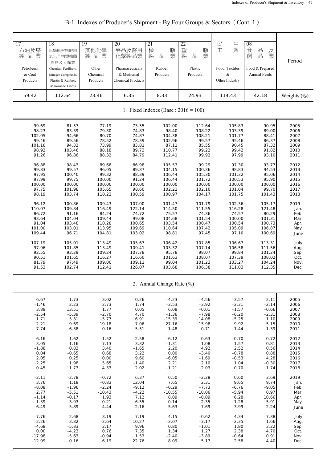| 17<br>石油及煤<br>製品業<br>Petroleum<br>& Coal<br>Products | 18<br>化學原材料肥料<br>氮化合物塑橡膠<br>原料及人纖業<br>Chemical, Fertilizers,<br>Nitrogen Compounds,<br>Plastic & Rubber,<br>Man-made Fibres | 19<br>其他化學<br>製品業<br>Other<br>Chemical<br>Products | 20<br>藥品及醫用<br>化學製品業<br>Pharmaceuticals<br>& Medicinal<br><b>Chemical Products</b> | 21<br>橡<br>膠<br>業<br>品<br>製<br>Rubber<br>Products | 22<br>塑<br>膠<br>品<br>業<br>製<br>Plastic<br>Products | 生業<br>民工<br>Food, Textiles<br>&<br>Other Industry | 08<br>品<br>食<br>及<br>品<br>業<br>飼<br>Food & Prepared<br>Animal Feeds | Period      |
|------------------------------------------------------|-----------------------------------------------------------------------------------------------------------------------------|----------------------------------------------------|------------------------------------------------------------------------------------|---------------------------------------------------|----------------------------------------------------|---------------------------------------------------|---------------------------------------------------------------------|-------------|
| 59.42                                                | 112.64                                                                                                                      | 23.46                                              | 6.35                                                                               | 8.33                                              | 24.93                                              | 114.43                                            | 42.18                                                               | Weights (%) |
|                                                      |                                                                                                                             |                                                    |                                                                                    | 1. Fixed Indexes (Base : $2016 = 100$ )           |                                                    |                                                   |                                                                     |             |
| 99.69                                                | 81.57                                                                                                                       | 77.19                                              | 73.55                                                                              | 102.00                                            | 112.64                                             | 105.83                                            | 90.95                                                               | 2005        |
| 98.23                                                | 83.39                                                                                                                       | 79.30                                              | 74.83                                                                              | 98.40                                             | 108.22                                             | 103.39                                            | 89.00                                                               | 2006        |
| 102.05                                               | 94.66                                                                                                                       | 80.70                                              | 74.87                                                                              | 104.38                                            | 108.21                                             | 101.77                                            | 88.41                                                               | 2007        |
| 99.46                                                | 89.56                                                                                                                       | 78.52                                              | 78.39                                                                              | 102.96                                            | 99.57                                              | 95.46                                             | 86.37                                                               | 2008        |
| 101.16                                               | 94.32                                                                                                                       | 73.99                                              | 83.81                                                                              | 87.11                                             | 85.55                                              | 90.45                                             | 87.32                                                               | 2009        |
| 98.92                                                | 103.46                                                                                                                      | 88.18                                              | 89.73                                                                              | 110.77                                            | 99.22                                              | 99.42                                             | 91.82                                                               | 2010        |
| 91.26                                                | 96.86                                                                                                                       | 88.32                                              | 84.79                                                                              | 112.41                                            | 99.92                                              | 97.99                                             | 93.10                                                               | 2011        |
| 96.88                                                | 98.43                                                                                                                       | 89.66                                              | 86.98                                                                              | 105.53                                            | 99.29                                              | 97.30                                             | 93.77                                                               | 2012        |
| 99.83                                                | 99.57                                                                                                                       | 96.05                                              | 89.87                                                                              | 104.15                                            | 100.36                                             | 98.83                                             | 94.53                                                               | 2013        |
| 97.95                                                | 100.40                                                                                                                      | 99.32                                              | 88.39                                                                              | 106.44                                            | 105.30                                             | 101.32                                            | 95.06                                                               | 2014        |
| 97.99                                                | 99.75                                                                                                                       | 100.00                                             | 91.24                                                                              | 106.44                                            | 101.72                                             | 100.53                                            | 95.90                                                               | 2015        |
| 100.00                                               | 100.00                                                                                                                      | 100.00                                             | 100.00                                                                             | 100.00                                            | 100.00                                             | 100.00                                            | 100.00                                                              | 2016        |
| 97.75                                                | 101.98                                                                                                                      | 105.65                                             | 98.60                                                                              | 102.21                                            | 102.10                                             | 101.04                                            | 99.70                                                               | 2017        |
| 98.19                                                | 103.74                                                                                                                      | 110.22                                             | 100.59                                                                             | 100.97                                            | 104.17                                             | 101.75                                            | 101.43                                                              | 2018        |
| 96.12                                                | 100.86                                                                                                                      | 109.43                                             | 107.00                                                                             | 101.47                                            | 101.79                                             | 102.36                                            | 105.17                                                              | 2019        |
| 110.07                                               | 109.84                                                                                                                      | 116.49                                             | 122.14                                                                             | 114.50                                            | 111.55                                             | 116.28                                            | 121.48                                                              | Jan.        |
| 86.72                                                | 91.16                                                                                                                       | 84.24                                              | 74.72                                                                              | 75.57                                             | 74.36                                              | 74.57                                             | 80.29                                                               | Feb.        |
| 93.64                                                | 104.04                                                                                                                      | 109.44                                             | 99.08                                                                              | 104.68                                            | 101.54                                             | 100.00                                            | 101.31                                                              | Mar.        |
| 91.04                                                | 103.48                                                                                                                      | 110.28                                             | 100.65                                                                             | 103.54                                            | 100.47                                             | 100.54                                            | 100.73                                                              | Apr.        |
| 101.00                                               | 103.01                                                                                                                      | 113.95                                             | 109.69                                                                             | 110.64                                            | 107.42                                             | 105.09                                            | 106.87                                                              | May         |
| 109.44                                               | 96.71                                                                                                                       | 104.81                                             | 103.02                                                                             | 98.81                                             | 97.45                                              | 97.10                                             | 100.69                                                              | June        |
| 107.19                                               | 105.01                                                                                                                      | 113.49                                             | 105.67                                                                             | 106.42                                            | 107.85                                             | 106.67                                            | 113.31                                                              | July        |
| 97.96                                                | 101.85                                                                                                                      | 113.49                                             | 109.41                                                                             | 103.32                                            | 107.14                                             | 106.58                                            | 111.56                                                              | Aug.        |
| 92.55                                                | 93.29                                                                                                                       | 109.24                                             | 107.78                                                                             | 95.78                                             | 98.07                                              | 99.84                                             | 101.24                                                              | Sep.        |
| 90.51                                                | 101.65                                                                                                                      | 116.27                                             | 116.60                                                                             | 101.63                                            | 108.07                                             | 107.39                                            | 108.02                                                              | Oct.        |
| 81.79                                                | 97.49                                                                                                                       | 109.00                                             | 109.11                                                                             | 99.04                                             | 101.23                                             | 103.27                                            | 104.24                                                              | Nov.        |
| 91.53                                                | 102.74                                                                                                                      | 112.41                                             | 126.07                                                                             | 103.68                                            | 106.38                                             | 111.03                                            | 112.35                                                              | Dec.        |
|                                                      |                                                                                                                             |                                                    |                                                                                    | 2. Annual Change Rate (%)                         |                                                    |                                                   |                                                                     |             |
| 6.67                                                 | 1.73                                                                                                                        | 3.02                                               | 0.26                                                                               | $-4.23$                                           | $-4.56$                                            | $-3.57$                                           | 2.11                                                                | 2005        |
| $-1.46$                                              | 2.23                                                                                                                        | 2.73                                               | 1.74                                                                               | $-3.53$                                           | $-3.92$                                            | $-2.31$                                           | $-2.14$                                                             | 2006        |
| 3.89                                                 | 13.51                                                                                                                       | 1.77                                               | 0.05                                                                               | 6.08                                              | $-0.01$                                            | $-1.57$                                           | $-0.66$                                                             | 2007        |
| $-2.54$                                              | $-5.39$                                                                                                                     | $-2.70$                                            | 4.70                                                                               | $-1.36$                                           | $-7.98$                                            | $-6.20$                                           | $-2.31$                                                             | 2008        |
| 1.71                                                 | 5.31                                                                                                                        | $-5.77$                                            | 6.91                                                                               | $-15.39$                                          | $-14.08$                                           | $-5.25$                                           | 1.10                                                                | 2009        |
| $-2.21$                                              | 9.69                                                                                                                        | 19.18                                              | 7.06                                                                               | 27.16                                             | 15.98                                              | 9.92                                              | 5.15                                                                | 2010        |
| $-7.74$                                              | $-6.38$                                                                                                                     | 0.16                                               | $-5.51$                                                                            | 1.48                                              | 0.71                                               | $-1.44$                                           | 1.39                                                                | 2011        |
| 6.16                                                 | 1.62                                                                                                                        | 1.52                                               | 2.58                                                                               | $-6.12$                                           | $-0.63$                                            | $-0.70$                                           | 0.72                                                                | 2012        |
| 3.05                                                 | 1.16                                                                                                                        | 7.13                                               | 3.32                                                                               | $-1.31$                                           | 1.08                                               | 1.57                                              | 0.81                                                                | 2013        |
| $-1.88$                                              | 0.83                                                                                                                        | 3.40                                               | $-1.65$                                                                            | 2.20                                              | 4.92                                               | 2.52                                              | 0.56                                                                | 2014        |
| 0.04                                                 | $-0.65$                                                                                                                     | 0.68                                               | 3.22                                                                               | 0.00                                              | $-3.40$                                            | $-0.78$                                           | 0.88                                                                | 2015        |
| 2.05                                                 | 0.25                                                                                                                        | 0.00                                               | 9.60                                                                               | $-6.05$                                           | $-1.69$                                            | $-0.53$                                           | 4.28                                                                | 2016        |
| $-2.25$                                              | 1.98                                                                                                                        | 5.65                                               | $-1.40$                                                                            | 2.21                                              | 2.10                                               | 1.04                                              | $-0.30$                                                             | 2017        |
| 0.45                                                 | 1.73                                                                                                                        | 4.33                                               | 2.02                                                                               | $-1.21$                                           | 2.03                                               | 0.70                                              | 1.74                                                                | 2018        |
| $-2.11$                                              | $-2.78$                                                                                                                     | $-0.72$                                            | 6.37                                                                               | 0.50                                              | $-2.28$                                            | 0.60                                              | 3.69                                                                | 2019        |
| 3.76                                                 | 1.18                                                                                                                        | $-0.83$                                            | 12.04                                                                              | 7.65                                              | 2.31                                               | 9.65                                              | 9.74                                                                | Jan.        |
| $-8.08$                                              | $-1.96$                                                                                                                     | $-2.24$                                            | $-9.12$                                                                            | $-0.29$                                           | $-7.73$                                            | $-6.76$                                           | $-9.05$                                                             | Feb.        |
| 2.77                                                 | $-5.51$                                                                                                                     | $-10.43$                                           | $-4.22$                                                                            | $-10.55$                                          | $-10.06$                                           | $-5.94$                                           | 0.97                                                                | Mar.        |
| $-1.14$                                              | $-0.17$                                                                                                                     | 1.93                                               | 7.12                                                                               | 8.09                                              | $-0.09$                                            | 6.28                                              | 10.66                                                               | Apr.        |
| 1.39                                                 | $-3.93$                                                                                                                     | $-0.21$                                            | 6.55                                                                               | 0.14                                              | $-2.35$                                            | $-1.28$                                           | 5.91                                                                | May         |
| 6.49                                                 | $-5.89$                                                                                                                     | $-4.44$                                            | 2.16                                                                               | $-5.63$                                           | $-7.69$                                            | $-3.99$                                           | 2.24                                                                | June        |
| 7.76                                                 | 2.68                                                                                                                        | 3.19                                               | 7.19                                                                               | 4.15                                              | $-0.62$                                            | 4.34                                              | 7.38                                                                | July        |
| $-2.26$                                              | $-3.82$                                                                                                                     | $-2.64$                                            | 10.27                                                                              | $-3.07$                                           | $-3.17$                                            | $-2.35$                                           | 1.66                                                                | Aug.        |
| $-4.68$                                              | $-5.83$                                                                                                                     | 2.17                                               | 9.96                                                                               | 0.80                                              | $-1.01$                                            | 1.80                                              | 3.22                                                                | Sep.        |
| 0.00                                                 | $-4.23$                                                                                                                     | 0.76                                               | 7.35                                                                               | 1.34                                              | 1.27                                               | 2.38                                              | 4.70                                                                | Oct.        |
| $-17.98$                                             | $-5.63$                                                                                                                     | $-0.94$                                            | 1.53                                                                               | $-2.40$                                           | $-3.89$                                            | $-0.64$                                           | 0.91                                                                | Nov.        |
| $-12.99$                                             | $-0.16$                                                                                                                     | 6.19                                               | 22.76                                                                              | 8.09                                              | 5.17                                               | 2.58                                              | 4.40                                                                | Dec.        |

B-1 Indexes of Producer's Shipment - By Four Groups & Sectors(Cont. 1)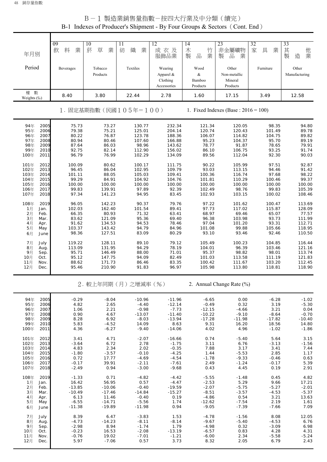| 年月別                                                          | 09<br>料<br>業<br>飲                       | 10<br>草<br>菸<br>業                         | $\overline{11}$<br>織<br>紡<br>業             | 12<br>成衣及<br>服飾品業                               | $\overline{14}$<br>木<br>竹<br>$\frac{\Box}{\Box \Box}$<br>業<br>製 | 23<br>非金屬礦物<br>業<br>製<br>品                   | 32<br>家<br>具<br>業                       | 33<br>其<br>他業<br>製<br>造                 |
|--------------------------------------------------------------|-----------------------------------------|-------------------------------------------|--------------------------------------------|-------------------------------------------------|-----------------------------------------------------------------|----------------------------------------------|-----------------------------------------|-----------------------------------------|
| Period                                                       | Beverages                               | Tobacco<br>Products                       | Textiles                                   | Wearing<br>Apparel &<br>Clothing<br>Accessories | Wood<br>$\&$<br>Bamboo<br>Products                              | Other<br>Non-metallic<br>Mineral<br>Products | Furniture                               | Other<br>Manufacturing                  |
| 權 數<br>Weights (%)                                           | 8.40                                    | 3.80                                      | 22.44                                      | 2.78                                            | 1.60                                                            | 17.15                                        | 3.49                                    | 12.58                                   |
|                                                              |                                         |                                           | 1. 固定基期指數(民國105年=100)                      |                                                 |                                                                 | 1. Fixed Indexes (Base : $2016 = 100$ )      |                                         |                                         |
| 94年<br>2005<br>95年<br>2006<br>96年<br>2007                    | 75.73<br>79.38<br>80.22                 | 73.27<br>75.21<br>76.87                   | 130.77<br>125.01<br>123.78                 | 232.34<br>204.14<br>188.36                      | 121.34<br>120.74<br>106.07                                      | 120.05<br>120.43<br>114.82                   | 98.35<br>101.49<br>104.75               | 94.80<br>89.78<br>89.82                 |
| 97年<br>2008<br>98年<br>2009<br>99年<br>2010<br>100年<br>2011    | 80.94<br>87.64<br>92.75<br>96.79        | 80.46<br>86.03<br>82.14<br>76.99          | 107.60<br>98.96<br>112.90<br>102.29        | 166.88<br>143.62<br>156.02<br>134.09            | 95.23<br>78.77<br>86.10<br>89.56                                | 104.37<br>91.87<br>106.75<br>112.04          | 95.70<br>78.65<br>93.25<br>92.30        | 89.19<br>79.91<br>91.74<br>90.03        |
| 101年<br>2012<br>2013<br>102年<br>103年<br>2014                 | 100.09<br>96.45<br>101.11               | 80.62<br>86.04<br>88.05                   | 100.17<br>102.95<br>105.03                 | 111.75<br>109.79<br>109.41                      | 90.22<br>93.03<br>100.36                                        | 105.99<br>113.15<br>116.74                   | 97.51<br>94.46<br>97.68                 | 92.87<br>91.42<br>98.22                 |
| 2015<br>104年<br>105年<br>2016<br>106年<br>2017<br>107年<br>2018 | 99.29<br>100.00<br>99.83<br>97.34       | 84.91<br>100.00<br>139.91<br>141.23       | 104.92<br>100.00<br>97.89<br>94.95         | 104.76<br>100.00<br>92.39<br>83.45              | 101.81<br>100.00<br>102.49<br>102.93                            | 110.29<br>100.00<br>98.76<br>103.15          | 100.46<br>100.00<br>99.83<br>100.02     | 99.37<br>100.00<br>105.39<br>108.46     |
| 108年<br>2019<br>1月<br>Jan.<br>2月<br>Feb.                     | 96.05<br>102.03<br>66.35                | 142.23<br>162.40<br>80.93                 | 90.37<br>101.54<br>71.32                   | 79.76<br>89.41<br>63.41                         | 97.22<br>97.73<br>68.97                                         | 101.62<br>117.02<br>69.46                    | 100.47<br>115.87<br>65.07               | 113.69<br>128.09<br>77.57               |
| 3月<br>Mar.<br>4月<br>Apr.<br>5月<br>May<br>6月<br>June          | 83.62<br>91.62<br>103.37<br>98.36       | 121.09<br>134.53<br>143.42<br>127.51      | 95.36<br>94.53<br>94.79<br>83.09           | 69.40<br>78.46<br>84.96<br>80.29                | 96.38<br>97.04<br>101.08<br>93.10                               | 103.98<br>101.20<br>99.88<br>93.46           | 93.73<br>93.31<br>105.66<br>92.46       | 111.99<br>112.71<br>118.95<br>110.50    |
| 7月<br>July<br>8 <sub>7</sub><br>Aug.<br>9月<br>Sep.           | 119.22<br>113.09<br>95.71               | 128.11<br>131.95<br>146.49                | 89.10<br>94.29<br>88.00                    | 79.12<br>78.19<br>71.01                         | 105.49<br>104.01<br>95.37                                       | 100.23<br>96.39<br>98.82                     | 104.85<br>103.46<br>98.01               | 116.44<br>121.16<br>113.74              |
| 10月<br>Oct.<br>11月<br>Nov.<br>12月<br>Dec.                    | 95.12<br>88.62<br>95.46                 | 147.75<br>171.73<br>210.90                | 94.09<br>86.46<br>91.83                    | 82.49<br>83.35<br>96.97                         | 101.03<br>100.42<br>105.98                                      | 113.58<br>111.67<br>113.80                   | 111.19<br>103.20<br>118.81              | 121.83<br>112.45<br>118.90              |
|                                                              |                                         |                                           | 2. 較上年同期 (月) 之增減率 (%)                      |                                                 |                                                                 | 2. Annual Change Rate (%)                    |                                         |                                         |
| 94年<br>2005<br>95年<br>2006<br>2007<br>96年                    | $-0.29$<br>4.82<br>1.06                 | $-8.04$<br>2.65<br>2.21                   | $-10.96$<br>$-4.40$<br>$-0.98$             | $-11.96$<br>$-12.14$<br>$-7.73$                 | $-6.65$<br>$-0.49$<br>$-12.15$                                  | 0.00<br>0.32<br>$-4.66$                      | $-6.28$<br>3.19<br>3.21                 | $-1.02$<br>$-5.30$<br>0.04              |
| 97年<br>2008<br>98年<br>2009<br>99年<br>2010<br>100年<br>2011    | 0.90<br>8.28<br>5.83<br>4.36            | 4.67<br>6.92<br>$-4.52$<br>$-6.27$        | $-13.07$<br>$-8.03$<br>14.09<br>$-9.40$    | $-11.40$<br>$-13.94$<br>8.63<br>$-14.06$        | $-10.22$<br>$-17.28$<br>9.31<br>4.02                            | $-9.10$<br>$-11.98$<br>16.20<br>4.96         | $-8.64$<br>$-17.82$<br>18.56<br>$-1.02$ | $-0.70$<br>$-10.40$<br>14.80<br>$-1.86$ |
| 101年<br>2012<br>102年<br>2013<br>103年<br>2014                 | 3.41<br>$-3.64$<br>4.83                 | 4.71<br>6.72<br>2.34                      | $-2.07$<br>2.78<br>2.02                    | $-16.66$<br>$-1.75$<br>$-0.35$                  | 0.74<br>3.11<br>7.88                                            | $-5.40$<br>6.76<br>3.17                      | 5.64<br>$-3.13$<br>3.41                 | 3.15<br>$-1.56$<br>7.44                 |
| 104年<br>2015<br>105年<br>2016<br>106年<br>2017<br>107年<br>2018 | $-1.80$<br>0.72<br>$-0.17$<br>$-2.49$   | $-3.57$<br>17.77<br>39.91<br>0.94         | $-0.10$<br>$-4.69$<br>$-2.11$<br>$-3.00$   | $-4.25$<br>$-4.54$<br>$-7.61$<br>$-9.68$        | 1.44<br>$-1.78$<br>2.49<br>0.43                                 | $-5.53$<br>$-9.33$<br>$-1.24$<br>4.45        | 2.85<br>$-0.46$<br>$-0.17$<br>0.19      | 1.17<br>0.63<br>5.39<br>2.91            |
| 108年<br>2019<br>1月<br>Jan.<br>2月<br>Feb.                     | $-1.33$<br>16.42<br>$-13.85$            | 0.71<br>56.95<br>$-10.06$                 | $-4.82$<br>0.57<br>$-0.40$                 | $-4.42$<br>$-4.47$<br>$-19.59$                  | $-5.55$<br>$-2.53$<br>$-2.07$                                   | $-1.48$<br>5.29<br>$-5.75$                   | 0.45<br>9.66<br>$-5.27$                 | 4.82<br>17.21<br>$-2.01$                |
| 3月<br>Mar.<br>4月<br>Apr.<br>5月<br>May<br>6月<br>June          | $-10.49$<br>6.13<br>$-6.55$<br>$-11.38$ | $-17.46$<br>11.46<br>$-14.71$<br>$-19.89$ | $-14.84$<br>$-0.40$<br>$-5.56$<br>$-11.98$ | $-15.27$<br>0.19<br>1.74<br>0.94                | $-8.51$<br>$-4.86$<br>$-12.62$<br>$-9.05$                       | $-3.57$<br>0.54<br>$-7.54$<br>$-7.39$        | $-4.53$<br>3.21<br>2.19<br>$-7.66$      | $-5.37$<br>13.63<br>1.61<br>7.09        |
| 7月<br>July<br>8月<br>Aug.<br>9月<br>Sep.                       | 8.39<br>$-4.73$<br>$-2.98$              | 6.47<br>$-14.23$<br>8.94                  | $-3.83$<br>$-8.11$<br>$-1.74$              | 1.53<br>$-8.14$<br>1.79                         | $-4.78$<br>$-9.67$<br>$-4.98$                                   | $-1.56$<br>$-5.40$<br>0.32                   | 8.08<br>$-4.53$<br>$-3.09$              | 12.05<br>6.76<br>6.98                   |
| 10月<br>Oct.<br>11月<br>Nov.<br>12月<br>Dec.                    | $-0.23$<br>$-0.76$<br>5.97              | 16.53<br>19.02<br>$-7.06$                 | $-2.08$<br>$-7.01$<br>0.57                 | $-13.19$<br>$-1.21$<br>3.73                     | $-6.57$<br>$-6.00$<br>8.32                                      | 0.83<br>2.34<br>2.05                         | 4.28<br>$-5.58$<br>6.79                 | 4.31<br>$-5.24$<br>2.43                 |

#### B-1 製造業銷售量指數-按四大行業及中分類(續完) B-1 Indexes of Producer's Shipment - By Four Groups & Sectors (Cont. End)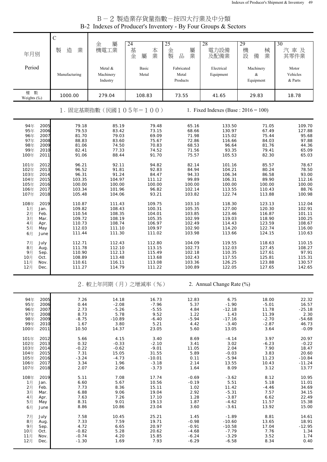# B-2 製造業存貨量指數-按四大行業及中分類 B-2 Indexes of Producer's Inventory - By Four Groups & Sectors T

|                                                                                                              | $\mathsf{C}$                                                       |                                                                    |                                                                       |                                                                    |                                                                      |                                                                    |                                                                     |
|--------------------------------------------------------------------------------------------------------------|--------------------------------------------------------------------|--------------------------------------------------------------------|-----------------------------------------------------------------------|--------------------------------------------------------------------|----------------------------------------------------------------------|--------------------------------------------------------------------|---------------------------------------------------------------------|
| 年月別                                                                                                          | 製<br>造<br>業                                                        | 屬<br>金<br>機電工業                                                     | 24<br>基<br>本<br>業<br>金<br>屬                                           | 25<br>金<br>屬<br>製<br>品<br>業                                        | 28<br>電力設備<br>及配備業                                                   | 29<br>機<br>械<br>設<br>業<br>備                                        | 30<br>汽車及<br>其零件業                                                   |
| Period                                                                                                       | Manufacturing                                                      | Metal &<br>Machinery<br>Industry                                   | Basic<br>Metal                                                        | Fabricated<br>Metal<br>Products                                    | Electrical<br>Equipment                                              | Machinery<br>&<br>Equipment                                        | Motor<br>Vehicles<br>& Parts                                        |
| 數<br>權<br>Weights (%)                                                                                        | 1000.00                                                            | 279.04                                                             | 108.83                                                                | 73.55                                                              | 41.65                                                                | 29.83                                                              | 18.78                                                               |
|                                                                                                              |                                                                    |                                                                    | 1. 固定基期指數(民國105年=100)                                                 |                                                                    | 1. Fixed Indexes (Base : $2016 = 100$ )                              |                                                                    |                                                                     |
| 2005<br>94年<br>2006<br>95年<br>2007<br>96年<br>97年<br>2008<br>2009<br>98年<br>99年<br>2010<br>2011<br>100年       | 79.18<br>79.53<br>81.70<br>88.83<br>81.06<br>82.41<br>91.06        | 85.19<br>83.42<br>79.03<br>83.60<br>74.50<br>77.33<br>88.44        | 79.48<br>73.15<br>69.09<br>75.67<br>70.83<br>74.52<br>91.70           | 65.16<br>68.66<br>71.98<br>72.86<br>68.53<br>71.56<br>75.57        | 133.50<br>130.97<br>115.02<br>116.66<br>96.64<br>93.35<br>105.53     | 71.05<br>67.49<br>75.44<br>84.03<br>81.76<br>79.41<br>82.30        | 109.70<br>127.88<br>95.68<br>97.88<br>44.36<br>65.09<br>65.03       |
| 101年<br>2012<br>102年<br>2013<br>103年<br>2014<br>104年<br>2015<br>105年<br>2016<br>106年<br>2017<br>107年<br>2018 | 96.21<br>96.52<br>96.31<br>103.35<br>100.00<br>103.34<br>105.48    | 92.11<br>91.81<br>91.24<br>104.97<br>100.00<br>101.96<br>104.06    | 94.82<br>92.83<br>84.47<br>111.12<br>100.00<br>96.82<br>93.21         | 82.14<br>84.94<br>94.33<br>99.89<br>100.00<br>102.14<br>103.82     | 101.16<br>104.21<br>106.34<br>106.31<br>100.00<br>113.55<br>122.74   | 85.57<br>80.24<br>86.58<br>89.90<br>100.00<br>110.43<br>113.88     | 78.67<br>78.50<br>93.00<br>112.16<br>100.00<br>88.76<br>100.98      |
| 108年<br>2019<br>1月<br>Jan.<br>2月<br>Feb.<br>3月<br>Mar.<br>4月<br>Apr.<br>5月<br>May<br>6月<br>June              | 110.87<br>109.82<br>110.54<br>109.72<br>110.73<br>112.03<br>111.44 | 111.43<br>108.43<br>108.35<br>108.19<br>108.74<br>111.10<br>111.30 | 109.75<br>100.31<br>104.01<br>105.35<br>106.97<br>109.97<br>111.02    | 103.10<br>105.35<br>103.85<br>102.99<br>102.49<br>102.90<br>103.98 | 118.30<br>127.00<br>123.46<br>119.03<br>114.43<br>114.20<br>113.66   | 123.13<br>120.30<br>116.87<br>118.90<br>123.59<br>122.74<br>124.15 | 112.04<br>102.91<br>101.11<br>100.25<br>108.67<br>116.00<br>110.63  |
| July<br>7月<br>8月<br>Aug.<br>9月<br>Sep.<br>10月<br>Oct.<br>11月<br>Nov.<br>12月<br>Dec.                          | 112.71<br>111.78<br>110.90<br>108.89<br>110.61<br>111.27           | 112.43<br>112.10<br>112.13<br>113.48<br>116.11<br>114.79           | 112.80<br>113.15<br>115.49<br>113.68<br>113.08<br>111.22              | 104.09<br>102.73<br>102.18<br>102.43<br>103.36<br>100.89           | 119.55<br>112.03<br>110.35<br>117.55<br>126.25<br>122.05             | 118.63<br>127.45<br>127.61<br>125.81<br>123.88<br>127.65           | 110.15<br>108.27<br>97.91<br>115.31<br>130.57<br>142.65             |
|                                                                                                              |                                                                    |                                                                    | 2. 較上年同期(月)之增減率(%)                                                    |                                                                    | 2. Annual Change Rate (%)                                            |                                                                    |                                                                     |
| 94年<br>2005<br>95年<br>2006<br>96年<br>2007<br>97年<br>2008<br>98年<br>2009<br>99年<br>2010<br>100年<br>2011       | 7.26<br>0.44<br>2.73<br>8.73<br>$-8.75$<br>1.67<br>10.50           | 14.18<br>$-2.08$<br>$-5.26$<br>5.78<br>$-10.89$<br>3.80<br>14.37   | 16.73<br>$-7.96$<br>$-5.55$<br>9.52<br>$-6.40$<br>5.21<br>23.05       | 12.83<br>5.37<br>4.84<br>1.22<br>$-5.94$<br>4.42<br>5.60           | 6.75<br>$-1.90$<br>$-12.18$<br>1.43<br>$-17.16$<br>$-3.40$<br>13.05  | 18.00<br>$-5.01$<br>11.78<br>11.39<br>$-2.70$<br>$-2.87$<br>3.64   | 22.32<br>16.57<br>$-25.18$<br>2.30<br>$-54.68$<br>46.73<br>$-0.09$  |
| 101年<br>2012<br>102年<br>2013<br>103年<br>2014<br>104年<br>2015<br>105年<br>2016<br>106年<br>2017<br>107年<br>2018 | 5.66<br>0.32<br>$-0.22$<br>7.31<br>$-3.24$<br>3.34<br>2.07         | 4.15<br>$-0.33$<br>$-0.62$<br>15.05<br>$-4.73$<br>1.96<br>2.06     | 3.40<br>$-2.10$<br>$-9.01$<br>31.55<br>$-10.01$<br>$-3.18$<br>$-3.73$ | 8.69<br>3.41<br>11.05<br>5.89<br>0.11<br>2.14<br>1.64              | $-4.14$<br>3.02<br>2.04<br>$-0.03$<br>$-5.94$<br>13.55<br>8.09       | 3.97<br>$-6.23$<br>7.90<br>3.83<br>11.23<br>10.43<br>3.12          | 20.97<br>$-0.22$<br>18.47<br>20.60<br>$-10.84$<br>$-11.24$<br>13.77 |
| 108年<br>2019<br>1月<br>Jan.<br>2月<br>Feb.<br>3月<br>Mar.<br>4月<br>Apr.<br>5月<br>May<br>6月<br>June              | 5.11<br>6.60<br>7.73<br>6.88<br>7.63<br>8.31<br>8.86               | 7.08<br>5.67<br>8.36<br>9.06<br>7.26<br>9.01<br>10.86              | 17.74<br>10.56<br>15.11<br>19.04<br>17.10<br>19.13<br>23.04           | $-0.69$<br>$-0.19$<br>1.02<br>2.92<br>1.28<br>1.87<br>3.60         | $-3.62$<br>5.51<br>11.42<br>$-5.31$<br>$-3.87$<br>$-4.62$<br>$-3.61$ | 8.12<br>5.18<br>$-4.46$<br>7.57<br>6.62<br>11.57<br>13.92          | 10.95<br>11.01<br>34.69<br>34.15<br>22.49<br>15.38<br>15.00         |
| 7月<br>July<br>8月<br>Aug.<br>9月<br>Sep.<br>10月<br>Oct.<br>11月<br>Nov.<br>12月<br>Dec.                          | 7.58<br>7.33<br>4.72<br>$-0.82$<br>$-0.74$<br>$-1.30$              | 10.45<br>7.59<br>6.65<br>5.28<br>4.20<br>1.69                      | 25.21<br>19.71<br>20.97<br>20.62<br>15.85<br>7.93                     | 1.45<br>$-0.98$<br>$-0.91$<br>$-4.68$<br>$-6.24$<br>$-6.29$        | $-1.89$<br>$-10.60$<br>$-10.58$<br>$-7.79$<br>$-3.29$<br>$-6.58$     | 8.81<br>13.65<br>17.04<br>7.76<br>3.52<br>8.34                     | 14.61<br>18.91<br>$-12.95$<br>1.34<br>1.74<br>0.40                  |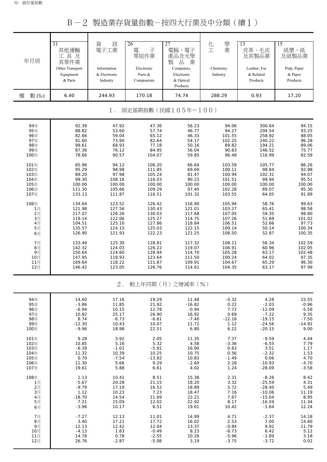B-2 製造業存貨量指數-按四大行業及中分類(續1)

| 年月別        | $\overline{31}$<br>其他運輸<br>工具及<br>其零件業<br>Other Transport<br>Equipment<br>& Parts<br>6.40 | 訊<br>資<br>電子工業<br>Information<br>& Electronic<br>Industry | 26<br>電<br>子<br>零組件業<br>Electronic<br>Parts &<br>Components | 27<br>電腦、電子<br>產品及光學<br>$\frac{\Box}{\Box \Box}$<br>業<br>製<br>Computers,<br>Electronic<br>& Optical<br>Products<br>74.74 | 學業<br>化工<br>Chemistry<br>Industry | 13<br>皮革、毛皮<br>及其製品業<br>Leather, Fur<br>& Related<br>Products<br>0.93 | $\overline{15}$<br>紙漿、紙<br>及紙製品業<br>Pulp, Paper<br>& Paper<br>Products<br>17.20 |
|------------|-------------------------------------------------------------------------------------------|-----------------------------------------------------------|-------------------------------------------------------------|--------------------------------------------------------------------------------------------------------------------------|-----------------------------------|-----------------------------------------------------------------------|---------------------------------------------------------------------------------|
| 權<br>數 (%) |                                                                                           | 244.93                                                    | 170.18                                                      |                                                                                                                          | 288.29                            |                                                                       |                                                                                 |
|            |                                                                                           | 1.                                                        |                                                             | 固定基期指數(民國105年=100)                                                                                                       |                                   |                                                                       |                                                                                 |
| 94年        | 92.39                                                                                     | 47.92                                                     | 47.36                                                       | 56.23                                                                                                                    | 94.06                             | 300.64                                                                | 94.15                                                                           |
| 95年        | 88.82                                                                                     | 53.60                                                     | 57.74                                                       | 46.77                                                                                                                    | 94.27                             | 294.54                                                                | 93.25                                                                           |
| 96年        | 82.66                                                                                     | 59.04                                                     | 65.12                                                       | 46.33                                                                                                                    | 101.55                            | 258.92                                                                | 88.05                                                                           |
| 97年        | 91.60                                                                                     | 73.90                                                     | 82.64                                                       | 54.17                                                                                                                    | 102.25                            | 240.22                                                                | 96.28                                                                           |
| 98年        | 99.61                                                                                     | 68.93                                                     | 77.18                                                       | 50.16                                                                                                                    | 89.82                             | 194.21                                                                | 89.06                                                                           |
| 99年        | 87.36                                                                                     | 76.12                                                     | 84.95                                                       | 56.04                                                                                                                    | 90.83                             | 146.52                                                                | 75.77                                                                           |
| 100年       | 78.66                                                                                     | 90.57                                                     | 104.07                                                      | 59.85                                                                                                                    | 96.48                             | 116.99                                                                | 82.59                                                                           |
| 101年       | 85.96                                                                                     | 94.12                                                     | 106.20                                                      | 66.64                                                                                                                    | 103.59                            | 105.77                                                                | 86.26                                                                           |
| 102年       | 95.29                                                                                     | 98.98                                                     | 111.85                                                      | 69.69                                                                                                                    | 100.11                            | 98.84                                                                 | 92.98                                                                           |
| 103年       | 89.20                                                                                     | 97.98                                                     | 105.24                                                      | 81.47                                                                                                                    | 100.94                            | 102.31                                                                | 94.07                                                                           |
| 104年       | 99.30                                                                                     | 108.16                                                    | 116.03                                                      | 90.23                                                                                                                    | 101.51                            | 99.94                                                                 | 95.51                                                                           |
| 105年       | 100.00                                                                                    | 100.00                                                    | 100.00                                                      | 100.00                                                                                                                   | 100.00                            | 100.00                                                                | 100.00                                                                          |
| 106年       | 111.30                                                                                    | 105.66                                                    | 109.29                                                      | 97.40                                                                                                                    | 102.28                            | 89.07                                                                 | 95.30                                                                           |
| 107年       | 133.13                                                                                    | 111.87                                                    | 116.51                                                      | 101.32                                                                                                                   | 103.55                            | 64.05                                                                 | 91.89                                                                           |
| 108年       | 134.64                                                                                    | 123.52                                                    | 126.42                                                      | 116.90                                                                                                                   | 105.94                            | 58.76                                                                 | 99.63                                                                           |
| 1月         | 121.98                                                                                    | 127.56                                                    | 130.43                                                      | 121.01                                                                                                                   | 103.27                            | 65.41                                                                 | 98.58                                                                           |
| 2月         | 117.07                                                                                    | 126.26                                                    | 130.03                                                      | 117.68                                                                                                                   | 107.05                            | 59.35                                                                 | 98.80                                                                           |
| 3月         | 119.14                                                                                    | 122.06                                                    | 125.27                                                      | 114.75                                                                                                                   | 107.26                            | 51.69                                                                 | 101.02                                                                          |
| 4月         | 104.51                                                                                    | 125.10                                                    | 127.86                                                      | 118.84                                                                                                                   | 106.51                            | 52.66                                                                 | 97.73                                                                           |
| 5月         | 135.57                                                                                    | 124.15                                                    | 125.03                                                      | 122.15                                                                                                                   | 109.14                            | 50.14                                                                 | 100.34                                                                          |
| 6月         | 126.90                                                                                    | 121.93                                                    | 122.23                                                      | 121.25                                                                                                                   | 108.50                            | 52.87                                                                 | 100.35                                                                          |
| 7月         | 133.49                                                                                    | 125.30                                                    | 128.81                                                      | 117.32                                                                                                                   | 108.11                            | 56.34                                                                 | 102.59                                                                          |
| 8月         | 142.32                                                                                    | 124.03                                                    | 126.22                                                      | 119.07                                                                                                                   | 106.91                            | 60.96                                                                 | 102.05                                                                          |
| 9月         | 150.64                                                                                    | 124.60                                                    | 128.94                                                      | 114.70                                                                                                                   | 105.28                            | 63.17                                                                 | 102.48                                                                          |
| 10月        | 147.95                                                                                    | 119.93                                                    | 123.64                                                      | 111.50                                                                                                                   | 100.24                            | 64.02                                                                 | 97.35                                                                           |
| 11月        | 169.64                                                                                    | 118.22                                                    | 121.87                                                      | 109.91                                                                                                                   | 104.67                            | 65.29                                                                 | 96.30                                                                           |
| 12月        | 146.42                                                                                    | 123.05                                                    | 126.76                                                      | 114.61                                                                                                                   | 104.35                            | 63.17                                                                 | 97.99                                                                           |
|            |                                                                                           | $2$ .                                                     |                                                             | 較上年同期(月)之增減率(%)                                                                                                          |                                   |                                                                       |                                                                                 |
| 94年        | 14.60                                                                                     | 17.16                                                     | 19.29                                                       | 11.48                                                                                                                    | $-0.32$                           | 4.28                                                                  | 15.55                                                                           |
| 95年        | $-3.86$                                                                                   | 11.85                                                     | 21.92                                                       | $-16.82$                                                                                                                 | 0.22                              | $-2.03$                                                               | $-0.96$                                                                         |
| 96年        | $-6.94$                                                                                   | 10.15                                                     | 12.78                                                       | $-0.94$                                                                                                                  | 7.72                              | $-12.09$                                                              | $-5.58$                                                                         |
| 97年        | 10.82                                                                                     | 25.17                                                     | 26.90                                                       | 16.92                                                                                                                    | 0.69                              | $-7.22$                                                               | 9.35                                                                            |
| 98年        | 8.74                                                                                      | $-6.73$                                                   | $-6.61$                                                     | $-7.40$                                                                                                                  | $-12.16$                          | $-19.15$                                                              | $-7.50$                                                                         |
| 99年        | $-12.30$                                                                                  | 10.43                                                     | 10.07                                                       | 11.72                                                                                                                    | 1.12                              | $-24.56$                                                              | $-14.92$                                                                        |
| 100年       | $-9.96$                                                                                   | 18.98                                                     | 22.51                                                       | 6.80                                                                                                                     | 6.22                              | $-20.15$                                                              | 9.00                                                                            |
| 101年       | 9.28                                                                                      | 3.92                                                      | 2.05                                                        | 11.35                                                                                                                    | 7.37                              | $-9.59$                                                               | 4.44                                                                            |
| 102年       | 10.85                                                                                     | 5.16                                                      | 5.32                                                        | 4.58                                                                                                                     | $-3.36$                           | $-6.55$                                                               | 7.79                                                                            |
| 103年       | $-6.39$                                                                                   | $-1.01$                                                   | $-5.91$                                                     | 16.90                                                                                                                    | 0.83                              | 3.51                                                                  | 1.17                                                                            |
| 104年       | 11.32                                                                                     | 10.39                                                     | 10.25                                                       | 10.75                                                                                                                    | 0.56                              | $-2.32$                                                               | 1.53                                                                            |
| 105年       | 0.70                                                                                      | $-7.54$                                                   | $-13.82$                                                    | 10.83                                                                                                                    | $-1.49$                           | 0.06                                                                  | 4.70                                                                            |
| 106年       | 11.30                                                                                     | 5.66                                                      | 9.29                                                        | $-2.60$                                                                                                                  | 2.28                              | $-10.93$                                                              | $-4.70$                                                                         |
| 107年       | 19.61                                                                                     | 5.88                                                      | 6.61                                                        | 4.02                                                                                                                     | 1.24                              | $-28.09$                                                              | $-3.58$                                                                         |
| 108年       | 1.13                                                                                      | 10.41                                                     | 8.51                                                        | 15.38                                                                                                                    | 2.31                              | $-8.26$                                                               | 8.42                                                                            |
| 1月         | $-5.67$                                                                                   | 20.28                                                     | 21.15                                                       | 18.20                                                                                                                    | 3.32                              | $-25.59$                                                              | 4.31                                                                            |
| 2月         | $-9.79$                                                                                   | 17.19                                                     | 16.52                                                       | 18.89                                                                                                                    | 5.72                              | $-28.40$                                                              | 5.49                                                                            |
| 3月         | 1.12                                                                                      | 10.23                                                     | 7.23                                                        | 18.47                                                                                                                    | 7.16                              | $-10.06$                                                              | 11.19                                                                           |
| 4月         | $-18.70$                                                                                  | 14.54                                                     | 11.69                                                       | 22.21                                                                                                                    | 7.67                              | $-15.04$                                                              | 8.95                                                                            |
| 5月         | 7.21                                                                                      | 15.09                                                     | 12.02                                                       | 22.92                                                                                                                    | 8.17                              | $-16.59$                                                              | 11.34                                                                           |
| 6月         | $-3.96$                                                                                   | 10.17                                                     | 6.51                                                        | 19.61                                                                                                                    | 10.42                             | $-1.64$                                                               | 12.24                                                                           |
| 7月         | $-7.27$                                                                                   | 12.13                                                     | 11.01                                                       | 14.99                                                                                                                    | 4.71                              | $-2.37$                                                               | 14.18                                                                           |
| 8月         | 3.40                                                                                      | 17.21                                                     | 17.72                                                       | 16.02                                                                                                                    | 2.53                              | 7.00                                                                  | 14.60                                                                           |
| 9月         | 12.13                                                                                     | 12.42                                                     | 12.04                                                       | 13.37                                                                                                                    | $-0.84$                           | 9.92                                                                  | 11.79                                                                           |
| 10月        | $-4.13$                                                                                   | 1.83                                                      | $-0.49$                                                     | 8.23                                                                                                                     | $-8.73$                           | 6.42                                                                  | 5.12                                                                            |
| 11月        | 14.78                                                                                     | 0.78                                                      | $-2.55$                                                     | 10.26                                                                                                                    | $-5.96$                           | $-1.89$                                                               | 3.18                                                                            |
| 12月        | 26.76                                                                                     | $-2.87$                                                   | $-5.08$                                                     | 3.19                                                                                                                     | $-3.75$                           | $-3.72$                                                               | 0.02                                                                            |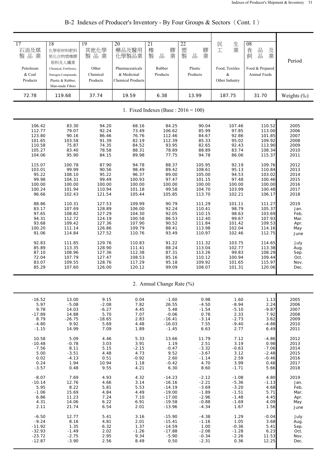| 17<br>石油及煤<br>製品業<br>Petroleum<br>& Coal<br>Products | 18<br>化學原材料肥料<br>氮化合物塑橡膠<br>原料及人纖業<br>Chemical, Fertilizers,<br>Nitrogen Compounds,<br>Plastic & Rubber,<br>Man-made Fibres | 19<br>其他化學<br>製品業<br>Other<br>Chemical<br>Products | 20<br>藥品及醫用<br>化學製品業<br>Pharmaceuticals<br>& Medicinal<br><b>Chemical Products</b> | 21<br>橡<br>膠業<br>製<br>品<br>Rubber<br>Products | 22<br>塑<br>膠業<br>製<br>品<br>Plastic<br>Products | 民<br>生業<br>工<br>Food, Textiles<br>&<br>Other Industry | 08<br>品品<br>食<br>及業<br>飼<br>Food & Prepared<br>Animal Feeds | Period      |
|------------------------------------------------------|-----------------------------------------------------------------------------------------------------------------------------|----------------------------------------------------|------------------------------------------------------------------------------------|-----------------------------------------------|------------------------------------------------|-------------------------------------------------------|-------------------------------------------------------------|-------------|
| 72.78                                                | 119.68                                                                                                                      | 37.74                                              | 19.59                                                                              | 6.38                                          | 13.99                                          | 187.75                                                | 31.70                                                       | Weights (%) |
|                                                      |                                                                                                                             |                                                    |                                                                                    | 1. Fixed Indexes (Base: $2016 = 100$ )        |                                                |                                                       |                                                             |             |
| 106.42                                               | 83.30                                                                                                                       | 94.20                                              | 68.16                                                                              | 84.25                                         | 90.04                                          | 107.46                                                | 110.52                                                      | 2005        |
| 112.77                                               | 79.07                                                                                                                       | 92.24                                              | 73.49                                                                              | 106.62                                        | 85.99                                          | 97.85                                                 | 113.00                                                      | 2006        |
| 123.80                                               | 90.16                                                                                                                       | 86.46                                              | 76.76                                                                              | 112.46                                        | 84.67                                          | 92.86                                                 | 101.85                                                      | 2007        |
| 101.65                                               | 103.58                                                                                                                      | 91.39                                              | 82.19                                                                              | 112.39                                        | 85.33                                          | 95.02                                                 | 109.92                                                      | 2008        |
| 110.58                                               | 75.87                                                                                                                       | 74.35                                              | 84.52                                                                              | 93.95                                         | 82.65                                          | 92.43                                                 | 113.90                                                      | 2009        |
| 105.27                                               | 83.40                                                                                                                       | 78.58                                              | 88.31                                                                              | 78.89                                         | 88.89                                          | 83.74                                                 | 108.34                                                      | 2010        |
| 104.06                                               | 95.90                                                                                                                       | 84.15                                              | 89.98                                                                              | 77.75                                         | 94.78                                          | 86.06                                                 | 115.37                                                      | 2011        |
| 115.07                                               | 100.78                                                                                                                      | 87.90                                              | 94.78                                                                              | 88.37                                         | 105.95                                         | 92.19                                                 | 109.76                                                      | 2012        |
| 103.01                                               | 99.99                                                                                                                       | 90.56                                              | 98.49                                                                              | 89.42                                         | 108.61                                         | 95.13                                                 | 110.84                                                      | 2013        |
| 95.22                                                | 108.10                                                                                                                      | 95.22                                              | 96.37                                                                              | 89.00                                         | 105.00                                         | 94.53                                                 | 103.02                                                      | 2014        |
| 99.98                                                | 104.31                                                                                                                      | 99.49                                              | 100.93                                                                             | 97.47                                         | 101.15                                         | 97.48                                                 | 100.46                                                      | 2015        |
| 100.00                                               | 100.00                                                                                                                      | 100.00                                             | 100.00                                                                             | 100.00                                        | 100.00                                         | 100.00                                                | 100.00                                                      | 2016        |
| 100.24                                               | 101.94                                                                                                                      | 110.94                                             | 101.18                                                                             | 99.58                                         | 104.70                                         | 103.99                                                | 100.48                                                      | 2017        |
| 96.66                                                | 102.43                                                                                                                      | 121.54                                             | 105.44                                                                             | 105.85                                        | 113.70                                         | 102.21                                                | 106.17                                                      | 2018        |
| 88.86                                                | 110.31                                                                                                                      | 127.53                                             | 109.99                                                                             | 90.79                                         | 111.29                                         | 101.11                                                | 111.27                                                      | 2019        |
| 83.17                                                | 107.69                                                                                                                      | 128.89                                             | 106.00                                                                             | 92.24                                         | 110.41                                         | 98.79                                                 | 105.37                                                      | Jan.        |
| 97.65                                                | 108.82                                                                                                                      | 127.29                                             | 104.30                                                                             | 92.05                                         | 110.15                                         | 98.63                                                 | 103.69                                                      | Feb.        |
| 94.31                                                | 112.72                                                                                                                      | 124.19                                             | 100.58                                                                             | 86.53                                         | 112.40                                         | 99.67                                                 | 107.93                                                      | Mar.        |
| 93.68                                                | 109.42                                                                                                                      | 127.36                                             | 107.90                                                                             | 90.52                                         | 111.84                                         | 101.42                                                | 109.53                                                      | Apr.        |
| 100.20                                               | 111.14                                                                                                                      | 126.86                                             | 109.79                                                                             | 88.41                                         | 113.98                                         | 102.04                                                | 114.16                                                      | May         |
| 91.06                                                | 114.84                                                                                                                      | 127.52                                             | 110.76                                                                             | 93.49                                         | 110.97                                         | 102.46                                                | 112.75                                                      | June        |
| 92.83                                                | 111.85                                                                                                                      | 129.76                                             | 110.83                                                                             | 91.22                                         | 111.32                                         | 103.75                                                | 114.65                                                      | July        |
| 85.89                                                | 113.35                                                                                                                      | 128.90                                             | 111.41                                                                             | 88.24                                         | 113.04                                         | 102.77                                                | 113.38                                                      | Aug.        |
| 87.10                                                | 108.96                                                                                                                      | 127.36                                             | 112.38                                                                             | 87.31                                         | 113.26                                         | 99.83                                                 | 108.29                                                      | Sep.        |
| 72.04                                                | 107.79                                                                                                                      | 127.47                                             | 108.53                                                                             | 85.16                                         | 110.12                                         | 100.94                                                | 109.44                                                      | Oct.        |
| 83.07                                                | 109.55                                                                                                                      | 128.76                                             | 117.29                                                                             | 95.18                                         | 109.92                                         | 101.65                                                | 115.97                                                      | Nov.        |
| 85.29                                                | 107.60                                                                                                                      | 126.00                                             | 120.12                                                                             | 99.09                                         | 108.07                                         | 101.31                                                | 120.06                                                      | Dec.        |
|                                                      |                                                                                                                             |                                                    |                                                                                    | 2. Annual Change Rate (%)                     |                                                |                                                       |                                                             |             |
| $-16.52$                                             | 13.00                                                                                                                       | 9.15                                               | 0.04                                                                               | $-1.60$                                       | 0.98                                           | 1.60                                                  | 1.13                                                        | 2005        |
| 5.97                                                 | $-5.08$                                                                                                                     | $-2.08$                                            | 7.82                                                                               | 26.55                                         | $-4.50$                                        | $-8.94$                                               | 2.24                                                        | 2006        |
| 9.78                                                 | 14.03                                                                                                                       | $-6.27$                                            | 4.45                                                                               | 5.48                                          | $-1.54$                                        | $-5.10$                                               | $-9.87$                                                     | 2007        |
| $-17.89$                                             | 14.88                                                                                                                       | 5.70                                               | 7.07                                                                               | $-0.06$                                       | 0.78                                           | 2.33                                                  | 7.92                                                        | 2008        |
| 8.79                                                 | $-26.75$                                                                                                                    | $-18.65$                                           | 2.83                                                                               | $-16.41$                                      | $-3.14$                                        | $-2.73$                                               | 3.62                                                        | 2009        |
| $-4.80$                                              | 9.92                                                                                                                        | 5.69                                               | 4.48                                                                               | $-16.03$                                      | 7.55                                           | $-9.40$                                               | $-4.88$                                                     | 2010        |
| $-1.15$                                              | 14.99                                                                                                                       | 7.09                                               | 1.89                                                                               | $-1.45$                                       | 6.63                                           | 2.77                                                  | 6.49                                                        | 2011        |
| 10.58                                                | 5.09                                                                                                                        | 4.46                                               | 5.33                                                                               | 13.66                                         | 11.79                                          | 7.12                                                  | $-4.86$                                                     | 2012        |
| $-10.48$                                             | $-0.78$                                                                                                                     | 3.03                                               | 3.91                                                                               | 1.19                                          | 2.51                                           | 3.19                                                  | 0.98                                                        | 2013        |
| $-7.56$                                              | 8.11                                                                                                                        | 5.15                                               | $-2.15$                                                                            | $-0.47$                                       | $-3.32$                                        | $-0.63$                                               | $-7.06$                                                     | 2014        |
| 5.00                                                 | $-3.51$                                                                                                                     | 4.48                                               | 4.73                                                                               | 9.52                                          | $-3.67$                                        | 3.12                                                  | $-2.48$                                                     | 2015        |
| 0.02                                                 | $-4.13$                                                                                                                     | 0.51                                               | $-0.92$                                                                            | 2.60                                          | $-1.14$                                        | 2.59                                                  | $-0.46$                                                     | 2016        |
| 0.24                                                 | 1.94                                                                                                                        | 10.94                                              | 1.18                                                                               | $-0.42$                                       | 4.70                                           | 3.99                                                  | 0.48                                                        | 2017        |
| $-3.57$                                              | 0.48                                                                                                                        | 9.55                                               | 4.21                                                                               | 6.30                                          | 8.60                                           | $-1.71$                                               | 5.66                                                        | 2018        |
| $-8.07$                                              | 7.69                                                                                                                        | 4.93                                               | 4.32                                                                               | $-14.23$                                      | $-2.12$                                        | $-1.08$                                               | 4.80                                                        | 2019        |
| $-10.14$                                             | 12.76                                                                                                                       | 4.66                                               | 3.14                                                                               | $-16.16$                                      | $-2.21$                                        | $-5.36$                                               | $-1.13$                                                     | Jan.        |
| 5.95                                                 | 8.22                                                                                                                        | 5.81                                               | 5.53                                                                               | $-14.19$                                      | $-3.69$                                        | $-3.20$                                               | 4.68                                                        | Feb.        |
| $-1.06$                                              | 15.69                                                                                                                       | 4.84                                               | 4.49                                                                               | $-19.00$                                      | $-1.89$                                        | $-1.51$                                               | 5.71                                                        | Mar.        |
| 6.86                                                 | 11.23                                                                                                                       | 7.24                                               | 7.10                                                                               | $-17.00$                                      | $-2.96$                                        | $-1.48$                                               | 4.45                                                        | Apr.        |
| 4.31                                                 | 14.06                                                                                                                       | 6.22                                               | 6.91                                                                               | $-19.58$                                      | $-0.88$                                        | $-1.69$                                               | 4.09                                                        | May         |
| 2.11                                                 | 21.74                                                                                                                       | 6.54                                               | 2.01                                                                               | $-13.96$                                      | $-4.34$                                        | 1.67                                                  | 1.56                                                        | June        |
| $-6.50$                                              | 12.77                                                                                                                       | 5.41                                               | 3.16                                                                               | $-15.90$                                      | $-4.38$                                        | 1.29                                                  | $-0.04$                                                     | July        |
| $-9.24$                                              | 8.16                                                                                                                        | 4.81                                               | 2.01                                                                               | $-15.41$                                      | $-1.16$                                        | 1.05                                                  | 3.68                                                        | Aug.        |
| $-11.92$                                             | 1.35                                                                                                                        | 6.32                                               | 1.37                                                                               | $-14.59$                                      | 1.00                                           | $-0.36$                                               | 5.41                                                        | Sep.        |
| $-32.93$                                             | $-1.49$                                                                                                                     | 2.02                                               | $-1.26$                                                                            | $-17.88$                                      | $-2.08$                                        | $-1.28$                                               | 6.23                                                        | Oct.        |
| $-23.72$                                             | $-2.75$                                                                                                                     | 2.95                                               | 9.34                                                                               | $-5.90$                                       | $-0.34$                                        | $-2.26$                                               | 11.53                                                       | Nov.        |
| $-12.87$                                             | $-3.90$                                                                                                                     | 2.56                                               | 8.49                                                                               | 0.50                                          | $-2.31$                                        | 0.36                                                  | 12.25                                                       | Dec.        |

B-2 Indexes of Producer's Inventory - By Four Groups & Sectors (Cont. 1)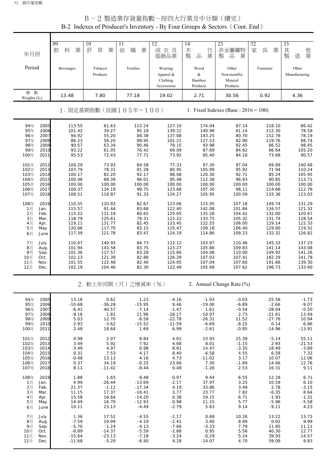| B-2 Indexes of Producer's Inventory - By Four Groups & Sectors (Cont. End)                                   |                                                                    |                                                                   |                                                                                |                                                                        |                                                                           |                                                                      |                                                                          |                                                                     |
|--------------------------------------------------------------------------------------------------------------|--------------------------------------------------------------------|-------------------------------------------------------------------|--------------------------------------------------------------------------------|------------------------------------------------------------------------|---------------------------------------------------------------------------|----------------------------------------------------------------------|--------------------------------------------------------------------------|---------------------------------------------------------------------|
| 年月別                                                                                                          | 09<br>料<br>業<br>飲                                                  | 10<br>菸<br>草<br>業                                                 | $\overline{11}$<br>紡<br>織<br>業                                                 | 12<br>成衣及<br>服飾品業                                                      | $\overline{14}$<br>木<br>竹<br>業<br>製<br>$\frac{\Box}{\Box \Box}$           | 23<br>非金屬礦物<br>品<br>業<br>製                                           | 32<br>家<br>具<br>業                                                        | 33<br>其製<br>他業<br>造                                                 |
| Period                                                                                                       | Beverages                                                          | Tobacco<br>Products                                               | Textiles                                                                       | Wearing<br>Apparel &<br>Clothing<br>Accessories                        | Wood<br>$\&$<br>Bamboo<br>Products                                        | Other<br>Non-metallic<br>Mineral<br>Products                         | Furniture                                                                | Other<br>Manufacturing                                              |
| 權 數<br>Weights (%)                                                                                           | 13.48                                                              | 7.80                                                              | 77.18                                                                          | 19.02                                                                  | 2.71                                                                      | 30.56                                                                | 0.92                                                                     | 4.36                                                                |
|                                                                                                              |                                                                    |                                                                   | 1. 固定基期指數(民國 $105 = 100$ )                                                     |                                                                        |                                                                           | 1. Fixed Indexes (Base : $2016 = 100$ )                              |                                                                          |                                                                     |
| 94年<br>2005<br>2006<br>95年<br>96年<br>2007<br>97年<br>2008<br>98年<br>2009<br>99年<br>2010<br>100年<br>2011       | 113.55<br>101.42<br>94.92<br>86.23<br>90.57<br>93.22<br>95.53      | 61.63<br>39.27<br>55.20<br>56.20<br>63.34<br>61.05<br>72.43       | 113.24<br>95.18<br>88.38<br>98.95<br>90.46<br>76.42<br>77.71                   | 127.10<br>139.12<br>137.08<br>101.21<br>78.15<br>69.09<br>73.92        | 174.04<br>140.98<br>143.25<br>127.53<br>93.98<br>87.69<br>85.40           | 87.14<br>81.14<br>80.70<br>82.90<br>92.45<br>84.82<br>84.10          | 218.10<br>212.30<br>152.78<br>119.76<br>86.52<br>86.64<br>73.68          | 86.42<br>78.58<br>78.19<br>88.74<br>98.45<br>105.20<br>90.57        |
| 101年<br>2012<br>102年<br>2013<br>103年<br>2014<br>104年<br>2015<br>105年<br>2016<br>106年<br>2017<br>107年<br>2018 | 100.29<br>103.79<br>100.17<br>100.48<br>100.00<br>100.37<br>108.51 | 73.93<br>78.31<br>82.20<br>88.39<br>100.00<br>134.19<br>118.87    | 84.58<br>91.28<br>92.17<br>96.01<br>100.00<br>99.75<br>91.33                   | 77.33<br>80.95<br>88.08<br>95.48<br>100.00<br>123.68<br>124.27         | 97.30<br>105.09<br>120.30<br>112.38<br>100.00<br>107.30<br>105.95         | 97.04<br>95.92<br>92.71<br>96.93<br>100.00<br>98.11<br>100.59        | 69.89<br>71.94<br>85.24<br>90.85<br>100.00<br>114.66<br>133.36           | 140.48<br>110.24<br>105.95<br>113.71<br>100.00<br>112.76<br>123.03  |
| 108年<br>2019<br>1月<br>Jan.<br>2月<br>Feb.<br>3月<br>Mar.<br>4月<br>Apr.<br>5月<br>May<br>6月<br>June              | 110.55<br>115.57<br>115.22<br>118.79<br>119.11<br>120.66<br>117.39 | 120.83<br>91.44<br>111.19<br>125.61<br>131.77<br>117.70<br>121.78 | 82.67<br>83.68<br>80.65<br>79.31<br>82.45<br>83.15<br>83.47                    | 123.06<br>122.40<br>125.05<br>122.22<br>123.45<br>125.47<br>124.19     | 115.95<br>142.08<br>135.28<br>133.75<br>122.55<br>109.18<br>114.86        | 107.18<br>101.84<br>104.42<br>105.32<br>106.00<br>106.40<br>109.23   | 149.74<br>134.57<br>132.00<br>131.74<br>129.14<br>129.80<br>132.32       | 131.29<br>121.32<br>120.67<br>128.54<br>122.33<br>119.52<br>126.82  |
| 7月<br>July<br>8月<br>Aug.<br>9月<br>Sep.<br>10月<br>Oct.<br>11月<br>Nov.<br>12月<br>Dec.                          | 110.67<br>101.94<br>101.36<br>102.13<br>101.55<br>102.19           | 140.93<br>143.58<br>117.57<br>121.39<br>122.48<br>104.46          | 84.73<br>83.75<br>83.28<br>82.88<br>82.40<br>82.30                             | 122.12<br>123.27<br>115.66<br>126.29<br>124.05<br>122.49               | 103.97<br>105.86<br>104.08<br>107.03<br>107.04<br>105.68                  | 110.46<br>109.83<br>110.00<br>107.41<br>107.60<br>107.62             | 145.33<br>141.14<br>149.92<br>182.29<br>191.86<br>196.73                 | 137.23<br>143.08<br>141.26<br>141.78<br>139.30<br>133.60            |
|                                                                                                              |                                                                    |                                                                   | 2. 較上年同期(月)之增減率(%)                                                             |                                                                        |                                                                           | 2. Annual Change Rate (%)                                            |                                                                          |                                                                     |
| 94年<br>2005<br>95年<br>2006<br>96年<br>2007<br>97年<br>2008<br>98年<br>2009<br>99年<br>2010<br>100年<br>2011       | 13.18<br>$-10.68$<br>$-6.41$<br>$-9.16$<br>5.03<br>2.93<br>2.48    | 0.62<br>$-36.28$<br>40.57<br>1.81<br>12.70<br>$-3.62$<br>18.64    | 1.23<br>$-15.95$<br>$-7.14$<br>11.96<br>$-8.58$<br>$-15.52$<br>1.69            | $-4.16$<br>9.46<br>$-1.47$<br>$-26.17$<br>$-22.78$<br>$-11.59$<br>6.99 | $-1.93$<br>$-19.00$<br>1.61<br>$-10.97$<br>$-26.31$<br>$-6.69$<br>$-2.61$ | $-0.03$<br>$-6.89$<br>$-0.54$<br>2.73<br>11.52<br>$-8.25$<br>$-0.85$ | 25.58<br>$-2.66$<br>$-28.04$<br>$-21.61$<br>$-27.76$<br>0.14<br>$-14.96$ | $-1.73$<br>$-9.07$<br>$-0.50$<br>13.49<br>10.94<br>6.86<br>$-13.91$ |
| 101年<br>2012<br>102年<br>2013<br>103年<br>2014<br>104年<br>2015<br>105年<br>2016<br>106年<br>2017<br>107年<br>2018 | 4.98<br>3.49<br>$-3.49$<br>0.31<br>$-0.48$<br>0.37<br>8.11         | 2.07<br>5.92<br>4.97<br>7.53<br>13.13<br>34.19<br>$-11.42$        | 8.84<br>7.92<br>0.98<br>4.17<br>4.16<br>$-0.25$<br>$-8.44$                     | 4.61<br>4.68<br>8.81<br>8.40<br>4.73<br>23.68<br>0.48                  | 13.93<br>8.01<br>14.47<br>$-6.58$<br>$-11.02$<br>7.30<br>$-1.26$          | 15.39<br>$-1.15$<br>$-3.35$<br>4.55<br>3.17<br>$-1.89$<br>2.53       | $-5.14$<br>2.93<br>18.49<br>6.58<br>10.07<br>14.66<br>16.31              | 55.11<br>$-21.53$<br>$-3.89$<br>7.32<br>$-12.06$<br>12.76<br>9.11   |
| 108年<br>2019<br>1月<br>Jan.<br>2月<br>Feb.<br>3月<br>Mar.<br>4月<br>Apr.<br>5月<br>May<br>6月<br>June              | 1.88<br>4.99<br>21.37<br>11.15<br>15.58<br>14.49<br>10.11          | 1.65<br>$-26.44$<br>$-1.12$<br>17.37<br>16.64<br>16.70<br>23.13   | $-9.48$<br>$-13.69$<br>$-17.34$<br>$-16.41$<br>$-14.20$<br>$-12.93$<br>$-4.49$ | $-0.97$<br>$-2.17$<br>4.19<br>3.77<br>0.38<br>$-0.98$<br>$-2.79$       | 9.44<br>37.97<br>33.86<br>23.77<br>19.15<br>11.15<br>5.83                 | 6.55<br>3.25<br>3.49<br>7.82<br>6.71<br>5.77<br>9.14                 | 12.28<br>10.59<br>2.78<br>$-6.35$<br>$-1.93$<br>$-5.96$<br>$-9.11$       | 6.71<br>6.10<br>$-3.15$<br>8.64<br>$-1.31$<br>$-5.58$<br>4.23       |
| 7月<br>July<br>8月<br>Aug.<br>9月<br>Sep.<br>10月<br>Oct.<br>11月<br>Nov.<br>12月<br>Dec.                          | 1.36<br>$-7.59$<br>$-5.70$<br>$-8.89$<br>$-15.64$<br>$-11.68$      | 17.52<br>19.99<br>$-1.24$<br>$-14.37$<br>$-23.13$<br>$-5.20$      | $-4.55$<br>$-4.19$<br>$-4.13$<br>$-5.59$<br>$-7.18$<br>$-6.40$                 | $-1.17$<br>$-2.41$<br>$-7.66$<br>$-2.88$<br>$-3.24$<br>4.18            | 0.68<br>3.40<br>$-3.33$<br>0.95<br>$-0.29$<br>$-14.07$                    | 10.26<br>8.89<br>7.79<br>5.56<br>5.24<br>4.70                        | 13.22<br>0.02<br>11.85<br>40.30<br>39.93<br>59.09                        | 13.72<br>9.99<br>11.11<br>12.77<br>14.57<br>9.83                    |

B-2 製造業存貨量指數-按四大行業及中分類(續完)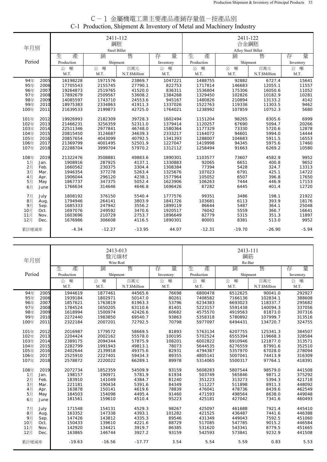| C-1 金屬機電工業主要產品產銷存量值-按產品別                                             |  |
|----------------------------------------------------------------------|--|
| C-1 Production, Shipment & Inventory of Metal and Machinery Industry |  |

|        |      |            | 2411-112<br>鋼胚      |               |           | 2411-122<br>合金鋼胚   |          |               |           |  |
|--------|------|------------|---------------------|---------------|-----------|--------------------|----------|---------------|-----------|--|
| 年月別    |      |            | <b>Steel Billet</b> |               |           | Alloy Steel Billet |          |               |           |  |
|        |      | 生<br>產     | 銷                   | 售             | 量<br>存    | 生<br>產             | 銷        | 售             | 量<br>存    |  |
| Period |      | Production | Shipment            |               | Inventory | Production         | Shipment |               | Inventory |  |
|        |      | 噸<br>公     | 噸<br>公              | 百萬元           | 公<br>噸    | 噸<br>公             | 公 噸      | 百萬元           | 噸<br>公    |  |
|        |      | M.T.       | M.T.                | N.T.\$Million | M.T.      | M.T.               | M.T.     | N.T.\$Million | M.T.      |  |
| 94年    | 2005 | 16198228   | 1971576             | 23869.7       | 1047221   | 1488755            | 92882    | 6727.4        | 15641     |  |
| 95年    | 2006 | 17705543   | 2155745             | 27790.1       | 822753    | 1717814            | 146683   | 12055.1       | 11557     |  |
| 96年    | 2007 | 19264873   | 2519765             | 41520.0       | 836311    | 1536804            | 175306   | 16050.6       | 11052     |  |
| 97年    | 2008 | 17892679   | 2509567             | 53608.2       | 1384268   | 1329450            | 102826   | 10182.9       | 10281     |  |
| 98年    | 2009 | 14085597   | 1743710             | 24553.6       | 945167    | 1480826            | 210894   | 13133.2       | 4142      |  |
| 99年    | 2010 | 18975383   | 2334863             | 41911.3       | 1337026   | 1522763            | 119336   | 11303.5       | 9462      |  |
| 100年   | 2011 | 21639533   | 2199873             | 42725.0       | 1764021   | 1238992            | 107859   | 10752.3       | 5680      |  |
| 101年   | 2012 | 19926993   | 2182309             | 39728.3       | 1602494   | 1151204            | 98265    | 8305.6        | 6999      |  |
| 102年   | 2013 | 21466231   | 3256359             | 52311.0       | 1379414   | 1120257            | 67690    | 5094.7        | 20266     |  |
| 103年   | 2014 | 22511346   | 2977841             | 46748.0       | 1580364   | 1177329            | 73330    | 5720.6        | 12878     |  |
| 104年   | 2015 | 20815450   | 3124687             | 34639.3       | 2333217   | 1164072            | 94601    | 5994.0        | 14444     |  |
| 105年   | 2016 | 20857654   | 4043099             | 40792.5       | 1341393   | 1288007            | 104683   | 5911.5        | 16553     |  |
| 106年   | 2017 | 21369799   | 4001495             | 52501.9       | 1227047   | 1419998            | 94345    | 5975.6        | 17460     |  |
| 107年   | 2018 | 22288704   | 3999704             | 57970.2       | 1312112   | 1258494            | 91663    | 6269.2        | 10580     |  |
| 108年   | 2019 | 21322476   | 3508881             | 49883.6       | 1890301   | 1103577            | 73607    | 4582.9        | 9952      |  |
| 1月     | Jan. | 1908916    | 287925              | 4137.1        | 1330883   | 92065              | 6651     | 400.8         | 9652      |  |
| 2月     | Feb. | 1660562    | 230375              | 3304.4        | 1308384   | 77394              | 5428     | 324.7         | 13313     |  |
| 3月     | Mar. | 1946354    | 377278              | 5263.4        | 1325676   | 107023             | 6791     | 425.1         | 14722     |  |
| 4月     | Apr. | 1906044    | 296120              | 4238.1        | 1577964   | 105052             | 6507     | 396.8         | 17650     |  |
| 5月     | May  | 1867737    | 347375              | 5052.4        | 1623906   | 106263             | 7444     | 446.9         | 17153     |  |
| 6月     | June | 1766634    | 314646              | 4646.8        | 1696426   | 87282              | 6445     | 401.4         | 12720     |  |
| 7月     | July | 1808192    | 376150              | 5540.4        | 1777576   | 99351              | 3486     | 198.1         | 21922     |  |
| 8月     | Aug. | 1794946    | 264141              | 3803.9        | 1841726   | 103681             | 6113     | 393.9         | 18176     |  |
| 9月     | Sep. | 1685333    | 247942              | 3556.2        | 1899119   | 86644              | 5487     | 364.1         | 25048     |  |
| 10月    | Oct. | 1697076    | 249592              | 3470.6        | 1920517   | 76042              | 5559     | 366.7         | 16641     |  |
| 11月    | Nov. | 1603696    | 210729              | 2753.7        | 1896649   | 82779              | 5315     | 351.3         | 11897     |  |
| 12月    | Dec. | 1676986    | 306608              | 4116.5        | 1890301   | 80001              | 8381     | 513.0         | 9952      |  |
| 累計增減率  |      | $-4.34$    | $-12.27$            | $-13.95$      | 44.07     | $-12.31$           | $-19.70$ | $-26.90$      | $-5.94$   |  |

| 年月別          |            | 2413-013<br>盤元線材<br>Wire Rod |               |           | 2413-111<br>鋼筋<br>Re-Bar |          |               |           |  |
|--------------|------------|------------------------------|---------------|-----------|--------------------------|----------|---------------|-----------|--|
|              | 生<br>產     | 銷                            | 售             | 量<br>存    | 生<br>產                   | 銷        | 售             | 量<br>存    |  |
| Period       | Production |                              | Shipment      | Inventory | Production               | Shipment |               | Inventory |  |
|              | 噸<br>公     | 噸<br>公                       | 百萬元           | 公 噸       | 噸<br>公                   | 公<br>噸   | 百萬元           | 公<br>噸    |  |
|              | M.T.       | M.T.                         | N.T.\$Million | M.T.      | M.T.                     | M.T.     | N.T.\$Million | M.T.      |  |
| 94年<br>2005  | 1944619    | 1877461                      | 44565.6       | 76698     | 6800478                  | 6512625  | 90041.0       | 292927    |  |
| 95年<br>2006  | 1939184    | 1802971                      | 50147.0       | 80261     | 7408582                  | 7166136  | 102834.1      | 388608    |  |
| 96年<br>2007  | 1857621    | 1763819                      | 61963.3       | 53796     | 6234383                  | 6693023  | 118337.7      | 295682    |  |
| 97年<br>2008  | 1784524    | 1650205                      | 63110.6       | 81401     | 5223157                  | 5591438  | 140094.3      | 337056    |  |
| 98年<br>2009  | 1618994    | 1500974                      | 42426.6       | 60682     | 4575570                  | 4919563  | 81873.0       | 307316    |  |
| 99年<br>2010  | 2272440    | 1983850                      | 69540.7       | 93863     | 5358318                  | 5780892  | 107999.7      | 313516    |  |
| 100年<br>2011 | 2322184    | 2007201                      | 72792.5       | 70798     | 5977097                  | 6494431  | 134720.7      | 324755    |  |
| 101年<br>2012 | 2016987    | 1779572                      | 58669.5       | 81893     | 5763134                  | 6207755  | 125341.3      | 384507    |  |
| 2013<br>102年 | 2204424    | 2002162                      | 55578.0       | 100195    | 5702524                  | 6555394  | 119668.3      | 328584    |  |
| 103年<br>2014 | 2389175    | 2094344                      | 57875.9       | 108201    | 6002822                  | 6910946  | 121877.0      | 313571    |  |
| 2015<br>104年 | 2282799    | 1991943                      | 49813.1       | 78073     | 5644535                  | 6276559  | 87991.6       | 352510    |  |
| 105年<br>2016 | 2402644    | 2139918                      | 49375.6       | 82931     | 4794387                  | 5357970  | 67028.0       | 278094    |  |
| 106年<br>2017 | 2525910    | 2227401                      | 59434.3       | 89355     | 4805141                  | 5007041  | 74413.9       | 316309    |  |
| 107年<br>2018 | 2578872    | 2220022                      | 66289.1       | 89978     | 5314065                  | 5500317  | 97764.1       | 418391    |  |
| 108年<br>2019 | 2072734    | 1852359                      | 54509.9       | 93159     | 5608283                  | 5807544  | 98579.0       | 441508    |  |
| 1月<br>Jan.   | 198157     | 190971                       | 5781.9        | 61934     | 503749                   | 565846   | 9871.2        | 375292    |  |
| 2月<br>Feb.   | 183910     | 141049                       | 4384.7        | 81240     | 351223                   | 313273   | 5394.3        | 421718    |  |
| 3月<br>Mar.   | 221181     | 190434                       | 5391.6        | 84349     | 511227                   | 511898   | 8911.3        | 448092    |  |
| 4月<br>Apr.   | 163878     | 150141                       | 4619.6        | 78839     | 476041                   | 478736   | 8439.6        | 462549    |  |
| 5月<br>May    | 184503     | 154098                       | 4495.4        | 91460     | 471593                   | 498564   | 8638.0        | 449048    |  |
| 6月<br>June   | 181561     | 159610                       | 4510.4        | 95223     | 425181                   | 427042   | 7341.6        | 460493    |  |
| 7月<br>July   | 171548     | 154131                       | 4529.3        | 98267     | 425097                   | 461688   | 7921.4        | 445410    |  |
| 8月<br>Aug.   | 163352     | 147338                       | 4393.1        | 101282    | 421525                   | 436487   | 7441.6        | 446388    |  |
| 9月<br>Sep.   | 147426     | 143812                       | 4335.3        | 89546     | 431349                   | 449043   | 7592.5        | 451060    |  |
| 10月<br>Oct.  | 150433     | 139610                       | 4221.6        | 88729     | 517085                   | 547785   | 9015.2        | 446584    |  |
| 11月<br>Nov.  | 142920     | 134421                       | 3919.7        | 86385     | 531620                   | 543341   | 8779.5        | 451665    |  |
| 12月<br>Dec.  | 163865     | 146744                       | 3927.2        | 93159     | 542593                   | 573841   | 9232.9        | 441508    |  |
| 累計增減率        | $-19.63$   | $-16.56$                     | $-17.77$      | 3.54      | 5.54                     | 5.59     | 0.83          | 5.53      |  |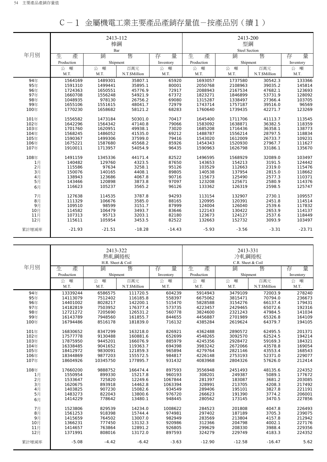|       |            | 2413-112<br>棒鋼 |               |           |            | 2413-200<br>型鋼       |               |           |
|-------|------------|----------------|---------------|-----------|------------|----------------------|---------------|-----------|
|       |            | Bar            |               |           |            | <b>Steel Section</b> |               |           |
| 年月別   | 產<br>生     | 銷              | 售             | 量<br>存    | 生<br>產     | 銷                    | 售             | 量<br>存    |
|       | Production | Shipment       |               | Inventory | Production | Shipment             |               | Inventory |
|       | 噸<br>公     | 噸<br>公         | 百萬元           | 公<br>噸    | 噸<br>公     | 噸<br>公               | 百萬元           | 公<br>噸    |
|       | M.T.       | M.T.           | N.T.\$Million | M.T.      | M.T.       | M.T.                 | N.T.\$Million | M.T.      |
| 94年   | 1564169    | 1489301        | 35807.1       | 65920     | 1693057    | 1737580              | 30542.3       | 133366    |
| 95年   | 1591310    | 1499441        | 35895.1       | 80001     | 2050768    | 2108963              | 39035.2       | 145814    |
| 96年   | 1724363    | 1650551        | 45776.9       | 72917     | 2088943    | 2167534              | 47682.1       | 123693    |
| 97年   | 1660708    | 1556248        | 54921.9       | 67372     | 1823271    | 1846899              | 53731.9       | 128092    |
| 98年   | 1048935    | 978130         | 26756.2       | 69080     | 1315287    | 1338497              | 27366.4       | 103705    |
| 99年   | 1655106    | 1551615        | 48041.7       | 72979     | 1743714    | 1757187              | 39516.0       | 96569     |
| 100年  | 1770230    | 1658682        | 58121.2       | 68283     | 1760640    | 1739435              | 42271.7       | 123269    |
| 101年  | 1556582    | 1473184        | 50301.0       | 70417     | 1645400    | 1711706              | 41113.7       | 113545    |
| 102年  | 1642296    | 1564342        | 47140.8       | 79066     | 1583092    | 1638871              | 36382.5       | 118359    |
| 103年  | 1701760    | 1620951        | 49938.1       | 73020     | 1685208    | 1716436              | 36358.1       | 138773    |
| 104年  | 1568245    | 1486052        | 41535.0       | 69212     | 1488787    | 1556214              | 28797.5       | 118834    |
| 105年  | 1590367    | 1499306        | 37599.0       | 79416     | 1543020    | 1612009              | 26733.7       | 109231    |
| 106年  | 1675221    | 1587680        | 45568.2       | 85926     | 1454343    | 1520930              | 27967.7       | 111627    |
| 107年  | 1910011    | 1713957        | 54054.9       | 96435     | 1590963    | 1626798              | 33186.1       | 135670    |
| 108年  | 1491159    | 1345336        | 44171.4       | 82522     | 1496595    | 1568929              | 32089.0       | 103497    |
| 1月    | 140482     | 129760         | 4323.5        | 87650     | 143653     | 154213               | 3191.5        | 124442    |
| 2月    | 115586     | 97634          | 3258.1        | 95126     | 103529     | 112663               | 2319.0        | 115476    |
| 3月    | 150076     | 140165         | 4408.1        | 89805     | 140538     | 137954               | 2815.0        | 118662    |
| 4月    | 138943     | 123686         | 4067.8        | 90716     | 115673     | 125490               | 2577.3        | 110371    |
| 5月    | 143466     | 120898         | 3873.8        | 97097     | 123208     | 125671               | 2580.9        | 114376    |
| 6月    | 116623     | 105237         | 3565.2        | 96126     | 133362     | 126319               | 2598.5        | 125747    |
| 7月    | 127638     | 114535         | 3787.8        | 94293     | 113154     | 132907               | 2730.1        | 109557    |
| 8月    | 111329     | 106676         | 3585.0        | 88165     | 120995     | 120391               | 2451.8        | 114514    |
| 9月    | 109510     | 98599          | 3151.7        | 87999     | 124004     | 126040               | 2539.6        | 117832    |
| 10月   | 114582     | 106479         | 3493.7        | 83646     | 122143     | 130422               | 2653.9        | 114137    |
| 11月   | 107313     | 95713          | 3203.1        | 82180     | 123673     | 124127               | 2537.6        | 118449    |
| 12月   | 115611     | 105954         | 3453.5        | 82522     | 132663     | 152732               | 3093.9        | 103497    |
| 累計增減率 | $-21.93$   | $-21.51$       | $-18.28$      | $-14.43$  | $-5.93$    | $-3.56$              | $-3.31$       | $-23.71$  |

|  |  | C-1 金屬機電工業主要產品產銷存量值-按產品別(續1) |  |  |
|--|--|------------------------------|--|--|
|--|--|------------------------------|--|--|

|       |            | 2413-322<br>熱軋鋼捲板<br>H.R. Sheet & Coil |               |           | 2413-331<br>冷軋鋼捲板<br>C.R. Sheet & Coil |          |               |           |
|-------|------------|----------------------------------------|---------------|-----------|----------------------------------------|----------|---------------|-----------|
| 年月別   | 生<br>產     | 銷                                      | 售             | 存<br>量    | 生<br>產                                 | 銷        | 售             | 量<br>存    |
|       | Production | Shipment                               |               | Inventory | Production                             | Shipment |               | Inventory |
|       | 噸<br>公     | 噸<br>公                                 | 百萬元           | 噸<br>公    | 噸<br>公                                 | 噸<br>公   | 百萬元           | 噸<br>公    |
|       | M.T.       | M.T.                                   | N.T.\$Million | M.T.      | M.T.                                   | M.T.     | N.T.\$Million | M.T.      |
| 94年   | 13339244   | 6586575                                | 111720.5      | 604239    | 5914943                                | 3479109  | 72003.9       | 278240    |
| 95年   | 14113079   | 7512402                                | 116185.8      | 558397    | 6675062                                | 3815471  | 70794.0       | 236673    |
| 96年   | 14401002   | 8028217                                | 142200.1      | 515470    | 5828588                                | 3154276  | 66137.4       | 179431    |
| 97年   | 14182819   | 7503952                                | 176377.4      | 573735    | 4223457                                | 2429465  | 65072.6       | 192316    |
| 98年   | 12721272   | 7205690                                | 126531.2      | 560778    | 3824600                                | 2321243  | 47984.5       | 141034    |
| 99年   | 16143789   | 7948560                                | 161855.7      | 844655    | 4456887                                | 2701989  | 65326.8       | 164109    |
| 100年  | 16794486   | 8516178                                | 181839.0      | 716132    | 4385284                                | 2619624  | 64379.7       | 194105    |
| 101年  | 16830652   | 8347299                                | 163218.0      | 826921    | 4362488                                | 2890572  | 62495.5       | 201371    |
| 102年  | 17577778   | 9130488                                | 160881.6      | 652699    | 4548265                                | 3092570  | 62524.5       | 194214    |
| 103年  | 17875950   | 9445201                                | 166076.9      | 885979    | 4245356                                | 2928472  | 59169.3       | 184321    |
| 104年  | 16338485   | 9041652                                | 119363.7      | 694398    | 3983242                                | 2672066  | 43578.8       | 169054    |
| 105年  | 18412972   | 9830091                                | 121859.3      | 965894    | 4279764                                | 2821146  | 43553.4       | 168543    |
| 106年  | 18344869   | 9877203                                | 155572.5      | 984817    | 4226148                                | 2753193  | 52371.0       | 229077    |
| 107年  | 18604926   | 10345750                               | 177895.7      | 931432    | 4083968                                | 2804326  | 57626.0       | 212414    |
| 108年  | 17660200   | 9888752                                | 166474.4      | 897593    | 3556948                                | 2451493  | 48135.6       | 224352    |
| 1月    | 1550954    | 899330                                 | 15217.8       | 960193    | 308201                                 | 249387   | 5089.1        | 177672    |
| $2$ 月 | 1533647    | 725820                                 | 12249.6       | 1067844   | 281397                                 | 183087   | 3681.2        | 203085    |
| 3月    | 1620675    | 893918                                 | 14462.8       | 1063394   | 328991                                 | 213705   | 4208.3        | 217492    |
| 4月    | 1403825    | 907230                                 | 15082.6       | 934549    | 289406                                 | 195101   | 3827.8        | 221191    |
| 5月    | 1483273    | 822043                                 | 13800.6       | 976720    | 266623                                 | 191390   | 3774.2        | 206001    |
| 6月    | 1414229    | 778642                                 | 13480.1       | 948445    | 280562                                 | 173145   | 3470.5        | 227856    |
| 7月    | 1523806    | 829539                                 | 14234.0       | 1008622   | 284523                                 | 201808   | 4047.8        | 226493    |
| 8月    | 1561253    | 918398                                 | 15744.4       | 974981    | 297402                                 | 187189   | 3705.3        | 239075    |
| 9月    | 1415659    | 764502                                 | 13007.0       | 982949    | 283569                                 | 213804   | 4157.8        | 212942    |
| 10月   | 1366231    | 777450                                 | 13132.3       | 920986    | 312366                                 | 204798   | 4002.1        | 227176    |
| 11月   | 1414657    | 763864                                 | 12891.2       | 926805    | 299629                                 | 208330   | 3988.4        | 229356    |
| 12月   | 1371991    | 808016                                 | 13172.0       | 897593    | 324279                                 | 229749   | 4183.3        | 224352    |
| 累計增減率 | $-5.08$    | $-4.42$                                | $-6.42$       | $-3.63$   | $-12.90$                               | $-12.58$ | $-16.47$      | 5.62      |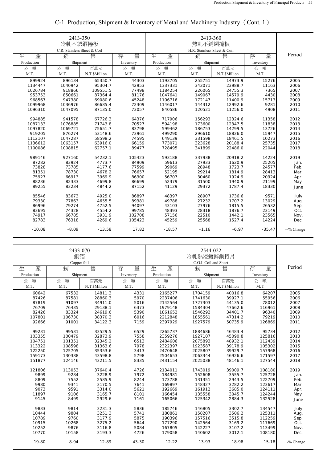|                | 2413-350<br>冷軋不銹鋼捲板<br>C.R. Stainless Sheet & Coil |                  |                  |            |                |               |           |               |
|----------------|----------------------------------------------------|------------------|------------------|------------|----------------|---------------|-----------|---------------|
| 生<br>產         | 銷                                                  | 售                | 存<br>量           | 生<br>產     | 銷              | 售             | 量<br>存    | Period        |
| Production     | Shipment                                           |                  | Inventory        | Production | Shipment       |               | Inventory |               |
| 噸<br>公         | 公<br>噸                                             | 百萬元              | 公<br>噸           | 公<br>噸     | 噸<br>公         | 百萬元           | 公<br>噸    |               |
| M.T.           | M.T.                                               | N.T.\$Million    | M.T.             | M.T.       | M.T.           | N.T.\$Million | M.T.      |               |
| 899924         | 896134                                             | 65350.7          | 44303            | 1193705    | 255751         | 14973.9       | 15276     | 2005          |
| 1134447        | 1040942                                            | 95304.7          | 42953            | 1337331    | 343071         | 23988.7       | 11163     | 2006          |
| 1026784        | 918866                                             | 109551.5         | 77498            | 1184254    | 226065         | 24755.3       | 7365      | 2007          |
| 953753         | 850661                                             | 87364.4          | 81176            | 1047641    | 149067         | 14579.9       | 4430      | 2008          |
| 968567         | 947380                                             | 69080.6          | 45248            | 1106716    | 172147         | 11400.9       | 15713     | 2009          |
| 1099968        | 1036976                                            | 86685.4          | 72309            | 1146017    | 144312         | 12992.6       | 9281      | 2010          |
| 1096310        | 1047095                                            | 87135.0          | 73057            | 840586     | 120521         | 11256.0       | 4908      | 2011          |
| 994885         | 941578                                             | 67726.3          | 64376            | 717906     | 156293         | 12324.6       | 11358     | 2012          |
| 1087133        | 1076885                                            | 71743.8          | 70527            | 594198     | 173600         | 12347.5       | 11838     | 2013          |
| 1097820        | 1069721                                            | 75651.7          | 83798            | 599462     | 186753         | 14299.5       | 13726     | 2014          |
| 919205         | 876274                                             | 53148.6          | 73961            | 499290     | 296610         | 18826.0       | 15947     | 2015          |
| 1112107        | 1047287                                            | 58598.2          | 74595            | 649139     | 331598         | 18461.5       | 10273     | 2016          |
| 1136612        | 1063157                                            | 63916.0          | 66159            | 773071     | 323628         | 20188.4       | 25735     | 2017          |
| 1100086        | 1008815                                            | 62757.1          | 89477            | 728495     | 341899         | 22486.0       | 22044     | 2018          |
|                |                                                    |                  |                  |            |                |               |           |               |
| 989146         | 927160                                             | 54232.1          | 105423           | 593188     | 337938         | 20918.2       | 14224     | 2019          |
| 87282          | 83924                                              | 4773.7           | 84909            | 59613      | 27933          | 1620.9        | 25205     | Jan.          |
| 73828          | 73785                                              | 4177.6           | 77599            | 39069      | 28948          | 1723.7        | 24577     | Feb.          |
| 81351          | 78730                                              | 4678.2           | 76657            | 52195      | 29214          | 1814.9        | 28413     | Mar.          |
| 75927          | 66913                                              | 3969.9           | 86300            | 56707      | 30460          | 1924.9        | 20924     | Apr.          |
| 88236          | 82333                                              | 4699.8           | 86699            | 52379      | 31500          | 1940.9        | 21199     | May           |
| 89255          | 83234                                              | 4844.2           | 87152            | 41129      | 29372          | 1787.4        | 18330     | June          |
| 85546          | 83673                                              | 4925.0           | 86897            | 48397      | 28907          | 1736.6        | 9571      | July          |
| 79330          | 77863                                              | 4655.5           | 89381            | 49788      | 27232          | 1707.2        | 13029     |               |
| 86996          | 79274                                              | 4752.5           | 94097            | 43103      | 27976          | 1815.5        | 26532     | Aug.          |
|                |                                                    |                  |                  |            |                |               |           | Sep.          |
| 83695          | 74328                                              | 4554.2<br>3931.9 | 99785            | 48393      | 28318          | 1876.7        | 23149     | Oct.          |
| 74917<br>82783 | 66785<br>76318                                     | 4269.6           | 102708<br>105423 | 57156      | 22510<br>25568 | 1442.1        | 23565     | Nov.          |
|                |                                                    |                  |                  | 45259      |                | 1527.4        | 14224     | Dec.          |
| $-10.08$       | $-8.09$                                            | $-13.58$         | 17.82            | $-18.57$   | $-1.16$        | $-6.97$       | $-35.47$  | $+$ -% Change |

# C-1 Production, Shipment & Inventory of Metal and Machinery Industry(Cont. 1)

|            | 2433-070<br>銅箔<br>Copper foil |               |           |            |          |               |           |               |
|------------|-------------------------------|---------------|-----------|------------|----------|---------------|-----------|---------------|
| 生<br>產     | 銷                             | 售             | 量<br>存    | 生<br>產     | 銷        | 售             | 量<br>存    | Period        |
| Production | Shipment                      |               | Inventory | Production | Shipment |               | Inventory |               |
| 噸<br>公     | 噸<br>公                        | 百萬元           | 公<br>噸    | 噸<br>公     | 噸<br>公   | 百萬元           | 公<br>噸    |               |
| M.T.       | M.T.                          | N.T.\$Million | M.T.      | M.T.       | M.T.     | N.T.\$Million | M.T.      |               |
| 60642      | 67532                         | 14811.3       | 4331      | 2165277    | 1704159  | 40016.8       | 64207     | 2005          |
| 87426      | 87581                         | 28860.3       | 5970      | 2237406    | 1741630  | 39927.1       | 55956     | 2006          |
| 87819      | 91097                         | 34911.0       | 5016      | 2142564    | 1727303  | 44135.0       | 78012     | 2007          |
| 76709      | 76435                         | 29138.1       | 6373      | 1979148    | 1584304  | 47662.6       | 116961    | 2008          |
| 82426      | 83324                         | 24619.6       | 5390      | 1861652    | 1546292  | 34401.7       | 96340     | 2009          |
| 107801     | 106730                        | 38370.3       | 6016      | 2212848    | 1855561  | 47314.2       | 79219     | 2010          |
| 92666      | 91001                         | 34122.3       | 7159      | 2397929    | 1927579  | 50735.9       | 126869    | 2011          |
| 99231      | 99531                         | 33529.5       | 6529      | 2265737    | 1884686  | 46483.4       | 95734     | 2012          |
| 103355     | 100479                        | 32873.9       | 7558      | 2359276    | 1927107  | 45090.8       | 125816    | 2013          |
| 104751     | 101351                        | 32345.2       | 6513      | 2484606    | 2075893  | 48932.1       | 112439    | 2014          |
| 113322     | 108598                        | 31363.6       | 7978      | 2322397    | 1923587  | 39178.9       | 105302    | 2015          |
| 122250     | 125705                        | 35353.6       | 3413      | 2470648    | 2025807  | 39929.7       | 157968    | 2016          |
| 159173     | 130388                        | 43598.8       | 5798      | 2504653    | 2063344  | 46926.6       | 171597    | 2017          |
| 151877     | 124146                        | 43211.5       | 8335      | 2431154    | 2025038  | 48146.1       | 127544    | 2018          |
| 121806     | 113053                        | 37640.4       | 4726      | 2134011    | 1743019  | 39009.7       | 108180    | 2019          |
| 9899       | 9284                          | 3228.9        | 7972      | 184981     | 152608   | 3555.7        | 125728    | Jan.          |
| 8809       | 7552                          | 2585.9        | 8244      | 173788     | 131351   | 2943.5        | 122709    | Feb.          |
| 9980       | 9341                          | 3170.5        | 7641      | 169897     | 148327   | 3282.2        | 123617    | Mar.          |
| 9073       | 9591                          | 3314.0        | 5621      | 192669     | 161912   | 3685.0        | 124111    | Apr.          |
| 11897      | 9106                          | 3165.7        | 8101      | 166454     | 135558   | 3045.7        | 124244    | May           |
| 9145       | 8499                          | 2929.6        | 7161      | 165066     | 125342   | 2884.3        | 132528    | June          |
| 9833       | 9814                          | 3231.3        | 5836      | 185746     | 146805   | 3302.7        | 134547    | July          |
| 10444      | 9804                          | 3251.3        | 5741      | 180861     | 158207   | 3506.2        | 125311    | Aug.          |
| 10789      | 9760                          | 3177.9        | 5875      | 190396     | 157516   | 3515.8        | 112259    | Sep.          |
| 10915      | 10268                         | 3275.2        | 5644      | 177290     | 142564   | 3169.2        | 117669    | Oct.          |
| 10252      | 9876                          | 3116.8        | 5084      | 167805     | 142227   | 3107.2        | 113499    | Nov.          |
| 10770      | 10158                         | 3193.3        | 4726      | 179058     | 140602   | 3012.1        | 108180    | Dec.          |
| $-19.80$   | $-8.94$                       | $-12.89$      | $-43.30$  | $-12.22$   | $-13.93$ | $-18.98$      | $-15.18$  | $+$ -% Change |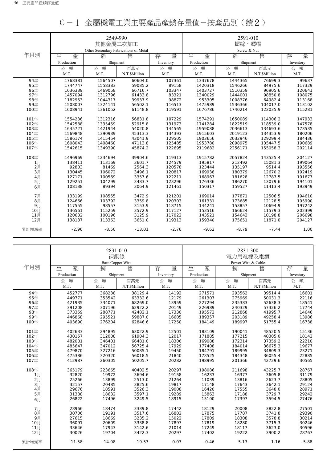|                |            | 2549-990                              |               |           |            | 2591-010    |               |           |  |
|----------------|------------|---------------------------------------|---------------|-----------|------------|-------------|---------------|-----------|--|
|                |            | 其他金屬二次加工                              |               |           | 螺絲、螺帽      |             |               |           |  |
|                |            | Other Secondary Fabrications of Metal |               |           |            | Screw & Nut |               |           |  |
| 年月別            | 生<br>產     | 銷                                     | 售             | 量<br>存    | 生<br>產     | 銷           | 售             | 量<br>存    |  |
|                | Production | Shipment                              |               | Inventory | Production | Shipment    |               | Inventory |  |
|                | 噸<br>公     | 噸<br>公                                | 百萬元           | 噸<br>公    | 噸<br>公     | 噸<br>公      | 百萬元           | 公<br>噸    |  |
|                | M.T.       | M.T.                                  | N.T.\$Million | M.T.      | M.T.       | M.T.        | N.T.\$Million | M.T.      |  |
| 94年            | 1768381    | 1564507                               | 60604.0       | 107361    | 1337678    | 1444365     | 76699.3       | 99637     |  |
| 95年            | 1744747    | 1558383                               | 59085.2       | 89158     | 1420318    | 1546266     | 84975.6       | 117329    |  |
| 96年            | 1636339    | 1469058                               | 66716.7       | 103347    | 1403727    | 1510359     | 96905.6       | 120641    |  |
| 97年            | 1457094    | 1312796                               | 61433.8       | 83321     | 1340029    | 1444001     | 98850.8       | 108075    |  |
| 98年            | 1182953    | 1044317                               | 39937.9       | 98872     | 953305     | 1008376     | 64982.4       | 113168    |  |
| 99年            | 1508007    | 1324141                               | 56502.1       | 116513    | 1475989    | 1536366     | 104017.0      | 113102    |  |
| 100年           | 1608941    | 1361052                               | 61148.8       | 119591    | 1676786    | 1740214     | 122035.9      | 115281    |  |
| 101年           | 1554236    | 1312316                               | 56831.8       | 107229    | 1574291    | 1650089     | 114306.2      | 147933    |  |
| 102年           | 1542588    | 1335459                               | 52915.8       | 131973    | 1741284    | 1822519     | 118539.0      | 147578    |  |
| 103年           | 1645721    | 1421944                               | 54020.8       | 144565    | 1959088    | 2036613     | 134693.6      | 173535    |  |
| 104年           | 1569848    | 1390939                               | 45313.3       | 134393    | 1915603    | 2019123     | 134353.9      | 180206    |  |
| 105年           | 1586174    | 1415454                               | 43041.9       | 129505    | 1903656    | 2032946     | 129299.4      | 184436    |  |
| 106年           | 1608043    | 1408460                               | 47113.8       | 125485    | 1953780    | 2098975     | 135447.5      | 190689    |  |
| 107年           | 1542615    | 1349390                               | 45874.2       | 122695    | 2119682    | 2256171     | 155058.3      | 202114    |  |
| 108年           | 1496969    | 1234694                               | 39904.6       | 119313    | 1915782    | 2057824     | 143525.4      | 204127    |  |
| 1月             | 138411     | 113169                                | 3601.7        | 124579    | 195817     | 212492      | 15081.3       | 199064    |  |
| 2月             | 92803      | 81469                                 | 2564.3        | 120578    | 123444     | 135197      | 9514.4        | 193556    |  |
| 3月             | 130445     | 106072                                | 3496.1        | 120817    | 169938     | 180379      | 12670.2       | 192419    |  |
| 4月             | 127171     | 100569                                | 3357.6        | 122211    | 168967     | 181628      | 12787.5       | 191677    |  |
| 5 <sub>1</sub> | 129251     | 104299                                | 3483.7        | 123296    | 176336     | 186270      | 13079.6       | 194101    |  |
| 6月             | 108138     | 89394                                 | 3064.9        | 121461    | 150317     | 159527      | 11413.4       | 193949    |  |
| 7月             | 133199     | 108555                                | 3472.9        | 121201    | 169014     | 177871      | 12506.5       | 194610    |  |
| $8$ 月          | 124666     | 103792                                | 3359.8        | 120303    | 161331     | 173685      | 12128.5       | 195990    |  |
| 9月             | 117555     | 98557                                 | 3153.9        | 118715    | 144241     | 153857      | 10694.9       | 197242    |  |
| 10月            | 136561     | 115259                                | 3572.9        | 117127    | 153516     | 166624      | 11579.3       | 202399    |  |
| 11月            | 120632     | 100196                                | 3125.9        | 117022    | 143521     | 154643      | 10198.8       | 206698    |  |
| 12月            | 138137     | 113363                                | 3651.0        | 119313    | 159340     | 175651      | 11871.0       | 204127    |  |
| 累計增減率          | $-2.96$    | $-8.50$                               | $-13.01$      | $-2.76$   | $-9.62$    | $-8.79$     | $-7.44$       | 1.00      |  |

|  |  | C-1 金屬機電工業主要產品產銷存量值-按產品別(續2) |  |
|--|--|------------------------------|--|
|--|--|------------------------------|--|

|       |            | 2831-010<br>裸銅線<br><b>Bare Copper Wire</b> |               |           | 2831-300<br>電力用電線及電纜<br>Power Wire & Cable |          |               |           |
|-------|------------|--------------------------------------------|---------------|-----------|--------------------------------------------|----------|---------------|-----------|
| 年月別   | 生.<br>產    | 銷                                          | 售             | 量<br>存    | 生<br>產                                     | 銷        | 售             | 量<br>存    |
|       | Production |                                            |               |           | Production                                 |          |               |           |
|       |            | Shipment                                   |               | Inventory |                                            | Shipment |               | Inventory |
|       | 噸<br>公     | 噸<br>公                                     | 百萬元           | 噸<br>公    | 噸<br>公                                     | 噸<br>公   | 百萬元           | 公<br>噸    |
|       | M.T.       | M.T.                                       | N.T.\$Million | M.T.      | M.T.                                       | M.T.     | N.T.\$Million | M.T.      |
| 94年   | 452777     | 368238                                     | 38129.4       | 14192     | 271571                                     | 293562   | 39514.4       | 16601     |
| 95年   | 449771     | 353542                                     | 63332.6       | 12179     | 261307                                     | 275969   | 50031.3       | 22116     |
| 96年   | 421935     | 334071                                     | 68269.0       | 13959     | 227294                                     | 235383   | 52638.3       | 18541     |
| 97年   | 391208     | 307196                                     | 62922.2       | 20149     | 226989                                     | 240329   | 57326.2       | 17744     |
| 98年   | 373359     | 288771                                     | 42482.1       | 17330     | 195572                                     | 212868   | 41995.7       | 14646     |
| 99年   | 446868     | 295521                                     | 59887.0       | 16605     | 189357                                     | 203189   | 49258.4       | 13986     |
| 100年  | 403690     | 276204                                     | 62846.6       | 17250     | 184149                                     | 189997   | 51755.4       | 16738     |
| 101年  | 402633     | 294895                                     | 63022.9       | 12501     | 183109                                     | 190041   | 48520.5       | 15136     |
| 102年  | 430157     | 312008                                     | 61904.3       | 12017     | 171885                                     | 177215   | 40305.0       | 18142     |
| 103年  | 482081     | 346401                                     | 66481.0       | 18306     | 169088                                     | 172314   | 37359.2       | 22210     |
| 104年  | 485647     | 347012                                     | 56725.4       | 17929     | 177408                                     | 184014   | 36675.3       | 19677     |
| 105年  | 479870     | 327216                                     | 50085.1       | 19450     | 184791                                     | 189995   | 34809.3       | 23271     |
| 106年  | 475386     | 320320                                     | 56018.5       | 21840     | 178525                                     | 184348   | 36055.4       | 22885     |
| 107年  | 412987     | 260305                                     | 50205.7       | 20282     | 198995                                     | 201366   | 42729.6       | 30565     |
|       |            |                                            |               |           |                                            |          |               |           |
| 108年  | 365179     | 223665                                     | 40402.5       | 20297     | 198086                                     | 211698   | 43225.7       | 28767     |
| 1月    | 32820      | 19972                                      | 3694.6        | 19158     | 16233                                      | 16377    | 3605.8        | 31179     |
| 2月    | 25266      | 13899                                      | 2513.0        | 21264     | 11039                                      | 13816    | 2623.7        | 28805     |
| 3月    | 32157      | 20485                                      | 3825.6        | 19817     | 17148                                      | 17643    | 3642.1        | 29124     |
| 4月    | 29676      | 18591                                      | 3526.3        | 19008     | 16420                                      | 17555    | 3648.0        | 28971     |
| 5月    | 31388      | 18632                                      | 3597.1        | 19289     | 15863                                      | 17188    | 3729.7        | 29242     |
| 6月    | 26822      | 17496                                      | 3249.5        | 18915     | 15100                                      | 17397    | 3594.5        | 27476     |
| 7月    | 28966      | 18474                                      | 3339.8        | 17442     | 18129                                      | 20008    | 3822.8        | 27501     |
| $8$ 月 | 30706      | 19191                                      | 3517.6        | 16802     | 17875                                      | 17787    | 3741.8        | 29390     |
| 9月    | 27615      | 18669                                      | 3235.2        | 15022     | 17809                                      | 18308    | 3578.8        | 30214     |
| 10月   | 36091      | 20609                                      | 3338.8        | 17897     | 17819                                      | 18280    | 3715.3        | 30246     |
| 11月   | 33646      | 17943                                      | 3142.6        | 21014     | 17249                                      | 18117    | 3623.0        | 30596     |
| 12月   | 30026      | 19704                                      | 3422.3        | 20297     | 17402                                      | 19222    | 3900.2        | 28767     |
| 累計增減率 | $-11.58$   | $-14.08$                                   | $-19.53$      | 0.07      | $-0.46$                                    | 5.13     | 1.16          | $-5.88$   |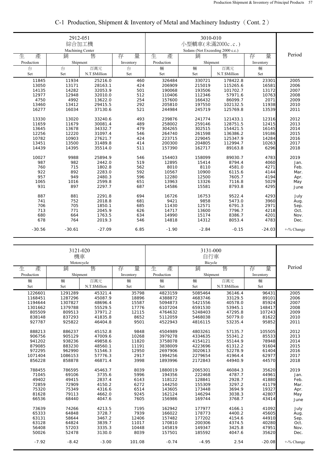|            | 2912-051<br>綜合加工機<br>Machining Center |               |           |            |                                       |               |           |               |
|------------|---------------------------------------|---------------|-----------|------------|---------------------------------------|---------------|-----------|---------------|
| 生<br>產     | 銷                                     | 售             | 存<br>量    | 生<br>產     | Sedans (Not Exceeding 2000 c.c.)<br>銷 | 售             | 存<br>量    | Period        |
| Production | Shipment                              |               | Inventory | Production | Shipment                              |               | Inventory |               |
| 台          | 台                                     | 百萬元           | 台         | 輛          | 輛                                     | 百萬元           | 輛         |               |
| Set        | Set                                   | N.T.\$Million | Set       | Set        | Set                                   | N.T.\$Million | Set       |               |
| 11845      | 11934                                 | 25216.0       | 460       | 326484     | 330721                                | 178422.8      | 23301     | 2005          |
| 13050      | 13171                                 | 28163.1       | 424       | 206909     | 215019                                | 115265.6      | 16581     | 2006          |
| 14135      | 14282                                 | 32053.9       | 501       | 190068     | 193506                                | 101702.7      | 13172     | 2007          |
| 12977      | 12948                                 | 32010.0       | 512       | 110406     | 112346                                | 57971.6       | 10763     | 2008          |
| 4750       | 4992                                  | 13622.0       | 254       | 157600     | 166432                                | 86099.7       | 2071      | 2009          |
| 13460      | 13412                                 | 29415.5       | 292       | 205810     | 197550                                | 102132.5      | 11938     | 2010          |
| 16277      | 16034                                 | 37130.6       | 521       | 244984     | 245719                                | 125769.8      | 13539     | 2011          |
| 13330      | 13020                                 | 33240.6       | 493       | 239876     | 241774                                | 121433.1      | 12316     | 2012          |
| 11659      | 11679                                 | 30081.4       | 489       | 258002     | 259146                                | 128751.5      | 12415     | 2013          |
| 13645      | 13678                                 | 34332.7       | 479       | 304265     | 302515                                | 154421.5      | 16145     | 2014          |
| 12256      | 12220                                 | 31097.4       | 546       | 264740     | 261598                                | 136386.2      | 19186     | 2015          |
| 10782      | 10903                                 | 27621.7       | 424       | 223715     | 229045                                | 125347.9      | 14284     | 2016          |
| 13451      | 13500                                 | 31489.8       | 414       | 200300     | 204805                                | 112994.7      | 10263     | 2017          |
| 14439      | 14395                                 | 35514.0       | 511       | 157390     | 162717                                | 89163.8       | 6296      | 2018          |
| 10027      | 9988                                  | 25894.9       | 546       | 154403     | 158099                                | 89030.7       | 4783      | 2019          |
| 987        | 982                                   | 2442.0        | 519       | 12895      | 15414                                 | 8794.4        | 4060      | Jan.          |
| 760        | 715                                   | 1802.8        | 562       | 8010       | 8110                                  | 4581.0        | 4271      | Feb.          |
| 922        | 892                                   | 2283.0        | 592       | 10567      | 10900                                 | 6115.6        | 4144      | Mar.          |
| 957        | 949                                   | 2480.3        | 596       | 12280      | 12500                                 | 7605.7        | 4194      | Apr.          |
| 1065       | 1016                                  | 2599.8        | 651       | 13963      | 13326                                 | 7116.8        | 5029      | May           |
| 931        | 897                                   | 2297.7        | 687       | 14586      | 15581                                 | 8793.8        | 4295      | June          |
| 887        | 881                                   | 2291.8        | 694       | 16726      | 16753                                 | 9522.4        | 4293      | July          |
| 741        | 752                                   | 2018.8        | 681       | 9421       | 9858                                  | 5473.0        | 3960      | Aug.          |
| 706        | 705                                   | 1850.1        | 685       | 11430      | 12571                                 | 6791.3        | 2971      | Sep.          |
| 713        | 771                                   | 2045.9        | 626       | 14717      | 13600                                 | 7796.7        | 4218      | Oct.          |
| 680        | 664                                   | 1763.5        | 634       | 14990      | 15174                                 | 8386.7        | 4201      | Nov.          |
| 678        | 764                                   | 2019.3        | 546       | 14818      | 14312                                 | 8053.4        | 4783      | Dec.          |
| $-30.56$   | $-30.61$                              | $-27.09$      | 6.85      | $-1.90$    | $-2.84$                               | $-0.15$       | $-24.03$  | $+$ -% Change |

# C-1 Production, Shipment & Inventory of Metal and Machinery Industry(Cont. 2)

|            | 3121-020<br>機車<br>Motorcycle |               |           |            | 3131-000<br>自行車<br>Bicycle |               |           |            |
|------------|------------------------------|---------------|-----------|------------|----------------------------|---------------|-----------|------------|
| 生<br>產     | 銷                            | 售             | 量<br>存    | 生<br>產     | 銷                          | 售             | 量<br>存    | Period     |
| Production | Shipment                     |               | Inventory | Production | Shipment                   |               | Inventory |            |
| 輛          | 輛                            | 百萬元           | 輛         | 輛          | 輛                          | 百萬元           | 輛         |            |
| Set        | Set                          | N.T.\$Million | Set       | Set        | Set                        | N.T.\$Million | Set       |            |
| 1226601    | 1291289                      | 45321.4       | 35798     | 4823159    | 5085464                    | 36146.4       | 96431     | 2005       |
| 1168451    | 1287296                      | 45087.9       | 18896     | 4388872    | 4683746                    | 33129.5       | 89101     | 2006       |
| 1194644    | 1307827                      | 48696.4       | 15587     | 5094873    | 5421556                    | 40578.0       | 85924     | 2007       |
| 1301662    | 1379788                      | 55529.5       | 17776     | 6107204    | 6591530                    | 53945.1       | 148417    | 2008       |
| 805509     | 809513                       | 37971.2       | 12115     | 4764632    | 5248403                    | 47295.8       | 107243    | 2009       |
| 838148     | 837293                       | 41835.8       | 8652      | 5112059    | 5468038                    | 50779.0       | 81622     | 2010       |
| 927787     | 925822                       | 46404.8       | 9501      | 4522943    | 4816115                    | 53235.4       | 95852     | 2011       |
| 888213     | 886237                       | 45152.8       | 9848      | 4504989    | 4803261                    | 57135.7       | 105505    | 2012       |
| 906756     | 905129                       | 47009.6       | 10268     | 3979278    | 4334635                    | 55341.2       | 85533     | 2013       |
| 941202     | 938236                       | 49858.6       | 11820     | 3758078    | 4154121                    | 55144.9       | 78948     | 2014       |
| 879085     | 883230                       | 48560.1       | 11191     | 3838009    | 4223696                    | 61312.2       | 91604     | 2015       |
| 972295     | 962990                       | 51546.3       | 12950     | 2697906    | 3020613                    | 52278.9       | 61404     | 2016       |
| 1071404    | 1086153                      | 57776.3       | 2917      | 1994256    | 2279654                    | 41964.4       | 62977     | 2017       |
| 856228     | 858878                       | 46871.4       | 3998      | 1893996    | 2172843                    | 44940.9       | 44570     | 2018       |
| 788455     |                              |               | 8039      |            |                            |               |           |            |
|            | 786595                       | 45463.7       |           | 1880019    | 2065301                    | 46084.3       | 35620     | 2019       |
| 71045      | 69106                        | 3735.6        | 5996      | 194356     | 222468                     | 4787.7        | 44961     | Jan.       |
| 49402      | 49415                        | 2837.4        | 6143      | 118122     | 128841                     | 2928.7        | 41880     | Feb.       |
| 72859      | 72909                        | 4150.2        | 6272      | 144250     | 155309                     | 3297.2        | 41179     | Mar.       |
| 75320      | 75349                        | 4316.6        | 6514      | 143605     | 173448                     | 3694.9        | 19327     | Apr.       |
| 81628      | 79113                        | 4662.0        | 9245      | 162124     | 146294                     | 3038.3        | 42807     | May        |
| 66536      | 68440                        | 4047.6        | 7605      | 156986     | 169744                     | 3768.7        | 43414     | June       |
| 73639      | 74266                        | 4213.5        | 7195      | 162942     | 177977                     | 4166.1        | 41092     | July       |
| 65333      | 64848                        | 3728.7        | 7939      | 166022     | 178773                     | 4400.2        | 45605     | Aug.       |
| 63131      | 58644                        | 3467.2        | 12406     | 157482     | 177202                     | 4154.6        | 44910     | Sep.       |
| 63128      | 64824                        | 3839.7        | 11017     | 170810     | 200306                     | 4374.5        | 40280     | Oct.       |
| 56408      | 57203                        | 3335.3        | 10448     | 145819     | 149347                     | 3425.8        | 47951     | Nov.       |
| 50026      | 52478                        | 3130.0        | 8039      | 157501     | 185592                     | 4047.6        | 35620     | Dec.       |
| $-7.92$    | $-8.42$                      | $-3.00$       | 101.08    | $-0.74$    | $-4.95$                    | 2.54          | $-20.08$  | +-% Change |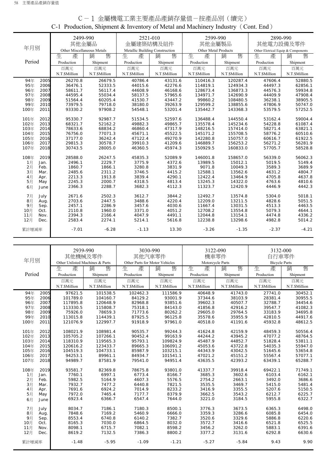|        |      |                            | 2499-990<br>其他金屬品 |                                | 2521-010<br>金屬建築結構及組件 | 2599-990<br>其他金屬製品   |               | 2890-990<br>其他電力設備及零件              |               |
|--------|------|----------------------------|-------------------|--------------------------------|-----------------------|----------------------|---------------|------------------------------------|---------------|
| 年月別    |      |                            |                   |                                |                       |                      |               |                                    |               |
|        |      | Other Miscellaneous Metals |                   | Metallic Building Construction |                       | Other Metal Products |               | Other Eletrical Equip & Components |               |
|        |      | 生<br>產                     | 售<br>銷            | 生<br>產                         | 售<br>銷                | 生<br>產               | 售<br>銷        | 生<br>產                             | 售<br>銷        |
| Period |      | Production                 | Shipment          | Production                     | Shipment              | Production           | Shipment      | Production                         | Shipment      |
|        |      | 百萬元                        | 百萬元               | 百萬元                            | 百萬元                   | 百萬元                  | 百萬元           | 百萬元                                | 百萬元           |
|        |      | N.T.\$Million              | N.T.\$Million     | N.T.\$Million                  | N.T.\$Million         | N.T.\$Million        | N.T.\$Million | N.T.\$Million                      | N.T.\$Million |
| 94年    | 2005 | 26270.8                    | 26679.5           | 40786.4                        | 43131.6               | 110416.3             | 120287.4      | 47606.4                            | 52880.5       |
| 95年    | 2006 | 36476.1                    | 52333.5           | 44015.6                        | 42276.6               | 114819.1             | 124934.3      | 44497.3                            | 62856.1       |
| 96年    | 2007 | 58611.7                    | 56117.4           | 44608.9                        | 46168.6               | 128673.4             | 136873.3      | 44576.3                            | 59934.8       |
| 97年    | 2008 | 44595.4                    | 55034.4           | 58137.5                        | 57965.6               | 134971.7             | 142690.9      | 44409.9                            | 47908.4       |
| 98年    | 2009 | 51564.4                    | 60205.4           | 41530.7                        | 43447.2               | 99860.2              | 108480.5      | 36238.1                            | 38905.5       |
| 99年    | 2010 | 73979.5                    | 79718.0           | 38180.0                        | 39263.9               | 129599.2             | 138855.6      | 47806.9                            | 50747.0       |
| 100年   | 2011 | 93330.2                    | 97908.2           | 54548.1                        | 53201.4               | 135442.7             | 143368.3      | 53579.5                            | 57252.5       |
| 101年   | 2012 | 95330.7                    | 92987.7           | 51534.5                        | 52597.6               | 136488.4             | 144550.4      | 53162.4                            | 59004.4       |
| 102年   | 2013 | 68321.7                    | 52162.2           | 49882.3                        | 49865.7               | 135578.4             | 145234.6      | 54228.8                            | 61087.4       |
| 103年   | 2014 | 78633.6                    | 68834.2           | 46860.4                        | 47317.9               | 148216.5             | 157414.0      | 58271.4                            | 63821.1       |
| 104年   | 2015 | 76756.0                    | 77071.3           | 45671.1                        | 45522.5               | 145171.2             | 155708.5      | 58776.2                            | 60510.6       |
| 105年   | 2016 | 37177.0                    | 36242.4           | 47122.4                        | 49270.9               | 142280.8             | 150757.0      | 60616.7                            | 61922.5       |
| 106年   | 2017 | 29815.3                    | 30578.7           | 39910.3                        | 41209.6               | 146889.7             | 156253.2      | 56271.2                            | 56281.9       |
| 107年   | 2018 | 30743.5                    | 28005.0           | 46360.5                        | 45974.3               | 150929.5             | 160833.0      | 57705.7                            | 58528.8       |
| 108年   | 2019 | 28588.0                    | 26247.5           | 45835.3                        | 52089.9               | 146001.8             | 158657.0      | 56339.0                            | 56062.3       |
| 1月     | Jan. | 2496.1                     | 2229.7            | 3775.9                         | 4372.6                | 13989.5              | 15012.1       | 5019.5                             | 5149.4        |
| 2月     | Feb. | 1860.7                     | 1866.1            | 3280.8                         | 3831.9                | 9071.8               | 10049.3       | 3589.3                             | 3689.9        |
| 3月     | Mar. | 2485.6                     | 2311.2            | 3746.5                         | 4415.2                | 12588.1              | 13562.6       | 4631.2                             | 4804.7        |
| 4月     | Apr. | 2213.3                     | 1913.8            | 3839.4                         | 4290.1                | 12422.4              | 13464.9       | 4705.8                             | 4637.8        |
| 5月     | May  | 2245.3                     | 2000.7            | 4318.5                         | 4813.4                | 13245.3              | 14322.0       | 4763.6                             | 4810.6        |
| 6月     | June | 2366.3                     | 2288.7            | 3682.3                         | 4112.3                | 11323.7              | 12420.9       | 4446.9                             | 4442.3        |
| 7月     | July | 2671.6                     | 2502.3            | 3612.7                         | 3844.2                | 12492.7              | 13574.8       | 5304.0                             | 5018.1        |
| 8月     | Aug. | 2703.6                     | 2447.5            | 3488.6                         | 4220.4                | 12209.0              | 13211.5       | 4828.6                             | 5051.5        |
| 9月     | Sep. | 2457.1                     | 2286.9            | 3457.6                         | 4030.6                | 11667.4              | 13031.5       | 4513.3                             | 4463.5        |
| 10月    | Oct. | 2110.8                     | 1960.0            | 3371.0                         | 4051.2                | 12708.2              | 13554.8       | 5079.3                             | 4644.1        |
| 11月    | Nov. | 2394.3                     | 2166.4            | 4047.9                         | 4491.1                | 12044.8              | 13154.1       | 4474.8                             | 4336.2        |
| 12月    | Dec. | 2583.4                     | 2274.1            | 5214.1                         | 5616.8                | 12238.8              | 13298.6       | 4982.8                             | 5014.2        |
| 累計增減率  |      | $-7.01$                    | $-6.28$           | $-1.13$                        | 13.30                 | $-3.26$              | $-1.35$       | $-2.37$                            | $-4.21$       |

# C-1 金屬機電工業主要產品產銷存量值-按產品別(續完) C-1 Production, Shipment & Inventory of Metal and Machinery Industry (Cont. End)

|        |      |                                 | 2939-990      |                                | 3030-990      | 3122-090         |               | 3132-000             |               |
|--------|------|---------------------------------|---------------|--------------------------------|---------------|------------------|---------------|----------------------|---------------|
|        |      | 其他機械及零件                         |               | 其他汽車零件                         |               | 機車零件             |               | 自行車零件                |               |
| 年月別    |      | Other Unlisted Machines & Parts |               | Other Parts for Motor Vehicles |               | Motorcycle Parts |               | <b>Bicycle Parts</b> |               |
|        |      | 生<br>產                          | 銷<br>售        | 生<br>產                         | 售<br>銷        | 生<br>產           | 售<br>銷        | 生<br>產               | 售<br>銷        |
| Period |      | Production                      | Shipment      | Production                     | Shipment      | Production       | Shipment      | Production           | Shipment      |
|        |      | 百萬元                             | 百萬元           | 百萬元                            | 百萬元           | 百萬元              | 百萬元           | 百萬元                  | 百萬元           |
|        |      | N.T.\$Million                   | N.T.\$Million | N.T.\$Million                  | N.T.\$Million | N.T.\$Million    | N.T.\$Million | N.T.\$Million        | N.T.\$Million |
| 94年    | 2005 | 97621.5                         | 101538.5      | 102462.3                       | 111586.9      | 40648.9          | 41743.0       | 27741.0              | 30452.1       |
| 95年    | 2006 | 101789.0                        | 104160.7      | 84129.2                        | 93001.9       | 37344.6          | 38103.9       | 28381.4              | 30955.5       |
| 96年    | 2007 | 117895.8                        | 120648.9      | 82968.8                        | 93851.6       | 39602.3          | 40507.7       | 32788.7              | 34454.6       |
| 97年    | 2008 | 113330.5                        | 115808.7      | 75318.1                        | 84143.0       | 41856.8          | 42916.2       | 39547.7              | 41082.3       |
| 98年    | 2009 | 75926.0                         | 78659.3       | 71773.6                        | 80262.2       | 29605.0          | 29764.5       | 33183.9              | 34695.8       |
| 99年    | 2010 | 113015.8                        | 114439.1      | 87925.5                        | 96125.8       | 35578.6          | 35955.9       | 42810.5              | 44917.6       |
| 100年   | 2011 | 121076.9                        | 122997.7      | 91918.9                        | 97961.0       | 40518.0          | 41191.6       | 45932.8              | 48612.5       |
|        |      |                                 |               |                                |               |                  |               |                      |               |
| 101年   | 2012 | 108021.9                        | 108981.4      | 90535.7                        | 99244.3       | 41624.8          | 42159.9       | 48459.3              | 50556.4       |
| 102年   | 2013 | 105705.2                        | 107266.1      | 90452.4                        | 99163.9       | 44244.2          | 43945.2       | 47077.2              | 48764.5       |
| 103年   | 2014 | 118310.9                        | 119565.3      | 95793.1                        | 109824.9      | 45487.9          | 44852.7       | 51828.4              | 53811.1       |
| 104年   | 2015 | 120616.2                        | 123433.7      | 89665.3                        | 106091.2      | 45053.6          | 43722.8       | 54035.3              | 55947.0       |
| 105年   | 2016 | 104519.3                        | 104733.1      | 85987.9                        | 103215.1      | 44343.9          | 43042.5       | 51645.6              | 53654.8       |
| 106年   | 2017 | 94253.1                         | 89961.1       | 84934.7                        | 101541.1      | 47021.2          | 45151.2       | 55567.4              | 57077.1       |
| 107年   | 2018 | 94989.7                         | 87581.9       | 79541.0                        | 94951.4       | 43635.5          | 42393.2       | 63439.1              | 65288.7       |
| 108年   | 2019 | 93581.7                         | 82369.8       | 78675.8                        | 93801.0       | 41337.7          | 39918.4       | 69422.1              | 71749.1       |
| 1月     | Jan. | 7760.1                          | 6997.1        | 6773.4                         | 8166.7        | 3685.3           | 3602.6        | 6103.4               | 6162.1        |
| 2月     | Feb. | 5982.5                          | 5164.9        | 4607.3                         | 5576.5        | 2754.2           | 2663.1        | 3492.0               | 3686.6        |
| 3月     | Mar. | 7932.7                          | 7477.2        | 6440.8                         | 7821.5        | 3535.5           | 3469.7        | 5415.0               | 5481.4        |
| 4月     | Apr. | 7691.6                          | 6924.2        | 7014.9                         | 8233.2        | 3416.9           | 3355.5        | 5207.6               | 5150.5        |
| 5月     | May  | 7972.0                          | 7465.4        | 7177.7                         | 8379.9        | 3662.5           | 3543.2        | 6212.7               | 6225.7        |
| 6月     | June | 6923.4                          | 6366.7        | 6547.4                         | 7644.0        | 3221.0           | 3184.5        | 5955.8               | 6322.7        |
| 7月     | July | 8034.7                          | 7186.1        | 7180.3                         | 8500.1        | 3776.3           | 3673.5        | 6365.3               | 6498.0        |
| 8月     | Aug. | 7848.6                          | 7169.2        | 5460.9                         | 6666.0        | 3359.3           | 3286.6        | 6085.8               | 6454.0        |
| 9月     | Sep. | 8553.4                          | 6740.8        | 6140.2                         | 7382.7        | 3520.6           | 3329.6        | 5886.8               | 6220.6        |
| 10月    | Oct. | 8165.3                          | 7030.0        | 6864.5                         | 8032.0        | 3572.7           | 3416.6        | 6521.8               | 6525.5        |
| 11月    | Nov. | 8098.1                          | 6715.7        | 7082.1                         | 8598.2        | 3456.2           | 3262.0        | 5883.1               | 6391.6        |
| 12月    | Dec. | 8619.2                          | 7132.5        | 7386.3                         | 8800.2        | 3377.2           | 3131.6        | 6292.8               | 6630.6        |
| 累計增減率  |      | $-1.48$                         | $-5.95$       | $-1.09$                        | $-1.21$       | $-5.27$          | $-5.84$       | 9.43                 | 9.90          |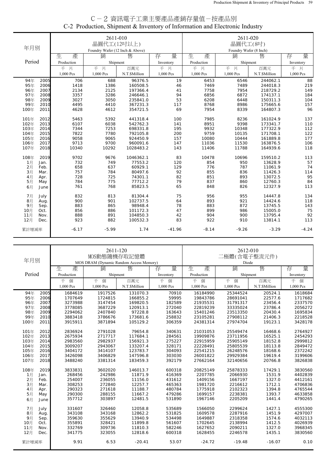| C−2 資訊電子工業主要產品產銷存量值−按產品別                                                    |  |
|-----------------------------------------------------------------------------|--|
| C-2 Production, Shipment & Inventory of Information and Electronic Industry |  |

|              |              |              | 2611-010                        |                      |            |              | 2611-020               |                      |            |
|--------------|--------------|--------------|---------------------------------|----------------------|------------|--------------|------------------------|----------------------|------------|
|              |              |              | 晶圓代工(12吋以上)                     |                      |            |              | 晶圓代工(8吋)               |                      |            |
| 年月別          |              |              | Foundry Wafer (12 Inch & Above) |                      |            |              | Foundry Wafer (8 Inch) |                      |            |
|              |              | 生            |                                 | 售                    | 量          | 產            | 銷                      |                      | 量          |
|              |              | 產            | 銷                               |                      | 存          | 生            |                        | 售                    | 存          |
| Period       |              | Production   | Shipment                        |                      | Inventory  | Production   | Shipment               |                      | Inventory  |
|              |              | 千片           | 千片                              | 百萬元                  | 千片         | 千片           | 千片                     | 百萬元                  | 千片         |
|              |              | 1,000 Pcs    | 1,000 Pcs                       | N.T.\$Million        | 1,000 Pcs  | 1,000 Pcs    | 1,000 Pcs              | N.T.\$Million        | 1,000 Pcs  |
| 94年          | 2005         | 706          | 688                             | 96376.5              | 19         | 6453         | 6546                   | 244062.1             | 88         |
| 95年          | 2006         | 1418         | 1386                            | 160508.5             | 46         | 7469         | 7489                   | 244018.3             | 219        |
| 96年          | 2007         | 2134         | 2125                            | 197366.4             | 41         | 7758         | 7954                   | 218729.2             | 149        |
| 97年          | 2008         | 3357         | 3286                            | 246646.1             | 94         | 6856         | 6872                   | 174137.1             | 184        |
| 98年          | 2009         | 3027         | 3050                            | 235841.0             | 53         | 6208         | 6448                   | 150311.3             | 104        |
| 99年          | 2010         | 4495         | 4410                            | 367231.3             | 117        | 8768         | 8986                   | 175665.6             | 157        |
| 100年         | 2011         | 4628         | 4612                            | 354721.5             | 69         | 7954         | 8339                   | 164807.3             | 96         |
|              |              |              |                                 |                      |            |              |                        |                      |            |
| 101年         | 2012         | 5463         | 5392                            | 441318.4             | 100        | 7985         | 8236                   | 161024.9             | 137        |
| 102年         | 2013<br>2014 | 6107<br>7344 | 6038<br>7253                    | 542762.3             | 141<br>195 | 8951<br>9932 | 9398<br>10348          | 173341.7             | 110        |
| 103年<br>104年 | 2015         | 7822         | 7780                            | 698331.8<br>792105.8 | 200        | 9759         | 10135                  | 177322.9<br>171708.1 | 112        |
| 105年         | 2016         | 9058         | 9065                            | 924450.9             | 157        | 10080        | 10444                  | 161889.8             | 122<br>177 |
| 106年         | 2017         | 9713         | 9700                            | 960091.6             | 147        | 11036        | 11530                  | 163876.5             | 106        |
| 107年         | 2018         | 10340        | 10292                           | 1028483.2            | 143        | 11406        | 11788                  | 164939.6             | 118        |
|              |              |              |                                 |                      |            |              |                        |                      |            |
| 108年         | 2019         | 9702         | 9676                            | 1046362.1            | 83         | 10478        | 10696                  | 159510.2             | 113        |
| 1月           | Jan.         | 732          | 749                             | 77553.2              | 120        | 854          | 950                    | 13628.9              | 57         |
| 2月           | Feb.         | 658          | 637                             | 60929.1              | 129        | 776          | 787                    | 11061.9              | 74         |
| 3月           | Mar.         | 757          | 784                             | 80497.6              | 92         | 855          | 836                    | 11426.3              | 114        |
| 4月           | Apr.         | 728          | 725                             | 74301.1              | 82         | 851          | 893                    | 13072.5              | 95         |
| 5月           | May          | 784          | 775                             | 77712.2              | 79         | 837          | 860                    | 12760.3              | 84         |
| 6月           | June         | 761          | 768                             | 85823.5              | 65         | 848          | 826                    | 12327.9              | 113        |
| 7月           | July         | 832          | 813                             | 81304.4              | 75         | 956          | 955                    | 14447.8              | 134        |
| 8月           | Aug.         | 900          | 901                             | 102737.5             | 64         | 893          | 921                    | 14424.6              | 118        |
| 9月           | Sep.         | 883          | 865                             | 98948.4              | 78         | 883          | 872                    | 13745.5              | 143        |
| 10月          | Oct.         | 856          | 886                             | 101172.3             | 47         | 899          | 986                    | 15005.0              | 75         |
| 11月          | Nov.         | 888          | 891                             | 104850.3             | 42         | 904          | 900                    | 13795.4              | 92         |
| 12月          | Dec.         | 923          | 882                             | 100532.3             | 83         | 922          | 910                    | 13814.1              | 113        |
| 累計增減率        |              | $-6.17$      | $-5.99$                         | 1.74                 | $-41.96$   | $-8.14$      | $-9.26$                | $-3.29$              | $-4.24$    |

| 年月別          |            | 2611-120<br>MOS動態隨機存取記憶體<br>MOS DRAM (Dynamic Random Access Memory) |               |           | 2612-010<br>二極體(含電子整流元件)<br>Diode |           |               |           |
|--------------|------------|---------------------------------------------------------------------|---------------|-----------|-----------------------------------|-----------|---------------|-----------|
|              | 產<br>生     | 銷                                                                   | 售             | 存<br>量    | 生<br>產                            | 銷         | 售             | 量<br>存    |
| Period       | Production | Shipment                                                            |               | Inventory | Production                        | Shipment  |               | Inventory |
|              | 千<br>個     | 千<br>個                                                              | 百萬元           | 千<br>個    | 千<br>個                            | 千<br>個    | 百萬元           | 千個        |
|              | 1.000 Pcs  | 1,000 Pcs                                                           | N.T.\$Million | 1,000 Pcs | 1,000 Pcs                         | 1,000 Pcs | N.T.\$Million | 1,000 Pcs |
| 94年<br>2005  | 1684619    | 1917526                                                             | 131070.3      | 70910     | 16184990                          | 25344524  | 20524.1       | 1618684   |
| 95年<br>2006  | 1707649    | 1724815                                                             | 166855.2      | 59995     | 19843786                          | 28691041  | 22577.6       | 1717682   |
| 2007<br>96年  | 3273988    | 3147454                                                             | 169820.5      | 182589    | 21935531                          | 31791317  | 23456.4       | 2337570   |
| 97年<br>2008  | 3778085    | 3687229                                                             | 120913.1      | 272040    | 22819239                          | 33335024  | 23786.4       | 2056272   |
| 98年<br>2009  | 2294062    | 2407840                                                             | 97228.8       | 163643    | 15401246                          | 23513350  | 20430.4       | 1695834   |
| 99年<br>2010  | 3883418    | 3786676                                                             | 173681.6      | 258832    | 23105281                          | 27908112  | 21406.3       | 2218528   |
| 100年<br>2011 | 3915911    | 3871894                                                             | 105129.2      | 306359    | 24381314                          | 27974704  | 19123.1       | 3428178   |
| 101年<br>2012 | 2836924    | 2791028                                                             | 79654.8       | 340631    | 21031053                          | 25549474  | 16468.6       | 2764927   |
| 102年<br>2013 | 2675934    | 2717717                                                             | 117684.1      | 284561    | 19909876                          | 23711956  | 16525.1       | 2454293   |
| 103年<br>2014 | 2983560    | 2982937                                                             | 156921.3      | 275227    | 22915959                          | 25905149  | 18152.8       | 2999812   |
| 2015<br>104年 | 3009207    | 2943067                                                             | 133207.4      | 328171    | 22228491                          | 25805539  | 18113.8       | 2849472   |
| 105年<br>2016 | 3404172    | 3414107                                                             | 123783.7      | 304093    | 22541215                          | 26248576  | 18168.6       | 2372242   |
| 106年<br>2017 | 3426098    | 3406829                                                             | 147596.8      | 303030    | 26001822                          | 29929384  | 19619.4       | 3199606   |
| 107年<br>2018 | 3488240    | 3381314                                                             | 183459.3      | 392179    | 27662164                          | 32140656  | 20766.8       | 3826838   |
| 108年<br>2019 | 3833831    | 3602020                                                             | 146013.7      | 600318    | 20825149                          | 25878333  | 17429.1       | 3830560   |
| 1月<br>Jan.   | 268456     | 242986                                                              | 11871.9       | 416369    | 2207785                           | 2066930   | 1531.9        | 4402839   |
| 2月<br>Feb.   | 254007     | 236055                                                              | 11156.0       | 431612    | 1409156                           | 1667197   | 1327.0        | 4412161   |
| 3月<br>Mar.   | 308253     | 272840                                                              | 12257.7       | 465363    | 1981720                           | 2216612   | 1712.1        | 4706836   |
| 4月<br>Apr.   | 290323     | 271618                                                              | 11188.7       | 480784    | 1775918                           | 2102323   | 1394.8        | 4765544   |
| 5月<br>May    | 290300     | 288155                                                              | 11667.2       | 479286    | 1699157                           | 2238381   | 1393.7        | 4633858   |
| 6月<br>June   | 357712     | 303897                                                              | 12481.5       | 531890    | 1967146                           | 2205209   | 1441.4        | 4790265   |
| 7月<br>July   | 331607     | 326460                                                              | 12058.8       | 535689    | 1566050                           | 2299624   | 1427.1        | 4555300   |
| 8月<br>Aug.   | 343108     | 343168                                                              | 12862.2       | 531825    | 1609578                           | 2287916   | 1451.9        | 4297007   |
| 9月<br>Sep.   | 359630     | 355629                                                              | 13940.9       | 534498    | 1649887                           | 2318358   | 1574.6        | 4032113   |
| 10月<br>Oct.  | 355891     | 328421                                                              | 11899.8       | 561607    | 1702645                           | 2138994   | 1412.5        | 4026939   |
| 11月<br>Nov.  | 332769     | 309736                                                              | 11810.3       | 582246    | 1627652                           | 2090211   | 1327.0        | 3968345   |
| 12月<br>Dec.  | 341775     | 323055                                                              | 12818.6       | 600318    | 1628455                           | 2246578   | 1435.1        | 3830560   |
| 累計增減率        | 9.91       | 6.53                                                                | $-20.41$      | 53.07     | $-24.72$                          | $-19.48$  | $-16.07$      | 0.10      |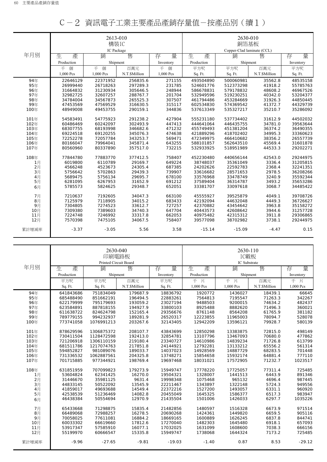|            |                      | 2613-010<br>構裝IC |                      |           | 2630-010<br>銅箔基板           |           |                    |                      |  |
|------------|----------------------|------------------|----------------------|-----------|----------------------------|-----------|--------------------|----------------------|--|
|            |                      | IC Package       |                      |           | Copper-Clad laminate (CCL) |           |                    |                      |  |
| 年月別        | 生<br>產               | 銷                | 售                    | 量<br>存    | 生<br>產                     | 銷         | 售                  | 量<br>存               |  |
|            | Production           | Shipment         |                      | Inventory | Production                 | Shipment  |                    | Inventory            |  |
|            | 個<br>千               | 千個               | 百萬元                  | 個<br>千    | 平方呎                        | 平方呎       | 百萬元                | 平方呎                  |  |
|            | 1,000 Pcs            | 1,000 Pcs        | N.T.\$Million        | 1,000 Pcs | Sq. Ft.                    | Sq. Ft.   | N.T.\$Million      | Sq. Ft.              |  |
|            |                      | 22371952         |                      | 271155    | 493504890                  | 500060981 |                    |                      |  |
| 94年<br>95年 | 22646129<br>26999440 | 26718263         | 256835.6<br>297289.3 | 231785    | 524601776                  | 512373298 | 35562.8<br>41918.2 | 48535158<br>55785763 |  |
| 96年        | 31664832             | 31230934         | 305646.5             | 248944    | 586678831                  | 579178832 | 48608.2            | 46967526             |  |
| 97年        | 32982725             | 32607257         | 288767.7             | 201704    | 532949596                  | 519230251 | 40342.0            | 53204377             |  |
| 98年        | 34784004             | 34567873         | 265525.3             | 307507    | 461794486                  | 453284669 | 31926.3            | 44850445             |  |
| 99年        | 47453569             | 47569529         | 316630.5             | 315117    | 602534830                  | 574369542 | 41372.7            | 44329739             |  |
| 100年       | 48949008             | 49453755         | 290159.1             | 344836    | 537613349                  | 535327217 | 35210.7            | 35286092             |  |
|            |                      |                  |                      |           |                            |           |                    |                      |  |
| 101年       | 54583491             | 54775923         | 291238.2             | 427904    | 555231180                  | 537734402 | 31612.9            | 44502032             |  |
| 102年       | 60486469             | 60242097         | 302493.9             | 447413    | 444641064                  | 446435755 | 34781.0            | 39563644             |  |
| 103年       | 68307755             | 68193998         | 346682.6             | 471232    | 455749493                  | 451381204 | 36374.2            | 36490355             |  |
| 104年       | 69224518             | 69120255         | 345076.3             | 474638    | 421889296                  | 418702402 | 34995.3            | 33360623             |  |
| 105年       | 72252278             | 72057784         | 343253.7             | 569471    | 472349975                  | 466410682 | 38356.2            | 26557739             |  |
| 106年       | 80166047             | 79964041         | 345871.4             | 643255    | 588101857                  | 562643510 | 45569.4            | 31601878             |  |
| 107年       | 80560960             | 80337890         | 357517.0             | 732215    | 532933925                  | 518951989 | 44533.3            | 29202271             |  |
| 108年       | 77844780             | 77883770         | 377412.5             | 758407    | 452230480                  | 440656144 | 42543.0            | 29244975             |  |
| 1月         | 6019800              | 6110789          | 29169.7              | 649224    | 38748037                   | 35361049  | 3336.4             | 31205815             |  |
| 2月         | 4566248              | 4523673          | 24305.4              | 687385    | 24202626                   | 22592783  | 2368.4             | 32241351             |  |
| 3月         | 5756642              | 5702863          | 29439.3              | 739907    | 33616682                   | 28571653  | 2978.5             | 36208266             |  |
| 4月         | 5689475              | 5756134          | 29695.7              | 678100    | 33576968                   | 33478749  | 3240.9             | 35592344             |  |
| 5月         | 6281095              | 6267953          | 31652.9              | 691212    | 37589404                   | 36314787  | 3493.2             | 35653286             |  |
| 6月         | 5785573              | 5824625          | 29348.7              | 652051    | 33381707                   | 33097618  | 3068.7             | 34485422             |  |
| 7月         | 7210637              | 7192605          | 34047.3              | 663100    | 45555927                   | 39525879  | 4049.1             | 39708726             |  |
| 8月         | 7125979              | 7118905          | 34015.2              | 683433    | 42192094                   | 44632048  | 4449.3             | 36726627             |  |
| 9月         | 7304805              | 7274523          | 33612.7              | 727257    | 42370882                   | 43454642  | 3963.8             | 35158272             |  |
| 10月        | 7309380              | 7389603          | 34740.3              | 647704    | 40443573                   | 42608642  | 3944.6             | 31257728             |  |
| 11月        | 7224748              | 7246992          | 33317.8              | 662053    | 40975482                   | 42315312  | 3911.8             | 29306865             |  |
| 12月        | 7570398              | 7475105          | 34067.5              | 758407    | 39577098                   | 38702982  | 3738.1             | 29244975             |  |
| 累計增減率      | $-3.37$              | $-3.05$          | 5.56                 | 3.58      | $-15.14$                   | $-15.09$  | $-4.47$            | 0.15                 |  |

|  |  | C-2 資訊電子工業主要產品產銷存量值-按產品別(續1) |  |  |
|--|--|------------------------------|--|--|
|--|--|------------------------------|--|--|

|       |            | 2630-040<br>印刷電路板          |               |           |            | 2630-110<br>IC載板  |               |           |
|-------|------------|----------------------------|---------------|-----------|------------|-------------------|---------------|-----------|
| 年月別   | 生          | Printed Circuit Board<br>銷 | 售             |           |            | IC Substrate<br>銷 | 售             |           |
|       | 產          |                            |               | 量<br>存    | 生<br>產     |                   |               | 量<br>存    |
|       | Production | Shipment                   |               | Inventory | Production | Shipment          |               | Inventory |
|       | 平方呎        | 平方呎                        | 百萬元           | 平方呎       | 千片         | 千片                | 百萬元           | 千片        |
|       | Sq. Ft.    | Sq. Ft.                    | N.T.\$Million | Sq. Ft.   | 1,000 Pcs  | 1,000 Pcs         | N.T.\$Million | 1,000 Pcs |
| 94年   | 641843686  | 751834049                  | 179687.9      | 18836792  | 1920772    | 1436027           | 18439.1       | 66645     |
| 95年   | 685488490  | 851662191                  | 196494.5      | 22883261  | 7564813    | 7195547           | 71263.3       | 342267    |
| 96年   | 622179999  | 795179693                  | 193059.2      | 23027194  | 9488503    | 9200015           | 74634.2       | 482437    |
| 97年   | 623584891  | 887818155                  | 194927.9      | 33800103  | 8925488    | 8882620           | 71496.3       | 360021    |
| 98年   | 611638722  | 824624798                  | 152165.4      | 29356676  | 8761148    | 8564208           | 61765.9       | 381182    |
| 99年   | 789779155  | 994232937                  | 189281.9      | 26520317  | 12223855   | 11965003          | 78094.7       | 528078    |
| 100年  | 773741058  | 1076991213                 | 203267.6      | 32143405  | 12942209   | 13596121          | 79928.7       | 580139    |
|       |            |                            |               |           |            |                   |               |           |
| 101年  | 878629596  | 1306875372                 | 208107.7      | 43843699  | 12850298   | 13383875          | 72815.0       | 498149    |
| 102年  | 730411504  | 1128472598                 | 192413.0      | 32854781  | 13107796   | 13467093          | 70680.0       | 477862    |
| 103年  | 721206918  | 1306110159                 | 219180.4      | 23340727  | 14610986   | 14839234          | 71726.8       | 613799    |
| 104年  | 681511786  | 1217074763                 | 217851.8      | 24144921  | 12792281   | 13133212          | 65556.2       | 561314    |
| 105年  | 594852827  | 981089076                  | 189033.7      | 14037023  | 14928569   | 14887729          | 68283.5       | 701448    |
| 106年  | 731336532  | 1062887561                 | 204325.8      | 13748271  | 15854658   | 15932174          | 64881.4       | 777110    |
| 107年  | 701715885  | 977344921                  | 198769.4      | 19697468  | 18031021   | 17572905          | 71232.7       | 1023517   |
| 108年  | 631851959  | 707099823                  | 179273.9      | 15949747  | 17778220   | 17725057          | 77311.4       | 725485    |
| 1月    | 53604824   | 62341425                   | 16270.0       | 19504321  | 1328007    | 1441513           | 6443.9        | 891346    |
| 2月    | 31446670   | 35981125                   | 9631.4        | 19998348  | 1075468    | 965132            | 4696.4        | 987445    |
| 3月    | 44833145   | 50522092                   | 13545.9       | 22211467  | 1343897    | 1322148           | 5724.3        | 949556    |
| 4月    | 41859017   | 49693688                   | 14549.4       | 22372216  | 1527200    | 1493057           | 6331.1        | 960920    |
| 5月    | 42538539   | 51236469                   | 14082.8       | 20455049  | 1645325    | 1586377           | 6517.3        | 983947    |
| 6月    | 46438384   | 50554694                   | 12970.9       | 21435504  | 1501006    | 1426033           | 6297.7        | 1035226   |
|       |            |                            |               |           |            |                   |               |           |
| 7月    | 65433668   | 71298875                   | 15835.4       | 21482856  | 1480597    | 1516328           | 6673.9        | 971514    |
| 8月    | 66489068   | 72988257                   | 16278.5       | 20690268  | 1424361    | 1449820           | 6659.5        | 905116    |
| 9月    | 70058025   | 77611081                   | 16884.2       | 18669165  | 1600889    | 1626245           | 6837.8        | 844741    |
| 10月   | 60033302   | 66619660                   | 17812.6       | 17270040  | 1482303    | 1645480           | 6918.1        | 657093    |
| 11月   | 53917347   | 57585910                   | 16077.1       | 17032025  | 1631099    | 1608600           | 7038.3        | 666156    |
| 12月   | 55199970   | 60666547                   | 15335.8       | 15949747  | 1738068    | 1644324           | 7173.2        | 725485    |
| 累計增減率 | $-9.96$    | $-27.65$                   | $-9.81$       | $-19.03$  | $-1.40$    | 0.87              | 8.53          | $-29.12$  |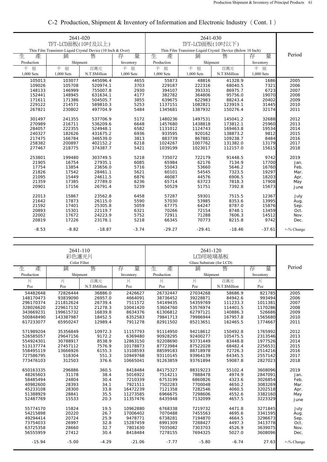|            | 2641-020                                                    |                    |            |            | 2641-030         |                                                            |            |               |
|------------|-------------------------------------------------------------|--------------------|------------|------------|------------------|------------------------------------------------------------|------------|---------------|
|            | TFT-LCD面板(10吋及以上)                                           |                    |            |            | TFT-LCD面板(10吋以下) |                                                            |            |               |
|            | Thin Film Transistor-Liquid Crystal Device (10 Inch & Over) |                    |            |            |                  | Thin Film Transistor-Liquid Crystal Device (Below 10 Inch) |            |               |
| 生<br>產     | 銷                                                           | 售                  | 量<br>存     | 生<br>產     | 銷                | 售                                                          | 量<br>存     | Period        |
| Production | Shipment                                                    |                    | Inventory  | Production | Shipment         |                                                            | Inventory  |               |
| 組<br>千     | 千<br>組                                                      | 百萬元                | 千<br>組     | 千<br>組     | 千<br>組           | 百萬元                                                        | 組<br>千     |               |
| 1,000 Sets | 1,000 Sets                                                  | N.T.\$Million      | 1,000 Sets | 1,000 Sets | 1,000 Sets       | N.T.\$Million                                              | 1,000 Sets |               |
| 105013     | 103077                                                      | 445096.4           | 4655       | 55873      | 48816            | 41328.9                                                    | 1686       | 2005          |
| 109026     | 105708                                                      | 520974.1           | 3703       | 229187     | 222316           | 68040.5                                                    | 7321       | 2006          |
| 148133     | 146999                                                      | 755007.8           | 2930       | 394107     | 393331           | 86975.7                                                    | 6723       | 2007          |
| 152441     | 148945                                                      | 631634.1           | 4177       | 382782     | 364806           | 95756.0                                                    | 19070      | 2008          |
| 171611     | 171386                                                      | 504505.7           | 3855       | 639675     | 622983           | 88243.4                                                    | 20402      | 2009          |
| 229122     | 214571                                                      | 589810.3           | 5253       | 1137151    | 1082821          | 123919.1                                                   | 31445      | 2010          |
| 267821     | 230802                                                      | 497704.9           | 5484       | 1345681    | 1387932          | 150276.4                                                   | 32174      | 2011          |
|            |                                                             |                    |            |            |                  |                                                            |            |               |
| 301497     | 241355                                                      | 537706.9           | 5172       | 1480236    | 1497531          | 145041.2                                                   | 32688      | 2012          |
| 270989     | 216711                                                      | 536209.6           | 6648       | 1457680    | 1438818          | 173812.1                                                   | 25960      | 2013          |
| 284057     | 222355                                                      | 524948.1           | 6582       | 1131012    | 1124743          | 169463.8                                                   | 19534      | 2014          |
| 240327     | 182626                                                      | 431675.2           | 6936       | 933595     | 920162           | 138873.2                                                   | 9812       | 2015          |
| 217475     | 166784                                                      | 346539.0           | 3813       | 883739     | 867881           | 109238.7                                                   | 8484       | 2016          |
| 258382     | 200897                                                      | 402152.2           | 6218       | 1024267    | 1007762          | 131382.0                                                   | 13179      | 2017          |
| 277467     | 218775                                                      | 374387.7           | 5421       | 1039199    | 1023017          | 112157.0                                                   | 15615      | 2018          |
|            |                                                             |                    |            |            |                  |                                                            |            |               |
| 253801     | 199480                                                      | 303749.5           | 5218       | 735072     | 722179           | 91448.5                                                    | 9742       | 2019          |
| 21905      | 16754                                                       | 27935.1            | 6085       | 65984      | 62176            | 7134.9                                                     | 17700      | Jan.          |
| 17754      | 13854                                                       | 23656.0            | 5716       | 55043      | 53660            | 5646.2                                                     | 16760      | Feb.          |
| 21826      | 17542                                                       | 28461.1            | 5621       | 60101      | 54545            | 7323.5                                                     | 19297      | Mar.          |
| 21095      | 15449<br>17385                                              | 24611.5<br>27789.0 | 6876       | 46087      | 44576            | 6906.5                                                     | 18203      | Apr.          |
| 21359      |                                                             |                    | 6236       | 65714      | 63723            | 7818.3                                                     | 17908      | May           |
| 20901      | 17156                                                       | 26791.4            | 5239       | 50529      | 51751            | 7392.8                                                     | 15673      | June          |
| 22013      | 15867                                                       | 23562.8            | 6458       | 57287      | 59301            | 7515.5                                                     | 12367      | July          |
| 21642      | 17873                                                       | 26115.0            | 5590       | 57030      | 53985            | 8353.6                                                     | 13995      | Aug.          |
| 21592      | 17401                                                       | 25305.8            | 5059       | 67775      | 64247            | 8787.0                                                     | 15876      | Sep.          |
| 20893      | 15301                                                       | 22119.7            | 6321       | 70266      | 72154            | 8748.1                                                     | 13459      | Oct.          |
| 22002      | 17672                                                       | 24223.9            | 5752       | 72911      | 71288            | 7606.3                                                     | 14512      | Nov.          |
| 20819      | 17226                                                       | 23178.1            | 5218       | 66345      | 70773            | 8215.8                                                     | 9742       | Dec.          |
| $-8.53$    | $-8.82$                                                     | $-18.87$           | $-3.74$    | $-29.27$   | $-29.41$         | $-18.46$                                                   | $-37.61$   | $+$ -% Change |
|            |                                                             |                    |            |            |                  |                                                            |            |               |

# C-2 Production, Shipment & Inventory of Information and Electronic Industry(Cont. 1)

|            | 2641-110<br>彩色濾光片<br>Color Filter |               |           | 2641-120<br>LCD用玻璃基板<br>Glass Substrate (for LCD) |          |               |         |            |
|------------|-----------------------------------|---------------|-----------|---------------------------------------------------|----------|---------------|---------|------------|
| 生<br>產     | 銷                                 | 售             | 量<br>存    | 生<br>產                                            | 銷        | 售             | 量<br>存  | Period     |
| Production | Shipment                          |               | Inventory | Production<br>Shipment                            |          | Inventory     |         |            |
| 片          | 片                                 | 百萬元           | 片         | 片                                                 | 片        | 百萬元           | 片       |            |
| Pce        | Pce                               | N.T.\$Million | Pce       | Pce                                               | Pce      | N.T.\$Million | Pce     |            |
| 54482648   | 72826444                          | 36886.0       | 2426627   | 26732447                                          | 27034268 | 58686.9       | 821785  | 2005       |
| 148170473  | 93839090                          | 26957.0       | 4664091   | 38736452                                          | 39228871 | 84942.6       | 993494  | 2006       |
| 296170374  | 211812624                         | 26739.4       | 7511572   | 54149435                                          | 54359769 | 111233.3      | 1011381 | 2007       |
| 328026620  | 229617132                         | 21278.3       | 10041420  | 53604760                                          | 53576974 | 114401.5      | 1170286 | 2008       |
| 343669231  | 199615732                         | 16839.8       | 8634376   | 61306812                                          | 62797121 | 140886.3      | 526686  | 2009       |
| 500848490  | 143387987                         | 18452.5       | 6352583   | 79841713                                          | 79986944 | 167957.8      | 1565680 | 2010       |
| 617233077  | 65950247                          | 12989.4       | 7911278   | 82911502                                          | 85213651 | 162465.5      | 1774667 | 2011       |
| 571989204  | 35356849                          | 10972.3       | 11157793  | 91114950                                          | 94218612 | 150492.8      | 1765992 | 2012       |
| 526585057  | 29647156                          | 9172.2        | 6369480   | 90928295                                          | 92400277 | 105475.5      | 2313546 | 2013       |
| 554924301  | 30788917                          | 8538.9        | 12863150  | 92208690                                          | 93731449 | 83448.8       | 1977526 | 2014       |
| 513137774  | 27457112                          | 7576.9        | 10178873  | 87723984                                          | 87522028 | 68482.4       | 2256531 | 2015       |
| 558495119  | 13666926                          | 6155.3        | 13108593  | 88599183                                          | 88718978 | 72726.3       | 2514216 | 2016       |
| 727586795  | 518304                            | 551.3         | 10949768  | 93110145                                          | 93964139 | 64345.5       | 2557142 | 2017       |
| 773476103  | 312503                            | 376.6         | 10665041  | 91263859                                          | 93761894 | 59087.8       | 2827023 | 2018       |
| 650163335  | 296886                            | 360.5         | 8418484   | 84175327                                          | 88319223 | 55102.4       | 3608096 | 2019       |
| 48265603   | 31178                             | 38.4          | 5016922   | 7514211                                           | 7888478  | 4974.9        | 2847091 | Jan.       |
| 58485494   | 24804                             | 30.4          | 7210339   | 6753199                                           | 6860826  | 4323.6        | 3026854 | Feb.       |
| 40982600   | 28393                             | 34.1          | 7921511   | 7502283                                           | 7700048  | 4650.2        | 3083269 | Mar.       |
| 45233108   | 28300                             | 33.8          | 16472239  | 7121358                                           | 7282546  | 4060.5        | 3202518 | Apr.       |
| 51388929   | 28841                             | 35.5          | 11273585  | 6966675                                           | 7298606  | 4552.6        | 3382160 | May        |
| 52487769   | 15533                             | 20.3          | 11357476  | 6435948                                           | 7132099  | 4657.5        | 3223329 | June       |
| 55774170   | 15824                             | 19.5          | 10962880  | 6768338                                           | 7219732  | 4471.8        | 3271845 | July       |
| 54215898   | 20220                             | 26.7          | 17006402  | 7070488                                           | 7455563  | 4695.6        | 3341595 | Aug.       |
| 49294414   | 20724                             | 25.9          | 9478771   | 6738281                                           | 7194870  | 4664.5        | 3296673 | Sep.       |
| 73754033   | 26997                             | 32.8          | 15287459  | 6991309                                           | 7288427  | 4497.3        | 3413778 | Oct.       |
| 63725358   | 28660                             | 32.7          | 7801630   | 7035082                                           | 7303703  | 4526.9        | 3639075 | Nov.       |
| 56555959   | 27412                             | 30.4          | 8418484   | 7278155                                           | 7694325  | 5027.0        | 3608096 | Dec.       |
| $-15.94$   | $-5.00$                           | $-4.29$       | $-21.06$  | $-7.77$                                           | $-5.80$  | $-6.74$       | 27.63   | +-% Change |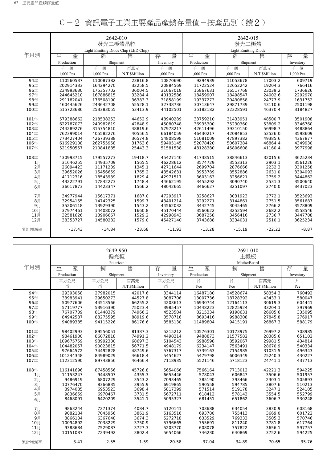|       |            | 2642-010<br>發光二極體晶粒<br>Light Emitting Diode Chip (LED Chip) |               |           |            | 2642-015<br>發光二極體<br><b>Light Emitting Diode</b> |               |           |
|-------|------------|-------------------------------------------------------------|---------------|-----------|------------|--------------------------------------------------|---------------|-----------|
| 年月別   | 生<br>產     | 銷                                                           | 售             | 量<br>存    | 生<br>產     | 銷                                                | 售             | 量<br>存    |
|       | Production | Shipment                                                    |               | Inventory | Production | Shipment                                         |               | Inventory |
|       | 千<br>個     | 千個                                                          | 百萬元           | 千<br>個    | 千<br>個     | 千<br>個                                           | 百萬元           | 千<br>個    |
|       | 1,000 Pcs  | 1,000 Pcs                                                   | N.T.\$Million | 1,000 Pcs | 1,000 Pcs  | 1,000 Pcs                                        | N.T.\$Million | 1,000 Pcs |
| 94年   | 110560537  | 110087382                                                   | 23816.8       | 10870690  | 9294939    | 11053678                                         | 17003.2       | 609719    |
| 95年   | 202914333  | 164294270                                                   | 32258.5       | 20884569  | 11722524   | 12652242                                         | 19204.3       | 766416    |
| 96年   | 234993630  | 175357702                                                   | 36004.5       | 31667018  | 15867631   | 16517768                                         | 23039.2       | 1736826   |
| 97年   | 244645210  | 167886815                                                   | 33284.4       | 40132586  | 18459907   | 18498547                                         | 24002.6       | 2292970   |
| 98年   | 291182041  | 176508190                                                   | 36383.3       | 31858199  | 19337273   | 20430858                                         | 24777.9       | 1631752   |
| 99年   | 460445626  | 243642708                                                   | 55528.1       | 32738736  | 30713647   | 29871739                                         | 43110.6       | 2501198   |
| 100年  | 515723686  | 253383055                                                   | 53413.9       | 44102501  | 35182182   | 32328591                                         | 46370.4       | 3184827   |
| 101年  | 579388662  | 218538253                                                   | 44652.9       | 48940289  | 33759210   | 31433951                                         | 48500.7       | 3501908   |
| 102年  | 622787073  | 240982819                                                   | 42848.9       | 45080748  | 36935300   | 35230360                                         | 53809.2       | 3346760   |
| 103年  | 744289276  | 315754810                                                   | 48819.6       | 57978217  | 42611496   | 39310150                                         | 56998.7       | 3488864   |
| 104年  | 762399014  | 405582276                                                   | 40556.5       | 66184059  | 46430217   | 42084853                                         | 52526.0       | 3598609   |
| 105年  | 773427404  | 426739388                                                   | 36574.8       | 54808598  | 51081009   | 47897382                                         | 49385.6       | 4367877   |
| 106年  | 616929108  | 262755958                                                   | 31763.6       | 59405145  | 52078420   | 50607384                                         | 46864.4       | 4349930   |
| 107年  | 521950557  | 210841885                                                   | 25443.3       | 51581538  | 48128380   | 45806608                                         | 41160.4       | 3977998   |
| 108年  | 430993715  | 179557273                                                   | 19418.7       | 45427140  | 41738515   | 38846613                                         | 32015.6       | 3625234   |
| 1月    | 31646255   | 14935709                                                    | 1565.5        | 46228612  | 3574729    | 3553313                                          | 2903.1        | 3561226   |
| 2月    | 26094423   | 11171239                                                    | 1345.1        | 42711644  | 2699704    | 2876666                                          | 2232.3        | 3301258   |
| 3月    | 39652026   | 15456659                                                    | 1765.2        | 43542631  | 3953789    | 3552886                                          | 2631.0        | 3394093   |
| 4月    | 41712316   | 18543939                                                    | 1829.4        | 42971517  | 3603163    | 3256621                                          | 2759.2        | 3444862   |
| 5月    | 43222791   | 17842273                                                    | 1748.4        | 44662195  | 3455292    | 3090740                                          | 2531.3        | 3500640   |
| 6月    | 36617873   | 14423347                                                    | 1566.2        | 48042665  | 3466627    | 3251097                                          | 2740.0        | 3437023   |
| 7月    | 34977944   | 15617371                                                    | 1687.0        | 47293917  | 3258627    | 3031923                                          | 2772.1        | 3523693   |
| 8月    | 32954155   | 14742325                                                    | 1599.7        | 43401214  | 3292271    | 3144861                                          | 2751.5        | 3561687   |
| 9月    | 35206118   | 13929390                                                    | 1543.2        | 44562032  | 3442745    | 3045465                                          | 2766.2        | 3578809   |
| 10月   | 37974461   | 14408072                                                    | 1660.8        | 45170444  | 3560622    | 3252594                                          | 2682.2        | 3558546   |
| 11月   | 32581626   | 13906667                                                    | 1529.2        | 42998943  | 3687258    | 3456416                                          | 2736.7        | 3447708   |
| 12月   | 38353727   | 14580282                                                    | 1579.0        | 45427140  | 3743688    | 3334031                                          | 2510.1        | 3625234   |
| 累計增減率 | $-17.43$   | $-14.84$                                                    | $-23.68$      | $-11.93$  | $-13.28$   | $-15.19$                                         | $-22.22$      | $-8.87$   |

|       |            | 2649-950<br>偏光板 |               |           |            | 2691-010<br>主機板  |               |           |
|-------|------------|-----------------|---------------|-----------|------------|------------------|---------------|-----------|
| 年月別   | 生<br>產     | Polarizer<br>銷  | 售             | 量         | 生<br>產     | MotherBoard<br>銷 | 售             | 量         |
|       |            |                 |               | 存         |            |                  |               | 存         |
|       | Production | Shipment        |               | Inventory | Production | Shipment         |               | Inventory |
|       | 平方公尺       | 平方公尺            | 百萬元           | 平方公尺      | 片          | 片                | 百萬元           | 片         |
|       | m          | $\mathsf{m}^2$  | N.T.\$Million | m         | Pce        | Pce              | N.T.\$Million | Pce       |
| 94年   | 29393058   | 27982015        | 42017.6       | 3344114   | 16487180   | 24528674         | 58354.3       | 760492    |
| 95年   | 33983941   | 29650273        | 44527.8       | 3087706   | 13007736   | 18728392         | 43433.1       | 580047    |
| 96年   | 50977606   | 44513566        | 66255.2       | 4203613   | 16930744   | 12164113         | 30619.3       | 604441    |
| 97年   | 57119777   | 53916390        | 75023.4       | 3985457   | 10448223   | 12825924         | 33204.1       | 397969    |
| 98年   | 76707739   | 81448379        | 74966.2       | 4523504   | 8215334    | 9198631          | 26605.6       | 335095    |
| 99年   | 84942587   | 88275595        | 88919.6       | 3578716   | 8693416    | 9988308          | 27845.8       | 276917    |
| 100年  | 94089385   | 94115226        | 86176.6       | 3585130   | 11489804   | 9415191          | 26867.3       | 588179    |
| 101年  | 98402993   | 89556051        | 81387.3       | 5215212   | 10576301   | 10173975         | 26997.2       | 708985    |
| 102年  | 98461900   | 86072818        | 74991.2       | 4498214   | 9488873    | 11577582         | 28385.6       | 651102    |
| 103年  | 109675759  | 98992330        | 68697.3       | 5104543   | 6988598    | 8592067          | 29981.5       | 434814    |
| 104年  | 104482057  | 90023815        | 56771.5       | 4948179   | 6234147    | 7563491          | 28670.9       | 540334    |
| 105年  | 97664572   | 74492828        | 48749.6       | 5767317   | 5739163    | 7154985          | 31031.5       | 496343    |
| 106年  | 101244348  | 84989029        | 46618.4       | 5454627   | 5479798    | 6006349          | 25240.3       | 430227    |
| 107年  | 112312590  | 89743856        | 46466.4       | 7118935   | 5521146    | 5718123          | 24741.1       | 437713    |
|       |            |                 |               |           |            |                  |               |           |
| 108年  | 116141696  | 87458556        | 45726.8       | 5654066   | 7566164    | 7713012          | 42221.3       | 594225    |
| 1月    | 11153247   | 9448507         | 4355.3        | 6655446   | 578043     | 606847           | 3506.6        | 501957    |
| 2月    | 9486919    | 6807229         | 3543.2        | 7093465   | 385190     | 393466           | 2303.1        | 505893    |
| 3月    | 10776470   | 8366835         | 3955.9        | 6919865   | 590558     | 594785           | 3807.6        | 510213    |
| 4月    | 8974085    | 6953523         | 3698.4        | 5817399   | 571514     | 519178           | 3247.1        | 524105    |
| 5月    | 9836659    | 6970467         | 3731.5        | 5672711   | 618412     | 578143           | 3554.5        | 552799    |
| 6月    | 8468091    | 6420209         | 3541.1        | 5095327   | 681451     | 651862           | 3606.7        | 530248    |
| 7月    | 9863244    | 7271374         | 4084.7        | 5120141   | 703688     | 634054           | 3830.9        | 608168    |
| 8月    | 9082184    | 7045956         | 3861.9        | 5163516   | 693780     | 755413           | 3669.0        | 601722    |
| 9月    | 8866134    | 6367648         | 3674.3        | 5272718   | 633529     | 769333           | 3505.3        | 570746    |
| 10月   | 10094892   | 7038229         | 3750.9        | 5796665   | 755691     | 811240           | 3781.8        | 617764    |
| 11月   | 9388684    | 7529087         | 3727.3        | 5203770   | 608078     | 757822           | 3656.1        | 597757    |
| 12月   | 10151087   | 7239492         | 3802.4        | 5654066   | 746230     | 640869           | 3752.6        | 594225    |
| 累計增減率 | 3.41       | $-2.55$         | $-1.59$       | $-20.58$  | 37.04      | 34.89            | 70.65         | 35.76     |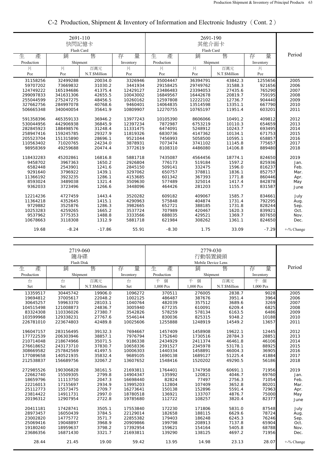|                        | 2691-110<br>快閃記憶卡<br>Flash Card |                    |                      |                     |                    |                    |                  |              |
|------------------------|---------------------------------|--------------------|----------------------|---------------------|--------------------|--------------------|------------------|--------------|
| 生<br>產                 | 锁                               | 售                  | 量<br>存               | 生<br>產              | Flash Card<br>銷    | 售                  | 量<br>存           | Period       |
| Production             | Shipment                        |                    | Inventory            | Production          | Shipment           |                    | Inventory        |              |
| 片                      | 片                               | 百萬元                | 片                    | 片                   | 片                  | 百萬元                | 片                |              |
| Pce                    | Pce                             | N.T.\$Million      | Pce                  | Pce                 | Pce                | N.T.\$Million      | Pce              |              |
| 31158256               | 32499288                        | 20034.0            | 3326946              | 35004447            | 36394791           | 43842.3            | 1255656          | 2005         |
| 59707202               | 73669832                        | 31030.2            | 3441934              | 29158425            | 29749762           | 31588.3            | 921656           | 2006         |
| 124749222              | 165194686                       | 41375.4            | 12429127             | 23486483            | 23394053           | 27435.6            | 765290           | 2007         |
| 299097833              | 341631306                       | 42655.5            | 10043002             | 16849567            | 16442678           | 20819.7            | 759195           | 2008         |
| 255044599              | 275247275                       | 48456.5            | 10260162             | 12597808            | 12222102           | 12736.7            | 904440           | 2009         |
| 327662756              | 284997078                       | 40768.6            | 9460401              | 14064835            | 13514598           | 13351.1            | 667790           | 2010         |
| 506665348              | 340040054                       | 35641.9            | 10809907             | 12270755            | 10765197           | 11951.4            | 603201           | 2011         |
|                        |                                 |                    |                      |                     |                    |                    |                  |              |
| 591358396<br>530044956 | 465359133<br>442906938          | 36946.2<br>36845.9 | 13977243<br>12397234 | 10105390<br>7872987 | 8606066<br>6753219 | 10491.2<br>10110.3 | 409812<br>654659 | 2012<br>2013 |
|                        |                                 |                    |                      |                     |                    | 10243.7            | 693495           | 2014         |
| 282845923<br>258947416 | 188498576<br>159245785          | 31248.4<br>29327.9 | 11331475<br>11819326 | 6474091<br>6830736  | 5248912<br>4147362 | 10134.1            | 671753           | 2015         |
| 205523704              | 151315890                       | 28696.1            | 9521044              | 7456993             | 5058500            | 10595.1            | 658857           | 2016         |
| 110563402              | 71020765                        | 24234.0            | 3878931              | 7073474             | 3741102            | 11145.8            | 775657           | 2017         |
|                        |                                 | 20474.4            | 3772619              |                     |                    |                    |                  | 2018         |
| 98958369               | 49259688                        |                    |                      | 8108310             | 4486080            | 14106.8            | 889480           |              |
| 118432283              | 45202861                        | 16816.8            | 5881718              | 7435087             | 4564456            | 18774.1            | 824650           | 2019         |
| 9458702                | 3967363                         | 1650.2             | 2926804              | 776173              | 519184             | 1597.2             | 825936           | Jan.         |
| 6582448                | 2543901                         | 1241.6             | 2845150              | 509141              | 332475             | 1596.0             | 816237           | Feb.         |
| 9291640                | 3796922                         | 1439.1             | 3297062              | 650757              | 378811             | 1836.1             | 852757           | Mar.         |
| 11366192               | 3923235                         | 1286.1             | 4153685              | 601342              | 367393             | 1771.8             | 860446           | Apr.         |
| 8593024                | 3489038                         | 1321.4             | 3509630              | 577489              | 325014             | 1417.4             | 842878           | May          |
| 9362033                | 3723496                         | 1266.6             | 3448096              | 464426              | 281203             | 1155.7             | 831587           | June         |
|                        |                                 |                    |                      |                     |                    |                    |                  |              |
| 12214236               | 4727459                         | 1443.4             | 3520282              | 609182              | 409067             | 1585.7             | 834661           | July         |
| 11364218               | 4352645                         | 1415.1             | 4290963              | 575848              | 404874             | 1731.4             | 792295           | Aug.         |
| 9729882                | 3525876                         | 1286.3             | 3982665              | 652721              | 388185             | 1731.8             | 828244           | Sep.         |
| 10253283               | 4259265                         | 1665.2             | 3537724              | 707989              | 420467             | 1620.3             | 839921           | Oct.         |
| 9537962                | 3775353                         | 1488.8             | 3333566              | 688035              | 429521             | 1369.7             | 807650           | Nov.         |
| 10678663               | 3118308                         | 1312.9             | 5881718              | 621984              | 308262             | 1361.1             | 824650           | Dec.         |
| 19.68                  | $-8.24$                         | $-17.86$           | 55.91                | $-8.30$             | 1.75               | 33.09              | $-7.29$          | +-% Change   |

# C-2 Production, Shipment & Inventory of Information and Electronic Industry(Cont. 2)

|            | 2719-060<br>隨身碟<br>Flash Disk |               |           |            |           |               |           |               |
|------------|-------------------------------|---------------|-----------|------------|-----------|---------------|-----------|---------------|
| 生<br>產     | 銷                             | 售             | 量<br>存    | 生<br>產     | 銷         | 售             | 存<br>量    | Period        |
| Production | Shipment                      |               | Inventory | Production | Shipment  |               | Inventory |               |
| 台          | 台                             | 百萬元           | 台         | 千個         | 千<br>個    | 百萬元           | 千<br>個    |               |
| Set        | Set                           | N.T.\$Million | Set       | 1,000 Pcs  | 1,000 Pcs | N.T.\$Million | 1,000 Pcs |               |
| 13359517   | 30445742                      | 19906.0       | 1096272   | 370511     | 276005    | 2838.7        | 9028      | 2005          |
| 19694812   | 37005617                      | 22048.2       | 1002125   | 486487     | 387676    | 3951.4        | 3964      | 2006          |
| 30645257   | 59963370                      | 28103.1       | 1040764   | 482039     | 357512    | 3689.6        | 3269      | 2007          |
| 104515498  | 121008873                     | 24836.7       | 3005940   | 677235     | 610091    | 6209.4        | 6825      | 2008          |
| 83324308   | 110336026                     | 27380.7       | 3542826   | 578259     | 578134    | 6163.5        | 6486      | 2009          |
| 103599968  | 129338231                     | 27767.6       | 5546144   | 830036     | 825315    | 9348.2        | 10188     | 2010          |
| 226781010  | 223674803                     | 42489.8       | 10025606  | 1255888    | 1248919   | 14549.2       | 13657     | 2011          |
| 196047157  | 283156495                     | 39132.3       | 7694667   | 1457409    | 1458908   | 19622.1       | 12445     | 2012          |
| 177722539  | 206303946                     | 38857.1       | 7976794   | 1752640    | 1730516   | 28784.3       | 28851     | 2013          |
| 210714048  | 218674966                     | 35071.5       | 9186338   | 2434929    | 2411374   | 46461.8       | 46106     | 2014          |
| 276618652  | 243173710                     | 37830.7       | 10658336  | 2391527    | 2345978   | 53178.1       | 88925     | 2015          |
| 308669582  | 257842569                     | 41497.5       | 10006303  | 1440334    | 1458891   | 46004.3       | 36905     | 2016          |
| 177089658  | 140521935                     | 35832.4       | 9689105   | 1690138    | 1689127   | 51225.4       | 41884     | 2017          |
| 212538837  | 156689756                     | 32067.2       | 13607652  | 1548416    | 1520202   | 49290.5       | 56186     | 2018          |
| 272985526  | 190306828                     | 38161.5       | 21693811  | 1764401    | 1747958   | 60691.1       | 71956     | 2019          |
| 22662740   | 15509305                      | 2799.8        | 14904347  | 135992     | 120821    | 4046.7        | 69760     | Jan.          |
| 18659796   | 11113750                      | 2047.3        | 16698440  | 82824      | 77497     | 2756.3        | 71054     | Feb.          |
| 22216013   | 17155697                      | 2934.9        | 13995203  | 112804     | 107409    | 3652.8        | 80201     | Mar.          |
| 25112773   | 15573475                      | 2709.7        | 16273641  | 150138     | 152896    | 5591.4        | 72963     | Apr.          |
| 23814422   | 14911731                      | 2997.0        | 18780518  | 136921     | 133707    | 4876.7        | 75000     | May           |
| 20196312   | 12907954                      | 2722.8        | 19785680  | 112722     | 108257    | 3820.4        | 82377     | June          |
| 20411181   | 17428741                      | 3505.1        | 17553840  | 172230     | 171806    | 5831.0        | 87548     | July          |
| 28973457   | 16050439                      | 3784.5        | 22129014  | 182658     | 188115    | 6629.6        | 78724     | Aug.          |
| 23002820   | 14775772                      | 3571.7        | 22855382  | 179403     | 186248    | 6245.3        | 76246     | Sep.          |
| 25069416   | 19048897                      | 3968.9        | 20909866  | 199798     | 208913    | 7137.8        | 65904     | Oct.          |
| 19180240   | 18959637                      | 3798.2        | 17392954  | 159621     | 154164    | 5405.8        | 68788     | Nov.          |
| 23686356   | 16871430                      | 3321.7        | 21693811  | 139290     | 138125    | 4697.2        | 71956     | Dec.          |
| 28.44      | 21.45                         | 19.00         | 59.42     | 13.95      | 14.98     | 23.13         | 28.07     | $+$ -% Change |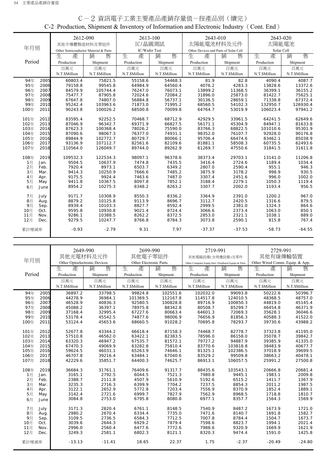|        |      | 2612-090                             |               |               | 2613-100      | 2643-010                              |               | 2643-020      |               |
|--------|------|--------------------------------------|---------------|---------------|---------------|---------------------------------------|---------------|---------------|---------------|
|        |      | 其他半導體製造材料及零組件                        |               |               | IC/晶圓測試       | 太陽能電池材料及元件                            |               | 太陽能電池         |               |
| 年月別    |      | Other Semiconductor Material & Parts |               | IC/Wafer Test |               | Other Devices and Parts of Solar Cell |               | Solar Cell    |               |
|        |      | 生<br>產                               | 銷<br>售        | 生<br>產        | 售<br>銷        | 生<br>產                                | 銷<br>售        | 生<br>產        | 售<br>銷        |
| Period |      | Production                           | Shipment      | Production    | Shipment      | Production                            | Shipment      | Production    | Shipment      |
|        |      | 百萬元                                  | 百萬元           | 百萬元           | 百萬元           | 百萬元                                   | 百萬元           | 百萬元           | 百萬元           |
|        |      | N.T.\$Million                        | N.T.\$Million | N.T.\$Million | N.T.\$Million | N.T.\$Million                         | N.T.\$Million | N.T.\$Million | N.T.\$Million |
| 94年    | 2005 | 60803.4                              | 75821.5       | 55158.6       | 54468.3       | 81.9                                  | 82.8          | 4090.4        | 4087.7        |
| 95年    | 2006 | 79158.8                              | 99545.8       | 64984.9       | 64560.4       | 4076.2                                | 4283.3        | 13828.6       | 13372.6       |
| 96年    | 2007 | 84579.9                              | 105744.4      | 76247.0       | 76073.1       | 13899.2                               | 11368.5       | 36399.1       | 36155.2       |
| 97年    | 2008 | 75477.7                              | 87905.8       | 72024.6       | 72084.2       | 31896.0                               | 25873.0       | 81422.7       | 75625.1       |
| 98年    | 2009 | 67647.8                              | 74807.0       | 56884.8       | 56737.1       | 30136.5                               | 28659.1       | 71338.8       | 67372.4       |
| 99年    | 2010 | 95242.4                              | 103963.6      | 71873.0       | 71995.2       | 68560.5                               | 54102.3       | 132950.7      | 126930.4      |
| 100年   | 2011 | 90243.8                              | 100026.2      | 68500.8       | 70099.8       | 64764.7                               | 53019.9       | 106023.4      | 97941.2       |
| 101年   | 2012 | 83595.4                              | 92252.5       | 70468.7       | 68712.9       | 42929.5                               | 33961.5       | 64241.5       | 62649.6       |
| 102年   | 2013 | 87046.9                              | 96342.7       | 69371.9       | 66827.5       | 56171.1                               | 45304.9       | 84947.1       | 81633.8       |
| 103年   | 2014 | 87623.3                              | 100368.4      | 78026.2       | 75590.0       | 83766.3                               | 68822.5       | 101010.6      | 95301.9       |
| 104年   | 2015 | 87090.6                              | 98067.3       | 76377.0       | 74931.1       | 98352.0                               | 76107.7       | 92928.0       | 90176.8       |
| 105年   | 2016 | 89844.9                              | 102772.7      | 80729.7       | 80066.1       | 95706.4                               | 66474.6       | 83462.1       | 85038.9       |
| 106年   | 2017 | 93136.9                              | 107112.7      | 82561.6       | 82109.6       | 81881.1                               | 58508.3       | 60735.5       | 62493.6       |
| 107年   | 2018 | 110564.0                             | 126049.7      | 89744.0       | 89262.9       | 61269.7                               | 47550.6       | 31841.5       | 31611.8       |
| 108年   | 2019 | 109532.3                             | 122534.3      | 98097.1       | 96378.6       | 38373.4                               | 29703.1       | 13141.0       | 11206.8       |
| 1月     | Jan. | 9504.5                               | 10637.9       | 7474.8        | 7435.5        | 3416.4                                | 2724.6        | 1189.4        | 1034.4        |
| 2月     | Feb. | 7920.4                               | 8973.1        | 6503.7        | 6349.2        | 2807.0                                | 2590.4        | 955.1         | 946.3         |
| 3月     | Mar. | 9414.3                               | 10250.9       | 7666.6        | 7485.2        | 3875.9                                | 3178.2        | 998.9         | 930.5         |
| 4月     | Apr. | 9175.5                               | 9924.4        | 7463.6        | 7487.0        | 3307.4                                | 2451.6        | 996.0         | 1002.0        |
| 5月     | May  | 9411.8                               | 10367.5       | 8097.8        | 7852.1        | 3188.4                                | 2279.1        | 1050.3        | 1119.4        |
| 6月     | June | 8954.2                               | 10275.3       | 8348.2        | 8263.2        | 3307.7                                | 2002.0        | 1193.4        | 956.5         |
| 7月     | July | 9171.7                               | 10308.9       | 8550.3        | 8336.2        | 3364.9                                | 2391.0        | 1200.2        | 967.0         |
| 8月     | Aug. | 8879.2                               | 10125.8       | 9113.9        | 8696.7        | 3112.7                                | 2420.5        | 1316.6        | 879.5         |
| 9月     | Sep. | 8939.4                               | 10103.3       | 8827.7        | 8592.4        | 2999.5                                | 2381.0        | 1324.3        | 864.6         |
| 10月    | Oct. | 9595.8                               | 10930.8       | 9021.4        | 8724.4        | 3066.6                                | 2373.4        | 1063.0        | 850.1         |
| 11月    | Nov. | 9286.1                               | 10388.5       | 8262.2        | 8372.5        | 2853.0                                | 2321.1        | 1038.1        | 889.0         |
| 12月    | Dec. | 9279.5                               | 10247.7       | 8766.8        | 8784.3        | 3073.8                                | 2590.1        | 815.8         | 767.4         |
| 累計增減率  |      | $-0.93$                              | $-2.79$       | 9.31          | 7.97          | $-37.37$                              | $-37.53$      | $-58.73$      | $-64.55$      |

## C-2 資訊電子工業主要產品產銷存量值-按產品別(續完) C-2 Production, Shipment & Inventory of Information and Electronic Industry(Cont. End)

|        |      | 2649-990                     |               |                        | 2699-990      | 2719-991                                              |               | 2729-991                        |               |
|--------|------|------------------------------|---------------|------------------------|---------------|-------------------------------------------------------|---------------|---------------------------------|---------------|
|        |      | 其他光電材料及元件                    |               | 其他電子零組件                |               | 其他電腦設備(含周邊設備)及零件                                      |               | 其他有線傳輸裝置                        |               |
| 年月別    |      | Other Optoelectronic Devices |               | Other Electronic Parts |               | Other Computer Equip (Incl. Peripheral Equip) & Parts |               | Other Wired Comm. Equip. & App. |               |
|        |      | 生<br>產                       | 售<br>銷        | 生<br>產                 | 售<br>銷        | 生<br>產                                                | 售<br>銷        | 產<br>生                          | 售<br>銷        |
| Period |      | Production                   | Shipment      | Production             | Shipment      | Production                                            |               | Production                      |               |
|        |      |                              |               |                        |               |                                                       | Shipment      |                                 | Shipment      |
|        |      | 百萬元                          | 百萬元           | 百萬元                    | 百萬元           | 百萬元                                                   | 百萬元           | 百萬元                             | 百萬元           |
|        |      | N.T.\$Million                | N.T.\$Million | N.T.\$Million          | N.T.\$Million | N.T.\$Million                                         | N.T.\$Million | N.T.\$Million                   | N.T.\$Million |
| 94年    | 2005 | 36897.2                      | 33798.5       | 99824.8                | 102551.6      | 102032.0                                              | 99093.8       | 50222.6                         | 50396.7       |
| 95年    | 2006 | 44278.9                      | 36984.1       | 101369.5               | 112167.8      | 114517.8                                              | 124010.5      | 48368.5                         | 48757.0       |
| 96年    | 2007 | 46528.9                      | 40836.3       | 92580.5                | 100828.8      | 89716.9                                               | 100850.3      | 44819.0                         | 45145.4       |
| 97年    | 2008 | 45088.2                      | 36397.1       | 78975.8                | 88342.8       | 80508.7                                               | 85299.7       | 46454.8                         | 46371.9       |
| 98年    | 2009 | 37168.4                      | 32995.4       | 67227.6                | 80663.4       | 64601.3                                               | 72069.3       | 35628.1                         | 36046.6       |
| 99年    | 2010 | 53178.4                      | 45542.5       | 74877.6                | 98006.9       | 76656.9                                               | 81856.3       | 40588.3                         | 41522.0       |
| 100年   | 2011 | 53124.4                      | 45653.6       | 68660.5                | 91028.2       | 70695.8                                               | 78293.7       | 39730.6                         | 43988.2       |
| 101年   | 2012 | 52677.8                      | 43344.2       | 66618.4                | 87158.3       | 74468.7                                               | 82778.7       | 37323.8                         | 41195.0       |
| 102年   | 2013 | 57510.8                      | 46562.0       | 63422.1                | 82383.5       | 78596.0                                               | 86158.0       | 35078.7                         | 39842.7       |
| 103年   | 2014 | 63320.3                      | 46947.2       | 67535.7                | 81572.1       | 79727.2                                               | 94887.9       | 39385.9                         | 41335.0       |
| 104年   | 2015 | 67470.3                      | 49069.9       | 63282.8                | 75810.4       | 83770.6                                               | 103818.8      | 38483.9                         | 40677.7       |
| 105年   | 2016 | 59624.5                      | 46031.1       | 65263.9                | 74646.1       | 81325.1                                               | 102386.5      | 37018.9                         | 39699.5       |
| 106年   | 2017 | 46707.8                      | 39216.4       | 63484.1                | 67040.6       | 83529.2                                               | 99509.8       | 38663.2                         | 40478.1       |
| 107年   | 2018 | 42229.6                      | 35851.7       | 64400.3                | 74625.7       | 86913.1                                               | 106057.5      | 25991.2                         | 27500.8       |
| 108年   | 2019 | 36684.3                      | 31761.1       | 76409.6                | 91317.7       | 88435.6                                               | 103543.1      | 20666.8                         | 20681.4       |
| 1月     | Jan. | 3165.1                       | 2792.5        | 6044.5                 | 7521.3        | 7980.8                                                | 9445.1        | 1983.1                          | 2009.8        |
| 2月     | Feb. | 2388.7                       | 2111.8        | 4507.9                 | 5610.9        | 5192.6                                                | 6515.2        | 1411.7                          | 1367.9        |
| 3月     | Mar. | 3235.3                       | 2716.3        | 6399.9                 | 7704.2        | 7237.5                                                | 8854.3        | 2011.2                          | 1987.5        |
| 4月     | Apr. | 3122.1                       | 2652.9        | 5772.8                 | 7203.4        | 7556.9                                                | 8370.9        | 1852.4                          | 1889.1        |
| 5月     | May  | 3142.4                       | 2721.6        | 6999.7                 | 7827.9        | 7562.9                                                | 8968.5        | 1718.8                          | 1810.7        |
| 6月     | June | 3084.8                       | 2753.0        | 6795.8                 | 8080.8        | 6977.1                                                | 8357.7        | 1564.3                          | 1569.9        |
| 7月     | July | 3171.3                       | 2820.4        | 6761.1                 | 8148.5        | 7540.9                                                | 8487.2        | 1673.9                          | 1721.0        |
| 8月     | Aug. | 2980.2                       | 2670.4        | 6334.4                 | 7735.0        | 7471.6                                                | 8140.7        | 1691.8                          | 1582.7        |
| 9月     | Sep. | 3109.5                       | 2736.5        | 6584.3                 | 7712.5        | 7007.8                                                | 8784.4        | 1504.7                          | 1673.7        |
| 10月    | Oct. | 3039.6                       | 2644.3        | 6929.2                 | 7879.4        | 7598.6                                                | 8823.7        | 1994.1                          | 2021.4        |
| 11月    | Nov. | 2996.0                       | 2560.4        | 6477.6                 | 7772.6        | 7988.6                                                | 9320.9        | 1669.9                          | 1621.9        |
| 12月    | Dec. | 3249.3                       | 2581.1        | 6802.3                 | 8121.1        | 8320.3                                                | 9474.4        | 1591.0                          | 1425.8        |
| 累計增減率  |      | $-13.13$                     | $-11.41$      | 18.65                  | 22.37         | 1.75                                                  | $-2.37$       | $-20.49$                        | $-24.80$      |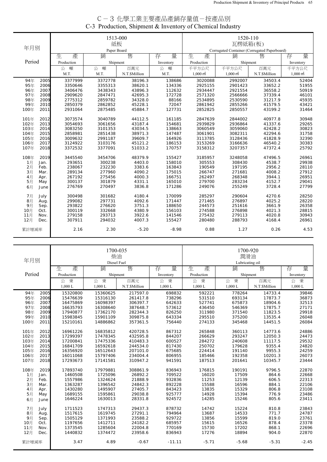| C-3 化學工業主要產品產銷存量值-按產品別                                    |
|-----------------------------------------------------------|
| C-3 Production, Shipment & Inventory of Chemical Industry |

|        |      |            | 1513-000         |               |           | 1520-110                                                |                     |               |                     |
|--------|------|------------|------------------|---------------|-----------|---------------------------------------------------------|---------------------|---------------|---------------------|
| 年月別    |      |            | 紙板               |               |           | 瓦楞紙箱(板)<br>Corrugated Container (Corrugated Paperboard) |                     |               |                     |
|        |      | 生<br>產     | Paper Board<br>銷 | 售             | 量         | 生<br>產                                                  | 銷                   |               | 量                   |
| Period |      |            |                  |               | 存         |                                                         |                     | 售             | 存                   |
|        |      | Production | Shipment         |               | Inventory | Production                                              | Shipment            |               | Inventory           |
|        |      | 噸<br>公     | 噸<br>公           | 百萬元           | 噸<br>公    | 千平方公尺                                                   | 千平方公尺               | 百萬元           | 千平方公尺               |
|        |      | M.T.       | M.T.             | N.T.\$Million | M.T.      | $1,000 \text{ m}^2$                                     | $1,000 \text{ m}^2$ | N.T.\$Million | $1,000 \text{ m}^2$ |
| 94年    | 2005 | 3377999    | 3372778          | 38196.3       | 138686    | 3020088                                                 | 2992007             | 34503.4       | 52404               |
| 95年    | 2006 | 3350646    | 3355313          | 38620.1       | 134336    | 2925155                                                 | 2901423             | 33652.2       | 51955               |
| 96年    | 2007 | 3406476    | 3438343          | 43896.3       | 112632    | 2934447                                                 | 2921554             | 36558.2       | 50919               |
| 97年    | 2008 | 2909620    | 2847471          | 42695.3       | 172728    | 2571320                                                 | 2566666             | 37339.4       | 46101               |
| 98年    | 2009 | 2775312    | 2859782          | 34328.0       | 88166     | 2534895                                                 | 2530590             | 31217.9       | 45935               |
| 99年    | 2010 | 2850379    | 2862852          | 45228.1       | 72047     | 2861942                                                 | 2855266             | 41579.5       | 43421               |
| 100年   | 2011 | 2931064    | 2875485          | 45884.7       | 127731    | 2852825                                                 | 2850557             | 43199.2       | 31464               |
| 101年   | 2012 | 3073574    | 3040789          | 44112.5       | 161185    | 2847639                                                 | 2844002             | 40977.8       | 30948               |
| 102年   | 2013 | 3054693    | 3061656          | 43187.4       | 154681    | 2939829                                                 | 2936864             | 41337.6       | 29265               |
| 103年   | 2014 | 3083250    | 3101353          | 43034.5       | 138663    | 3060549                                                 | 3059060             | 42428.2       | 30823               |
| 104年   | 2015 | 2858981    | 2851438          | 38971.3       | 147487    | 3061901                                                 | 3082311             | 42294.6       | 31758               |
| 105年   | 2016 | 3009632    | 2991187          | 39609.7       | 164926    | 3113785                                                 | 3128436             | 41828.9       | 32390               |
| 106年   | 2017 | 3124922    | 3103176          | 45121.2       | 186153    | 3153269                                                 | 3166636             | 46540.2       | 30383               |
| 107年   | 2018 | 3372532    | 3377091          | 51033.2       | 170757    | 3158312                                                 | 3207357             | 47372.4       | 25792               |
| 108年   | 2019 | 3445540    | 3454706          | 48379.9       | 155427    | 3185957                                                 | 3248058             | 47496.5       | 26961               |
| 1月     | Jan. | 293651     | 300238           | 4403.0        | 158010    | 305553                                                  | 308430              | 4538.7        | 29938               |
| 2月     | Feb. | 238067     | 232230           | 3383.6        | 163843    | 190549                                                  | 197195              | 2956.2        | 28110               |
| 3月     | Mar. | 289134     | 277960           | 4090.2        | 175015    | 266747                                                  | 271681              | 4008.2        | 27912               |
| 4月     | Apr. | 267192     | 275456           | 4000.3        | 166751    | 262497                                                  | 268348              | 3944.1        | 26951               |
| 5月     | May  | 300137     | 301879           | 4331.1        | 165010    | 279700                                                  | 283234              | 4152.7        | 29041               |
| 6月     | June | 276769     | 270497           | 3836.8        | 171286    | 249076                                                  | 255249              | 3728.4        | 27799               |
| 7月     | July | 300498     | 301682           | 4180.4        | 170099    | 285297                                                  | 290604              | 4270.6        | 28250               |
| 8月     | Aug. | 299082     | 297731           | 4092.6        | 171447    | 271465                                                  | 276897              | 4025.2        | 28220               |
| 9月     | Sep. | 293822     | 276620           | 3751.3        | 188650    | 244573                                                  | 251616              | 3661.9        | 26358               |
| 10月    | Oct. | 300119     | 332668           | 4380.9        | 156103    | 274588                                                  | 276898              | 4021.3        | 28815               |
| 11月    | Nov. | 279158     | 293713           | 3922.6        | 141546    | 275432                                                  | 279113              | 4020.8        | 30943               |
| 12月    | Dec. | 307911     | 294032           | 4007.3        | 155427    | 280480                                                  | 288793              | 4168.4        | 26961               |
| 累計增減率  |      | 2.16       | 2.30             | $-5.20$       | $-8.98$   | 0.88                                                    | 1.27                | 0.26          | 4.53                |

| 年月別          |            | 1700-035<br>柴油<br>Diesel Fuel |               |           | 1700-920<br>潤滑油<br>Lubricating oil |           |               |           |  |
|--------------|------------|-------------------------------|---------------|-----------|------------------------------------|-----------|---------------|-----------|--|
|              | 生<br>產     | 銷                             | 售             | 量<br>存    | 生<br>產                             | 銷         | 售             | 量<br>存    |  |
| Period       | Production | Shipment                      |               | Inventory | Production                         | Shipment  |               | Inventory |  |
|              | 秉<br>公     | 公秉                            | 百萬元           | 公秉        | 秉<br>公                             | 秉<br>公    | 百萬元           | 公 秉       |  |
|              | $1,000$ L  | $1,000$ L                     | N.T.\$Million | 1,000L    | $1,000$ L                          | $1,000$ L | N.T.\$Million | $1,000$ L |  |
| 94年<br>2005  | 15320800   | 15360625                      | 217597.0      | 698832    | 592221                             | 778264    | 14733.4       | 39846     |  |
| 95年<br>2006  | 15476639   | 15316130                      | 261417.8      | 738296    | 531510                             | 693134    | 17873.7       | 36873     |  |
| 96年<br>2007  | 16475869   | 16098397                      | 306397.7      | 642633    | 527741                             | 675873    | 18904.6       | 32513     |  |
| 97年<br>2008  | 16635793   | 16308640                      | 387648.7      | 573612    | 436450                             | 546369    | 17875.7       | 27171     |  |
| 98年<br>2009  | 17940877   | 17362170                      | 282344.3      | 826250    | 311980                             | 371540    | 11823.5       | 29918     |  |
| 99年<br>2010  | 15983845   | 15901109                      | 309875.8      | 643334    | 295510                             | 375200    | 13535.4       | 26048     |  |
| 100年<br>2011 | 15210161   | 14886862                      | 357361.5      | 756440    | 274133                             | 345468    | 14451.5       | 26084     |  |
| 101年<br>2012 | 16961226   | 16835812                      | 420728.5      | 867312    | 265848                             | 360113    | 14773.6       | 24886     |  |
| 102年<br>2013 | 17299397   | 17478345                      | 432595.8      | 844207    | 266629                             | 293247    | 12050.3       | 24473     |  |
| 103年<br>2014 | 17200841   | 17475336                      | 410483.3      | 600527    | 284272                             | 240608    | 11117.5       | 29532     |  |
| 104年<br>2015 | 16841709   | 16592618                      | 244534.0      | 817430    | 250702                             | 179628    | 9355.4        | 24820     |  |
| 105年<br>2016 | 16356920   | 16512643                      | 207101.0      | 675685    | 224414                             | 191140    | 9955.3        | 24259     |  |
| 106年<br>2017 | 16011068   | 15797406                      | 234004.4      | 806955    | 185466                             | 192358    | 10201.3       | 26073     |  |
| 107年<br>2018 | 17293673   | 17141581                      | 310947.2      | 941591    | 187513                             | 201641    | 10345.7       | 23444     |  |
| 108年<br>2019 | 17893740   | 17979881                      | 308861.9      | 836943    | 176815                             | 190191    | 9796.5        | 22870     |  |
| 1月<br>Jan.   | 1460508    | 1725096                       | 26892.2       | 709522    | 16020                              | 17509     | 864.6         | 22668     |  |
| 2月<br>Feb.   | 1557986    | 1324624                       | 21888.9       | 932836    | 11253                              | 12139     | 606.5         | 22313     |  |
| 3月<br>Mar.   | 1363287    | 1396542                       | 24842.3       | 892228    | 15588                              | 16596     | 884.1         | 22106     |  |
| 4月<br>Apr.   | 1430280    | 1495907                       | 27405.7       | 843423    | 13835                              | 15329     | 806.8         | 23108     |  |
| 5月<br>May    | 1689155    | 1595861                       | 29038.8       | 925777    | 14928                              | 15394     | 776.9         | 23486     |  |
| 6月<br>June   | 1646224    | 1630013                       | 28331.8       | 924572    | 14285                              | 15246     | 805.6         | 23411     |  |
| 7月<br>July   | 1711523    | 1747313                       | 29437.3       | 878732    | 14742                              | 15224     | 810.8         | 23843     |  |
| 8月<br>Aug.   | 1517615    | 1619745                       | 27291.1       | 794964    | 13687                              | 14533     | 771.7         | 24787     |  |
| 9月<br>Sep.   | 1505129    | 1371993                       | 23588.2       | 929722    | 13856                              | 15599     | 819.0         | 23761     |  |
| 10月<br>Oct.  | 1197656    | 1412711                       | 24182.2       | 685957    | 15615                              | 16526     | 878.4         | 23378     |  |
| 11月<br>Nov.  | 1373545    | 1285604                       | 22004.8       | 770169    | 15730                              | 17202     | 868.1         | 22696     |  |
| 12月<br>Dec.  | 1440832    | 1374472                       | 23958.6       | 836943    | 17276                              | 18894     | 904.0         | 22870     |  |
| 累計增減率        | 3.47       | 4.89                          | $-0.67$       | $-11.11$  | $-5.71$                            | $-5.68$   | $-5.31$       | $-2.45$   |  |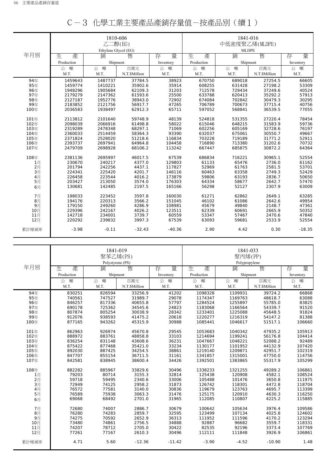|       |            | 1810-606<br>乙二醇(EG)<br>Ethylene Glycol (EG) |               |           | 1841-016<br>中低密度聚乙烯(MLDPE)<br><b>MLDPE</b> |          |               |           |
|-------|------------|---------------------------------------------|---------------|-----------|--------------------------------------------|----------|---------------|-----------|
| 年月別   | 生<br>產     | 銷                                           | 售             | 量<br>存    | 生<br>產                                     | 銷        | 售             | 量<br>存    |
|       | Production | Shipment                                    |               | Inventory | Production                                 | Shipment |               | Inventory |
|       | 公<br>噸     | 噸<br>公                                      | 百萬元           | 公<br>噸    | 噸<br>公                                     | 噸<br>公   | 百萬元           | 公<br>噸    |
|       | M.T.       | M.T.                                        | N.T.\$Million | M.T.      | M.T.                                       | M.T.     | N.T.\$Million | M.T.      |
| 94年   | 1459643    | 1487737                                     | 37784.5       | 38923     | 670750                                     | 689018   | 27254.5       | 66605     |
| 95年   | 1459774    | 1410221                                     | 35902.6       | 35914     | 608255                                     | 631428   | 27198.2       | 53309     |
| 96年   | 1948296    | 1905684                                     | 62109.3       | 31203     | 712578                                     | 729434   | 37249.6       | 40524     |
| 97年   | 2179279    | 2147362                                     | 61593.6       | 25500     | 633788                                     | 620413   | 35292.2       | 57913     |
| 98年   | 2127187    | 1952776                                     | 38943.0       | 72902     | 674084                                     | 702842   | 30479.3       | 30295     |
| 99年   | 2183852    | 2121756                                     | 56917.7       | 47265     | 706789                                     | 700673   | 37715.4       | 40756     |
| 100年  | 2036583    | 1938497                                     | 62912.3       | 65711     | 597052                                     | 568841   | 36539.5       | 77055     |
| 101年  | 2113812    | 2101640                                     | 59748.9       | 48139     | 524818                                     | 531355   | 27220.4       | 78454     |
| 102年  | 2098039    | 2066916                                     | 61498.8       | 58022     | 615046                                     | 648215   | 31583.9       | 59736     |
| 103年  | 2319289    | 2478348                                     | 68297.1       | 71069     | 602256                                     | 605169   | 32728.6       | 76197     |
| 104年  | 2360033    | 2514459                                     | 58364.3       | 93390     | 632037                                     | 675061   | 30550.7       | 49667     |
| 105年  | 2371824    | 2528020                                     | 51218.6       | 116834    | 703228                                     | 719189   | 31771.2       | 52911     |
| 106年  | 2393737    | 2697941                                     | 64964.8       | 104458    | 716890                                     | 713380   | 31202.6       | 70732     |
| 107年  | 2479709    | 2698928                                     | 68106.2       | 113242    | 667447                                     | 685875   | 30872.2       | 64364     |
| 108年  | 2381136    | 2695997                                     | 46017.5       | 67539     | 686834                                     | 716221   | 30965.1       | 52554     |
| 1月    | 230670     | 240217                                      | 4377.0        | 129803    | 61133                                      | 65476    | 2736.0        | 61162     |
| 2H    | 201794     | 242256                                      | 4437.1        | 117827    | 52969                                      | 61763    | 2581.5        | 53701     |
| 3月    | 224341     | 225420                                      | 4201.7        | 146116    | 60463                                      | 63358    | 2749.3        | 52429     |
| 4月    | 226458     | 223544                                      | 4016.2        | 173879    | 59806                                      | 63193    | 2836.7        | 50650     |
| 5月    | 203427     | 213050                                      | 3574.0        | 176303    | 64334                                      | 58677    | 2642.7        | 57470     |
| 6月    | 130681     | 142485                                      | 2197.5        | 165166    | 56298                                      | 52127    | 2307.9        | 63009     |
| 7月    | 198033     | 223452                                      | 3597.8        | 160030    | 61271                                      | 62862    | 2649.1        | 63285     |
| 8月    | 194176     | 220313                                      | 3566.2        | 151045    | 46102                                      | 61086    | 2642.6        | 49954     |
| 9月    | 179150     | 249260                                      | 4286.9        | 108981    | 45679                                      | 49840    | 2148.7        | 47361     |
| 10月   | 229396     | 242167                                      | 4026.2        | 123511    | 62339                                      | 60691    | 2665.9        | 50352     |
| 11月   | 142718     | 234001                                      | 3739.7        | 60559     | 53347                                      | 57467    | 2470.6        | 47840     |
| 12月   | 220292     | 239832                                      | 3997.3        | 67539     | 63093                                      | 59681    | 2533.9        | 52554     |
| 累計增減率 | $-3.98$    | $-0.11$                                     | $-32.43$      | $-40.36$  | 2.90                                       | 4.42     | 0.30          | $-18.35$  |

|--|

|                |            | 聚苯乙烯(PS)              | 1841-019      |           | 1841-033<br>聚丙烯(PP)<br>Polypropylene |           |               |           |
|----------------|------------|-----------------------|---------------|-----------|--------------------------------------|-----------|---------------|-----------|
| 年月別            | 產<br>生     | Polystyrene (PS)<br>銷 | 售             | 量<br>存    | 生<br>產                               | 銷         | 售             | 量<br>存    |
|                | Production | Shipment              |               | Inventory | Production                           | Shipment  |               | Inventory |
|                | 噸          | 噸                     | 百萬元           | 公 噸       | 噸                                    | 噸         | 百萬元           | 噸         |
|                | 公<br>M.T.  | 公<br>M.T.             | N.T.\$Million | M.T.      | 公<br>M.T.                            | 公<br>M.T. | N.T.\$Million | 公<br>M.T. |
|                |            |                       |               |           |                                      |           |               |           |
| 94年            | 830251     | 826594                | 33256.9       | 41202     | 1098328                              | 1109931   | 39724.2       | 66868     |
| 95年            | 740561     | 747527                | 31989.7       | 29078     | 1174347                              | 1169763   | 48618.7       | 63088     |
| 96年            | 846257     | 817336                | 40655.8       | 57797     | 1284524                              | 1255897   | 55785.0       | 83825     |
| 97年            | 690178     | 725362                | 34545.6       | 24823     | 1183068                              | 1166564   | 54339.7       | 91520     |
| 98年            | 807874     | 805254                | 30038.9       | 28342     | 1233401                              | 1225088   | 45648.5       | 91824     |
| 99年            | 912076     | 938593                | 41475.2       | 20618     | 1220277                              | 1216319   | 54147.2       | 81388     |
| 100年           | 877165     | 943262                | 45315.9       | 30988     | 1085441                              | 1046617   | 51517.1       | 106660    |
| 101年           | 862963     | 926974                | 45670.8       | 29545     | 1053683                              | 1040342   | 47935.2       | 105913    |
| 102年           | 888972     | 883761                | 48858.8       | 33103     | 1214694                              | 1199241   | 56176.8       | 104414    |
| 103年           | 836254     | 831148                | 43608.6       | 36231     | 1047667                              | 1048221   | 52088.2       | 92489     |
| 104年           | 875422     | 877468                | 35421.0       | 33234     | 1130177                              | 1101952   | 44132.9       | 107420    |
| 105年           | 892030     | 887425                | 34254.5       | 38861     | 1219140                              | 1209871   | 42951.7       | 102319    |
| 106年           | 847707     | 855154                | 36711.5       | 31161     | 1341857                              | 1315001   | 47750.0       | 114756    |
| 107年           | 842581     | 838945                | 38600.4       | 34426     | 1392501                              | 1383865   | 55317.9       | 105299    |
|                |            |                       |               |           |                                      |           |               |           |
| 108年           | 882282     | 885967                | 33829.6       | 30496     | 1338233                              | 1321255   | 49289.2       | 106861    |
| 1月             | 79203      | 80714                 | 3155.3        | 32814     | 125438                               | 120908    | 4582.1        | 108524    |
| $2$ 月          | 59718      | 59495                 | 2340.6        | 33006     | 105488                               | 101476    | 3650.8        | 111975    |
| 3 <sub>月</sub> | 72949      | 74125                 | 2958.2        | 31873     | 126742                               | 118301    | 4472.8        | 118704    |
| 4月             | 76572      | 77581                 | 3140.0        | 30836     | 119679                               | 123763    | 4695.7        | 113399    |
| 5月             | 76589      | 75938                 | 3063.3        | 31476     | 125175                               | 120910    | 4630.3        | 116250    |
| 6月             | 69068      | 68492                 | 2701.0        | 31965     | 112085                               | 110807    | 4225.2        | 115885    |
| 7月             | 72680      | 74007                 | 2886.7        | 30679     | 100642                               | 105634    | 3976.4        | 109586    |
| 8月             | 76280      | 74283                 | 2859.7        | 32595     | 123499                               | 107134    | 4025.8        | 124602    |
| 9月             | 74275      | 70592                 | 2652.9        | 36313     | 111952                               | 111596    | 4170.2        | 123294    |
| 10月            | 73480      | 74861                 | 2756.5        | 34888     | 92887                                | 96682     | 3559.7        | 118331    |
| 11月            | 74207      | 78712                 | 2705.0        | 30422     | 82535                                | 92196     | 3373.4        | 107769    |
| 12月            | 77261      | 77167                 | 2610.3        | 30496     | 112111                               | 111848    | 3926.9        | 106861    |
| 累計增減率          | 4.71       | 5.60                  | $-12.36$      | $-11.42$  | $-3.90$                              | $-4.52$   | $-10.90$      | 1.48      |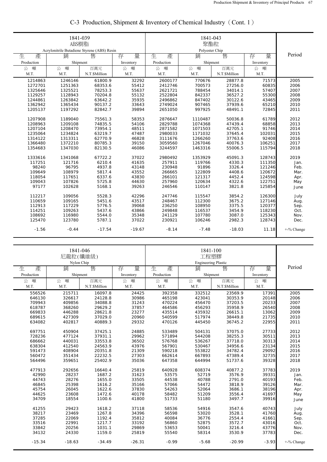|            | 1841-039                                    |               |           |            |                |               |                  |               |
|------------|---------------------------------------------|---------------|-----------|------------|----------------|---------------|------------------|---------------|
|            | ABS樹脂                                       |               |           |            | 聚酯粒            |               |                  |               |
|            | Acrylonitrile Butadiene Styrene (ABS) Resin |               |           |            | Polyester Chip |               |                  |               |
| 生<br>產     | 銷                                           | 售             | 量<br>存    | 生<br>產     | 銷              | 售             | 量<br>存           | Period        |
| Production | Shipment                                    |               | Inventory | Production | Shipment       |               | Inventory        |               |
| 噸<br>公     | 噸<br>公                                      | 百萬元           | 噸<br>公    | 噸<br>公     | 噸<br>公         | 百萬元           | 噸<br>公           |               |
| M.T.       | M.T.                                        | N.T.\$Million | M.T.      | M.T.       | M.T.           | N.T.\$Million | M.T.             |               |
| 1214863    | 1246146                                     | 61800.9       | 32292     | 2600177    | 770676         | 28877.8       | 71573            | 2005          |
| 1272701    | 1251363                                     | 68353.6       | 55412     | 2412746    | 700573         | 27256.0       | 60835            | 2006          |
| 1325646    | 1325521                                     | 78253.3       | 55637     | 2621721    | 788454         | 34014.1       | 57407            | 2007          |
| 1129257    | 1128943                                     | 70204.8       | 55132     | 2522804    | 842337         | 36527.2       | 55300            | 2008          |
| 1244861    | 1263842                                     | 63642.2       | 35935     | 2496862    | 847402         | 30122.6       | 43465            | 2009          |
| 1362942    | 1365434                                     | 90137.2       | 33643     | 2749024    | 907465         | 37939.6       | 65210            | 2010          |
| 1205137    | 1197292                                     | 82842.7       | 39894     | 2651050    | 997925         | 48491.1       | 72845            | 2011          |
|            |                                             |               |           |            |                |               |                  |               |
| 1207908    | 1189040                                     | 75561.3       | 58353     | 2876647    | 1110487        | 50036.8       | 61789            | 2012          |
| 1208963    | 1209108                                     | 74835.5       | 54106     | 2829788    | 1074368        | 47439.4       | 68858            | 2013          |
| 1207104    | 1208470                                     | 73954.1       | 48511     | 2871582    | 1071503        | 42705.1       | 91746            | 2014          |
| 1235064    | 1234824                                     | 63219.7       | 47487     | 2980033    | 1171032        | 37645.4       | 102031           | 2015          |
| 1314122    | 1313311                                     | 62770.9       | 46828     | 3111676    | 1266260        | 37763.6       | 92408            | 2016          |
| 1366480    | 1372210                                     | 80785.3       | 39150     | 3059560    | 1267046        | 40076.3       | 106251           | 2017          |
| 1354683    | 1347030                                     | 82130.5       | 46086     | 3244597    | 1463316        | 55006.5       | 115794           | 2018          |
|            |                                             |               |           |            |                |               |                  |               |
| 1333616    | 1341068                                     | 67722.2       | 37022     | 2980492    | 1353929        | 45091.3       | 128743           | 2019          |
| 117251     | 121716                                      | 6210.4        | 41635     | 257911     | 119766         | 4330.3        | 111350           | Jan.          |
| 98240      | 96795                                       | 4937.8        | 43148     | 230948     | 91896          | 3326.4        | 121246           | Feb.          |
| 109649     | 108979                                      | 5817.4        | 43552     | 266665     | 122809         | 4408.6        | 120672           | Mar.          |
| 118054     | 117651                                      | 6337.6        | 43830     | 266101     | 121317         | 4452.4        | 124598           | Apr.          |
| 109043     | 107826                                      | 5725.8        | 44630     | 257960     | 120634         | 4322.6        | 122751           | May           |
| 97177      | 102628                                      | 5168.1        | 39263     | 246546     | 110147         | 3821.8        | 125854           | June          |
| 112217     | 109056                                      | 5528.3        | 42296     | 247746     | 115547         | 3854.2        | 126300           |               |
| 110659     | 109165                                      | 5451.6        | 43517     | 248467     | 112300         | 3675.2        |                  | July          |
| 112913     |                                             |               | 39068     |            |                |               | 127146<br>120377 | Aug.          |
|            | 117229                                      | 5776.5        |           | 236250     | 108950         | 3375.5        |                  | Sep.          |
| 114251     | 109263                                      | 5437.6        | 43866     | 249848     | 116537         | 3454.9        | 118230           | Oct.          |
| 108692     | 116980                                      | 5544.0        | 35348     | 241129     | 107780         | 3087.0        | 125343           | Nov.          |
| 125470     | 123780                                      | 5787.1        | 37022     | 230921     | 106246         | 2982.3        | 128743           | Dec.          |
| $-1.56$    | $-0.44$                                     | $-17.54$      | $-19.67$  | $-8.14$    | $-7.48$        | $-18.03$      | 11.18            | $+$ -% Change |
|            |                                             |               |           |            |                |               |                  |               |

|  | C-3 Production, Shipment & Inventory of Chemical Industry (Cont. 1) |  |  |  |
|--|---------------------------------------------------------------------|--|--|--|
|  |                                                                     |  |  |  |

|            | 1841-046<br>尼龍粒(纖維級)<br>Nylon Chip |               |           |            |                                 |               |           |            |
|------------|------------------------------------|---------------|-----------|------------|---------------------------------|---------------|-----------|------------|
| 生<br>產     | 銷                                  | 售             | 量<br>存    | 產<br>生     | <b>Engineering Plastic</b><br>銷 | 售             | 量<br>存    | Period     |
| Production | Shipment                           |               | Inventory | Production | Shipment                        |               | Inventory |            |
| 噸<br>公     | 噸<br>公                             | 百萬元           | 公<br>噸    | 噸<br>公     | 公<br>噸                          | 百萬元           | 噸<br>公    |            |
| M.T.       | M.T.                               | N.T.\$Million | M.T.      | M.T.       | M.T.                            | N.T.\$Million | M.T.      |            |
| 556526     | 215711                             | 16097.8       | 24425     | 392358     | 332512                          | 23569.9       | 17391     | 2005       |
| 646130     | 326617                             | 24128.8       | 30986     | 465198     | 423041                          | 30353.9       | 20148     | 2006       |
| 709943     | 409856                             | 34088.8       | 31243     | 470224     | 456470                          | 37203.5       | 20233     | 2007       |
| 618787     | 368260                             | 29629.2       | 37857     | 464586     | 456293                          | 35958.9       | 26540     | 2008       |
| 669833     | 446288                             | 28621.8       | 23277     | 435514     | 435932                          | 26615.1       | 13062     | 2009       |
| 689615     | 427309                             | 37029.0       | 20960     | 540599     | 517974                          | 38449.8       | 21735     | 2010       |
| 634082     | 402817                             | 40889.3       | 29332     | 470126     | 445450                          | 36745.2       | 22955     | 2011       |
| 697751     | 450904                             | 37425.1       | 24885     | 533489     | 504131                          | 37075.0       | 27733     | 2012       |
| 728236     | 477124                             | 37931.1       | 29962     | 571894     | 544208                          | 38255.3       | 30511     | 2013       |
| 686662     | 440031                             | 33553.8       | 36502     | 576768     | 536267                          | 37718.0       | 30313     | 2014       |
| 638304     | 412540                             | 24563.9       | 43976     | 567901     | 530467                          | 34956.6       | 23134     | 2015       |
| 591473     | 408904                             | 20351.8       | 21309     | 590218     | 553822                          | 34782.4       | 29092     | 2016       |
| 560472     | 351434                             | 22232.5       | 27303     | 662614     | 667893                          | 47389.4       | 32735     | 2017       |
| 564496     | 359651                             | 25402.9       | 35036     | 647358     | 644994                          | 51737.6       | 39328     | 2018       |
| 477913     | 292656                             | 16640.4       | 25819     | 640928     | 608374                          | 40877.2       | 37783     | 2019       |
| 42990      | 28237                              | 1687.2        | 31623     | 53575      | 52719                           | 3576.9        | 39331     | Jan.       |
| 44743      | 28276                              | 1655.0        | 33505     | 44538      | 40788                           | 2791.0        | 40193     | Feb.       |
| 46845      | 25398                              | 1616.2        | 35166     | 57066      | 54472                           | 3818.9        | 39126     | Mar.       |
| 45754      | 26045                              | 1622.6        | 37830     | 54263      | 52064                           | 3686.1        | 38196     | Apr.       |
| 44625      | 23608                              | 1472.6        | 40178     | 58482      | 51209                           | 3556.4        | 41697     | May        |
| 34709      | 18554                              | 1100.6        | 41800     | 51733      | 51180                           | 3497.7        | 39916     | June       |
| 41255      | 29423                              | 1618.2        | 37118     | 58536      | 54916                           | 3547.6        | 40743     | July       |
| 38217      | 23469                              | 1267.8        | 34396     | 56598      | 53020                           | 3528.1        | 41760     | Aug.       |
| 37285      | 22069                              | 1192.4        | 35812     | 40084      | 36776                           | 2554.4        | 41661     | Sep.       |
| 33516      | 22991                              | 1217.7        | 33192     | 56860      | 52875                           | 3572.7        | 43016     | Oct.       |
| 33842      | 20256                              | 1031.1        | 29869     | 53653      | 50041                           | 3216.4        | 43776     | Nov.       |
| 34132      | 24330                              | 1159.0        | 25819     | 55540      | 58314                           | 3530.9        | 37783     | Dec.       |
| $-15.34$   | $-18.63$                           | $-34.49$      | $-26.31$  | $-0.99$    | $-5.68$                         | $-20.99$      | $-3.93$   | +-% Change |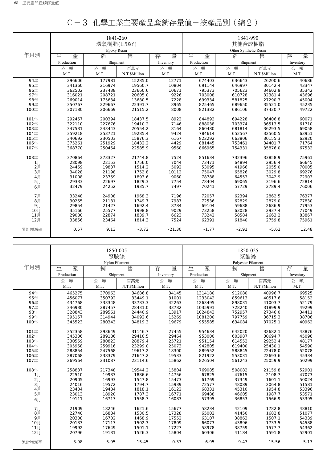|       |            | 1841-260<br>環氧樹脂(EPOXY) |              |           | 1841-990<br>其他合成樹脂 |                       |              |           |  |
|-------|------------|-------------------------|--------------|-----------|--------------------|-----------------------|--------------|-----------|--|
|       |            | Epoxy Resin             |              |           |                    | Other Synthetic Resin |              |           |  |
| 年月別   | 生<br>產     | 銷                       | 售            | 存<br>量    | 生<br>產             | 銷                     | 售            | 量<br>存    |  |
|       | Production | Shipment                |              | Inventory | Production         | Shipment              |              | Inventory |  |
|       | 噸<br>公     | 公 噸                     | 百萬元          | 噸<br>公    | 噸<br>公             | 公<br>噸                | 百萬元          | 噸<br>公    |  |
|       | M.T.       | M.T.                    | N.T.SMillion | M.T.      | M.T.               | M.T.                  | N.T.SMillion | M.T.      |  |
| 94年   | 296606     | 177981                  | 15285.0      | 12771     | 674403             | 636643                | 26200.6      | 40686     |  |
| 95年   | 341360     | 216974                  | 19560.7      | 10804     | 691144             | 646997                | 30142.4      | 43347     |  |
| 96年   | 362502     | 237438                  | 23660.6      | 10671     | 795373             | 705623                | 34602.9      | 35342     |  |
| 97年   | 316021     | 208721                  | 20605.0      | 9226      | 703008             | 610728                | 32381.4      | 43696     |  |
| 98年   | 269014     | 175634                  | 13680.5      | 7228      | 699334             | 581825                | 27290.3      | 45004     |  |
| 99年   | 350767     | 229667                  | 22391.7      | 8965      | 825465             | 689650                | 35521.0      | 45235     |  |
| 100年  | 307180     | 206669                  | 21515.2      | 8008      | 821382             | 686106                | 37420.7      | 49722     |  |
| 101年  | 292457     | 200394                  | 18437.5      | 8922      | 844892             | 694228                | 36406.8      | 60071     |  |
| 102年  | 322110     | 227676                  | 19410.2      | 7146      | 888038             | 703374                | 36513.5      | 61710     |  |
| 103年  | 347531     | 243443                  | 20554.2      | 8164      | 860480             | 681814                | 36293.5      | 69058     |  |
| 104年  | 359218     | 253721                  | 19285.4      | 9424      | 784614             | 652567                | 32560.5      | 63951     |  |
| 105年  | 340692     | 230503                  | 15876.3      | 6167      | 822292             | 663806                | 30155.3      | 62920     |  |
| 106年  | 375261     | 251929                  | 18432.2      | 4429      | 881445             | 753461                | 34401.7      | 71764     |  |
| 107年  | 368770     | 250454                  | 22585.9      | 9560      | 866965             | 754331                | 35876.0      | 67532     |  |
| 108年  | 370864     | 273327                  | 21744.8      | 7524      | 851634             | 732396                | 33858.9      | 75961     |  |
| 1月    | 28098      | 22153                   | 1756.0       | 7044      | 73471              | 64894                 | 2956.4       | 66645     |  |
| 2月    | 24459      | 19837                   | 1514.2       | 5092      | 53095              | 41966                 | 2055.0       | 70005     |  |
| 3月    | 34028      | 21198                   | 1752.8       | 10112     | 75047              | 65826                 | 3029.8       | 69276     |  |
| 4月    | 31008      | 23759                   | 1893.6       | 9060      | 78788              | 64553                 | 3042.9       | 72903     |  |
| 5月    | 29333      | 22697                   | 1829.3       | 7754      | 78404              | 69065                 | 3196.6       | 72814     |  |
| 6月    | 32479      | 24252                   | 1935.7       | 7497      | 70241              | 57729                 | 2789.4       | 76006     |  |
| 7月    | 33248      | 24908                   | 1968.3       | 7196      | 72057              | 62394                 | 2862.5       | 76377     |  |
| 8月    | 30255      | 21181                   | 1749.7       | 7987      | 72536              | 62829                 | 2879.0       | 77830     |  |
| 9月    | 29854      | 21427                   | 1692.4       | 8784      | 69104              | 59688                 | 2686.9       | 77953     |  |
| 10月   | 35166      | 25577                   | 1998.8       | 9029      | 73258              | 63028                 | 2937.4       | 77049     |  |
| 11月   | 29080      | 22874                   | 1839.7       | 6623      | 73242              | 58584                 | 2663.2       | 83867     |  |
| 12月   | 33856      | 23464                   | 1814.3       | 7524      | 62391              | 61840                 | 2759.8       | 75961     |  |
| 累計增減率 | 0.57       | 9.13                    | $-3.72$      | $-21.30$  | $-1.77$            | $-2.91$               | $-5.62$      | 12.48     |  |

| C-3 化學工業主要產品產銷存量值-按產品別(續2) |
|----------------------------|
|----------------------------|

|       |            | 1850-005<br>聚胺絲<br>Nylon Filament |               |           | 1850-025<br>聚酯絲<br>Polyester Filament |          |               |           |
|-------|------------|-----------------------------------|---------------|-----------|---------------------------------------|----------|---------------|-----------|
| 年月別   | 生<br>產     | 銷                                 | 售             | 存<br>量    | 生<br>產                                | 銷        | 售             | 量<br>存    |
|       | Production | Shipment                          |               | Inventory | Production                            | Shipment |               | Inventory |
|       | 噸<br>公     | 噸<br>公                            | 百萬元           | 公<br>噸    | 噸<br>公                                | 噸<br>公   | 百萬元           | 噸<br>公    |
|       | M.T.       | M.T.                              | N.T.\$Million | M.T.      | M.T.                                  | M.T.     | N.T.\$Million | M.T.      |
| 94年   | 465275     | 370963                            | 34686.8       | 34145     | 1314180                               | 912080   | 40996.7       | 69525     |
| 95年   | 456077     | 350792                            | 33449.1       | 31001     | 1233042                               | 859613   | 40517.6       | 58152     |
| 96年   | 434768     | 333348                            | 33783.3       | 42263     | 1263495                               | 898031   | 41003.7       | 52179     |
| 97年   | 346930     | 287457                            | 28431.0       | 33782     | 1035991                               | 728240   | 31899.9       | 49299     |
| 98年   | 328843     | 289561                            | 24440.9       | 13917     | 1024843                               | 752957   | 27346.0       | 34411     |
| 99年   | 395157     | 314944                            | 34092.6       | 15269     | 1081200                               | 797759   | 36715.3       | 38706     |
| 100年  | 345523     | 280343                            | 34819.3       | 19679     | 955585                                | 634084   | 37025.1       | 40962     |
| 101年  | 352358     | 293649                            | 31146.7       | 27455     | 954634                                | 642020   | 32682.1       | 43876     |
| 102年  | 345336     | 289186                            | 29410.5       | 29464     | 953000                                | 603987   | 30694.7       | 45096     |
| 103年  | 330559     | 280823                            | 28879.4       | 25721     | 951154                                | 614552   | 29252.4       | 48177     |
| 104年  | 305958     | 259916                            | 23299.0       | 25073     | 942805                                | 619400   | 25430.1       | 54590     |
| 105年  | 288854     | 247568                            | 19617.2       | 18300     | 889552                                | 588845   | 22478.0       | 52078     |
| 106年  | 287068     | 238379                            | 21647.2       | 19533     | 821922                                | 553031   | 22693.6       | 45334     |
| 107年  | 269564     | 231087                            | 23114.6       | 15862     | 826504                                | 561243   | 25059.9       | 50299     |
| 108年  | 258837     | 217348                            | 19544.2       | 15804     | 769085                                | 508082   | 21159.8       | 52901     |
| 1月    | 22510      | 19933                             | 1886.6        | 14756     | 67825                                 | 47615    | 2108.7        | 47073     |
| 2月    | 20905      | 16993                             | 1547.8        | 15473     | 61769                                 | 37349    | 1601.1        | 50024     |
| 3月    | 24016      | 19572                             | 1794.7        | 15939     | 72577                                 | 48089    | 2064.8        | 51581     |
| 4月    | 23404      | 19484                             | 1818.1        | 16122     | 68331                                 | 45310    | 1954.8        | 53396     |
| 5月    | 23013      | 18920                             | 1787.3        | 16771     | 69488                                 | 46605    | 1987.7        | 53571     |
| 6月    | 19111      | 16717                             | 1558.7        | 16083     | 57395                                 | 36853    | 1566.9        | 53395     |
| 7月    | 21909      | 18246                             | 1621.6        | 15677     | 58234                                 | 42109    | 1782.8        | 48810     |
| 8月    | 22740      | 16884                             | 1530.5        | 17328     | 65002                                 | 41450    | 1682.8        | 51077     |
| 9月    | 20308      | 16702                             | 1468.9        | 17552     | 63107                                 | 38863    | 1507.1        | 54339     |
| 10月   | 20133      | 17117                             | 1502.3        | 17809     | 66073                                 | 43896    | 1733.5        | 54588     |
| 11月   | 19992      | 17649                             | 1501.1        | 17227     | 58978                                 | 38759    | 1577.7        | 54362     |
| 12月   | 20796      | 19131                             | 1526.3        | 15804     | 60306                                 | 41184    | 1591.8        | 52901     |
| 累計增減率 | $-3.98$    | $-5.95$                           | $-15.45$      | $-0.37$   | $-6.95$                               | $-9.47$  | $-15.56$      | 5.17      |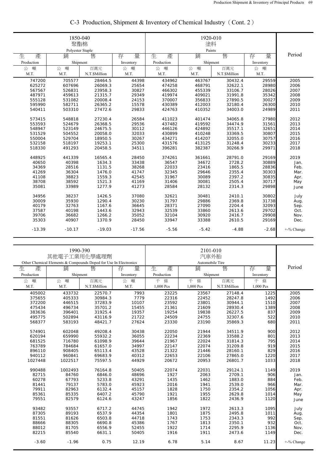|            | 1850-040<br>聚酯棉<br>Polyester Staple |              |           |            |             |               |           |            |
|------------|-------------------------------------|--------------|-----------|------------|-------------|---------------|-----------|------------|
| 生<br>產     | 銷                                   | 售            | 存<br>量    | 生<br>產     | Paints<br>銷 | 售             | 量<br>存    | Period     |
| Production | Shipment                            |              | Inventory | Production | Shipment    |               | Inventory |            |
| 噸<br>公     | 噸<br>公                              | 百萬元          | 公<br>噸    | 噸<br>公     | 公 噸         | 百萬元           | 噸<br>公    |            |
| M.T.       | M.T.                                | N.T.SMillion | M.T.      | M.T.       | M.T.        | N.T.\$Million | M.T.      |            |
| 747200     | 705577                              | 28464.5      | 44398     | 434962     | 463767      | 30432.4       | 29559     | 2005       |
| 625272     | 607696                              | 26069.3      | 25654     | 474258     | 468791      | 32622.1       | 28980     | 2006       |
| 567567     | 526831                              | 23958.3      | 30827     | 466302     | 455339      | 33106.7       | 28026     | 2007       |
| 487971     | 459613                              | 21315.7      | 29349     | 419974     | 409021      | 31991.8       | 35342     | 2008       |
| 555128     | 531082                              | 20008.4      | 24153     | 370007     | 356833      | 27890.5       | 30027     | 2009       |
| 595990     | 582711                              | 26365.2      | 15578     | 430389     | 412003      | 32180.4       | 26300     | 2010       |
| 540411     | 503310                              | 27472.6      | 29833     | 424763     | 410352      | 34003.0       | 24989     | 2011       |
| 573415     | 548818                              | 27230.4      | 26584     | 411023     | 401474      | 34065.8       | 27980     | 2012       |
| 553593     | 524679                              | 26368.5      | 29536     | 437482     | 419592      | 34474.9       | 31561     | 2013       |
| 548947     | 523149                              | 24675.5      | 30112     | 446126     | 424892      | 35517.1       | 32651     | 2014       |
| 531529     | 504552                              | 20058.0      | 32033     | 430899     | 410248      | 33369.5       | 30807     | 2015       |
| 550004     | 529704                              | 18950.5      | 30267     | 434271     | 414207      | 32055.0       | 30757     | 2016       |
| 532158     | 518197                              | 19253.1      | 25300     | 431576     | 413125      | 31248.4       | 30233     | 2017       |
| 518330     | 491293                              | 20458.5      | 34511     | 396281     | 382387      | 30266.9       | 29971     | 2018       |
| 448925     | 441339                              | 16565.4      | 28450     | 374261     | 361661      | 28791.0       | 29169     | 2019       |
| 40650      | 40398                               | 1634.3       | 33438     | 36547      | 34672       | 2728.2        | 30889     | Jan.       |
| 34369      | 28516                               | 1131.5       | 38268     | 22033      | 23416       | 1865.5        | 28836     | Feb.       |
| 41269      | 36304                               | 1476.0       | 41747     | 32345      | 29646       | 2355.4        | 30303     | Mar.       |
| 41108      | 38823                               | 1559.3       | 42545     | 31967      | 30089       | 2397.2        | 30835     | Apr.       |
| 38708      | 38592                               | 1521.3       | 41169     | 31406      | 30081       | 2505.4        | 30717     | May        |
| 35081      | 33989                               | 1277.9       | 41273     | 28584      | 28132       | 2314.3        | 29898     |            |
|            |                                     |              |           |            |             |               |           | June       |
| 34956      | 38237                               | 1426.5       | 37080     | 32621      | 30481       | 2410.1        | 30802     | July       |
| 30009      | 35930                               | 1290.4       | 30230     | 31797      | 29886       | 2369.8        | 31738     | Aug.       |
| 40179      | 32763                               | 1167.6       | 36645     | 28371      | 27090       | 2204.4        | 32093     | Sep.       |
| 37587      | 40198                               | 1443.6       | 32943     | 32539      | 33860       | 2613.6        | 29702     | Oct.       |
| 39706      | 36682                               | 1266.2       | 35052     | 32104      | 30920       | 2416.7        | 29908     | Nov.       |
| 35303      | 40907                               | 1370.9       | 28450     | 33947      | 33388       | 2610.5        | 29169     | Dec.       |
| $-13.39$   | $-10.17$                            | $-19.03$     | $-17.56$  | $-5.56$    | $-5.42$     | $-4.88$       | $-2.68$   | +-% Change |

# C-3 Production, Shipment & Inventory of Chemical Industry(Cont. 2)

|            | 1990-390<br>其他電子工業用化學處理劑                                         |               |           |            | 2101-010<br>汽車外胎      |               |           |            |  |  |
|------------|------------------------------------------------------------------|---------------|-----------|------------|-----------------------|---------------|-----------|------------|--|--|
|            | Other Chemical Elements & Compounds Doped for Use In Electronics |               |           |            | Automobile Tire       |               |           |            |  |  |
| 生<br>產     | 銷                                                                | 售             | 量<br>存    | 生          | 售<br>銷<br>量<br>產<br>存 |               |           |            |  |  |
| Production | Shipment                                                         |               | Inventory | Production | Shipment              |               | Inventory |            |  |  |
| 噸<br>公     | 噸<br>公                                                           | 百萬元           | 噸<br>公    | 條<br>千     | 千<br>條                | 百萬元           | 千<br>條    |            |  |  |
| M.T.       | M.T.                                                             | N.T.\$Million | M.T.      | 1,000 Pcs  | 1,000 Pcs             | N.T.\$Million | 1,000 Pcs |            |  |  |
| 405002     | 433732                                                           | 22570.7       | 7993      | 23225      | 23567                 | 27148.4       | 1225      | 2005       |  |  |
| 375655     | 405333                                                           | 30984.3       | 7779      | 22316      | 22452                 | 28247.8       | 1492      | 2006       |  |  |
| 372200     | 446515                                                           | 37283.9       | 10107     | 23592      | 23801                 | 30944.1       | 1510      | 2007       |  |  |
| 475434     | 496734                                                           | 35701.2       | 15455     | 21361      | 21609                 | 28930.4       | 1389      | 2008       |  |  |
| 383636     | 396401                                                           | 31925.4       | 19357     | 19254      | 19838                 | 26227.5       | 837       | 2009       |  |  |
| 495775     | 502894                                                           | 43116.9       | 21722     | 24509      | 24755                 | 32307.6       | 522       | 2010       |  |  |
| 568377     | 583193                                                           | 48421.7       | 27624     | 23330      | 23190                 | 35869.3       | 680       | 2011       |  |  |
| 574901     | 602048                                                           | 49208.4       | 30438     | 22050      | 21944                 | 34511.9       | 900       | 2012       |  |  |
| 620194     | 659990                                                           | 55932.2       | 36055     | 22234      | 22369                 | 33588.2       | 801       | 2013       |  |  |
| 681525     | 716780                                                           | 61098.9       | 39644     | 21967      | 22024                 | 31814.3       | 795       | 2014       |  |  |
| 763789     | 784684                                                           | 61657.0       | 34997     | 22147      | 22074                 | 31209.8       | 919       | 2015       |  |  |
| 896110     | 908405                                                           | 65113.4       | 43528     | 21322      | 21446                 | 28160.1       | 829       | 2016       |  |  |
| 940112     | 960841                                                           | 69683.9       | 40312     | 22653      | 22106                 | 27865.0       | 1220      | 2017       |  |  |
| 1027448    | 1022517                                                          | 75597.5       | 44929     | 20672      | 20953                 | 26801.7       | 1033      | 2018       |  |  |
| 990488     | 1002493                                                          | 76164.8       | 50405     | 22074      | 22031                 | 29124.1       | 1149      | 2019       |  |  |
| 82715      | 84760                                                            | 6846.0        | 48696     | 1927       | 2063                  | 2709.1        | 906       | Jan.       |  |  |
| 60278      | 67793                                                            | 5233.8        | 43291     | 1435       | 1462                  | 1883.0        | 884       | Feb.       |  |  |
| 81441      | 79137                                                            | 5783.0        | 45923     | 2016       | 1941                  | 2539.0        | 966       | Mar.       |  |  |
| 79911      | 82963                                                            | 6132.4        | 45157     | 1828       | 1750                  | 2354.2        | 1056      | Apr.       |  |  |
| 85361      | 85335                                                            | 6407.2        | 45790     | 1921       | 1955                  | 2629.8        | 1014      | May        |  |  |
| 79551      | 82579                                                            | 6124.6        | 43247     | 1856       | 1822                  | 2436.9        | 1120      | June       |  |  |
| 93482      | 93557                                                            | 6717.2        | 44745     | 1942       | 1972                  | 2613.3        | 1095      | July       |  |  |
| 87305      | 89193                                                            | 6537.9        | 44354     | 1801       | 1875                  | 2495.8        | 1011      | Aug.       |  |  |
| 81551      | 81626                                                            | 6503.8        | 44718     | 1743       | 1753                  | 2343.3        | 992       | Sep.       |  |  |
| 88666      | 88305                                                            | 6690.8        | 45386     | 1767       | 1813                  | 2350.1        | 932       | Oct.       |  |  |
| 88012      | 81705                                                            | 6556.9        | 52455     | 1922       | 1714                  | 2295.9        | 1136      | Nov.       |  |  |
| 82215      | 85540                                                            | 6631.1        | 50405     | 1916       | 1911                  | 2473.6        | 1149      | Dec.       |  |  |
| $-3.60$    | $-1.96$                                                          | 0.75          | 12.19     | 6.78       | 5.14                  | 8.67          | 11.23     | +-% Change |  |  |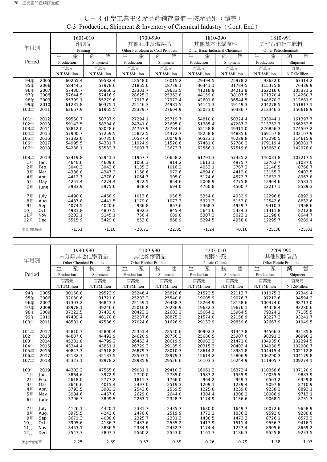|        |      | 印刷品           | 1601-010      | 其他石油及煤製品                        | 1700-990      | 1810-390<br>其他基本化學原料             |               | 1810-991<br>其他石油化工原料 |               |
|--------|------|---------------|---------------|---------------------------------|---------------|----------------------------------|---------------|----------------------|---------------|
| 年月別    |      | Printing      |               | Other Petroleum & Coal Products |               | Other Basic Industrial Chemicals |               | Other Petrochemicals |               |
|        |      | 生<br>產        | 售<br>銷        | 產<br>生                          | 售<br>銷        | 產<br>生                           | 銷<br>售        | 生<br>產               | 售<br>銷        |
| Period |      | Production    | Shipment      | Production                      | Shipment      | Production                       | Shipment      | Production           | Shipment      |
|        |      |               |               |                                 |               | 百萬元                              | 百萬元           | 百萬元                  |               |
|        |      | 百萬元           | 百萬元           | 百萬元                             | 百萬元           |                                  |               |                      | 百萬元           |
|        |      | N.T.\$Million | N.T.\$Million | N.T.\$Million                   | N.T.\$Million | N.T.\$Million                    | N.T.\$Million | N.T.\$Million        | N.T.\$Million |
| 94年    | 2005 | 60265.4       | 59582.4       | 18548.0                         | 16015.2       | 29494.5                          | 25978.2       | 93632.0              | 67314.2       |
| 95年    | 2006 | 58444.3       | 57978.6       | 21865.6                         | 18729.1       | 36441.1                          | 31784.5       | 115475.8             | 76439.9       |
| 96年    | 2007 | 57430.7       | 56866.3       | 23301.7                         | 19633.5       | 41218.9                          | 34213.9       | 162216.6             | 105371.2      |
| 97年    | 2008 | 57644.5       | 57416.9       | 28625.2                         | 25362.8       | 44159.0                          | 38107.5       | 171370.4             | 114260.7      |
| 98年    | 2009 | 55799.1       | 55279.6       | 17913.6                         | 17972.4       | 42601.8                          | 36544.5       | 148670.2             | 112681.9      |
| 99年    | 2010 | 61231.8       | 60375.1       | 25146.3                         | 24981.5       | 54141.3                          | 49149.3       | 204278.5             | 151817.1      |
| 100年   | 2011 | 62667.9       | 61965.5       | 28329.7                         | 27604.9       | 55023.0                          | 50386.7       | 212346.3             | 156618.9      |
| 101年   | 2012 | 59560.7       | 58787.9       | 27294.1                         | 25719.7       | 54810.0                          | 50324.4       | 203944.1             | 161397.7      |
| 102年   | 2013 | 59143.5       | 58304.8       | 24741.0                         | 23695.0       | 51385.4                          | 47287.2       | 213752.7             | 166252.5      |
| 103年   | 2014 | 58812.0       | 58028.6       | 24767.9                         | 23784.6       | 52158.8                          | 49311.0       | 226856.3             | 174597.2      |
| 104年   | 2015 | 57900.7       | 57259.5       | 15822.5                         | 14472.7       | 48258.8                          | 44885.6       | 169157.8             | 132107.9      |
| 105年   | 2016 | 57382.0       | 56735.0       | 10537.4                         | 10049.9       | 50523.1                          | 46229.8       | 143290.5             | 114615.9      |
| 106年   | 2017 | 54995.5       | 54331.7       | 11924.9                         | 11520.8       | 57461.0                          | 52780.2       | 179119.4             | 136381.7      |
| 107年   | 2018 | 54238.1       | 53532.7       | 15097.7                         | 13673.7       | 62566.1                          | 57519.8       | 195662.0             | 142978.0      |
| 108年   | 2019 | 53419.8       | 52941.3       | 11967.7                         | 10658.2       | 61791.3                          | 57425.2       | 146033.8             | 107217.5      |
| 1月     | Jan. | 4640.6        | 4609.6        | 1066.3                          | 914.2         | 5613.1                           | 4975.7        | 12762.7              | 11037.0       |
| 2月     | Feb. | 3040.3        | 3043.6        | 1135.3                          | 1016.2        | 4053.1                           | 3767.3        | 12146.5              | 8766.7        |
| 3月     | Mar. | 4388.8        | 4347.3        | 1168.6                          | 972.6         | 4894.0                           | 4412.0        | 13155.3              | 9403.5        |
| 4月     | Apr. | 4412.7        | 4378.0        | 1064.7                          | 905.0         | 5174.6                           | 4572.7        | 12632.3              | 8967.8        |
| 5月     | May  | 4251.4        | 4274.4        | 922.5                           | 854.6         | 5008.9                           | 4775.8        | 12964.6              | 8583.1        |
| 6月     | June | 3983.9        | 3975.0        | 828.4                           | 694.0         | 4760.8                           | 4500.7        | 12217.1              | 8589.3        |
| 7月     | July | 4490.0        | 4468.9        | 1013.6                          | 956.5         | 5354.0                           | 4932.9        | 12296.8              | 8892.1        |
| 8月     | Aug. | 4487.8        | 4441.5        | 1179.0                          | 1073.3        | 5321.3                           | 5153.0        | 12542.6              | 8832.6        |
| 9月     | Sep. | 4074.5        | 4020.6        | 986.8                           | 867.6         | 5368.3                           | 4929.7        | 9410.3               | 7998.6        |
| 10月    | Oct. | 4931.8        | 4807.5        | 992.3                           | 845.4         | 5641.6                           | 5424.3        | 11411.8              | 8212.8        |
| 11月    | Nov. | 5202.1        | 5145.1        | 756.4                           | 689.8         | 5307.3                           | 5023.1        | 12198.0              | 8644.7        |
| 12月    | Dec. | 5515.9        | 5429.8        | 853.8                           | 868.9         | 5294.5                           | 4958.0        | 12295.7              | 9289.4        |
| 累計增減率  |      | $-1.51$       | $-1.10$       | $-20.73$                        | $-22.05$      | $-1.24$                          | $-0.16$       | $-25.36$             | $-25.01$      |

# C-3 化學工業主要產品產銷存量值-按產品別(續完) C-3 Production, Shipment & Inventory of Chemical Industry(Cont. End)

|        |      |                         | 1990-990      |                       | 2109-990      | 2203-010               |               | 2209-990               |               |
|--------|------|-------------------------|---------------|-----------------------|---------------|------------------------|---------------|------------------------|---------------|
|        |      | 未分類其他化學製品               |               | 其他橡膠製品                |               | 塑膠外殼                   |               | 其他塑膠製品                 |               |
| 年月別    |      | Other Chemical Products |               | Other Rubber Products |               | <b>Plastic Cabinet</b> |               | Other Plastic Products |               |
|        |      | 生<br>產                  | 銷<br>售        | 生<br>產                | 售<br>銷        | 生<br>產                 | 銷<br>售        | 生<br>產                 | 售<br>銷        |
| Period |      | Production              | Shipment      | Production            | Shipment      | Production             | Shipment      | Production             | Shipment      |
|        |      | 百萬元                     | 百萬元           | 百萬元                   | 百萬元           | 百萬元                    | 百萬元           | 百萬元                    | 百萬元           |
|        |      | N.T.\$Million           | N.T.\$Million | N.T.\$Million         | N.T.\$Million | N.T.\$Million          | N.T.\$Million | N.T.\$Million          | N.T.\$Million |
| 94年    | 2005 | 30156.8                 | 29523.9       | 25246.4               | 25820.6       | 21522.5                | 22113.7       | 101075.2               | 97349.4       |
| 95年    | 2006 | 32080.6                 | 31721.0       | 25203.2               | 25540.8       | 19005.9                | 19076.7       | 97212.6                | 94594.2       |
| 96年    | 2007 | 37303.2                 | 36843.3       | 25159.1               | 26488.7       | 18264.9                | 18158.6       | 100374.0               | 98713.0       |
| 97年    | 2008 | 38978.1                 | 39246.6       | 25016.8               | 26286.9       | 19632.3                | 19676.1       | 94458.4                | 93280.6       |
| 98年    | 2009 | 37222.5                 | 37433.0       | 20423.2               | 22603.2       | 15664.2                | 15964.5       | 79324.2                | 77185.5       |
| 99年    | 2010 | 47409.4                 | 46170.8       | 25237.6               | 28875.2       | 21574.0                | 22158.9       | 93227.3                | 93241.7       |
| 100年   | 2011 | 48581.0                 | 47586.9       | 27024.6               | 31626.9       | 29133.9                | 29859.6       | 92667.9                | 91949.5       |
| 101年   | 2012 | 45810.7                 | 45800.4       | 25351.4               | 28520.6       | 30902.3                | 31347.8       | 94566.3                | 93185.8       |
| 102年   | 2013 | 44837.0                 | 44492.9       | 24620.9               | 28756.3       | 25686.5                | 25907.0       | 98391.3                | 96996.2       |
| 103年   | 2014 | 45381.8                 | 44799.2       | 26463.4               | 28619.9       | 20963.2                | 21471.0       | 104935.0               | 102294.5      |
| 104年   | 2015 | 43344.4                 | 43851.1       | 26729.3               | 29185.9       | 20315.3                | 20402.4       | 104930.5               | 102900.7      |
| 105年   | 2016 | 40847.3                 | 42518.8       | 26879.3               | 28010.3       | 18614.2                | 18981.8       | 104415.4               | 102112.8      |
| 106年   | 2017 | 42132.3                 | 45183.5       | 28503.1               | 28979.3       | 15614.2                | 15806.9       | 106290.3               | 104179.8      |
| 107年   | 2018 | 45323.1                 | 48978.2       | 28985.9               | 29526.6       | 16103.3                | 16244.9       | 111905.7               | 109274.1      |
| 108年   | 2019 | 44303.2                 | 47565.0       | 29081.1               | 29410.2       | 16061.3                | 16372.4       | 110358.6               | 107120.9      |
| 1月     | Jan. | 3864.6                  | 3972.9        | 2720.0                | 2785.0        | 1587.2                 | 1555.9        | 10035.5                | 9883.9        |
| 2月     | Feb. | 2618.0                  | 2777.2        | 1811.7                | 1766.0        | 964.2                  | 959.3         | 6503.2                 | 6329.8        |
| 3月     | Mar. | 3646.6                  | 4015.4        | 2497.0                | 2519.3        | 1209.1                 | 1239.4        | 9097.8                 | 8710.9        |
| 4月     | Apr. | 3793.5                  | 3982.2        | 2543.6                | 2559.5        | 1225.8                 | 1239.6        | 9238.2                 | 8892.1        |
| 5月     | May  | 3904.6                  | 4467.0        | 2629.0                | 2644.0        | 1304.4                 | 1308.2        | 10006.9                | 9713.1        |
| 6月     | June | 3796.7                  | 3899.5        | 2263.1                | 2328.7        | 1174.9                 | 1156.6        | 9068.1                 | 8751.3        |
| 7月     | July | 4126.1                  | 4420.1        | 2381.7                | 2435.7        | 1630.0                 | 1649.7        | 10072.6                | 9658.9        |
| 8月     | Aug. | 3975.5                  | 4242.6        | 2476.6                | 2519.9        | 1773.2                 | 1836.2        | 9592.0                 | 9288.8        |
| 9月     | Sep. | 3671.3                  | 4008.0        | 2325.7                | 2331.3        | 1438.5                 | 1472.3        | 8726.1                 | 8573.3        |
| 10月    | Oct. | 3905.6                  | 4136.3        | 2487.6                | 2535.2        | 1417.9                 | 1511.4        | 9556.7                 | 9416.1        |
| 11月    | Nov. | 3453.1                  | 3836.5        | 2384.9                | 2432.7        | 1174.4                 | 1257.4        | 8905.6                 | 8669.2        |
| 12月    | Dec. | 3547.7                  | 3807.3        | 2560.2                | 2553.0        | 1161.7                 | 1186.3        | 9555.8                 | 9233.5        |
| 累計增減率  |      | $-2.25$                 | $-2.89$       | 0.33                  | $-0.39$       | $-0.26$                | 0.79          | $-1.38$                | $-1.97$       |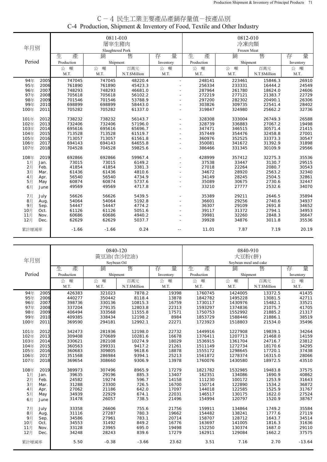| C-4 民生工業主要產品產銷存量值-按產品別                                                   |
|--------------------------------------------------------------------------|
| C-4 Production, Shipment & Inventory of Food, Textile and Other Industry |
|                                                                          |

| 年月別    |      |            | 0811-010<br>屠宰生豬肉<br>Slaughtered Pork |               |                          | 0812-010<br>冷凍肉類<br>Frozen Meat |          |               |           |  |
|--------|------|------------|---------------------------------------|---------------|--------------------------|---------------------------------|----------|---------------|-----------|--|
|        |      | 生<br>產     | 銷                                     | 售             | 量<br>存                   | 生<br>產                          | 銷        | 售             | 量<br>存    |  |
| Period |      | Production | Shipment                              |               | Inventory                | Production                      | Shipment |               | Inventory |  |
|        |      | 噸<br>公     | 噸<br>公                                | 百萬元           | 噸<br>公                   | 噸<br>公                          | 噸<br>公   | 百萬元           | 噸<br>公    |  |
|        |      | M.T.       | M.T.                                  | N.T.\$Million | M.T.                     | M.T.                            | M.T.     | N.T.\$Million | M.T.      |  |
|        |      |            |                                       |               |                          |                                 |          |               |           |  |
| 94年    | 2005 | 747045     | 747045                                | 48220.4       | $\mathbf{r}$             | 248141                          | 223461   | 15846.3       | 26910     |  |
| 95年    | 2006 | 761890     | 761890                                | 45423.3       | ÷.                       | 256334                          | 233331   | 16444.2       | 24549     |  |
| 96年    | 2007 | 748293     | 748293                                | 46681.0       |                          | 287964                          | 261780   | 18624.0       | 24606     |  |
| 97年    | 2008 | 705618     | 705618                                | 56102.2       |                          | 272219                          | 277121   | 21383.7       | 22729     |  |
| 98年    | 2009 | 701546     | 701546                                | 53788.9       |                          | 297200                          | 282302   | 20490.1       | 26306     |  |
| 99年    | 2010 | 698899     | 698899                                | 58443.0       | $\overline{\phantom{a}}$ | 303826                          | 309735   | 22541.4       | 28402     |  |
| 100年   | 2011 | 705282     | 705282                                | 61337.0       |                          | 319847                          | 324980   | 25662.2       | 32736     |  |
| 101年   | 2012 | 738232     | 738232                                | 56143.7       |                          | 328308                          | 333004   | 26749.3       | 26588     |  |
| 102年   | 2013 | 732406     | 732406                                | 57196.0       | $\overline{\phantom{a}}$ | 328739                          | 336883   | 27067.2       | 19498     |  |
| 103年   | 2014 | 695616     | 695616                                | 65696.7       |                          | 347471                          | 346515   | 30571.4       | 21415     |  |
| 104年   | 2015 | 713528     | 713528                                | 61519.7       | $\overline{\phantom{a}}$ | 357449                          | 354476   | 32458.8       | 27001     |  |
| 105年   | 2016 | 713057     | 713057                                | 61561.8       | ÷.                       | 360976                          | 352525   | 33373.3       | 30547     |  |
| 106年   | 2017 | 694143     | 694143                                | 64655.8       | ÷.                       | 350081                          | 341672   | 31392.9       | 31898     |  |
| 107年   | 2018 | 704528     | 704528                                | 59825.6       |                          | 386466                          | 331345   | 30109.9       | 29566     |  |
|        |      |            |                                       |               |                          |                                 |          |               |           |  |
| 108年   | 2019 | 692866     | 692866                                | 59967.4       | $\sim$                   | 428999                          | 357412   | 32275.3       | 35536     |  |
| 1月     | Jan. | 73015      | 73015                                 | 6149.2        |                          | 37538                           | 33447    | 3130.7        | 29515     |  |
| 2月     | Feb. | 41854      | 41854                                 | 3381.3        |                          | 27018                           | 22264    | 2080.7        | 30543     |  |
| 3月     | Mar. | 61436      | 61436                                 | 4810.6        |                          | 34672                           | 28920    | 2563.2        | 32340     |  |
| 4月     | Apr. | 56540      | 56540                                 | 4734.9        |                          | 34149                           | 28245    | 2504.5        | 32861     |  |
| 5月     | May  | 60874      | 60874                                 | 5737.6        |                          | 35089                           | 30675    | 2730.6        | 32447     |  |
| 6月     | June | 49569      | 49569                                 | 4717.8        |                          | 33210                           | 27777    | 2532.6        | 34070     |  |
| 7月     | July | 56626      | 56626                                 | 5439.5        |                          | 35389                           | 29211    | 2646.5        | 35894     |  |
| 8月     | Aug. | 54064      | 54064                                 | 5192.8        |                          | 36601                           | 29256    | 2740.6        | 34937     |  |
| 9月     | Sep. | 54447      | 54447                                 | 4774.2        |                          | 36307                           | 29109    | 2691.8        | 34652     |  |
| 10月    | Oct. | 61126      | 61126                                 | 5051.6        |                          | 39117                           | 31372    | 2794.1        | 34953     |  |
| 11月    | Nov. | 60686      | 60686                                 | 4940.2        |                          | 39981                           | 32260    | 2848.3        | 36647     |  |
| 12月    | Dec. | 62629      | 62629                                 | 5037.7        |                          | 39928                           | 34876    | 3011.8        | 35536     |  |
| 累計增減率  |      | $-1.66$    | $-1.66$                               | 0.24          |                          | 11.01                           | 7.87     | 7.19          | 20.19     |  |
|        |      |            |                                       |               |                          |                                 |          |               |           |  |

| 年月別         |      |            | 0840-120<br>黃豆油(含沙拉油)<br>Soybean Oil |               |           |            | 0840-910<br>大豆粉(餅)<br>Sovbean meal and cake |               |           |
|-------------|------|------------|--------------------------------------|---------------|-----------|------------|---------------------------------------------|---------------|-----------|
|             | 生    | 產          | 銷                                    | 售             | 存<br>量    | 生<br>產     | 銷                                           | 售             | 量<br>存    |
| Period      |      | Production | Shipment                             |               | Inventory | Production | Shipment                                    |               | Inventory |
|             | 公    | 噸          | 公<br>噸                               | 百萬元           | 公<br>噸    | 噸<br>公     | 噸<br>公                                      | 百萬元           | 噸<br>公    |
|             |      | M.T.       | M.T.                                 | N.T.\$Million | M.T.      | M.T.       | M.T.                                        | N.T.\$Million | M.T.      |
| 94年         | 2005 | 426383     | 321023                               | 7878.2        | 19398     | 1760745    | 1424005                                     | 13372.5       | 41435     |
| 95年         | 2006 | 440277     | 350442                               | 8118.4        | 13878     | 1842782    | 1495228                                     | 13081.5       | 42711     |
| 96年         | 2007 | 398736     | 330136                               | 10815.3       | 16759     | 1730117    | 1430976                                     | 15482.1       | 33521     |
| 97年         | 2008 | 337204     | 279135                               | 12803.8       | 22313     | 1593297    | 1374836                                     | 21075.7       | 41705     |
| 98年         | 2009 | 406494     | 333568                               | 11555.8       | 17571     | 1750753    | 1552992                                     | 21885.2       | 21317     |
| 99年         | 2010 | 409385     | 338434                               | 12198.2       | 8984      | 1853729    | 1588446                                     | 21886.1       | 38519     |
| 100年        | 2011 | 369590     | 294181                               | 12992.1       | 22271     | 1723923    | 1518803                                     | 21534.0       | 35496     |
| 101年        | 2012 | 342473     | 281936                               | 12198.0       | 22732     | 1449916    | 1227908                                     | 19839.1       | 34264     |
| 102年        | 2013 | 309408     | 270689                               | 10281.6       | 16678     | 1376411    | 1207713                                     | 21468.0       | 14159     |
| 103年        | 2014 | 330621     | 282108                               | 10274.9       | 18029     | 1536915    | 1361704                                     | 24716.7       | 23812     |
| 104年        | 2015 | 360563     | 299331                               | 9417.2        | 21261     | 1511149    | 1272734                                     | 18170.6       | 34295     |
| 105年        | 2016 | 360683     | 309805                               | 9618.6        | 18878     | 1555172    | 1298645                                     | 17720.1       | 37438     |
| 106年        | 2017 | 351568     | 286984                               | 9394.1        | 25213     | 1561872    | 1278374                                     | 16315.0       | 28066     |
| 107年        | 2018 | 369654     | 308660                               | 9306.9        | 13978     | 1760076    | 1430580                                     | 18972.5       | 43510     |
| 108年        | 2019 | 389973     | 307496                               | 8965.9        | 17279     | 1821782    | 1532985                                     | 19483.8       | 37575     |
| 1月<br>Jan.  |      | 39635      | 29196                                | 885.3         | 13407     | 162351     | 134086                                      | 1690.9        | 40862     |
| 2月<br>Feb.  |      | 24582      | 19274                                | 596.7         | 14158     | 111230     | 100172                                      | 1253.9        | 31643     |
| 3月<br>Mar.  |      | 31288      | 23300                                | 726.5         | 16700     | 150714     | 122890                                      | 1534.2        | 36872     |
| 4月          | Apr. | 27062      | 21186                                | 642.0         | 17097     | 144018     | 122585                                      | 1525.9        | 31767     |
| 5月          | May  | 34939      | 22929                                | 674.1         | 22031     | 146517     | 130175                                      | 1622.0        | 27524     |
| 6月          | June | 31478      | 26057                                | 738.5         | 21496     | 154994     | 120797                                      | 1520.9        | 38767     |
| 7月<br>July  |      | 33358      | 26606                                | 755.6         | 21756     | 159911     | 134864                                      | 1749.2        | 35584     |
| 8月<br>Aug.  |      | 31116      | 27287                                | 780.3         | 19662     | 154482     | 138241                                      | 1777.6        | 27119     |
| 9月          | Sep. | 34586      | 27961                                | 783.1         | 20714     | 158707     | 128712                                      | 1643.7        | 34514     |
| 10月<br>Oct. |      | 34553      | 31492                                | 849.2         | 16776     | 163697     | 141005                                      | 1816.3        | 31636     |
| 11月         | Nov. | 33128      | 23965                                | 695.0         | 19498     | 152250     | 130374                                      | 1687.0        | 29110     |
| 12月<br>Dec. |      | 34248      | 28243                                | 839.6         | 17279     | 162911     | 129084                                      | 1662.2        | 37575     |
| 累計增減率       |      | 5.50       | $-0.38$                              | $-3.66$       | 23.62     | 3.51       | 7.16                                        | 2.70          | $-13.64$  |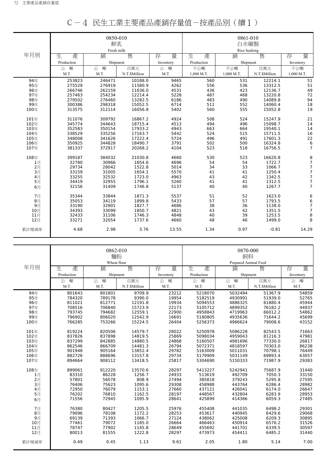|       |            | 0850-010<br>鮮乳 |               |           | 0861-010<br>白米碾製 |              |               |                |
|-------|------------|----------------|---------------|-----------|------------------|--------------|---------------|----------------|
|       |            | Fresh milk     |               |           |                  | Rice husking |               |                |
| 年月別   | 生<br>產     | 銷              | 售             | 量<br>存    | 生<br>產           | 銷            | 售             | 量<br>存         |
|       | Production | Shipment       |               | Inventory | Production       | Shipment     |               | Inventory      |
|       | 噸<br>公     | 公 噸            | 百萬元           | 噸<br>公    | 千公噸              | 千公噸          | 百萬元           | 千公噸            |
|       | M.T.       | M.T.           | N.T.\$Million | M.T.      | 1,000 M.T.       | 1,000 M.T.   | N.T.\$Million | 1,000 M.T.     |
| 94年   | 253823     | 246471         | 10188.0       | 9465      | 560              | 531          | 12214.1       | 51             |
| 95年   | 275529     | 276919         | 11580.9       | 4262      | 556              | 536          | 13312.5       | 51             |
| 96年   | 266746     | 262159         | 11636.0       | 4531      | 436              | 423          | 12136.7       | 49             |
| 97年   | 257463     | 254234         | 12214.4       | 5228      | 487              | 468          | 13220.8       | 72             |
| 98年   | 279502     | 276460         | 13282.5       | 6186      | 483              | 490          | 14089.8       | 94             |
| 99年   | 300386     | 298318         | 15052.5       | 6714      | 511              | 552          | 14060.4       | 18             |
| 100年  | 313575     | 312114         | 16056.8       | 5402      | 560              | 555          | 15052.8       | 19             |
| 101年  | 311076     | 309792         | 16867.2       | 4924      | 508              | 524          | 15247.9       | 21             |
| 102年  | 345774     | 344643         | 18715.4       | 4513      | 494              | 496          | 15098.7       | 14             |
| 103年  | 352583     | 350154         | 17933.2       | 4943      | 663              | 664          | 19540.1       | 14             |
| 104年  | 338529     | 335256         | 17163.7       | 5442      | 524              | 515          | 15711.5       | 16             |
| 105年  | 348008     | 341626         | 17222.4       | 5724      | 496              | 491          | 17601.3       | 22             |
| 106年  | 350925     | 344828         | 18490.7       | 3791      | 502              | 500          | 16324.8       | 6              |
| 107年  | 381337     | 372917         | 20268.2       | 4104      | 523              | 518          | 16756.5       | $\overline{7}$ |
| 108年  | 399187     | 384032         | 21030.8       | 4660      | 530              | 523          | 16620.8       | 8              |
| 1月    | 32780      | 30966          | 1654.6        | 4696      | 54               | 54           | 1722.7        | 7              |
| 2月    | 29734      | 28042          | 1522.8        | 5014      | 34               | 33           | 1066.7        | $\overline{7}$ |
| 3月    | 33159      | 31005          | 1654.1        | 5570      | 41               | 41           | 1250.4        | $\overline{7}$ |
| 4月    | 33255      | 32532          | 1723.0        | 4963      | 43               | 42           | 1342.5        | 7              |
| 5月    | 34419      | 32955          | 1796.1        | 5260      | 41               | 41           | 1312.5        | 7              |
| 6月    | 32156      | 31409          | 1746.8        | 5137      | 40               | 40           | 1267.7        | $\overline{7}$ |
| 7月    | 35344      | 33844          | 1871.3        | 5537      | 51               | 52           | 1623.0        | 6              |
| 8月    | 35053      | 34119          | 1899.8        | 5433      | 57               | 57           | 1793.5        | 6              |
| 9月    | 33190      | 32901          | 1827.7        | 4686      | 38               | 36           | 1138.0        | 7              |
| 10月   | 34393      | 33099          | 1850.7        | 4821      | 43               | 42           | 1351.5        | $\overline{7}$ |
| 11月   | 32433      | 31106          | 1746.3        | 4848      | 40               | 39           | 1253.5        | 8              |
| 12月   | 33271      | 32054          | 1737.6        | 4660      | 48               | 46           | 1499.0        | 8              |
| 累計增減率 | 4.68       | 2.98           | 3.76          | 13.55     | 1.34             | 0.97         | $-0.81$       | 14.29          |

|--|--|--|--|

|       |            | 0862-010<br>麵粉   |               |           |            | 0870-000<br>飼料            |               |           |
|-------|------------|------------------|---------------|-----------|------------|---------------------------|---------------|-----------|
| 年月別   | 生<br>產     | Wheat flour<br>銷 | 售             | 存<br>量    | 生<br>產     | Prepared Animal Feed<br>銷 | 售             | 量<br>存    |
|       | Production | Shipment         |               | Inventory | Production | Shipment                  |               | Inventory |
|       | 噸<br>公     | 噸<br>公           | 百萬元           | 公<br>噸    | 噸<br>公     | 噸<br>公                    | 百萬元           | 噸<br>公    |
|       | M.T.       | M.T.             | N.T.\$Million | M.T.      | M.T.       | M.T.                      | N.T.\$Million | M.T.      |
| 94年   | 801643     | 801801           | 9709.9        | 23212     | 5218070    | 5032494                   | 51367.9       | 54859     |
| 95年   | 784320     | 789178           | 9390.0        | 19954     | 5182519    | 4930991                   | 51939.0       | 52765     |
| 96年   | 811021     | 812771           | 12191.8       | 19934     | 5094553    | 4886325                   | 61880.4       | 45944     |
| 97年   | 708516     | 706840           | 15723.9       | 22173     | 5105712    | 4899352                   | 76182.2       | 44937     |
| 98年   | 793745     | 794682           | 12559.1       | 22900     | 4958843    | 4719963                   | 66012.2       | 54862     |
| 99年   | 796902     | 806020           | 12542.9       | 16691     | 5180805    | 4935636                   | 71644.2       | 45699     |
| 100年  | 766285     | 753266           | 15224.5       | 26404     | 5256373    | 4966624                   | 79008.6       | 43152     |
| 101年  | 819224     | 820506           | 14579.7       | 28022     | 5250978    | 5086228                   | 82543.5       | 71663     |
| 102年  | 837826     | 837898           | 14819.5       | 25869     | 5098034    | 4959043                   | 81216.3       | 47981     |
| 103年  | 837299     | 842885           | 14880.5       | 24868     | 5160507    | 4981696                   | 77330.0       | 26817     |
| 104年  | 862546     | 866709           | 14481.3       | 26794     | 5072371    | 4818597                   | 70303.0       | 86238     |
| 105年  | 901948     | 905164           | 13852.4       | 29782     | 5163009    | 5011031                   | 70798.1       | 76449     |
| 106年  | 882726     | 888696           | 13157.8       | 29734     | 5179909    | 5031149                   | 69893.4       | 63057     |
| 107年  | 894664     | 908112           | 13418.5       | 25817     | 5304690    | 5150333                   | 71987.9       | 29383     |
| 108年  | 899061     | 912220           | 13570.6       | 28297     | 5413227    | 5242941                   | 75687.9       | 31440     |
| 1月    | 83310      | 86228            | 1256.7        | 24933     | 513619     | 492709                    | 7050.3        | 33150     |
| 2月    | 57801      | 56078            | 808.9         | 27494     | 385818     | 379243                    | 5295.8        | 27595     |
| $3$ 月 | 76406      | 75623            | 1095.6        | 29308     | 458988     | 443764                    | 6286.4        | 28982     |
| 4月    | 72950      | 76079            | 1153.1        | 27660     | 437121     | 426041                    | 6174.0        | 26647     |
| 5月    | 76202      | 76810            | 1162.5        | 28197     | 448567     | 432804                    | 6283.9        | 28953     |
| 6月    | 71556      | 72945            | 1095.9        | 28641     | 425899     | 414366                    | 6059.3        | 27485     |
| 7月    | 76380      | 80427            | 1205.5        | 25976     | 455408     | 441035                    | 6498.2        | 29301     |
| 8月    | 79096      | 78108            | 1172.2        | 28253     | 453617     | 440945                    | 6429.6        | 29068     |
| 9月    | 69139      | 71393            | 1066.7        | 27124     | 438062     | 425008                    | 6209.3        | 30895     |
| 10月   | 77461      | 79072            | 1185.0        | 26664     | 466463     | 450914                    | 6576.2        | 31526     |
| 11月   | 78747      | 77902            | 1145.8        | 28649     | 455692     | 441701                    | 6339.5        | 30597     |
| 12月   | 80013      | 81555            | 1222.8        | 28297     | 473973     | 454411                    | 6485.2        | 31440     |
| 累計增減率 | 0.49       | 0.45             | 1.13          | 9.61      | 2.05       | 1.80                      | 5.14          | 7.00      |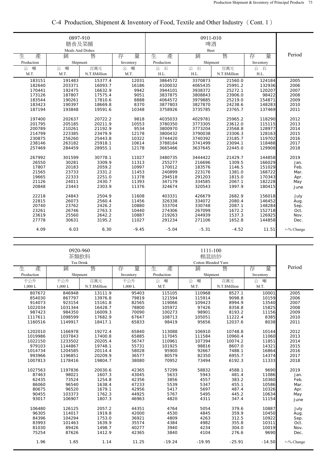|            | 0897-910<br>膳食及菜餚<br>Meals And Dishes |               |           |            |           |               |           |               |
|------------|---------------------------------------|---------------|-----------|------------|-----------|---------------|-----------|---------------|
| 生<br>產     | 銷                                     | 售             | 量<br>存    | 生<br>產     | Beer<br>銷 | 售             | 量<br>存    | Period        |
| Production | Shipment                              |               | Inventory | Production | Shipment  |               | Inventory |               |
| 噸<br>公     | 噸<br>公                                | 百萬元           | 公<br>噸    | 公<br>石     | 公<br>石    | 百萬元           | 公<br>石    |               |
| M.T.       | M.T.                                  | N.T.\$Million | M.T.      | H.L.       | H.L.      | N.T.\$Million | H.L.      |               |
| 183151     | 191483                                | 15377.4       | 12031     | 3864572    | 3370873   | 21560.0       | 124184    | 2005          |
| 182640     | 203371                                | 16093.7       | 16186     | 4100032    | 4065435   | 25991.2       | 132936    | 2006          |
| 170441     | 192475                                | 16632.9       | 9942      | 3944101    | 3938372   | 25272.1       | 120207    | 2007          |
| 173126     | 187807                                | 17575.4       | 9051      | 3837875    | 3808843   | 23906.0       | 98422     | 2008          |
| 183544     | 190261                                | 17810.6       | 8888      | 4064572    | 3979885   | 25219.0       | 154871    | 2009          |
| 183423     | 190397                                | 18669.8       | 8370      | 3877803    | 3827870   | 24238.6       | 148283    | 2010          |
| 187194     | 193848                                | 19591.6       | 10348     | 3758926    | 3735785   | 23765.7       | 137469    | 2011          |
| 197400     | 202637                                | 20722.2       | 9818      | 4035033    | 4029781   | 25965.2       | 118290    | 2012          |
| 201795     | 205185                                | 20211.9       | 10553     | 3780350    | 3773305   | 23612.0       | 115115    | 2013          |
| 200789     | 210261                                | 21192.9       | 9534      | 3800970    | 3773204   | 23568.8       | 128977    | 2014          |
| 214799     | 223385                                | 23479.9       | 12178     | 3800432    | 3790038   | 23306.3       | 128163    | 2015          |
| 230875     | 256260                                | 25443.8       | 10322     | 3744420    | 3740392   | 23185.7       | 119702    | 2016          |
| 238146     | 263182                                | 25918.1       | 10614     | 3788164    | 3741499   | 23094.1       | 118488    | 2017          |
| 257469     | 284459                                | 28955.1       | 12178     | 3665466    | 3637645   | 22445.0       | 129908    | 2018          |
| 267992     | 301599                                | 30778.1       | 11027     | 3480735    | 3444422   | 21429.7       | 144858    | 2019          |
| 26550      | 30281                                 | 3309.9        | 11313     | 255277     | 216696    | 1309.5        | 166029    | Jan.          |
| 17807      | 20183                                 | 2059.2        | 10997     | 170012     | 183576    | 1146.5        | 151029    | Feb.          |
| 21565      | 23733                                 | 2331.2        | 11453     | 240899     | 223176    | 1381.0        | 168722    | Mar.          |
| 19665      | 22333                                 | 2251.0        | 11378     | 294518     | 291203    | 1815.0        | 170343    |               |
| 21126      | 24011                                 | 2430.7        | 11393     | 347179     | 334585    | 2067.1        | 182228    | Apr.          |
| 20848      | 23443                                 | 2303.9        | 11376     | 324674     | 320543    | 1997.9        | 180415    | May           |
|            |                                       |               |           |            |           |               |           | June          |
| 22218      | 24843                                 | 2504.9        | 11608     | 403331     | 426679    | 2682.9        | 156018    | July          |
| 22815      | 26073                                 | 2560.4        | 11456     | 326338     | 334072    | 2080.4        | 146452    | Aug.          |
| 20740      | 23762                                 | 2426.2        | 10880     | 333704     | 330748    | 2087.1        | 148284    | Sep.          |
| 23261      | 26746                                 | 2763.3        | 10440     | 274306     | 267099    | 1672.2        | 152718    | Oct.          |
| 23619      | 25560                                 | 2642.2        | 10887     | 219263     | 244939    | 1537.3        | 126925    | Nov.          |
| 27778      | 30631                                 | 3195.2        | 11027     | 291234     | 271106    | 1652.8        | 144858    | Dec.          |
| 4.09       | 6.03                                  | 6.30          | $-9.45$   | $-5.04$    | $-5.31$   | $-4.52$       | 11.51     | $+$ -% Change |

## C-4 Production, Shipment & Inventory of Food, Textile and Other Industry (Cont. 1)

|            | 0920-960<br>茶類飲料<br>Tea Drink |               |           |            |          |               |           |            |
|------------|-------------------------------|---------------|-----------|------------|----------|---------------|-----------|------------|
| 生<br>產     | 銷                             | 售             | 量<br>存    | 生<br>產     | 銷        | 售             | 量<br>存    | Period     |
| Production | Shipment                      |               | Inventory | Production | Shipment |               | Inventory |            |
| 千公升        | 千公升                           | 百萬元           | 千公升       | 公<br>噸     | 噸<br>公   | 百萬元           | 公<br>噸    |            |
| 1,000 L    | 1,000 L                       | N.T.\$Million | 1,000 L   | M.T.       | M.T.     | N.T.\$Million | M.T.      |            |
| 807672     | 846948                        | 13111.9       | 95403     | 115105     | 110968   | 8527.1        | 10001     | 2005       |
| 854030     | 867797                        | 13976.8       | 79819     | 121594     | 115914   | 9098.8        | 10159     | 2006       |
| 914073     | 923154                        | 15161.8       | 82565     | 119066     | 109423   | 8994.9        | 13540     | 2007       |
| 1022034    | 1031344                       | 16428.7       | 78800     | 105972     | 97426    | 8358.8        | 15825     | 2008       |
| 987423     | 984350                        | 16009.3       | 70090     | 100273     | 98901    | 8193.2        | 11156     | 2009       |
| 1117611    | 1098599                       | 17682.9       | 67647     | 108713     | 105051   | 11222.4       | 8385      | 2010       |
| 1160516    | 1149917                       | 18417.1       | 65833     | 98419      | 95656    | 12037.6       | 8038      | 2011       |
| 1202010    | 1166978                       | 19272.4       | 65840     | 113088     | 106910   | 10748.8       | 10144     | 2012       |
| 1019986    | 1037843                       | 17400.8       | 65885     | 117045     | 111584   | 10960.4       | 11060     | 2013       |
| 1022150    | 1233502                       | 20205.4       | 56747     | 110961     | 107394   | 10074.2       | 11851     | 2014       |
| 979103     | 1144867                       | 19748.1       | 55731     | 101925     | 98816    | 8607.0        | 14321     | 2015       |
| 1014734    | 1204585                       | 20114.4       | 58028     | 95900      | 92667    | 7488.1        | 16864     | 2016       |
| 993966     | 1196851                       | 20209.9       | 36577     | 80579      | 82350    | 6955.7        | 14374     | 2017       |
| 1007813    | 1178416                       | 19804.7       | 38080     | 70952      | 73494    | 6192.3        | 11333     | 2018       |
| 1027563    | 1197836                       | 20030.6       | 42365     | 57299      | 58832    | 4588.1        | 9690      | 2019       |
| 87463      | 98021                         | 1607.3        | 43045     | 5633       | 5943     | 481.4         | 11086     | Jan.       |
| 62435      | 73524                         | 1254.8        | 42356     | 3856       | 4557     | 383.2         | 10360     | Feb.       |
| 86060      | 96540                         | 1638.4        | 47233     | 5539       | 5347     | 455.1         | 10586     | Mar.       |
| 80675      | 96520                         | 1679.1        | 42956     | 5417       | 5697     | 487.4         | 10326     | Apr.       |
| 90455      | 103373                        | 1762.3        | 44925     | 5767       | 5495     | 445.2         | 10634     | May        |
| 93017      | 106907                        | 1807.3        | 46963     | 4820       | 4311     | 347.4         | 11154     | June       |
| 106480     | 126125                        | 2057.2        | 44351     | 4764       | 5054     | 379.6         | 10887     | July       |
| 96305      | 114017                        | 1919.8        | 42000     | 4530       | 4845     | 359.9         | 10450     | Aug.       |
| 84396      | 104294                        | 1753.0        | 36921     | 4809       | 4263     | 312.5         | 10922     | Sep.       |
| 83993      | 101463                        | 1639.9        | 35574     | 4384       | 4982     | 355.8         | 10311     | Oct.       |
| 81030      | 89426                         | 1498.7        | 40277     | 3940       | 4234     | 304.0         | 10019     | Nov.       |
| 75254      | 87626                         | 1412.9        | 42365     | 3840       | 4104     | 276.6         | 9690      | Dec.       |
| 1.96       | 1.65                          | 1.14          | 11.25     | $-19.24$   | $-19.95$ | $-25.91$      | $-14.50$  | +-% Change |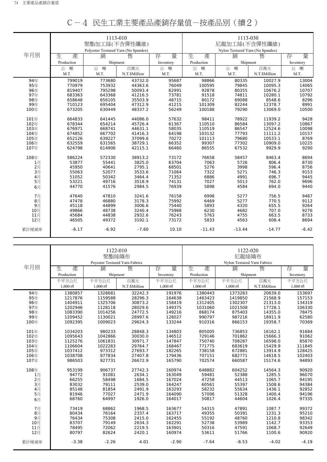|       |            | 1113-010                             |               |           |                                                   | 1113-030 |               |           |  |
|-------|------------|--------------------------------------|---------------|-----------|---------------------------------------------------|----------|---------------|-----------|--|
|       |            | 聚酯加工絲(不含彈性纖維)                        |               |           |                                                   |          |               |           |  |
|       |            |                                      |               |           | 尼龍加工絲(不含彈性纖維)<br>Nylon Textured Yarn (No Spandex) |          |               |           |  |
|       |            | Polyester Textured Yarn (No Spandex) |               |           |                                                   |          |               |           |  |
| 年月別   | 生.<br>產    | 銷                                    | 售             | 存<br>量    | 生<br>產                                            | 銷        | 售             | 量<br>存    |  |
|       | Production | Shipment                             |               | Inventory | Production                                        | Shipment |               | Inventory |  |
|       | 噸<br>公     | 公 噸                                  | 百萬元           | 噸<br>公    | 噸<br>公                                            | 噸<br>公   | 百萬元           | 公<br>噸    |  |
|       | M.T.       | M.T.                                 | N.T.\$Million | M.T.      | M.T.                                              | M.T.     | N.T.\$Million | M.T.      |  |
| 94年   | 799019     | 773680                               | 43732.0       | 95687     | 98866                                             | 80335    | 10027.9       | 13004     |  |
| 95年   | 770979     | 753932                               | 44363.6       | 76049     | 100595                                            | 79845    | 10095.3       | 14065     |  |
| 96年   | 819407     | 795298                               | 50093.4       | 62991     | 92878                                             | 80355    | 10676.2       | 10707     |  |
| 97年   | 683363     | 643368                               | 41216.5       | 73781     | 91518                                             | 74811    | 10280.1       | 10792     |  |
| 98年   | 658648     | 656105                               | 35503.9       | 48715     | 80172                                             | 69088    | 8548.6        | 8296      |  |
| 99年   | 710123     | 695404                               | 47312.9       | 41215     | 101309                                            | 82244    | 12378.7       | 8991      |  |
| 100年  | 673205     | 630449                               | 48337.2       | 56249     | 100188                                            | 79290    | 13069.0       | 10500     |  |
|       |            |                                      |               |           |                                                   |          |               |           |  |
| 101年  | 664833     | 641445                               | 44086.0       | 57632     | 98411                                             | 78922    | 11939.2       | 9428      |  |
| 102年  | 678344     | 654214                               | 45726.4       | 61367     | 110510                                            | 86584    | 13097.2       | 10867     |  |
| 103年  | 676971     | 668741                               | 44631.1       | 58035     | 110519                                            | 86547    | 12524.6       | 10098     |  |
| 104年  | 674852     | 667702                               | 41416.3       | 64198     | 103132                                            | 77793    | 11111.2       | 10157     |  |
| 105年  | 652126     | 639227                               | 37099.6       | 70272     | 101113                                            | 79680    | 10533.1       | 8769      |  |
| 106年  | 632559     | 631565                               | 38729.1       | 66352     | 99307                                             | 77302    | 10909.0       | 10225     |  |
| 107年  | 624798     | 614906                               | 42115.1       | 66460     | 86555                                             | 67532    | 9929.9        | 9290      |  |
| 108年  | 586224     | 572330                               | 38913.2       | 73172     | 76658                                             | 58457    | 8463.4        | 8694      |  |
| 1月    | 53877      | 55441                                | 3825.0        | 63704     | 7063                                              | 5726     | 806.4         | 8730      |  |
| 2月    | 45950      | 40641                                | 2795.1        | 68501     | 5276                                              | 3998     | 596.4         | 8756      |  |
| 3月    | 55063      | 52077                                | 3533.6        | 71064     | 7322                                              | 5271     | 746.3         | 9153      |  |
| 4月    | 51052      | 50342                                | 3464.4        | 71352     | 6886                                              | 4991     | 696.7         | 9445      |  |
| 5月    | 53221      | 49716                                | 3518.9        | 74131     | 7027                                              | 5013     | 762.0         | 9696      |  |
| 6月    | 44770      | 41576                                | 2984.5        | 76939     | 5898                                              | 4584     | 694.0         | 9440      |  |
|       |            |                                      |               |           |                                                   |          |               |           |  |
| 7月    | 47640      | 47810                                | 3241.6        | 76158     | 6998                                              | 5277     | 756.5         | 9487      |  |
| 8月    | 47478      | 46880                                | 3178.3        | 75992     | 6469                                              | 5277     | 770.5         | 9112      |  |
| 9月    | 45118      | 44899                                | 3006.6        | 75440     | 5893                                              | 4320     | 655.5         | 9264      |  |
| 10月   | 49866      | 48738                                | 3240.4        | 75968     | 6230                                              | 4682     | 707.0         | 9276      |  |
| 11月   | 45684      | 44838                                | 2932.6        | 76243     | 5763                                              | 4755     | 663.5         | 8733      |  |
| 12月   | 46505      | 49372                                | 3192.1        | 73172     | 5833                                              | 4563     | 608.4         | 8694      |  |
| 累計增減率 | $-6.17$    | $-6.92$                              | $-7.60$       | 10.10     | $-11.43$                                          | $-13.44$ | $-14.77$      | $-6.42$   |  |
|       |            |                                      |               |           |                                                   |          |               |           |  |

| C-4 民生工業主要產品產銷存量值-按產品別(續2) |
|----------------------------|
|----------------------------|

|            |                     |                                | 1122-010      |                     | 1122-020                    |                     |               |                        |  |
|------------|---------------------|--------------------------------|---------------|---------------------|-----------------------------|---------------------|---------------|------------------------|--|
|            |                     | 聚酯絲織布                          |               |                     | 尼龍絲織布                       |                     |               |                        |  |
|            |                     | Poyester Textured Yarn Fabrics |               |                     | Nylon Textured Yarn Fabrics |                     |               |                        |  |
| 年月別        |                     |                                |               |                     | 生                           |                     |               |                        |  |
|            | 生<br>產              | 銷                              | 售             | 量<br>存              | 產                           | 銷                   | 售             | 量<br>存                 |  |
|            | Production          |                                | Shipment      | Inventory           | Production                  | Shipment            |               | Inventory              |  |
|            | 千平方公尺               | 千平方公尺                          | 百萬元           | 千平方公尺               | 千平方公尺                       | 千平方公尺               | 百萬元           | 千平方公尺                  |  |
|            | $1.000 \text{ m}^2$ | $1,000 \text{ m}^2$            | N.T.\$Million | $1,000 \text{ m}^2$ | $1.000 \text{ m}^2$         | $1,000 \text{ m}^2$ | N.T.\$Million | $1.000 \,\mathrm{m}^2$ |  |
| 94年        | 1380857             | 1328681                        | 32242.3       | 191976              | 1380443                     | 1373283             | 20639.0       | 153697                 |  |
| 95年        | 1217876             | 1159588                        | 28296.3       | 164638              | 1463423                     | 1419850             | 21568.9       | 157153                 |  |
| 96年        | 1404911             | 1325706                        | 30873.2       | 158419              | 1312405                     | 1302307             | 21313.0       | 134319                 |  |
| 97年        | 1202946             | 1128118                        | 28029.6       | 149375              | 1031060                     | 1021508             | 17728.1       | 106330                 |  |
| 98年        | 1083390             | 1014256                        | 24772.5       | 149216              | 868174                      | 875403              | 14355.0       | 78475                  |  |
| 99年        | 1209452             | 1130021                        | 28997.6       | 128027              | 990797                      | 987216              | 18911.9       | 62580                  |  |
| 100年       | 1092395             | 1009023                        | 29624.3       | 133244              | 910316                      | 866153              | 19358.7       | 70369                  |  |
|            |                     |                                |               |                     |                             |                     |               |                        |  |
| 101年       | 1034203             | 980233                         | 28848.3       | 134803              | 805005                      | 736853              | 16162.1       | 91684                  |  |
| 102年       | 1095643             | 1042866                        | 30030.0       | 146512              | 729146                      | 701862              | 15666.3       | 91062                  |  |
| 103年       | 1125276             | 1061831                        | 30971.7       | 147847              | 750740                      | 708287              | 16598.0       | 85870                  |  |
| 104年       | 1106604             | 1022283                        | 29764.7       | 168467              | 771775                      | 683619              | 15429.9       | 111845                 |  |
| 105年       | 1037412             | 973312                         | 27693.7       | 182265              | 738158                      | 672881              | 13914.9       | 128425                 |  |
| 106年       | 1038708             | 977834                         | 27407.8       | 179436              | 707151                      | 682771              | 14618.5       | 102403                 |  |
| 107年       | 986503              | 927731                         | 26672.9       | 165790              | 702574                      | 660587              | 15174.6       | 94893                  |  |
|            | 953199              | 906737                         | 27742.3       | 160974              | 648882                      | 604252              | 14564.3       | 90920                  |  |
| 108年<br>1月 | 94772               | 91081                          | 2634.1        | 163049              | 59481                       | 52388               | 1285.5        | 96070                  |  |
| 2月         | 66255               | 58498                          | 1684.5        | 167024              | 47258                       | 44513               | 1065.7        | 94195                  |  |
| 3月         | 83032               | 79111                          | 2539.0        | 164247              | 60561                       | 55397               | 1508.6        | 94384                  |  |
| 4月         | 85148               | 81854                          | 2491.9        | 163293              | 58232                       | 55634               | 1436.1        | 92852                  |  |
| 5月         | 81946               | 77027                          | 2471.9        | 164090              | 57006                       | 51328               | 1400.4        | 94196                  |  |
|            | 68760               | 64997                          | 1926.0        | 164017              | 50817                       | 44604               | 1026.4        | 97335                  |  |
| 6月         |                     |                                |               |                     |                             |                     |               |                        |  |
| 7月         | 73419               | 68862                          | 1968.5        | 163677              | 54315                       | 47891               | 1087.7        | 99372                  |  |
| 8月         | 80434               | 76164                          | 2337.4        | 163717              | 49355                       | 50391               | 1231.3        | 95210                  |  |
| 9月         | 76434               | 75308                          | 2415.0        | 162455              | 55192                       | 48760               | 1210.8        | 98342                  |  |
| 10月        | 83707               | 79149                          | 2634.3        | 162291              | 52738                       | 53989               | 1142.7        | 93353                  |  |
| 11月        | 78495               | 72062                          | 2219.5        | 163901              | 50316                       | 47591               | 1068.7        | 92649                  |  |
| 12月        | 80797               | 82624                          | 2420.1        | 160974              | 53611                       | 51766               | 1100.6        | 90920                  |  |
|            |                     |                                |               |                     |                             |                     |               |                        |  |
| 累計增減率      | $-3.38$             | $-2.26$                        | 4.01          | $-2.90$             | $-7.64$                     | $-8.53$             | $-4.02$       | $-4.19$                |  |
|            |                     |                                |               |                     |                             |                     |               |                        |  |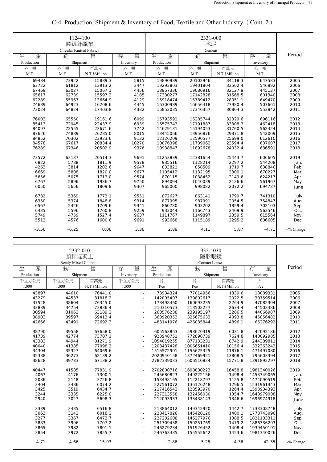|            | 1124-100<br>圓編針織布<br>Circular Knitted Fabrics |               |           |            |             |               |           |            |
|------------|-----------------------------------------------|---------------|-----------|------------|-------------|---------------|-----------|------------|
| 生<br>產     | 銷                                             | 售             | 存<br>量    | 生<br>產     | Cement<br>銷 | 售             | 量<br>存    | Period     |
| Production | Shipment                                      |               | Inventory | Production | Shipment    |               | Inventory |            |
| 公<br>噸     | 噸<br>公                                        | 百萬元           | 公<br>噸    | 噸<br>公     | 噸<br>公      | 百萬元           | 噸<br>公    |            |
| M.T.       | M.T.                                          | N.T.\$Million | M.T.      | M.T.       | M.T.        | N.T.\$Million | M.T.      |            |
| 69484      | 73922                                         | 15889.3       | 5815      | 19890989   | 20102946    | 34118.3       | 647583    | 2005       |
| 63722      | 61812                                         | 13913.2       | 3447      | 19293803   | 19401804    | 33502.4       | 546892    | 2006       |
| 67469      | 63027                                         | 15067.1       | 4456      | 18957336   | 19086916    | 32127.9       | 445137    | 2007       |
| 65617      | 62739                                         | 15597.2       | 4185      | 17330277   | 17142828    | 31568.5       | 601340    | 2008       |
| 62289      | 55967                                         | 13664.9       | 4129      | 15918474   | 15789412    | 28051.1       | 649470    | 2009       |
| 74689      | 64923                                         | 16208.6       | 4445      | 16300989   | 16656418    | 27980.4       | 507661    | 2010       |
| 73024      | 64824                                         | 17403.8       | 4382      | 16852035   | 17346357    | 30804.3       | 553842    | 2011       |
| 76003      | 65550                                         | 19161.6       | 6099      | 15793591   | 16285744    | 32329.6       | 696116    | 2012       |
| 85413      | 72945                                         | 22437.9       | 6939      | 16575743   | 17191887    | 33308.3       | 462418    | 2013       |
| 84097      | 72555                                         | 23671.6       | 7742      | 14629131   | 15194053    | 31760.5       | 562424    | 2014       |
| 87626      | 74889                                         | 26285.0       | 8015      | 13445066   | 13956876    | 29371.8       | 542069    | 2015       |
| 84852      | 70302                                         | 23923.6       | 9132      | 12126209   | 12590577    | 25699.0       | 612610    | 2016       |
| 84578      | 67617                                         | 20834.4       | 10270     | 10876398   | 11739062    | 23594.4       | 637607    | 2017       |
| 76289      | 67346                                         | 20502.9       | 9376      | 10938847   | 11892678    | 24032.4       | 636591    | 2018       |
|            |                                               |               |           |            |             |               |           |            |
| 73572      | 63137                                         | 20514.3       | 9691      | 11253839   | 12381654    | 25443.7       | 606605    | 2019       |
| 6822       | 5788                                          | 1811.9        | 9578      | 935516     | 1128214     | 2297.2        | 544208    | Jan.       |
| 4263       | 3814                                          | 1202.6        | 9647      | 833821     | 858509      | 1719.7        | 638846    | Feb.       |
| 6669       | 5808                                          | 1820.0        | 9677      | 1105412    | 1132195     | 2300.1        | 670227    | Mar.       |
| 5656       | 5075                                          | 1713.0        | 9574      | 870115     | 1038452     | 2149.6        | 624217    | Apr.       |
| 6767       | 5896                                          | 1936.7        | 9750      | 894094     | 1040039     | 2126.6        | 561967    | May        |
| 6050       | 5656                                          | 1809.8        | 9307      | 965000     | 998082      | 2072.2        | 694787    | June       |
| 6732       | 5369                                          | 1773.1        | 9551      | 872627     | 863141      | 1799.7        | 741310    | July       |
| 6350       | 5374                                          | 1848.8        | 9314      | 877995     | 987991      | 2054.5        | 754847    | Aug.       |
| 6567       | 5426                                          | 1709.6        | 9341      | 860780     | 903202      | 1859.4        | 702103    | Sep.       |
| 6435       | 5596                                          | 1760.8        | 9259      | 933044     | 1166743     | 2409.9        | 563546    | Oct.       |
| 5749       | 4759                                          | 1527.4        | 9637      | 1111767    | 1149897     | 2359.5        | 615564    | Nov.       |
| 5512       | 4576                                          | 1600.6        | 9691      | 993668     | 1115189     | 2295.2        | 606605    | Dec.       |
| $-3.56$    | $-6.25$                                       | 0.06          | 3.36      | 2.88       | 4.11        | 5.87          | $-4.71$   | +-% Change |

# C-4 Production, Shipment & Inventory of Food, Textile and Other Industry(Cont. 2)

|            | 2332-010<br>預拌混凝土<br>Ready-Mixed Concrete |               |                          |            |                            |               |            |            |
|------------|-------------------------------------------|---------------|--------------------------|------------|----------------------------|---------------|------------|------------|
| 產<br>生     | 銷                                         | 售             | 量<br>存                   | 生<br>產     | <b>Contact Lenses</b><br>銷 | 售             | 量<br>存     | Period     |
| Production | Shipment                                  |               | Inventory                | Production | Shipment                   |               | Inventory  |            |
| 千立方公尺      | 千立方公尺                                     | 百萬元           | 千立方公尺                    | 片          | 片                          | 百萬元           | 片          |            |
| 1,000      | 1,000                                     | N.T.\$Million | 1,000                    | Pce        | Pce                        | N.T.\$Million | Pce        |            |
| 43897      | 44610                                     | 76441.0       | $\omega$                 | 78934324   | 77014956                   | 1339.6        | 18089331   | 2005       |
| 43279      | 44537                                     | 81818.2       | $\sim$                   | 142005407  | 130802617                  | 2022.5        | 30759514   | 2006       |
| 37528      | 38604                                     | 76345.0       | $\overline{\phantom{a}}$ | 178498460  | 160693235                  | 2264.9        | 47082304   | 2007       |
| 33889      | 34754                                     | 73836.4       | $\sim$                   | 210310573  | 213502227                  | 2674.4        | 44503486   | 2008       |
| 30594      | 31062                                     | 63189.2       | $\sim$                   | 260576238  | 239195197                  | 3286.5        | 44066987   | 2009       |
| 38903      | 39597                                     | 69413.4       | $\sim$                   | 360920353  | 325675633                  | 4093.8        | 45056482   | 2010       |
| 42666      | 43491                                     | 72692.3       | $\sim$                   | 488141976  | 426035844                  | 4896.1        | 65276292   | 2011       |
| 38790      | 39558                                     | 67658.0       | $\sim$                   | 605563863  | 593620319                  | 6031.8        | 42092186   | 2012       |
| 41739      | 42774                                     | 73707.1       | $\sim$                   | 923948751  | 772898739                  | 7624.8        | 140092985  | 2013       |
| 43383      | 44944                                     | 81271.9       | ÷,                       | 1054019255 | 877133231                  | 8742.9        | 244389811  | 2014       |
| 40040      | 41385                                     | 77098.2       | ÷.                       | 1203437428 | 1006651410                 | 10156.4       | 332363243  | 2015       |
| 34304      | 35327                                     | 64069.6       | $\overline{\phantom{a}}$ | 1515572901 | 1155625325                 | 11876.1       | 471497080  | 2016       |
| 35388      | 36273                                     | 62139.2       | $\overline{\phantom{a}}$ | 2020940158 | 1372469921                 | 13808.5       | 795603394  | 2017       |
| 38628      | 39733                                     | 67138.2       |                          | 2782339033 | 1606510824                 | 15771.8       | 1391892297 | 2018       |
| 40447      | 41585                                     | 77831.9       | $\sim$                   | 2702800716 | 1690830223                 | 16458.8       | 1981340026 | 2019       |
| 4067       | 4176                                      | 7300.1        | $\overline{\phantom{a}}$ | 245680823  | 149222156                  | 1498.4        | 1453749065 | Jan.       |
| 2086       | 2148                                      | 3726.8        | $\sim$                   | 153498165  | 112218797                  | 1125.8        | 1474090519 | Feb.       |
| 3404       | 3486                                      | 6074.2        | $\overline{a}$           | 227561072  | 136126248                  | 1296.5        | 1531961343 | Mar.       |
| 3425       | 3519                                      | 6434.7        | ÷                        | 217416542  | 128593970                  | 1264.4        | 1593934393 | Apr.       |
| 3244       | 3335                                      | 6225.0        | $\sim$                   | 227313558  | 132456030                  | 1354.7        | 1648979008 | May        |
| 2940       | 3027                                      | 5698.3        | $\overline{a}$           | 212093953  | 133438143                  | 1346.6        | 1696974918 | June       |
| 3339       | 3435                                      | 6516.8        | $\overline{\phantom{a}}$ | 218864012  | 149342920                  | 1442.7        | 1733308748 | July       |
| 3063       | 3142                                      | 6018.2        | ÷                        | 228417826  | 145420120                  | 1400.1        | 1778743096 | Aug.       |
| 3277       | 3367                                      | 6473.7        | $\overline{\phantom{a}}$ | 227202608  | 146277976                  | 1388.5        | 1821103311 | Sep.       |
| 3883       | 3996                                      | 7707.2        | $\sim$                   | 251709438  | 150251769                  | 1479.2        | 1886336203 | Oct.       |
| 3865       | 3982                                      | 7801.1        | ÷                        | 246279234  | 151926452                  | 1408.4        | 1939450101 | Nov.       |
| 3854       | 3972                                      | 7855.7        | ä,                       | 246763485  | 155555642                  | 1453.6        | 1981340026 | Dec.       |
| 4.71       | 4.66                                      | 15.93         | $-1$                     | $-2.86$    | 5.25                       | 4.36          | 42.35      | +-% Change |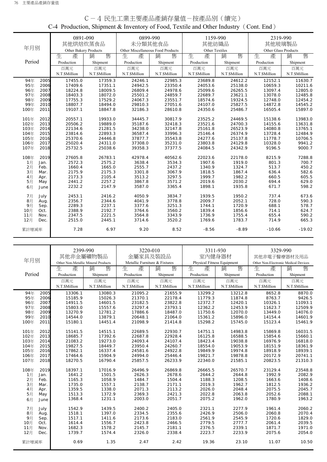|        |      | 0891-090              |               | 0899-990                          |               | 1159-990       |               | 2319-990             |               |
|--------|------|-----------------------|---------------|-----------------------------------|---------------|----------------|---------------|----------------------|---------------|
|        |      | 其他烘焙炊蒸食品              |               | 未分類其他食品                           |               | 其他紡織品          |               | 其他玻璃製品               |               |
| 年月別    |      | Other Bakery Products |               | Other Miscellaneous Food Products |               | Other Textiles |               | Other Glass Products |               |
|        |      | 生<br>產                | 售<br>銷        | 生<br>產                            | 售<br>銷        | 生<br>產         | 銷<br>售        | 生<br>產               | 售<br>銷        |
| Period |      | Production            | Shipment      | Production                        | Shipment      | Production     | Shipment      | Production           | Shipment      |
|        |      | 百萬元                   | 百萬元           | 百萬元                               | 百萬元           | 百萬元            | 百萬元           | 百萬元                  | 百萬元           |
|        |      | N.T.\$Million         | N.T.\$Million | N.T.\$Million                     | N.T.\$Million | N.T.\$Million  | N.T.\$Million | N.T.\$Million        | N.T.\$Million |
| 94年    | 2005 | 17455.0               | 17359.3       | 24246.1                           | 22985.3       | 23689.8        | 24612.2       | 12152.1              | 11630.7       |
| 95年    | 2006 | 17409.6               | 17351.1       | 24942.5                           | 23350.4       | 24053.6        | 25138.0       | 10659.3              | 10211.6       |
| 96年    | 2007 | 18224.8               | 18009.5       | 26809.4                           | 24978.6       | 25099.6        | 26265.5       | 13097.4              | 12805.0       |
| 97年    | 2008 | 18403.3               | 18072.0       | 25501.2                           | 24859.7       | 22689.7        | 23621.1       | 13078.0              | 12485.8       |
| 98年    | 2009 | 17755.3               | 17529.2       | 24067.3                           | 23551.7       | 18574.6        | 19324.5       | 12748.0              | 12454.2       |
| 99年    | 2010 | 18807.7               | 18494.0       | 29810.3                           | 27051.6       | 24107.0        | 25827.5       | 14872.8              | 14545.2       |
| 100年   | 2011 | 19107.1               | 18847.8       | 32186.3                           | 28610.8       | 24350.6        | 25486.7       | 16505.4              | 15897.0       |
|        |      |                       |               |                                   |               |                |               |                      |               |
| 101年   | 2012 | 20557.1               | 19933.0       | 34445.7                           | 30817.9       | 23525.2        | 24469.5       | 15138.6              | 13983.0       |
| 102年   | 2013 | 20506.2               | 19889.0       | 35187.6                           | 32418.3       | 23521.6        | 24700.3       | 14155.6              | 13631.8       |
| 103年   | 2014 | 22134.6               | 21281.5       | 34238.0                           | 32147.8       | 25161.8        | 26523.9       | 14080.8              | 13765.1       |
| 104年   | 2015 | 23814.6               | 22893.3       | 36587.4                           | 33996.3       | 25146.4        | 26374.9       | 13728.4              | 12484.9       |
| 105年   | 2016 | 25370.6               | 24446.8       | 37877.7                           | 35543.8       | 24277.6        | 25137.8       | 11778.7              | 10706.5       |
| 106年   | 2017 | 25020.4               | 24311.0       | 37308.0                           | 35231.0       | 23803.8        | 24129.8       | 10328.0              | 9941.2        |
| 107年   | 2018 | 25732.5               | 25038.6       | 39358.3                           | 37377.5       | 24084.5        | 24342.9       | 9196.5               | 9000.7        |
|        |      |                       |               |                                   |               |                |               |                      |               |
| 108年   | 2019 | 27605.8               | 26783.1       | 42978.4                           | 40562.6       | 22023.6        | 22178.0       | 8215.9               | 7288.8        |
| 1月     | Jan. | 2572.3                | 2575.2        | 3638.4                            | 3534.3        | 1907.6         | 1919.0        | 801.3                | 700.7         |
| 2月     | Feb. | 1660.4                | 1665.0        | 2555.7                            | 2437.2        | 1340.9         | 1324.7        | 513.7                | 450.2         |
| 3月     | Mar. | 2175.9                | 2175.3        | 3301.8                            | 3067.9        | 1818.5         | 1867.4        | 636.4                | 582.6         |
| 4月     | Apr. | 2173.3                | 2105.4        | 3513.2                            | 3297.5        | 1999.7         | 1982.2        | 660.5                | 605.5         |
| 5月     | May  | 2441.2                | 2257.2        | 3867.8                            | 3571.2        | 2019.6         | 2030.2        | 694.4                | 629.0         |
| 6月     | June | 2232.2                | 2147.9        | 3587.0                            | 3365.4        | 1898.1         | 1935.8        | 671.7                | 598.2         |
| 7月     | July | 2453.1                | 2416.2        | 4050.9                            | 3834.7        | 1939.5         | 1950.2        | 737.4                | 673.6         |
| 8月     | Aug. | 2356.7                | 2344.6        | 4041.9                            | 3778.8        | 2009.7         | 2052.1        | 728.0                | 590.3         |
| 9月     | Sep. | 2289.3                | 2237.1        | 3377.6                            | 3251.3        | 1744.1         | 1720.9        | 688.1                | 578.7         |
| 10月    | Oct. | 2388.9                | 2192.7        | 3764.6                            | 3560.2        | 1839.4         | 1856.6        | 714.1                | 624.7         |
| 11月    | Nov. | 2347.5                | 2221.5        | 3564.8                            | 3343.9        | 1736.9         | 1755.4        | 655.4                | 590.2         |
| 12月    | Dec. | 2515.0                | 2445.1        | 3714.6                            | 3520.2        | 1769.6         | 1783.7        | 714.9                | 665.3         |
|        |      |                       |               |                                   |               |                |               |                      |               |
| 累計增減率  |      | 7.28                  | 6.97          | 9.20                              | 8.52          | $-8.56$        | $-8.89$       | $-10.66$             | $-19.02$      |
|        |      |                       |               |                                   |               |                |               |                      |               |

# C-4 民生工業主要產品產銷存量值-按產品別(續完) C-4 Production, Shipment & Inventory of Food, Textile and Other Industry(Cont. End)

|          |              | 2399-990                            |                  |                               | 3220-010         | 3311-930                   |                  | 3329-990                             |                  |
|----------|--------------|-------------------------------------|------------------|-------------------------------|------------------|----------------------------|------------------|--------------------------------------|------------------|
|          |              | 其他非金屬礦物製品                           |                  |                               | 金屬家具及裝設品         | 室内健身器材                     |                  | 其他非電子醫療器材及用品                         |                  |
| 年月別      |              | Other Non-Metallic Mineral Products |                  | Metallic Furniture & Fixtures |                  | Physical Fitness Equipment |                  | Other Non-Electronic Medical Devices |                  |
|          |              | 生<br>產                              | 售<br>銷           | 生<br>產                        | 售<br>銷           | 生<br>產                     | 售<br>銷           | 生<br>產                               | 售<br>銷           |
| Period   |              | Production                          | Shipment         | Production                    | Shipment         | Production                 | Shipment         | Production                           | Shipment         |
|          |              | 百萬元                                 | 百萬元              | 百萬元                           | 百萬元              | 百萬元                        | 百萬元              | 百萬元                                  | 百萬元              |
|          |              | N.T.\$Million                       | N.T.\$Million    | N.T.\$Million                 | N.T.\$Million    | N.T.\$Million              | N.T.\$Million    | N.T.\$Million                        | N.T.\$Million    |
| 94年      | 2005         | 13306.1                             | 13080.3          | 21095.2                       | 21655.9          | 13299.2                    | 13212.8          | 8652.8                               | 8870.0           |
| 95年      | 2006         | 15185.9                             | 15026.3          | 21370.1                       | 22178.4          | 11779.3                    | 11874.8          | 8763.7                               | 9426.5           |
| 96年      | 2007         | 14911.5                             | 14601.5          | 23182.5                       | 23822.8          | 12372.7                    | 12420.1          | 10326.1                              | 11093.1          |
| 97年      | 2008         | 15803.0                             | 15557.6          | 23297.4                       | 23793.1          | 12362.2                    | 12453.9          | 11623.7                              | 12509.9          |
| 98年      | 2009         | 13270.9                             | 12781.2          | 17886.6                       | 18487.0          | 11750.6                    | 12070.0          | 13449.0                              | 14076.0          |
| 99年      | 2010         | 14544.0                             | 13879.1          | 20648.1                       | 21064.0          | 15361.2                    | 15896.0          | 14154.4                              | 14601.9          |
| 100年     | 2011         | 15180.1                             | 14451.4          | 21098.9                       | 21414.8          | 15298.2                    | 15745.0          | 15123.4                              | 15461.9          |
| 101年     | 2012         | 15141.5                             | 14515.1          | 22689.5                       | 22930.7          | 14751.1                    | 14983.8          | 15869.8                              | 16031.5          |
| 102年     | 2013         | 18685.7                             | 17392.6          | 22687.8                       | 22928.4          | 16125.8                    | 16588.5          | 15854.6                              | 15660.1          |
| 103年     | 2014         | 21083.2                             | 19273.0          | 24093.4                       | 24107.4          | 18423.4                    | 19038.8          | 16976.9                              | 16818.0          |
| 104年     | 2015         | 19827.5                             | 18449.7          | 23950.4                       | 24260.7          | 18554.0                    | 19053.9          | 18151.9                              | 18361.9          |
| 105年     | 2016         | 17862.1                             | 16337.4          | 24581.6                       | 24922.8          | 19849.9                    | 19974.8          | 18918.9                              | 18939.1          |
| 106年     | 2017         | 17464.6                             | 15904.9          | 24994.0                       | 25446.4          | 19821.7                    | 19878.8          | 20172.9                              | 20741.1          |
| 107年     | 2018         | 18270.5                             | 16790.4          | 25857.5                       | 26233.9          | 22340.0                    | 21585.1          | 20823.5                              | 21310.3          |
|          |              |                                     |                  |                               |                  |                            |                  |                                      |                  |
| 108年     | 2019         | 18397.1                             | 17016.9          | 26496.9                       | 26869.8          | 26665.5                    | 26570.7          | 23129.4                              | 23548.8          |
| 1月       | Jan.         | 1641.2                              | 1501.5<br>1058.9 | 2626.3<br>1484.7              | 2678.6<br>1504.4 | 2644.2<br>1188.3           | 2644.8<br>1208.5 | 1992.9                               | 2082.9<br>1408.6 |
| 2月<br>3月 | Feb.<br>Mar. | 1165.3<br>1735.0                    | 1557.1           | 2138.7                        | 2171.1           | 2019.3                     | 1962.7           | 1663.6<br>1812.5                     | 1936.2           |
|          |              | 1359.5                              | 1338.0           | 2071.3                        | 2113.2           | 2026.0                     | 2048.4           | 2075.5                               | 2045.7           |
| 4月<br>5月 | Apr.<br>May  | 1513.3                              | 1372.9           | 2369.3                        | 2421.3           | 2022.8                     | 2063.8           | 2052.6                               | 2088.1           |
|          |              | 1368.4                              | 1231.1           | 2003.0                        | 2051.7           | 2075.2                     | 1962.0           | 1780.9                               | 1963.2           |
| 6月       | June         |                                     |                  |                               |                  |                            |                  |                                      |                  |
| 7月       | July         | 1542.9                              | 1439.5           | 2400.2                        | 2405.0           | 2321.1                     | 2277.9           | 1961.4                               | 2060.2           |
| 8月       | Aug.         | 1518.1                              | 1397.0           | 2334.5                        | 2355.6           | 2426.9                     | 2506.0           | 2060.8                               | 2070.4           |
| 9月       | Sep.         | 1517.1                              | 1411.6           | 2173.6                        | 2183.0           | 2561.9                     | 2545.9           | 1720.6                               | 1829.0           |
| 10月      | Oct.         | 1614.4                              | 1556.7           | 2423.8                        | 2466.5           | 2779.5                     | 2777.7           | 2061.4                               | 2039.5           |
| 11月      | Nov.         | 1682.3                              | 1578.2           | 2145.7                        | 2181.1           | 2376.5                     | 2339.1           | 1871.7                               | 1971.0           |
| 12月      | Dec.         | 1739.7                              | 1574.4           | 2326.0                        | 2338.4           | 2223.7                     | 2233.9           | 2075.6                               | 2054.0           |
| 累計增減率    |              | 0.69                                | 1.35             | 2.47                          | 2.42             | 19.36                      | 23.10            | 11.07                                | 10.50            |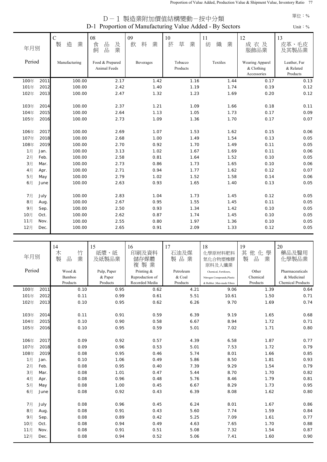| D-1 Proportion of Manufacturing Value Added - By Sectors |      |                            |                                 |                   |                       |                   |                                              |                                       |  |  |
|----------------------------------------------------------|------|----------------------------|---------------------------------|-------------------|-----------------------|-------------------|----------------------------------------------|---------------------------------------|--|--|
| 年月別                                                      |      | $\mathbf C$<br>造<br>業<br>製 | 08<br>品<br>及業<br>食<br>品<br>飼    | 09<br>料<br>業<br>飲 | $10\,$<br>菸<br>草<br>業 | 11<br>織<br>業<br>紡 | 12<br>成衣及<br>服飾品業                            | 13<br>皮革、毛皮<br>及其製品業                  |  |  |
| Period                                                   |      | Manufacturing              | Food & Prepared<br>Animal Feeds | Beverages         | Tobacco<br>Products   | Textiles          | Wearing Apparel<br>& Clothing<br>Accessories | Leather, Fur<br>& Related<br>Products |  |  |
| 100年                                                     | 2011 | 100.00                     | 2.17                            | 1.42              | 1.16                  | 1.44              | 0.17                                         | 0.13                                  |  |  |
| 101年                                                     | 2012 | 100.00                     | 2.42                            | 1.40              | 1.19                  | 1.74              | 0.19                                         | 0.12                                  |  |  |
| 102年                                                     | 2013 | 100.00                     | 2.47                            | 1.32              | 1.23                  | 1.69              | 0.20                                         | 0.12                                  |  |  |
| 103年                                                     | 2014 | 100.00                     | 2.37                            | 1.21              | 1.09                  | 1.66              | 0.18                                         | 0.11                                  |  |  |
| 104年                                                     | 2015 | 100.00                     | 2.64                            | 1.13              | 1.05                  | 1.73              | 0.17                                         | 0.09                                  |  |  |
| 105年                                                     | 2016 | 100.00                     | 2.73                            | 1.09              | 1.36                  | 1.70              | 0.17                                         | 0.07                                  |  |  |
| 106年                                                     | 2017 | 100.00                     | 2.69                            | 1.07              | 1.53                  | 1.62              | 0.15                                         | 0.06                                  |  |  |
| 107年                                                     | 2018 | 100.00                     | 2.68                            | 1.00              | 1.49                  | 1.54              | 0.13                                         | 0.05                                  |  |  |
| 108年                                                     | 2019 | 100.00                     | 2.70                            | 0.92              | 1.70                  | 1.49              | 0.11                                         | 0.05                                  |  |  |
| 1月                                                       | Jan. | 100.00                     | 3.13                            | 1.02              | 1.67                  | 1.69              | 0.11                                         | 0.06                                  |  |  |
| 2月                                                       | Feb. | 100.00                     | 2.58                            | 0.81              | 1.64                  | 1.52              | 0.10                                         | 0.05                                  |  |  |
| 3月                                                       | Mar. | 100.00                     | 2.73                            | 0.86              | 1.73                  | 1.65              | 0.10                                         | 0.06                                  |  |  |
| 4月                                                       | Apr. | 100.00                     | 2.71                            | 0.94              | 1.77                  | 1.62              | 0.12                                         | 0.07                                  |  |  |
| 5月                                                       | May  | 100.00                     | 2.79                            | 1.02              | 1.52                  | 1.58              | 0.14                                         | 0.06                                  |  |  |
| 6月                                                       | June | 100.00                     | 2.63                            | 0.93              | 1.65                  | 1.40              | 0.13                                         | 0.05                                  |  |  |
| 7月                                                       | July | 100.00                     | 2.83                            | 1.04              | 1.73                  | 1.45              | 0.12                                         | 0.05                                  |  |  |
| 8月                                                       | Aug. | 100.00                     | 2.67                            | 0.95              | 1.55                  | 1.45              | 0.11                                         | 0.05                                  |  |  |
| 9月                                                       | Sep. | 100.00                     | 2.50                            | 0.93              | 1.34                  | 1.42              | 0.10                                         | 0.05                                  |  |  |
| 10月                                                      | Oct. | 100.00                     | 2.62                            | 0.87              | 1.74                  | 1.45              | 0.10                                         | 0.05                                  |  |  |
| 11月                                                      | Nov. | 100.00                     | 2.55                            | 0.80              | 1.97                  | 1.36              | 0.10                                         | 0.05                                  |  |  |
| 12月                                                      | Dec. | 100.00                     | 2.65                            | 0.91              | 2.09                  | 1.33              | 0.12                                         | 0.05                                  |  |  |

D-1 製造業附加價值結構變動-按中分類

| 年月別          |              | 14<br>竹<br>木<br>製<br>業<br>品 | 15<br>紙漿、紙<br>及紙製品業 | 16<br>印刷及資料<br>儲存媒體<br>製業<br>複 | 17<br>石油及煤<br>製品業 | 18<br>化學原材料肥料<br>氮化合物塑橡膠<br>原料及人纖業 | 19<br>其<br>他化<br>學<br>製<br>品<br>業 | 20<br>藥品及醫用<br>化學製品業     |
|--------------|--------------|-----------------------------|---------------------|--------------------------------|-------------------|------------------------------------|-----------------------------------|--------------------------|
| Period       |              | Wood &                      | Pulp, Paper         | Printing &                     | Petroleum         | Chemical, Fertilizers,             | Other                             | Pharmaceuticals          |
|              |              | Bamboo                      | & Paper             | Reproduction of                | & Coal            | Nitrogen Compounds, Plastic        | Chemical                          | & Medicinal              |
|              |              | Products                    | Products            | Recorded Media                 | Products          | & Rubber , Man-made Fibres         | Products                          | <b>Chemical Products</b> |
| 100年         | 2011         | 0.10                        | 0.95                | 0.62                           | 4.21              | 9.06                               | 1.39                              | 0.64                     |
| 101年         | 2012         | 0.11                        | 0.99                | 0.61                           | 5.51              | 10.61                              | 1.50                              | 0.71                     |
| 102年         | 2013         | 0.10                        | 0.95                | 0.62                           | 6.26              | 9.70                               | 1.69                              | 0.74                     |
|              |              |                             |                     |                                |                   |                                    |                                   |                          |
| 103年<br>104年 | 2014<br>2015 | 0.11<br>0.10                | 0.91<br>0.90        | 0.59<br>0.58                   | 6.39<br>6.67      | 9.19<br>8.94                       | 1.65<br>1.72                      | 0.68<br>0.71             |
| 105年         | 2016         | 0.10                        | 0.95                | 0.59                           | 5.01              | 7.02                               | 1.71                              | 0.80                     |
|              |              |                             |                     |                                |                   |                                    |                                   |                          |
| 106年         | 2017         | 0.09                        | 0.92                | 0.57                           | 4.39              | 6.58                               | 1.87                              | 0.77                     |
| 107年         | 2018         | 0.09                        | 0.96                | 0.53                           | 5.01              | 7.53                               | 1.72                              | 0.79                     |
| 108年         | 2019         | 0.08                        | 0.95                | 0.46                           | 5.74              | 8.01                               | 1.66                              | 0.85                     |
| 1月           | Jan.         | 0.10                        | 1.06                | 0.49                           | 5.86              | 8.50                               | 1.81                              | 0.93                     |
| 2月           | Feb.         | 0.08                        | 0.95                | 0.40                           | 7.39              | 9.29                               | 1.54                              | 0.79                     |
| 3月           | Mar.         | 0.08                        | 1.01                | 0.47                           | 5.44              | 8.70                               | 1.70                              | 0.82                     |
| 4月           | Apr.         | 0.08                        | 0.96                | 0.48                           | 5.76              | 8.46                               | 1.79                              | 0.81                     |
| 5月           | May          | 0.08                        | 1.00                | 0.45                           | 6.67              | 8.29                               | 1.73                              | 0.95                     |
| 6月           | June         | 0.08                        | 0.92                | 0.43                           | 6.39              | 8.08                               | 1.62                              | 0.80                     |
|              |              |                             |                     |                                |                   |                                    |                                   |                          |
| 7月           | July         | 0.08                        | 0.96                | 0.45                           | 6.24              | 8.01                               | 1.67                              | 0.86                     |
| 8月           | Aug.         | 0.08                        | 0.91                | 0.43                           | 5.60              | 7.74                               | 1.59                              | 0.84                     |
| 9月           | Sep.         | 0.08                        | 0.89                | 0.42                           | 5.25              | 7.09                               | 1.61                              | 0.77                     |
| 10月          | Oct.         | 0.08                        | 0.94                | 0.49                           | 4.63              | 7.65                               | 1.70                              | 0.88                     |
| 11月          | Nov.         | 0.08                        | 0.91                | 0.51                           | 5.08              | 7.32                               | 1.54                              | 0.87                     |
| 12月          | Dec.         | 0.08                        | 0.94                | 0.52                           | 5.06              | 7.41                               | 1.60                              | 0.90                     |

## 單位:%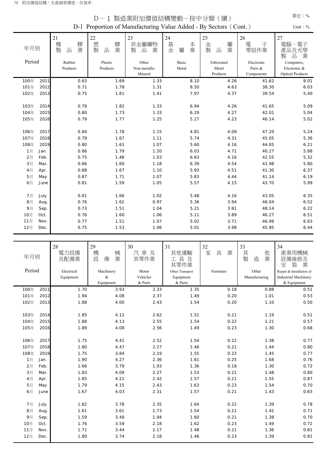| D-1 Proportion of Manufacturing Value Added - By Sectors (Cont.)<br>Unit: $\%$ |      |                               |                                |                                                            |                                  |                                       |                                    |                                                      |  |  |  |
|--------------------------------------------------------------------------------|------|-------------------------------|--------------------------------|------------------------------------------------------------|----------------------------------|---------------------------------------|------------------------------------|------------------------------------------------------|--|--|--|
| 年月別<br>Period                                                                  |      | 21<br>膠業<br>橡製<br>品<br>Rubber | 22<br>塑製<br>膠業<br>品<br>Plastic | 23<br>非金屬礦物<br>$\frac{\Box}{\Box \Box}$<br>製<br>業<br>Other | 24<br>本業<br>基<br>金<br>屬<br>Basic | 25<br>金<br>屬業<br>製<br>品<br>Fabricated | 26<br>電<br>子<br>零組件業<br>Electronic | 27<br>電子<br>電腦<br>產品及光學<br>品<br>業<br>製<br>Computers, |  |  |  |
|                                                                                |      | Products                      | Products                       | Non-metallic                                               | Metal                            | Metal                                 | Parts &                            | Electronic &                                         |  |  |  |
|                                                                                |      |                               |                                | Mineral                                                    |                                  | Products                              | Components                         | <b>Optical Products</b>                              |  |  |  |
| 100年                                                                           | 2011 | 0.63                          | 1.69                           | 1.33                                                       | 8.10                             | 4.26                                  | 41.62                              | 8.01                                                 |  |  |  |
| 101年                                                                           | 2012 | 0.71                          | 1.78                           | 1.31                                                       | 8.50                             | 4.63                                  | 38.30                              | 6.03                                                 |  |  |  |
| 102年                                                                           | 2013 | 0.75                          | 1.81                           | 1.41                                                       | 7.97                             | 4.37                                  | 39.54                              | 5.40                                                 |  |  |  |
| 103年                                                                           | 2014 | 0.78                          | 1.82                           | 1.33                                                       | 6.94                             | 4.26                                  | 41.65                              | 5.09                                                 |  |  |  |
| 104年                                                                           | 2015 | 0.80                          | 1.73                           | 1.33                                                       | 6.29                             | 4.27                                  | 42.01                              | 5.04                                                 |  |  |  |
| 105年                                                                           | 2016 | 0.79                          | 1.77                           | 1.25                                                       | 5.27                             | 4.23                                  | 46.14                              | 5.02                                                 |  |  |  |
| 106年                                                                           | 2017 | 0.84                          | 1.78                           | 1.15                                                       | 4.81                             | 4.09                                  | 47.20                              | 5.24                                                 |  |  |  |
| 107年                                                                           | 2018 | 0.79                          | 1.67                           | 1.11                                                       | 5.74                             | 4.31                                  | 45.05                              | 5.36                                                 |  |  |  |
| 108年                                                                           | 2019 | 0.80                          | 1.61                           | 1.07                                                       | 5.60                             | 4.16                                  | 44.05                              | 6.21                                                 |  |  |  |
| 1月                                                                             | Jan. | 0.86                          | 1.79                           | 1.20                                                       | 6.03                             | 4.71                                  | 40.27                              | 5.88                                                 |  |  |  |
| 2月                                                                             | Feb. | 0.75                          | 1.48                           | 1.03                                                       | 6.63                             | 4.16                                  | 42.55                              | 5.32                                                 |  |  |  |
| 3月                                                                             | Mar. | 0.86                          | 1.69                           | 1.18                                                       | 6.39                             | 4.54                                  | 41.98                              | 5.80                                                 |  |  |  |
| 4月                                                                             | Apr. | 0.88                          | 1.67                           | 1.10                                                       | 5.93                             | 4.51                                  | 41.30                              | 6.37                                                 |  |  |  |
| 5月                                                                             | May  | 0.87                          | 1.71                           | 1.07                                                       | 5.83                             | 4.44                                  | 41.14                              | 6.19                                                 |  |  |  |
| 6月                                                                             | June | 0.81                          | 1.59                           | 1.05                                                       | 5.57                             | 4.15                                  | 43.70                              | 5.99                                                 |  |  |  |
| 7月                                                                             | July | 0.81                          | 1.66                           | 1.02                                                       | 5.48                             | 4.16                                  | 43.05                              | 6.35                                                 |  |  |  |
| 8月                                                                             | Aug. | 0.76                          | 1.62                           | 0.97                                                       | 5.36                             | 3.94                                  | 46.04                              | 6.52                                                 |  |  |  |
| 9月                                                                             | Sep. | 0.73                          | 1.51                           | 1.04                                                       | 5.21                             | 3.81                                  | 48.14                              | 6.22                                                 |  |  |  |
| 10月                                                                            | Oct. | 0.76                          | 1.60                           | 1.06                                                       | 5.11                             | 3.89                                  | 46.27                              | 6.51                                                 |  |  |  |
| 11月                                                                            | Nov. | 0.77                          | 1.51                           | 1.07                                                       | 5.02                             | 3.71                                  | 46.99                              | 6.63                                                 |  |  |  |
| 12月                                                                            | Dec. | 0.75                          | 1.53                           | 1.06                                                       | 5.01                             | 3.98                                  | 45.95                              | 6.44                                                 |  |  |  |

D-1 製造業附加價值結構變動-按中分類(續)

|          |              | 28           | 29                    | 30           | 31                  | 32           | 33                    | 34                            |
|----------|--------------|--------------|-----------------------|--------------|---------------------|--------------|-----------------------|-------------------------------|
| 年月別      |              | 電力設備<br>及配備業 | 機<br>械<br>業<br>設<br>備 | 汽車及<br>其零件業  | 其他運輸<br>工具及<br>其零件業 | 具<br>家<br>業  | 其<br>他<br>製<br>業<br>造 | 產業用機械<br>設備維修及<br>業<br>装<br>安 |
| Period   |              | Electrical   | Machinery             | Motor        | Other Transport     | Furniture    | Other                 | Repair & Installation of      |
|          |              | Equipment    | $\&$                  | Vehicles     | Equipment           |              | Manufacturing         | <b>Industrial Machinery</b>   |
|          |              |              | Equipment             | & Parts      | & Parts             |              |                       | & Equipment                   |
| 100年     | 2011         | 1.70         | 3.93                  | 2.33         | 1.35                | 0.18         | 0.88                  | 0.51                          |
| 101年     | 2012         | 1.94         | 4.08                  | 2.37         | 1.49                | 0.20         | 1.01                  | 0.53                          |
| 102年     | 2013         | 1.88         | 4.00                  | 2.43         | 1.54                | 0.20         | 1.10                  | 0.50                          |
|          |              |              |                       |              |                     |              |                       |                               |
| 103年     | 2014         | 1.85         | 4.12                  | 2.62         | 1.51                | 0.21         | 1.19                  | 0.51                          |
| 104年     | 2015         | 1.88         | 4.13                  | 2.55         | 1.54                | 0.22         | 1.21                  | 0.57                          |
| 105年     | 2016         | 1.89         | 4.08                  | 2.56         | 1.49                | 0.23         | 1.30                  | 0.68                          |
|          |              |              |                       |              |                     |              |                       |                               |
| 106年     | 2017         | 1.75         | 4.41                  | 2.52         | 1.54                | 0.22         | 1.38                  | 0.77                          |
| 107年     | 2018         | 1.80         | 4.47                  | 2.27         | 1.46                | 0.21         | 1.44                  | 0.80                          |
| 108年     | 2019         | 1.75<br>1.90 | 3.84<br>4.27          | 2.19<br>2.36 | 1.55<br>1.61        | 0.22<br>0.25 | 1.45<br>1.68          | 0.77                          |
| 1月       | Jan.         |              |                       | 1.93         | 1.36                | 0.18         |                       | 0.76<br>0.72                  |
| 2月       | Feb.<br>Mar. | 1.66         | 3.79<br>4.09          | 2.27         | 1.53                | 0.21         | 1.30<br>1.48          | 0.80                          |
| 3月<br>4月 | Apr.         | 1.83<br>1.85 | 4.21                  | 2.42         | 1.57                | 0.21         | 1.55                  | 0.87                          |
| 5月       | May          | 1.79         | 4.15                  | 2.43         | 1.63                | 0.23         | 1.54                  | 0.70                          |
| 6月       | June         | 1.67         | 4.03                  | 2.31         | 1.57                | 0.21         | 1.43                  | 0.83                          |
|          |              |              |                       |              |                     |              |                       |                               |
| 7月       | July         | 1.82         | 3.78                  | 2.35         | 1.64                | 0.22         | 1.39                  | 0.78                          |
| 8月       | Aug.         | 1.61         | 3.61                  | 1.73         | 1.54                | 0.21         | 1.42                  | 0.71                          |
| 9月       | Sep.         | 1.59         | 3.48                  | 1.94         | 1.60                | 0.21         | 1.38                  | 0.70                          |
| 10月      | Oct.         | 1.76         | 3.59                  | 2.18         | 1.62                | 0.23         | 1.49                  | 0.72                          |
| 11月      | Nov.         | 1.71         | 3.44                  | 2.17         | 1.48                | 0.21         | 1.36                  | 0.81                          |
| 12月      | Dec.         | 1.80         | 3.74                  | 2.18         | 1.46                | 0.23         | 1.39                  | 0.81                          |
|          |              |              |                       |              |                     |              |                       |                               |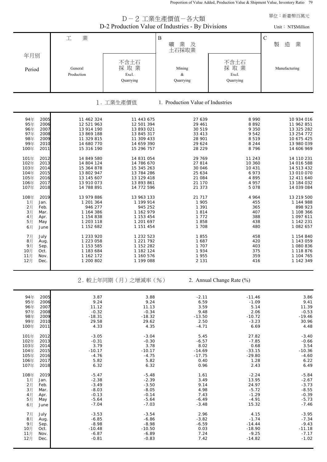Proportion of Value Added, Production Value & Shipment Value, Inventory Ratio 79

|                                                                                                              |                                                                                                |                                                                                                | D-2 工業生產價值-各大類<br>D-2 Production Value of Industries - By Divisions |                                                                        | 單位:新臺幣百萬元<br>Unit: NT\$Million                                                                 |
|--------------------------------------------------------------------------------------------------------------|------------------------------------------------------------------------------------------------|------------------------------------------------------------------------------------------------|---------------------------------------------------------------------|------------------------------------------------------------------------|------------------------------------------------------------------------------------------------|
|                                                                                                              | 業<br>工                                                                                         |                                                                                                | $\, {\bf B}$<br>礦<br>業<br>及<br>土石採取業                                |                                                                        | $\mathbf C$<br>製<br>造<br>業                                                                     |
| 年月別<br>Period                                                                                                | General<br>Production                                                                          | 不含土石<br>採取業<br>Excl.<br>Quarrying                                                              | Mining<br>&<br>Quarrying                                            | 不含土石<br>採取業<br>Excl.<br>Quarrying                                      | Manufacturing                                                                                  |
|                                                                                                              |                                                                                                | 1. 工業生產價值                                                                                      | 1. Production Value of Industries                                   |                                                                        |                                                                                                |
| 94年<br>2005<br>95年<br>2006<br>96年<br>2007<br>97年<br>2008<br>98年<br>2009<br>99年<br>2010<br>100年<br>2011       | 11 462 324<br>12 521 963<br>13 914 190<br>13 869 188<br>11 329 815<br>14 680 770<br>15 316 190 | 11 443 675<br>12 501 394<br>13 893 021<br>13 845 317<br>11 309 433<br>14 659 390<br>15 296 757 | 27 639<br>29 461<br>30 519<br>33 413<br>28 901<br>29 624<br>28 229  | 8 9 9 0<br>8892<br>9 3 5 0<br>9 5 4 2<br>8519<br>8 2 4 4<br>8796       | 10 934 016<br>11 962 851<br>13 325 282<br>13 254 772<br>10 675 425<br>13 980 039<br>14 606 969 |
| 101年<br>2012<br>102年<br>2013<br>103年<br>2014<br>104年<br>2015<br>105年<br>2016<br>106年<br>2017<br>107年<br>2018 | 14 849 580<br>14 804 124<br>15 364 878<br>13 802 947<br>13 145 607<br>13 910 073<br>14 788 891 | 14 831 054<br>14 786 670<br>15 345 263<br>13 784 286<br>13 129 418<br>13 893 861<br>14 772 596 | 29 769<br>27 814<br>30 046<br>25 634<br>21 084<br>21 170<br>21 373  | 11 243<br>10 360<br>10 431<br>6 9 7 3<br>4 8 9 5<br>4 9 5 7<br>5 0 7 8 | 14 110 231<br>14 016 588<br>14 513 432<br>13 010 070<br>12 411 640<br>13 184 032<br>14 039 084 |
| 108年<br>2019<br>1月<br>Jan.<br>2月<br>Feb.<br>3月<br>Mar.<br>4月<br>Apr.<br>5月<br>May<br>6月<br>June              | 13 979 886<br>1 201 364<br>946 277<br>1 164 386<br>1 154 838<br>1 203 118<br>1 152 682         | 13 963 133<br>1 199 914<br>945 252<br>1 162 979<br>1 153 454<br>1 201 697<br>1 151 454         | 21 717<br>1 905<br>1 3 9 1<br>1814<br>1 7 7 2<br>1858<br>1 708      | 4 964<br>455<br>365<br>407<br>388<br>438<br>480                        | 13 219 500<br>1 144 988<br>898 923<br>1 108 366<br>1 097 611<br>1 142 231<br>1 082 657         |
| 7月<br>July<br>8月<br>Aug.<br>9月<br>Sep.<br>10月<br>Oct.<br>11月<br>Nov.<br>12月<br>Dec.                          | 1 233 920<br>1 223 058<br>1 153 585<br>1 183 684<br>1 162 172<br>1 200 802                     | 1 232 523<br>1 221 792<br>1 152 282<br>1 182 124<br>1 160 576<br>1 199 088                     | 1855<br>1687<br>1 707<br>1934<br>1955<br>2 1 3 1                    | 458<br>420<br>403<br>375<br>359<br>416                                 | 1 154 840<br>1 143 059<br>1 080 836<br>1 118 876<br>1 104 765<br>1 142 349                     |
|                                                                                                              |                                                                                                | 2. 較上年同期(月)之增減率(%)                                                                             |                                                                     | 2. Annual Change Rate (%)                                              |                                                                                                |
| 94年<br>2005<br>95年<br>2006<br>96年<br>2007<br>97年<br>2008<br>98年<br>2009<br>99年<br>2010<br>100年<br>2011       | 3.87<br>9.24<br>11.12<br>$-0.32$<br>$-18.31$<br>29.58<br>4.33                                  | 3.88<br>9.24<br>11.13<br>$-0.34$<br>$-18.32$<br>29.62<br>4.35                                  | $-2.11$<br>6.59<br>3.59<br>9.48<br>$-13.50$<br>2.50<br>$-4.71$      | $-11.46$<br>$-1.09$<br>5.14<br>2.06<br>$-10.72$<br>$-3.23$<br>6.69     | 3.86<br>9.41<br>11.39<br>$-0.53$<br>$-19.46$<br>30.96<br>4.48                                  |
| 101年<br>2012<br>102年<br>2013<br>103年<br>2014<br>104年<br>2015<br>105年<br>2016<br>106年<br>2017<br>107年<br>2018 | $-3.05$<br>$-0.31$<br>3.79<br>$-10.17$<br>$-4.76$<br>5.82<br>6.32                              | $-3.04$<br>$-0.30$<br>3.78<br>$-10.17$<br>$-4.75$<br>5.82<br>6.32                              | 5.45<br>$-6.57$<br>8.02<br>$-14.69$<br>$-17.75$<br>0.40<br>0.96     | 27.82<br>$-7.85$<br>0.68<br>$-33.15$<br>$-29.80$<br>1.28<br>2.43       | $-3.40$<br>$-0.66$<br>3.54<br>$-10.36$<br>$-4.60$<br>6.22<br>6.49                              |
| 108年<br>2019<br>1月<br>Jan.<br>2月<br>Feb.<br>3 <sub>月</sub><br>Mar.<br>4月<br>Apr.<br>5月<br>May<br>6月<br>June  | $-5.47$<br>$-2.38$<br>$-3.49$<br>$-8.03$<br>$-0.13$<br>$-5.64$<br>$-7.04$                      | $-5.48$<br>$-2.39$<br>$-3.50$<br>$-8.05$<br>$-0.14$<br>$-5.64$<br>$-7.03$                      | 1.61<br>3.49<br>9.14<br>4.98<br>7.43<br>$-6.49$<br>$-3.48$          | $-2.24$<br>13.95<br>24.97<br>$-5.72$<br>$-1.29$<br>$-4.91$<br>15.32    | $-5.84$<br>$-2.67$<br>$-3.73$<br>$-8.55$<br>$-0.39$<br>$-5.73$<br>$-7.46$                      |
| 7月<br>July<br>8月<br>Aug.<br>9月<br>Sep.<br>10月<br>Oct.<br>11月<br>Nov.<br>12月<br>Dec.                          | $-3.53$<br>$-6.85$<br>$-8.98$<br>$-10.48$<br>$-6.87$<br>$-0.81$                                | $-3.54$<br>$-6.86$<br>$-8.98$<br>$-10.50$<br>$-6.89$<br>$-0.83$                                | 2.96<br>$-3.82$<br>$-6.59$<br>0.03<br>7.24<br>7.42                  | 4.15<br>$-1.74$<br>$-14.44$<br>$-18.90$<br>$-9.25$<br>$-14.82$         | $-3.95$<br>$-7.34$<br>$-9.43$<br>$-11.18$<br>$-7.17$<br>$-1.02$                                |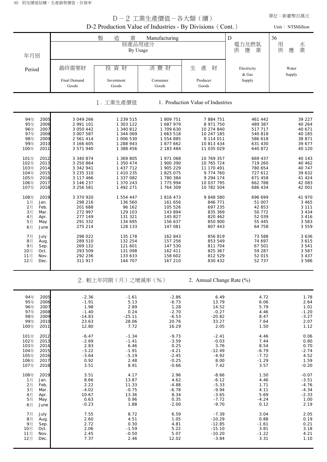80 附加價值結構、生產銷售價值、存貨率

|                              | 單位:新臺幣百萬元<br>D-2 工業生產價值-各大類 ( 續)<br>D-2 Production Value of Industries - By Divisions (Cont.) |                        |                        |                                   |                    |                    |  |  |  |  |  |  |  |
|------------------------------|-----------------------------------------------------------------------------------------------|------------------------|------------------------|-----------------------------------|--------------------|--------------------|--|--|--|--|--|--|--|
|                              |                                                                                               |                        |                        |                                   |                    | Unit: NT\$Million  |  |  |  |  |  |  |  |
|                              |                                                                                               | 製<br>造<br>業<br>按產品用途分  | Manufacturing          |                                   | D<br>電力及燃氣         | 36<br>用<br>水業      |  |  |  |  |  |  |  |
| 年月別                          |                                                                                               | By Usage               |                        |                                   | 應<br>業<br>供        | 供<br>應             |  |  |  |  |  |  |  |
| Period                       | 最終需要財                                                                                         | 投資財                    | 消費財                    | 產<br>生<br>財                       | Electricity        | Water              |  |  |  |  |  |  |  |
|                              | Final Demand                                                                                  | Investment             | Consumer               | Producer                          | & Gas<br>Supply    | Supply             |  |  |  |  |  |  |  |
|                              | Goods                                                                                         | Goods                  | Goods                  | Goods                             |                    |                    |  |  |  |  |  |  |  |
|                              |                                                                                               | 1. 工業生產價值              |                        | 1. Production Value of Industries |                    |                    |  |  |  |  |  |  |  |
| 94年<br>2005<br>95年<br>2006   | 3 049 266<br>2 991 101                                                                        | 1 239 515<br>1 303 122 | 1 809 751<br>1 687 979 | 7 884 751<br>8 971 750            | 461 442<br>489 387 | 39 227<br>40 264   |  |  |  |  |  |  |  |
| 96年<br>2007<br>97年<br>2008   | 3 050 442<br>3 007 587                                                                        | 1 340 812<br>1 344 069 | 1 709 630<br>1 663 518 | 10 274 840<br>10 247 185          | 517 717<br>540 818 | 40 671<br>40 185   |  |  |  |  |  |  |  |
| 98年<br>2009<br>99年<br>2010   | 2 561 414<br>3 166 605                                                                        | 1 006 530<br>1 288 943 | 1 554 885<br>1877662   | 8 114 011<br>10 813 434           | 586 618<br>631 430 | 38 871<br>39 677   |  |  |  |  |  |  |  |
| 100年<br>2011                 | 3 571 940                                                                                     | 1 388 456              | 2 183 484              | 11 035 029                        | 640 872            | 40 120             |  |  |  |  |  |  |  |
| 101年<br>2012<br>102年<br>2013 | 3 340 874<br>3 250 864                                                                        | 1 369 805<br>1 350 474 | 1 971 068<br>1 900 390 | 10 769 357<br>10 765 724          | 669 437<br>719 260 | 40 143<br>40 4 62  |  |  |  |  |  |  |  |
| 2014<br>103年<br>104年<br>2015 | 3 342 941<br>3 235 310                                                                        | 1 437 712<br>1 410 235 | 1 905 229<br>1 825 075 | 11 170 491<br>9 774 760           | 780 654<br>727 612 | 40 747<br>39 632   |  |  |  |  |  |  |  |
| 105年<br>2016<br>106年<br>2017 | 3 117 466<br>3 146 237                                                                        | 1 337 082<br>1 370 243 | 1 780 384<br>1 775 994 | 9 294 174<br>10 037 795           | 671 458<br>662 788 | 41 424<br>42 083   |  |  |  |  |  |  |  |
| 107年<br>2018<br>108年<br>2019 | 3 256 581<br>3 370 920                                                                        | 1 492 271<br>1 554 447 | 1 764 309<br>1816473   | 10 782 504<br>9 848 580           | 686 434<br>696 699 | 42 001<br>41 970   |  |  |  |  |  |  |  |
| 1月<br>Jan.<br>2月<br>Feb.     | 298 216<br>201 688                                                                            | 136 560<br>96 162      | 161 656<br>105 526     | 846 771<br>697 235                | 51 007<br>42 853   | 3 4 6 5<br>3 1 1 1 |  |  |  |  |  |  |  |
| 3月<br>Mar.<br>4月<br>Apr.     | 272 997<br>277 149                                                                            | 129 103<br>131 321     | 143 894<br>145 827     | 835 369<br>820 462                | 50 772<br>52 039   | 3 4 3 4<br>3 4 1 6 |  |  |  |  |  |  |  |
| 5月<br>May<br>6月<br>June      | 291 332<br>275 214                                                                            | 134 695<br>128 133     | 156 637<br>147 081     | 850 900<br>807 443                | 55 445<br>64 758   | 3 5 8 3<br>3 5 5 9 |  |  |  |  |  |  |  |
| 7月<br>July<br>8月<br>Aug.     | 298 022<br>289 510                                                                            | 135 178<br>132 254     | 162 843<br>157 256     | 856 819<br>853 549                | 73 588<br>74 697   | 3636<br>3615       |  |  |  |  |  |  |  |
| 9月<br>Sep.<br>10月<br>Oct.    | 269 132<br>293 509                                                                            | 121 601<br>131 098     | 147 530<br>162 411     | 811 704<br>825 367                | 67 501<br>59 287   | 3 5 4 1<br>3 5 8 7 |  |  |  |  |  |  |  |
| 11月<br>Nov.<br>12月<br>Dec.   | 292 236<br>311 917                                                                            | 133 633<br>144 707     | 158 602<br>167 210     | 812 529<br>830 432                | 52 015<br>52 737   | 3 4 3 7<br>3 586   |  |  |  |  |  |  |  |
|                              |                                                                                               | 2. 較上年同期(月)之增減率(%)     |                        | 2. Annual Change Rate (%)         |                    |                    |  |  |  |  |  |  |  |
| 94年<br>2005                  | $-2.36$                                                                                       | $-1.61$                | $-2.86$                | 6.49                              | 4.72               | 1.78               |  |  |  |  |  |  |  |
| 95年<br>2006<br>96年<br>2007   | $-1.91$<br>1.98                                                                               | 5.13<br>2.89           | $-6.73$<br>1.28        | 13.79<br>14.52                    | 6.06<br>5.79       | 2.64<br>1.01       |  |  |  |  |  |  |  |
| 97年<br>2008<br>98年<br>2009   | $-1.40$<br>$-14.83$                                                                           | 0.24<br>$-25.11$       | $-2.70$<br>$-6.53$     | $-0.27$<br>$-20.82$               | 4.46<br>8.47       | $-1.20$<br>$-3.27$ |  |  |  |  |  |  |  |
| 99年<br>2010<br>100年<br>2011  | 23.63<br>12.80                                                                                | 28.06<br>7.72          | 20.76<br>16.29         | 33.27<br>2.05                     | 7.64<br>1.50       | 2.07<br>1.12       |  |  |  |  |  |  |  |
| 101年<br>2012<br>102年<br>2013 | $-6.47$<br>$-2.69$                                                                            | $-1.34$<br>$-1.41$     | $-9.73$<br>$-3.59$     | $-2.41$<br>$-0.03$                | 4.46<br>7.44       | 0.06<br>0.80       |  |  |  |  |  |  |  |
| 103年<br>2014<br>104年<br>2015 | 2.83<br>$-3.22$                                                                               | 6.46<br>$-1.91$        | 0.25<br>$-4.21$        | 3.76<br>$-12.49$                  | 8.54<br>$-6.79$    | 0.70<br>$-2.74$    |  |  |  |  |  |  |  |
| 105年<br>2016<br>106年<br>2017 | $-3.64$<br>0.92                                                                               | $-5.19$<br>2.48        | $-2.45$<br>$-0.25$     | $-4.92$<br>8.00                   | $-7.72$<br>$-1.29$ | 4.52<br>1.59       |  |  |  |  |  |  |  |
| 107年<br>2018<br>108年<br>2019 | 3.51<br>3.51                                                                                  | 8.91<br>4.17           | $-0.66$<br>2.96        | 7.42<br>$-8.66$                   | 3.57<br>1.50       | $-0.20$<br>$-0.07$ |  |  |  |  |  |  |  |
| 1月<br>Jan.<br>2月<br>Feb.     | 8.66<br>2.22                                                                                  | 13.87<br>11.33         | 4.62<br>$-4.88$        | $-6.12$<br>$-5.33$                | 4.46<br>1.71       | $-3.51$<br>$-4.76$ |  |  |  |  |  |  |  |
| 3月<br>Mar.<br>4月<br>Apr.     | $-4.02$<br>10.67                                                                              | $-0.75$<br>13.36       | $-6.78$<br>8.34        | $-9.94$<br>$-3.65$                | 4.11<br>5.69       | $-4.34$<br>$-2.33$ |  |  |  |  |  |  |  |
| 5月<br>May<br>6月<br>June      | 0.63<br>$-0.23$                                                                               | 0.96<br>1.88           | 0.35<br>$-2.00$        | $-7.72$<br>$-9.70$                | $-4.24$<br>0.12    | 1.00<br>2.19       |  |  |  |  |  |  |  |
| 7月<br>July<br>8月<br>Aug.     | 7.55<br>2.60                                                                                  | 8.72<br>4.51           | 6.59<br>1.05           | $-7.39$<br>$-10.29$               | 3.04<br>0.88       | 2.05<br>0.19       |  |  |  |  |  |  |  |
| 9月<br>Sep.<br>10月<br>Oct.    | 2.72<br>2.06                                                                                  | 0.30<br>$-1.59$        | 4.81<br>5.22           | $-12.85$<br>$-15.10$              | $-1.61$<br>3.81    | 0.21<br>3.18       |  |  |  |  |  |  |  |
| 11月<br>Nov.<br>12月<br>Dec.   | 2.45<br>7.37                                                                                  | $-0.50$<br>2.46        | 5.07<br>12.02          | $-10.20$<br>$-3.84$               | $-1.22$<br>3.31    | 4.21<br>1.10       |  |  |  |  |  |  |  |
|                              |                                                                                               |                        |                        |                                   |                    |                    |  |  |  |  |  |  |  |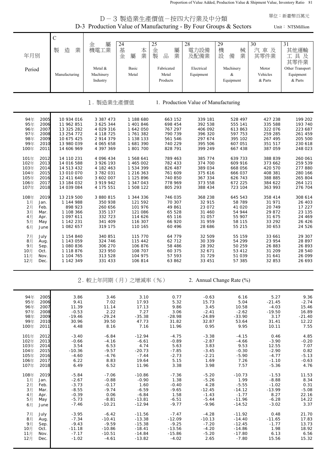Proportion of Value Added, Production Value & Shipment Value, Inventory Ratio 81

|                                                                                                              |                                                                                                | D-3 Production Value of Manufacturing - By Four Groups & Sectors                        |                                                                                         | D-3 製造業生產價值-按四大行業及中分類                                                     |                                                                           |                                                                            |                                                                           | 單位:新臺幣百萬元<br>Unit: NT\$Million                                            |
|--------------------------------------------------------------------------------------------------------------|------------------------------------------------------------------------------------------------|-----------------------------------------------------------------------------------------|-----------------------------------------------------------------------------------------|---------------------------------------------------------------------------|---------------------------------------------------------------------------|----------------------------------------------------------------------------|---------------------------------------------------------------------------|---------------------------------------------------------------------------|
|                                                                                                              |                                                                                                |                                                                                         |                                                                                         |                                                                           |                                                                           |                                                                            |                                                                           |                                                                           |
| 年月別                                                                                                          | $\mathbf C$<br>造<br>業<br>製                                                                     | 屬<br>金<br>機電工業                                                                          | 24<br>基<br>本業<br>金<br>屬                                                                 | 25<br>金<br>屬<br>品<br>業<br>製                                               | 28<br>電力設備<br>及配備業                                                        | 29<br>機<br>械<br>設<br>備<br>業                                                | 30<br>汽車及<br>其零件業                                                         | 31<br>其他運輸<br>工具及<br>其零件業                                                 |
| Period                                                                                                       | Manufacturing                                                                                  | Metal &<br>Machinery<br>Industry                                                        | Basic<br>Metal                                                                          | Fabricated<br>Metal<br>Products                                           | Electrical<br>Equipment                                                   | Machinery<br>&<br>Equipment                                                | Motor<br>Vehicles<br>& Parts                                              | Other Transport<br>Equipment<br>& Parts                                   |
|                                                                                                              |                                                                                                | 製造業生產價值                                                                                 |                                                                                         |                                                                           | 1. Production Value of Manufacturing                                      |                                                                            |                                                                           |                                                                           |
| 2005<br>94年<br>95年<br>2006<br>2007<br>96年<br>97年<br>2008<br>98年<br>2009<br>99年<br>2010<br>100年<br>2011       | 10 934 016<br>11 962 851<br>13 325 282<br>13 254 772<br>10 675 425<br>13 980 039<br>14 606 969 | 3 387 473<br>3 625 344<br>4 029 316<br>4 118 725<br>2 914 379<br>4 065 658<br>4 397 369 | 1 188 680<br>1 401 846<br>1 642 050<br>1 761 382<br>1 138 133<br>1 681 390<br>1 801 700 | 663 152<br>698 454<br>767 297<br>790 739<br>561 546<br>740 229<br>828 791 | 339 181<br>392 538<br>406 092<br>396 320<br>297 674<br>395 506<br>399 249 | 528 497<br>555 141<br>613 863<br>597 753<br>395 102<br>607 051<br>667 438  | 427 238<br>335 588<br>322 076<br>259 285<br>267 495<br>351 517<br>387 059 | 199 202<br>193 740<br>223 687<br>261 459<br>205 500<br>230 618<br>248 023 |
| 2012<br>101年<br>102年<br>2013<br>2014<br>103年<br>104年<br>2015<br>105年<br>2016<br>106年<br>2017<br>107年<br>2018 | 14 110 231<br>14 016 588<br>14 513 432<br>13 010 070<br>12 411 640<br>13 184 032<br>14 039 084 | 4 096 434<br>3 926 193<br>4 182 463<br>3 782 031<br>3 602 007<br>3 919 942<br>4 175 551 | 1 568 641<br>1 465 002<br>1 534 399<br>1 216 363<br>1 125 896<br>1 347 043<br>1 508 122 | 789 463<br>782 433<br>826 487<br>761 609<br>740 850<br>778 969<br>805 293 | 385 774<br>374 700<br>389 034<br>375 616<br>367 334<br>373 558<br>388 434 | 639 733<br>609 916<br>668 056<br>666 037<br>626 743<br>672 225<br>723 104  | 388 839<br>373 662<br>420 570<br>408 381<br>388 885<br>384 622<br>363 993 | 260 061<br>259 539<br>277 880<br>280 166<br>265 804<br>264 121<br>276 704 |
| 108年<br>2019<br>1月<br>Jan.<br>2月<br>Feb.<br>3月<br>Mar.<br>4月<br>Apr.<br>5月<br>May<br>6月<br>June              | 13 219 500<br>1 144 988<br>898 923<br>1 108 366<br>1 097 611<br>1 142 231<br>1 082 657         | 3 880 815<br>350 938<br>260 656<br>335 137<br>332 723<br>341 409<br>319 175             | 1 344 336<br>121 592<br>101 976<br>121 086<br>114 626<br>116 307<br>110 165             | 746 035<br>70 307<br>49 861<br>65 528<br>65 116<br>66 920<br>60 4 9 6     | 368 238<br>32 915<br>23 072<br>31 460<br>31 057<br>31 959<br>28 686       | 645 543<br>58 789<br>41 020<br>54 944<br>55 907<br>58 115<br>55 215        | 358 414<br>31 971<br>20 749<br>29 872<br>31 675<br>33 29 2<br>30 653      | 308 614<br>26 403<br>17 227<br>23 135<br>24 469<br>26 4 26<br>24 526      |
| 7月<br>July<br>8月<br>Aug.<br>9月<br>Sep.<br>10月<br>Oct.<br>11月<br>Nov.<br>12月<br>Dec.                          | 1 154 840<br>1 143 059<br>1 080 836<br>1 118 876<br>1 104 765<br>1 142 349                     | 340 851<br>324 746<br>306 270<br>323 950<br>313 528<br>331 433                          | 115 770<br>115 442<br>106 876<br>108 707<br>104 975<br>106 814                          | 64 779<br>62 712<br>58 486<br>60 375<br>57 593<br>63 862                  | 32 509<br>30 339<br>28 392<br>32 671<br>31 729<br>33 451                  | 55 159<br>54 299<br>50 259<br>53 412<br>51 039<br>57 385                   | 33 661<br>23 954<br>26 883<br>31 209<br>31 641<br>32 853                  | 29 307<br>28 897<br>26 893<br>28 540<br>26 099<br>26 693                  |
|                                                                                                              |                                                                                                | 2. 較上年同期(月)之增減率(%)                                                                      |                                                                                         |                                                                           |                                                                           | 2. Annual Change Rate (%)                                                  |                                                                           |                                                                           |
| 94年<br>2005<br>95年<br>2006<br>96年<br>2007<br>97年<br>2008<br>98年<br>2009<br>99年<br>2010<br>100年<br>2011       | 3.86<br>9.41<br>11.39<br>$-0.53$<br>$-19.46$<br>30.96<br>4.48                                  | 3.46<br>7.02<br>11.14<br>2.22<br>$-29.24$<br>39.50<br>8.16                              | 3.10<br>17.93<br>17.13<br>7.27<br>$-35.38$<br>47.73<br>7.16                             | 0.77<br>5.32<br>9.86<br>3.06<br>$-28.98$<br>31.82<br>11.96                | $-0.63$<br>15.73<br>3.45<br>$-2.41$<br>$-24.89$<br>32.87<br>0.95          | 6.16<br>5.04<br>10.58<br>$-2.62$<br>$-33.90$<br>53.64<br>9.95              | 5.27<br>$-21.45$<br>$-4.03$<br>$-19.50$<br>3.17<br>31.41<br>10.11         | 9.36<br>$-2.74$<br>15.46<br>16.89<br>$-21.40$<br>12.22<br>7.55            |
| 101年<br>2012<br>102年<br>2013<br>103年<br>2014<br>104年<br>2015<br>105年<br>2016<br>106年<br>2017<br>107年<br>2018 | $-3.40$<br>$-0.66$<br>3.54<br>$-10.36$<br>$-4.60$<br>6.22<br>6.49                              | $-6.84$<br>$-4.16$<br>6.53<br>$-9.57$<br>$-4.76$<br>8.83<br>6.52                        | $-12.94$<br>$-6.61$<br>4.74<br>$-20.73$<br>$-7.44$<br>19.64<br>11.96                    | $-4.75$<br>$-0.89$<br>5.63<br>$-7.85$<br>$-2.73$<br>5.15<br>3.38          | $-3.38$<br>$-2.87$<br>3.83<br>$-3.45$<br>$-2.21$<br>1.69<br>3.98          | $-4.15$<br>$-4.66$<br>9.53<br>$-0.30$<br>$-5.90$<br>7.26<br>7.57           | 0.46<br>$-3.90$<br>12.55<br>$-2.90$<br>$-4.77$<br>$-1.10$<br>$-5.36$      | 4.85<br>$-0.20$<br>7.07<br>0.82<br>$-5.13$<br>$-0.63$<br>4.76             |
| 108年<br>2019<br>1月<br>Jan.<br>2月<br>Feb.<br>3月<br>Mar.<br>4月<br>Apr.<br>5月<br>May<br>6月<br>June              | $-5.84$<br>$-2.67$<br>$-3.73$<br>$-8.55$<br>$-0.39$<br>$-5.73$<br>$-7.46$                      | $-7.06$<br>$-0.88$<br>$-0.17$<br>$-9.74$<br>0.06<br>$-8.81$<br>$-10.21$                 | $-10.86$<br>$-0.90$<br>1.60<br>$-6.59$<br>$-6.84$<br>$-13.81$<br>$-12.94$               | $-7.36$<br>1.38<br>$-0.40$<br>$-9.65$<br>1.58<br>$-6.51$<br>$-9.77$       | $-5.20$<br>$-5.26$<br>4.28<br>$-12.45$<br>$-1.43$<br>-5.44<br>$-9.96$     | $-10.73$<br>1.99<br>$-5.55$<br>$-14.12$<br>$-1.77$<br>$-11.96$<br>$-14.52$ | $-1.53$<br>$-8.88$<br>$-1.02$<br>$-13.99$<br>8.27<br>$-6.28$<br>$-3.02$   | 11.53<br>8.34<br>0.31<br>$-5.08$<br>22.16<br>14.22<br>3.37                |
| 7月<br>July<br>8月<br>Aug.<br>9月<br>Sep.<br>10月<br>Oct.<br>11月<br>Nov.<br>12月<br>Dec.                          | $-3.95$<br>$-7.34$<br>$-9.43$<br>$-11.18$<br>$-7.17$<br>$-1.02$                                | $-6.42$<br>$-10.41$<br>$-9.59$<br>$-10.86$<br>$-10.51$<br>$-4.61$                       | $-11.56$<br>$-13.38$<br>$-15.38$<br>$-18.41$<br>$-14.84$<br>$-13.82$                    | $-7.47$<br>$-12.09$<br>$-9.25$<br>$-13.56$<br>$-15.86$<br>$-4.02$         | $-4.28$<br>$-10.13$<br>$-7.20$<br>$-4.20$<br>$-5.20$<br>2.65              | $-11.92$<br>$-14.40$<br>$-12.45$<br>$-14.86$<br>$-17.80$<br>$-7.80$        | 0.48<br>$-11.65$<br>$-1.77$<br>1.98<br>6.13<br>15.56                      | 21.70<br>17.83<br>13.73<br>18.92<br>6.56<br>15.32                         |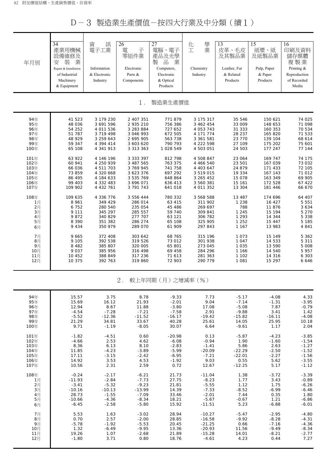D-3 製造業生產價值-按四大行業及中分類(續1)

| 年月別                                                                                                                                                                                       | 34<br>產業用機械<br>設備維修及<br>装<br>業<br>安<br>Repair & Installation<br>of Industrial<br>Machinery<br>& Equipment                                                                                                                                                                        | 資<br>訊<br>電子工業<br>Information<br>& Electronic<br>Industry                                                                                                                                                                                                                                                                               | 26<br>子<br>電<br>零組件業<br>Electronic<br>Parts &<br>Components                                                                                                                                                                                                                                                                                 | $\overline{27}$<br>電腦、電子<br>產品及光學<br>品<br>業<br>製<br>Computers,<br>Electronic<br>& Optical<br>Products                                                                                                                                                                                      | 學<br>化<br>業<br>工<br>Chemistry<br>Industry                                                                                                                                                                                                                                                                                           | 13<br>皮革、毛皮<br>及其製品業<br>Leather, Fur<br>& Related<br>Products                                                                                                                                                                                                                    | 15<br>紙漿、紙<br>及紙製品業<br>Pulp, Paper<br>& Paper<br>Products                                                                                                                                                                                                                                | 16<br>印刷及資料<br>儲存媒體<br>複製業<br>Printing &<br>Reproduction<br>of Recorded<br>Media                                                                                                                                                                                                     |
|-------------------------------------------------------------------------------------------------------------------------------------------------------------------------------------------|----------------------------------------------------------------------------------------------------------------------------------------------------------------------------------------------------------------------------------------------------------------------------------|-----------------------------------------------------------------------------------------------------------------------------------------------------------------------------------------------------------------------------------------------------------------------------------------------------------------------------------------|---------------------------------------------------------------------------------------------------------------------------------------------------------------------------------------------------------------------------------------------------------------------------------------------------------------------------------------------|--------------------------------------------------------------------------------------------------------------------------------------------------------------------------------------------------------------------------------------------------------------------------------------------|-------------------------------------------------------------------------------------------------------------------------------------------------------------------------------------------------------------------------------------------------------------------------------------------------------------------------------------|----------------------------------------------------------------------------------------------------------------------------------------------------------------------------------------------------------------------------------------------------------------------------------|------------------------------------------------------------------------------------------------------------------------------------------------------------------------------------------------------------------------------------------------------------------------------------------|--------------------------------------------------------------------------------------------------------------------------------------------------------------------------------------------------------------------------------------------------------------------------------------|
|                                                                                                                                                                                           |                                                                                                                                                                                                                                                                                  |                                                                                                                                                                                                                                                                                                                                         | $1$ .                                                                                                                                                                                                                                                                                                                                       | 製造業生產價值                                                                                                                                                                                                                                                                                    |                                                                                                                                                                                                                                                                                                                                     |                                                                                                                                                                                                                                                                                  |                                                                                                                                                                                                                                                                                          |                                                                                                                                                                                                                                                                                      |
| 94年<br>95年<br>96年<br>97年<br>98年<br>99年<br>100年<br>101年<br>102年<br>103年<br>104年<br>105年<br>106年<br>107年<br>108年<br>1月<br>2月<br>3月<br>4月<br>5月<br>6月<br>7月<br>8月<br>9月<br>10月<br>11月<br>12月 | 41 523<br>48 036<br>54 252<br>51 787<br>48 929<br>59 347<br>65 108<br>63 922<br>60 941<br>66 036<br>73 859<br>86 495<br>99 403<br>109 902<br>109 635<br>8 9 6 1<br>6752<br>9 1 1 1<br>9872<br>8 3 9 0<br>9 4 3 4<br>9 6 6 5<br>9 1 0 5<br>8 4 8 2<br>9 0 3 7<br>10 452<br>10 375 | 3 179 230<br>3 691 596<br>4 011 536<br>3 719 498<br>3 259 643<br>4 394 414<br>4 341 913<br>4 146 196<br>4 250 939<br>4 511 703<br>4 320 668<br>4 184 633<br>4 332 483<br>4 4 3 2 7 6 1<br>4 336 776<br>349 429<br>280 540<br>345 297<br>340 829<br>351 382<br>350 979<br>372 408<br>392 538<br>385 807<br>385 956<br>388 849<br>392 763 | 2 407 351<br>2 935 210<br>3 283 884<br>3 046 993<br>2 695 905<br>3 603 620<br>3 3 1 3 3 6 3<br>3 3 3 3 3 9 7<br>3 487 565<br>3 769 945<br>3 623 376<br>3 535 769<br>3 696 071<br>3 791 743<br>3 556 444<br>286 014<br>235 054<br>285 557<br>277 707<br>286 274<br>289 070<br>303 642<br>319 526<br>320 005<br>316 498<br>317 236<br>319 860 | 771879<br>756 386<br>727 652<br>672 505<br>563 738<br>790 793<br>1 028 549<br>812 798<br>763 375<br>741 758<br>697 292<br>648 864<br>636 413<br>641 018<br>780 332<br>63 415<br>45 486<br>59 740<br>63 121<br>65 108<br>61 909<br>68 765<br>73 012<br>65 801<br>69 458<br>71 613<br>72 903 | 3 175 317<br>3 462 454<br>4 053 743<br>4 171 774<br>3 361 581<br>4 222 598<br>4 503 051<br>4 508 847<br>4 466 540<br>4 403 647<br>3 519 015<br>3 265 452<br>3 560 381<br>4 011 352<br>3 568 588<br>311 902<br>269 697<br>309 841<br>306 782<br>325 905<br>297 843<br>315 196<br>301 938<br>273 045<br>284 296<br>281 363<br>290 779 | 35 546<br>33 009<br>31 333<br>28 237<br>23 770<br>27 109<br>24 503<br>23 064<br>23 501<br>24 879<br>19 334<br>15 078<br>15 161<br>13 304<br>13 487<br>1 2 3 8<br>788<br>1 2 4 5<br>1 2 9 3<br>1 2 5 2<br>1 1 6 7<br>1 0 7 3<br>1 0 4 7<br>1 0 3 5<br>1 166<br>1 1 0 2<br>1 0 8 1 | 150 621<br>148 653<br>160 353<br>165 820<br>139 104<br>175 202<br>177 247<br>169 747<br>167 039<br>171 433<br>167 143<br>163 349<br>172 528<br>181 446<br>174 696<br>16 427<br>11876<br>15 194<br>14 344<br>15 447<br>13 983<br>15 149<br>14 533<br>13 590<br>14 540<br>14 316<br>15 297 | 74 025<br>71 098<br>70 534<br>71 533<br>68 614<br>75 601<br>77 144<br>74 175<br>73 032<br>72 105<br>71 012<br>69 905<br>67 422<br>66 670<br>64 407<br>5 5 5 1<br>3 6 3 4<br>5 2 7 0<br>5 3 3 8<br>5 185<br>4 8 4 1<br>5 3 6 2<br>5 3 1 1<br>5 0 0 8<br>5 9 5 7<br>6 3 0 3<br>6 6 4 6 |
|                                                                                                                                                                                           |                                                                                                                                                                                                                                                                                  |                                                                                                                                                                                                                                                                                                                                         | $2$ .                                                                                                                                                                                                                                                                                                                                       | 較上年同期(月)之增減率(%)                                                                                                                                                                                                                                                                            |                                                                                                                                                                                                                                                                                                                                     |                                                                                                                                                                                                                                                                                  |                                                                                                                                                                                                                                                                                          |                                                                                                                                                                                                                                                                                      |
| 94年<br>95年<br>96年<br>97年<br>98年<br>99年<br>100年                                                                                                                                            | 15.57<br>15.69<br>12.94<br>$-4.54$<br>$-5.52$<br>21.29<br>9.71                                                                                                                                                                                                                   | 3.75<br>16.12<br>8.67<br>$-7.28$<br>$-12.36$<br>34.81<br>$-1.19$                                                                                                                                                                                                                                                                        | 8.78<br>21.93<br>11.88<br>$-7.21$<br>$-11.52$<br>33.67<br>$-8.05$                                                                                                                                                                                                                                                                           | $-9.33$<br>$-2.01$<br>$-3.80$<br>$-7.58$<br>$-16.17$<br>40.28<br>30.07                                                                                                                                                                                                                     | 7.73<br>9.04<br>17.08<br>2.91<br>$-19.42$<br>25.61<br>6.64                                                                                                                                                                                                                                                                          | $-5.17$<br>$-7.14$<br>$-5.08$<br>$-9.88$<br>$-15.82$<br>14.05<br>$-9.61$                                                                                                                                                                                                         | $-4.08$<br>$-1.31$<br>7.87<br>3.41<br>$-16.11$<br>25.95<br>1.17                                                                                                                                                                                                                          | 4.33<br>$-3.95$<br>$-0.79$<br>1.42<br>$-4.08$<br>10.18<br>2.04                                                                                                                                                                                                                       |

| 94年  | 15.57    | 3.75     | 8.78     | $-9.33$  | 7.73     | $-5.17$  | $-4.08$  | 4.33    |
|------|----------|----------|----------|----------|----------|----------|----------|---------|
| 95年  | 15.69    | 16.12    | 21.93    | $-2.01$  | 9.04     | $-7.14$  | $-1.31$  | $-3.95$ |
| 96年  | 12.94    | 8.67     | 11.88    | $-3.80$  | 17.08    | $-5.08$  | 7.87     | $-0.79$ |
| 97年  | $-4.54$  | $-7.28$  | $-7.21$  | $-7.58$  | 2.91     | $-9.88$  | 3.41     | 1.42    |
| 98年  | $-5.52$  | $-12.36$ | $-11.52$ | $-16.17$ | $-19.42$ | $-15.82$ | $-16.11$ | $-4.08$ |
| 99年  | 21.29    | 34.81    | 33.67    | 40.28    | 25.61    | 14.05    | 25.95    | 10.18   |
| 100年 | 9.71     | $-1.19$  | $-8.05$  | 30.07    | 6.64     | $-9.61$  | 1.17     | 2.04    |
| 101年 | $-1.82$  | $-4.51$  | 0.60     | $-20.98$ | 0.13     | $-5.87$  | $-4.23$  | $-3.85$ |
| 102年 | $-4.66$  | 2.53     | 4.62     | $-6.08$  | $-0.94$  | 1.90     | $-1.60$  | $-1.54$ |
| 103年 | 8.36     | 6.13     | 8.10     | $-2.83$  | $-1.41$  | 5.86     | 2.63     | $-1.27$ |
| 104年 | 11.85    | $-4.23$  | $-3.89$  | $-5.99$  | $-20.09$ | $-22.29$ | $-2.50$  | $-1.52$ |
| 105年 | 17.11    | $-3.15$  | $-2.42$  | $-6.95$  | $-7.21$  | $-22.01$ | $-2.27$  | $-1.56$ |
| 106年 | 14.92    | 3.53     | 4.53     | $-1.92$  | 9.03     | 0.55     | 5.62     | $-3.55$ |
| 107年 | 10.56    | 2.31     | 2.59     | 0.72     | 12.67    | $-12.25$ | 5.17     | $-1.12$ |
| 108年 | $-0.24$  | $-2.17$  | $-6.21$  | 21.73    | $-11.04$ | 1.38     | $-3.72$  | $-3.39$ |
| 1月   | $-11.93$ | $-2.84$  | $-7.73$  | 27.75    | $-8.23$  | 1.77     | 3.43     | $-0.89$ |
| 2月   | $-3.41$  | $-5.32$  | $-9.23$  | 21.81    | $-5.55$  | 1.12     | 1.75     | $-6.26$ |
| 3月   | $-10.16$ | $-10.13$ | $-13.99$ | 14.39    | $-7.33$  | $-8.52$  | $-6.99$  | $-6.46$ |
| 4月   | 28.73    | $-1.55$  | $-7.09$  | 33.46    | $-2.01$  | 7.44     | 0.35     | 1.80    |
| 5月   | $-10.66$ | $-4.36$  | $-8.34$  | 18.21    | $-5.67$  | $-0.67$  | 1.21     | $-6.86$ |
| 6月   | $-6.45$  | $-2.58$  | $-5.80$  | 15.92    | $-11.51$ | 5.23     | $-6.88$  | $-6.01$ |
| 7月   | 5.53     | 1.63     | $-3.02$  | 28.94    | $-10.27$ | $-5.47$  | $-2.95$  | $-4.80$ |
| 8月   | 0.70     | 2.57     | $-2.00$  | 28.85    | $-16.58$ | $-9.92$  | $-8.28$  | $-4.31$ |
| 9月   | $-5.78$  | $-1.92$  | $-5.53$  | 20.45    | $-21.25$ | 0.66     | $-7.16$  | $-4.36$ |
| 10月  | 1.32     | $-6.49$  | $-9.95$  | 13.36    | $-20.93$ | 11.56    | $-9.49$  | $-8.34$ |
| 11月  | 19.26    | 1.07     | $-2.68$  | 21.89    | $-15.28$ | 14.01    | $-8.21$  | $-2.77$ |
| 12月  | $-1.80$  | 3.71     | 0.80     | 18.76    | $-4.61$  | 4.23     | 0.44     | 7.27    |
|      |          |          |          |          |          |          |          |         |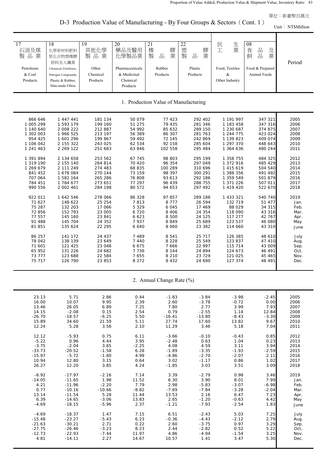Unit: NT\$Million

D-3 Production Value of Manufacturing - By Four Groups & Sectors (Cont. 1)

| $\overline{17}$ | 18                     | 19       | 20              | 21                                   | 22          | 生<br>民         | 08              |        |
|-----------------|------------------------|----------|-----------------|--------------------------------------|-------------|----------------|-----------------|--------|
| 石油及煤            | 化學原材料肥料                | 其他化學     | 藥品及醫用           | 橡<br>膠                               | 塑<br>膠      | 業<br>工         | 品<br>食<br>及     |        |
| 製品業             | 氮化合物塑橡膠                | 製品業      | 化學製品業           | 業<br>$\frac{\Box}{\Box \Box}$<br>製   | 業<br>製<br>品 |                | 業<br>品<br>飼     |        |
|                 | 原料及人纖業                 |          |                 |                                      |             |                |                 | Period |
| Petroleum       | Chemical, Fertilizers, | Other    | Pharmaceuticals | Rubber                               | Plastic     | Food, Textiles | Food & Prepared |        |
| & Coal          | Nitrogen Compounds,    | Chemical | & Medicinal     | Products                             | Products    | &              | Animal Feeds    |        |
| Products        | Plastic & Rubber,      | Products | Chemical        |                                      |             | Other Industry |                 |        |
|                 | Man-made Fibres        |          | Products        |                                      |             |                |                 |        |
|                 |                        |          |                 |                                      |             |                |                 |        |
|                 |                        |          |                 |                                      |             |                |                 |        |
|                 |                        |          |                 | 1. Production Value of Manufacturing |             |                |                 |        |
|                 |                        |          |                 |                                      |             |                |                 |        |
| 866 646         | 1 447 441              | 181 134  | 50 079          | 77 423                               | 292 402     | 1 191 997      | 347 321         | 2005   |
| 1 005 299       | 1 593 179              | 199 160  | 51 275          | 79 435                               | 281 346     | 1 183 458      | 347 316         | 2006   |
| 1 140 640       | 2 008 222              | 212 887  | 54 992          | 85 632                               | 289 150     | 1 230 687      | 374 875         | 2007   |
| 1 302 003       | 1 966 525              | 213 197  | 56 389          | 86 307                               | 281 763     | 1 244 775      | 423 024         | 2008   |
| 954 425         | 1 601 296              | 199 867  | 59 492          | 72 145                               | 242 869     | 1 139 823      | 409 074         | 2009   |
| 1 106 042       | 2 155 322              | 243 025  | 62 534          | 92 158                               | 285 604     | 1 297 370      | 448 643         | 2010   |
| 1 241 463       | 2 269 122              | 251 683  | 63 846          | 102 558                              | 295 484     | 1 364 636      | 480 244         | 2011   |
| 1 391 894       | 2 134 658              | 253 562  | 67 745          | 98 803                               | 295 199     | 1 358 755      | 484 325         | 2012   |
| 1 319 190       | 2 155 140              | 264 814  | 70 420          | 96 354                               | 297 049     | 1 372 916      | 485 429         | 2013   |
| 1 269 679       | 2 111 249              | 274 483  | 68 835          | 100 289                              | 310 696     | 1 415 619      | 504 540         | 2014   |
| 841 452         | 1 678 084              | 270 144  | 73 159          | 98 397                               | 300 291     | 1 388 356      | 491 492         | 2015   |
| 707 064         | 1 582 164              | 265 286  | 76 808          | 93 613                               | 292 186     | 1 359 549      | 501 879         | 2016   |
| 784 451         | 1 784 677              | 273 651  | 77 297          | 96 439                               | 288 755     | 1 371 226      | 507 011         | 2017   |
| 990 556         | 2 002 461              | 284 198  | 80 572          | 94 653                               | 297 492     | 1 419 420      | 522 670         | 2018   |
| 922 011         | 1 642 546              | 278 066  | 86 328          | 97 857                               | 289 188     | 1 433 321      | 540 740         | 2019   |
| 71 627          | 148 622                | 25 254   | 7813            | 8 7 7 7                              | 26 594      | 132 719        | 51 477          | Jan.   |
| 75 287          | 132 203                | 17 066   | 5 3 2 9         | 6 0 4 5                              | 17 469      | 88 0 29        | 34 315          | Feb.   |
| 72 856          | 152 793                | 23 005   | 6720            | 8 4 0 6                              | 24 354      | 118 090        | 43 316          | Mar.   |
| 77 557          | 145 160                | 23 841   | 6 6 2 3         | 8 500                                | 24 125      | 117 277        | 42 767          | Apr.   |
| 91 488          | 145 704                | 24 352   | 7937            | 8849                                 | 25 689      | 123 537        | 46 080          | May    |
| 81 851          | 135 624                | 22 295   | 6 6 4 0         | 8 0 6 0                              | 23 382      | 114 660        | 43 310          | June   |
| 86 257          | 141 172                | 24 437   | 7 4 8 9         | 8 5 4 1                              | 25 717      | 126 385        | 48 610          | July   |
| 78 042          | 138 139                | 23 649   | 7 4 4 0         | 8 2 2 8                              | 25 549      | 123 837        | 47 410          | Aug.   |
| 71 601          | 121 425                | 23 048   | 6675            | 7 6 6 6                              | 22 997      | 115 714        | 43 009          | Sep.   |
| 65 952          | 131 226                | 24 682   | 7 7 3 6         | 8 1 4 4                              | 24 894      | 124 673        | 46 491          | Oct.   |
| 73 777          | 123 688                | 22 584   | 7 6 5 5         | 8 2 1 0                              | 23 7 29     | 121 025        | 45 465          | Nov.   |
| 75 717          | 126 790                | 23 853   | 8 2 7 2         | 8 4 3 2                              | 24 690      | 127 374        | 48 491          | Dec.   |

2. Annual Change Rate (%)

| 23.13    | 5.71     | 2.86     | 0.44    | $-1.83$  | $-3.84$         | $-3.98$ | $-2.45$ | 2005 |
|----------|----------|----------|---------|----------|-----------------|---------|---------|------|
| 16.00    | 10.07    | 9.95     | 2.39    | 2.60     |                 | $-0.72$ | 0.00    | 2006 |
| 13.46    | 26.05    | 6.89     | 7.25    | 7.80     | $-3.78$<br>2.77 | 3.99    | 7.93    | 2007 |
|          |          |          |         | 0.79     | $-2.55$         |         |         | 2008 |
| 14.15    | $-2.08$  | 0.15     | 2.54    |          |                 | 1.14    | 12.84   |      |
| $-26.70$ | $-18.57$ | $-6.25$  | 5.50    | $-16.41$ | $-13.80$        | $-8.43$ | $-3.30$ | 2009 |
| 15.89    | 34.60    | 21.59    | 5.11    | 27.74    | 17.60           | 13.82   | 9.67    | 2010 |
| 12.24    | 5.28     | 3.56     | 2.10    | 11.29    | 3.46            | 5.18    | 7.04    | 2011 |
| 12.12    | $-5.93$  | 0.75     | 6.11    | $-3.66$  | $-0.10$         | $-0.43$ | 0.85    | 2012 |
| $-5.22$  | 0.96     | 4.44     | 3.95    | $-2.48$  | 0.63            | 1.04    | 0.23    | 2013 |
| $-3.75$  | $-2.04$  | 3.65     | $-2.25$ | 4.08     | 4.59            | 3.11    | 3.94    | 2014 |
| $-33.73$ | $-20.52$ | $-1.58$  | 6.28    | $-1.89$  | $-3.35$         | $-1.93$ | $-2.59$ | 2015 |
| $-15.97$ | $-5.72$  | $-1.80$  | 4.99    | $-4.86$  | $-2.70$         | $-2.07$ | 2.11    | 2016 |
| 10.94    | 12.80    | 3.15     | 0.64    | 3.02     | $-1.17$         | 0.86    | 1.02    | 2017 |
| 26.27    | 12.20    | 3.85     | 4.24    | $-1.85$  | 3.03            | 3.51    | 3.09    | 2018 |
|          |          |          |         |          |                 |         |         |      |
| $-6.92$  | $-17.97$ | $-2.16$  | 7.14    | 3.39     | $-2.79$         | 0.98    | 3.46    | 2019 |
| $-14.05$ | $-11.65$ | 1.98     | 11.52   | 6.30     | 3.90            | 8.01    | 7.99    | Jan. |
| 4.21     | $-11.96$ | $-2.20$  | 7.79    | 2.98     | $-5.83$         | $-3.07$ | $-6.98$ | Feb. |
| 0.77     | $-10.16$ | $-10.66$ | $-8.82$ | $-7.69$  | $-7.84$         | $-3.28$ | $-2.04$ | Mar. |
| 13.14    | $-11.54$ | 5.28     | 11.44   | 13.53    | 2.16            | 6.47    | 7.23    | Apr. |
| 6.39     | $-14.65$ | $-3.06$  | 13.83   | 2.65     | $-1.20$         | $-0.63$ | 4.42    | May  |
| $-4.69$  | $-18.15$ | $-5.96$  | 2.37    | $-1.21$  | $-7.93$         | $-2.54$ | 1.83    | June |
|          |          |          |         |          |                 |         |         |      |
| $-4.69$  | $-18.37$ | 1.47     | 7.15    | 6.51     | $-2.43$         | 5.03    | 7.25    | July |
| $-15.48$ | $-23.27$ | $-5.43$  | 6.23    | $-0.36$  | $-4.43$         | $-2.12$ | 2.79    | Aug. |
| $-21.63$ | $-30.21$ | 2.71     | 0.22    | 2.60     | $-3.75$         | 0.97    | 3.29    | Sep. |
| $-27.75$ | $-26.46$ | $-3.23$  | 8.23    | 2.44     | $-2.82$         | 0.52    | 5.22    | Oct. |
| $-12.73$ | $-22.93$ | $-7.44$  | 11.97   | 4.86     | $-4.94$         | $-1.54$ | 3.25    | Nov. |
| 4.81     | $-14.11$ | 2.27     | 14.67   | 10.57    | 1.41            | 3.47    | 5.30    | Dec. |
|          |          |          |         |          |                 |         |         |      |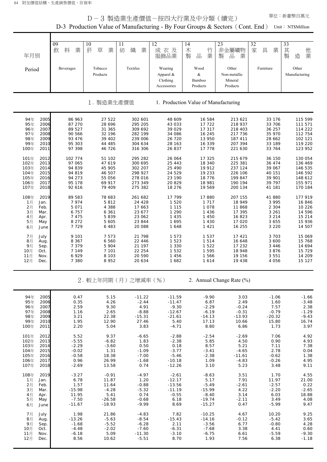108年 2019 -3.27 -0.91 -4.97 -2.61 -8.63 3.51 1.70 4.55 1月 Jan. 6.78 11.87 1.20 -12.17 5.17 7.91 11.97 21.00 2月 Feb. 1.57 11.64 -0.88 -13.56 -5.49 -2.61 -2.57 0.22 3月 Mar. -15.98 -4.28 -5.32 -11.19 -15.99 4.22 -2.20 -2.65 4月 Apr. 11.95 5.41 0.74 -0.55 -8.40 3.14 6.03 18.88 5月 May | -7.50 -26.58 -0.68 6.18 -19.74 -2.11 3.49 4.08 6月 June -11.67 -18.93 -9.99 8.69 -15.27 0.47 -5.99 9.47 7月 July 1.98 21.86 -4.83 7.82 -10.25 4.67 10.20 9.25 8月 Aug. -13.26 -5.63 -8.54 -15.43 -14.16 -0.12 -5.42 3.65 9月 Sep. -1.68 -5.52 -6.28 2.11 -3.56 6.77 -0.80 4.28 10月 Oct. -4.48 -2.02 -7.60 -6.31 -7.68 3.38 4.41 0.60 11月 Nov. -6.18 5.09 -11.30 -3.10 -6.75 6.61 -5.59 -9.30 12月 Dec. 8.56 10.62 -5.51 8.70 1.93 7.56 6.38 -1.18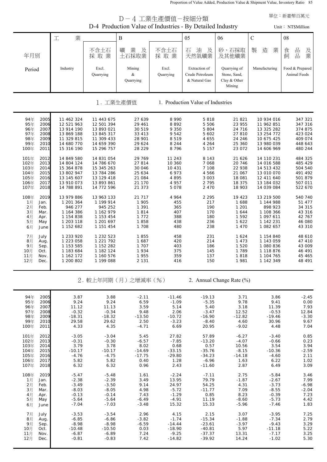Proportion of Value Added, Production Value & Shipment Value, Inventory Ratio 85

| 單位:新臺幣百萬元<br>D-4 工業生產價值-按細分類                                                                                 |                                                                                                |                                                                                                |                                                                      |                                                                        |                                                                          |                                                                     |                                                                                                |                                                                           |  |
|--------------------------------------------------------------------------------------------------------------|------------------------------------------------------------------------------------------------|------------------------------------------------------------------------------------------------|----------------------------------------------------------------------|------------------------------------------------------------------------|--------------------------------------------------------------------------|---------------------------------------------------------------------|------------------------------------------------------------------------------------------------|---------------------------------------------------------------------------|--|
|                                                                                                              |                                                                                                |                                                                                                |                                                                      | D-4 Production Value of Industries - By Detailed Industry              |                                                                          |                                                                     |                                                                                                | Unit: NT\$Million                                                         |  |
|                                                                                                              | 業<br>工                                                                                         |                                                                                                | $\mathbf B$                                                          |                                                                        | 05                                                                       | 06                                                                  | $\mathbf C$                                                                                    | 08                                                                        |  |
| 年月別                                                                                                          |                                                                                                | 不含土石<br>採取業                                                                                    | 業<br>及<br>礦<br>土石採取業                                                 | 不含土石<br>採取業                                                            | 石<br>油<br>及<br>天然氣礦業                                                     | 砂、石採取<br>及其他礦業                                                      | 製<br>造<br>業                                                                                    | 品<br>及業<br>食<br>品<br>飼                                                    |  |
| Period                                                                                                       | Industry                                                                                       | Excl.<br>Quarrying                                                                             | Mining<br>&<br>Quarrying                                             | Excl.<br>Quarrying                                                     | Extraction of<br>Crude Petroleum<br>& Natural Gas                        | Quarrying of<br>Stone, Sand,<br>Clay & Other<br>Mining              | Manufacturing                                                                                  | Food & Prepared<br>Animal Feeds                                           |  |
|                                                                                                              |                                                                                                |                                                                                                | 1. 工業生產價值                                                            |                                                                        | 1. Production Value of Industries                                        |                                                                     |                                                                                                |                                                                           |  |
| 94年<br>2005<br>95年<br>2006<br>96年<br>2007<br>97年<br>2008<br>98年<br>2009<br>99年<br>2010<br>100年<br>2011       | 11 462 324<br>12 521 963<br>13 914 190<br>13 869 188<br>11 329 815<br>14 680 770<br>15 316 190 | 11 443 675<br>12 501 394<br>13 893 021<br>13 845 317<br>11 309 433<br>14 659 390<br>15 296 757 | 27 639<br>29 461<br>30 519<br>33 413<br>28 901<br>29 624<br>28 2 2 9 | 8 9 9 0<br>8892<br>9 3 5 0<br>9 5 4 2<br>8519<br>8 2 4 4<br>8796       | 5818<br>5 5 0 6<br>5 804<br>5 602<br>4 6 5 5<br>4 2 6 4<br>5 1 5 7       | 21 821<br>23 955<br>24 716<br>27 810<br>24 246<br>25 360<br>23 072  | 10 934 016<br>11 962 851<br>13 325 282<br>13 254 772<br>10 675 425<br>13 980 039<br>14 606 969 | 347 321<br>347 316<br>374 875<br>423 024<br>409 074<br>448 643<br>480 244 |  |
| 101年<br>2012<br>102年<br>2013<br>103年<br>2014<br>104年<br>2015<br>105年<br>2016<br>106年<br>2017<br>107年<br>2018 | 14 849 580<br>14 804 124<br>15 364 878<br>13 802 947<br>13 145 607<br>13 910 073<br>14 788 891 | 14 831 054<br>14 786 670<br>15 345 263<br>13 784 286<br>13 129 418<br>13 893 861<br>14 772 596 | 29 769<br>27 814<br>30 046<br>25 634<br>21 084<br>21 170<br>21 373   | 11 243<br>10 360<br>10 431<br>6 9 7 3<br>4 8 9 5<br>4 9 5 7<br>5 0 7 8 | 8 1 4 3<br>7068<br>7 108<br>4 566<br>3 0 0 3<br>2 7 9 5<br>2 4 7 0       | 21 626<br>20 746<br>22 938<br>21 067<br>18 081<br>18 375<br>18 903  | 14 110 231<br>14 016 588<br>14 513 432<br>13 010 070<br>12 411 640<br>13 184 032<br>14 039 084 | 484 325<br>485 429<br>504 540<br>491 492<br>501 879<br>507 011<br>522 670 |  |
| 2019<br>108年<br>1月<br>Jan.<br>2月<br>Feb.<br>3月<br>Mar.<br>4月<br>Apr.<br>5月<br>May<br>6月<br>June              | 13 979 886<br>1 201 364<br>946 277<br>1 164 386<br>1 154 838<br>1 203 118<br>1 152 682         | 13 963 133<br>1 199 914<br>945 252<br>1 162 979<br>1 153 454<br>1 201 697<br>1 151 454         | 21 717<br>1 905<br>1 3 9 1<br>1814<br>1 7 7 2<br>1858<br>1 708       | 4 9 6 4<br>455<br>365<br>407<br>388<br>438<br>480                      | 2 2 9 5<br>217<br>190<br>170<br>180<br>236<br>238                        | 19 423<br>1688<br>1 2 0 1<br>1 644<br>1 5 9 2<br>1 6 2 2<br>1 4 7 0 | 13 219 500<br>1 144 988<br>898 923<br>1 108 366<br>1 097 611<br>1 142 231<br>1 082 657         | 540 740<br>51 477<br>34 315<br>43 316<br>42 767<br>46 080<br>43 310       |  |
| 7月<br>July<br>8月<br>Aug.<br>9月<br>Sep.<br>10月<br>Oct.<br>11月<br>Nov.<br>12月<br>Dec.                          | 1 233 920<br>1 223 058<br>1 153 585<br>1 183 684<br>1 162 172<br>1 200 802                     | 1 232 523<br>1 221 792<br>1 152 282<br>1 182 124<br>1 160 576<br>1 199 088                     | 1855<br>1687<br>1 707<br>1934<br>1955<br>2 1 3 1                     | 458<br>420<br>403<br>375<br>359<br>416                                 | 231<br>214<br>186<br>145<br>137<br>150                                   | 1 6 2 4<br>1 4 7 3<br>1 5 2 0<br>1 7 8 9<br>1818<br>1 981           | 1 154 840<br>1 143 059<br>1 080 836<br>1 118 876<br>1 104 765<br>1 142 349                     | 48 610<br>47 410<br>43 009<br>46 491<br>45 465<br>48 491                  |  |
|                                                                                                              |                                                                                                |                                                                                                | 2. 較上年同期(月)之增減率(%)                                                   |                                                                        |                                                                          | 2. Annual Change Rate (%)                                           |                                                                                                |                                                                           |  |
| 94年<br>2005<br>95年<br>2006<br>96年<br>2007<br>97年<br>2008<br>98年<br>2009<br>99年<br>2010<br>100年<br>2011       | 3.87<br>9.24<br>11.12<br>$-0.32$<br>$-18.31$<br>29.58<br>4.33                                  | 3.88<br>9.24<br>11.13<br>$-0.34$<br>$-18.32$<br>29.62<br>4.35                                  | $-2.11$<br>6.59<br>3.59<br>9.48<br>$-13.50$<br>2.50<br>$-4.71$       | $-11.46$<br>$-1.09$<br>5.14<br>2.06<br>$-10.72$<br>$-3.23$<br>6.69     | $-19.13$<br>$-5.35$<br>5.40<br>$-3.47$<br>$-16.90$<br>$-8.40$<br>20.95   | 3.71<br>9.78<br>3.18<br>12.52<br>$-12.82$<br>4.60<br>$-9.02$        | 3.86<br>9.41<br>11.39<br>$-0.53$<br>$-19.46$<br>30.96<br>4.48                                  | $-2.45$<br>0.00<br>7.93<br>12.84<br>$-3.30$<br>9.67<br>7.04               |  |
| 101年<br>2012<br>102年<br>2013<br>103年<br>2014<br>104年<br>2015<br>105年<br>2016<br>106年<br>2017<br>107年<br>2018 | $-3.05$<br>$-0.31$<br>3.79<br>$-10.17$<br>$-4.76$<br>5.82<br>6.32                              | $-3.04$<br>$-0.30$<br>3.78<br>$-10.17$<br>$-4.75$<br>5.82<br>6.32                              | 5.45<br>$-6.57$<br>8.02<br>$-14.69$<br>$-17.75$<br>0.40<br>0.96      | 27.82<br>$-7.85$<br>0.68<br>$-33.15$<br>$-29.80$<br>1.28<br>2.43       | 57.89<br>$-13.20$<br>0.57<br>$-35.76$<br>$-34.23$<br>$-6.96$<br>$-11.60$ | $-6.27$<br>$-4.07$<br>10.56<br>$-8.15$<br>$-14.18$<br>1.63<br>2.87  | $-3.40$<br>$-0.66$<br>3.54<br>$-10.36$<br>$-4.60$<br>6.22<br>6.49                              | 0.85<br>0.23<br>3.94<br>$-2.59$<br>2.11<br>1.02<br>3.09                   |  |
| 108年<br>2019<br>1月<br>Jan.<br>2月<br>Feb.<br>3月<br>Mar.<br>4月<br>Apr.<br>5月<br>May<br>6月<br>June              | $-5.47$<br>$-2.38$<br>$-3.49$<br>$-8.03$<br>$-0.13$<br>$-5.64$<br>$-7.04$                      | $-5.48$<br>$-2.39$<br>$-3.50$<br>$-8.05$<br>$-0.14$<br>$-5.64$<br>$-7.03$                      | 1.61<br>3.49<br>9.14<br>4.98<br>7.43<br>$-6.49$<br>$-3.48$           | $-2.24$<br>13.95<br>24.97<br>$-5.72$<br>$-1.29$<br>$-4.91$<br>15.32    | $-7.11$<br>79.79<br>54.25<br>$-11.77$<br>0.85<br>11.19<br>15.33          | 2.75<br>$-1.87$<br>4.31<br>7.09<br>8.23<br>$-8.60$<br>$-5.96$       | $-5.84$<br>$-2.67$<br>$-3.73$<br>$-8.55$<br>$-0.39$<br>$-5.73$<br>$-7.46$                      | 3.46<br>7.99<br>$-6.98$<br>$-2.04$<br>7.23<br>4.42<br>1.83                |  |
| 7月<br>July<br>8月<br>Aug.<br>9月<br>Sep.<br>10月<br>Oct.<br>11月<br>Nov.<br>12月<br>Dec.                          | $-3.53$<br>$-6.85$<br>$-8.98$<br>$-10.48$<br>$-6.87$<br>$-0.81$                                | $-3.54$<br>$-6.86$<br>$-8.98$<br>$-10.50$<br>$-6.89$<br>$-0.83$                                | 2.96<br>$-3.82$<br>$-6.59$<br>0.03<br>7.24<br>7.42                   | 4.15<br>$-1.74$<br>$-14.44$<br>$-18.90$<br>$-9.25$<br>$-14.82$         | 2.15<br>$-15.34$<br>$-23.61$<br>$-40.81$<br>$-37.37$<br>$-39.92$         | 3.07<br>$-1.88$<br>$-3.97$<br>5.97<br>13.31<br>14.24                | $-3.95$<br>$-7.34$<br>$-9.43$<br>$-11.18$<br>$-7.17$<br>$-1.02$                                | 7.25<br>2.79<br>3.29<br>5.22<br>3.25<br>5.30                              |  |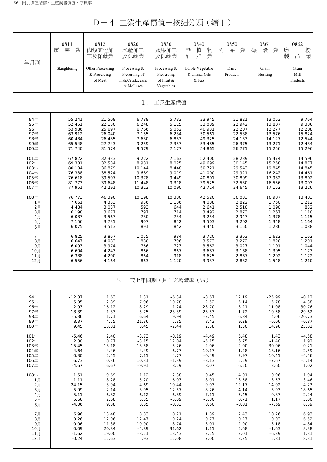D-4 工業生產價值-按細分類(續1)

| 年月別  | 0811<br>宰<br>屠<br>業<br>Slaughtering | 0812<br>肉類其他加<br>工及保藏業<br>Other Processing<br>& Preserving<br>of Meat | 0820<br>水產加工<br>及保藏業<br>Processing &<br>Preserving of<br>Fish, Crustaceans<br>& Molluscs | 0830<br>蔬果加工<br>及保藏業<br>Processing &<br>Preserving<br>of Fruit &<br>Vegetables | 0840<br>植<br>物<br>動<br>業<br>油<br>脂<br>Edible Vegetable<br>& animal Oils<br>& Fats | 0850<br>$\frac{\Box}{\Box \Box}$<br>乳<br>業<br>Dairy<br>Products | 0861<br>業<br>榖<br>碾<br>Grain<br>Husking | 0862<br>粉業<br>磨<br>製<br>品<br>Grain<br>Mill<br>Products |
|------|-------------------------------------|-----------------------------------------------------------------------|------------------------------------------------------------------------------------------|--------------------------------------------------------------------------------|-----------------------------------------------------------------------------------|-----------------------------------------------------------------|-----------------------------------------|--------------------------------------------------------|
|      |                                     |                                                                       | $1$ .                                                                                    | 工業生產價值                                                                         |                                                                                   |                                                                 |                                         |                                                        |
| 94年  | 55 241                              | 21 508                                                                | 6788                                                                                     | 5 7 3 3                                                                        | 33 945                                                                            | 21 821                                                          | 13 053                                  | 9 7 6 4                                                |
| 95年  | 52 451                              | 22 130                                                                | 6 2 4 8                                                                                  | 5 1 1 5                                                                        | 33 089                                                                            | 22 942                                                          | 13 807                                  | 9 3 3 6                                                |
| 96年  | 53 986                              | 25 697                                                                | 6766                                                                                     | 5 0 5 2                                                                        | 40 931                                                                            | 22 207                                                          | 12 277                                  | 12 208                                                 |
| 97年  | 63 912                              | 26 040                                                                | 7 1 5 5                                                                                  | 6 2 3 4                                                                        | 50 561                                                                            | 22 588                                                          | 13 576                                  | 15 824                                                 |
| 98年  | 60 484                              | 26 485                                                                | 7 630                                                                                    | 6853                                                                           | 49 325                                                                            | 24 133                                                          | 14 127                                  | 12 544                                                 |
| 99年  | 65 548                              | 27 743                                                                | 9 2 5 9                                                                                  | 7 3 5 7                                                                        | 53 485                                                                            | 26 375                                                          | 13 271                                  | 12 4 3 4                                               |
| 100年 | 71 740                              | 31 574                                                                | 9 5 7 9                                                                                  | 7 1 7 7                                                                        | 54 865                                                                            | 26 771                                                          | 15 256                                  | 15 296                                                 |
| 101年 | 67822                               | 32 333                                                                | 9 2 2 2                                                                                  | 7 1 6 3                                                                        | 52 400                                                                            | 28 239                                                          | 15 474                                  | 14 596                                                 |
| 102年 | 69 381                              | 32 584                                                                | 8 9 3 1                                                                                  | 8 0 2 5                                                                        | 49 699                                                                            | 30 145                                                          | 15 258                                  | 14 877                                                 |
| 103年 | 80 104                              | 36 879                                                                | 10 144                                                                                   | 8 4 4 8                                                                        | 50 721                                                                            | 29 543                                                          | 19 845                                  | 14 845                                                 |
| 104年 | 76 388                              | 38 524                                                                | 9689                                                                                     | 9019                                                                           | 41 000                                                                            | 29 921                                                          | 16 242                                  | 14 461                                                 |
| 105年 | 76 618                              | 39 507                                                                | 10 378                                                                                   | 9 4 4 9                                                                        | 40 801                                                                            | 30 809                                                          | 17 932                                  | 13 802                                                 |
| 106年 | 81 773                              | 39 648                                                                | 11 448                                                                                   | 9 3 1 8                                                                        | 39 525                                                                            | 32 530                                                          | 16 556                                  | 13 093                                                 |
| 107年 | 77 951                              | 42 291                                                                | 10 313                                                                                   | 10 090                                                                         | 42 714                                                                            | 34 645                                                          | 17 152                                  | 13 2 2 6                                               |
| 108年 | 76 773                              | 46 390                                                                | 10 198                                                                                   | 10 330                                                                         | 42 520                                                                            | 36 033                                                          | 16 987                                  | 13 483                                                 |
| 1月   | 7 6 6 1                             | 4 3 3 3                                                               | 936                                                                                      | 1 1 3 6                                                                        | 4 0 8 8                                                                           | 2822                                                            | 1 750                                   | 1 2 1 2                                                |
| 2月   | 4 4 8 4                             | 3 0 3 7                                                               | 593                                                                                      | 644                                                                            | 2 641                                                                             | 2 5 1 0                                                         | 1 0 9 0                                 | 832                                                    |
| 3月   | 6 198                               | 3677                                                                  | 797                                                                                      | 714                                                                            | 3 4 9 2                                                                           | 2 8 7 3                                                         | 1 2 6 7                                 | 1 1 1 0                                                |
| 4月   | 6 087                               | 3 5 6 7                                                               | 780                                                                                      | 734                                                                            | 3 2 5 4                                                                           | 2 9 4 7                                                         | 1 3 7 8                                 | 1 1 1 5                                                |
| 5月   | 7 156                               | 3 7 3 1                                                               | 907                                                                                      | 852                                                                            | 3 5 0 3                                                                           | 3 2 0 2                                                         | 1 3 4 8                                 | 1 1 6 4                                                |
| 6月   | 6 0 7 5                             | 3513                                                                  | 891                                                                                      | 842                                                                            | 3 4 4 0                                                                           | 3 150                                                           | 1 2 8 6                                 | 1 0 8 8                                                |
| 7月   | 6825                                | 3867                                                                  | 1 0 5 5                                                                                  | 984                                                                            | 3720                                                                              | 3 3 6 3                                                         | 1 6 2 2                                 | 1 1 6 2                                                |
| 8月   | 6 647                               | 4 0 8 3                                                               | 880                                                                                      | 796                                                                            | 3573                                                                              | 3 2 7 2                                                         | 1820                                    | 1 2 0 1                                                |
| 9月   | 6 0 9 3                             | 3 9 7 4                                                               | 766                                                                                      | 723                                                                            | 3 5 6 2                                                                           | 3 0 2 7                                                         | 1 1 9 1                                 | 1 0 4 4                                                |
| 10月  | 6 604                               | 4 2 4 3                                                               | 866                                                                                      | 867                                                                            | 3 687                                                                             | 3 168                                                           | 1 3 9 5                                 | 1 1 7 3                                                |
| 11月  | 6 3 8 8                             | 4 200                                                                 | 864                                                                                      | 918                                                                            | 3 6 2 5                                                                           | 2 8 6 7                                                         | 1 2 9 2                                 | 1 1 7 2                                                |
| 12月  | 6 5 5 6                             | 4 164                                                                 | 863                                                                                      | 1 1 2 0                                                                        | 3 9 3 7                                                                           | 2832                                                            | 1 548                                   | 1 2 1 0                                                |
|      |                                     |                                                                       | $2$ .                                                                                    | 較上年同期 (月) 之增減率 (%)                                                             |                                                                                   |                                                                 |                                         |                                                        |
| 94年  | $-12.37$                            | 1.63                                                                  | 1.31                                                                                     | $-6.34$                                                                        | $-8.67$                                                                           | 12.19                                                           | $-25.99$                                | $-0.12$                                                |
| 95年  | $-5.05$                             | 2.89                                                                  | $-7.96$                                                                                  | $-10.78$                                                                       | $-2.52$                                                                           | 5.14                                                            | 5.78                                    | $-4.38$                                                |
| 96年  | 2.93                                | 16.12                                                                 | 8.29                                                                                     | $-1.24$                                                                        | 23.70                                                                             | $-3.21$                                                         | $-11.08$                                | 30.76                                                  |
| 97年  | 18.39                               | 1.33                                                                  | 5.75                                                                                     | 23.39                                                                          | 23.53                                                                             | 1.72                                                            | 10.58                                   | 29.62                                                  |
| 98年  | $-5.36$                             | 1.71                                                                  | 6.64                                                                                     | 9.94                                                                           | $-2.45$                                                                           | 6.84                                                            | 4.06                                    | $-20.73$                                               |
| 99年  | 8.37                                | 4.75                                                                  | 21.36                                                                                    | 7.35                                                                           | 8.43                                                                              | 9.29                                                            | $-6.06$                                 | $-0.87$                                                |
| 100年 | 9.45                                | 13.81                                                                 | 3.45                                                                                     | $-2.44$                                                                        | 2.58                                                                              | 1.50                                                            | 14.96                                   | 23.02                                                  |
| 101年 | $-5.46$                             | 2.40                                                                  | $-3.73$                                                                                  | $-0.19$                                                                        | $-4.49$                                                                           | 5.48                                                            | 1.43                                    | $-4.58$                                                |
| 102年 | 2.30                                | 0.77                                                                  | $-3.15$                                                                                  | 12.04                                                                          | $-5.15$                                                                           | 6.75                                                            | $-1.40$                                 | 1.92                                                   |
| 103年 | 15.45                               | 13.18                                                                 | 13.58                                                                                    | 5.26                                                                           | 2.06                                                                              | $-2.00$                                                         | 30.06                                   | $-0.21$                                                |
| 104年 | $-4.64$                             | 4.46                                                                  | $-4.49$                                                                                  | 6.77                                                                           | $-19.17$                                                                          | 1.28                                                            | $-18.16$                                | $-2.59$                                                |
| 105年 | 0.30                                | 2.55                                                                  | 7.11                                                                                     | 4.77                                                                           | $-0.49$                                                                           | 2.97                                                            | 10.41                                   | $-4.56$                                                |
| 106年 | 6.73                                | 0.36                                                                  | 10.31                                                                                    | $-1.39$                                                                        | $-3.13$                                                                           | 5.59                                                            | $-7.67$                                 | $-5.14$                                                |
| 107年 | $-4.67$                             | 6.67                                                                  | $-9.91$                                                                                  | 8.29                                                                           | 8.07                                                                              | 6.50                                                            | 3.60                                    | 1.02                                                   |
| 108年 | $-1.51$                             | 9.69                                                                  | $-1.12$                                                                                  | 2.38                                                                           | $-0.45$                                                                           | 4.01                                                            | $-0.96$                                 | 1.94                                                   |
| 1月   | $-1.11$                             | 8.28                                                                  | 5.20                                                                                     | $-6.03$                                                                        | 8.01                                                                              | 13.58                                                           | 3.53                                    | 3.46                                                   |
| 2月   | $-24.15$                            | $-3.94$                                                               | $-4.69$                                                                                  | $-10.44$                                                                       | $-9.03$                                                                           | 12.17                                                           | $-14.02$                                | $-4.23$                                                |
| 3月   | $-5.99$                             | 2.14                                                                  | $-3.95$                                                                                  | $-12.57$                                                                       | $-8.26$                                                                           | 4.14                                                            | $-3.93$                                 | $-18.65$                                               |
| 4月   | 5.11                                | 6.82                                                                  | 6.12                                                                                     | 6.89                                                                           | $-7.11$                                                                           | 5.45                                                            | 0.87                                    | 2.24                                                   |
| 5月   | 5.66                                | 2.68                                                                  | 5.55                                                                                     | $-5.09$                                                                        | $-5.80$                                                                           | 0.71                                                            | 1.17                                    | 5.00                                                   |
| 6月   | $-4.06$                             | 9.88                                                                  | 8.85                                                                                     | $-0.83$                                                                        | 0.60                                                                              | $-0.01$                                                         | $-7.69$                                 | 8.39                                                   |
| 7月   | 6.96                                | 13.48                                                                 | 8.83                                                                                     | 0.21                                                                           | 1.89                                                                              | 2.43                                                            | 10.26                                   | 6.93                                                   |
| 8月   | $-0.26$                             | 12.06                                                                 | $-12.47$                                                                                 | $-0.24$                                                                        | $-0.77$                                                                           | 0.27                                                            | $-0.03$                                 | 6.52                                                   |
| 9月   | $-0.06$                             | 11.38                                                                 | $-19.90$                                                                                 | 8.74                                                                           | 3.01                                                                              | 2.90                                                            | $-3.18$                                 | 4.84                                                   |

 10月 0.09 20.84 -5.89 31.62 1.11 5.68 -1.63 3.38 11月 | -1.62 19.00 -3.21 13.43 2.25 2.01 -6.39 1.31 12月 -0.24 12.63 5.93 12.08 7.00 3.25 5.81 8.31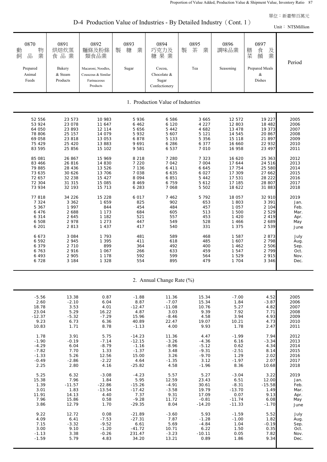D-4 Production Value of Industries - By Detailed Industry (Cont. 1)

Unit: NT\$Milli

|                                                              |                                                      |                                                                                              |                              |                                                                        |                            |                           |                                                                    | $\text{unit} \cdot \text{non}$ |
|--------------------------------------------------------------|------------------------------------------------------|----------------------------------------------------------------------------------------------|------------------------------|------------------------------------------------------------------------|----------------------------|---------------------------|--------------------------------------------------------------------|--------------------------------|
| 0870<br>物<br>動<br>業<br>品<br>飼<br>Prepared<br>Animal<br>Feeds | 0891<br>烘焙炊蒸<br>食品業<br>Bakery<br>& Steam<br>Products | 0892<br>麵條及粉條<br>類食品業<br>Macaroni, Noodles,<br>Couscous & Similar<br>Farinaceous<br>Products | 0893<br>製<br>糖<br>業<br>Sugar | 0894<br>巧克力及<br>糖果業<br>Cocoa,<br>Chocolate &<br>Sugar<br>Confectionery | 0895<br>茶<br>製<br>業<br>Tea | 0896<br>調味品業<br>Seasoning | 0897<br>膳<br>食餚<br>及<br>業<br>菜<br>Prepared Meals<br>$\&$<br>Dishes | Period                         |
|                                                              |                                                      |                                                                                              |                              | 1. Production Value of Industries                                      |                            |                           |                                                                    |                                |
| 52 556                                                       | 23 573                                               | 10 983                                                                                       | 5936                         | 6 5 8 6                                                                | 3 6 6 5                    | 12 572                    | 19 227                                                             | 2005                           |
| 53 924                                                       | 23 078                                               | 11 647                                                                                       | 6 4 6 2                      | 6 1 2 0                                                                | 4 2 2 7                    | 12 803                    | 18 482                                                             | 2006                           |
| 64 050                                                       | 23 893                                               | 12 114                                                                                       | 5 6 5 6                      | 5 4 4 2                                                                | 4 682                      | 13 478                    | 19 373                                                             | 2007                           |
| 78 806                                                       | 25 157                                               | 14 079                                                                                       | 5932                         | 5 607                                                                  | 5 1 2 1                    | 14 545                    | 20 867                                                             | 2008                           |
| 69 058                                                       | 23 818                                               | 13 053                                                                                       | 6878                         | 5 1 3 3                                                                | 5 3 5 6                    | 15 118                    | 21 897                                                             | 2009                           |
| 75 429                                                       | 25 4 20                                              | 13 883                                                                                       | 9 6 9 1                      | 6 2 8 6                                                                | 6 3 7 7                    | 16 660                    | 22 932                                                             | 2010                           |
| 83 595                                                       | 25 856                                               | 15 102                                                                                       | 9 5 8 1                      | 6 5 3 7                                                                | 7 0 1 0                    | 16 958                    | 23 497                                                             | 2011                           |
| 85 081                                                       | 26 867                                               | 15 969                                                                                       | 8 2 1 8                      | 7 2 8 0                                                                | 7 3 2 3                    | 16 620                    | 25 363                                                             | 2012                           |
| 83 466                                                       | 26 816                                               | 14 830                                                                                       | 7 2 2 0                      | 7 0 4 2                                                                | 7 0 0 4                    | 17 644                    | 24 516                                                             | 2013                           |
| 79 885                                                       | 28 4 36                                              | 13 5 26                                                                                      | 7 1 3 6                      | 6 4 1 1                                                                | 6 6 4 5                    | 17 754                    | 25 580                                                             | 2014                           |
| 73 635                                                       | 30 6 26                                              | 13 706                                                                                       | 7 0 38                       | 6 6 3 5                                                                | 6 0 2 7                    | 17 309                    | 27 662                                                             | 2015                           |
| 72 657                                                       | 32 238                                               | 15 4 27                                                                                      | 8 0 9 4                      | 6 8 5 1                                                                | 5 4 4 2                    | 17 531                    | 28 222                                                             | 2016                           |
| 72 304                                                       | 31 315                                               | 15 085                                                                                       | 8 4 6 9                      | 6 7 5 9                                                                | 5 6 1 2                    | 17 185                    | 28 807                                                             | 2017                           |
| 73 934                                                       | 32 193                                               | 15 713                                                                                       | 6 2 8 3                      | 7 0 6 8                                                                | 5 5 0 2                    | 18 622                    | 31 883                                                             | 2018                           |
| 77818                                                        | 34 226                                               | 15 228                                                                                       | 6 0 1 7                      | 7 4 6 2                                                                | 5792                       | 18 057                    | 32 910                                                             | 2019                           |
| 7 3 2 4                                                      | 3 3 6 2                                              | 1 659                                                                                        | 825                          | 902                                                                    | 653                        | 1803                      | 3 3 9 1                                                            | Jan.                           |
| 5 3 6 7                                                      | 1 9 9 7                                              | 844                                                                                          | 454                          | 484                                                                    | 457                        | 1 0 5 7                   | 2 1 0 4                                                            | Feb.                           |
| 6476                                                         | 2 6 8 8                                              | 1 1 7 3                                                                                      | 684                          | 605                                                                    | 513                        | 1 500                     | 2 5 2 9                                                            | Mar.                           |
| 6 3 1 4                                                      | 2 645                                                | 1 1 8 2                                                                                      | 521                          | 557                                                                    | 453                        | 1 4 2 0                   | 2 4 1 9                                                            | Apr.                           |
| 6 508                                                        | 2 9 7 8                                              | 1 2 7 3                                                                                      | 447                          | 549                                                                    | 528                        | 1 4 6 6                   | 2 6 8 9                                                            | May                            |
| 6 201                                                        | 2 8 1 3                                              | 1 4 3 7                                                                                      | 417                          | 540                                                                    | 331                        | 1 3 7 5                   | 2 5 3 9                                                            | June                           |
| 6 6 7 3                                                      | 3 0 8 4                                              | 1 7 9 3                                                                                      | 481                          | 589                                                                    | 468                        | 1 5 8 7                   | 2 8 7 3                                                            | July                           |
| 6 5 9 2                                                      | 2 9 4 5                                              | 1 3 9 5                                                                                      | 411                          | 618                                                                    | 485                        | 1 607                     | 2 7 9 8                                                            | Aug.                           |
| 6 3 7 9                                                      | 2 7 1 0                                              | 899                                                                                          | 364                          | 492                                                                    | 400                        | 1 4 6 2                   | 2 5 0 6                                                            | Sep.                           |
| 6 7 6 3                                                      | 2 9 1 6                                              | 1 0 6 7                                                                                      | 266                          | 633                                                                    | 459                        | 1 5 4 7                   | 2 7 9 9                                                            | Oct.                           |
| 6 4 9 3                                                      | 2 9 0 5                                              | 1 1 7 8                                                                                      | 592                          | 599                                                                    | 564                        | 1 5 2 9                   | 2 9 1 5                                                            | Nov.                           |
| 6728                                                         | 3 1 8 4                                              | 1 3 2 8                                                                                      | 554                          | 895                                                                    | 479                        | 1 7 0 4                   | 3 3 4 6                                                            | Dec.                           |
|                                                              |                                                      |                                                                                              |                              | 2. Annual Change Rate (%)                                              |                            |                           |                                                                    |                                |
| $-5.56$                                                      | 13.38                                                | 0.87                                                                                         | $-1.88$                      | 11.36                                                                  | 15.34                      | $-7.00$                   | 4.52                                                               | 2005                           |
| 2.60                                                         | $-2.10$                                              | 6.04                                                                                         | 8.87                         | $-7.07$                                                                | 15.34                      | 1.84                      | $-3.87$                                                            | 2006                           |
| 18.78                                                        | 3.53                                                 | 4.01                                                                                         | $-12.47$                     | $-11.08$                                                               | 10.76                      | 5.27                      | 4.82                                                               | 2007                           |
| 23.04                                                        | 5.29                                                 | 16.22                                                                                        | 4.87                         | 3.03                                                                   | 9.39                       | 7.92                      | 7.71                                                               | 2008                           |
| $-12.37$                                                     | $-5.32$                                              | $-7.29$                                                                                      | 15.96                        | $-8.46$                                                                | 4.58                       | 3.94                      | 4.93                                                               | 2009                           |
| 9.23                                                         | 6.73                                                 | 6.36                                                                                         | 40.89                        | 22.47                                                                  | 19.07                      | 10.21                     | 4.73                                                               | 2010                           |
| 10.83                                                        | 1.71                                                 | 8.78                                                                                         | $-1.13$                      | 4.00                                                                   | 9.93                       | 1.78                      | 2.47                                                               | 2011                           |
| 1.78                                                         | 3.91                                                 | 5.75                                                                                         | $-14.23$                     | 11.36                                                                  | 4.47                       | $-1.99$                   | 7.94                                                               | 2012                           |
| $-1.90$                                                      | $-0.19$                                              | $-7.14$                                                                                      | $-12.15$                     | $-3.26$                                                                | $-4.36$                    | 6.16                      | $-3.34$                                                            | 2013                           |
| $-4.29$                                                      | 6.04                                                 | $-8.79$                                                                                      | $-1.16$                      | $-8.96$                                                                | $-5.12$                    | 0.62                      | 4.34                                                               | 2014                           |
| $-7.82$                                                      | 7.70                                                 | 1.33                                                                                         | $-1.37$                      | 3.48                                                                   | $-9.31$                    | $-2.51$                   | 8.14                                                               | 2015                           |
| $-1.33$                                                      | 5.26                                                 | 12.56                                                                                        | 15.00                        | 3.26                                                                   | $-9.70$                    | 1.29                      | 2.02                                                               | 2016                           |
| $-0.49$                                                      | $-2.86$                                              | $-2.22$                                                                                      | 4.64                         | $-1.35$                                                                | 3.12                       | $-1.97$                   | 2.07                                                               | 2017                           |
| 2.25                                                         | 2.80                                                 | 4.16                                                                                         | $-25.82$                     | 4.58                                                                   | $-1.96$                    | 8.36                      | 10.68                                                              | 2018                           |
| 5.25                                                         | 6.32                                                 | $-3.08$                                                                                      | $-4.23$                      | 5.57                                                                   | 5.27                       | $-3.04$                   | 3.22                                                               | 2019                           |
| 15.38                                                        | 7.96                                                 | 1.84                                                                                         | 5.95                         | 12.59                                                                  | 23.43                      | 6.51                      | 12.00                                                              | Jan.                           |
| 1.39                                                         | $-11.57$                                             | $-22.86$                                                                                     | $-15.26$                     | $-4.91$                                                                | 30.61                      | $-8.31$                   | $-15.58$                                                           | Feb.                           |
| 3.01                                                         | 1.83                                                 | $-13.54$                                                                                     | $-17.42$                     | $-3.58$                                                                | 19.79                      | $-13.70$                  | 1.49                                                               | Mar.                           |
| 11.91                                                        | 14.13                                                | 4.40                                                                                         | 7.37                         | 9.31                                                                   | 17.09                      | 0.07                      | 9.13                                                               | Apr.                           |
| 7.96                                                         | 15.86                                                | 0.58                                                                                         | $-9.28$                      | 11.72                                                                  | $-0.81$                    | $-11.74$                  | 6.08                                                               | May                            |
| 3.86                                                         | 12.79                                                | 1.70                                                                                         | $-29.35$                     | 8.04                                                                   | $-14.20$                   | $-11.33$                  | $-1.70$                                                            | June                           |

9.22 12.72 0.08 -21.89 -3.60 5.93 -1.59 5.52 July 4.09 6.41 -7.53 -27.31 7.87 -1.28 -1.00 1.82 Aug. 7.15 -3.32 -9.52 6.61 5.69 -4.84 1.04 -0.19 Sep. 3.00 9.10 -1.20 -41.72 10.71 6.22 1.50 0.35 Oct. -1.13 3.38 -0.26 231.47 -3.23 -10.11 0.05 7.82 Nov. -1.59 5.79 4.83 34.20 13.21 0.89 1.86 9.34 Dec.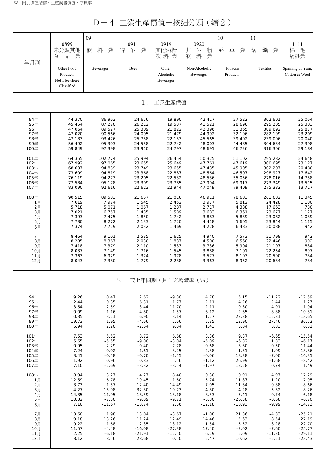D-4 工業生產價值-按細分類(續2)

| 年月別  | 0899<br>未分類其他<br>品<br>業<br>食<br>Other Food<br>Products<br>Not Elsewhere<br>Classified | 09<br>料<br>業<br>飲<br>Beverages | 0911<br>啤<br>酒<br>業<br>Beer | 0919<br>其他酒精<br>飲料業<br>Other<br>Alcoholic<br>Beverages | 0920<br>酒<br>非<br>精<br>業<br>飲<br>料<br>Non-Alcoholic<br><b>Beverages</b> | 10<br>菸<br>草<br>業<br>Tobacco<br>Products | 11<br>織<br>紡<br>業<br>Textiles | 1111<br>毛<br>棉<br>紡紗業<br>Spinning of Yarn,<br>Cotton & Wool |
|------|---------------------------------------------------------------------------------------|--------------------------------|-----------------------------|--------------------------------------------------------|-------------------------------------------------------------------------|------------------------------------------|-------------------------------|-------------------------------------------------------------|
|      |                                                                                       |                                | $1$ .                       | 工業生產價值                                                 |                                                                         |                                          |                               |                                                             |
| 94年  | 44 370                                                                                | 86 963                         | 24 656                      | 19 890                                                 | 42 417                                                                  | 27 522                                   | 302 601                       | 25 064                                                      |
| 95年  | 45 454                                                                                | 87 270                         | 26 212                      | 19 537                                                 | 41 521                                                                  | 28 6 9 6                                 | 295 205                       | 25 383                                                      |
| 96年  | 47 064                                                                                | 89 527                         | 25 309                      | 21 822                                                 | 42 396                                                                  | 31 365                                   | 309 692                       | 25 877                                                      |
| 97年  | 47 020                                                                                | 90 566                         | 24 095                      | 21 479                                                 | 44 992                                                                  | 32 196                                   | 282 199                       | 23 209                                                      |
| 98年  | 47 183                                                                                | 93 476                         | 25 758                      | 22 153                                                 | 45 565                                                                  | 39 402                                   | 239 006                       | 20 040                                                      |
| 99年  | 56 492                                                                                | 95 303                         | 24 558                      | 22 742                                                 | 48 003                                                                  | 44 485                                   | 304 634                       | 27 398                                                      |
| 100年 | 59 849                                                                                | 97 398                         | 23 910                      | 24 797                                                 | 48 691                                                                  | 46 726                                   | 316 306                       | 29 184                                                      |
| 101年 | 64 355                                                                                | 102 774                        | 25 994                      | 26 454                                                 | 50 325                                                                  | 51 102                                   | 295 282                       | 24 648                                                      |
| 102年 | 67 992                                                                                | 97 065                         | 23 655                      | 25 649                                                 | 47 761                                                                  | 47 619                                   | 300 695                       | 23 127                                                      |
| 103年 | 68 637                                                                                | 94 839                         | 23 749                      | 23 655                                                 | 47 435                                                                  | 45 905                                   | 302 207                       | 20 480                                                      |
| 104年 | 73 609                                                                                | 94 819                         | 23 368                      | 22 887                                                 | 48 564                                                                  | 46 507                                   | 298 927                       | 17 642                                                      |
| 105年 | 76 119                                                                                | 94 273                         | 23 205                      | 22 532                                                 | 48 536                                                                  | 55 056                                   | 278 016                       | 14 758                                                      |
| 106年 | 77 584                                                                                | 95 178                         | 23 399                      | 23 7 85                                                | 47 994                                                                  | 69 917                                   | 273 349                       | 13 5 15                                                     |
| 107年 | 83 090                                                                                | 92 616                         | 22 623                      | 22 944                                                 | 47 049                                                                  | 79 409                                   | 275 382                       | 13 717                                                      |
| 108年 | 90 515                                                                                | 89 583                         | 21 657                      | 21 016                                                 | 46 911                                                                  | 78 683                                   | 261 682                       | 11 345                                                      |
| 1月   | 7619                                                                                  | 7974                           | 1 5 4 5                     | 2 4 5 2                                                | 3 9 7 7                                                                 | 5812                                     | 24 4 28                       | 1 100                                                       |
| 2月   | 5 7 1 8                                                                               | 5 0 7 1                        | 1 0 6 7                     | 1 2 8 7                                                | 2 7 1 7                                                                 | 4 3 8 8                                  | 17 663                        | 780                                                         |
| 3月   | 7 0 21                                                                                | 6 7 5 7                        | 1 4 8 5                     | 1 589                                                  | 3 683                                                                   | 6 3 6 1                                  | 23 677                        | 1 1 2 7                                                     |
| 4月   | 7 3 9 3                                                                               | 7 4 7 5                        | 1850                        | 1 7 4 2                                                | 3883                                                                    | 5839                                     | 23 062                        | 1 0 8 9                                                     |
| 5月   | 7 7 8 0                                                                               | 8 2 7 2                        | 2 1 3 3                     | 1 7 2 0                                                | 4 4 1 8                                                                 | 5 6 0 5                                  | 23 844                        | 1 1 1 5                                                     |
| 6月   | 7 3 7 4                                                                               | 7729                           | 2 0 3 2                     | 1 4 6 9                                                | 4 2 2 8                                                                 | 6 4 8 3                                  | 20 088                        | 942                                                         |
| 7月   | 8 4 6 4                                                                               | 9 1 0 1                        | 2 5 3 5                     | 1 6 2 5                                                | 4 940                                                                   | 7 5 7 3                                  | 21 798                        | 942                                                         |
| 8月   | 8 2 8 5                                                                               | 8 3 6 7                        | 2 0 3 0                     | 1837                                                   | 4 500                                                                   | 6 560                                    | 22 4 4 6                      | 902                                                         |
| 9月   | 7418                                                                                  | 7 3 7 9                        | 2 1 1 0                     | 1 5 3 3                                                | 3736                                                                    | 5 904                                    | 21 197                        | 884                                                         |
| 10月  | 8 0 3 7                                                                               | 7 1 4 9                        | 1 7 1 6                     | 1 5 4 5                                                | 3888                                                                    | 7 101                                    | 22 254                        | 897                                                         |
| 11月  | 7 3 6 3                                                                               | 6929                           | 1 3 7 4                     | 1978                                                   | 3 5 7 7                                                                 | 8 1 0 3                                  | 20 590                        | 784                                                         |
| 12月  | 8 0 4 3                                                                               | 7 3 8 0                        | 1 7 7 9                     | 2 2 3 8                                                | 3 3 6 3                                                                 | 8952                                     | 20 634                        | 784                                                         |
|      |                                                                                       |                                | 2.                          | 較上年同期(月)之增減率(%)                                        |                                                                         |                                          |                               |                                                             |
| 94年  | 9.26                                                                                  | 0.47                           | 2.62                        | $-9.80$                                                | 4.78                                                                    | 5.15                                     | $-11.22$                      | $-17.59$                                                    |
| 95年  | 2.44                                                                                  | 0.35                           | 6.31                        | $-1.77$                                                | $-2.11$                                                                 | 4.26                                     | $-2.44$                       | 1.27                                                        |
| 96年  | 3.54                                                                                  | 2.59                           | $-3.44$                     | 11.70                                                  | 2.11                                                                    | 9.30                                     | 4.91                          | 1.94                                                        |
| 97年  | $-0.09$                                                                               | 1.16                           | $-4.80$                     | $-1.57$                                                | 6.12                                                                    | 2.65                                     | $-8.88$                       | $-10.31$                                                    |
| 98年  | 0.35                                                                                  | 3.21                           | 6.90                        | 3.14                                                   | 1.27                                                                    | 22.38                                    | $-15.31$                      | $-13.65$                                                    |
| 99年  | 19.73                                                                                 | 1.95                           | $-4.66$                     | 2.66                                                   | 5.35                                                                    | 12.90                                    | 27.46                         | 36.72                                                       |
| 100年 | 5.94                                                                                  | 2.20                           | $-2.64$                     | 9.04                                                   | 1.43                                                                    | 5.04                                     | 3.83                          | 6.52                                                        |
| 101年 | 7.53                                                                                  | 5.52                           | 8.72                        | 6.68                                                   | 3.36                                                                    | 9.37                                     | $-6.65$                       | $-15.54$                                                    |
| 102年 | 5.65                                                                                  | $-5.55$                        | $-9.00$                     | $-3.04$                                                | $-5.09$                                                                 | $-6.82$                                  | 1.83                          | $-6.17$                                                     |
| 103年 | 0.95                                                                                  | $-2.29$                        | 0.40                        | $-7.78$                                                | $-0.68$                                                                 | $-3.60$                                  | 0.50                          | $-11.44$                                                    |
| 104年 | 7.24                                                                                  | $-0.02$                        | $-1.61$                     | $-3.25$                                                | 2.38                                                                    | 1.31                                     | $-1.09$                       | $-13.86$                                                    |
| 105年 | 3.41                                                                                  | $-0.58$                        | $-0.70$                     | $-1.55$                                                | $-0.06$                                                                 | 18.38                                    | $-7.00$                       | $-16.35$                                                    |
| 106年 | 1.92                                                                                  | 0.96                           | 0.83                        | 5.56                                                   | $-1.12$                                                                 | 26.99                                    | $-1.68$                       | $-8.42$                                                     |
| 107年 | 7.10                                                                                  | $-2.69$                        | $-3.32$                     | $-3.54$                                                | $-1.97$                                                                 | 13.58                                    | 0.74                          | 1.49                                                        |
| 108年 | 8.94                                                                                  | $-3.27$                        | $-4.27$                     | $-8.40$                                                | $-0.30$                                                                 | $-0.91$                                  | $-4.97$                       | $-17.29$                                                    |
| 1月   | 12.59                                                                                 | 6.78                           | 19.45                       | 1.60                                                   | 5.74                                                                    | 11.87                                    | 1.20                          | $-7.95$                                                     |
| 2月   | 3.73                                                                                  | 1.57                           | 12.40                       | $-14.49$                                               | 7.05                                                                    | 11.64                                    | $-0.88$                       | $-8.66$                                                     |
| 3月   | 4.27                                                                                  | $-15.98$                       | $-32.30$                    | $-19.73$                                               | $-4.80$                                                                 | $-4.28$                                  | $-5.32$                       | $-8.26$                                                     |
| 4月   | 14.35                                                                                 | 11.95                          | 18.59                       | 13.18                                                  | 8.53                                                                    | 5.41                                     | 0.74                          | $-6.18$                                                     |
| 5月   | 10.32                                                                                 | $-7.50$                        | $-9.09$                     | $-9.71$                                                | $-5.80$                                                                 | $-26.58$                                 | $-0.68$                       | $-6.70$                                                     |
| 6月   | 7.10                                                                                  | $-11.67$                       | $-18.74$                    | 2.36                                                   | $-12.18$                                                                | $-18.93$                                 | $-9.99$                       | $-14.73$                                                    |
| 7月   | 13.60                                                                                 | 1.98                           | 13.04                       | $-3.67$                                                | $-1.08$                                                                 | 21.86                                    | $-4.83$                       | $-25.21$                                                    |
| 8月   | 9.18                                                                                  | $-13.26$                       | $-11.24$                    | $-12.49$                                               | $-14.46$                                                                | $-5.63$                                  | $-8.54$                       | $-27.19$                                                    |
| 9月   | 9.22                                                                                  | $-1.68$                        | 2.35                        | $-13.12$                                               | 1.54                                                                    | $-5.52$                                  | $-6.28$                       | $-22.70$                                                    |
| 10月  | 11.57                                                                                 | $-4.48$                        | $-16.08$                    | $-27.38$                                               | 17.40                                                                   | $-2.02$                                  | $-7.60$                       | $-25.77$                                                    |
| 11月  | 2.25                                                                                  | $-6.18$                        | $-21.91$                    | $-12.50$                                               | 6.29                                                                    | 5.09                                     | $-11.30$                      | $-29.11$                                                    |
| 12月  | 8.12                                                                                  | 8.56                           | 28.68                       | 0.50                                                   | 5.47                                                                    | 10.62                                    | $-5.51$                       | $-23.43$                                                    |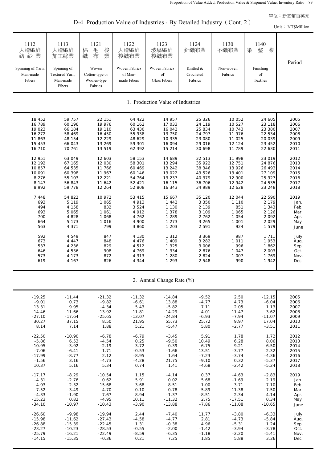D-4 Production Value of Industries - By Detailed Industry (Cont. 2)

Unit: NT\$Million

| 1112<br>人造纖維<br>紡紗業<br>Spinning of Yarn,<br>Man-made<br>Fibers | 1113<br>人造纖維<br>加工絲業<br>Spinning of<br>Textured Yarn,<br>Man-made<br>Fibers | 1121<br>毛<br>梭<br>棉<br>業<br>織<br>布<br>Woven<br>Cotton-type or<br>Woolen-type<br>Fabrics | 1122<br>人造纖維<br>梭織布業<br><b>Woven Fabrics</b><br>of Man-<br>made Fibers | 1123<br>玻璃纖維<br>梭織布業<br><b>Woven Fabrics</b><br>of<br><b>Glass Fibers</b> | 1124<br>針織布業<br>Knitted &<br>Crocheted<br>Fabrics | 1130<br>不織布業<br>Non-woven<br>Fabrics | 1140<br>整<br>業<br>染<br>Finishing<br>$_{\mathrm{of}}$<br>Textiles | Period |  |  |  |
|----------------------------------------------------------------|-----------------------------------------------------------------------------|-----------------------------------------------------------------------------------------|------------------------------------------------------------------------|---------------------------------------------------------------------------|---------------------------------------------------|--------------------------------------|------------------------------------------------------------------|--------|--|--|--|
|                                                                | 1. Production Value of Industries                                           |                                                                                         |                                                                        |                                                                           |                                                   |                                      |                                                                  |        |  |  |  |
| 18 452                                                         | 59 757                                                                      | 22 151                                                                                  | 64 422                                                                 | 14 957                                                                    | 25 3 26                                           | 10 052                               | 24 605                                                           | 2005   |  |  |  |
| 16 789                                                         | 60 196                                                                      | 19 976                                                                                  | 60 162                                                                 | 17 033                                                                    | 24 119                                            | 10 527                               | 23 118                                                           | 2006   |  |  |  |
| 19 023                                                         | 66 184                                                                      | 19 110                                                                                  | 63 430                                                                 | 16 042                                                                    | 25 834                                            | 10 743                               | 23 380                                                           | 2007   |  |  |  |
| 16 27 2                                                        | 58 469                                                                      | 16 450                                                                                  | 55 938                                                                 | 13 750                                                                    | 24 797                                            | 11 976                               | 22 534                                                           | 2008   |  |  |  |
| 11 863                                                         | 48 154                                                                      | 12 2 2 9                                                                                | 48 629                                                                 | 10 335                                                                    | 23 080                                            | 11 025                               | 20 039                                                           | 2009   |  |  |  |
| 15 453                                                         | 66 043                                                                      | 13 269                                                                                  | 59 301                                                                 | 16 094                                                                    | 29 016                                            | 12 124                               | 23 452                                                           | 2010   |  |  |  |
| 16 710                                                         | 70 761                                                                      | 13 519                                                                                  | 62 392                                                                 | 15 214                                                                    | 30 698                                            | 11 789                               | 22 630                                                           | 2011   |  |  |  |
| 12 951                                                         | 63 049                                                                      | 12 603                                                                                  | 58 153                                                                 | 14 689                                                                    | 32 513                                            | 11 998                               | 23 019                                                           | 2012   |  |  |  |
| 12 192                                                         | 67 165                                                                      | 12 030                                                                                  | 58 301                                                                 | 13 294                                                                    | 35 922                                            | 12 751                               | 24 876                                                           | 2013   |  |  |  |
| 10857                                                          | 64 535                                                                      | 11 766                                                                                  | 60 4 69                                                                | 13 24 2                                                                   | 38 346                                            | 13 9 26                              | 26 493                                                           | 2014   |  |  |  |
| 10 091                                                         | 60 398                                                                      | 11 967                                                                                  | 60 146                                                                 | 13 022                                                                    | 43 526                                            | 13 401                               | 27 109                                                           | 2015   |  |  |  |
| 8 2 7 6                                                        | 55 103                                                                      | 12 221                                                                                  | 54 764                                                                 | 13 237                                                                    | 40 379                                            | 12 900                               | 25 9 27                                                          | 2016   |  |  |  |
| 8 1 4 7                                                        | 56 843                                                                      | 11 642                                                                                  | 52 4 21                                                                | 16 115                                                                    | 36 706                                            | 12 942                               | 24 535                                                           | 2017   |  |  |  |
| 8 9 9 2                                                        | 59 778                                                                      | 12 264                                                                                  | 52 808                                                                 | 16 343                                                                    | 34 989                                            | 12 628                               | 23 248                                                           | 2018   |  |  |  |
| 7 4 4 8                                                        | 54 822                                                                      | 10 972                                                                                  | 53 415                                                                 | 15 667                                                                    | 35 120                                            | 12 044                               | 22 590                                                           | 2019   |  |  |  |
| 693                                                            | 5 1 1 9                                                                     | 1 0 6 5                                                                                 | 4 9 1 3                                                                | 1 4 4 2                                                                   | 3 3 5 0                                           | 1 1 1 0                              | 2 1 7 9                                                          | Jan.   |  |  |  |
| 494                                                            | 4 158                                                                       | 832                                                                                     | 3 5 2 4                                                                | 1 1 3 0                                                                   | 2 1 3 9                                           | 851                                  | 1 3 4 3                                                          | Feb.   |  |  |  |
| 693                                                            | 5 0 6 5                                                                     | 1 0 6 1                                                                                 | 4 9 1 2                                                                | 1 3 7 8                                                                   | 3 1 0 9                                           | 1 0 6 5                              | 2 1 2 6                                                          | Mar.   |  |  |  |
| 700                                                            | 4 8 2 8                                                                     | 1 0 6 8                                                                                 | 4 762                                                                  | 1 2 8 9                                                                   | 2 7 6 2                                           | 1 0 5 4                              | 2 0 9 2                                                          | Apr.   |  |  |  |
| 664                                                            | 5 1 7 3                                                                     | 1 0 1 6                                                                                 | 4 900                                                                  | 1 2 7 3                                                                   | 3 2 6 5                                           | 1 0 0 1                              | 2 0 2 9                                                          | May    |  |  |  |
| 563                                                            | 4 3 7 1                                                                     | 799                                                                                     | 3 860                                                                  | 1 2 0 3                                                                   | 2 5 9 1                                           | 924                                  | 1 579                                                            | June   |  |  |  |
| 592                                                            | 4 5 4 9                                                                     | 847                                                                                     | 4 1 3 0                                                                | 1 3 1 2                                                                   | 3 3 6 9                                           | 987                                  | 1 7 1 1                                                          | July   |  |  |  |
| 673                                                            | 4 4 4 7                                                                     | 848                                                                                     | 4 4 7 6                                                                | 1 4 0 9                                                                   | 3 2 8 2                                           | 1 0 1 1                              | 1 953                                                            | Aug.   |  |  |  |
| 537                                                            | 4 2 3 6                                                                     | 829                                                                                     | 4512                                                                   | 1 3 2 5                                                                   | 3 0 0 6                                           | 996                                  | 1862                                                             | Sep.   |  |  |  |
| 646                                                            | 4 5 3 6                                                                     | 908                                                                                     | 4 7 6 9                                                                | 1 3 3 4                                                                   | 2876                                              | 1 0 4 7                              | 2 0 0 3                                                          | Oct.   |  |  |  |
| 573                                                            | 4 1 7 3                                                                     | 872                                                                                     | 4 3 1 3                                                                | 1 2 8 0                                                                   | 2 8 2 4                                           | 1 0 0 7                              | 1 769                                                            | Nov.   |  |  |  |
| 619                                                            | 4 167                                                                       | 826                                                                                     | 4 3 4 4                                                                | 1 2 9 3                                                                   | 2 5 4 8                                           | 990                                  | 1942                                                             | Dec.   |  |  |  |
|                                                                |                                                                             |                                                                                         |                                                                        | 2. Annual Change Rate (%)                                                 |                                                   |                                      |                                                                  |        |  |  |  |
| $-19.25$                                                       | $-11.44$                                                                    | $-21.32$                                                                                | $-11.32$                                                               | $-14.84$                                                                  | $-9.52$                                           | 2.50                                 | $-12.15$                                                         | 2005   |  |  |  |
| $-9.01$                                                        | 0.73                                                                        | $-9.82$                                                                                 | $-6.61$                                                                | 13.88                                                                     | $-4.77$                                           | 4.73                                 | $-6.04$                                                          | 2006   |  |  |  |
| 13.31                                                          | 9.95                                                                        | $-4.34$                                                                                 | 5.43                                                                   | $-5.82$                                                                   | 7.11                                              | 2.05                                 | 1.13                                                             | 2007   |  |  |  |
| $-14.46$                                                       | $-11.66$                                                                    | $-13.92$                                                                                | $-11.81$                                                               | $-14.29$                                                                  | $-4.01$                                           | 11.47                                | $-3.62$                                                          | 2008   |  |  |  |
| $-27.10$                                                       | $-17.64$                                                                    | $-25.65$                                                                                | $-13.07$                                                               | $-24.84$                                                                  | $-6.93$                                           | $-7.94$                              | $-11.07$                                                         | 2009   |  |  |  |
| 30.27                                                          | 37.15                                                                       | 8.50                                                                                    | 21.95                                                                  | 55.73                                                                     | 25.72                                             | 9.97                                 | 17.04                                                            | 2010   |  |  |  |
| 8.14                                                           | 7.14                                                                        | 1.88                                                                                    | 5.21                                                                   | $-5.47$                                                                   | 5.80                                              | $-2.77$                              | $-3.51$                                                          | 2011   |  |  |  |
| $-22.50$                                                       | $-10.90$                                                                    | $-6.78$                                                                                 | $-6.79$                                                                | $-3.45$                                                                   | 5.91                                              | 1.78                                 | 1.72                                                             | 2012   |  |  |  |
| $-5.86$                                                        | 6.53                                                                        | $-4.54$                                                                                 | 0.25                                                                   | $-9.50$                                                                   | 10.49                                             | 6.28                                 | 8.06                                                             | 2013   |  |  |  |
| $-10.95$                                                       | $-3.92$                                                                     | $-2.19$                                                                                 | 3.72                                                                   | $-0.39$                                                                   | 6.75                                              | 9.21                                 | 6.50                                                             | 2014   |  |  |  |
| $-7.06$                                                        | $-6.41$                                                                     | 1.71                                                                                    | $-0.53$                                                                | $-1.66$                                                                   | 13.51                                             | $-3.77$                              | 2.32                                                             | 2015   |  |  |  |
| $-17.99$                                                       | $-8.77$                                                                     | 2.12                                                                                    | $-8.95$                                                                | 1.64                                                                      | $-7.23$                                           | $-3.74$                              | $-4.36$                                                          | 2016   |  |  |  |
| $-1.56$                                                        | 3.16                                                                        | $-4.73$                                                                                 | $-4.28$                                                                | 21.75                                                                     | $-9.10$                                           | 0.32                                 | $-5.37$                                                          | 2017   |  |  |  |
| 10.37                                                          | 5.16                                                                        | 5.34                                                                                    | 0.74                                                                   | 1.41                                                                      | $-4.68$                                           | $-2.42$                              | $-5.24$                                                          | 2018   |  |  |  |
| $-17.17$                                                       | $-8.29$                                                                     | $-10.54$                                                                                | 1.15                                                                   | $-4.14$                                                                   | 0.37                                              | $-4.63$                              | $-2.83$                                                          | 2019   |  |  |  |
| $-4.31$                                                        | $-2.76$                                                                     | 0.62                                                                                    | 5.91                                                                   | 0.02                                                                      | 5.68                                              | $-1.69$                              | 2.19                                                             | Jan.   |  |  |  |
| 4.93                                                           | $-2.32$                                                                     | 15.68                                                                                   | 3.68                                                                   | $-8.51$                                                                   | $-1.00$                                           | 3.71                                 | $-7.10$                                                          | Feb.   |  |  |  |
| $-7.52$                                                        | $-3.49$                                                                     | 4.70                                                                                    | 0.10                                                                   | 0.78                                                                      | $-5.89$                                           | $-11.38$                             | $-7.50$                                                          | Mar.   |  |  |  |
| $-4.33$                                                        | $-1.90$                                                                     | 7.67                                                                                    | 8.94                                                                   | $-1.37$                                                                   | $-8.51$                                           | 2.34                                 | 4.14                                                             | Apr.   |  |  |  |
| $-15.23$                                                       | 0.82                                                                        | $-4.95$                                                                                 | 10.11                                                                  | $-11.32$                                                                  | 2.75                                              | $-17.51$                             | 0.34                                                             | May    |  |  |  |
| $-34.10$                                                       | $-10.97$                                                                    | $-10.43$                                                                                | $-3.90$                                                                | $-13.88$                                                                  | $-7.86$                                           | $-11.08$                             | $-10.65$                                                         | June   |  |  |  |
| $-26.60$                                                       | $-9.98$                                                                     | $-19.94$                                                                                | 2.44                                                                   | $-7.40$                                                                   | 11.77                                             | $-3.80$                              | $-6.33$                                                          | July   |  |  |  |
| $-15.98$                                                       | $-11.62$                                                                    | $-27.43$                                                                                | $-4.58$                                                                | $-4.77$                                                                   | 2.81                                              | $-4.73$                              | $-5.84$                                                          | Aug.   |  |  |  |
| $-26.88$                                                       | $-15.39$                                                                    | $-22.45$                                                                                | 1.31                                                                   | $-0.38$                                                                   | 4.96                                              | $-5.31$                              | 1.24                                                             | Sep.   |  |  |  |
| $-23.27$                                                       | $-10.23$                                                                    | $-28.53$                                                                                | $-0.55$                                                                | $-2.00$                                                                   | $-1.42$                                           | $-3.94$                              | $-3.78$                                                          | Oct.   |  |  |  |
| $-25.79$                                                       | $-16.21$                                                                    | $-22.49$                                                                                | $-8.59$                                                                | $-6.35$                                                                   | $-1.18$                                           | $-2.20$                              | $-5.41$                                                          | Nov.   |  |  |  |
| $-14.15$                                                       | $-15.35$                                                                    | $-0.36$                                                                                 | 0.21                                                                   | 7.25                                                                      | 1.85                                              | 5.88                                 | 3.26                                                             | Dec.   |  |  |  |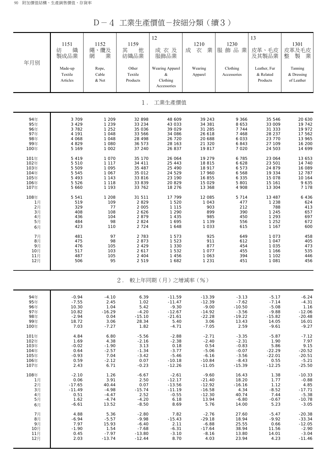D-4 工業生產價值-按細分類(續3)

| 年月別             | 1151<br>織<br>紡<br>製成品業<br>Made-up<br>Textile<br>Articles | 1152<br>繩、纜及<br>業<br>網<br>Rope,<br>Cable<br>& Net | 1159<br>其<br>他<br>紡織品業<br>Other<br>Textile<br>Products | 12<br>成衣及<br>服飾品業<br>Wearing Apparel<br>&<br>Clothing | 1210<br>成<br>業<br>衣<br>Wearing<br>Apparel | 1230<br>服飾品業<br>Clothing<br>Accessories | 13<br>皮革、毛皮<br>及其製品業<br>Leather, Fur<br>& Related<br>Products | 1301<br>皮革及毛皮<br>業<br>製<br>整<br>Tanning<br>& Dressing<br>of Leather |
|-----------------|----------------------------------------------------------|---------------------------------------------------|--------------------------------------------------------|-------------------------------------------------------|-------------------------------------------|-----------------------------------------|---------------------------------------------------------------|---------------------------------------------------------------------|
|                 |                                                          |                                                   | $1$ .                                                  | Accessories<br>工業生產價值                                 |                                           |                                         |                                                               |                                                                     |
| 94年             | 3 7 0 9                                                  | 1 209                                             | 32 898                                                 | 48 609                                                | 39 243                                    | 9 3 6 6                                 | 35 546                                                        | 20 630                                                              |
| 95年             | 3 4 2 9                                                  | 1 2 3 9                                           | 33 2 34                                                | 43 033                                                | 34 381                                    | 8 6 5 3                                 | 33 009                                                        | 19 742                                                              |
| 96年             | 3 7 8 2                                                  | 1 2 5 2                                           | 35 036                                                 | 39 0 29                                               | 31 285                                    | 7 7 4 4                                 | 31 333                                                        | 19 972                                                              |
| 97年             | 4 1 9 1                                                  | 1 0 4 8                                           | 33 566                                                 | 34 086                                                | 26 618                                    | 7 4 6 8                                 | 28 237                                                        | 17 562                                                              |
| 98年             | 4 0 6 8                                                  | 1 0 4 8                                           | 28 4 9 8                                               | 26 720                                                | 20 688                                    | 6 0 3 3                                 | 23 770                                                        | 13 965                                                              |
| 99年             | 4 8 2 9                                                  | 1 0 8 0                                           | 36 573                                                 | 28 163                                                | 21 3 20                                   | 6843                                    | 27 109                                                        | 16 200                                                              |
| 100年            | 5 1 6 9                                                  | 1 0 0 2                                           | 37 240                                                 | 26 837                                                | 19817                                     | 7 0 2 0                                 | 24 503                                                        | 14 699                                                              |
| 101年            | 5 4 1 9                                                  | 1 0 7 0                                           | 35 170                                                 | 26 064                                                | 19 279                                    | 6 7 8 5                                 | 23 064                                                        | 13 653                                                              |
| 102年            | 5 5 1 0                                                  | 1 1 1 7                                           | 34 411                                                 | 25 4 4 3                                              | 18 815                                    | 6 6 2 8                                 | 23 501                                                        | 14 740                                                              |
| 103年            | 5 5 0 9                                                  | 1 0 9 5                                           | 35 487                                                 | 25 4 9 0                                              | 18 917                                    | 6 5 7 3                                 | 24 879                                                        | 16 089                                                              |
| 104年            | 5 5 4 5                                                  | 1 0 6 7                                           | 35 012                                                 | 24 5 29                                               | 17 960                                    | 6 5 6 8                                 | 19 334                                                        | 12 787                                                              |
| 105年            | 5 4 9 3                                                  | 1 1 4 3                                           | 33 816                                                 | 23 190                                                | 16 855                                    | 6 3 3 5                                 | 15 078                                                        | 10 164                                                              |
| 106年            | 5 5 2 6                                                  | 1 1 1 8                                           | 33 839                                                 | 20 829                                                | 15 0 29                                   | 5 801                                   | 15 161                                                        | 9635                                                                |
| 107年            | 5 6 6 0                                                  | 1 1 9 3                                           | 33 762                                                 | 18 276                                                | 13 368                                    | 4 9 0 8                                 | 13 304                                                        | 7 1 7 8                                                             |
| 108年            | 5 5 4 1                                                  | 1 208                                             | 31 511                                                 | 17 799                                                | 12 085                                    | 5 7 1 4                                 | 13 487                                                        | 6 4 3 6                                                             |
| 1月              | 519                                                      | 109                                               | 2829                                                   | 1 5 2 0                                               | 1 0 4 3                                   | 477                                     | 1 2 3 8                                                       | 624                                                                 |
| 2月              | 329                                                      | 77                                                | 2 0 0 5                                                | 1 1 1 5                                               | 903                                       | 212                                     | 788                                                           | 413                                                                 |
| $3 \frac{1}{2}$ | 408                                                      | 108                                               | 2 6 2 6                                                | 1 2 9 0                                               | 899                                       | 390                                     | 1 2 4 5                                                       | 657                                                                 |
| 4月              | 436                                                      | 104                                               | 2879                                                   | 1 4 3 5                                               | 985                                       | 450                                     | 1 2 9 3                                                       | 697                                                                 |
| 5月              | 484                                                      | 98                                                | 2 8 2 4                                                | 1 6 9 5                                               | 1 1 3 9                                   | 556                                     | 1 2 5 2                                                       | 672                                                                 |
| 6月              | 423                                                      | 110                                               | 2 7 2 4                                                | 1 6 4 8                                               | 1 0 3 3                                   | 615                                     | 1 1 6 7                                                       | 600                                                                 |
| 7月              | 481                                                      | 97                                                | 2 7 8 3                                                | 1 5 7 3                                               | 925                                       | 649                                     | 1 0 7 3                                                       | 458                                                                 |
| 8月              | 475                                                      | 98                                                | 2873                                                   | 1 5 2 3                                               | 911                                       | 612                                     | 1 0 4 7                                                       | 405                                                                 |
| 9月              | 476                                                      | 105                                               | 2 4 2 9                                                | 1 3 3 0                                               | 877                                       | 454                                     | 1 0 3 5                                                       | 473                                                                 |
| 10月             | 517                                                      | 103                                               | 2617                                                   | 1 5 3 2                                               | 1 0 7 7                                   | 455                                     | 1 1 6 6                                                       | 535                                                                 |
| 11月             | 487                                                      | 105                                               | 2 4 0 4                                                | 1 4 5 6                                               | 1 0 6 3                                   | 394                                     | 1 1 0 2                                                       | 446                                                                 |
| 12月             | 506                                                      | 95                                                | 2 5 1 9                                                | 1 682                                                 | 1 2 3 1                                   | 451                                     | 1 0 8 1                                                       | 456                                                                 |
|                 |                                                          |                                                   | $2$ .                                                  | 較上年同期(月)之增減率(%)                                       |                                           |                                         |                                                               |                                                                     |
| 94年             | $-0.94$                                                  | $-4.10$                                           | 6.39                                                   | $-11.59$                                              | $-13.39$                                  | $-3.13$                                 | $-5.17$                                                       | $-6.24$                                                             |
| 95年             | $-7.55$                                                  | 2.45                                              | 1.02                                                   | $-11.47$                                              | $-12.39$                                  | $-7.62$                                 | $-7.14$                                                       | $-4.31$                                                             |
| 96年             | 10.30                                                    | 1.04                                              | 5.42                                                   | $-9.30$                                               | $-9.00$                                   | $-10.50$                                | $-5.08$                                                       | 1.16                                                                |
| 97年             | 10.82                                                    | $-16.29$                                          | $-4.20$                                                | $-12.67$                                              | $-14.92$                                  | $-3.56$                                 | $-9.88$                                                       | $-12.06$                                                            |
| 98年             | $-2.94$                                                  | 0.04                                              | $-15.10$                                               | $-21.61$                                              | $-22.28$                                  | $-19.22$                                | $-15.82$                                                      | $-20.48$                                                            |
| 99年             | 18.72                                                    | 3.06                                              | 28.34                                                  | 5.40                                                  | 3.06                                      | 13.43                                   | 14.05                                                         | 16.01                                                               |
| 100年            | 7.03                                                     | $-7.27$                                           | 1.82                                                   | $-4.71$                                               | $-7.05$                                   | 2.59                                    | $-9.61$                                                       | $-9.27$                                                             |
| 101年            | 4.84                                                     | 6.80                                              | $-5.56$                                                | $-2.88$                                               | $-2.71$                                   | $-3.35$                                 | $-5.87$                                                       | $-7.12$                                                             |
| 102年            | 1.69                                                     | 4.38                                              | $-2.16$                                                | $-2.38$                                               | $-2.40$                                   | $-2.31$                                 | 1.90                                                          | 7.97                                                                |
| 103年            | $-0.02$                                                  | $-1.90$                                           | 3.13                                                   | 0.18                                                  | 0.54                                      | $-0.83$                                 | 5.86                                                          | 9.15                                                                |
| 104年            | 0.64                                                     | $-2.57$                                           | $-1.34$                                                | $-3.77$                                               | $-5.06$                                   | $-0.07$                                 | $-22.29$                                                      | $-20.52$                                                            |
| 105年            | $-0.93$                                                  | 7.04                                              | $-3.42$                                                | $-5.46$                                               | $-6.16$                                   | $-3.56$                                 | $-22.01$                                                      | $-20.51$                                                            |
| 106年            | 0.59                                                     | $-2.12$                                           | 0.07                                                   | $-10.18$                                              | $-10.84$                                  | $-8.43$                                 | 0.55                                                          | $-5.21$                                                             |
| 107年            | 2.43                                                     | 6.71                                              | $-0.23$                                                | $-12.26$                                              | $-11.05$                                  | $-15.39$                                | $-12.25$                                                      | $-25.50$                                                            |
| 108年            | $-2.10$                                                  | 1.26                                              | $-6.67$                                                | $-2.61$                                               | $-9.60$                                   | 16.43                                   | 1.38                                                          | $-10.33$                                                            |
| 1月              | 0.06                                                     | 3.91                                              | 2.50                                                   | $-12.17$                                              | $-21.40$                                  | 18.20                                   | 1.77                                                          | $-0.88$                                                             |
| 2月              | $-17.65$                                                 | 40.44                                             | 0.07                                                   | $-13.56$                                              | $-12.92$                                  | $-16.16$                                | 1.12                                                          | 4.85                                                                |
| 3月              | $-11.49$                                                 | $-4.98$                                           | $-15.74$                                               | $-11.19$                                              | $-16.58$                                  | 4.34                                    | $-8.52$                                                       | $-17.71$                                                            |
| 4月              | 0.51                                                     | $-4.47$                                           | 2.52                                                   | $-0.55$                                               | $-12.30$                                  | 40.74                                   | 7.44                                                          | $-5.38$                                                             |
| 5月              | 1.62                                                     | $-4.74$                                           | $-4.20$                                                | 6.18                                                  | 13.94                                     | $-6.80$                                 | $-0.67$                                                       | $-10.78$                                                            |
| 6月              | $-6.61$                                                  | 13.52                                             | $-8.50$                                                | 8.69                                                  | 5.76                                      | 14.00                                   | 5.23                                                          | $-3.05$                                                             |
| 7月              | 4.88                                                     | 5.36                                              | $-2.80$                                                | 7.82                                                  | $-2.76$                                   | 27.60                                   | $-5.47$                                                       | $-20.38$                                                            |
| 8月              | $-6.94$                                                  | $-5.57$                                           | $-9.98$                                                | $-15.43$                                              | $-29.18$                                  | 18.94                                   | $-9.92$                                                       | $-33.34$                                                            |
| 9月              | 7.97                                                     | 15.93                                             | $-6.40$                                                | 2.11                                                  | $-6.88$                                   | 25.55                                   | 0.66                                                          | $-12.05$                                                            |
| 10月             | $-1.90$                                                  | 1.54                                              | $-7.68$                                                | $-6.31$                                               | $-17.64$                                  | 38.94                                   | 11.56                                                         | $-2.90$                                                             |
| 11月             | 0.45                                                     | $-7.97$                                           | $-13.80$                                               | $-3.10$                                               | $-8.16$                                   | 13.80                                   | 14.01                                                         | $-3.04$                                                             |
| 12月             | 2.03                                                     | $-13.74$                                          | $-12.44$                                               | 8.70                                                  | 4.03                                      | 23.94                                   | 4.23                                                          | $-11.46$                                                            |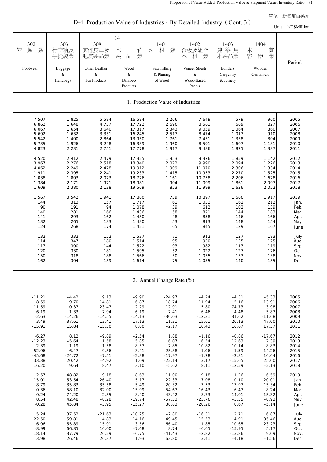D-4 Production Value of Industries - By Detailed Industry (Cont. 3)

| D-4 Production value of industries - By Detailed industry (Cont. $3$ )<br>Unit: NT\$Million                                                  |                                                                                                                                         |                                                                                                                                                     |                                                                                                                                          |                                                                                                                                    |                                                                                                                                                   |                                                                                                                                     |                                                                                                                                 |                                                                                                              |  |  |
|----------------------------------------------------------------------------------------------------------------------------------------------|-----------------------------------------------------------------------------------------------------------------------------------------|-----------------------------------------------------------------------------------------------------------------------------------------------------|------------------------------------------------------------------------------------------------------------------------------------------|------------------------------------------------------------------------------------------------------------------------------------|---------------------------------------------------------------------------------------------------------------------------------------------------|-------------------------------------------------------------------------------------------------------------------------------------|---------------------------------------------------------------------------------------------------------------------------------|--------------------------------------------------------------------------------------------------------------|--|--|
| 1302<br>業<br>類<br>鞋<br>Footwear                                                                                                              | 1303<br>行李箱及<br>手提袋業<br>Luggage<br>$\&$<br>Handbags                                                                                     | 1309<br>其他皮革及<br>毛皮製品業<br>Other Leather<br>$\&$<br>Fur Products                                                                                     | 14<br>竹業<br>木<br>製<br>$\frac{\Box}{\Box \Box}$<br>Wood<br>$\&$<br>Bamboo<br>Products                                                     | 1401<br>製<br>業<br>材<br>Sawmilling<br>& Planing<br>of Wood                                                                          | 1402<br>合板及組合<br>業<br>木 材<br>Veneer Sheets<br>$\&$<br>Wood-Based<br>Panels                                                                        | 1403<br>建築用<br>木製品業<br>Builders'<br>Carpentry<br>& Joinery                                                                          | 1404<br>質業<br>木容<br>器<br>Wooden<br>Containers                                                                                   | Period                                                                                                       |  |  |
| 1. Production Value of Industries                                                                                                            |                                                                                                                                         |                                                                                                                                                     |                                                                                                                                          |                                                                                                                                    |                                                                                                                                                   |                                                                                                                                     |                                                                                                                                 |                                                                                                              |  |  |
| 7 507<br>6862<br>6 0 67<br>5 6 9 2<br>5 5 4 2<br>5 7 3 5<br>4 8 2 3<br>4 5 2 0<br>3 9 6 7<br>4 0 6 2<br>1 911<br>1 0 3 8<br>1 3 8 4<br>1 609 | 1825<br>1 648<br>1 654<br>1 6 3 2<br>1 400<br>1926<br>2 2 3 1<br>2 4 1 2<br>2 2 7 6<br>2 2 4 9<br>2 3 9 5<br>1803<br>2 1 7 1<br>2 3 8 0 | 5 5 8 4<br>4 7 5 7<br>3 6 4 0<br>3 3 5 1<br>2 8 6 4<br>3 2 4 8<br>2 7 5 1<br>2 4 7 9<br>2 5 1 8<br>2 4 7 8<br>2 2 4 1<br>2 0 7 3<br>1971<br>2 1 3 8 | 16 584<br>17 722<br>17 317<br>16 245<br>13 950<br>16 339<br>17 778<br>17 325<br>18 340<br>19 912<br>19 233<br>18 776<br>18 981<br>19 569 | 2 2 6 6<br>2 6 9 0<br>2 3 4 3<br>2 5 1 7<br>1 761<br>1 960<br>1917<br>1953<br>2 0 7 2<br>1 909<br>1 4 1 5<br>1 1 6 1<br>904<br>853 | 7 6 4 9<br>8 5 6 3<br>9 0 5 9<br>8 4 7 4<br>7 4 3 1<br>8 5 9 1<br>9 4 8 6<br>9 3 7 6<br>9 9 9 0<br>11 070<br>10 953<br>10 758<br>11 099<br>11 999 | 579<br>609<br>1 0 6 4<br>1 0 1 7<br>1 3 3 8<br>1 607<br>1875<br>1859<br>2 0 9 4<br>2 3 0 6<br>2 2 7 0<br>2 2 0 6<br>1861<br>1 6 2 6 | 960<br>827<br>860<br>910<br>804<br>1 1 8 1<br>1 3 8 7<br>1 1 4 2<br>1 2 2 6<br>1 3 3 4<br>1 5 2 5<br>1678<br>2 0 9 7<br>2 0 5 2 | 2005<br>2006<br>2007<br>2008<br>2009<br>2010<br>2011<br>2012<br>2013<br>2014<br>2015<br>2016<br>2017<br>2018 |  |  |
| 1 567<br>144<br>90<br>140<br>141<br>132<br>124<br>132<br>114<br>117<br>120<br>150<br>162                                                     | 3 5 4 2<br>313<br>191<br>281<br>293<br>265<br>268<br>332<br>347<br>300<br>330<br>318<br>304                                             | 1941<br>157<br>94<br>166<br>162<br>183<br>174<br>152<br>180<br>144<br>181<br>188<br>159                                                             | 17 880<br>1 7 1 7<br>1 0 7 8<br>1 4 3 6<br>1 4 5 0<br>1 4 3 0<br>1 4 2 1<br>1 5 3 7<br>1514<br>1 5 2 2<br>1 5 9 5<br>1 566<br>1 6 1 4    | 759<br>61<br>39<br>58<br>48<br>53<br>65<br>71<br>95<br>93<br>52<br>50<br>75                                                        | 10 897<br>1 0 3 3<br>612<br>821<br>858<br>813<br>845<br>912<br>930<br>982<br>1 0 2 2<br>1 0 3 5<br>1 0 3 5                                        | 1 606<br>162<br>102<br>144<br>146<br>148<br>129<br>127<br>135<br>113<br>127<br>133<br>140                                           | 1917<br>212<br>139<br>183<br>166<br>154<br>167<br>183<br>125<br>119<br>176<br>138<br>155                                        | 2019<br>Jan.<br>Feb.<br>Mar.<br>Apr.<br>May<br>June<br>July<br>Aug.<br>Sep.<br>Oct.<br>Nov.<br>Dec.          |  |  |

2. Annual Change Rate (%)

| $-11.21$ | $-4.42$  | 9.13     | $-9.90$  | $-24.97$ | $-4.24$  | $-4.31$  | $-5.33$  | 2005 |
|----------|----------|----------|----------|----------|----------|----------|----------|------|
| $-8.59$  | $-9.70$  | $-14.81$ | 6.87     | 18.74    | 11.94    | 5.16     | $-13.91$ | 2006 |
| $-11.59$ | 0.37     | $-23.47$ | $-2.29$  | $-12.91$ | 5.80     | 74.73    | 3.98     | 2007 |
| $-6.19$  | $-1.33$  | $-7.94$  | $-6.19$  | 7.41     | $-6.46$  | $-4.48$  | 5.87     | 2008 |
| $-2.63$  | $-14.26$ | $-14.55$ | $-14.13$ | $-30.03$ | $-12.31$ | 31.62    | $-11.68$ | 2009 |
| 3.49     | 37.61    | 13.41    | 17.13    | 11.31    | 15.61    | 20.13    | 47.00    | 2010 |
| $-15.91$ | 15.84    | $-15.30$ | 8.80     | $-2.17$  | 10.43    | 16.67    | 17.37    | 2011 |
|          |          |          |          |          |          |          |          |      |
| $-6.27$  | 8.12     | $-9.89$  | $-2.54$  | 1.88     | $-1.16$  | $-0.86$  | $-17.67$ | 2012 |
| $-12.23$ | $-5.64$  | 1.58     | 5.85     | 6.07     | 6.54     | 12.63    | 7.39     | 2013 |
| 2.39     | $-1.19$  | $-1.58$  | 8.57     | $-7.85$  | 10.82    | 10.14    | 8.83     | 2014 |
| $-52.96$ | 6.47     | $-9.56$  | $-3.41$  | $-25.88$ | $-1.06$  | $-1.59$  | 14.26    | 2015 |
| $-45.68$ | $-24.72$ | $-7.51$  | $-2.38$  | $-17.97$ | $-1.78$  | $-2.81$  | 10.04    | 2016 |
| 33.38    | 20.42    | $-4.92$  | 1.09     | $-22.14$ | 3.17     | $-15.65$ | 25.00    | 2017 |
| 16.20    | 9.64     | 8.47     | 3.10     | $-5.62$  | 8.11     | $-12.59$ | $-2.13$  | 2018 |
|          |          |          |          |          |          |          |          |      |
| $-2.57$  | 48.82    | $-9.18$  | $-8.63$  | $-11.00$ | $-9.18$  | $-1.26$  | $-6.59$  | 2019 |
| $-15.01$ | 53.54    | $-26.40$ | 5.17     | 22.33    | 7.08     | $-0.10$  | 20.01    | Jan. |
| $-8.79$  | 35.83    | $-35.58$ | $-5.49$  | $-20.32$ | $-3.53$  | 13.97    | $-15.34$ | Feb. |
| 0.36     | 58.10    | $-32.00$ | $-15.99$ | $-54.67$ | $-16.43$ | 6.47     | $-8.24$  | Mar. |
| 0.24     | 74.20    | 2.55     | $-8.40$  | $-43.42$ | $-8.73$  | 14.01    | $-15.32$ | Apr. |
| 8.54     | 42.48    | $-8.28$  | $-19.74$ | $-57.53$ | $-23.76$ | $-3.35$  | $-8.93$  | May  |
| $-0.28$  | 45.84    | $-3.95$  | $-15.27$ | 38.83    | $-20.26$ | 0.67     | $-5.14$  | June |
|          |          |          |          |          |          |          |          |      |
| 5.24     | 37.52    | $-21.63$ | $-10.25$ | $-2.80$  | $-16.31$ | 2.71     | 6.87     | July |
| $-22.50$ | 59.81    | $-4.83$  | $-14.16$ | 49.45    | $-15.53$ | 4.91     | $-35.46$ | Aug. |
| $-6.96$  | 55.89    | $-15.91$ | $-3.56$  | 66.40    | $-1.85$  | $-10.65$ | $-23.23$ | Sep. |
| $-8.99$  | 66.85    | 10.00    | $-7.68$  | 8.74     | $-6.65$  | $-15.95$ | 5.17     | Oct. |
| 18.14    | 37.79    | 26.29    | $-6.75$  | $-41.43$ | $-2.82$  | $-13.86$ | 9.09     | Nov. |
| 3.98     | 26.46    | 26.37    | 1.93     | 63.80    | 3.41     | $-4.18$  | $-1.56$  | Dec. |
|          |          |          |          |          |          |          |          |      |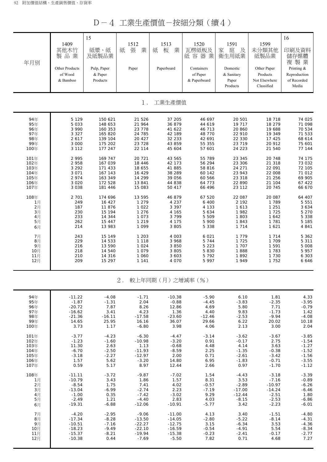D-4 工業生產價值-按細分類(續4)

| 年月別  | 1409<br>其他木竹<br>製品業<br><b>Other Products</b><br>of Wood<br>& Bamboo | 15<br>紙漿、紙<br>及紙製品業<br>Pulp, Paper<br>& Paper<br>Products | 1512<br>張<br>業<br>紙<br>Paper | 1513<br>紙<br>業<br>板<br>Paperboard | 1520<br>瓦楞紙板及<br>紙容器<br>業<br>Containers<br>of Paper<br>& Paperboard | 1591<br>庭<br>家<br>及<br>衛生用紙業<br>Domestic<br>& Sanitary<br>Paper<br>Products | 1599<br>未分類其他<br>紙製品業<br>Other Paper<br>Products<br>Not Elsewhere<br>Classified | 16<br>印刷及資料<br>儲存媒體<br>複製業<br>Printing &<br>Reproduction<br>of Recorded<br>Media |
|------|---------------------------------------------------------------------|-----------------------------------------------------------|------------------------------|-----------------------------------|---------------------------------------------------------------------|-----------------------------------------------------------------------------|---------------------------------------------------------------------------------|----------------------------------------------------------------------------------|
|      |                                                                     |                                                           | $1$ .                        | 工業生產價值                            |                                                                     |                                                                             |                                                                                 |                                                                                  |
| 94年  | 5 1 2 9                                                             | 150 621                                                   | 21 5 26                      | 37 205                            | 46 697                                                              | 20 501                                                                      | 18 718                                                                          | 74 025                                                                           |
| 95年  | 5 0 3 3                                                             | 148 653                                                   | 21 964                       | 36 879                            | 44 619                                                              | 19 717                                                                      | 18 279                                                                          | 71 098                                                                           |
| 96年  | 3 9 9 0                                                             | 160 353                                                   | 23 7 7 8                     | 41 622                            | 46 713                                                              | 20 860                                                                      | 19 688                                                                          | 70 534                                                                           |
| 97年  | 3 3 2 7                                                             | 165 820                                                   | 24 785                       | 42 189                            | 48 770                                                              | 22 910                                                                      | 19 349                                                                          | 71 533                                                                           |
| 98年  | 2617                                                                | 139 104                                                   | 20 4 27                      | 32 233                            | 42 691                                                              | 22 330                                                                      | 17 425                                                                          | 68 614                                                                           |
| 99年  | 3 0 0 0                                                             | 175 202                                                   | 23 7 28                      | 43 859                            | 55 355                                                              | 23 719                                                                      | 20 912                                                                          | 75 601                                                                           |
| 100年 | 3 1 1 2                                                             | 177 247                                                   | 22 114                       | 45 604                            | 57 601                                                              | 24 223                                                                      | 21 540                                                                          | 77 144                                                                           |
| 101年 | 2 9 9 5                                                             | 169 747                                                   | 20 7 21                      | 43 565                            | 55 789                                                              | 23 345                                                                      | 20 748                                                                          | 74 175                                                                           |
| 102年 | 2 9 5 8                                                             | 167 039                                                   | 18 4 4 6                     | 42 173                            | 56 294                                                              | 23 306                                                                      | 21 318                                                                          | 73 032                                                                           |
| 103年 | 3 2 9 2                                                             | 171 433                                                   | 18 655                       | 41 885                            | 58 816                                                              | 24 271                                                                      | 22 091                                                                          | 72 105                                                                           |
| 104年 | 3 0 7 1                                                             | 167 143                                                   | 16 429                       | 38 28 9                           | 60 142                                                              | 23 943                                                                      | 22 008                                                                          | 71 012                                                                           |
| 105年 | 2 9 7 4                                                             | 163 349                                                   | 14 299                       | 39 056                            | 60 566                                                              | 23 318                                                                      | 21 256                                                                          | 69 905                                                                           |
| 106年 | 3 0 2 0                                                             | 172 528                                                   | 13 841                       | 44 838                            | 64 773                                                              | 22 890                                                                      | 21 104                                                                          | 67 422                                                                           |
| 107年 | 3 0 3 8                                                             | 181 446                                                   | 15 083                       | 50 417                            | 66 496                                                              | 23 112                                                                      | 20 745                                                                          | 66 670                                                                           |
| 108年 | 2 7 0 1                                                             | 174 696                                                   | 13 595                       | 46 879                            | 67 520                                                              | 22 087                                                                      | 20 087                                                                          | 64 407                                                                           |
| 1月   | 249                                                                 | 16 427                                                    | 1 2 7 9                      | 4 2 3 7                           | 6 400                                                               | 2 192                                                                       | 1 7 8 9                                                                         | 5 5 5 1                                                                          |
| 2月   | 187                                                                 | 11 876                                                    | 1 0 2 2                      | 3 3 9 7                           | 4 1 3 3                                                             | 1 6 1 3                                                                     | 1 2 5 1                                                                         | 3 6 3 4                                                                          |
| 3月   | 230                                                                 | 15 194                                                    | 1 2 7 6                      | 4 165                             | 5 6 3 4                                                             | 1982                                                                        | 1 7 2 5                                                                         | 5 2 7 0                                                                          |
| 4月   | 233                                                                 | 14 344                                                    | 1 0 7 3                      | 3799                              | 5 5 0 9                                                             | 1 803                                                                       | 1 6 4 2                                                                         | 5 3 3 8                                                                          |
| 5月   | 262                                                                 | 15 447                                                    | 1 2 1 9                      | 4 1 7 5                           | 5 900                                                               | 1843                                                                        | 1 7 8 1                                                                         | 5 1 8 5                                                                          |
| 6月   | 214                                                                 | 13 983                                                    | 1 0 9 9                      | 3 8 0 5                           | 5 3 3 8                                                             | 1 7 1 4                                                                     | 1 6 2 1                                                                         | 4 8 4 1                                                                          |
| 7月   | 243                                                                 | 15 149                                                    | 1 2 0 3                      | 4 0 0 3                           | 6 0 21                                                              | 1 7 7 9                                                                     | 1 7 1 4                                                                         | 5 3 6 2                                                                          |
| 8月   | 229                                                                 | 14 533                                                    | 1 1 1 8                      | 3 9 6 8                           | 5 7 4 4                                                             | 1 7 2 5                                                                     | 1 709                                                                           | 5 3 1 1                                                                          |
| 9月   | 216                                                                 | 13 590                                                    | 1 0 2 4                      | 3 8 5 0                           | 5 2 2 3                                                             | 1 707                                                                       | 1 5 9 1                                                                         | 5 008                                                                            |
| 10月  | 218                                                                 | 14 540                                                    | 1 0 7 9                      | 3 8 0 5                           | 5 8 3 0                                                             | 1888                                                                        | 1 7 8 3                                                                         | 5 9 5 7                                                                          |
| 11月  | 210                                                                 | 14 316                                                    | 1 0 6 0                      | 3 603                             | 5792                                                                | 1892                                                                        | 1 7 3 0                                                                         | 6 3 0 3                                                                          |
| 12月  | 209                                                                 | 15 297                                                    | 1 1 4 1                      | 4 0 7 0                           | 5 9 9 7                                                             | 1949                                                                        | 1 7 5 2                                                                         | 6 6 4 6                                                                          |
|      |                                                                     |                                                           | 2.                           | 較上年同期(月)之增減率(%)                   |                                                                     |                                                                             |                                                                                 |                                                                                  |
| 94年  | $-11.22$                                                            | $-4.08$                                                   | $-1.71$                      | $-10.38$                          | $-5.90$                                                             | 6.10                                                                        | 1.81                                                                            | 4.33                                                                             |
| 95年  | $-1.87$                                                             | $-1.31$                                                   | 2.04                         | $-0.88$                           | $-4.45$                                                             | $-3.83$                                                                     | $-2.35$                                                                         | $-3.95$                                                                          |
| 96年  | $-20.72$                                                            | 7.87                                                      | 8.26                         | 12.86                             | 4.69                                                                | 5.80                                                                        | 7.71                                                                            | $-0.79$                                                                          |
| 97年  | $-16.62$                                                            | 3.41                                                      | 4.23                         | 1.36                              | 4.40                                                                | 9.83                                                                        | $-1.73$                                                                         | 1.42                                                                             |
| 98年  | $-21.36$                                                            | $-16.11$                                                  | $-17.58$                     | $-23.60$                          | $-12.46$                                                            | $-2.53$                                                                     | $-9.94$                                                                         | $-4.08$                                                                          |
| 99年  | 14.65                                                               | 25.95                                                     | 16.16                        | 36.07                             | 29.66                                                               | 6.22                                                                        | 20.02                                                                           | 10.18                                                                            |
| 100年 | 3.73                                                                | 1.17                                                      | $-6.80$                      | 3.98                              | 4.06                                                                | 2.13                                                                        | 3.00                                                                            | 2.04                                                                             |
| 101年 | $-3.77$                                                             | $-4.23$                                                   | $-6.30$                      | $-4.47$                           | $-3.14$                                                             | $-3.62$                                                                     | $-3.67$                                                                         | $-3.85$                                                                          |
| 102年 | $-1.23$                                                             | $-1.60$                                                   | $-10.98$                     | $-3.20$                           | 0.91                                                                | $-0.17$                                                                     | 2.75                                                                            | $-1.54$                                                                          |
| 103年 | 11.30                                                               | 2.63                                                      | 1.13                         | $-0.68$                           | 4.48                                                                | 4.14                                                                        | 3.63                                                                            | $-1.27$                                                                          |
| 104年 | $-6.70$                                                             | $-2.50$                                                   | $-11.93$                     | $-8.59$                           | 2.25                                                                | $-1.35$                                                                     | $-0.38$                                                                         | $-1.52$                                                                          |
| 105年 | $-3.18$                                                             | $-2.27$                                                   | $-12.97$                     | 2.00                              | 0.71                                                                | $-2.61$                                                                     | $-3.42$                                                                         | $-1.56$                                                                          |
| 106年 | 1.57                                                                | 5.62                                                      | $-3.20$                      | 14.80                             | 6.95                                                                | $-1.83$                                                                     | $-0.71$                                                                         | $-3.55$                                                                          |
| 107年 | 0.59                                                                | 5.17                                                      | 8.97                         | 12.44                             | 2.66                                                                | 0.97                                                                        | $-1.70$                                                                         | $-1.12$                                                                          |
| 108年 | $-11.11$                                                            | $-3.72$                                                   | $-9.87$                      | $-7.02$                           | 1.54                                                                | $-4.43$                                                                     | $-3.18$                                                                         | $-3.39$                                                                          |
| 1月   | $-10.79$                                                            | 3.43                                                      | 1.86                         | 1.57                              | 8.31                                                                | 3.53                                                                        | $-7.16$                                                                         | $-0.89$                                                                          |
| 2月   | $-8.54$                                                             | 1.75                                                      | 7.41                         | 4.02                              | $-0.57$                                                             | $-2.89$                                                                     | $-10.97$                                                                        | $-6.26$                                                                          |
| 3月   | $-13.04$                                                            | $-6.99$                                                   | $-2.74$                      | 2.23                              | $-7.19$                                                             | $-17.00$                                                                    | $-14.24$                                                                        | $-6.46$                                                                          |
| 4月   | $-1.00$                                                             | 0.35                                                      | $-7.42$                      | $-3.02$                           | 9.29                                                                | $-12.44$                                                                    | $-2.51$                                                                         | 1.80                                                                             |
| 5月   | $-2.49$                                                             | 1.21                                                      | $-4.40$                      | 2.83                              | 4.03                                                                | $-8.15$                                                                     | $-2.53$                                                                         | $-6.86$                                                                          |
| 6月   | $-19.31$                                                            | $-6.88$                                                   | $-12.06$                     | $-10.91$                          | $-5.77$                                                             | 3.42                                                                        | $-2.23$                                                                         | $-6.01$                                                                          |
| 7月   | $-4.20$                                                             | $-2.95$                                                   | $-9.06$                      | $-11.00$                          | 4.13                                                                | 3.40                                                                        | $-1.51$                                                                         | $-4.80$                                                                          |
| 8月   | $-17.34$                                                            | $-8.28$                                                   | $-13.50$                     | $-14.05$                          | $-2.80$                                                             | $-5.22$                                                                     | $-8.14$                                                                         | $-4.31$                                                                          |
| 9月   | $-10.51$                                                            | $-7.16$                                                   | $-22.27$                     | $-12.75$                          | 3.15                                                                | $-6.34$                                                                     | 3.53                                                                            | $-4.36$                                                                          |
| 10月  | $-18.23$                                                            | $-9.49$                                                   | $-22.10$                     | $-16.59$                          | $-0.54$                                                             | $-4.91$                                                                     | 5.54                                                                            | $-8.34$                                                                          |
| 11月  | $-15.37$                                                            | $-8.21$                                                   | $-19.94$                     | $-15.38$                          | $-0.23$                                                             | $-2.41$                                                                     | $-0.17$                                                                         | $-2.77$                                                                          |
| 12月  | $-10.38$                                                            | 0.44                                                      | $-7.69$                      | $-5.50$                           | 7.82                                                                | 0.71                                                                        | 4.68                                                                            | 7.27                                                                             |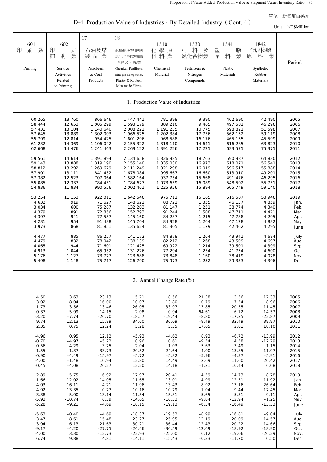D-4 Production Value of Industries - By Detailed Industry (Cont. 4)

|                                                                                                                                                                          |                                                                                                                                                                    |                                                                                                                                                                                                       |                                                                                                                                                                                                                       |                                                                                                                                                                                                          |                                                                                                                                                                             |                                                                                                                                                                                       |                                                                                                                                                                          | Unit: NT\$Million                                                                                                                    |
|--------------------------------------------------------------------------------------------------------------------------------------------------------------------------|--------------------------------------------------------------------------------------------------------------------------------------------------------------------|-------------------------------------------------------------------------------------------------------------------------------------------------------------------------------------------------------|-----------------------------------------------------------------------------------------------------------------------------------------------------------------------------------------------------------------------|----------------------------------------------------------------------------------------------------------------------------------------------------------------------------------------------------------|-----------------------------------------------------------------------------------------------------------------------------------------------------------------------------|---------------------------------------------------------------------------------------------------------------------------------------------------------------------------------------|--------------------------------------------------------------------------------------------------------------------------------------------------------------------------|--------------------------------------------------------------------------------------------------------------------------------------|
| 1601<br>業<br>刷<br>印<br>Printing                                                                                                                                          | 1602<br>刷業<br>印<br>輔<br>助<br>Service<br>Activities<br>Related<br>to Printing                                                                                       | 17<br>石油及煤<br>製品業<br>Petroleum<br>& Coal<br>Products                                                                                                                                                  | 18<br>化學原材料肥料<br>氮化合物塑橡膠<br>原料及人纖業<br>Chemical, Fertilizers,<br>Nitrogen Compounds,<br>Plastic & Rubber,<br>Man-made Fibres                                                                                           | 1810<br>化學原<br>材料業<br>Chemical<br>Material                                                                                                                                                               | 1830<br>肥<br>料<br>及<br>氮化合物業<br>Fertilizers &<br>Nitrogen<br>Compounds                                                                                                      | 1841<br>塑<br>膠業<br>原<br>料<br>Plastic<br>Materials                                                                                                                                     | 1842<br>合成橡膠<br>料<br>業<br>原<br>Synthetic<br>Rubber<br>Materials                                                                                                          | Period                                                                                                                               |
|                                                                                                                                                                          |                                                                                                                                                                    |                                                                                                                                                                                                       |                                                                                                                                                                                                                       | 1. Production Value of Industries                                                                                                                                                                        |                                                                                                                                                                             |                                                                                                                                                                                       |                                                                                                                                                                          |                                                                                                                                      |
| 60 265<br>58 444<br>57 431<br>57 645<br>55 799<br>61 232<br>62 668<br>59 561<br>59 143<br>58 812<br>57 901<br>57 382<br>55 085<br>54 836<br>53 254<br>4 6 3 2<br>3 0 3 4 | 13 760<br>12 653<br>13 104<br>13 889<br>12 814<br>14 369<br>14 476<br>14 614<br>13 888<br>13 29 2<br>13 111<br>12 5 23<br>12 337<br>11 834<br>11 153<br>919<br>600 | 866 646<br>1 005 299<br>1 140 640<br>1 302 003<br>954 425<br>1 106 042<br>1 241 463<br>1 391 894<br>1 319 190<br>1 269 679<br>841 452<br>707 064<br>784 451<br>990 556<br>922 011<br>71 627<br>75 287 | 1 447 441<br>1 593 179<br>2 008 222<br>1 966 525<br>1 601 296<br>2 155 322<br>2 269 122<br>2 134 658<br>2 155 140<br>2 111 249<br>1 678 084<br>1 582 164<br>1 784 677<br>2 002 461<br>1 642 546<br>148 622<br>132 203 | 781 398<br>889 210<br>1 191 235<br>1 202 384<br>968 588<br>1 318 110<br>1 391 226<br>1 326 985<br>1 335 030<br>1 321 298<br>995 667<br>937 754<br>1 073 659<br>1 225 926<br>975 711<br>88 7 22<br>81 147 | 9 3 9 0<br>9 4 6 5<br>10 775<br>17 736<br>16 176<br>14 641<br>17 225<br>18 763<br>16 973<br>16 019<br>16 660<br>15 6 68<br>16 089<br>15 894<br>15 165<br>1 3 5 5<br>1 2 5 1 | 462 690<br>497 581<br>598 821<br>562 152<br>465 155<br>616 285<br>633 575<br>590 987<br>618 071<br>596 517<br>513 910<br>491 476<br>548 502<br>605 749<br>516 507<br>46 137<br>38 774 | 42 490<br>46 296<br>51 598<br>59 119<br>45 599<br>63 823<br>75 375<br>64 830<br>56 541<br>55 888<br>49 201<br>46 295<br>55 751<br>59 140<br>53 946<br>4 8 5 9<br>4 3 4 0 | 2005<br>2006<br>2007<br>2008<br>2009<br>2010<br>2011<br>2012<br>2013<br>2014<br>2015<br>2016<br>2017<br>2018<br>2019<br>Jan.<br>Feb. |
| 4 3 7 9<br>4 3 9 7<br>4 2 3 1<br>3 9 7 3<br>4 4 7 7<br>4 4 7 9<br>4 0 6 5<br>4 9 1 3<br>5 1 7 6                                                                          | 891<br>941<br>954<br>868<br>885<br>832<br>944<br>1 0 4 4<br>1 1 2 7                                                                                                | 72 856<br>77 557<br>91 488<br>81 851<br>86 257<br>78 042<br>71 601<br>65 952<br>73 777                                                                                                                | 152 793<br>145 160<br>145 704<br>135 624<br>141 172<br>138 139<br>121 425<br>131 226<br>123 688                                                                                                                       | 91 244<br>84 237<br>84 928<br>81 305<br>84 878<br>82 212<br>69 922<br>77 294<br>73 848                                                                                                                   | 1 508<br>1 2 1 5<br>1 2 6 4<br>1 1 7 9<br>1 2 6 4<br>1 2 6 8<br>1 2 1 4<br>1 2 3 4<br>1 160                                                                                 | 47 711<br>47 788<br>47 178<br>42 462<br>43 941<br>43 509<br>39 501<br>41 754<br>38 419                                                                                                | 4 4 7 1<br>4 2 9 5<br>4 8 3 2<br>4 2 9 5<br>4 684<br>4 6 9 7<br>4 3 9 9<br>4 600<br>4 0 7 8                                                                              | Mar.<br>Apr.<br>May<br>June<br>July<br>Aug.<br>Sep.<br>Oct.<br>Nov.                                                                  |
| 5498                                                                                                                                                                     | 1 1 4 8                                                                                                                                                            | 75 717                                                                                                                                                                                                | 126 790                                                                                                                                                                                                               | 75 973                                                                                                                                                                                                   | 1 2 5 2                                                                                                                                                                     | 39 333                                                                                                                                                                                | 4 3 9 6                                                                                                                                                                  | Dec.                                                                                                                                 |

2. Annual Change Rate (%)

| 4.50    | 3.63     | 23.13    | 5.71     | 8.56     | 21.38    | 3.56     | 17.33    | 2005 |
|---------|----------|----------|----------|----------|----------|----------|----------|------|
|         |          |          |          |          | 0.79     |          |          |      |
| $-3.02$ | $-8.04$  | 16.00    | 10.07    | 13.80    |          | 7.54     | 8.96     | 2006 |
| $-1.73$ | 3.56     | 13.46    | 26.05    | 33.97    | 13.85    | 20.35    | 11.45    | 2007 |
| 0.37    | 5.99     | 14.15    | $-2.08$  | 0.94     | 64.61    | $-6.12$  | 14.57    | 2008 |
| $-3.20$ | $-7.74$  | $-26.70$ | $-18.57$ | $-19.44$ | $-8.80$  | $-17.25$ | $-22.87$ | 2009 |
| 9.74    | 12.13    | 15.89    | 34.60    | 36.09    | $-9.49$  | 32.49    | 39.97    | 2010 |
| 2.35    | 0.75     | 12.24    | 5.28     | 5.55     | 17.65    | 2.81     | 18.10    | 2011 |
|         |          |          |          |          |          |          |          |      |
| $-4.96$ | 0.95     | 12.12    | $-5.93$  | $-4.62$  | 8.93     | $-6.72$  | $-13.99$ | 2012 |
| $-0.70$ | $-4.97$  | $-5.22$  | 0.96     | 0.61     | $-9.54$  | 4.58     | $-12.79$ | 2013 |
| $-0.56$ | $-4.29$  | $-3.75$  | $-2.04$  | $-1.03$  | $-5.63$  | $-3.49$  | $-1.15$  | 2014 |
| $-1.55$ | $-1.37$  | $-33.73$ | $-20.52$ | $-24.64$ | 4.00     | $-13.85$ | $-11.97$ | 2015 |
| $-0.90$ | $-4.49$  | $-15.97$ | $-5.72$  | $-5.82$  | $-5.96$  | $-4.37$  | $-5.91$  | 2016 |
| $-4.00$ | $-1.48$  | 10.94    | 12.80    | 14.49    | 2.69     | 11.60    | 20.42    | 2017 |
| $-0.45$ | $-4.08$  | 26.27    | 12.20    | 14.18    | $-1.21$  | 10.44    | 6.08     | 2018 |
|         |          |          |          |          |          |          |          |      |
| $-2.89$ | $-5.75$  | $-6.92$  | $-17.97$ | $-20.41$ | $-4.59$  | $-14.73$ | $-8.78$  | 2019 |
| 1.66    | $-12.02$ | $-14.05$ | $-11.65$ | $-13.01$ | 4.99     | $-12.31$ | 11.92    | Jan. |
| $-4.03$ | $-16.11$ | 4.21     | $-11.96$ | $-13.43$ | 8.92     | $-13.16$ | 26.64    | Feb. |
| $-4.92$ | $-13.35$ | 0.77     | $-10.16$ | $-10.79$ | $-1.04$  | $-9.44$  | $-17.45$ | Mar. |
| 3.38    | $-5.00$  | 13.14    | $-11.54$ | $-15.31$ | $-5.65$  | $-5.31$  | $-9.11$  | Apr. |
| $-5.93$ | $-10.74$ | 6.39     | $-14.65$ | $-16.53$ | $-9.84$  | $-12.94$ | $-1.25$  | May  |
| $-5.28$ | $-9.21$  | $-4.69$  | $-18.15$ | $-19.13$ | $-6.34$  | $-16.49$ | $-13.33$ | June |
|         |          |          |          |          |          |          |          |      |
| $-5.63$ | $-0.40$  | $-4.69$  | $-18.37$ | $-19.52$ | $-8.99$  | $-16.81$ | $-9.04$  | July |
| $-3.47$ | $-8.61$  | $-15.48$ | $-23.27$ | $-25.95$ | $-12.19$ | $-20.09$ | $-14.57$ | Aug. |
| $-3.94$ | $-6.13$  | $-21.63$ | $-30.21$ | $-36.44$ | $-12.43$ | $-20.22$ | $-14.66$ | Sep. |
| $-9.17$ | $-4.20$  | $-27.75$ | $-26.46$ | $-30.59$ | $-12.69$ | $-18.92$ | $-18.90$ | Oct. |
| $-4.00$ | 3.30     | $-12.73$ | $-22.93$ | $-25.00$ | 6.12     | $-19.06$ | $-26.29$ | Nov. |
| 6.74    | 9.88     | 4.81     | $-14.11$ | $-15.43$ | $-0.33$  | $-11.70$ | 0.50     | Dec. |
|         |          |          |          |          |          |          |          |      |
|         |          |          |          |          |          |          |          |      |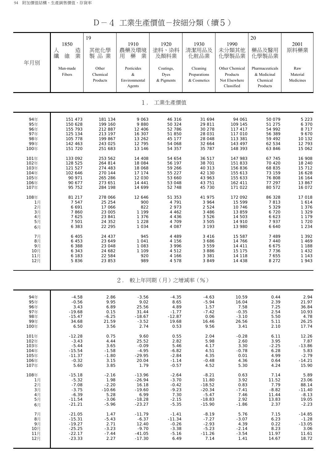D-4 工業生產價值-按細分類(續5)

| 年月別        | 1850<br>造業<br>人<br>纖<br>維 | 19<br>其他化學<br>製品業  | 1910<br>農藥及環境<br>業<br>藥<br>用 | 1920<br>塗料、染料<br>及顏料業 | 1930<br>清潔用品及<br>化粧品業 | 1990<br>未分類其他<br>化學製品業 | 20<br>藥品及醫用<br>化學製品業 | 2001<br>原料藥業     |
|------------|---------------------------|--------------------|------------------------------|-----------------------|-----------------------|------------------------|----------------------|------------------|
|            | Man-made                  | Other              | Pesticides                   | Coatings,             | Cleaning              | Other Chemical         | Pharmaceuticals      | Raw              |
|            | Fibers                    | Chemical           | &                            | Dyes                  | Preparations          | Products               | & Medicinal          | Material         |
|            |                           | Products           | Environmental                | & Pigments            | & Cosmetics           | Not Elsewhere          | Chemical             | Medicines        |
|            |                           |                    | Agents                       |                       |                       | Classified             | Products             |                  |
|            |                           |                    | $1$ .                        | 工業生產價值                |                       |                        |                      |                  |
|            |                           |                    |                              |                       |                       |                        |                      |                  |
| 94年<br>95年 | 151 473<br>150 628        | 181 134<br>199 160 | 9 0 6 3<br>9880              | 46 316<br>50 324      | 31 694<br>29 811      | 94 061<br>109 145      | 50 079<br>51 275     | 5 2 2 3<br>6 370 |
| 96年        | 155 793                   | 212 887            | 12 4 0 6                     | 52 786                | 30 278                | 117 417                | 54 992               | 8 7 1 7          |
| 97年        | 125 134                   | 213 197            | 16 307                       | 51 850                | 28 031                | 117 010                | 56 389               | 9670             |
| 98年        | 105 778                   | 199 867            | 13 26 2                      | 45 177                | 28 048                | 113 381                | 59 492               | 10 132           |
| 99年        | 142 463                   | 243 025            | 12 795                       | 54 068                | 32 664                | 143 497                | 62 534               | 12 793           |
| 100年       | 151 720                   | 251 683            | 13 146                       | 54 357                | 35 787                | 148 393                | 63 846               | 15 062           |
| 101年       | 133 092                   | 253 562            | 14 408                       | 54 654                | 36 517                | 147 983                | 67 745               | 16 908           |
| 102年       | 128 525                   | 264 814            | 18 084                       | 56 197                | 38 701                | 151 833                | 70 420               | 18 240           |
| 103年       | 121 527                   | 274 483            | 18 068                       | 59 266                | 40 313                | 156 836                | 68 835               | 15 712           |
| 104年       | 102 646                   | 270 144            | 17 174                       | 55 227                | 42 130                | 155 613                | 73 159               | 16 628           |
| 105年       | 90 971                    | 265 286            | 12 030                       | 53 660                | 43 963                | 155 633                | 76 808               | 16 164           |
| 106年       | 90 677                    | 273 651            | 14 441                       | 53 048                | 43 751                | 162 411                | 77 297               | 13 867           |
| 107年       | 95 752                    | 284 198            | 14 699                       | 52 748                | 45 730                | 171 022                | 80 572               | 16 072           |
| 108年       | 81 217                    | 278 066            | 12 646                       | 51 353                | 41 975                | 172 092                | 86 328               | 17 018           |
| 1月         | 7 5 4 7                   | 25 254             | 900                          | 4 7 9 1               | 3 9 6 4               | 15 599                 | 7813                 | 1614             |
| 2月         | 6 6 9 1                   | 17 066             | 822                          | 2 9 7 3               | 2 5 2 4               | 10 746                 | 5 3 2 9              | 1 3 7 6          |
| 3月         | 7860                      | 23 005             | 1 1 9 9                      | 4 4 6 2               | 3 4 8 6               | 13 859                 | 6 7 2 0              | 1 3 2 9          |
| 4月         | 7 6 2 5                   | 23 841             | 1 3 7 6                      | 4 4 3 6               | 3 5 2 6               | 14 503                 | 6 6 2 3              | 1 1 7 9          |
| 5月         | 7 501                     | 24 352             | 1 2 2 8                      | 4 709                 | 3 5 0 5               | 14 910                 | 7 9 3 7              | 1 7 2 0          |
| 6月         | 6 3 8 3                   | 22 295             | 1 0 3 4                      | 4 0 8 7               | 3 1 9 3               | 13 980                 | 6 640                | 1 2 3 4          |
| 7月         | 6 4 0 5                   | 24 437             | 945                          | 4 4 8 9               | 3 4 1 6               | 15 587                 | 7 4 8 9              | 1 3 9 2          |
| 8月         | 6 4 5 3                   | 23 649             | 1 0 4 1                      | 4 156                 | 3 6 8 6               | 14 766                 | 7 4 4 0              | 1 4 6 9          |
| 9月         | 6 3 8 8                   | 23 048             | 1 0 8 3                      | 3 9 9 6               | 3 5 5 9               | 14 411                 | 6 6 7 5              | 1 1 8 8          |
| 10月        | 6 3 4 3                   | 24 682             | 1 1 0 9                      | 4512                  | 3886                  | 15 175                 | 7 7 3 6              | 1 4 3 2          |
| 11月        | 6 183                     | 22 584             | 920                          | 4 166                 | 3 3 8 1               | 14 118                 | 7 655                | 1 1 4 3          |
| 12月        | 5836                      | 23 853             | 989                          | 4578                  | 3849                  | 14 438                 | 8 2 7 2              | 1943             |
|            |                           |                    | $2$ .                        | 較上年同期(月)之增減率(%)       |                       |                        |                      |                  |
|            |                           |                    |                              |                       |                       |                        |                      |                  |

| 94年  | $-4.58$  | 2.86     | $-3.56$  | $-4.35$  | $-4.63$  | 10.59   | 0.44    | 2.94     |
|------|----------|----------|----------|----------|----------|---------|---------|----------|
| 95年  | $-0.56$  | 9.95     | 9.02     | 8.65     | $-5.94$  | 16.04   | 2.39    | 21.97    |
| 96年  | 3.43     | 6.89     | 25.56    | 4.89     | 1.57     | 7.58    | 7.25    | 36.84    |
| 97年  | $-19.68$ | 0.15     | 31.44    | $-1.77$  | $-7.42$  | $-0.35$ | 2.54    | 10.93    |
| 98年  | $-15.47$ | $-6.25$  | $-18.67$ | $-12.87$ | 0.06     | $-3.10$ | 5.50    | 4.78     |
| 99年  | 34.68    | 21.59    | $-3.52$  | 19.68    | 16.46    | 26.56   | 5.11    | 26.25    |
| 100年 | 6.50     | 3.56     | 2.74     | 0.53     | 9.56     | 3.41    | 2.10    | 17.74    |
| 101年 | $-12.28$ | 0.75     | 9.60     | 0.55     | 2.04     | $-0.28$ | 6.11    | 12.26    |
| 102年 | $-3.43$  | 4.44     | 25.52    | 2.82     | 5.98     | 2.60    | 3.95    | 7.87     |
| 103年 | $-5.44$  | 3.65     | $-0.09$  | 5.46     | 4.17     | 3.30    | $-2.25$ | $-13.86$ |
| 104年 | $-15.54$ | $-1.58$  | $-4.95$  | $-6.82$  | 4.51     | $-0.78$ | 6.28    | 5.83     |
| 105年 | $-11.37$ | $-1.80$  | $-29.95$ | $-2.84$  | 4.35     | 0.01    | 4.99    | $-2.79$  |
| 106年 | $-0.32$  | 3.15     | 20.04    | $-1.14$  | $-0.48$  | 4.36    | 0.64    | $-14.21$ |
| 107年 | 5.60     | 3.85     | 1.79     | $-0.57$  | 4.52     | 5.30    | 4.24    | 15.90    |
| 108年 | $-15.18$ | $-2.16$  | $-13.96$ | $-2.64$  | $-8.21$  | 0.63    | 7.14    | 5.89     |
| 1月   | $-5.32$  | 1.98     | $-26.94$ | $-3.70$  | 11.80    | 3.92    | 11.52   | 23.06    |
| 2月   | $-7.08$  | $-2.20$  | 16.18    | $-0.42$  | $-18.52$ | 0.83    | 7.79    | 88.14    |
| 3月   | $-3.75$  | $-10.66$ | $-19.60$ | $-9.23$  | $-20.34$ | $-7.41$ | $-8.82$ | $-11.40$ |
| 4月   | $-6.39$  | 5.28     | 6.99     | 7.30     | $-5.47$  | 7.46    | 11.44   | $-8.13$  |
| 5月   | $-11.54$ | $-3.06$  | $-18.28$ | $-2.15$  | $-18.83$ | 2.92    | 13.83   | 19.05    |
| 6月   | $-21.21$ | $-5.96$  | $-23.27$ | $-5.35$  | $-15.90$ | $-1.86$ | 2.37    | $-2.23$  |
| 7月   | $-21.05$ | 1.47     | $-11.79$ | $-1.41$  | $-8.19$  | 5.76    | 7.15    | $-14.85$ |
| 8月   | $-15.31$ | $-5.43$  | $-6.37$  | $-11.34$ | $-7.27$  | $-3.07$ | 6.23    | $-1.28$  |
| 9月   | $-19.27$ | 2.71     | 12.40    | $-0.26$  | $-2.93$  | 4.39    | 0.22    | $-13.05$ |
| 10月  | $-25.25$ | $-3.23$  | $-9.70$  | $-3.38$  | $-5.23$  | $-2.14$ | 8.23    | 3.06     |
| 11月  | $-22.17$ | $-7.44$  | $-41.05$ | $-5.16$  | $-11.26$ | $-3.54$ | 11.97   | 11.61    |
| 12月  | $-23.33$ | 2.27     | $-17.30$ | 6.49     | 7.14     | 1.41    | 14.67   | 18.72    |
|      |          |          |          |          |          |         |         |          |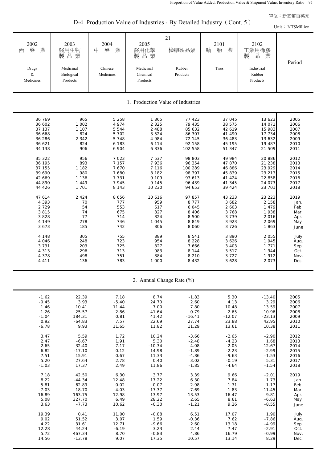D-4 Production Value of Industries - By Detailed Industry (Cont. 5)

 21 2002 | 2003 | 2004 | 2005 | | 2101 | 2102 西 藥 業 | 醫用生物 | 中 藥 業 | 醫用化學 | 橡膠製品業 | 輪 胎 業 | 工業用橡膠 製 品 業 まっぱ 製 品 業 まっき 製 品 業 まっき 製 品 業 まっき 製 品 業 Drugs Medicinal Chinese Medicinal Rubber Tires Industrial & Biological Medicines Chemical Products Rubber Medicines **Products** Products Products Products Products Products 36 769 965 5 258 1 865 77 423 37 045 13 623 2005 36 602 1 002 4 974 2 325 79 435 38 575 14 071 2006 37 137 1 107 5 544 2 488 85 632 42 619 15 983 2007 36 668 824 5 702 3 524 86 307 41 490 17 734 2008 36 286 2 342 5 748 4 984 72 145 36 483 13 632 2009 36 621 824 6 183 6 114 92 158 45 195 19 487 2010 34 138 906 6 904 6 836 102 558 51 347 21 509 2011 35 322 956 7 023 7 537 98 803 49 984 20 886 2012 36 195 893 7 157 7 936 96 354 47 870 21 238 2013 37 155 1 182 7 670 7 116 100 289 46 886 23 929 2014 39 690 980 7 680 8 182 98 397 45 839 23 213 2015 42 669 1 136 7 731 9 109 93 613 41 424 22 858 2016 44 890 1 449 7 945 9 145 96 439 41 345 24 073 2017 44 426 1 701 8 143 10 230 94 653 39 424 23 701 2018 47 614 2 424 8 656 10 616 97 857 43 233 23 223 2019 4 393 70 777 959 8 777 3 682 2 158 Jan. 2 729 54 553 617 6 045 2 603 1 479 Feb. 3 815 74 675 827 8 406 3 768 1 938 Mar. 3 828 77 714 824 8 500 3 739 2 016 Apr. 4 149 278 746 1 045 8 849 3 923 2 069 May 3 673 185 742 806 8 060 3 726 1 863 June 4 148 305 755 889 8 541 3 890 2 055 July Period 1. Production Value of Industries Unit: NT\$Million

| 2. Annual Change Rate (%) |  |  |
|---------------------------|--|--|
|                           |  |  |

 4 046 248 723 954 8 228 3 626 1 945 Aug. 3 731 203 725 827 7 666 3 403 1 771 Sep. 4 313 296 713 983 8 144 3 517 1 944 Oct. 4 378 498 751 884 8 210 3 727 1 912 Nov. 4 411 136 783 1 000 8 432 3 628 2 073 Dec.

| $-1.62$ | 22.39    | 7.18    | 8.74     | $-1.83$  | 5.30     | $-13.40$ | 2005 |
|---------|----------|---------|----------|----------|----------|----------|------|
| $-0.45$ | 3.93     | $-5.40$ | 24.70    | 2.60     | 4.13     | 3.29     | 2006 |
| 1.46    | 10.41    | 11.44   | 7.00     | 7.80     | 10.48    | 13.59    | 2007 |
| $-1.26$ | $-25.57$ | 2.86    | 41.64    | 0.79     | $-2.65$  | 10.96    | 2008 |
| $-1.04$ | 184.31   | 0.81    | 41.42    | $-16.41$ | $-12.07$ | $-23.13$ | 2009 |
| 0.92    | $-64.83$ | 7.57    | 22.69    | 27.74    | 23.88    | 42.95    | 2010 |
| $-6.78$ | 9.93     | 11.65   | 11.82    | 11.29    | 13.61    | 10.38    | 2011 |
|         |          |         |          |          |          |          |      |
| 3.47    | 5.59     | 1.72    | 10.24    | $-3.66$  | $-2.65$  | $-2.90$  | 2012 |
| 2.47    | $-6.67$  | 1.91    | 5.30     | $-2.48$  | $-4.23$  | 1.68     | 2013 |
| 2.65    | 32.40    | 7.17    | $-10.34$ | 4.08     | $-2.05$  | 12.67    | 2014 |
| 6.82    | $-17.10$ | 0.12    | 14.98    | $-1.89$  | $-2.23$  | $-2.99$  | 2015 |
| 7.51    | 15.91    | 0.67    | 11.33    | $-4.86$  | $-9.63$  | $-1.53$  | 2016 |
| 5.20    | 27.64    | 2.78    | 0.40     | 3.02     | $-0.19$  | 5.31     | 2017 |
| $-1.03$ | 17.37    | 2.49    | 11.86    | $-1.85$  | $-4.64$  | $-1.54$  | 2018 |
|         |          |         |          |          |          |          |      |
| 7.18    | 42.50    | 6.30    | 3.77     | 3.39     | 9.66     | $-2.01$  | 2019 |
| 8.22    | $-44.34$ | 12.48   | 17.22    | 6.30     | 7.84     | 1.73     | Jan. |
| $-5.81$ | $-62.89$ | 0.02    | 0.07     | 2.98     | 1.31     | 1.17     | Feb. |
| $-7.03$ | 18.70    | $-4.03$ | $-17.37$ | $-7.69$  | $-1.83$  | $-11.45$ | Mar. |
| 16.89   | 163.75   | 12.98   | 13.97    | 13.53    | 16.47    | 9.81     | Apr. |
| 5.08    | 327.70   | 6.49    | 28.22    | 2.65     | 8.61     | $-6.63$  | May  |
| 3.63    | $-7.73$  | 10.62   | $-0.30$  | $-1.21$  | 9.26     | $-8.55$  | June |
|         |          |         |          |          |          |          |      |
| 19.39   | 0.41     | 11.00   | $-0.88$  | 6.51     | 17.07    | 1.90     | July |
| 9.02    | 51.52    | 3.07    | 1.59     | $-0.36$  | 7.62     | $-7.86$  | Aug. |
| 4.22    | 31.61    | 12.71   | $-9.66$  | 2.60     | 13.18    | $-4.99$  | Sep. |
| 12.28   | 44.24    | $-6.19$ | 3.23     | 2.44     | 7.47     | $-2.91$  | Oct. |
| 5.72    | 467.34   | 8.70    | $-0.83$  | 4.86     | 16.79    | $-0.99$  | Nov. |
| 14.56   | $-13.78$ | 9.07    | 17.35    | 10.57    | 13.14    | 8.29     | Dec. |
|         |          |         |          |          |          |          |      |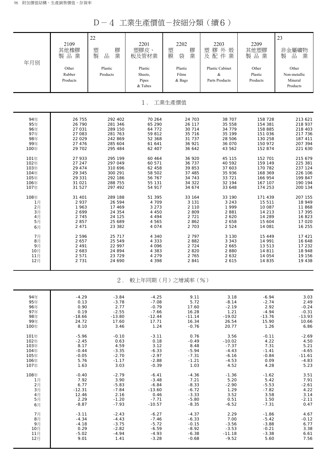D-4 工業生產價值-按細分類(續6)

| 年月別  | 2109<br>其他橡膠<br>製品業<br>Other<br>Rubber<br>Products | 22<br>膠<br>塑<br>製<br>業<br>$\frac{\Box}{\Box \Box}$<br>Plastic<br>Products | 2201<br>塑膠皮、<br>板及管材業<br>Plastic<br>Sheets,<br>Pipes<br>& Tubes | 2202<br>塑<br>膠<br>業<br>膜<br>袋<br>Plastic<br>Films<br>& Bags | 2203<br>膠外殼<br>塑<br>及配件業<br>Plastic Cabinet<br>$\&$<br>Parts Products | 2209<br>其他塑膠<br>製品業<br>Other<br>Plastic<br>Products | 23<br>非金屬礦物<br>$\frac{\Box}{\Box \Box}$<br>製<br>業<br>Other<br>Non-metallic<br>Mineral<br>Products |
|------|----------------------------------------------------|---------------------------------------------------------------------------|-----------------------------------------------------------------|-------------------------------------------------------------|-----------------------------------------------------------------------|-----------------------------------------------------|---------------------------------------------------------------------------------------------------|
|      |                                                    |                                                                           | $1$ .                                                           | 工業生產價值                                                      |                                                                       |                                                     |                                                                                                   |
| 94年  | 26 755                                             | 292 402                                                                   | 70 264                                                          | 24 703                                                      | 38 707                                                                | 158 728                                             | 213 621                                                                                           |
| 95年  | 26 790                                             | 281 346                                                                   | 65 290                                                          | 26 117                                                      | 35 558                                                                | 154 381                                             | 218 937                                                                                           |
| 96年  | 27 031                                             | 289 150                                                                   | 64 772                                                          | 30 714                                                      | 34 779                                                                | 158 885                                             | 218 403                                                                                           |
| 97年  | 27 083                                             | 281 763                                                                   | 59 812                                                          | 35 716                                                      | 35 199                                                                | 151 036                                             | 217 736                                                                                           |
| 98年  | 22 0 29                                            | 242 869                                                                   | 52 368                                                          | 31 737                                                      | 28 506                                                                | 130 258                                             | 187 411                                                                                           |
| 99年  | 27 476                                             | 285 604                                                                   | 61 641                                                          | 36 921                                                      | 36 070                                                                | 150 972                                             | 207 394                                                                                           |
| 100年 | 29 702                                             | 295 484                                                                   | 62 407                                                          | 36 642                                                      | 43 562                                                                | 152 874                                             | 221 630                                                                                           |
| 101年 | 27 933                                             | 295 199                                                                   | 60 4 64                                                         | 36 920                                                      | 45 115                                                                | 152 701                                             | 215 679                                                                                           |
| 102年 | 27 247                                             | 297 049                                                                   | 60 571                                                          | 36 737                                                      | 40 592                                                                | 159 149                                             | 225 381                                                                                           |
| 103年 | 29 474                                             | 310 696                                                                   | 62 458                                                          | 39 853                                                      | 37 603                                                                | 170 782                                             | 237 124                                                                                           |
| 104年 | 29 345                                             | 300 291                                                                   | 58 502                                                          | 37 485                                                      | 35 936                                                                | 168 369                                             | 226 106                                                                                           |
| 105年 | 29 331                                             | 292 186                                                                   | 56 767                                                          | 34 743                                                      | 33 721                                                                | 166 954                                             | 199 847                                                                                           |
| 106年 | 31 021                                             | 288 755                                                                   | 55 131                                                          | 34 322                                                      | 32 194                                                                | 167 107                                             | 190 194                                                                                           |
| 107年 | 31 527                                             | 297 492                                                                   | 54 917                                                          | 34 674                                                      | 33 648                                                                | 174 253                                             | 200 134                                                                                           |
| 108年 | 31 401                                             | 289 188                                                                   | 51 395                                                          | 33 164                                                      | 33 190                                                                | 171 439                                             | 207 155                                                                                           |
| 1月   | 2937                                               | 26 594                                                                    | 4 709                                                           | 3 1 3 1                                                     | 3 2 4 3                                                               | 15 511                                              | 18 949                                                                                            |
| 2月   | 1963                                               | 17 469                                                                    | 3 2 7 3                                                         | 2 1 1 0                                                     | 1 9 9 9                                                               | 10 087                                              | 11 868                                                                                            |
| 3月   | 2 6 9 9                                            | 24 354                                                                    | 4 4 5 0                                                         | 2 8 0 9                                                     | 2881                                                                  | 14 213                                              | 17 395                                                                                            |
| 4月   | 2 7 4 5                                            | 24 125                                                                    | 4 4 9 4                                                         | 2 7 2 1                                                     | 2 6 2 0                                                               | 14 289                                              | 16 823                                                                                            |
| 5月   | 2857                                               | 25 689                                                                    | 4 5 6 5                                                         | 2862                                                        | 2 6 5 8                                                               | 15 604                                              | 17 020                                                                                            |
| 6月   | 2 4 7 1                                            | 23 382                                                                    | 4 0 7 4                                                         | 2 7 0 3                                                     | 2 5 2 4                                                               | 14 081                                              | 16 255                                                                                            |
| 7月   | 2 5 9 6                                            | 25 717                                                                    | 4 3 4 0                                                         | 2 7 9 7                                                     | 3 1 3 0                                                               | 15 4 4 9                                            | 17 421                                                                                            |
| 8月   | 2 6 5 7                                            | 25 549                                                                    | 4 3 3 3                                                         | 2882                                                        | 3 3 4 3                                                               | 14 991                                              | 16 648                                                                                            |
| 9月   | 2 4 9 1                                            | 22 997                                                                    | 4 0 9 6                                                         | 2 7 2 4                                                     | 2 6 6 5                                                               | 13 513                                              | 17 232                                                                                            |
| 10月  | 2 683                                              | 24 894                                                                    | 4 3 8 3                                                         | 2 8 2 0                                                     | 2 8 8 0                                                               | 14 811                                              | 18 948                                                                                            |
| 11月  | 2 5 7 1                                            | 23 7 29                                                                   | 4 2 7 9                                                         | 2 7 6 5                                                     | 2 6 3 2                                                               | 14 054                                              | 19 156                                                                                            |
| 12月  | 2 7 3 1                                            | 24 690                                                                    | 4 3 9 8                                                         | 2 8 4 1                                                     | 2 6 1 5                                                               | 14 835                                              | 19 438                                                                                            |
|      |                                                    | $2$ .                                                                     |                                                                 | 較上年同期(月)之增減率(%)                                             |                                                                       |                                                     |                                                                                                   |
| 94年  | $-4.29$                                            | $-3.84$                                                                   | $-4.25$                                                         | 9.11                                                        | 3.18                                                                  | $-6.94$                                             | 3.03                                                                                              |
| 95年  | 0.13                                               | $-3.78$                                                                   | $-7.08$                                                         | 5.72                                                        | $-8.14$                                                               | $-2.74$                                             | 2.49                                                                                              |
| 96年  | 0.90                                               | 2.77                                                                      | $-0.79$                                                         | 17.60                                                       | $-2.19$                                                               | 2.92                                                | $-0.24$                                                                                           |
| 97年  | 0.19                                               | $-2.55$                                                                   | $-7.66$                                                         | 16.28                                                       | 1.21                                                                  | $-4.94$                                             | $-0.31$                                                                                           |
| 98年  | $-18.66$                                           | $-13.80$                                                                  | $-12.44$                                                        | $-11.14$                                                    | $-19.02$                                                              | $-13.76$                                            | $-13.93$                                                                                          |
| 99年  | 24.72                                              | 17.60                                                                     | 17.71                                                           | 16.34                                                       | 26.54                                                                 | 15.90                                               | 10.66                                                                                             |
| 100年 | 8.10                                               | 3.46                                                                      | 1.24                                                            | $-0.76$                                                     | 20.77                                                                 | 1.26                                                | 6.86                                                                                              |
| 101年 | $-5.96$                                            | $-0.10$                                                                   | $-3.11$                                                         | 0.76                                                        | 3.56                                                                  | $-0.11$                                             | $-2.69$                                                                                           |
| 102年 | $-2.45$                                            | 0.63                                                                      | 0.18                                                            | $-0.49$                                                     | $-10.02$                                                              | 4.22                                                | 4.50                                                                                              |
| 103年 | 8.17                                               | 4.59                                                                      | 3.12                                                            | 8.48                                                        | $-7.37$                                                               | 7.31                                                | 5.21                                                                                              |
| 104年 | $-0.44$                                            | $-3.35$                                                                   | $-6.33$                                                         | $-5.94$                                                     | $-4.43$                                                               | $-1.41$                                             | $-4.65$                                                                                           |
| 105年 | $-0.05$                                            | $-2.70$                                                                   | $-2.97$                                                         | $-7.31$                                                     | $-6.16$                                                               | $-0.84$                                             | $-11.61$                                                                                          |
| 106年 | 5.76                                               | $-1.17$                                                                   | $-2.88$                                                         | $-1.21$                                                     | $-4.53$                                                               | 0.09                                                | $-4.83$                                                                                           |
| 107年 | 1.63                                               | 3.03                                                                      | $-0.39$                                                         | 1.03                                                        | 4.52                                                                  | 4.28                                                | 5.23                                                                                              |
| 108年 | $-0.40$                                            | $-2.79$                                                                   | $-6.41$                                                         | $-4.36$                                                     | $-1.36$                                                               | $-1.62$                                             | 3.51                                                                                              |
| 1月   | 7.92                                               | 3.90                                                                      | $-3.48$                                                         | 7.21                                                        | 5.20                                                                  | 5.42                                                | 7.91                                                                                              |
| 2月   | 6.77                                               | $-5.83$                                                                   | $-6.84$                                                         | $-8.33$                                                     | $-2.90$                                                               | $-5.53$                                             | $-2.61$                                                                                           |
| 3月   | $-12.31$                                           | $-7.84$                                                                   | $-13.60$                                                        | $-6.72$                                                     | 1.29                                                                  | $-7.82$                                             | 4.22                                                                                              |
| 4月   | 12.46                                              | 2.16                                                                      | 0.46                                                            | $-3.33$                                                     | 3.52                                                                  | 3.58                                                | 3.14                                                                                              |
| 5月   | 2.29                                               | $-1.20$                                                                   | $-7.71$                                                         | $-5.80$                                                     | 0.51                                                                  | 1.50                                                | $-2.11$                                                                                           |
| 6月   | $-8.87$                                            | $-7.93$                                                                   | $-10.57$                                                        | $-8.35$                                                     | $-6.52$                                                               | $-7.31$                                             | 0.47                                                                                              |
| 7月   | $-3.11$                                            | $-2.43$                                                                   | $-6.27$                                                         | $-4.37$                                                     | 2.29                                                                  | $-1.86$                                             | 4.67                                                                                              |
| 8月   | $-4.34$                                            | $-4.43$                                                                   | $-7.46$                                                         | $-6.33$                                                     | 7.00                                                                  | $-5.42$                                             | $-0.12$                                                                                           |
| 9月   | $-4.18$                                            | $-3.75$                                                                   | $-5.72$                                                         | $-0.15$                                                     | $-3.56$                                                               | $-3.88$                                             | 6.77                                                                                              |
| 10月  | 0.29                                               | $-2.82$                                                                   | $-6.59$                                                         | $-8.92$                                                     | $-3.53$                                                               | $-0.21$                                             | 3.38                                                                                              |
| 11月  | $-5.02$                                            | $-4.94$                                                                   | $-4.93$                                                         | $-6.38$                                                     | $-11.18$                                                              | $-3.38$                                             | 6.61                                                                                              |
| 12月  | 9.01                                               | 1.41                                                                      | $-3.28$                                                         | $-0.68$                                                     | $-9.52$                                                               | 5.60                                                | 7.56                                                                                              |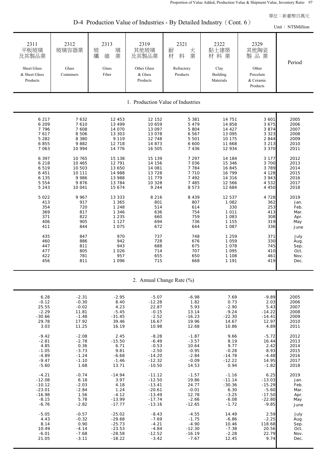Unit: NT\$Million

2311 | 2312 | 2313 | 2319 | 2321 | 2322 | 2329 平板玻璃 ┃玻璃容器業 ┃ 玻 璃 ┃ 其他玻璃 ┃ 耐 火 ┃ 黏土建築 ┃ 其他陶瓷 及其製品業 ┃ ┃ 纖 維 業 ┃ 及其製品業 ┃ 材 料 業 ┃ 材 料 業 ┃ 製 品 業 Sheet Glass Glass Glass Glass Other Glass Refractory Clay Other & Sheet Glass Containers Fiber & Glass Products Building Porcelain Products Naterials & Ceramic Products 6 217 7 632 12 453 12 152 5 381 14 751 3 601 2005 6 209 7 610 13 499 10 659 5 479 14 858 3 675 2006 7 796 7 608 14 070 13 097 5 804 14 427 3 874 2007 7 617 8 506 13 303 13 078 6 567 13 095 3 323 2008 5 282 8 380 9 119 12 748 5 501 10 175 2 844 2009 6 855 9 882 12 718 14 873 6 600 11 668 3 213 2010 7 063 10 994 14 776 16 505 7 436 12 934 3 370 2011 6 397 10 765 15 138 15 139 7 297 14 184 3 177 2012 6 218 10 465 12 791 14 156 7 036 15 346 3 700 2013 6 519 10 503 13 650 14 081 7 784 16 845 3 789 2014 6 451 10 111 14 988 13 728 7 710 16 799 4 128 2015 6 135 9 986 13 988 11 779 7 492 14 316 3 943 2016 5 554 9 876 13 784 10 328 7 485 12 566 4 532 2017 5 243 10 041 15 674 9 244 8 573 12 684 4 450 2018 5 022 9 967 13 333 8 216 8 439 12 537 4 728 2019 413 917 1 365 801 807 1 082 362 Jan. 354 720 1 248 514 614 330 253 Feb. 369 817 1 346 636 754 1 011 413 Mar. 371 822 1 235 660 759 1 083 308 Apr. 406 905 1 127 694 736 1 155 319 May 411 844 1 075 672 644 1 087 336 June 435 847 970 737 748 1 259 371 July 460 886 942 728 676 1 059 330 Aug. 447 811 943 688 675 1 078 745 Sep. 477 805 1 026 714 707 1 095 410 Oct. 422 781 957 655 650 1 108 461 Nov. 456 811 1 096 715 668 1 191 419 Dec. Period 1. Production Value of Industries

| D-4 Production Value of Industries - By Detailed Industry (Cont. 6) |  |
|---------------------------------------------------------------------|--|
|---------------------------------------------------------------------|--|

2. Annual Change Rate (%)

| 6.28     | $-2.31$ | $-2.95$  | $-5.07$  | $-6.98$  | 7.69     | $-9.89$  | 2005 |
|----------|---------|----------|----------|----------|----------|----------|------|
| $-0.12$  | $-0.30$ | 8.40     | $-12.28$ | 1.82     | 0.73     | 2.03     | 2006 |
| 25.55    | $-0.02$ | 4.23     | 22.87    | 5.93     | $-2.90$  | 5.43     | 2007 |
| $-2.29$  | 11.81   | $-5.45$  | $-0.15$  | 13.14    | $-9.24$  | $-14.22$ | 2008 |
| $-30.66$ | $-1.48$ | $-31.45$ | $-2.52$  | $-16.23$ | $-22.30$ | $-14.41$ | 2009 |
| 29.78    | 17.92   | 39.46    | 16.67    | 19.96    | 14.67    | 12.97    | 2010 |
| 3.03     | 11.25   | 16.19    | 10.98    | 12.68    | 10.86    | 4.89     | 2011 |
| $-9.42$  | $-2.08$ | 2.45     |          | $-1.87$  | 9.66     | $-5.72$  | 2012 |
|          |         |          | $-8.28$  |          |          |          |      |
| $-2.81$  | $-2.78$ | $-15.50$ | $-6.49$  | $-3.57$  | 8.19     | 16.44    | 2013 |
| 4.85     | 0.36    | 6.71     | $-0.53$  | 10.64    | 9.77     | 2.42     | 2014 |
| $-1.05$  | $-3.73$ | 9.81     | $-2.50$  | $-0.95$  | $-0.28$  | 8.93     | 2015 |
| $-4.89$  | $-1.24$ | $-6.68$  | $-14.20$ | $-2.84$  | $-14.78$ | $-4.48$  | 2016 |
| $-9.47$  | $-1.10$ | $-1.46$  | $-12.32$ | $-0.09$  | $-12.22$ | 14.95    | 2017 |
| $-5.60$  | 1.68    | 13.71    | $-10.50$ | 14.53    | 0.94     | $-1.82$  | 2018 |
| $-4.21$  | $-0.74$ | $-14.94$ | $-11.12$ | $-1.57$  | $-1.16$  | 6.25     | 2019 |
| $-12.08$ | 6.18    | 3.97     | $-12.50$ | 19.86    | $-11.14$ | $-13.03$ | Jan. |
| $-10.12$ | $-2.03$ | 4.18     | $-13.41$ | 24.77    | $-30.36$ | $-15.29$ | Feb. |
| $-23.01$ | $-2.84$ | 1.24     | $-20.61$ | $-0.01$  | 6.30     | $-5.60$  | Mar. |
| $-16.98$ | 1.56    | $-4.12$  | $-13.49$ | 12.78    | $-3.25$  | $-17.50$ |      |
| $-8.15$  | 5.78    | $-13.99$ | $-17.74$ | $-2.66$  | $-6.08$  | $-22.80$ | Apr. |
|          |         |          |          |          |          |          | May  |
| $-6.76$  | $-2.82$ | $-17.77$ | $-13.16$ | $-12.65$ | $-1.72$  | $-9.85$  | June |
| $-5.05$  | $-0.57$ | $-25.02$ | $-8.43$  | $-4.55$  | 14.49    | 2.59     | July |
| 4.43     | $-0.32$ | $-29.68$ | $-7.69$  | $-1.75$  | $-6.86$  | $-2.25$  | Aug. |
| 8.14     | 0.90    | $-25.73$ | $-4.21$  | $-4.90$  | 10.46    | 118.68   | Sep. |
| 10.49    | $-4.14$ | $-23.53$ | $-4.84$  | $-12.30$ | $-7.38$  | 20.56    | Oct. |
| $-6.01$  | $-7.68$ | $-28.58$ | $-12.52$ | $-16.19$ | $-2.28$  | 22.79    | Nov. |
| 21.05    | $-3.11$ | $-18.22$ | $-3.42$  | $-7.67$  | 12.45    | 9.74     | Dec. |
|          |         |          |          |          |          |          |      |
|          |         |          |          |          |          |          |      |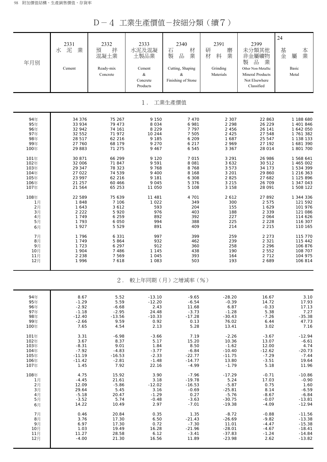D-4 工業生產價值-按細分類(續7)

| 年月別  | 2331<br>泥<br>業<br>水<br>Cement | 2332<br>拌<br>預<br>混凝土業<br>Ready-mix<br>Concrete | 2333<br>水泥及混凝<br>土製品業<br>Cement<br>$\&$<br>Concrete<br>Products | 2340<br>材<br>石<br>製<br>品<br>業<br>Cutting, Shaping<br>&<br>Finishing of Stone | 2391<br>研<br>磨<br>材<br>業<br>料<br>Grinding<br>Materials | 2399<br>未分類其他<br>非金屬礦物<br>品<br>製<br>業<br>Other Non-Metallic<br><b>Mineral Products</b><br>Not Elsewhere<br>Classified | 24<br>基<br>本業<br>金<br>屬<br>Basic<br>Metal |
|------|-------------------------------|-------------------------------------------------|-----------------------------------------------------------------|------------------------------------------------------------------------------|--------------------------------------------------------|-----------------------------------------------------------------------------------------------------------------------|-------------------------------------------|
|      |                               |                                                 | $1$ .                                                           | 工業生產價值                                                                       |                                                        |                                                                                                                       |                                           |
| 94年  | 34 376                        | 75 267                                          | 9 150                                                           | 7 4 7 0                                                                      | 2 3 0 7                                                | 22 863                                                                                                                | 1 188 680                                 |
| 95年  | 33 934                        | 79 473                                          | 8 0 3 4                                                         | 6 981                                                                        | 2 2 9 8                                                | 26 229                                                                                                                | 1 401 846                                 |
| 96年  | 32 942                        | 74 161                                          | 8 2 2 9                                                         | 7 7 9 7                                                                      | 2 4 5 6                                                | 26 141                                                                                                                | 1 642 050                                 |
| 97年  | 32 552                        | 71 972                                          | 10 244                                                          | 7 5 0 5                                                                      | 2 4 2 5                                                | 27 548                                                                                                                | 1761382                                   |
| 98年  | 28 517                        | 62 216                                          | 9 1 8 5                                                         | 6 209                                                                        | 1 687                                                  | 25 547                                                                                                                | 1 138 133                                 |
| 99年  | 27 760                        | 68 179                                          | 9 2 7 0                                                         | 6 2 1 7                                                                      | 2 9 6 9                                                | 27 192                                                                                                                | 1681390                                   |
| 100年 | 29 883                        | 71 275                                          | 9 4 6 7                                                         | 6 5 4 5                                                                      | 3 3 6 7                                                | 28 014                                                                                                                | 1 801 700                                 |
| 101年 | 30 871                        | 66 299                                          | 9 1 2 0                                                         | 7 0 1 5                                                                      | 3 2 9 1                                                | 26 986                                                                                                                | 1 568 641                                 |
| 102年 | 32 006                        | 71 847                                          | 9 5 9 1                                                         | 8 0 8 1                                                                      | 3 6 3 2                                                | 30 512                                                                                                                | 1 465 002                                 |
| 103年 | 29 347                        | 78 323                                          | 9768                                                            | 8768                                                                         | 3 5 7 3                                                | 34 173                                                                                                                | 1 534 399                                 |
| 104年 | 27 022                        | 74 539                                          | 9 4 0 0                                                         | 8 1 6 8                                                                      | 3 2 0 1                                                | 29 860                                                                                                                | 1 216 363                                 |
| 105年 | 23 997                        | 62 216                                          | 9 1 8 1                                                         | 6 3 0 8                                                                      | 2 8 2 5                                                | 27 682                                                                                                                | 1 125 896                                 |
| 106年 | 21 257                        | 60 466                                          | 9 0 4 5                                                         | 5 3 7 6                                                                      | 3 2 1 5                                                | 26 709                                                                                                                | 1 347 043                                 |
| 107年 | 21 564                        | 65 253                                          | 11 050                                                          | 5 1 0 8                                                                      | 3 1 5 8                                                | 28 091                                                                                                                | 1 508 122                                 |
| 108年 | 22 589                        | 75 639                                          | 11 481                                                          | 4 701                                                                        | 2 6 1 2                                                | 27 892                                                                                                                | 1 344 336                                 |
| 1月   | 1848                          | 7 106                                           | 1 0 2 2                                                         | 349                                                                          | 300                                                    | 2 5 7 5                                                                                                               | 121 592                                   |
| 2月   | 1 643                         | 3 6 1 2                                         | 593                                                             | 204                                                                          | 155                                                    | 1 6 2 9                                                                                                               | 101 976                                   |
| 3月   | 2 2 2 2                       | 5 9 2 0                                         | 976                                                             | 403                                                                          | 188                                                    | 2 3 3 9                                                                                                               | 121 086                                   |
| 4月   | 1 7 4 9                       | 6 2 5 9                                         | 892                                                             | 392                                                                          | 227                                                    | 2 0 6 4                                                                                                               | 114 626                                   |
| 5月   | 1 7 9 3                       | 6 0 5 0                                         | 994                                                             | 388                                                                          | 225                                                    | 2 2 2 8                                                                                                               | 116 307                                   |
| 6月   | 1927                          | 5 5 2 9                                         | 891                                                             | 409                                                                          | 214                                                    | 2 2 1 5                                                                                                               | 110 165                                   |
| 7月   | 1796                          | 6 3 3 1                                         | 997                                                             | 399                                                                          | 259                                                    | 2 2 7 3                                                                                                               | 115 770                                   |
| 8月   | 1 7 4 9                       | 5864                                            | 932                                                             | 462                                                                          | 239                                                    | 2 3 2 1                                                                                                               | 115 442                                   |
| 9月   | 1 7 2 3                       | 6 2 9 7                                         | 912                                                             | 360                                                                          | 258                                                    | 2 2 9 6                                                                                                               | 106 876                                   |
| 10月  | 1 904                         | 7 4 8 6                                         | 1 1 4 5                                                         | 438                                                                          | 190                                                    | 2 5 5 2                                                                                                               | 108 707                                   |
| 11月  | 2 2 3 8                       | 7 5 6 9                                         | 1 0 4 5                                                         | 393                                                                          | 164                                                    | 2 7 1 2                                                                                                               | 104 975                                   |
| 12月  | 1996                          | 7618                                            | 1 0 8 3                                                         | 503                                                                          | 193                                                    | 2 6 8 9                                                                                                               | 106 814                                   |
|      |                               | $2$ .                                           |                                                                 | 較上年同期(月)之增減率(%)                                                              |                                                        |                                                                                                                       |                                           |
| 94年  | 8.67                          | 5.52                                            | $-13.10$                                                        | $-9.65$                                                                      | $-28.20$                                               | 16.67                                                                                                                 | 3.10                                      |
| 95年  | $-1.29$                       | 5.59                                            | $-12.20$                                                        | $-6.54$                                                                      | $-0.39$                                                | 14.72                                                                                                                 | 17.93                                     |
| 96年  | $-2.92$                       | $-6.68$                                         | 2.43                                                            | 11.68                                                                        | 6.87                                                   | $-0.33$                                                                                                               | 17.13                                     |
| 97年  | $-1.18$                       | $-2.95$                                         | 24.48                                                           | $-3.73$                                                                      | $-1.28$                                                | 5.38                                                                                                                  | 7.27                                      |
| 98年  | $-12.40$                      | $-13.56$                                        | $-10.33$                                                        | $-17.28$                                                                     | $-30.43$                                               | $-7.26$                                                                                                               | $-35.38$                                  |
| 99年  | $-2.66$                       | 9.59                                            | 0.92                                                            | 0.13                                                                         | 76.02                                                  | 6.44                                                                                                                  | 47.73                                     |
| 100年 | 7.65                          | 4.54                                            | 2.13                                                            | 5.28                                                                         | 13.41                                                  | 3.02                                                                                                                  | 7.16                                      |
| 101年 | 3.31                          | $-6.98$                                         | $-3.66$                                                         | 7.19                                                                         | $-2.26$                                                | $-3.67$                                                                                                               | $-12.94$                                  |
| 102年 | 3.67                          | 8.37                                            | 5.17                                                            | 15.20                                                                        | 10.36                                                  | 13.07                                                                                                                 | $-6.61$                                   |
| 103年 | $-8.31$                       | 9.01                                            | 1.84                                                            | 8.50                                                                         | $-1.62$                                                | 12.00                                                                                                                 | 4.74                                      |
| 104年 | $-7.92$                       | $-4.83$                                         | $-3.77$                                                         | $-6.84$                                                                      | $-10.40$                                               | $-12.62$                                                                                                              | $-20.73$                                  |
| 105年 | $-11.19$                      | $-16.53$                                        | $-2.33$                                                         | $-22.77$                                                                     | $-11.75$                                               | $-7.29$                                                                                                               | $-7.44$                                   |
| 106年 | $-11.42$                      | $-2.81$                                         | $-1.48$                                                         | $-14.77$                                                                     | 13.80                                                  | $-3.51$                                                                                                               | 19.64                                     |
| 107年 | 1.45                          | 7.92                                            | 22.16                                                           | $-4.99$                                                                      | $-1.79$                                                | 5.18                                                                                                                  | 11.96                                     |
| 108年 | 4.75                          | 15.92                                           | 3.90                                                            | $-7.96$                                                                      | $-17.29$                                               | $-0.71$                                                                                                               | $-10.86$                                  |
| 1月   | $-4.45$                       | 21.61                                           | 3.18                                                            | $-19.78$                                                                     | 5.24                                                   | 17.03                                                                                                                 | $-0.90$                                   |
| 2月   | 12.09                         | $-5.86$                                         | $-12.02$                                                        | $-16.53$                                                                     | $-5.87$                                                | 0.75                                                                                                                  | 1.60                                      |
| 3月   | 29.64                         | 5.45                                            | 3.16                                                            | $-0.69$                                                                      | $-25.81$                                               | 8.14                                                                                                                  | $-6.59$                                   |
| 4月   | $-5.18$                       | 20.47                                           | $-1.29$                                                         | 0.27                                                                         | $-5.76$                                                | $-8.67$                                                                                                               | $-6.84$                                   |
| 5月   | $-3.52$                       | 5.74                                            | $-0.48$                                                         | $-3.63$                                                                      | $-30.75$                                               | $-0.07$                                                                                                               | $-13.81$                                  |
| 6月   | 14.22                         | 10.49                                           | 2.97                                                            | $-7.01$                                                                      | $-19.38$                                               | $-4.09$                                                                                                               | $-12.94$                                  |
| 7月   | 0.46                          | 20.84                                           | 0.35                                                            | 1.35                                                                         | $-8.72$                                                | $-0.88$                                                                                                               | $-11.56$                                  |
| 8月   | 3.76                          | 17.30                                           | 6.50                                                            | $-21.43$                                                                     | $-26.69$                                               | $-9.82$                                                                                                               | $-13.38$                                  |
| 9月   | 6.97                          | 17.30                                           | 0.72                                                            | $-7.30$                                                                      | 11.01                                                  | $-4.47$                                                                                                               | $-15.38$                                  |
| 10月  | 1.03                          | 19.49                                           | 16.28                                                           | $-21.96$                                                                     | $-28.01$                                               | $-4.67$                                                                                                               | $-18.41$                                  |
| 11月  | 11.27                         | 28.58                                           | 6.12                                                            | $-3.41$                                                                      | $-37.83$                                               | $-1.24$                                                                                                               | $-14.84$                                  |
| 12月  | $-4.00$                       | 21.30                                           | 16.56                                                           | 11.89                                                                        | $-23.98$                                               | 2.62                                                                                                                  | $-13.82$                                  |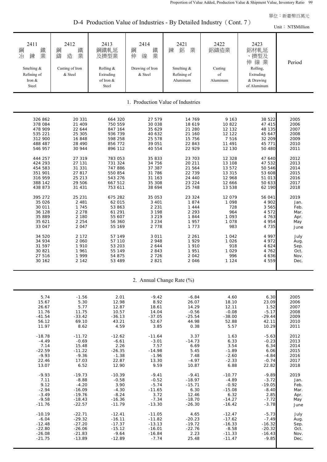D-4 Production Value of Industries - By Detailed Industry (Cont. 7)

|                                                                                                                                                                                                                                                              | D-4 Production Value of Industries - By Detailed Industry (Cont. $\ell$ )<br>Unit: NT\$Million                                                                                                                                                      |                                                                                                                                                                                                                                                             |                                                                                                                                                                                                                                                    |                                                                                                                                                                                                                                           |                                                                                                                                                                                                                                          |                                                                                                                                                                                                                                                 |                                                                                                                                                                                             |  |  |  |
|--------------------------------------------------------------------------------------------------------------------------------------------------------------------------------------------------------------------------------------------------------------|-----------------------------------------------------------------------------------------------------------------------------------------------------------------------------------------------------------------------------------------------------|-------------------------------------------------------------------------------------------------------------------------------------------------------------------------------------------------------------------------------------------------------------|----------------------------------------------------------------------------------------------------------------------------------------------------------------------------------------------------------------------------------------------------|-------------------------------------------------------------------------------------------------------------------------------------------------------------------------------------------------------------------------------------------|------------------------------------------------------------------------------------------------------------------------------------------------------------------------------------------------------------------------------------------|-------------------------------------------------------------------------------------------------------------------------------------------------------------------------------------------------------------------------------------------------|---------------------------------------------------------------------------------------------------------------------------------------------------------------------------------------------|--|--|--|
| 2411<br>鐵<br>鋼<br>業<br>冶<br>鍊<br>Smelting &<br>Refining of<br>Iron &<br>Steel                                                                                                                                                                                | 2412<br>鐵<br>鋼<br>鑄<br>業<br>造<br>Casting of Iron<br>& Steel                                                                                                                                                                                         | 2413<br>鋼鐵軋延<br>及擠型業<br>Rolling &<br>Extruding<br>of Iron &<br>Steel                                                                                                                                                                                        | 2414<br>鐵業<br>鋼<br>伸<br>線<br>Drawing of Iron<br>& Steel                                                                                                                                                                                            | 2421<br>鋁<br>業<br>鍊<br>Smelting &<br>Refining of<br>Aluminum                                                                                                                                                                              | 2422<br>鋁鑄造業<br>Casting<br>of<br>Aluminum                                                                                                                                                                                                | 2423<br>鋁材軋延<br>、擠型及<br>伸線業<br>Rolling,<br>Extruding<br>& Drawing<br>of Aluminum                                                                                                                                                                | Period                                                                                                                                                                                      |  |  |  |
|                                                                                                                                                                                                                                                              |                                                                                                                                                                                                                                                     |                                                                                                                                                                                                                                                             |                                                                                                                                                                                                                                                    | 1. Production Value of Industries                                                                                                                                                                                                         |                                                                                                                                                                                                                                          |                                                                                                                                                                                                                                                 |                                                                                                                                                                                             |  |  |  |
| 326 862<br>378 084<br>478 909<br>535 221<br>312 900<br>488 487<br>546 957<br>444 257<br>424 293<br>454 583<br>351 901<br>316 959<br>388 142<br>438 873<br>395 272<br>35 0 26<br>30 011<br>36 128<br>35 889<br>35 621<br>33 047<br>34 520<br>34 934<br>31 597 | 20 331<br>21 409<br>22 644<br>25 305<br>16 848<br>28 490<br>30 944<br>27 319<br>27 131<br>31 331<br>27 817<br>25 213<br>29 506<br>31 431<br>25 231<br>2 4 8 1<br>1 7 4 5<br>2 2 7 8<br>2 180<br>2 2 5 4<br>2 0 4 7<br>2 1 7 2<br>2 0 6 0<br>1 9 1 0 | 664 320<br>750 559<br>847 164<br>936 739<br>598 258<br>856 772<br>896 112<br>783 053<br>731 324<br>747 886<br>550 854<br>543 276<br>667 512<br>753 611<br>675 282<br>62 015<br>53 863<br>61 291<br>55 607<br>56 360<br>55 169<br>57 149<br>57 110<br>53 203 | 27 579<br>30 038<br>35 629<br>40 632<br>25 578<br>39 051<br>40 554<br>35 833<br>34 756<br>37 387<br>31 786<br>31 163<br>35 308<br>38 694<br>35 053<br>3 4 0 1<br>2 2 3 1<br>3 1 9 8<br>3 2 1 9<br>3 2 3 4<br>2 7 7 8<br>3 0 1 1<br>2948<br>2 6 4 4 | 14 769<br>18 619<br>21 280<br>21 160<br>15 756<br>22 843<br>22 929<br>23 703<br>20 211<br>21 564<br>22 739<br>24 440<br>23 224<br>25 748<br>23 324<br>1874<br>1 4 4 4<br>2 2 9 3<br>1844<br>1957<br>1 7 7 3<br>2 2 6 1<br>1929<br>1 9 1 0 | 9 1 6 3<br>10 822<br>12 132<br>12 122<br>7 5 1 6<br>11 491<br>12 130<br>12 3 28<br>13 108<br>13 572<br>13 315<br>12 968<br>12 666<br>13 538<br>12 079<br>1 0 9 8<br>728<br>964<br>1 0 9 3<br>1 0 7 8<br>983<br>1 0 4 2<br>1 0 2 6<br>918 | 38 522<br>47 415<br>48 135<br>45 647<br>32 209<br>45 771<br>50 480<br>47 640<br>47 532<br>50 546<br>53 608<br>51 013<br>50 633<br>62 190<br>56 041<br>4 902<br>3 5 6 5<br>4 5 7 2<br>4 763<br>4 9 5 4<br>4 7 3 5<br>4 9 9 7<br>4 972<br>4 6 2 4 | 2005<br>2006<br>2007<br>2008<br>2009<br>2010<br>2011<br>2012<br>2013<br>2014<br>2015<br>2016<br>2017<br>2018<br>2019<br>Jan.<br>Feb.<br>Mar.<br>Apr.<br>May<br>June<br>July<br>Aug.<br>Sep. |  |  |  |
| 30 821<br>27 516<br>30 162                                                                                                                                                                                                                                   | 1961<br>1 9 9 9<br>2 142                                                                                                                                                                                                                            | 55 149<br>54 875<br>53 489                                                                                                                                                                                                                                  | 2843<br>2 7 2 6<br>2 8 2 1                                                                                                                                                                                                                         | 1 9 5 1<br>2 0 4 2<br>2 0 4 6                                                                                                                                                                                                             | 1 0 2 9<br>996<br>1 1 2 4                                                                                                                                                                                                                | 4 7 6 2<br>4 6 3 6<br>4 5 5 9                                                                                                                                                                                                                   | Oct.<br>Nov.<br>Dec.                                                                                                                                                                        |  |  |  |

2. Annual Change Rate (%)

| 5.74     | $-1.56$  | 2.01     | $-9.42$  | $-6.84$  | 4.60     | 6.30     | 2005 |
|----------|----------|----------|----------|----------|----------|----------|------|
| 15.67    | 5.30     | 12.98    | 8.92     | 26.07    | 18.10    | 23.09    | 2006 |
| 26.67    | 5.77     | 12.87    | 18.61    | 14.29    | 12.11    | 1.52     | 2007 |
| 11.76    | 11.75    | 10.57    | 14.04    | $-0.56$  | $-0.08$  | $-5.17$  | 2008 |
| $-41.54$ | $-33.42$ | $-36.13$ | $-37.05$ | $-25.54$ | $-38.00$ | $-29.44$ | 2009 |
| 56.12    | 69.10    | 43.21    | 52.67    | 44.98    | 52.88    | 42.11    | 2010 |
| 11.97    | 8.62     | 4.59     | 3.85     | 0.38     | 5.57     | 10.29    | 2011 |
|          |          |          |          |          |          |          |      |
| $-18.78$ | $-11.72$ | $-12.62$ | $-11.64$ | 3.37     | 1.63     | $-5.63$  | 2012 |
| $-4.49$  | $-0.69$  | $-6.61$  | $-3.01$  | $-14.73$ | 6.33     | $-0.23$  | 2013 |
| 7.14     | 15.48    | 2.26     | 7.57     | 6.69     | 3.54     | 6.34     | 2014 |
| $-22.59$ | $-11.22$ | $-26.35$ | $-14.98$ | 5.45     | $-1.89$  | 6.06     | 2015 |
| $-9.93$  | $-9.36$  | $-1.38$  | $-1.96$  | 7.48     | $-2.60$  | $-4.84$  | 2016 |
| 22.46    | 17.03    | 22.87    | 13.30    | $-4.97$  | $-2.33$  | $-0.74$  | 2017 |
| 13.07    | 6.52     | 12.90    | 9.59     | 10.87    | 6.88     | 22.82    | 2018 |
|          |          |          |          |          |          |          |      |
| $-9.93$  | $-19.73$ | $-10.39$ | $-9.41$  | $-9.41$  | $-10.77$ | $-9.89$  | 2019 |
| 7.11     | $-8.88$  | $-0.58$  | $-0.52$  | $-18.97$ | $-4.89$  | $-3.72$  | Jan. |
| 9.12     | $-4.20$  | 3.90     | $-5.74$  | $-15.71$ | $-0.92$  | $-19.05$ | Feb. |
| $-2.94$  | $-16.09$ | $-4.30$  | $-11.65$ | 6.30     | $-15.08$ | $-8.40$  | Mar. |
| $-3.49$  | $-19.76$ | $-8.24$  | 3.72     | 12.46    | 6.32     | 2.85     | Apr. |
| $-9.58$  | $-18.43$ | $-16.36$ | $-7.34$  | $-18.70$ | $-14.27$ | $-7.72$  | May  |
| $-11.76$ | $-22.57$ | $-11.79$ | $-13.30$ | $-26.30$ | $-16.42$ | $-3.78$  | June |
|          |          |          |          |          |          |          |      |
| $-10.19$ | $-22.71$ | $-12.41$ | $-11.05$ | 4.65     | $-12.47$ | $-5.73$  | July |
| $-6.04$  | $-29.32$ | $-16.11$ | $-11.82$ | $-20.23$ | $-17.62$ | $-7.49$  | Aug. |
| $-12.48$ | $-27.20$ | $-17.37$ | $-13.13$ | $-19.72$ | $-16.33$ | $-16.32$ | Sep. |
| $-22.80$ | $-26.06$ | $-15.12$ | $-16.01$ | $-22.76$ | $-8.58$  | $-20.32$ | Oct. |
| $-26.08$ | $-21.83$ | $-9.64$  | $-16.84$ | 2.23     | $-11.33$ | $-16.43$ | Nov. |
| $-21.75$ | $-13.89$ | $-12.89$ | $-7.74$  | 25.48    | $-11.47$ | $-9.85$  | Dec. |
|          |          |          |          |          |          |          |      |
|          |          |          |          |          |          |          |      |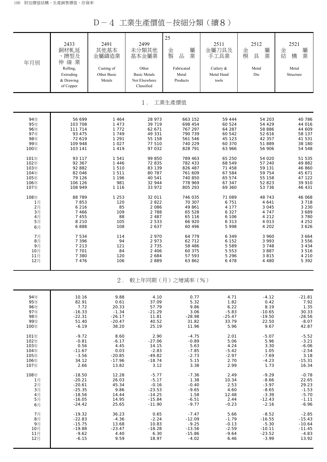D-4 工業生產價值-按細分類(續8)

| 年月別  | 2433<br>銅材軋延<br>、擠型及<br>伸線業<br>Rolling,<br>Extruding<br>& Drawing<br>of Copper | 2491<br>其他基本<br>金屬鑄造業<br>Casting of<br>Other Basic<br>Metals | 2499<br>未分類其他<br>基本金屬業<br>Other<br><b>Basic Metals</b><br>Not Elsewhere<br>Classified | 25<br>屬<br>金<br>製<br>品<br>業<br>Fabricated<br>Metal<br>Products | 2511<br>金屬刀具及<br>手工具業<br>Cutlery $&$<br>Metal Hand<br>tools | 2512<br>屬<br>金<br>業<br>模<br>具<br>Metal<br>Die | 2521<br>金<br>屬<br>結<br>業<br>構<br>Metal<br>Structure |
|------|--------------------------------------------------------------------------------|--------------------------------------------------------------|---------------------------------------------------------------------------------------|----------------------------------------------------------------|-------------------------------------------------------------|-----------------------------------------------|-----------------------------------------------------|
|      |                                                                                |                                                              | $1$ .                                                                                 | 工業生產價值                                                         |                                                             |                                               |                                                     |
| 94年  | 56 699                                                                         | 1 4 6 4                                                      | 28 973                                                                                | 663 152                                                        | 59 444                                                      | 54 203                                        | 40 786                                              |
| 95年  | 103 708                                                                        | 1 4 7 3                                                      | 39 719                                                                                | 698 454                                                        | 60 524                                                      | 54 429                                        | 44 016                                              |
| 96年  | 111 714                                                                        | 1 7 7 2                                                      | 62 671                                                                                | 767 297                                                        | 64 287                                                      | 58 886                                        | 44 609                                              |
| 97年  | 93 475                                                                         | 1 7 4 9                                                      | 49 331                                                                                | 790 739                                                        | 60 542                                                      | 52 616                                        | 58 137                                              |
| 98年  | 72 619                                                                         | 1 2 9 1                                                      | 55 158                                                                                | 561 546                                                        | 45 123                                                      | 42 357                                        | 41 531                                              |
| 99年  | 109 948                                                                        | 1 0 2 7                                                      | 77 510                                                                                | 740 229                                                        | 60 370                                                      | 51 889                                        | 38 180                                              |
| 100年 | 103 141                                                                        | 1 4 1 9                                                      | 97 032                                                                                | 828 791                                                        | 63 966                                                      | 56 906                                        | 54 548                                              |
| 101年 | 93 117                                                                         | 1 5 4 1                                                      | 99 850                                                                                | 789 463                                                        | 65 250                                                      | 54 020                                        | 51 535                                              |
| 102年 | 92 367                                                                         | 1 4 4 6                                                      | 72 835                                                                                | 782 433                                                        | 68 549                                                      | 57 240                                        | 49 882                                              |
| 103年 | 92 882                                                                         | 1 5 1 0                                                      | 83 139                                                                                | 826 487                                                        | 71 458                                                      | 59 131                                        | 46 860                                              |
| 104年 | 82 046                                                                         | 1 5 1 1                                                      | 80 787                                                                                | 761 609                                                        | 67 584                                                      | 59 754                                        | 45 671                                              |
| 105年 | 79 126                                                                         | 1 1 9 6                                                      | 40 541                                                                                | 740 850                                                        | 65 574                                                      | 55 158                                        | 47 122                                              |
| 106年 | 106 126                                                                        | 981                                                          | 32 944                                                                                | 778 969                                                        | 67 347                                                      | 52 823                                        | 39 910                                              |
| 107年 | 108 949                                                                        | 1 1 1 6                                                      | 33 972                                                                                | 805 293                                                        | 69 360                                                      | 53 736                                        | 46 431                                              |
| 108年 | 88 789                                                                         | 1 2 5 3                                                      | 32 011                                                                                | 746 035                                                        | 71 089                                                      | 48 743                                        | 46 068                                              |
| 1月   | 7853                                                                           | 120                                                          | 2822                                                                                  | 70 307                                                         | 6 751                                                       | 4 641                                         | 3 7 1 8                                             |
| 2月   | 6 2 1 6                                                                        | 85                                                           | 2 0 8 6                                                                               | 49 861                                                         | 4 1 7 7                                                     | 3 0 4 5                                       | 3 2 3 0                                             |
| 3月   | 7 4 6 6                                                                        | 109                                                          | 2 7 8 8                                                                               | 65 528                                                         | 6 3 2 7                                                     | 4 7 4 7                                       | 3 6 8 9                                             |
| 4月   | 7 4 5 5                                                                        | 88                                                           | 2 4 8 7                                                                               | 65 116                                                         | 6 10 6                                                      | 4 2 1 2                                       | 3 7 8 0                                             |
| 5月   | 8 2 1 0                                                                        | 105                                                          | 2 5 3 3                                                                               | 66 920                                                         | 6 3 1 3                                                     | 4 0 1 3                                       | 4 2 5 2                                             |
| 6月   | 6888                                                                           | 108                                                          | 2 6 3 7                                                                               | 60 496                                                         | 5 9 9 8                                                     | 4 2 0 2                                       | 3 6 2 6                                             |
| 7月   | 7 5 3 4                                                                        | 114                                                          | 2 9 7 0                                                                               | 64 779                                                         | 6 3 4 9                                                     | 3 960                                         | 3 6 6 4                                             |
| 8月   | 7 3 9 6                                                                        | 94                                                           | 2 973                                                                                 | 62 712                                                         | 6 152                                                       | 3 9 9 3                                       | 3 5 5 6                                             |
| 9月   | 7 2 1 3                                                                        | 121                                                          | 2 7 3 5                                                                               | 58 486                                                         | 5 5 8 9                                                     | 3 7 4 8                                       | 3 4 3 4                                             |
| 10月  | 7 7 0 1                                                                        | 84                                                           | 2 4 0 6                                                                               | 60 375                                                         | 5 5 5 3                                                     | 3 8 8 7                                       | 3 5 1 6                                             |
| 11月  | 7 3 8 0                                                                        | 120                                                          | 2 6 8 4                                                                               | 57 593                                                         | 5 2 9 6                                                     | 3 8 1 5                                       | 4 2 1 0                                             |
| 12月  | 7 4 7 6                                                                        | 106                                                          | 2889                                                                                  | 63 862                                                         | 6 4 7 8                                                     | 4 4 8 0                                       | 5 3 9 2                                             |
|      |                                                                                | $2$ .                                                        |                                                                                       | 較上年同期 (月) 之增減率 (%)                                             |                                                             |                                               |                                                     |
| 94年  | 10.16                                                                          | 9.88                                                         | 4.10                                                                                  | 0.77                                                           | 4.71                                                        | $-4.12$                                       | $-21.81$                                            |
| 95年  | 82.91                                                                          | 0.61                                                         | 37.09                                                                                 | 5.32                                                           | 1.82                                                        | 0.42                                          | 7.92                                                |
| 96年  | 7.72                                                                           | 20.33                                                        | 57.79                                                                                 | 9.86                                                           | 6.22                                                        | 8.19                                          | 1.35                                                |
| 97年  | $-16.33$                                                                       | $-1.34$                                                      | $-21.29$                                                                              | 3.06                                                           | $-5.83$                                                     | $-10.65$                                      | 30.33                                               |
| 98年  | $-22.31$                                                                       | $-26.17$                                                     | 11.81                                                                                 | $-28.98$                                                       | $-25.47$                                                    | $-19.50$                                      | $-28.56$                                            |
| 99年  | 51.40                                                                          | $-20.47$                                                     | 40.52                                                                                 | 31.82                                                          | 33.79                                                       | 22.50                                         | $-8.07$                                             |
| 100年 | $-6.19$                                                                        | 38.20                                                        | 25.19                                                                                 | 11.96                                                          | 5.96                                                        | 9.67                                          | 42.87                                               |
| 101年 | $-9.72$                                                                        | 8.60                                                         | 2.90                                                                                  | $-4.75$                                                        | 2.01                                                        | $-5.07$                                       | $-5.52$                                             |
| 102年 | $-0.81$                                                                        | $-6.17$                                                      | $-27.06$                                                                              | $-0.89$                                                        | 5.06                                                        | 5.96                                          | $-3.21$                                             |
| 103年 | 0.56                                                                           | 4.45                                                         | 14.15                                                                                 | 5.63                                                           | 4.24                                                        | 3.30                                          | $-6.06$                                             |
| 104年 | $-11.67$                                                                       | 0.03                                                         | $-2.83$                                                                               | $-7.85$                                                        | $-5.42$                                                     | 1.05                                          | $-2.54$                                             |
| 105年 | $-3.56$                                                                        | $-20.85$                                                     | $-49.82$                                                                              | $-2.73$                                                        | $-2.97$                                                     | $-7.69$                                       | 3.18                                                |
| 106年 | 34.12                                                                          | $-17.96$                                                     | $-18.74$                                                                              | 5.15                                                           | 2.70                                                        | $-4.23$                                       | $-15.31$                                            |
| 107年 | 2.66                                                                           | 13.82                                                        | 3.12                                                                                  | 3.38                                                           | 2.99                                                        | 1.73                                          | 16.34                                               |
| 108年 | $-18.50$                                                                       | 12.28                                                        | $-5.77$                                                                               | $-7.36$                                                        | 2.49                                                        | $-9.29$                                       | $-0.78$                                             |
| 1月   | $-20.21$                                                                       | 26.03                                                        | $-5.17$                                                                               | 1.38                                                           | 10.34                                                       | $-8.66$                                       | 22.65                                               |
| 2月   | $-20.61$                                                                       | 45.34                                                        | $-0.16$                                                                               | $-0.40$                                                        | 2.53                                                        | $-3.97$                                       | 29.23                                               |
| 3月   | $-25.35$                                                                       | 9.86                                                         | $-23.53$                                                                              | $-9.65$                                                        | 4.60                                                        | $-8.65$                                       | $-1.53$                                             |
| 4月   | $-18.56$                                                                       | 14.44                                                        | $-14.25$                                                                              | 1.58                                                           | 12.48                                                       | $-3.39$                                       | $-5.70$                                             |
| 5月   | $-16.05$                                                                       | 14.95                                                        | $-15.84$                                                                              | $-6.51$                                                        | 2.44                                                        | $-12.43$                                      | $-1.11$                                             |
| 6月   | $-24.42$                                                                       | 25.65                                                        | $-11.90$                                                                              | $-9.77$                                                        | $-0.23$                                                     | $-2.16$                                       | $-6.96$                                             |
| 7月   | $-19.32$                                                                       | 36.23                                                        | 0.65                                                                                  | $-7.47$                                                        | 5.66                                                        | $-8.52$                                       | $-2.85$                                             |
| 8月   | $-22.83$                                                                       | $-4.36$                                                      | $-2.24$                                                                               | $-12.09$                                                       | $-1.79$                                                     | $-16.55$                                      | $-15.43$                                            |
| 9月   | $-15.75$                                                                       | 13.68                                                        | 10.83                                                                                 | $-9.25$                                                        | $-0.13$                                                     | $-5.30$                                       | $-10.64$                                            |
| 10月  | $-19.88$                                                                       | $-23.47$                                                     | $-18.28$                                                                              | $-13.56$                                                       | $-2.59$                                                     | $-10.11$                                      | $-11.45$                                            |
| 11月  | $-9.62$                                                                        | 4.40                                                         | 6.30                                                                                  | $-15.86$                                                       | $-9.64$                                                     | $-23.52$                                      | $-4.83$                                             |
| 12月  | $-6.15$                                                                        | 9.59                                                         | 18.97                                                                                 | $-4.02$                                                        | 6.46                                                        | $-3.99$                                       | 13.92                                               |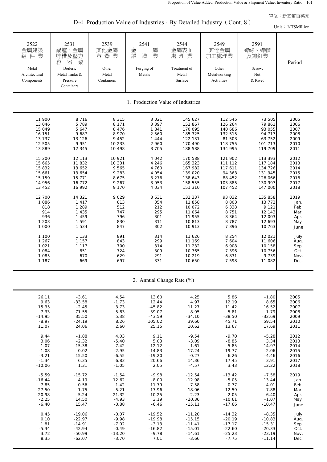D-4 Production Value of Industries - By Detailed Industry (Cont. 8)

|                                                                                                                                                                                                                                                                             |                                                                                                                                                                                                                                                                             | $\frac{1}{2}$ requestion value of measures by Detailed measury                                                                                                                                                                                    |                                                                                                                                                                                                                                                |                                                                                                                                                                                                                                                                                          |                                                                                                                                                                                                                                                                                              |                                                                                                                                                                                                                                                                                        | Unit: NT\$Million                                                                                                                                                                                                   |
|-----------------------------------------------------------------------------------------------------------------------------------------------------------------------------------------------------------------------------------------------------------------------------|-----------------------------------------------------------------------------------------------------------------------------------------------------------------------------------------------------------------------------------------------------------------------------|---------------------------------------------------------------------------------------------------------------------------------------------------------------------------------------------------------------------------------------------------|------------------------------------------------------------------------------------------------------------------------------------------------------------------------------------------------------------------------------------------------|------------------------------------------------------------------------------------------------------------------------------------------------------------------------------------------------------------------------------------------------------------------------------------------|----------------------------------------------------------------------------------------------------------------------------------------------------------------------------------------------------------------------------------------------------------------------------------------------|----------------------------------------------------------------------------------------------------------------------------------------------------------------------------------------------------------------------------------------------------------------------------------------|---------------------------------------------------------------------------------------------------------------------------------------------------------------------------------------------------------------------|
| 2522<br>金屬建築<br>組件業<br>Metal<br>Architectural<br>Components                                                                                                                                                                                                                 | 2531<br>鍋爐、金屬<br>貯槽及壓力<br>器<br>業<br>容<br>Boilers,<br>Metal Tanks &<br>Pressure<br>Containers                                                                                                                                                                                | 2539<br>其他金屬<br>容器業<br>Other<br>Metal<br>Containers                                                                                                                                                                                               | 2541<br>屬<br>金<br>鍛<br>造<br>業<br>Forging of<br>Metals                                                                                                                                                                                          | 2544<br>金屬表面<br>處理業<br>Treatment of<br>Metal<br>Surface                                                                                                                                                                                                                                  | 2549<br>其他金屬<br>加工處理業<br>Other<br>Metalworking<br>Activities                                                                                                                                                                                                                                 | 2591<br>螺絲、螺帽<br>及鉚釘業<br>Screw,<br>Nut<br>& Rivet                                                                                                                                                                                                                                      | Period                                                                                                                                                                                                              |
|                                                                                                                                                                                                                                                                             |                                                                                                                                                                                                                                                                             |                                                                                                                                                                                                                                                   |                                                                                                                                                                                                                                                | 1. Production Value of Industries                                                                                                                                                                                                                                                        |                                                                                                                                                                                                                                                                                              |                                                                                                                                                                                                                                                                                        |                                                                                                                                                                                                                     |
| 11 900<br>13 046<br>15 049<br>16 151<br>13 7 3 7<br>12 505<br>13 8 8 9<br>15 200<br>15 665<br>15 832<br>15 661<br>15 15 9<br>14 956<br>13 452<br>12 700<br>1 0 8 6<br>818<br>914<br>936<br>1 2 0 3<br>1 000<br>1 100<br>1 2 6 7<br>1 0 2 1<br>1 0 8 4<br>1 0 8 5<br>1 1 8 7 | 8 7 1 6<br>5 7 8 9<br>5 647<br>9 6 8 7<br>13 126<br>9 9 5 1<br>12 345<br>12 113<br>11 832<br>13 652<br>13 654<br>15 771<br>16 772<br>16 992<br>14 321<br>1 4 1 7<br>1 2 8 9<br>1 4 3 5<br>1 459<br>1 5 9 1<br>1 5 3 4<br>1 1 3 3<br>1 1 5 7<br>1 1 1 7<br>851<br>670<br>669 | 8 3 1 5<br>8 1 7 1<br>8 4 7 6<br>8 9 7 0<br>9 4 5 2<br>10 233<br>10 498<br>10 921<br>10 331<br>9 5 6 5<br>9 2 8 3<br>8 6 7 5<br>9 2 6 7<br>9 1 7 0<br>9 0 2 9<br>813<br>512<br>747<br>796<br>830<br>847<br>891<br>843<br>700<br>724<br>629<br>697 | 3 0 2 1<br>3 3 9 7<br>1841<br>2 5 6 0<br>1 4 4 4<br>2 960<br>3 7 0 5<br>4 0 4 2<br>4 2 4 6<br>4 760<br>4 0 5 4<br>3 2 7 6<br>3 9 5 3<br>4 0 3 4<br>3 6 3 1<br>354<br>212<br>295<br>301<br>311<br>302<br>314<br>299<br>314<br>309<br>291<br>331 | 145 627<br>152 867<br>170 095<br>185 325<br>122 131<br>170 490<br>188 588<br>170 588<br>165 323<br>167 982<br>139 020<br>138 643<br>158 555<br>151 310<br>132 337<br>11 858<br>10 072<br>11 064<br>11 955<br>10813<br>10 913<br>11 626<br>11 169<br>11 232<br>10 765<br>10 219<br>10 650 | 112 545<br>126 264<br>140 686<br>132 515<br>81 503<br>118 755<br>134 995<br>121 902<br>111 112<br>117 611<br>94 363<br>88 452<br>103 885<br>107 452<br>93 032<br>8 8 0 3<br>6 3 3 8<br>8 7 5 1<br>8 3 6 4<br>8 7 8 7<br>7 3 9 6<br>8 2 5 4<br>7 6 0 4<br>6 908<br>7 3 9 6<br>6831<br>7 5 9 8 | 73 505<br>79 861<br>93 055<br>94 717<br>63 752<br>101 713<br>119 709<br>113 393<br>117 184<br>134 726<br>131 945<br>126 066<br>130 997<br>147 000<br>135 858<br>13 772<br>9 1 2 1<br>12 143<br>12 003<br>12 693<br>10 763<br>12 021<br>11 606<br>10 158<br>10 756<br>9 7 3 9<br>11 082 | 2005<br>2006<br>2007<br>2008<br>2009<br>2010<br>2011<br>2012<br>2013<br>2014<br>2015<br>2016<br>2017<br>2018<br>2019<br>Jan.<br>Feb.<br>Mar.<br>Apr.<br>May<br>June<br>July<br>Aug.<br>Sep.<br>Oct.<br>Nov.<br>Dec. |

2. Annual Change Rate (%)

| 26.11    |          | 4.54     |          | 4.25     | 5.86     |          |      |
|----------|----------|----------|----------|----------|----------|----------|------|
|          | $-3.61$  |          | 13.60    | 4.97     |          | $-1.80$  | 2005 |
| 9.63     | $-33.58$ | $-1.73$  | 12.44    |          | 12.19    | 8.65     | 2006 |
| 15.35    | $-2.45$  | 3.73     | $-45.82$ | 11.27    | 11.42    | 16.52    | 2007 |
| 7.33     | 71.55    | 5.83     | 39.07    | 8.95     | $-5.81$  | 1.79     | 2008 |
| $-14.95$ | 35.50    | 5.38     | $-43.59$ | $-34.10$ | $-38.50$ | $-32.69$ | 2009 |
| $-8.97$  | $-24.19$ | 8.26     | 105.02   | 39.60    | 45.71    | 59.54    | 2010 |
| 11.07    | 24.06    | 2.60     | 25.15    | 10.62    | 13.67    | 17.69    | 2011 |
| 9.44     | $-1.88$  | 4.03     | 9.11     | $-9.54$  | $-9.70$  | $-5.28$  | 2012 |
| 3.06     | $-2.32$  | $-5.40$  | 5.03     | $-3.09$  | $-8.85$  | 3.34     | 2013 |
| 1.07     | 15.38    | $-7.42$  | 12.12    | 1.61     | 5.85     | 14.97    | 2014 |
| $-1.08$  | 0.02     | $-2.95$  | $-14.83$ |          | $-19.77$ | $-2.06$  | 2015 |
|          | 15.50    |          |          | $-17.24$ | $-6.26$  | $-4.46$  | 2016 |
| $-3.21$  |          | $-6.55$  | $-19.20$ | $-0.27$  |          |          |      |
| $-1.34$  | 6.35     | 6.83     | 20.66    | 14.36    | 17.45    | 3.91     | 2017 |
| $-10.06$ | 1.31     | $-1.05$  | 2.05     | $-4.57$  | 3.43     | 12.22    | 2018 |
| $-5.59$  | $-15.72$ | $-1.54$  | $-9.98$  | $-12.54$ | $-13.42$ | $-7.58$  | 2019 |
| $-16.44$ | 4.19     | 12.62    | $-8.00$  | $-12.98$ | $-5.05$  | 13.44    | Jan. |
| 7.85     | 0.56     | $-1.42$  | $-11.79$ | $-7.58$  | $-0.77$  | 4.01     | Feb. |
| $-27.50$ | 1.75     | $-5.21$  | $-17.96$ | $-18.06$ | $-12.59$ | $-7.88$  | Mar. |
| $-20.98$ | 5.24     | 21.32    | $-10.25$ | $-2.23$  | $-2.05$  | 6.40     |      |
| $-2.25$  | 14.50    | $-4.93$  | 3.19     | $-20.36$ | $-10.61$ | $-1.07$  | Apr. |
|          |          |          |          |          |          |          | May  |
| $-6.40$  | 15.47    | $-0.88$  | $-6.46$  | $-15.11$ | $-17.66$ | $-10.47$ | June |
| 0.45     | $-19.06$ | $-0.07$  | $-19.52$ | $-11.20$ | $-14.32$ | $-8.35$  | July |
| 0.10     | $-22.97$ | $-9.98$  | $-19.98$ | $-15.15$ | $-20.19$ | $-10.83$ | Aug. |
| 1.81     | $-14.91$ | $-7.02$  | $-3.13$  | $-11.41$ | $-17.17$ | $-15.31$ | Sep. |
| $-5.34$  | $-42.94$ | $-0.49$  | $-16.82$ | $-15.01$ | $-22.60$ | $-20.33$ | Oct. |
| 3.72     | $-50.99$ | $-13.20$ | $-9.78$  | $-14.61$ | $-25.23$ | $-23.19$ | Nov. |
| 8.35     | $-62.07$ | $-3.70$  | 7.01     | $-3.66$  | $-7.75$  | $-11.14$ | Dec. |
|          |          |          |          |          |          |          |      |
|          |          |          |          |          |          |          |      |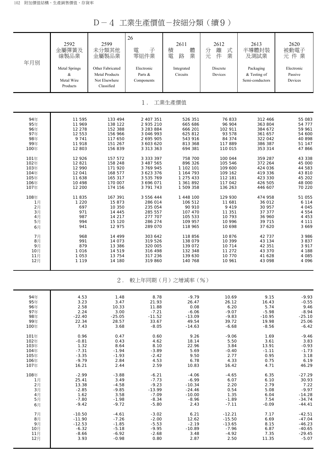D-4 工業生產價值-按細分類(續9)

| 年月別  | 2592<br>金屬彈簧及<br>線製品業<br>Metal Springs<br>&<br>Metal Wire<br>Products | 2599<br>未分類其他<br>金屬製品業<br>Other Fabricated<br><b>Metal Products</b><br>Not Elsewhere<br>Classified | 26<br>子<br>電<br>零組件業<br>Electronic<br>Parts &<br>Components | 2611<br>體<br>積<br>業<br>電<br>路<br>Integrated<br>Circuits | 2612<br>離<br>式<br>分元<br>業<br>件<br>Discrete<br>Devices | 2613<br>半導體封裝<br>及測試業<br>Packaging<br>& Testing of<br>Semi-conductors | 2620<br>被動電子<br>元件業<br>Electronic<br>Passive<br>Devices |
|------|-----------------------------------------------------------------------|----------------------------------------------------------------------------------------------------|-------------------------------------------------------------|---------------------------------------------------------|-------------------------------------------------------|-----------------------------------------------------------------------|---------------------------------------------------------|
|      |                                                                       |                                                                                                    | $1$ .                                                       | 工業生產價值                                                  |                                                       |                                                                       |                                                         |
| 94年  | 11 595                                                                | 133 494                                                                                            | 2 407 351                                                   | 526 351                                                 | 76833                                                 | 312 466                                                               | 55 083                                                  |
| 95年  | 11 969                                                                | 138 122                                                                                            | 2 935 210                                                   | 665 686                                                 | 96 904                                                | 363 804                                                               | 54 777                                                  |
| 96年  | 12 278                                                                | 152 388                                                                                            | 3 283 884                                                   | 666 201                                                 | 102 911                                               | 384 672                                                               | 59 961                                                  |
| 97年  | 12 553                                                                | 156 966                                                                                            | 3 046 993                                                   | 625 812                                                 | 93 578                                                | 361 657                                                               | 54 600                                                  |
| 98年  | 9 7 4 1                                                               | 117 650                                                                                            | 2 695 905                                                   | 543 916                                                 | 84 374                                                | 322 042                                                               | 40 898                                                  |
| 99年  | 11 918                                                                | 151 267                                                                                            | 3 603 620                                                   | 813 368                                                 | 117 889                                               | 386 387                                                               | 51 147                                                  |
| 100年 | 12 803                                                                | 156 839                                                                                            | 3 3 1 3 3 6 3                                               | 694 381                                                 | 110 015                                               | 353 314                                                               | 47866                                                   |
| 101年 | 12 9 26                                                               | 157 572                                                                                            | 3 3 3 3 3 9 7                                               | 758 700                                                 | 100 044                                               | 359 287                                                               | 43 338                                                  |
| 102年 | 12 821                                                                | 158 248                                                                                            | 3 487 565                                                   | 896 326                                                 | 105 546                                               | 372 264                                                               | 45 000                                                  |
| 103年 | 12 990                                                                | 171 920                                                                                            | 3 769 945                                                   | 1 102 101                                               | 109 600                                               | 424 036                                                               | 44 583                                                  |
| 104年 | 12 041                                                                | 168 577                                                                                            | 3 623 376                                                   | 1 164 793                                               | 109 162                                               | 419 336                                                               | 43 810                                                  |
| 105年 | 11 638                                                                | 165 317                                                                                            | 3 535 769                                                   | 1 275 433                                               | 112 181                                               | 423 330                                                               | 45 202                                                  |
| 106年 | 10 498                                                                | 170 007                                                                                            | 3 696 071                                                   | 1 361 892                                               | 117 042                                               | 426 505                                                               | 48 000                                                  |
| 107年 | 12 200                                                                | 174 156                                                                                            | 3 791 743                                                   | 1 509 358                                               | 136 263                                               | 446 607                                                               | 70 220                                                  |
| 108年 | 11 835                                                                | 167 391                                                                                            | 3 556 444                                                   | 1 448 100                                               | 129 930                                               | 474 958                                                               | 51 055                                                  |
| 1月   | 1 2 2 0                                                               | 15 873                                                                                             | 286 014                                                     | 106 512                                                 | 11 681                                                | 36 012                                                                | 6 1 1 4                                                 |
| 2月   | 697                                                                   | 10 350                                                                                             | 235 054                                                     | 90 910                                                  | 9 4 1 9                                               | 30 957                                                                | 4 0 4 5                                                 |
| 3月   | 971                                                                   | 14 445                                                                                             | 285 557                                                     | 107 470                                                 | 11 351                                                | 37 377                                                                | 4 5 5 4                                                 |
| 4月   | 987                                                                   | 14 217                                                                                             | 277 707                                                     | 105 533                                                 | 10 793                                                | 36 960                                                                | 4 4 5 3                                                 |
| 5月   | 994                                                                   | 15 120                                                                                             | 286 274                                                     | 109 957                                                 | 10 996                                                | 39 715                                                                | 4 1 1 1                                                 |
| 6月   | 941                                                                   | 12 975                                                                                             | 289 070                                                     | 118 965                                                 | 10 698                                                | 37 620                                                                | 3 6 6 9                                                 |
| 7月   | 968                                                                   | 14 499                                                                                             | 303 642                                                     | 118 856                                                 | 10 876                                                | 42 737                                                                | 3 9 8 6                                                 |
| 8月   | 991                                                                   | 14 073                                                                                             | 319 526                                                     | 138 079                                                 | 10 399                                                | 43 134                                                                | 3 8 3 7                                                 |
| 9月   | 879                                                                   | 13 386                                                                                             | 320 005                                                     | 139 072                                                 | 10 714                                                | 42 351                                                                | 3 9 1 7                                                 |
| 10月  | 1 0 1 6                                                               | 14 519                                                                                             | 316 498                                                     | 132 348                                                 | 11 272                                                | 43 370                                                                | 4 188                                                   |
| 11月  | 1 0 5 3                                                               | 13 754                                                                                             | 317 236                                                     | 139 630                                                 | 10 770                                                | 41 628                                                                | 4 0 8 5                                                 |
| 12月  | 1 1 1 9                                                               | 14 180                                                                                             | 319 860                                                     | 140 768                                                 | 10 961                                                | 43 098                                                                | 4 0 9 6                                                 |
|      |                                                                       | $\overline{2}$                                                                                     |                                                             | 較上年同期 (月) 之增減率 (%)                                      |                                                       |                                                                       |                                                         |
| 94年  | 4.53                                                                  | 1.48                                                                                               | 8.78                                                        | $-9.79$                                                 | 10.69                                                 | 9.15                                                                  | $-9.93$                                                 |
| 95年  | 3.23                                                                  | 3.47                                                                                               | 21.93                                                       | 26.47                                                   | 26.12                                                 | 16.43                                                                 | $-0.55$                                                 |
| 96年  | 2.58                                                                  | 10.33                                                                                              | 11.88                                                       | 0.08                                                    | 6.20                                                  | 5.74                                                                  | 9.46                                                    |
| 97年  | 2.24                                                                  | 3.00                                                                                               | $-7.21$                                                     | $-6.06$                                                 | $-9.07$                                               | $-5.98$                                                               | $-8.94$                                                 |
| 98年  | $-22.40$                                                              | $-25.05$                                                                                           | $-11.52$                                                    | $-13.09$                                                | $-9.83$                                               | $-10.95$                                                              | $-25.10$                                                |
| 99年  | 22.34                                                                 | 28.57                                                                                              | 33.67                                                       | 49.54                                                   | 39.72                                                 | 19.98                                                                 | 25.06                                                   |
| 100年 | 7.43                                                                  | 3.68                                                                                               | $-8.05$                                                     | $-14.63$                                                | $-6.68$                                               | $-8.56$                                                               | $-6.42$                                                 |
| 101年 | 0.96                                                                  | 0.47                                                                                               | 0.60                                                        | 9.26                                                    | $-9.06$                                               | 1.69                                                                  | $-9.46$                                                 |
| 102年 | $-0.81$                                                               | 0.43                                                                                               | 4.62                                                        | 18.14                                                   | 5.50                                                  | 3.61                                                                  | 3.83                                                    |
| 103年 | 1.32                                                                  | 8.64                                                                                               | 8.10                                                        | 22.96                                                   | 3.84                                                  | 13.91                                                                 | $-0.93$                                                 |
| 104年 | $-7.31$                                                               | $-1.94$                                                                                            | $-3.89$                                                     | 5.69                                                    | $-0.40$                                               | $-1.11$                                                               | $-1.73$                                                 |
| 105年 | $-3.35$                                                               | $-1.93$                                                                                            | $-2.42$                                                     | 9.50                                                    | 2.77                                                  | 0.95                                                                  | 3.18                                                    |
| 106年 | $-9.79$                                                               | 2.84                                                                                               | 4.53                                                        | 6.78                                                    | 4.33                                                  | 0.75                                                                  | 6.19                                                    |
| 107年 | 16.21                                                                 | 2.44                                                                                               | 2.59                                                        | 10.83                                                   | 16.42                                                 | 4.71                                                                  | 46.29                                                   |
| 108年 | $-2.99$                                                               | $-3.88$                                                                                            | $-6.21$                                                     | $-4.06$                                                 | $-4.65$                                               | 6.35                                                                  | $-27.29$                                                |
| 1月   | 25.41                                                                 | 3.49                                                                                               | $-7.73$                                                     | $-6.99$                                                 | 6.07                                                  | 6.10                                                                  | 30.93                                                   |
| 2月   | 13.38                                                                 | $-4.58$                                                                                            | $-9.23$                                                     | $-10.34$                                                | 2.20                                                  | 2.79                                                                  | 7.22                                                    |
| 3月   | $-2.85$                                                               | $-9.85$                                                                                            | $-13.99$                                                    | $-24.46$                                                | 0.54                                                  | 5.08                                                                  | $-9.97$                                                 |
| 4月   | 1.62                                                                  | 3.58                                                                                               | $-7.09$                                                     | $-10.00$                                                | 1.35                                                  | 6.04                                                                  | $-14.28$                                                |
| 5月   | $-7.80$                                                               | $-1.98$                                                                                            | $-8.34$                                                     | $-8.96$                                                 | $-1.89$                                               | 7.54                                                                  | $-34.74$                                                |
| 6月   | $-9.42$                                                               | $-9.72$                                                                                            | $-5.80$                                                     | 2.43                                                    | $-7.11$                                               | $-0.09$                                                               | $-44.41$                                                |
| 7月   | $-10.50$                                                              | $-4.61$                                                                                            | $-3.02$                                                     | 6.21                                                    | $-12.21$                                              | 7.17                                                                  | $-42.51$                                                |
| 8月   | $-11.90$                                                              | $-7.26$                                                                                            | $-2.00$                                                     | 12.62                                                   | $-15.50$                                              | 6.69                                                                  | $-47.04$                                                |
| 9月   | $-12.53$                                                              | $-1.85$                                                                                            | $-5.53$                                                     | $-2.19$                                                 | $-13.65$                                              | 8.15                                                                  | $-46.23$                                                |
| 10月  | $-6.32$                                                               | $-5.18$                                                                                            | $-9.95$                                                     | $-10.89$                                                | $-7.96$                                               | 6.87                                                                  | $-40.65$                                                |
| 11月  | $-8.66$                                                               | $-6.92$                                                                                            | $-2.68$                                                     | 3.48                                                    | $-4.92$                                               | 7.35                                                                  | $-29.45$                                                |
| 12月  | 3.93                                                                  | $-0.98$                                                                                            | 0.80                                                        | 2.87                                                    | 2.50                                                  | 11.35                                                                 | $-5.07$                                                 |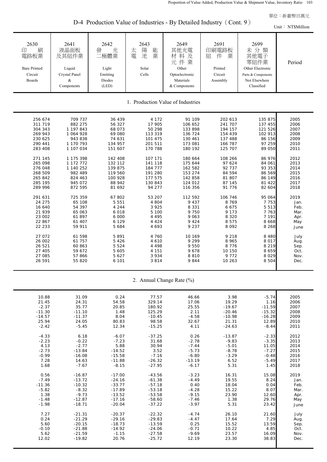D-4 Production Value of Industries - By Detailed Industry (Cont. 9)

|                                                                    |                                                                        |                                                                |                                                      |                                                                                    |                                                                |                                                                                                      | Unit: NT\$Million |
|--------------------------------------------------------------------|------------------------------------------------------------------------|----------------------------------------------------------------|------------------------------------------------------|------------------------------------------------------------------------------------|----------------------------------------------------------------|------------------------------------------------------------------------------------------------------|-------------------|
| 2630<br>刷<br>印<br>電路板業<br><b>Bare Printed</b><br>Circuit<br>Boards | 2641<br>液晶面板<br>及其組件業<br>Liquid<br>Crystal Panel<br>$\&$<br>Components | 2642<br>光<br>發<br>二極體業<br>Light<br>Emitting<br>Diodes<br>(LED) | 2643<br>陽<br>能<br>太<br>業<br>電<br>池<br>Solar<br>Cells | 2649<br>其他光電<br>材料及<br>元件業<br>Other<br>Optoelectronic<br>Materials<br>& Components | 2691<br>印刷電路板<br>業<br>組<br>件<br>Printed<br>Circuit<br>Assembly | 2699<br>未分類<br>其他電子<br>零組件業<br>Other Electronic<br>Parts & Components<br>Not Elsewhere<br>Classified | Period            |
|                                                                    |                                                                        |                                                                |                                                      | 1. Production Value of Industries                                                  |                                                                |                                                                                                      |                   |
| 256 674                                                            | 709 737                                                                | 36 439                                                         | 4 1 7 2                                              | 91 109                                                                             | 202 613                                                        | 135 875                                                                                              | 2005              |
| 311 719                                                            | 882 275                                                                | 56 327                                                         | 17 905                                               | 106 652                                                                            | 241 707                                                        | 137 455                                                                                              | 2006              |
| 304 343                                                            | 1 197 843                                                              | 68 073                                                         | 50 298                                               | 133 898                                                                            | 194 157                                                        | 121 526                                                                                              | 2007              |
| 269 943                                                            | 1 064 928                                                              | 69 080                                                         | 113 319                                              | 136 724                                                                            | 154 439                                                        | 102 913                                                                                              | 2008              |
| 230 625                                                            | 943 838                                                                | 74 631                                                         | 101 475                                              | 130 461                                                                            | 137 488                                                        | 86 156                                                                                               | 2009              |
| 290 441                                                            | 1 170 793                                                              | 134 957                                                        | 201 511                                              | 173 081                                                                            | 166 787                                                        | 97 259                                                                                               | 2010              |
| 283 408                                                            | 1 107 034                                                              | 151 607                                                        | 170 788                                              | 180 192                                                                            | 125 707                                                        | 89 050                                                                                               | 2011              |
| 271 145                                                            | 1 175 398                                                              | 142 408                                                        | 107 171                                              | 180 664                                                                            | 108 266                                                        | 86 976                                                                                               | 2012              |
| 265 098                                                            | 1 172 772                                                              | 132 112                                                        | 141 118                                              | 175 644                                                                            | 97 624                                                         | 84 061                                                                                               | 2013              |
| 276 048                                                            | 1 140 252                                                              | 139 875                                                        | 184 777                                              | 162 582                                                                            | 92 737                                                         | 93 353                                                                                               | 2014              |
| 268 509                                                            | 982 489                                                                | 119 560                                                        | 191 280                                              | 153 274                                                                            | 84 594                                                         | 86 569                                                                                               | 2015              |
| 265 842                                                            | 824 463                                                                | 100 928                                                        | 177 575                                              | 142 858                                                                            | 81 807                                                         | 86 149                                                                                               | 2016              |
| 285 195                                                            | 945 072                                                                | 88 942                                                         | 130 843                                              | 124 012                                                                            | 87 145                                                         | 81 422                                                                                               | 2017              |
| 289 996                                                            | 872 595                                                                | 81 692                                                         | 94 277                                               | 116 356                                                                            | 91 776                                                         | 82 604                                                                                               | 2018              |
| 291 631                                                            | 725 359                                                                | 67 802                                                         | 53 207                                               | 112 592                                                                            | 106 746                                                        | 95 064                                                                                               | 2019              |
| 24 275                                                             | 65 108                                                                 | 5 5 5 1                                                        | 4 8 0 4                                              | 9 4 3 7                                                                            | 8 7 6 9                                                        | 7 7 5 3                                                                                              | Jan.              |
| 16 640                                                             | 54 397                                                                 | 4 2 4 4                                                        | 3 9 2 5                                              | 8 3 3 1                                                                            | 6 6 7 5                                                        | 5 5 1 3                                                                                              | Feb.              |
| 21 939                                                             | 65 063                                                                 | 6 0 18                                                         | 5 100                                                | 9 7 5 0                                                                            | 9 1 7 3                                                        | 7 7 6 3                                                                                              | Mar.              |
| 23 002                                                             | 61 897                                                                 | 6 000                                                          | 4 4 9 5                                              | 9 0 6 3                                                                            | 8 3 2 0                                                        | 7 1 9 1                                                                                              | Apr.              |
| 22 867                                                             | 61 407                                                                 | 6 1 2 9                                                        | 4 4 2 4                                              | 9 4 2 4                                                                            | 8 5 7 5                                                        | 8 6 6 8                                                                                              | May               |
| 22 233                                                             | 59 911                                                                 | 5 6 8 4                                                        | 4 6 9 3                                              | 9 2 3 7                                                                            | 8 0 9 2                                                        | 8 2 6 8                                                                                              | June              |
| 27 072                                                             | 61 598                                                                 | 5 8 9 1                                                        | 4 760                                                | 10 169                                                                             | 9 2 1 8                                                        | 8 4 8 0                                                                                              | July              |
| 26 002                                                             | 61 757                                                                 | 5 4 2 6                                                        | 4 6 1 0                                              | 9 2 9 9                                                                            | 8 9 6 5                                                        | 8 0 1 7                                                                                              | Aug.              |
| 26 521                                                             | 60 863                                                                 | 5 5 2 4                                                        | 4 4 9 8                                              | 9 5 5 0                                                                            | 8 7 7 6                                                        | 8 2 1 9                                                                                              | Sep.              |
| 27 405                                                             | 59 672                                                                 | 5 6 0 5                                                        | 4 1 5 1                                              | 9678                                                                               | 10 150                                                         | 8 6 5 9                                                                                              | Oct.              |
| 27 085                                                             | 57 866                                                                 | 5 6 2 7                                                        | 3 9 3 4                                              | 8810                                                                               | 9 7 7 2                                                        | 8 0 2 9                                                                                              | Nov.              |
| 26 591                                                             | 55 820                                                                 | 6 101                                                          | 3814                                                 | 9844                                                                               | 10 263                                                         | 8 5 0 4                                                                                              | Dec.              |
|                                                                    |                                                                        |                                                                |                                                      | 2. Annual Change Rate (%)                                                          |                                                                |                                                                                                      |                   |
| 10.88                                                              | 31.09                                                                  | 0.24                                                           | 77.57                                                | 46.66                                                                              | 3.98                                                           | $-5.74$                                                                                              | 2005              |
| 21.45                                                              | 24.31                                                                  | 54.58                                                          | 329.14                                               | 17.06                                                                              | 19.29                                                          | 1.16                                                                                                 | 2006              |
| $-2.37$                                                            | 35.77                                                                  | 20.85                                                          | 180.92                                               | 25.55                                                                              | $-19.67$                                                       | $-11.59$                                                                                             | 2007              |
| $-11.30$                                                           | $-11.10$                                                               | 1.48                                                           | 125.29                                               | 2.11                                                                               | $-20.46$                                                       | $-15.32$                                                                                             | 2008              |
| $-14.57$                                                           | $-11.37$                                                               | 8.04                                                           | $-10.45$                                             | $-4.58$                                                                            | $-10.98$                                                       | $-16.28$                                                                                             | 2009              |
| 25.94                                                              | 24.05                                                                  | 80.83                                                          | 98.58                                                | 32.67                                                                              | 21.31                                                          | 12.89                                                                                                | 2010              |
| $-2.42$                                                            | $-5.45$                                                                | 12.34                                                          | $-15.25$                                             | 4.11                                                                               | $-24.63$                                                       | $-8.44$                                                                                              | 2011              |
| $-4.33$                                                            | 6.18                                                                   | $-6.07$                                                        | $-37.25$                                             | 0.26                                                                               | $-13.87$                                                       | $-2.33$                                                                                              | 2012              |
| $-2.23$                                                            | $-0.22$                                                                | $-7.23$                                                        | 31.68                                                | $-2.78$                                                                            | $-9.83$                                                        | $-3.35$                                                                                              | 2013              |
| 4.13                                                               | $-2.77$                                                                | 5.88                                                           | 30.94                                                | $-7.44$                                                                            | $-5.01$                                                        | 11.05                                                                                                | 2014              |
| $-2.73$                                                            | $-13.84$                                                               | $-14.52$                                                       | 3.52                                                 | $-5.73$                                                                            | $-8.78$                                                        | $-7.27$                                                                                              | 2015              |
| $-0.99$                                                            | $-16.08$                                                               | $-15.58$                                                       | $-7.16$                                              | $-6.80$                                                                            | $-3.29$                                                        | $-0.48$                                                                                              | 2016              |
| 7.28                                                               | 14.63                                                                  | $-11.88$                                                       | $-26.32$                                             | $-13.19$                                                                           | 6.52                                                           | $-5.49$                                                                                              | 2017              |
| 1.68                                                               | $-7.67$                                                                | $-8.15$                                                        | $-27.95$                                             | $-6.17$                                                                            | 5.31                                                           | 1.45                                                                                                 | 2018              |
| 0.56                                                               | $-16.87$                                                               | $-17.00$                                                       | $-43.56$                                             | $-3.23$                                                                            | 16.31                                                          | 15.08                                                                                                | 2019              |
| $-7.49$                                                            | $-13.72$                                                               | $-24.16$                                                       | $-61.38$                                             | $-4.49$                                                                            | 19.55                                                          | 8.24                                                                                                 | Jan.              |
| $-11.36$                                                           | $-10.32$                                                               | $-33.77$                                                       | $-57.18$                                             | 0.40                                                                               | 18.04                                                          | 0.04                                                                                                 | Feb.              |
| $-5.82$                                                            | $-8.32$                                                                | $-17.89$                                                       | $-53.18$                                             | $-4.28$                                                                            | 15.22                                                          | 8.07                                                                                                 | Mar.              |
| 1.38                                                               | $-9.73$                                                                | $-13.52$                                                       | $-53.58$                                             | $-9.15$                                                                            | 23.90                                                          | 12.60                                                                                                | Apr.              |
| $-1.48$                                                            | $-12.87$                                                               | $-17.16$                                                       | $-58.60$                                             | $-7.46$                                                                            | 1.38                                                           | 29.76                                                                                                | May               |
| $-1.98$                                                            | $-18.71$                                                               | $-20.04$                                                       | $-37.22$                                             | $-3.97$                                                                            | 5.31                                                           | 23.42                                                                                                | June              |
| 7.27                                                               | $-21.31$                                                               | $-20.37$                                                       | $-22.32$                                             | $-4.74$                                                                            | 26.10                                                          | 21.60                                                                                                | July              |
| 0.24                                                               | $-21.29$                                                               | $-29.16$                                                       | $-29.83$                                             | $-4.47$                                                                            | 17.64                                                          | 7.29                                                                                                 | Aug.              |

5.60 -20.15 -18.73 -13.59 0.25 15.52 13.59 Sep. -0.10 -21.88 -14.92 -24.06 -0.71 10.22 4.85 Oct. 5.62 -21.59 -1.15 -27.58 -9.69 23.57 16.09 Nov. 12.02 -19.82 20.76 -25.72 12.19 23.30 38.83 Dec.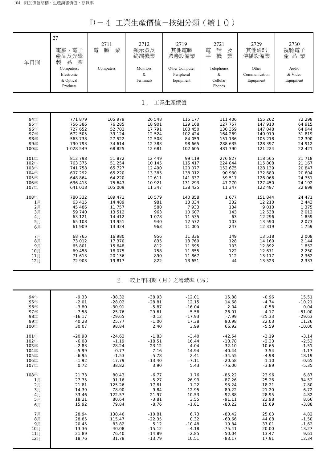D-4 工業生產價值-按細分類(續10)

| 年月別  | 27<br>電腦、電子<br>產品及光學<br>品<br>業<br>製<br>Computers,<br>Electronic<br>& Optical<br>Products | 2711<br>業<br>腦<br>電<br>Computers | 2712<br>顯示器及<br>終端機業<br>Monitors<br>&<br>Terminals | 2719<br>其他電腦<br>週邊設備業<br>Other Computer<br>Peripheral<br>Equipment | 2721<br>話<br>電<br>及<br>手<br>業<br>機<br>Telephones<br>&<br>Cellular<br>Phones | 2729<br>其他通訊<br>傳播設備業<br>Other<br>Communication<br>Equipment | 2730<br>視聽電子<br>產品業<br>Audio<br>& Video<br>Equipment |
|------|------------------------------------------------------------------------------------------|----------------------------------|----------------------------------------------------|--------------------------------------------------------------------|-----------------------------------------------------------------------------|--------------------------------------------------------------|------------------------------------------------------|
|      |                                                                                          |                                  | $1$ .                                              | 工業生產價值                                                             |                                                                             |                                                              |                                                      |
| 94年  | 771 879                                                                                  | 105 979                          | 26 548                                             | 115 177                                                            | 111 406                                                                     | 155 262                                                      | 72 298                                               |
| 95年  | 756 386                                                                                  | 76 285                           | 18 901                                             | 129 168                                                            | 127 757                                                                     | 147 910                                                      | 64 915                                               |
| 96年  | 727 652                                                                                  | 52 702                           | 17 791                                             | 108 450                                                            | 130 359                                                                     | 147 048                                                      | 64 944                                               |
| 97年  | 672 505                                                                                  | 39 124                           | 12 5 24                                            | 102 424                                                            | 164 269                                                                     | 140 919                                                      | 31 819                                               |
| 98年  | 563 738                                                                                  | 27 522                           | 12 508                                             | 84 059                                                             | 151 136                                                                     | 105 218                                                      | 22 390                                               |
| 99年  | 790 793                                                                                  | 34 614                           | 12 3 8 3                                           | 98 665                                                             | 288 635                                                                     | 128 397                                                      | 24 912                                               |
| 100年 | 1 028 549                                                                                | 68 825                           | 12 681                                             | 102 605                                                            | 481 790                                                                     | 121 224                                                      | 22 4 21                                              |
| 101年 | 812 798                                                                                  | 51 872                           | 12 449                                             | 99 119                                                             | 276 827                                                                     | 118 565                                                      | 21 718                                               |
| 102年 | 763 375                                                                                  | 51 254                           | 10 145                                             | 115 417                                                            | 224 844                                                                     | 115 808                                                      | 21 167                                               |
| 103年 | 741 758                                                                                  | 65 727                           | 12 490                                             | 120 077                                                            | 152 675                                                                     | 128 139                                                      | 20 847                                               |
| 104年 | 697 292                                                                                  | 65 220                           | 13 385                                             | 138 012                                                            | 90 930                                                                      | 132 680                                                      | 20 604                                               |
| 105年 | 648 864                                                                                  | 64 220                           | 12 611                                             | 141 337                                                            | 59 517                                                                      | 126 066                                                      | 24 351                                               |
| 106年 | 636 413                                                                                  | 75 643                           | 10 921                                             | 131 293                                                            | 47 270                                                                      | 127 450                                                      | 24 192                                               |
| 107年 | 641 018                                                                                  | 105 009                          | 11 347                                             | 138 425                                                            | 11 347                                                                      | 122 497                                                      | 22 899                                               |
| 108年 | 780 332                                                                                  | 189 471                          | 10 579                                             | 140 858                                                            | 1677                                                                        | 151 844                                                      | 24 471                                               |
| 1月   | 63 415                                                                                   | 14 489                           | 981                                                | 13 034                                                             | 332                                                                         | 12 210                                                       | 2 4 4 3                                              |
| 2月   | 45 486                                                                                   | 11 757                           | 580                                                | 7933                                                               | 134                                                                         | 9 0 1 0                                                      | 1 3 7 5                                              |
| 3月   | 59 740                                                                                   | 13 512                           | 963                                                | 10 607                                                             | 143                                                                         | 12 538                                                       | 2 0 1 2                                              |
| 4月   | 63 121                                                                                   | 14 4 12                          | 1 0 7 8                                            | 11 535                                                             | 63                                                                          | 12 2 9 6                                                     | 1859                                                 |
| 5月   | 65 108                                                                                   | 13 951                           | 940                                                | 12 572                                                             | 103                                                                         | 13 590                                                       | 2 0 7 3                                              |
| 6月   | 61 909                                                                                   | 13 3 2 4                         | 963                                                | 11 005                                                             | 247                                                                         | 12 319                                                       | 1 759                                                |
| 7月   | 68 765                                                                                   | 16 980                           | 956                                                | 11 336                                                             | 149                                                                         | 13 518                                                       | 2 0 0 8                                              |
| 8月   | 73 012                                                                                   | 17 370                           | 835                                                | 13 769                                                             | 128                                                                         | 14 160                                                       | 2 144                                                |
| 9月   | 65 801                                                                                   | 15 648                           | 812                                                | 11 695                                                             | 103                                                                         | 12 892                                                       | 1852                                                 |
| 10月  | 69 458                                                                                   | 18 075                           | 758                                                | 11 855                                                             | 122                                                                         | 12 671                                                       | 2 2 5 0                                              |
| 11月  | 71 613                                                                                   | 20 136                           | 890                                                | 11867                                                              | 112                                                                         | 13 117                                                       | 2 3 6 2                                              |
| 12月  | 72 903                                                                                   | 19817                            | 822                                                | 13 651                                                             | 44                                                                          | 13 523                                                       | 2 3 3 3                                              |
|      |                                                                                          | $2$ .                            |                                                    | 較上年同期 (月) 之增減率 (%)                                                 |                                                                             |                                                              |                                                      |
| 94年  | $-9.33$                                                                                  | $-38.32$                         | $-38.93$                                           | $-12.01$                                                           | 15.88                                                                       | $-0.96$                                                      | 15.51                                                |
| 95年  | $-2.01$                                                                                  | $-28.02$                         | $-28.81$                                           | 12.15                                                              | 14.68                                                                       | $-4.74$                                                      | $-10.21$                                             |
| 96年  | $-3.80$                                                                                  | $-30.91$                         | $-5.87$                                            | $-16.04$                                                           | 2.04                                                                        | $-0.58$                                                      | 0.04                                                 |
| 97年  | $-7.58$                                                                                  | $-25.76$                         | $-29.61$                                           | $-5.56$                                                            | 26.01                                                                       | $-4.17$                                                      | $-51.00$                                             |
| 98年  | $-16.17$                                                                                 | $-29.65$                         | $-0.12$                                            | $-17.93$                                                           | $-7.99$                                                                     | $-25.33$                                                     | $-29.63$                                             |
| 99年  | 40.28                                                                                    | 25.77                            | $-1.00$                                            | 17.38                                                              | 90.98                                                                       | 22.03                                                        | 11.26                                                |
| 100年 | 30.07                                                                                    | 98.84                            | 2.40                                               | 3.99                                                               | 66.92                                                                       | $-5.59$                                                      | $-10.00$                                             |
| 101年 | $-20.98$                                                                                 | $-24.63$                         | $-1.83$                                            | $-3.40$                                                            | $-42.54$                                                                    | $-2.19$                                                      | $-3.14$                                              |
| 102年 | $-6.08$                                                                                  | $-1.19$                          | $-18.51$                                           | 16.44                                                              | $-18.78$                                                                    | $-2.33$                                                      | $-2.53$                                              |
| 103年 | $-2.83$                                                                                  | 28.24                            | 23.12                                              | 4.04                                                               | $-32.10$                                                                    | 10.65                                                        | $-1.51$                                              |
| 104年 | $-5.99$                                                                                  | $-0.77$                          | 7.16                                               | 14.94                                                              | $-40.44$                                                                    | 3.54                                                         | $-1.17$                                              |
| 105年 | $-6.95$                                                                                  | $-1.53$                          | $-5.78$                                            | 2.41                                                               | $-34.55$                                                                    | $-4.98$                                                      | 18.19                                                |
| 106年 | $-1.92$                                                                                  | 17.79                            | $-13.40$                                           | $-7.11$                                                            | $-20.58$                                                                    | 1.10                                                         | $-0.65$                                              |
| 107年 | 0.72                                                                                     | 38.82                            | 3.90                                               | 5.43                                                               | $-76.00$                                                                    | $-3.89$                                                      | $-5.35$                                              |
| 108年 | 21.73                                                                                    | 80.43                            | $-6.77$                                            | 1.76                                                               | $-85.22$                                                                    | 23.96                                                        | 6.87                                                 |
| 1月   | 27.75                                                                                    | 91.16                            | $-5.27$                                            | 26.93                                                              | $-87.26$                                                                    | 25.26                                                        | 34.52                                                |
| 2月   | 21.81                                                                                    | 125.26                           | $-17.81$                                           | 1.22                                                               | $-93.24$                                                                    | 18.21                                                        | $-7.80$                                              |
| 3月   | 14.39                                                                                    | 78.90                            | 9.84                                               | $-12.95$                                                           | $-89.22$                                                                    | 21.20                                                        | 6.72                                                 |
| 4月   | 33.46                                                                                    | 122.57                           | 21.97                                              | 10.53                                                              | $-92.88$                                                                    | 28.95                                                        | 4.82                                                 |
| 5月   | 18.21                                                                                    | 80.64                            | $-3.81$                                            | 3.55                                                               | $-91.11$                                                                    | 23.98                                                        | 8.66                                                 |
| 6月   | 15.92                                                                                    | 79.84                            | $-8.76$                                            | $-1.81$                                                            | $-80.22$                                                                    | 15.69                                                        | $-3.88$                                              |
| 7月   | 28.94                                                                                    | 138.46                           | $-10.81$                                           | 6.73                                                               | $-80.42$                                                                    | 25.03                                                        | 4.82                                                 |
| 8月   | 28.85                                                                                    | 115.47                           | $-22.35$                                           | 0.32                                                               | $-60.66$                                                                    | 44.08                                                        | $-1.50$                                              |
| 9月   | 20.45                                                                                    | 83.82                            | 5.12                                               | $-10.48$                                                           | 10.84                                                                       | 37.01                                                        | $-1.62$                                              |
| 10月  | 13.36                                                                                    | 40.08                            | $-15.12$                                           | $-4.18$                                                            | $-75.41$                                                                    | 20.00                                                        | 13.27                                                |
| 11月  | 21.89                                                                                    | 76.40                            | $-14.89$                                           | $-2.85$                                                            | $-50.04$                                                                    | 13.47                                                        | 9.61                                                 |
| 12月  | 18.76                                                                                    | 31.78                            | $-13.79$                                           | 10.51                                                              | $-83.17$                                                                    | 17.91                                                        | 12.34                                                |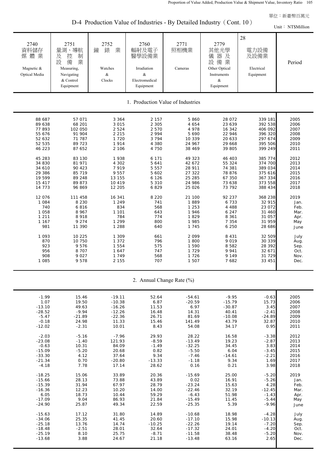D-4 Production Value of Industries - By Detailed Industry (Cont. 10)

|                                                                                                                                                                                                                                                                 | $D-4$ Production value of moustries - By Detailed moustry (Cont. To )<br>Unit: NT\$Million                                                                                                                                                                                |                                                                                                                                                                                                                                                                          |                                                                                                                                                                                                                                                |                                                                                                                                                                                                                                                                   |                                                                                                                                                                                                                                                                                   |                                                                                                                                                                                                                                                                                           |                                                                                                                                                                                                                     |  |  |  |  |
|-----------------------------------------------------------------------------------------------------------------------------------------------------------------------------------------------------------------------------------------------------------------|---------------------------------------------------------------------------------------------------------------------------------------------------------------------------------------------------------------------------------------------------------------------------|--------------------------------------------------------------------------------------------------------------------------------------------------------------------------------------------------------------------------------------------------------------------------|------------------------------------------------------------------------------------------------------------------------------------------------------------------------------------------------------------------------------------------------|-------------------------------------------------------------------------------------------------------------------------------------------------------------------------------------------------------------------------------------------------------------------|-----------------------------------------------------------------------------------------------------------------------------------------------------------------------------------------------------------------------------------------------------------------------------------|-------------------------------------------------------------------------------------------------------------------------------------------------------------------------------------------------------------------------------------------------------------------------------------------|---------------------------------------------------------------------------------------------------------------------------------------------------------------------------------------------------------------------|--|--|--|--|
| 2740<br>資料儲存<br>媒體業<br>Magnetic &<br>Optical Media                                                                                                                                                                                                              | 2751<br>量測、導航<br>制<br>及<br>控<br>設<br>業<br>備<br>Measuring,<br>Navigating<br>& Control<br>Equipment                                                                                                                                                                         | 2752<br>錶<br>業<br>鐘<br>Watches<br>&<br>Clocks                                                                                                                                                                                                                            | 2760<br>輻射及電子<br>醫學設備業<br>Irradiation<br>$\&$<br>Electromedical<br>Equipment                                                                                                                                                                   | 2771<br>照相機業<br>Cameras                                                                                                                                                                                                                                           | 2779<br>其他光學<br>儀器及<br>設備業<br>Other Optical<br>Instruments<br>&<br>Equipment                                                                                                                                                                                                      | 28<br>電力設備<br>及設備業<br>Electrical<br>Equipment                                                                                                                                                                                                                                             | Period                                                                                                                                                                                                              |  |  |  |  |
|                                                                                                                                                                                                                                                                 |                                                                                                                                                                                                                                                                           |                                                                                                                                                                                                                                                                          |                                                                                                                                                                                                                                                | 1. Production Value of Industries                                                                                                                                                                                                                                 |                                                                                                                                                                                                                                                                                   |                                                                                                                                                                                                                                                                                           |                                                                                                                                                                                                                     |  |  |  |  |
| 88 687<br>89 638<br>77 893<br>55 676<br>52 632<br>52 535<br>46 223<br>45 283<br>34 830<br>34 610<br>29 386<br>19 599<br>15 417<br>14 773<br>12 0 76<br>1 0 8 4<br>740<br>1 0 5 8<br>1 2 1 1<br>1 1 6 7<br>981<br>1 0 9 3<br>870<br>923<br>956<br>908<br>1 0 8 5 | 57 071<br>68 201<br>102 050<br>91 904<br>71 787<br>89 723<br>87 652<br>83 130<br>81 971<br>90 423<br>85 719<br>89 248<br>89 873<br>96 869<br>111 458<br>8 2 3 0<br>6816<br>8 9 6 7<br>8918<br>9 2 7 4<br>11 390<br>10 225<br>10 750<br>9576<br>8 7 0 7<br>9 0 2 7<br>9578 | 3 3 6 4<br>3 0 1 5<br>2 5 2 4<br>2 2 1 5<br>1 7 2 0<br>1914<br>2 106<br>1938<br>4 3 0 2<br>7919<br>9 5 5 7<br>13 155<br>10 419<br>12 205<br>16 341<br>1 2 4 9<br>834<br>1 1 0 1<br>784<br>1 2 9 9<br>1 2 8 8<br>1 309<br>1 372<br>1 5 5 4<br>1 647<br>1 7 4 9<br>2 1 5 5 | 2 1 5 7<br>2 3 0 5<br>2 5 7 0<br>2 9 9 4<br>3 7 9 4<br>4 3 8 0<br>4 7 5 0<br>6 1 7 1<br>5 641<br>5 5 5 7<br>5 602<br>6 1 2 6<br>5 3 1 0<br>6829<br>8 2 2 0<br>741<br>568<br>643<br>774<br>800<br>640<br>661<br>796<br>575<br>747<br>568<br>707 | 5 8 6 0<br>4 6 5 4<br>4 978<br>5 6 9 0<br>10 339<br>24 967<br>38 469<br>49 323<br>42 672<br>28 911<br>27 322<br>25 285<br>24 986<br>25 0 26<br>21 100<br>1889<br>1 2 5 3<br>1946<br>1829<br>1 985<br>1 7 4 5<br>2099<br>1 800<br>1 5 9 0<br>1729<br>1726<br>1 507 | 28 072<br>23 639<br>16 342<br>22 946<br>20 633<br>29 668<br>39 805<br>46 403<br>55 324<br>74 381<br>78 876<br>67 350<br>73 638<br>73 792<br>92 237<br>6 7 3 3<br>4 4 8 8<br>6 2 4 7<br>8 3 6 1<br>7 3 5 4<br>6 250<br>8 4 3 1<br>9 0 1 9<br>8 5 8 2<br>9 9 4 1<br>9 1 4 9<br>7682 | 339 181<br>392 538<br>406 092<br>396 320<br>297 674<br>395 506<br>399 249<br>385 774<br>374 700<br>389 034<br>375 616<br>367 334<br>373 558<br>388 434<br>368 238<br>32 915<br>23 072<br>31 460<br>31 057<br>31 959<br>28 686<br>32 509<br>30 339<br>28 392<br>32 671<br>31 729<br>33 451 | 2005<br>2006<br>2007<br>2008<br>2009<br>2010<br>2011<br>2012<br>2013<br>2014<br>2015<br>2016<br>2017<br>2018<br>2019<br>Jan.<br>Feb.<br>Mar.<br>Apr.<br>May<br>June<br>July<br>Aug.<br>Sep.<br>Oct.<br>Nov.<br>Dec. |  |  |  |  |
|                                                                                                                                                                                                                                                                 |                                                                                                                                                                                                                                                                           |                                                                                                                                                                                                                                                                          | 2. Annual Change Rate (%)                                                                                                                                                                                                                      |                                                                                                                                                                                                                                                                   |                                                                                                                                                                                                                                                                                   |                                                                                                                                                                                                                                                                                           |                                                                                                                                                                                                                     |  |  |  |  |

| 2005 | $-0.63$  | $-9.95$  | $-54.61$ | 52.64    | $-19.11$ | 15.46    | $-1.99$  |
|------|----------|----------|----------|----------|----------|----------|----------|
| 2006 | 15.73    | $-15.79$ | $-20.59$ | 6.87     | $-10.38$ | 19.50    | 1.07     |
| 2007 | 3.45     | $-30.87$ | 6.97     | 11.53    | $-16.26$ | 49.63    | $-13.10$ |
| 2008 | $-2.41$  | 40.41    | 14.31    | 16.48    | $-12.26$ | $-9.94$  | $-28.52$ |
| 2009 | $-24.89$ | $-10.08$ | 81.69    | 26.71    | $-22.36$ | $-21.89$ | $-5.47$  |
| 2010 | 32.87    | 43.79    | 141.49   | 15.46    | 11.33    | 24.98    | $-0.18$  |
| 2011 | 0.95     | 34.17    | 54.08    | 8.43     | 10.01    | $-2.31$  | $-12.02$ |
|      |          |          |          |          |          |          |          |
| 2012 | $-3.38$  | 16.58    | 28.22    | 29.93    | $-7.96$  | $-5.16$  | $-2.03$  |
| 2013 | $-2.87$  | 19.23    | $-13.49$ | $-8.59$  | 121.93   | $-1.40$  | $-23.08$ |
| 2014 | 3.83     | 34.45    | $-32.25$ | $-1.49$  | 84.09    | 10.31    | $-0.63$  |
| 2015 | $-3.45$  | 6.04     | $-5.50$  | 0.82     | 20.68    | $-5.20$  | $-15.09$ |
| 2016 | $-2.21$  | $-14.61$ | $-7.46$  | 9.34     | 37.64    | 4.12     | $-33.30$ |
| 2017 | 1.69     | 9.34     | $-1.18$  | $-13.33$ | $-20.80$ | 0.70     | $-21.34$ |
| 2018 | 3.98     | 0.21     | 0.16     | 28.62    | 17.14    | 7.78     | $-4.18$  |
| 2019 | $-5.20$  | 25.00    | $-15.69$ | 20.36    | 33.89    | 15.06    | $-18.25$ |
| Jan. | $-5.26$  | 16.91    | 0.02     | 43.89    | 73.88    | 28.13    | $-15.66$ |
| Feb. | 4.28     | 15.63    | $-23.24$ | 28.79    | 67.97    | 31.94    | $-15.39$ |
| Mar. | $-12.45$ | 32.19    | $-22.46$ | 14.00    | 10.20    | 12.23    | $-16.36$ |
| Apr. | $-1.43$  | 51.98    | $-6.43$  | 59.29    | 10.44    | 18.73    | 6.05     |
| May  | $-5.44$  | 11.45    | $-15.49$ | 21.84    | 86.93    | 9.04     | $-17.09$ |
| June | $-9.96$  | 5.39     | $-25.35$ | 22.59    | 49.34    | 25.87    | $-24.90$ |
|      |          |          |          |          |          |          |          |
| July | $-4.28$  | 18.98    | $-10.68$ | 14.89    | 31.80    | 17.12    | $-15.63$ |
| Aug. | $-10.13$ | 15.98    | $-17.10$ | 20.60    | 41.45    | 25.35    | $-34.06$ |
| Sep. | $-7.20$  | 19.14    | $-22.26$ | $-10.25$ | 14.74    | 13.76    | $-25.18$ |
| Oct. | $-4.20$  | 24.01    | $-17.32$ | 32.64    | 28.01    | $-2.51$  | $-18.48$ |
| Nov. | $-5.20$  | 38.48    | $-11.58$ | $-8.71$  | 25.75    | 8.10     | $-25.19$ |
| Dec. | 2.65     | 63.16    | $-13.48$ | 21.18    | 24.67    | 3.88     | $-13.68$ |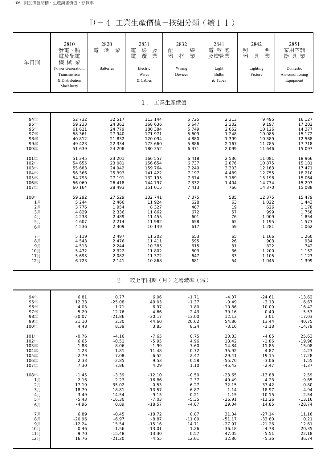D-4 工業生產價值-按細分類(續11)

| 年月別   | 2810<br>發電、輸<br>電及配電<br>機械業<br>Power Generation,<br>Transmission<br>& Distribution<br>Machinery | 2820<br>業<br>池<br>電<br><b>Batteries</b> | 2831<br>電<br>線<br>及業<br>纜<br>電<br>Electric<br>Wires<br>& Cables | 2832<br>配<br>線<br>器<br>業<br>材<br>Wiring<br>Devices | 2841<br>電燈泡<br>及燈管業<br>Light<br><b>Bulbs</b><br>& Tubes | 2842<br>照<br>明<br>器<br>業<br>具<br>Lighting<br>Fixture | 2851<br>家用空調<br>器具業<br>Domestic<br>Air-conditioning<br>Equipment |
|-------|-------------------------------------------------------------------------------------------------|-----------------------------------------|-----------------------------------------------------------------|----------------------------------------------------|---------------------------------------------------------|------------------------------------------------------|------------------------------------------------------------------|
|       |                                                                                                 |                                         | $1$ .                                                           | 工業生產價值                                             |                                                         |                                                      |                                                                  |
| 94年   | 52 732                                                                                          | 32 517                                  | 113 144                                                         | 5 7 2 5                                            | 2 3 1 3                                                 | 9 4 9 5                                              | 16 127                                                           |
| 95年   | 59 233                                                                                          | 24 362                                  | 168 636                                                         | 5 647                                              | 2 3 0 2                                                 | 9 1 9 7                                              | 17 202                                                           |
| 96年   | 61 621                                                                                          | 24 779                                  | 180 384                                                         | 5749                                               | 2 0 5 2                                                 | 10 1 26                                              | 14 377                                                           |
| 97年   | 58 361                                                                                          | 27 940                                  | 171 971                                                         | 5 609                                              | 1 2 4 8                                                 | 10 085                                               | 15 172                                                           |
| 98年   | 40 812                                                                                          | 21 832                                  | 120 094                                                         | 4 8 8 0                                            | 1 3 9 9                                                 | 10 389                                               | 12 588                                                           |
| 99年   | 49 423                                                                                          | 22 334                                  | 173 660                                                         | 5 8 8 6                                            | 2 1 6 7                                                 | 11 785                                               | 17 718                                                           |
| 100年  | 51 639                                                                                          | 24 208                                  | 180 352                                                         | 6 3 7 1                                            | 2 0 9 9                                                 | 11 646                                               | 15 097                                                           |
| 101年  | 51 245                                                                                          | 23 201                                  | 166 557                                                         | 6418                                               | 2 5 3 6                                                 | 11 081                                               | 18 966                                                           |
| 102年  | 54 655                                                                                          | 23 081                                  | 156 654                                                         | 6 7 3 7                                            | 2876                                                    | 10875                                                | 15 181                                                           |
| 103年  | 55 683                                                                                          | 24 942                                  | 159 764                                                         | 7 249                                              | 3 3 0 3                                                 | 12 163                                               | 17 471                                                           |
| 104年  | 56 366                                                                                          | 25 393                                  | 141 422                                                         | 7 197                                              | 4 4 8 9                                                 | 12 755                                               | 18 210                                                           |
| 105年  | 54 793                                                                                          | 27 191                                  | 132 195                                                         | 7 3 7 4                                            | 3 1 6 9                                                 | 15 198                                               | 15 064                                                           |
| 106年  | 56 069                                                                                          | 26 418                                  | 144 797                                                         | 7 3 3 2                                            | 1 4 0 4                                                 | 14 734                                               | 15 297                                                           |
| 107年  | 60 164                                                                                          | 28 493                                  | 151 015                                                         | 7 4 1 3                                            | 766                                                     | 14 370                                               | 15 088                                                           |
| 108年  | 59 29 2                                                                                         | 27 529                                  | 132 741                                                         | 7 3 7 5                                            | 585                                                     | 12 375                                               | 15 479                                                           |
| 1月    | 5 2 4 4                                                                                         | 2 4 6 6                                 | 11 924                                                          | 628                                                | 63                                                      | 1 0 2 2                                              | 1 4 4 3                                                          |
| 2月    | 3776                                                                                            | 1 9 5 4                                 | 8 3 2 7                                                         | 407                                                | 19                                                      | 626                                                  | 1 1 7 8                                                          |
| $3$ 月 | 4829                                                                                            | 2 3 3 6                                 | 11 862                                                          | 672                                                | 57                                                      | 999                                                  | 1 7 5 8                                                          |
| 4月    | 4 2 3 8                                                                                         | 2 4 8 9                                 | 11 455                                                          | 601                                                | 76                                                      | 1 0 0 9                                              | 1854                                                             |
| 5月    | 4 607                                                                                           | 2 2 1 4                                 | 11 982                                                          | 658                                                | 65                                                      | 1 1 9 5                                              | 1 5 7 3                                                          |
| 6月    | 4536                                                                                            | 2 3 0 9                                 | 10 149                                                          | 617                                                | 59                                                      | 1 2 8 1                                              | 1 0 6 2                                                          |
| 7月    | 5 1 1 9                                                                                         | 2 4 9 7                                 | 11 202                                                          | 653                                                | 65                                                      | 1 166                                                | 1 260                                                            |
| 8月    | 4 5 4 3                                                                                         | 2 4 7 6                                 | 11 411                                                          | 595                                                | 26                                                      | 903                                                  | 934                                                              |
| 9月    | 4513                                                                                            | 2 2 4 4                                 | 10 385                                                          | 615                                                | 31                                                      | 822                                                  | 742                                                              |
| 10月   | 5 4 7 2                                                                                         | 2 3 2 2                                 | 11 802                                                          | 603                                                | 36                                                      | 1 200                                                | 1 1 5 2                                                          |
| 11月   | 5 6 9 3                                                                                         | 2 0 8 2                                 | 11 372                                                          | 647                                                | 33                                                      | 1 1 0 5                                              | 1 1 2 3                                                          |
| 12月   | 6 7 2 3                                                                                         | 2 141                                   | 10 868                                                          | 681                                                | 54                                                      | 1 0 4 5                                              | 1 3 9 9                                                          |
|       |                                                                                                 | $2$ .                                   |                                                                 | 較上年同期 (月) 之增減率 (%)                                 |                                                         |                                                      |                                                                  |
| 94年   | 6.81                                                                                            | 0.77                                    | 6.06                                                            | $-1.71$                                            | $-4.37$                                                 | $-24.61$                                             | $-13.62$                                                         |
| 95年   | 12.33                                                                                           | $-25.08$                                | 49.05                                                           | $-1.37$                                            | $-0.49$                                                 | $-3.13$                                              | 6.67                                                             |
| 96年   | 4.03                                                                                            | 1.71                                    | 6.97                                                            | 1.80                                               | $-10.86$                                                | 10.09                                                | $-16.42$                                                         |
| 97年   | $-5.29$                                                                                         | 12.76                                   | $-4.66$                                                         | $-2.43$                                            | $-39.16$                                                | $-0.40$                                              | 5.53                                                             |
| 98年   | $-30.07$                                                                                        | $-21.86$                                | $-30.17$                                                        | $-13.00$                                           | 12.13                                                   | 3.01                                                 | $-17.03$                                                         |
| 99年   | 21.10                                                                                           | 2.30                                    | 44.60                                                           | 20.62                                              | 54.86                                                   | 13.44                                                | 40.75                                                            |
| 100年  | 4.48                                                                                            | 8.39                                    | 3.85                                                            | 8.24                                               | $-3.16$                                                 | $-1.18$                                              | $-14.79$                                                         |
| 101年  | $-0.76$                                                                                         | $-4.16$                                 | $-7.65$                                                         | 0.75                                               | 20.83                                                   | $-4.85$                                              | 25.63                                                            |
| 102年  | 6.65                                                                                            | $-0.51$                                 | $-5.95$                                                         | 4.96                                               | 13.42                                                   | $-1.86$                                              | $-19.96$                                                         |
| 103年  | 1.88                                                                                            | 8.06                                    | 1.99                                                            | 7.60                                               | 14.84                                                   | 11.85                                                | 15.08                                                            |
| 104年  | 1.23                                                                                            | 1.81                                    | $-11.48$                                                        | $-0.72$                                            | 35.92                                                   | 4.87                                                 | 4.23                                                             |
| 105年  | $-2.79$                                                                                         | 7.08                                    | $-6.52$                                                         | 2.47                                               | $-29.41$                                                | 19.15                                                | $-17.28$                                                         |
| 106年  | 2.33                                                                                            | $-2.85$                                 | 9.53                                                            | $-0.58$                                            | $-55.70$                                                | $-3.06$                                              | 1.55                                                             |
| 107年  | 7.30                                                                                            | 7.86                                    | 4.29                                                            | 1.10                                               | $-45.42$                                                | $-2.47$                                              | $-1.37$                                                          |
| 108年  | $-1.45$                                                                                         | $-3.39$                                 | $-12.10$                                                        | $-0.50$                                            | $-23.65$                                                | $-13.88$                                             | 2.59                                                             |
| 1月    | 2.16                                                                                            | 2.23                                    | $-16.86$                                                        | 2.37                                               | $-49.49$                                                | $-4.23$                                              | 9.65                                                             |
| 2月    | 17.19                                                                                           | 35.02                                   | $-0.53$                                                         | $-6.27$                                            | $-72.15$                                                | $-33.42$                                             | $-0.80$                                                          |
| 3月    | $-18.79$                                                                                        | $-18.81$                                | $-13.57$                                                        | $-6.87$                                            | 1.14                                                    | $-18.97$                                             | $-4.94$                                                          |
| 4月    | 3.49                                                                                            | 14.54                                   | $-9.15$                                                         | $-0.21$                                            | 1.15                                                    | $-10.15$                                             | 2.54                                                             |
| 5月    | $-5.43$                                                                                         | $-16.30$                                | $-7.03$                                                         | $-5.35$                                            | $-26.91$                                                | $-11.26$                                             | $-13.16$                                                         |
| 6月    | $-4.96$                                                                                         | 0.89                                    | $-18.57$                                                        | $-4.87$                                            | 29.04                                                   | 14.85                                                | $-28.74$                                                         |
| 7月    | 6.89                                                                                            | $-0.45$                                 | $-18.72$                                                        | 0.87                                               | 31.34                                                   | $-27.14$                                             | 11.16                                                            |
| 8月    | $-20.96$                                                                                        | $-6.97$                                 | $-8.87$                                                         | $-11.00$                                           | $-51.17$                                                | $-33.80$                                             | 0.21                                                             |
| 9月    | $-12.24$                                                                                        | 15.54                                   | $-15.16$                                                        | 14.71                                              | $-27.97$                                                | $-21.26$                                             | 12.61                                                            |
| 10月   | $-0.46$                                                                                         | $-1.56$                                 | $-13.01$                                                        | 1.26                                               | $-36.18$                                                | $-4.78$                                              | 20.35                                                            |
| 11月   | 9.70                                                                                            | $-15.48$                                | $-13.30$                                                        | 0.57                                               | $-47.05$                                                | $-5.51$                                              | 22.18                                                            |
| 12月   | 16.76                                                                                           | $-21.20$                                | $-4.55$                                                         | 12.01                                              | 32.80                                                   | $-5.36$                                              | 36.74                                                            |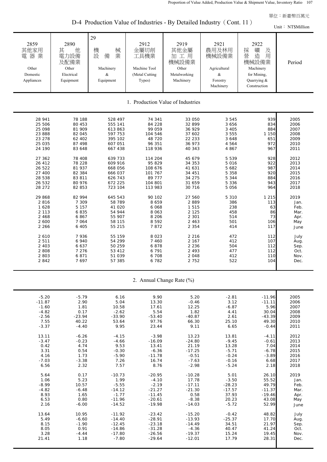D-4 Production Value of Industries - By Detailed Industry (Cont. 11)

| $D-4$ Production value of moustries - By Detailed moustry (Cont. 11)<br>Unit: NT\$Million                                                                                                                                                                                  |                                                                                                                                                                                                                                                                     |                                                                                                                                                                                                                                                                                           |                                                                                                                                                                                                                                                                                      |                                                                                                                                                                                                                                                                                     |                                                                                                                                                                                                                                                   |                                                                                                                                                                                              |                                                                                                                                                                                                                     |  |
|----------------------------------------------------------------------------------------------------------------------------------------------------------------------------------------------------------------------------------------------------------------------------|---------------------------------------------------------------------------------------------------------------------------------------------------------------------------------------------------------------------------------------------------------------------|-------------------------------------------------------------------------------------------------------------------------------------------------------------------------------------------------------------------------------------------------------------------------------------------|--------------------------------------------------------------------------------------------------------------------------------------------------------------------------------------------------------------------------------------------------------------------------------------|-------------------------------------------------------------------------------------------------------------------------------------------------------------------------------------------------------------------------------------------------------------------------------------|---------------------------------------------------------------------------------------------------------------------------------------------------------------------------------------------------------------------------------------------------|----------------------------------------------------------------------------------------------------------------------------------------------------------------------------------------------|---------------------------------------------------------------------------------------------------------------------------------------------------------------------------------------------------------------------|--|
| 2859<br>其他家用<br>電器業<br>Other<br>Domestic<br>Appliances                                                                                                                                                                                                                     | 2890<br>他<br>其<br>電力設備<br>及配備業<br>Other<br>Electrical<br>Equipment                                                                                                                                                                                                  | 29<br>械<br>機設<br>業<br>備<br>Machinery<br>$\&$<br>Equipment                                                                                                                                                                                                                                 | 2912<br>金屬切削<br>工具機業<br>Machine Tool<br>(Metal Cutting<br>Types)                                                                                                                                                                                                                     | 2919<br>其他金屬<br>加工用<br>機械設備業<br>Other<br>Metalworking<br>Machinery                                                                                                                                                                                                                  | 2921<br>農用及林用<br>機械設備業<br>Agricultural<br>&<br>Forestry<br>Machinery                                                                                                                                                                              | 2922<br>礦<br>採<br>及<br>營<br>造<br>用<br>機械設備業<br>Machinery<br>for Mining,<br>Quarrying &<br>Construction                                                                                       | Period                                                                                                                                                                                                              |  |
|                                                                                                                                                                                                                                                                            |                                                                                                                                                                                                                                                                     |                                                                                                                                                                                                                                                                                           |                                                                                                                                                                                                                                                                                      | 1. Production Value of Industries                                                                                                                                                                                                                                                   |                                                                                                                                                                                                                                                   |                                                                                                                                                                                              |                                                                                                                                                                                                                     |  |
| 28 941<br>25 506<br>25 098<br>23 888<br>23 278<br>25 035<br>24 190<br>27 362<br>26 412<br>26 522<br>27 400<br>28 538<br>26 532<br>28 27 2<br>29 868<br>2 8 1 6<br>1628<br>2 1 1 3<br>2 4 6 8<br>2 600<br>2 2 6 6<br>2 6 1 0<br>2511<br>2 4 0 3<br>2 8 0 8<br>2 803<br>2842 | 78 188<br>80 453<br>81 909<br>82 045<br>62 402<br>87 498<br>83 648<br>78 408<br>78 228<br>81 937<br>82 384<br>83 811<br>80 976<br>82 853<br>82 994<br>7 3 0 9<br>5 1 5 7<br>6835<br>6867<br>7 0 6 4<br>6 4 0 5<br>7936<br>6 940<br>6 637<br>7 2 7 6<br>6871<br>7697 | 528 497<br>555 141<br>613 863<br>597 753<br>395 102<br>607 051<br>667 438<br>639 733<br>609 916<br>668 056<br>666 037<br>626 743<br>672 225<br>723 104<br>645 543<br>58 789<br>41 020<br>54 944<br>55 907<br>58 115<br>55 215<br>55 159<br>54 299<br>50 259<br>53 412<br>51 039<br>57 385 | 74 341<br>84 228<br>99 059<br>104 546<br>48 720<br>96 351<br>118 936<br>114 204<br>95 829<br>108 676<br>101 767<br>89 777<br>104 801<br>113 983<br>90 102<br>8 6 5 9<br>6 0 68<br>8 0 6 3<br>8 2 0 6<br>8 5 9 2<br>7872<br>8 0 2 3<br>7 4 6 0<br>6878<br>6 7 9 1<br>6 708<br>6 7 8 2 | 33 050<br>32 899<br>36 929<br>37 602<br>22 233<br>36 973<br>40 343<br>45 679<br>34 353<br>41 631<br>34 451<br>34 275<br>31 659<br>30 716<br>27 560<br>2889<br>1 5 1 5<br>2 1 2 5<br>2 3 0 1<br>2 4 6 3<br>2 3 5 4<br>2 2 1 6<br>2 1 6 7<br>2 2 3 6<br>2 4 9 3<br>2 0 4 8<br>2 7 5 2 | 3 5 4 5<br>3 656<br>3 4 0 5<br>3 5 5 5<br>3 6 4 8<br>4 5 6 4<br>4 8 6 7<br>5 5 3 9<br>5 0 1 6<br>5 682<br>5 3 5 8<br>5 3 4 4<br>5 3 3 6<br>5 0 5 6<br>5 3 1 0<br>386<br>238<br>458<br>514<br>501<br>414<br>472<br>412<br>504<br>477<br>412<br>522 | 939<br>834<br>884<br>1 150<br>651<br>972<br>967<br>928<br>922<br>987<br>920<br>884<br>943<br>964<br>1 2 1 5<br>113<br>63<br>86<br>73<br>106<br>117<br>112<br>107<br>112<br>112<br>110<br>104 | 2005<br>2006<br>2007<br>2008<br>2009<br>2010<br>2011<br>2012<br>2013<br>2014<br>2015<br>2016<br>2017<br>2018<br>2019<br>Jan.<br>Feb.<br>Mar.<br>Apr.<br>May<br>June<br>July<br>Aug.<br>Sep.<br>Oct.<br>Nov.<br>Dec. |  |

|  |  | 2. Annual Change Rate (%) |  |  |  |
|--|--|---------------------------|--|--|--|
|--|--|---------------------------|--|--|--|

| $-5.20$  | $-5.79$  | 6.16     | 9.90     | 5.20     | $-2.81$  | $-11.96$ | 2005 |
|----------|----------|----------|----------|----------|----------|----------|------|
| $-11.87$ | 2.90     | 5.04     | 13.30    | $-0.46$  | 3.12     | $-11.11$ | 2006 |
| $-1.60$  | 1.81     | 10.58    | 17.61    | 12.25    | $-6.87$  | 5.96     | 2007 |
| $-4.82$  | 0.17     | $-2.62$  | 5.54     | 1.82     | 4.41     | 30.04    | 2008 |
| $-2.56$  | $-23.94$ | $-33.90$ | $-53.40$ | $-40.87$ | 2.61     | $-43.39$ | 2009 |
| 7.55     | 40.22    | 53.64    | 97.76    | 66.30    | 25.10    | 49.30    | 2010 |
| $-3.37$  | $-4.40$  | 9.95     | 23.44    | 9.11     | 6.65     | $-0.44$  | 2011 |
|          |          |          |          |          |          |          |      |
| 13.11    | $-6.26$  | $-4.15$  | $-3.98$  | 13.23    | 13.81    | $-4.11$  | 2012 |
| $-3.47$  | $-0.23$  | $-4.66$  | $-16.09$ | $-24.80$ | $-9.45$  | $-0.61$  | 2013 |
| 0.42     | 4.74     | 9.53     | 13.41    | 21.19    | 13.28    | 7.04     | 2014 |
| 3.31     | 0.54     | $-0.30$  | $-6.36$  | $-17.25$ | $-5.71$  | $-6.78$  | 2015 |
| 4.16     | 1.73     | $-5.90$  | $-11.78$ | $-0.51$  | $-0.24$  | $-3.89$  | 2016 |
| $-7.03$  | $-3.38$  | 7.26     | 16.74    | $-7.63$  | $-0.16$  | 6.68     | 2017 |
| 6.56     | 2.32     | 7.57     | 8.76     | $-2.98$  | $-5.24$  | 2.18     | 2018 |
|          |          |          |          |          |          |          |      |
| 5.64     | 0.17     | $-10.73$ | $-20.95$ | $-10.28$ | 5.01     | 26.10    | 2019 |
| 1.06     | 5.23     | 1.99     | $-4.10$  | 17.78    | $-3.50$  | 55.52    | Jan. |
| $-8.99$  | 10.57    | $-5.55$  | $-2.19$  | $-17.11$ | $-28.23$ | 49.79    | Feb. |
| $-4.82$  | $-6.48$  | $-14.12$ | $-21.27$ | $-21.30$ | $-17.57$ | $-11.37$ | Mar. |
| 8.93     | 1.65     | $-1.77$  | $-11.45$ | 0.58     | 37.93    | $-19.46$ | Apr. |
| 6.53     | 0.80     | $-11.96$ | $-20.61$ | $-8.38$  | 20.23    | 43.08    | May  |
| 2.16     | $-6.00$  | $-14.52$ | $-19.98$ | $-14.03$ | $-5.72$  | 52.99    | June |
|          |          |          |          |          |          |          |      |
| 13.64    | 10.95    | $-11.92$ | $-23.42$ | $-15.20$ | $-0.42$  | 48.82    | July |
| 5.49     | $-6.60$  | $-14.40$ | $-28.91$ | $-13.93$ | $-25.37$ | 17.70    | Aug. |
| 8.15     | $-1.90$  | $-12.45$ | $-23.18$ | $-14.49$ | 34.51    | 21.97    | Sep. |
| 8.05     | 0.91     | $-14.86$ | $-31.28$ | $-4.36$  | 40.47    | 41.24    | Oct. |
| 3.28     | $-4.44$  | $-17.80$ | $-26.56$ | $-19.37$ | 15.24    | 19.45    | Nov. |
| 21.41    | 1.18     | $-7.80$  | $-29.64$ | $-12.01$ | 17.79    | 28.31    | Dec. |
|          |          |          |          |          |          |          |      |
|          |          |          |          |          |          |          |      |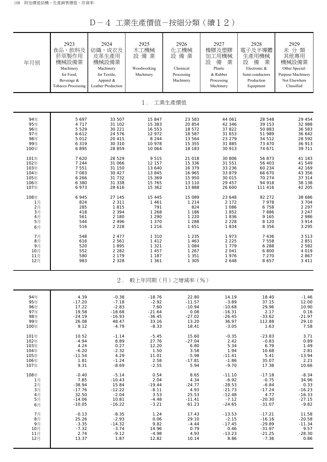D-4 工業生產價值-按細分類(續12)

| 年月別  | 2923<br>食品、飲料及<br>菸草製作用<br>機械設備業<br>Machinery<br>for Food,<br>Beverage &<br><b>Tobacco Processing</b> | 2924<br>紡織、成衣及<br>皮革生產用<br>機械設備業<br>Machinery<br>for Textile,<br>Apparel &<br>Leather Production | 2925<br>木工機械<br>設備業<br>Woodworking<br>Machinery | 2926<br>化工機械<br>設備業<br>Chemical<br>Processing<br>Machinery | 2927<br>橡膠及塑膠<br>加工用機械<br>設<br>業<br>備<br>Plastic<br>& Rubber<br>Processing<br>Machinery | 2928<br>電子及半導體<br>生產用機械<br>設<br>備<br>業<br>Electronic &<br>Semi-conductors<br>Production<br>Equipment | 2929<br>未分類<br>其他專用<br>機械設備業<br>Other Special-<br>Purpose Machinery<br>Not Elsewhere<br>Classified |
|------|-------------------------------------------------------------------------------------------------------|--------------------------------------------------------------------------------------------------|-------------------------------------------------|------------------------------------------------------------|-----------------------------------------------------------------------------------------|------------------------------------------------------------------------------------------------------|----------------------------------------------------------------------------------------------------|
|      |                                                                                                       |                                                                                                  | 1.                                              | 工業生產價值                                                     |                                                                                         |                                                                                                      |                                                                                                    |
| 94年  | 5 6 9 7                                                                                               | 33 507                                                                                           | 15 847                                          | 23 583                                                     | 44 061                                                                                  | 28 548                                                                                               | 29 454                                                                                             |
| 95年  | 4 7 1 7                                                                                               | 31 102                                                                                           | 15 383                                          | 20 854                                                     | 42 346                                                                                  | 39 153                                                                                               | 32 988                                                                                             |
| 96年  | 5 5 2 9                                                                                               | 30 221                                                                                           | 16 553                                          | 18 572                                                     | 37 822                                                                                  | 50 883                                                                                               | 36 583                                                                                             |
| 97年  | 6 6 1 2                                                                                               | 24 576                                                                                           | 12 972                                          | 18 587                                                     | 31 653                                                                                  | 51 989                                                                                               | 36 642                                                                                             |
| 98年  | 5 0 1 2                                                                                               | 20 415                                                                                           | 8 2 4 4                                         | 13 564                                                     | 23 279                                                                                  | 34 512                                                                                               | 28 592                                                                                             |
| 99年  | 6 3 1 9                                                                                               | 30 310                                                                                           | 10 978                                          | 15 355                                                     | 31 885                                                                                  | 73 470                                                                                               | 36 913                                                                                             |
| 100年 | 6895                                                                                                  | 28 859                                                                                           | 10 064                                          | 18 183                                                     | 30 913                                                                                  | 74 671                                                                                               | 39 711                                                                                             |
| 101年 | 7 6 2 0                                                                                               | 28 529                                                                                           | 9 5 1 5                                         | 21 018                                                     | 30 806                                                                                  | 56 873                                                                                               | 41 183                                                                                             |
| 102年 | 7 244                                                                                                 | 31 066                                                                                           | 12 157                                          | 15 336                                                     | 31 551                                                                                  | 56 403                                                                                               | 41 549                                                                                             |
| 103年 | 7 5 5 1                                                                                               | 31 150                                                                                           | 13 640                                          | 16 379                                                     | 33 236                                                                                  | 60 234                                                                                               | 42 169                                                                                             |
| 104年 | 7 083                                                                                                 | 30 427                                                                                           | 13 845                                          | 16 965                                                     | 33 879                                                                                  | 66 670                                                                                               | 43 356                                                                                             |
| 105年 | 6 2 6 6                                                                                               | 31 732                                                                                           | 15 369                                          | 15 950                                                     | 30 015                                                                                  | 70 274                                                                                               | 37 314                                                                                             |
| 106年 | 6 3 8 0                                                                                               | 31 338                                                                                           | 15 765                                          | 13 110                                                     | 29 457                                                                                  | 94 918                                                                                               | 38 138                                                                                             |
| 107年 | 6 973                                                                                                 | 28 616                                                                                           | 15 362                                          | 13 888                                                     | 26 600                                                                                  | 111 416                                                                                              | 42 205                                                                                             |
| 108年 | 6 9 4 5                                                                                               | 27 145                                                                                           | 15 4 4 5                                        | 15 089                                                     | 23 648                                                                                  | 92 272                                                                                               | 38 686                                                                                             |
| 1月   | 824                                                                                                   | 2 3 1 1                                                                                          | 1 4 6 1                                         | 1 2 1 4                                                    | 2 1 7 2                                                                                 | 7978                                                                                                 | 3 704                                                                                              |
| 2月   | 285                                                                                                   | 1815                                                                                             | 791                                             | 824                                                        | 1 0 8 6                                                                                 | 6 7 5 8                                                                                              | 2 2 9 7                                                                                            |
| 3月   | 418                                                                                                   | 2 3 9 4                                                                                          | 1 2 6 8                                         | 1 1 8 6                                                    | 1852                                                                                    | 7886                                                                                                 | 3 2 4 7                                                                                            |
| 4月   | 561                                                                                                   | 2 180                                                                                            | 1 2 9 0                                         | 1 2 2 0                                                    | 1836                                                                                    | 9 1 6 5                                                                                              | 2 9 8 6                                                                                            |
| 5月   | 544                                                                                                   | 2 4 9 6                                                                                          | 1 3 7 0                                         | 1 2 8 8                                                    | 2 2 2 8                                                                                 | 8 1 2 0                                                                                              | 3 914                                                                                              |
| 6月   | 516                                                                                                   | 2 2 2 8                                                                                          | 1 2 1 6                                         | 1651                                                       | 1834                                                                                    | 8 3 5 6                                                                                              | 3 2 9 5                                                                                            |
| 7月   | 548                                                                                                   | 2 4 7 7                                                                                          | 1 3 1 0                                         | 1 2 3 5                                                    | 1973                                                                                    | 7 4 3 6                                                                                              | 3513                                                                                               |
| 8月   | 616                                                                                                   | 2 5 6 1                                                                                          | 1412                                            | 1 4 6 3                                                    | 2 2 2 5                                                                                 | 7 5 5 8                                                                                              | 2 8 5 1                                                                                            |
| 9月   | 520                                                                                                   | 1895                                                                                             | 1 3 2 1                                         | 1 0 8 4                                                    | 1 7 7 9                                                                                 | 6 2 8 8                                                                                              | 2 5 8 2                                                                                            |
| 10月  | 552                                                                                                   | 2 2 8 2                                                                                          | 1 4 5 7                                         | 1 2 6 7                                                    | 2 0 4 1                                                                                 | 6 800                                                                                                | 4 0 1 9                                                                                            |
| 11月  | 580                                                                                                   | 2 1 7 9                                                                                          | 1 1 8 7                                         | 1 3 5 1                                                    | 1976                                                                                    | 7 2 7 0                                                                                              | 2867                                                                                               |
| 12月  | 983                                                                                                   | 2 3 2 8                                                                                          | 1 3 6 1                                         | 1 3 0 5                                                    | 2 6 4 8                                                                                 | 8 6 5 7                                                                                              | 3411                                                                                               |
|      |                                                                                                       | $2$ .                                                                                            |                                                 | 較上年同期(月)之增減率(%)                                            |                                                                                         |                                                                                                      |                                                                                                    |
| 94年  | 4.39                                                                                                  | $-0.38$                                                                                          | $-18.76$                                        | 22.80                                                      | 14.19                                                                                   | 18.40                                                                                                | $-1.46$                                                                                            |
| 95年  | $-17.20$                                                                                              | $-7.18$                                                                                          | $-2.92$                                         | $-11.57$                                                   | $-3.89$                                                                                 | 37.15                                                                                                | 12.00                                                                                              |
| 96年  | 17.22                                                                                                 | $-2.83$                                                                                          | 7.60                                            | $-10.94$                                                   | $-10.68$                                                                                | 29.96                                                                                                | 10.90                                                                                              |
| 97年  | 19.58                                                                                                 | $-18.68$                                                                                         | $-21.64$                                        | 0.08                                                       | $-16.31$                                                                                | 2.17                                                                                                 | 0.16                                                                                               |
| 98年  | $-24.19$                                                                                              | $-16.93$                                                                                         | $-36.45$                                        | $-27.02$                                                   | $-26.45$                                                                                | $-33.62$                                                                                             | $-21.97$                                                                                           |
| 99年  | 26.08                                                                                                 | 48.47                                                                                            | 33.16                                           | 13.20                                                      | 36.97                                                                                   | 112.88                                                                                               | 29.10                                                                                              |
| 100年 | 9.12                                                                                                  | $-4.79$                                                                                          | $-8.33$                                         | 18.41                                                      | $-3.05$                                                                                 | 1.63                                                                                                 | 7.58                                                                                               |
| 101年 | 10.52                                                                                                 | $-1.14$                                                                                          | $-5.45$                                         | 15.60                                                      | $-0.35$                                                                                 | $-23.83$                                                                                             | 3.71                                                                                               |
| 102年 | $-4.94$                                                                                               | 8.89                                                                                             | 27.76                                           | $-27.04$                                                   | 2.42                                                                                    | $-0.83$                                                                                              | 0.89                                                                                               |
| 103年 | 4.24                                                                                                  | 0.27                                                                                             | 12.20                                           | 6.80                                                       | 5.34                                                                                    | 6.79                                                                                                 | 1.49                                                                                               |
| 104年 | $-6.20$                                                                                               | $-2.32$                                                                                          | 1.50                                            | 3.58                                                       | 1.94                                                                                    | 10.68                                                                                                | 2.81                                                                                               |
| 105年 | $-11.54$                                                                                              | 4.29                                                                                             | 11.01                                           | $-5.98$                                                    | $-11.41$                                                                                | 5.41                                                                                                 | $-13.94$                                                                                           |
| 106年 | 1.81                                                                                                  | $-1.24$                                                                                          | 2.58                                            | $-17.81$                                                   | $-1.86$                                                                                 | 35.07                                                                                                | 2.21                                                                                               |
| 107年 | 9.31                                                                                                  | $-8.69$                                                                                          | $-2.55$                                         | 5.94                                                       | $-9.70$                                                                                 | 17.38                                                                                                | 10.66                                                                                              |
| 108年 | $-0.40$                                                                                               | $-5.14$                                                                                          | 0.54                                            | 8.65                                                       | $-11.10$                                                                                | $-17.18$                                                                                             | $-8.34$                                                                                            |
| 1月   | 7.85                                                                                                  | $-10.43$                                                                                         | 2.04                                            | 4.34                                                       | $-6.92$                                                                                 | $-0.75$                                                                                              | 34.96                                                                                              |
| 2月   | $-38.94$                                                                                              | 15.84                                                                                            | $-19.44$                                        | $-24.77$                                                   | $-28.53$                                                                                | $-6.84$                                                                                              | 0.33                                                                                               |
| 3月   | $-17.76$                                                                                              | $-12.22$                                                                                         | $-8.11$                                         | 4.93                                                       | $-21.73$                                                                                | $-17.24$                                                                                             | $-16.23$                                                                                           |
| 4月   | 32.50                                                                                                 | $-2.04$                                                                                          | 3.53                                            | 25.53                                                      | $-12.48$                                                                                | 4.77                                                                                                 | $-16.33$                                                                                           |
| 5月   | $-14.06$                                                                                              | 10.81                                                                                            | $-4.48$                                         | $-11.41$                                                   | $-7.12$                                                                                 | $-20.30$                                                                                             | $-27.15$                                                                                           |
| 6月   | $-10.05$                                                                                              | $-16.22$                                                                                         | $-3.21$                                         | 61.23                                                      | $-24.65$                                                                                | $-31.07$                                                                                             | $-9.82$                                                                                            |
| 7月   | $-0.13$                                                                                               | $-8.35$                                                                                          | 1.24                                            | 17.43                                                      | $-13.53$                                                                                | $-17.21$                                                                                             | 11.58                                                                                              |
| 8月   | 25.26                                                                                                 | $-2.93$                                                                                          | 0.06                                            | 29.10                                                      | $-2.15$                                                                                 | $-16.16$                                                                                             | $-20.58$                                                                                           |
| 9月   | $-3.35$                                                                                               | $-14.32$                                                                                         | 9.82                                            | $-4.44$                                                    | $-17.45$                                                                                | $-29.89$                                                                                             | $-11.34$                                                                                           |
| 10月  | $-7.32$                                                                                               | $-3.74$                                                                                          | 14.96                                           | 0.79                                                       | 0.46                                                                                    | $-31.97$                                                                                             | 9.57                                                                                               |
| 11月  | 2.74                                                                                                  | $-9.12$                                                                                          | $-4.98$                                         | 4.93                                                       | $-13.23$                                                                                | $-21.25$                                                                                             | $-28.30$                                                                                           |
| 12月  | 13.37                                                                                                 | 1.87                                                                                             | 12.82                                           | 10.14                                                      | 8.86                                                                                    | $-7.36$                                                                                              | 0.86                                                                                               |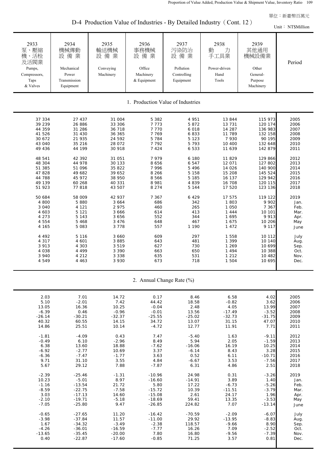D-4 Production Value of Industries - By Detailed Industry (Cont. 12)

| $\tau$ Troughtform value of mudistries - By Detailed mudistry<br>Unit: NT\$Million                                                                         |                                                                                                                                                              |                                                                                                                                                               |                                                                                                                                                                 |                                                                                                                                                      |                                                                                                                                                               |                                                                                                                                                                             |                                                                                                                              |  |  |
|------------------------------------------------------------------------------------------------------------------------------------------------------------|--------------------------------------------------------------------------------------------------------------------------------------------------------------|---------------------------------------------------------------------------------------------------------------------------------------------------------------|-----------------------------------------------------------------------------------------------------------------------------------------------------------------|------------------------------------------------------------------------------------------------------------------------------------------------------|---------------------------------------------------------------------------------------------------------------------------------------------------------------|-----------------------------------------------------------------------------------------------------------------------------------------------------------------------------|------------------------------------------------------------------------------------------------------------------------------|--|--|
| 2933<br>泵、壓縮<br>機、活栓<br>及活閥業<br>Pumps,<br>Compressors,<br>Taps<br>& Valves                                                                                 | 2934<br>機械傳動<br>設備業<br>Mechanical<br>Power<br>Transmission<br>Equipment                                                                                      | 2935<br>輸送機械<br>設備業<br>Conveying<br>Machinery                                                                                                                 | 2936<br>事務機械<br>設備業<br>Office<br>Machinery<br>& Equipment                                                                                                       | 2937<br>污染防治<br>設備業<br>Pollution<br>Controlling<br>Equipment                                                                                         | 2938<br>動<br>力<br>手工具業<br>Power-driven<br>Hand<br>Tools                                                                                                       | 2939<br>其他通用<br>機械設備業<br>Other<br>General-<br>Purpose<br>Machinery                                                                                                          | Period                                                                                                                       |  |  |
|                                                                                                                                                            |                                                                                                                                                              |                                                                                                                                                               |                                                                                                                                                                 | 1. Production Value of Industries                                                                                                                    |                                                                                                                                                               |                                                                                                                                                                             |                                                                                                                              |  |  |
| 37 334<br>39 239<br>44 359<br>41 526<br>30 672<br>43 040<br>49 436<br>48 541<br>48 304<br>51 385<br>47828<br>44 788<br>49 139<br>51 923<br>50 684<br>4 800 | 27 437<br>26 886<br>31 286<br>31 430<br>21 935<br>35 216<br>44 199<br>42 392<br>44 978<br>51 096<br>49 682<br>45 972<br>60 268<br>77818<br>58 009<br>5 8 8 0 | 31 004<br>33 306<br>36 718<br>36 365<br>24 592<br>28 072<br>30 918<br>31 051<br>30 133<br>35 822<br>39 652<br>38 950<br>40 331<br>43 507<br>42 937<br>3 6 6 4 | 5 3 8 2<br>7773<br>7 7 7 0<br>7 7 6 9<br>5 7 8 4<br>7 7 9 2<br>7 4 2 4<br>7979<br>8 6 5 6<br>7996<br>8 2 6 6<br>8 5 6 6<br>8 9 8 1<br>8 2 7 4<br>7 3 6 7<br>686 | 4 951<br>5872<br>6 0 18<br>6833<br>5 1 2 3<br>5793<br>6 5 3 3<br>6 180<br>6547<br>5 4 9 6<br>5 1 5 8<br>5 1 8 5<br>4839<br>5 1 4 4<br>6 4 2 9<br>342 | 13 844<br>13 731<br>14 287<br>11 789<br>7 9 3 0<br>10 400<br>11 639<br>11 829<br>12 071<br>14 0 26<br>15 208<br>16 137<br>16 708<br>17 520<br>17 575<br>1 803 | 115 973<br>120 174<br>136 983<br>132 158<br>90 195<br>132 648<br>142 879<br>129 866<br>127 802<br>140 900<br>145 524<br>129 942<br>120 115<br>123 136<br>119 122<br>9 9 0 2 | 2005<br>2006<br>2007<br>2008<br>2009<br>2010<br>2011<br>2012<br>2013<br>2014<br>2015<br>2016<br>2017<br>2018<br>2019<br>Jan. |  |  |
| 3 0 4 0<br>4 603<br>4 2 7 3<br>4 5 5 4<br>4 165<br>4 4 9 2<br>4 3 1 7<br>3 9 1 3<br>4 0 3 8<br>3 940<br>4549                                               | 4 1 2 1<br>5 1 2 1<br>5 1 4 3<br>5 4 6 8<br>5 0 8 3<br>5 1 1 6<br>4 601<br>4 3 0 3<br>4 4 9 9<br>4 2 1 2<br>4 4 6 3                                          | 2 9 7 5<br>3 6 6 6<br>3 6 5 6<br>3 4 7 6<br>3 7 7 8<br>3 6 6 0<br>3 8 8 5<br>3519<br>3 3 9 0<br>3 3 3 8<br>3 9 3 0                                            | 460<br>614<br>552<br>648<br>557<br>609<br>643<br>627<br>663<br>635<br>673                                                                                       | 265<br>413<br>344<br>467<br>1 1 9 0<br>297<br>481<br>730<br>650<br>531<br>718                                                                        | 1 0 5 0<br>1 4 4 4<br>1 6 9 5<br>1675<br>1 4 7 2<br>1 5 5 8<br>1 3 9 9<br>1 2 6 9<br>1 4 9 4<br>1 2 1 2<br>1 504                                              | 7 3 6 7<br>10 101<br>9913<br>10 20 6<br>9 1 1 7<br>10 112<br>10 140<br>10 699<br>10 388<br>10 482<br>10 695                                                                 | Feb.<br>Mar.<br>Apr.<br>May<br>June<br>July<br>Aug.<br>Sep.<br>Oct.<br>Nov.<br>Dec.                                          |  |  |

2. Annual Change Rate (%)

| 2.03     | 7.01     |               | 0.17     | 8.46     |          | 4.02     | 2005 |
|----------|----------|---------------|----------|----------|----------|----------|------|
|          |          | 14.72         |          |          | 6.58     |          |      |
| 5.10     | $-2.01$  | 7.42<br>10.25 | 44.42    | 18.58    | $-0.82$  | 3.62     | 2006 |
| 13.05    | 16.36    |               | $-0.04$  | 2.48     | 4.05     | 13.99    | 2007 |
| $-6.39$  | 0.46     | $-0.96$       | $-0.01$  | 13.56    | $-17.49$ | $-3.52$  | 2008 |
| $-26.14$ | $-30.21$ | $-32.37$      | $-25.55$ | $-25.02$ | $-32.73$ | $-31.75$ | 2009 |
| 40.32    | 60.55    | 14.15         | 34.72    | 13.07    | 31.15    | 47.07    | 2010 |
| 14.86    | 25.51    | 10.14         | $-4.72$  | 12.77    | 11.91    | 7.71     | 2011 |
| $-1.81$  | $-4.09$  | 0.43          | 7.47     | $-5.40$  | 1.63     | $-9.11$  | 2012 |
| $-0.49$  | 6.10     | $-2.96$       | 8.49     | 5.94     | 2.05     | $-1.59$  | 2013 |
|          |          |               |          |          |          |          |      |
| 6.38     | 13.60    | 18.88         | $-7.62$  | $-16.06$ | 16.19    | 10.25    | 2014 |
| $-6.92$  | $-2.77$  | 10.69         | 3.37     | $-6.14$  | 8.43     | 3.28     | 2015 |
| $-6.36$  | $-7.47$  | $-1.77$       | 3.63     | 0.52     | 6.11     | $-10.71$ | 2016 |
| 9.71     | 31.10    | 3.55          | 4.84     | $-6.67$  | 3.53     | $-7.56$  | 2017 |
| 5.67     | 29.12    | 7.88          | $-7.87$  | 6.31     | 4.86     | 2.51     | 2018 |
|          |          |               |          |          |          |          |      |
| $-2.39$  | $-25.46$ | $-1.31$       | $-10.96$ | 24.98    | 0.31     | $-3.26$  | 2019 |
| 10.23    | $-5.01$  | 8.97          | $-16.60$ | $-14.91$ | 3.89     | 1.40     | Jan. |
| $-1.16$  | $-13.54$ | 21.72         | 5.80     | 17.22    | $-6.73$  | $-5.26$  | Feb. |
| $-8.59$  | $-22.75$ | $-7.58$       | $-15.72$ | 10.39    | $-11.51$ | $-3.79$  | Mar. |
| 3.03     | $-17.13$ | 14.60         | $-15.08$ | 2.61     | 24.17    | 1.96     | Apr. |
| $-2.10$  | $-19.71$ | $-5.18$       | $-18.69$ | 59.41    | 13.35    | $-3.53$  | May  |
| $-7.05$  | $-25.80$ | 9.47          | $-26.85$ | 224.82   | 7.07     | $-13.14$ | June |
|          |          |               |          |          |          |          |      |
| $-0.65$  | $-27.65$ | 11.20         | $-16.42$ | $-70.59$ | $-2.09$  | $-6.07$  | July |
| $-3.98$  | $-37.84$ | 11.57         | $-11.00$ | 29.92    | $-13.95$ | $-8.83$  | Aug. |
| 1.67     | $-34.32$ | $-3.49$       | $-2.38$  | 118.57   | $-9.66$  | 8.90     | Sep. |
| $-4.26$  | $-36.01$ | $-16.59$      | $-7.77$  | 16.26    | 7.09     | $-2.52$  | Oct. |
| $-13.65$ | $-35.45$ | $-20.00$      | 7.80     | 16.80    | $-9.56$  | $-7.39$  | Nov. |
| 0.40     | $-22.87$ | $-17.60$      | $-0.85$  | 71.25    | 3.57     | 0.81     | Dec. |
|          |          |               |          |          |          |          |      |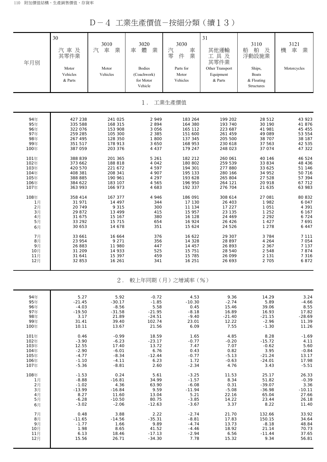D-4 工業生產價值-按細分類(續13)

| 年月別                      | 30<br>汽車及<br>其零件業<br>Motor<br>Vehicles<br>& Parts | 3010<br>汽<br>車<br>業<br>Motor<br>Vehicles | 3020<br>體<br>業<br>車<br><b>Bodies</b><br>(Coachwork)<br>for Motor<br>Vehicle | 3030<br>汽<br>車<br>業<br>零<br>件<br>Parts for<br>Motor<br>Vehicles | 31<br>其他運輸<br>工具及<br>其零件業<br>Other Transport<br>Equipment<br>& Parts | 3110<br>船<br>舶<br>及<br>浮動設施業<br>Ships,<br><b>Boats</b><br>& Floating<br>Structures | 3121<br>機<br>車<br>業<br>Motorcycles |  |  |  |
|--------------------------|---------------------------------------------------|------------------------------------------|-----------------------------------------------------------------------------|-----------------------------------------------------------------|----------------------------------------------------------------------|------------------------------------------------------------------------------------|------------------------------------|--|--|--|
|                          |                                                   |                                          | $1$ .                                                                       | 工業生產價值                                                          |                                                                      |                                                                                    |                                    |  |  |  |
| 94年                      | 427 238                                           | 241 025                                  | 2949                                                                        | 183 264                                                         | 199 202                                                              | 28 512                                                                             | 43 923                             |  |  |  |
| 95年                      | 335 588                                           | 168 315                                  | 2894                                                                        | 164 380                                                         | 193 740                                                              | 30 190                                                                             | 41 876                             |  |  |  |
| 96年                      | 322 076                                           | 153 908                                  | 3 0 5 6                                                                     | 165 112                                                         | 223 687                                                              | 41 981                                                                             | 45 455                             |  |  |  |
| 97年                      | 259 285                                           | 105 300                                  | 2 3 8 5                                                                     | 151 600                                                         | 261 459                                                              | 49 089                                                                             | 53 554                             |  |  |  |
| 98年                      | 267 495                                           | 128 350                                  | 1 800                                                                       | 137 345                                                         | 205 500                                                              | 38 707                                                                             | 38 187                             |  |  |  |
| 99年                      | 351 517                                           | 178 913                                  | 3 6 5 0                                                                     | 168 953                                                         | 230 618                                                              | 37 563                                                                             | 42 535                             |  |  |  |
| 100年                     | 387 059                                           | 203 376                                  | 4 4 3 7                                                                     | 179 247                                                         | 248 023                                                              | 37 074                                                                             | 47 322                             |  |  |  |
| 101年                     | 388 839                                           | 201 365                                  | 5 2 6 1                                                                     | 182 212                                                         | 260 061                                                              | 40 146                                                                             | 46 524                             |  |  |  |
| 102年                     | 373 662                                           | 188 818                                  | 4 0 4 2                                                                     | 180 802                                                         | 259 539                                                              | 33 834                                                                             | 48 436                             |  |  |  |
| 103年                     | 420 570                                           | 221 672                                  | 4 5 9 7                                                                     | 194 301                                                         | 277 880                                                              | 33 6 25                                                                            | 51 146                             |  |  |  |
| 104年                     | 408 381                                           | 208 341                                  | 4 907                                                                       | 195 133                                                         | 280 166                                                              | 34 952                                                                             | 50 716                             |  |  |  |
| 105年                     | 388 885                                           | 190 961                                  | 4 2 9 7                                                                     | 193 628                                                         | 265 804                                                              | 27 528                                                                             | 57 394                             |  |  |  |
| 106年                     | 384 622                                           | 183 107                                  | 4 5 6 5                                                                     | 196 950                                                         | 264 121                                                              | 20 918                                                                             | 67 712                             |  |  |  |
| 107年                     | 363 993                                           | 166 973                                  | 4 683                                                                       | 192 337                                                         | 276 704                                                              | 21 635                                                                             | 63 983                             |  |  |  |
| 108年                     | 358 414                                           | 167 377                                  | 4 9 4 6                                                                     | 186 091                                                         | 308 614                                                              | 27 081                                                                             | 80 832                             |  |  |  |
| 1月                       | 31 971                                            | 14 497                                   | 344                                                                         | 17 130                                                          | 26 403                                                               | 1982                                                                               | 6 0 4 7                            |  |  |  |
| 2月                       | 20 749                                            | 9 3 1 5                                  | 300                                                                         | 11 134                                                          | 17 227                                                               | 1 0 5 1                                                                            | 4 3 9 1                            |  |  |  |
| 3月                       | 29 872                                            | 13 499                                   | 415                                                                         | 15 957                                                          | 23 135                                                               | 1 2 5 2                                                                            | 6 1 6 7                            |  |  |  |
| 4月                       | 31 675                                            | 15 167                                   | 380                                                                         | 16 128                                                          | 24 469                                                               | 2 2 9 2                                                                            | 6 7 2 4                            |  |  |  |
| 5月                       | 33 29 2                                           | 15 715                                   | 654                                                                         | 16 924                                                          | 26 4 26                                                              | 1 4 2 7                                                                            | 7 691                              |  |  |  |
| 6月                       | 30 653                                            | 14 678                                   | 351                                                                         | 15 624                                                          | 24 5 26                                                              | 1 2 7 8                                                                            | 6 4 4 7                            |  |  |  |
| 7月                       | 33 661                                            | 16 664                                   | 376                                                                         | 16 622                                                          | 29 307                                                               | 3 7 8 4                                                                            | 7 1 1 1                            |  |  |  |
| 8月                       | 23 954                                            | 9 2 7 1                                  | 356                                                                         | 14 328                                                          | 28 897                                                               | 4 2 6 4                                                                            | 7 0 5 4                            |  |  |  |
| 9月                       | 26 883                                            | 11 980                                   | 447                                                                         | 14 457                                                          | 26 893                                                               | 2 3 6 7                                                                            | 7 137                              |  |  |  |
| 10月                      | 31 209                                            | 14 933                                   | 525                                                                         | 15 751                                                          | 28 540                                                               | 2 5 4 8                                                                            | 7874                               |  |  |  |
| 11月                      | 31 641                                            | 15 397                                   | 459                                                                         | 15 785                                                          | 26 099                                                               | 2 1 3 1                                                                            | 7 3 1 6                            |  |  |  |
| 12月                      | 32 853                                            | 16 261                                   | 341                                                                         | 16 251                                                          | 26 693                                                               | 2 7 0 5                                                                            | 6872                               |  |  |  |
| $2$ .<br>較上年同期(月)之增減率(%) |                                                   |                                          |                                                                             |                                                                 |                                                                      |                                                                                    |                                    |  |  |  |
| 94年                      | 5.27                                              | 5.92                                     | $-0.72$                                                                     | 4.53                                                            | 9.36                                                                 | 14.29                                                                              | 3.24                               |  |  |  |
| 95年                      | $-21.45$                                          | $-30.17$                                 | $-1.85$                                                                     | $-10.30$                                                        | $-2.74$                                                              | 5.89                                                                               | $-4.66$                            |  |  |  |
| 96年                      | $-4.03$                                           | $-8.56$                                  | 5.58                                                                        | 0.45                                                            | 15.46                                                                | 39.06                                                                              | 8.55                               |  |  |  |
| 97年                      | $-19.50$                                          | $-31.58$                                 | $-21.95$                                                                    | $-8.18$                                                         | 16.89                                                                | 16.93                                                                              | 17.82                              |  |  |  |
| 98年                      | 3.17                                              | 21.89                                    | $-24.51$                                                                    | $-9.40$                                                         | $-21.40$                                                             | $-21.15$                                                                           | $-28.69$                           |  |  |  |
| 99年                      | 31.41                                             | 39.40                                    | 102.74                                                                      | 23.01                                                           | 12.22                                                                | $-2.96$                                                                            | 11.39                              |  |  |  |
| 100年                     | 10.11                                             | 13.67                                    | 21.56                                                                       | 6.09                                                            | 7.55                                                                 | $-1.30$                                                                            | 11.26                              |  |  |  |
| 101年                     | 0.46                                              | $-0.99$                                  | 18.59                                                                       | 1.65                                                            | 4.85                                                                 | 8.28                                                                               | $-1.69$                            |  |  |  |
| 102年                     | $-3.90$                                           | $-6.23$                                  | $-23.17$                                                                    | $-0.77$                                                         | $-0.20$                                                              | $-15.72$                                                                           | 4.11                               |  |  |  |
| 103年                     | 12.55                                             | 17.40                                    | 13.72                                                                       | 7.47                                                            | 7.07                                                                 | $-0.62$                                                                            | 5.60                               |  |  |  |
| 104年                     | $-2.90$                                           | $-6.01$                                  | 6.76                                                                        | 0.43                                                            | 0.82                                                                 | 3.95                                                                               | $-0.84$                            |  |  |  |
| 105年                     | $-4.77$                                           | $-8.34$                                  | $-12.44$                                                                    | $-0.77$                                                         | $-5.13$                                                              | $-21.24$                                                                           | 13.17                              |  |  |  |
| 106年                     | $-1.10$                                           | $-4.11$                                  | 6.23                                                                        | 1.72                                                            | $-0.63$                                                              | $-24.01$                                                                           | 17.98                              |  |  |  |
| 107年                     | $-5.36$                                           | $-8.81$                                  | 2.60                                                                        | $-2.34$                                                         | 4.76                                                                 | 3.43                                                                               | $-5.51$                            |  |  |  |
| 108年                     | $-1.53$                                           | 0.24                                     | 5.61                                                                        | $-3.25$                                                         | 11.53                                                                | 25.17                                                                              | 26.33                              |  |  |  |
| 1月                       | $-8.88$                                           | $-16.81$                                 | 34.99                                                                       | $-1.57$                                                         | 8.34                                                                 | 51.82                                                                              | $-0.39$                            |  |  |  |
| 2月                       | $-1.02$                                           | 4.36                                     | 63.90                                                                       | $-6.08$                                                         | 0.31                                                                 | $-39.07$                                                                           | 3.36                               |  |  |  |
| 3月                       | $-13.99$                                          | $-16.84$                                 | 9.59                                                                        | $-11.94$                                                        | $-5.08$                                                              | $-36.98$                                                                           | $-10.11$                           |  |  |  |
| 4月                       | 8.27                                              | 11.60                                    | 13.04                                                                       | 5.21                                                            | 22.16                                                                | 65.04                                                                              | 27.66                              |  |  |  |
| 5月                       | $-6.28$                                           | $-10.50$                                 | 80.75                                                                       | $-3.85$                                                         | 14.22                                                                | 23.44                                                                              | 26.18                              |  |  |  |
| 6月                       | $-3.02$                                           | $-2.06$                                  | $-12.63$                                                                    | $-3.67$                                                         | 3.37                                                                 | 8.22                                                                               | 11.40                              |  |  |  |
| 7月                       | 0.48                                              | 3.88                                     | 2.22                                                                        | $-2.74$                                                         | 21.70                                                                | 132.66                                                                             | 33.92                              |  |  |  |
| 8月                       | $-11.65$                                          | $-14.56$                                 | $-35.31$                                                                    | $-8.81$                                                         | 17.83                                                                | 150.15                                                                             | 34.64                              |  |  |  |
| 9月                       | $-1.77$                                           | 1.66                                     | 9.89                                                                        | $-4.74$                                                         | 13.73                                                                | $-8.18$                                                                            | 48.84                              |  |  |  |
| 10月                      | 1.98                                              | 8.65                                     | 41.52                                                                       | $-4.46$                                                         | 18.92                                                                | 21.14                                                                              | 70.73                              |  |  |  |
| 11月                      | 6.13                                              | 18.46                                    | $-17.13$                                                                    | $-2.94$                                                         | 6.56                                                                 | $-11.44$                                                                           | 37.65                              |  |  |  |
| 12月                      | 15.56                                             | 26.71                                    | $-34.30$                                                                    | 7.78                                                            | 15.32                                                                | 9.34                                                                               | 56.81                              |  |  |  |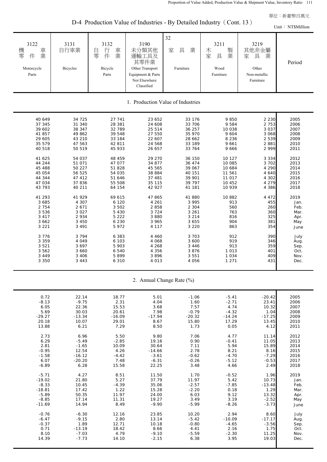D-4 Production Value of Industries - By Detailed Industry (Cont. 13)

|                                                                                                                                                                                                                                                                                        |                                                                                                                                                                                                                                                                                        |                                                                                                                                                                                                                                                                                 |                                                                                                                                                                                                                                                                                     |                                                                                                                                                                                                                                                                                   |                                                                                                                                                                                                                                                       |                                                                                                                                                                                                                                                    | Unit: NT\$Million                                                                                                                                                                                                   |  |  |  |  |  |
|----------------------------------------------------------------------------------------------------------------------------------------------------------------------------------------------------------------------------------------------------------------------------------------|----------------------------------------------------------------------------------------------------------------------------------------------------------------------------------------------------------------------------------------------------------------------------------------|---------------------------------------------------------------------------------------------------------------------------------------------------------------------------------------------------------------------------------------------------------------------------------|-------------------------------------------------------------------------------------------------------------------------------------------------------------------------------------------------------------------------------------------------------------------------------------|-----------------------------------------------------------------------------------------------------------------------------------------------------------------------------------------------------------------------------------------------------------------------------------|-------------------------------------------------------------------------------------------------------------------------------------------------------------------------------------------------------------------------------------------------------|----------------------------------------------------------------------------------------------------------------------------------------------------------------------------------------------------------------------------------------------------|---------------------------------------------------------------------------------------------------------------------------------------------------------------------------------------------------------------------|--|--|--|--|--|
| 3122<br>機<br>車業<br>零<br>件<br>Motorcycle<br>Parts                                                                                                                                                                                                                                       | 3131<br>自行車業<br><b>Bicycles</b>                                                                                                                                                                                                                                                        | 3132<br>行<br>車<br>自<br>業<br>零<br>件<br>Bicycle<br>Parts                                                                                                                                                                                                                          | 3190<br>未分類其他<br>運輸工具及<br>其零件業<br>Other Transport<br>Equipment & Parts<br>Not Elsewhere<br>Classified                                                                                                                                                                               | 32<br>具<br>業<br>家<br>Furniture                                                                                                                                                                                                                                                    | 3211<br>製業<br>木<br>家<br>具<br>Wood<br>Furniture                                                                                                                                                                                                        | 3219<br>其他非金屬<br>家<br>具<br>業<br>Other<br>Non-metallic<br>Furniture                                                                                                                                                                                 | Period                                                                                                                                                                                                              |  |  |  |  |  |
| 1. Production Value of Industries                                                                                                                                                                                                                                                      |                                                                                                                                                                                                                                                                                        |                                                                                                                                                                                                                                                                                 |                                                                                                                                                                                                                                                                                     |                                                                                                                                                                                                                                                                                   |                                                                                                                                                                                                                                                       |                                                                                                                                                                                                                                                    |                                                                                                                                                                                                                     |  |  |  |  |  |
| 40 649<br>37 345<br>39 602<br>41 857<br>29 605<br>35 579<br>40 518<br>41 625<br>44 244<br>45 488<br>45 054<br>44 344<br>47 034<br>43 793<br>41 293<br>3 6 8 5<br>2 7 5 4<br>3 5 3 6<br>3 4 1 7<br>3 6 6 2<br>3 2 2 1<br>3 7 7 6<br>3 3 5 9<br>3 5 2 1<br>3 5 6 2<br>3 4 4 9<br>3 3 5 0 | 34 725<br>31 340<br>38 347<br>49 862<br>43 210<br>47 563<br>50 519<br>54 037<br>51 071<br>50 227<br>56 525<br>47 412<br>37 836<br>40 211<br>41 929<br>4 3 0 7<br>2 6 7 1<br>3 0 2 7<br>2 9 3 4<br>3 4 5 0<br>3 4 9 1<br>3 7 9 4<br>4 0 4 9<br>3 6 9 7<br>3 6 6 0<br>3 4 0 6<br>3 4 4 3 | 27 741<br>28 381<br>32 789<br>39 548<br>33 184<br>42 811<br>45 933<br>48 459<br>47 077<br>51 828<br>54 035<br>51 646<br>55 508<br>64 154<br>69 615<br>6 1 2 0<br>3 5 0 2<br>5 4 3 0<br>5 2 2 2<br>6 2 3 0<br>5 9 7 2<br>6 3 8 3<br>6 103<br>5 903<br>6 5 4 0<br>5899<br>6 3 1 0 | 23 652<br>24 608<br>25 514<br>27 550<br>22 607<br>24 568<br>26 657<br>29 270<br>34 877<br>45 565<br>38 884<br>37 481<br>35 115<br>42 927<br>47 865<br>4 2 6 1<br>2 8 5 8<br>3 7 2 4<br>3 8 8 0<br>3 9 6 5<br>4 1 1 7<br>4 4 6 0<br>4 0 6 8<br>4 2 6 8<br>4 3 5 6<br>3896<br>4 0 1 3 | 33 176<br>33 706<br>36 257<br>35 970<br>28 662<br>33 189<br>33 764<br>36 150<br>36 474<br>39 067<br>40 151<br>39 901<br>39 797<br>41 181<br>41 880<br>3 9 9 5<br>2 3 0 4<br>3 2 6 1<br>3 2 1 4<br>3 6 5 5<br>3 2 2 0<br>3 7 0 3<br>3 600<br>3 4 4 6<br>3876<br>3 5 5 1<br>4 0 5 6 | 9850<br>9 5 8 4<br>10 038<br>9 6 0 4<br>8 2 3 6<br>9 6 6 1<br>9 6 6 6<br>10 127<br>10 085<br>10 684<br>11 561<br>11 017<br>10 452<br>10 939<br>10 882<br>913<br>560<br>763<br>816<br>904<br>863<br>912<br>919<br>913<br>1 0 1 3<br>1 0 3 4<br>1 2 7 1 | 2 2 3 0<br>2 7 5 3<br>3 0 3 7<br>3 0 6 8<br>2 5 3 9<br>2881<br>2 9 9 9<br>3 3 3 4<br>3 7 0 2<br>4 2 9 0<br>4 6 4 0<br>4 3 0 2<br>4 2 7 9<br>4 3 8 6<br>4 4 7 2<br>455<br>260<br>360<br>325<br>381<br>354<br>390<br>346<br>359<br>401<br>409<br>431 | 2005<br>2006<br>2007<br>2008<br>2009<br>2010<br>2011<br>2012<br>2013<br>2014<br>2015<br>2016<br>2017<br>2018<br>2019<br>Jan.<br>Feb.<br>Mar.<br>Apr.<br>May<br>June<br>July<br>Aug.<br>Sep.<br>Oct.<br>Nov.<br>Dec. |  |  |  |  |  |
| 2. Annual Change Rate (%)                                                                                                                                                                                                                                                              |                                                                                                                                                                                                                                                                                        |                                                                                                                                                                                                                                                                                 |                                                                                                                                                                                                                                                                                     |                                                                                                                                                                                                                                                                                   |                                                                                                                                                                                                                                                       |                                                                                                                                                                                                                                                    |                                                                                                                                                                                                                     |  |  |  |  |  |
| 0.72<br>$-8.13$<br>6.05<br>5.69<br>$-29.27$<br>20.18<br>13.88<br>2.73<br>6.29                                                                                                                                                                                                          | 22.14<br>$-9.75$<br>22.36<br>30.03<br>$-13.34$<br>10.07<br>6.21<br>6.96<br>$-5.49$                                                                                                                                                                                                     | 18.77<br>2.31<br>15.53<br>20.61<br>$-16.09$<br>29.01<br>7.29<br>5.50<br>$-2.85$                                                                                                                                                                                                 | 5.01<br>4.04<br>3.68<br>7.98<br>$-17.94$<br>8.67<br>8.50<br>9.80<br>19.16                                                                                                                                                                                                           | $-1.06$<br>1.60<br>7.57<br>$-0.79$<br>$-20.32$<br>15.80<br>1.73<br>7.06<br>0.90                                                                                                                                                                                                   | $-5.41$<br>$-2.71$<br>4.74<br>$-4.32$<br>$-14.24$<br>17.29<br>0.05<br>4.77<br>$-0.41$                                                                                                                                                                 | $-20.42$<br>23.41<br>10.32<br>1.04<br>$-17.25$<br>13.45<br>4.12<br>11.14<br>11.05                                                                                                                                                                  | 2005<br>2006<br>2007<br>2008<br>2009<br>2010<br>2011<br>2012<br>2013                                                                                                                                                |  |  |  |  |  |
| 2.81                                                                                                                                                                                                                                                                                   | $-1.65$                                                                                                                                                                                                                                                                                | 10.09                                                                                                                                                                                                                                                                           | 30.64                                                                                                                                                                                                                                                                               | 7.11                                                                                                                                                                                                                                                                              | 5.94                                                                                                                                                                                                                                                  | 15.89                                                                                                                                                                                                                                              | 2014                                                                                                                                                                                                                |  |  |  |  |  |

| 0.72     | 22.14    | 18.77    | 5.01     | -1.06    | -5.41    | -20.42   | 2005 |
|----------|----------|----------|----------|----------|----------|----------|------|
| $-8.13$  | $-9.75$  | 2.31     | 4.04     | 1.60     | $-2.71$  | 23.41    | 2006 |
| 6.05     | 22.36    | 15.53    | 3.68     | 7.57     | 4.74     | 10.32    | 2007 |
| 5.69     | 30.03    | 20.61    | 7.98     | $-0.79$  | $-4.32$  | 1.04     | 2008 |
| $-29.27$ | $-13.34$ | $-16.09$ | $-17.94$ | $-20.32$ | $-14.24$ | $-17.25$ | 2009 |
| 20.18    | 10.07    | 29.01    | 8.67     | 15.80    | 17.29    | 13.45    | 2010 |
| 13.88    | 6.21     | 7.29     | 8.50     | 1.73     | 0.05     | 4.12     | 2011 |
|          |          |          |          |          |          |          |      |
| 2.73     | 6.96     | 5.50     | 9.80     | 7.06     | 4.77     | 11.14    | 2012 |
| 6.29     | $-5.49$  | $-2.85$  | 19.16    | 0.90     | $-0.41$  | 11.05    | 2013 |
| 2.81     | $-1.65$  | 10.09    | 30.64    | 7.11     | 5.94     | 15.89    | 2014 |
| $-0.95$  | 12.54    | 4.26     | $-14.66$ | 2.78     | 8.21     | 8.16     | 2015 |
| $-1.58$  | $-16.12$ | $-4.42$  | $-3.61$  | $-0.62$  | $-4.70$  | $-7.29$  | 2016 |
| 6.07     | $-20.20$ | 7.48     | $-6.31$  | $-0.26$  | $-5.12$  | $-0.53$  | 2017 |
| $-6.89$  | 6.28     | 15.58    | 22.25    | 3.48     | 4.66     | 2.49     | 2018 |
|          |          |          |          |          |          |          |      |
| $-5.71$  | 4.27     | 8.51     | 11.50    | 1.70     | $-0.52$  | 1.96     | 2019 |
| $-19.02$ | 21.80    | 5.27     | 37.79    | 11.97    | 5.42     | 10.73    | Jan. |
| $-8.33$  | 10.45    | $-4.39$  | 35.06    | $-2.57$  | $-7.85$  | $-13.48$ | Feb. |
| $-18.81$ | 17.42    | 1.22     | 15.28    | $-2.20$  | 0.18     | 1.29     | Mar. |
| $-5.89$  | 50.35    | 11.97    | 24.00    | 6.03     | 9.12     | 13.32    | Apr. |
| $-8.85$  | 17.14    | 11.31    | 19.27    | 3.49     | 3.19     | $-2.52$  | May  |
| $-11.69$ | 14.94    | 8.49     | $-9.90$  | $-5.99$  | $-8.26$  | $-3.73$  | June |
|          |          |          |          |          |          |          |      |
| $-0.76$  | $-6.30$  | 12.16    | 23.85    | 10.20    | 2.94     | 8.60     | July |
| $-6.47$  | $-9.15$  | 2.80     | 13.14    | $-5.42$  | $-10.09$ | $-17.17$ | Aug. |
| $-0.37$  | 1.89     | 12.71    | 10.18    | $-0.80$  | $-4.65$  | $-3.56$  | Sep. |
| 0.71     | $-13.19$ | 18.42    | 8.66     | 4.41     | 2.16     | 1.75     | Oct. |
| 8.10     | $-7.03$  | 4.79     | $-9.10$  | $-5.59$  | $-2.30$  | 11.25    | Nov. |
| 14.39    | $-7.73$  | 14.10    | $-2.15$  | 6.38     | 3.95     | 19.03    | Dec. |
|          |          |          |          |          |          |          |      |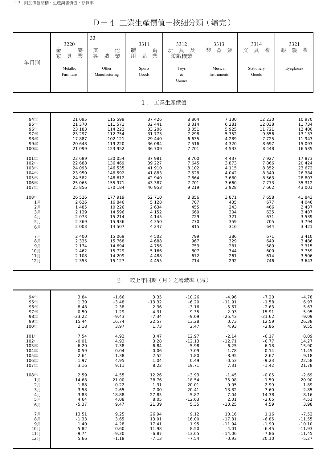|--|--|--|--|

| 年月別  | 3220<br>屬<br>金<br>家<br>業<br>具<br>Metallic<br>Furniture | 33<br>其<br>他<br>製<br>造<br>業<br>Other<br>Manufacturing | 3311<br>體<br>育<br>業<br>用<br>品<br><b>Sports</b><br>Goods | 3312<br>具<br>及<br>玩<br>遊戲機業<br>Toys<br>&<br>Games | 3313<br>器<br>樂<br>業<br>Musical<br>Instruments | 3314<br>文<br>具<br>業<br>Stationery<br>Goods | 3321<br>鏡<br>業<br>眼<br>Eyeglasses |
|------|--------------------------------------------------------|-------------------------------------------------------|---------------------------------------------------------|---------------------------------------------------|-----------------------------------------------|--------------------------------------------|-----------------------------------|
|      |                                                        |                                                       | $1$ .                                                   | 工業生產價值                                            |                                               |                                            |                                   |
| 94年  | 21 095                                                 | 115 599                                               | 37 4 26                                                 | 8 8 6 4                                           | 7 130                                         | 12 2 3 0                                   | 10 970                            |
| 95年  | 21 370                                                 | 111 571                                               | 32 441                                                  | 8 3 1 4                                           | 6 2 8 1                                       | 12 038                                     | 11 734                            |
| 96年  | 23 183                                                 | 114 222                                               | 33 206                                                  | 8 0 5 1                                           | 5 9 2 5                                       | 11 721                                     | 12 400                            |
| 97年  | 23 297                                                 | 112 754                                               | 31 773                                                  | 7 2 9 8                                           | 5 7 5 2                                       | 9856                                       | 13 137                            |
| 98年  | 17887                                                  | 102 121                                               | 29 440                                                  | 6 6 3 5                                           | 4 2 8 9                                       | 7725                                       | 11 943                            |
| 99年  | 20 648                                                 | 119 220                                               | 36 084                                                  | 7 5 1 6                                           | 4 3 2 0                                       | 8 6 9 7                                    | 15 093                            |
| 100年 | 21 099                                                 | 123 952                                               | 36 709                                                  | 7 7 0 1                                           | 4 5 3 3                                       | 8 4 4 8                                    | 16 535                            |
| 101年 | 22 689                                                 | 130 054                                               | 37 981                                                  | 8 700                                             | 4 4 3 7                                       | 7927                                       | 17873                             |
| 102年 | 22 688                                                 | 136 469                                               | 39 227                                                  | 7 6 4 5                                           | 3 8 7 3                                       | 7866                                       | 20 4 24                           |
| 103年 | 24 093                                                 | 146 535                                               | 41 910                                                  | 8 1 0 2                                           | 4 1 1 5                                       | 8 3 5 2                                    | 23 672                            |
| 104年 | 23 950                                                 | 146 592                                               | 41 883                                                  | 7 5 2 8                                           | 4 0 4 2                                       | 8 3 4 0                                    | 26 384                            |
| 105年 | 24 582                                                 | 148 612                                               | 42 940                                                  | 7 6 6 4                                           | 3 680                                         | 8 5 6 3                                    | 28 807                            |
| 106年 | 25 065                                                 | 155 971                                               | 43 387                                                  | 7 7 0 1                                           | 3 660                                         | 7773                                       | 35 312                            |
| 107年 | 25 856                                                 | 170 184                                               | 46 953                                                  | 9 2 1 9                                           | 3 9 2 8                                       | 7 6 6 2                                    | 43 001                            |
| 108年 | 26 526                                                 | 177 919                                               | 52 710                                                  | 8856                                              | 3 8 7 1                                       | 7 6 5 8                                    | 41843                             |
| 1月   | 2 6 2 6                                                | 16 846                                                | 5 1 2 8                                                 | 707                                               | 435                                           | 677                                        | 4 0 4 6                           |
| 2月   | 1 4 8 5                                                | 10 226                                                | 2 6 3 4                                                 | 455                                               | 243                                           | 466                                        | 2 4 3 7                           |
| 3月   | 2 1 3 9                                                | 14 596                                                | 4 152                                                   | 669                                               | 304                                           | 635                                        | 3 4 8 7                           |
| 4月   | 2 0 7 3                                                | 15 214                                                | 4 1 4 5                                                 | 729                                               | 321                                           | 671                                        | 3 5 3 9                           |
| 5月   | 2 3 6 9                                                | 15 936                                                | 4 3 5 0                                                 | 770                                               | 359                                           | 705                                        | 3 7 9 4                           |
| 6月   | 2 0 0 3                                                | 14 507                                                | 4 2 4 7                                                 | 815                                               | 316                                           | 644                                        | 3 4 2 1                           |
| 7月   | 2 4 0 0                                                | 15 069                                                | 4 502                                                   | 799                                               | 386                                           | 671                                        | 3 4 1 0                           |
| 8月   | 2 3 3 5                                                | 15 768                                                | 4 688                                                   | 967                                               | 329                                           | 640                                        | 3 4 8 6                           |
| 9月   | 2 1 7 4                                                | 14 694                                                | 4 7 5 6                                                 | 753                                               | 281                                           | 589                                        | 3 3 1 5                           |
| 10月  | 2 4 6 2                                                | 15 729                                                | 5 166                                                   | 807                                               | 344                                           | 600                                        | 3 7 5 9                           |
| 11月  | 2 1 0 8                                                | 14 209                                                | 4 4 8 8                                                 | 672                                               | 261                                           | 614                                        | 3 5 0 6                           |
| 12月  | 2 3 5 3                                                | 15 127                                                | 4 4 5 5                                                 | 714                                               | 292                                           | 746                                        | 3 6 4 3                           |
|      |                                                        | $2$ .                                                 |                                                         | 較上年同期 (月) 之增減率 (%)                                |                                               |                                            |                                   |
| 94年  | 3.84                                                   | $-1.66$                                               | 3.35                                                    | $-10.26$                                          | $-4.96$                                       | $-7.20$                                    | $-4.78$                           |
| 95年  | 1.30                                                   | $-3.48$                                               | $-13.32$                                                | $-6.20$                                           | $-11.91$                                      | $-1.58$                                    | 6.97                              |
| 96年  | 8.48                                                   | 2.38                                                  | 2.36                                                    | $-3.16$                                           | $-5.67$                                       | $-2.63$                                    | 5.67                              |
| 97年  | 0.50                                                   | $-1.29$                                               | $-4.31$                                                 | $-9.35$                                           | $-2.93$                                       | $-15.91$                                   | 5.95                              |
| 98年  | $-23.22$                                               | $-9.43$                                               | $-7.34$                                                 | $-9.09$                                           | $-25.43$                                      | $-21.62$                                   | $-9.09$                           |
| 99年  | 15.44                                                  | 16.74                                                 | 22.57                                                   | 13.28                                             | 0.73                                          | 12.59                                      | 26.38                             |
| 100年 | 2.18                                                   | 3.97                                                  | 1.73                                                    | 2.47                                              | 4.93                                          | $-2.86$                                    | 9.55                              |
| 101年 | 7.54                                                   | 4.92                                                  | 3.47                                                    | 12.97                                             | $-2.14$                                       | $-6.17$                                    | 8.09                              |
| 102年 | $-0.01$                                                | 4.93                                                  | 3.28                                                    | $-12.13$                                          | $-12.71$                                      | $-0.77$                                    | 14.27                             |
| 103年 | 6.20                                                   | 7.38                                                  | 6.84                                                    | 5.98                                              | 6.25                                          | 6.18                                       | 15.90                             |
| 104年 | $-0.59$                                                | 0.04                                                  | $-0.06$                                                 | $-7.09$                                           | $-1.78$                                       | $-0.14$                                    | 11.45                             |
| 105年 | 2.64                                                   | 1.38                                                  | 2.52                                                    | 1.80                                              | $-8.95$                                       | 2.67                                       | 9.18                              |
| 106年 | 1.97                                                   | 4.95                                                  | 1.04                                                    | 0.49                                              | $-0.53$                                       | $-9.23$                                    | 22.58                             |
| 107年 | 3.16                                                   | 9.11                                                  | 8.22                                                    | 19.71                                             | 7.31                                          | $-1.42$                                    | 21.78                             |
| 108年 | 2.59                                                   | 4.55                                                  | 12.26                                                   | $-3.93$                                           | $-1.45$                                       | $-0.05$                                    | $-2.69$                           |
| 1月   | 14.68                                                  | 21.00                                                 | 38.76                                                   | $-18.54$                                          | 35.08                                         | $-1.59$                                    | 20.90                             |
| 2月   | 1.88                                                   | 0.22                                                  | $-1.31$                                                 | $-20.01$                                          | 9.05                                          | $-2.99$                                    | $-1.89$                           |
| 3月   | $-3.58$                                                | $-2.65$                                               | 7.00                                                    | $-20.41$                                          | $-13.82$                                      | $-7.60$                                    | $-2.85$                           |
| 4月   | 3.83                                                   | 18.88                                                 | 27.85                                                   | 5.87                                              | 7.04                                          | 14.38                                      | 8.16                              |
| 5月   | 4.64                                                   | 4.08                                                  | 8.05                                                    | $-12.63$                                          | 2.01                                          | $-2.65$                                    | 4.51                              |
| 6月   | $-5.37$                                                | 9.47                                                  | 21.39                                                   | 5.35                                              | $-10.25$                                      | 4.59                                       | 3.98                              |
| 7月   | 13.51                                                  | 9.25                                                  | 26.94                                                   | 9.12                                              | 10.16                                         | 1.16                                       | $-7.52$                           |
| 8月   | $-1.33$                                                | 3.65                                                  | 13.91                                                   | 16.00                                             | $-17.81$                                      | $-6.85$                                    | $-11.55$                          |
| 9月   | 1.40                                                   | 4.28                                                  | 17.41                                                   | 1.95                                              | $-11.94$                                      | $-1.90$                                    | $-10.10$                          |
| 10月  | 5.82                                                   | 0.60                                                  | 11.98                                                   | 8.50                                              | $-4.01$                                       | $-6.45$                                    | $-11.93$                          |
| 11月  | $-9.74$                                                | $-9.30$                                               | $-6.87$                                                 | $-13.65$                                          | $-14.06$                                      | $-7.86$                                    | $-11.45$                          |
| 12月  | 5.66                                                   | $-1.18$                                               | $-7.13$                                                 | $-7.54$                                           | $-0.93$                                       | 20.10                                      | $-5.27$                           |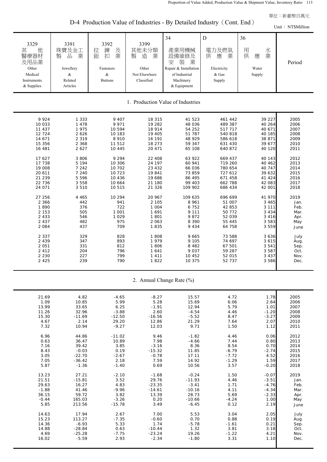| D-4 Production Value of Industries - By Detailed Industry (Cont. End) |  |  |  |  |  |  |  |  |  |
|-----------------------------------------------------------------------|--|--|--|--|--|--|--|--|--|
|-----------------------------------------------------------------------|--|--|--|--|--|--|--|--|--|

|                                                                                                                                                                                                                                                                                    |                                                                                                                                                                                                                                             |                                                                                                                                                                                                                                                   |                                                                                                                                                                                                                                                                      |                                                                                                                                                                                                                                                                                  |                                                                                                                                                                                                                                                                                           |                                                                                                                                                                                                                                                                                         | Unit: NT\$Million                                                                                                                                                                                                   |
|------------------------------------------------------------------------------------------------------------------------------------------------------------------------------------------------------------------------------------------------------------------------------------|---------------------------------------------------------------------------------------------------------------------------------------------------------------------------------------------------------------------------------------------|---------------------------------------------------------------------------------------------------------------------------------------------------------------------------------------------------------------------------------------------------|----------------------------------------------------------------------------------------------------------------------------------------------------------------------------------------------------------------------------------------------------------------------|----------------------------------------------------------------------------------------------------------------------------------------------------------------------------------------------------------------------------------------------------------------------------------|-------------------------------------------------------------------------------------------------------------------------------------------------------------------------------------------------------------------------------------------------------------------------------------------|-----------------------------------------------------------------------------------------------------------------------------------------------------------------------------------------------------------------------------------------------------------------------------------------|---------------------------------------------------------------------------------------------------------------------------------------------------------------------------------------------------------------------|
| 3329<br>其<br>他<br>醫療器材<br>及用品業<br>Other<br>Medical<br>Instruments<br>& Supplies                                                                                                                                                                                                    | 3391<br>珠寶及金工<br>品<br>業<br>製<br>Jewellery<br>$\&$<br>Related<br>Articles                                                                                                                                                                    | 3392<br>鍊<br>拉<br>及<br>業<br>鈕<br>扣<br>Fasteners<br>$\&$<br><b>Buttons</b>                                                                                                                                                                         | 3399<br>其他未分類<br>製<br>造<br>業<br>Other<br>Not Elsewhere<br>Classified                                                                                                                                                                                                 | 34<br>產業用機械<br>設備維修及<br>裝<br>業<br>安<br>Repair & Installation<br>of Industrial<br>Machinery<br>& Equipment                                                                                                                                                                        | ${\bf D}$<br>電力及燃氣<br>供<br>業<br>應<br>Electricity<br>& Gas<br>Supply                                                                                                                                                                                                                       | 36<br>用<br>水<br>業<br>供<br>應<br>Water<br>Supply                                                                                                                                                                                                                                          | Period                                                                                                                                                                                                              |
|                                                                                                                                                                                                                                                                                    |                                                                                                                                                                                                                                             |                                                                                                                                                                                                                                                   |                                                                                                                                                                                                                                                                      | 1. Production Value of Industries                                                                                                                                                                                                                                                |                                                                                                                                                                                                                                                                                           |                                                                                                                                                                                                                                                                                         |                                                                                                                                                                                                                     |
| 9924<br>10 033<br>11 437<br>12 7 24<br>14 671<br>15 356<br>16 481<br>17 627<br>17 738<br>19 008<br>20 611<br>21 239<br>22 736<br>24 071<br>27 256<br>2 3 6 6<br>1890<br>2 1 5 3<br>2 4 3 3<br>2 4 3 7<br>2 0 8 4<br>2 3 3 7<br>2 4 3 9<br>2 0 5 1<br>2 4 1 2<br>2 2 3 0<br>2 4 2 5 | 1 3 3 3<br>1 4 7 8<br>1975<br>2 6 2 6<br>2 3 1 9<br>2 3 6 8<br>2 6 2 7<br>3 8 0 6<br>5 1 9 4<br>7 242<br>7 240<br>5 5 9 6<br>3 5 5 8<br>3510<br>4 4 6 5<br>442<br>376<br>505<br>546<br>482<br>437<br>329<br>347<br>331<br>204<br>227<br>239 | 9 4 0 7<br>9 9 7 1<br>10 594<br>10 183<br>8 9 1 0<br>11 512<br>10 445<br>9 2 9 4<br>10 306<br>10 702<br>10 723<br>10 4 36<br>10 664<br>10 515<br>10 294<br>941<br>722<br>1 001<br>1 0 2 9<br>975<br>709<br>828<br>893<br>812<br>796<br>799<br>790 | 18 315<br>19 282<br>18 914<br>19 405<br>16 191<br>18 273<br>20 471<br>22 408<br>24 197<br>23 4 3 2<br>19 841<br>19 686<br>21 180<br>21 3 26<br>20 967<br>2 1 0 5<br>1 0 0 4<br>1 6 9 1<br>1801<br>2 0 6 3<br>1835<br>1808<br>1979<br>1806<br>1641<br>1 4 1 1<br>1822 | 41 523<br>48 036<br>54 252<br>51 787<br>48 929<br>59 347<br>65 108<br>63 922<br>60 941<br>66 036<br>73 859<br>86 495<br>99 403<br>109 902<br>109 635<br>8 9 6 1<br>6752<br>9 1 1 1<br>9872<br>8 3 9 0<br>9 4 3 4<br>9 6 6 5<br>9 1 0 5<br>8 4 8 2<br>9 0 3 7<br>10 452<br>10 375 | 461 442<br>489 387<br>517 717<br>540 818<br>586 618<br>631 430<br>640 872<br>669 437<br>719 260<br>780 654<br>727 612<br>671 458<br>662 788<br>686 434<br>696 699<br>51 007<br>42 853<br>50 772<br>52 039<br>55 445<br>64 758<br>73 588<br>74 697<br>67 501<br>59 287<br>52 015<br>52 737 | 39 227<br>40 264<br>40 671<br>40 185<br>38 871<br>39 677<br>40 120<br>40 143<br>40 4 62<br>40 747<br>39 632<br>41 424<br>42 083<br>42 001<br>41 970<br>3 4 6 5<br>3 1 1 1<br>3 4 3 4<br>3 4 1 6<br>3 5 8 3<br>3 5 5 9<br>3 6 3 6<br>3 6 1 5<br>3 5 4 1<br>3 5 8 7<br>3 4 3 7<br>3 5 8 6 | 2005<br>2006<br>2007<br>2008<br>2009<br>2010<br>2011<br>2012<br>2013<br>2014<br>2015<br>2016<br>2017<br>2018<br>2019<br>Jan.<br>Feb.<br>Mar.<br>Apr.<br>May<br>June<br>July<br>Aug.<br>Sep.<br>Oct.<br>Nov.<br>Dec. |

| 2. Annual Change Rate (%) |
|---------------------------|
|---------------------------|

| 21.69   | 4.82     | $-4.65$  | $-8.27$  | 15.57    | 4.72    | 1.78               | 2005 |
|---------|----------|----------|----------|----------|---------|--------------------|------|
| 1.09    | 10.85    | 5.99     | 5.28     | 15.69    | 6.06    | 2.64               | 2006 |
| 13.99   | 33.65    | 6.25     | $-1.91$  | 12.94    | 5.79    | 1.01               | 2007 |
| 11.26   | 32.96    | $-3.88$  | 2.60     | $-4.54$  | 4.46    |                    | 2008 |
| 15.30   | $-11.69$ | $-12.50$ | $-16.56$ | $-5.52$  | 8.47    | $-1.20$<br>$-3.27$ | 2009 |
| 4.67    | 2.14     | 29.20    | 12.86    | 21.29    | 7.64    | 2.07               | 2010 |
|         | 10.94    |          |          |          |         |                    |      |
| 7.32    |          | $-9.27$  | 12.03    | 9.71     | 1.50    | 1.12               | 2011 |
| 6.96    | 44.86    | $-11.02$ | 9.46     | $-1.82$  | 4.46    | 0.06               | 2012 |
| 0.63    | 36.47    | 10.89    | 7.98     | $-4.66$  | 7.44    | 0.80               | 2013 |
| 7.16    | 39.42    | 3.85     | $-3.16$  | 8.36     | 8.54    | 0.70               | 2014 |
| 8.43    | $-0.03$  | 0.19     | $-15.32$ | 11.85    | $-6.79$ | $-2.74$            | 2015 |
| 3.05    | $-22.70$ | $-2.67$  | $-0.78$  | 17.11    | $-7.72$ | 4.52               | 2016 |
| 7.05    | $-36.42$ | 2.18     | 7.59     | 14.92    | $-1.29$ | 1.59               | 2017 |
| 5.87    | $-1.36$  | $-1.40$  | 0.69     | 10.56    | 3.57    | $-0.20$            | 2018 |
|         |          |          |          |          |         |                    |      |
| 13.23   | 27.21    | $-2.10$  | $-1.68$  | $-0.24$  | 1.50    | $-0.07$            | 2019 |
| 21.51   | $-15.81$ | 3.52     | 29.76    | $-11.93$ | 4.46    | $-3.51$            | Jan. |
| 29.63   | 16.27    | 4.83     | $-23.35$ | $-3.41$  | 1.71    | $-4.76$            | Feb. |
| $-1.88$ | 41.46    | $-9.96$  | $-14.61$ | $-10.16$ | 4.11    | $-4.34$            | Mar. |
| 36.15   | 59.72    | 3.82     | 13.39    | 28.73    | 5.69    | $-2.33$            | Apr. |
| $-0.44$ | 165.03   | $-3.26$  | 0.20     | $-10.66$ | $-4.24$ | 1.00               | May  |
| 5.85    | 213.56   | $-15.78$ | 3.49     | $-6.45$  | 0.12    | 2.19               | June |
|         |          |          |          |          |         |                    |      |
| 14.63   | 17.94    | 2.67     | 7.00     | 5.53     | 3.04    | 2.05               | July |
| 15.23   | 113.27   | $-7.35$  | $-0.60$  | 0.70     | 0.88    | 0.19               | Aug. |
| 14.36   | $-6.93$  | 5.33     | 1.74     | $-5.78$  | $-1.61$ | 0.21               | Sep. |
| 14.88   | $-28.84$ | 0.63     | $-10.44$ | 1.32     | 3.81    | 3.18               | Oct. |
| 4.69    | $-25.28$ | $-7.75$  | $-23.24$ | 19.26    | $-1.22$ | 4.21               | Nov. |
| 16.02   | $-5.59$  | 2.93     | $-2.34$  | $-1.80$  | 3.31    | 1.10               | Dec. |
|         |          |          |          |          |         |                    |      |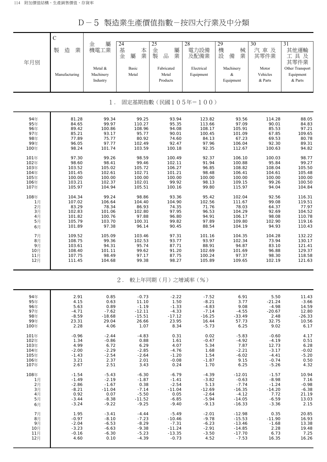D-5 製造業生產價值指數-按四大行業及中分類

| 年月別                         | $\overline{C}$<br>製<br>業<br>造<br>Manufacturing | 屬<br>金<br>機電工業<br>Metal &<br>Machinery<br>Industry | 24<br>基<br>本業<br>金<br>屬<br>Basic<br>Metal | 25<br>金<br>屬<br>製<br>$\frac{\Box}{\Box \Box}$<br>業<br>Fabricated<br>Metal<br>Products | 28<br>電力設備<br>及配備業<br>Electrical<br>Equipment | 29<br>機<br>械<br>設<br>業<br>備<br>Machinery<br>$\&$<br>Equipment | 30<br>汽車及<br>其零件業<br>Motor<br>Vehicles<br>& Parts | $\overline{31}$<br>其他運輸<br>工具及<br>其零件業<br>Other Transport<br>Equipment<br>& Parts |  |  |
|-----------------------------|------------------------------------------------|----------------------------------------------------|-------------------------------------------|---------------------------------------------------------------------------------------|-----------------------------------------------|---------------------------------------------------------------|---------------------------------------------------|-----------------------------------------------------------------------------------|--|--|
|                             |                                                | $1$ .                                              |                                           |                                                                                       | 固定基期指數(民國105年=100)                            |                                                               |                                                   |                                                                                   |  |  |
| 94年                         | 81.28                                          | 99.34                                              | 99.25                                     | 93.94                                                                                 | 123.82                                        | 93.56                                                         | 114.28                                            | 88.05                                                                             |  |  |
| 95年                         | 84.65                                          | 99.97                                              | 110.27                                    | 95.35                                                                                 | 113.66                                        | 97.09                                                         | 90.01                                             | 84.83                                                                             |  |  |
| 96年                         | 89.42                                          | 100.86                                             | 108.96                                    | 94.08                                                                                 | 108.17                                        | 105.91                                                        | 85.53                                             | 97.21                                                                             |  |  |
| 97年                         | 85.21                                          | 93.17                                              | 95.77                                     | 90.01                                                                                 | 100.45                                        | 101.09                                                        | 67.85                                             | 109.65                                                                            |  |  |
| 98年                         | 77.89                                          | 75.77                                              | 80.92                                     | 74.60                                                                                 | 84.13                                         | 67.23                                                         | 69.53                                             | 80.78                                                                             |  |  |
| 99年                         | 96.05                                          | 97.77                                              | 102.49                                    | 92.47                                                                                 | 97.96                                         | 106.04                                                        | 92.30                                             | 89.31                                                                             |  |  |
| 100年                        | 98.24                                          | 101.74                                             | 103.59                                    | 100.18                                                                                | 92.35                                         | 112.67                                                        | 100.63                                            | 94.82                                                                             |  |  |
| 101年                        | 97.30                                          | 99.26                                              | 98.59                                     | 100.49                                                                                | 92.37                                         | 106.10                                                        | 100.03                                            | 98.77                                                                             |  |  |
| 102年                        | 98.60                                          | 98.41                                              | 99.46                                     | 102.11                                                                                | 91.94                                         | 100.88                                                        | 95.84                                             | 99.27                                                                             |  |  |
| 103年                        | 103.52                                         | 105.02                                             | 105.72                                    | 106.27                                                                                | 96.85                                         | 108.82                                                        | 108.04                                            | 105.50                                                                            |  |  |
| 104年                        | 101.45                                         | 102.61                                             | 102.71                                    | 101.21                                                                                | 98.48                                         | 106.41                                                        | 104.61                                            | 105.48                                                                            |  |  |
| 105年                        | 100.00                                         | 100.00                                             | 100.00                                    | 100.00                                                                                | 100.00                                        | 100.00                                                        | 100.00                                            | 100.00                                                                            |  |  |
| 106年                        | 103.21                                         | 102.37                                             | 102.01                                    | 99.92                                                                                 | 98.13                                         | 109.15                                                        | 99.26                                             | 100.50                                                                            |  |  |
| 107年                        | 105.97                                         | 104.94                                             | 105.51                                    | 100.16                                                                                | 99.80                                         | 115.97                                                        | 94.04                                             | 104.84                                                                            |  |  |
| 108年                        | 104.34                                         | 99.24                                              | 98.86                                     | 93.36                                                                                 | 95.42                                         | 102.04                                                        | 92.56                                             | 116.31                                                                            |  |  |
| 1月                          | 107.02                                         | 106.64                                             | 104.40                                    | 104.90                                                                                | 102.56                                        | 111.67                                                        | 99.08                                             | 119.51                                                                            |  |  |
| 2月                          | 83.29                                          | 78.34                                              | 86.93                                     | 74.35                                                                                 | 71.76                                         | 78.03                                                         | 64.37                                             | 77.97                                                                             |  |  |
| 3月                          | 102.83                                         | 101.06                                             | 102.80                                    | 97.95                                                                                 | 96.53                                         | 104.29                                                        | 92.69                                             | 104.52                                                                            |  |  |
| 4月                          | 101.82                                         | 100.76                                             | 97.88                                     | 96.80                                                                                 | 94.91                                         | 106.17                                                        | 98.08                                             | 110.78                                                                            |  |  |
| 5月                          | 105.79                                         | 103.70                                             | 100.31                                    | 99.82                                                                                 | 97.89                                         | 109.80                                                        | 102.90                                            | 119.16                                                                            |  |  |
| 6月                          | 101.89                                         | 97.38                                              | 96.14                                     | 90.45                                                                                 | 88.54                                         | 104.19                                                        | 94.93                                             | 110.43                                                                            |  |  |
| 7月                          | 109.52                                         | 105.09                                             | 103.46                                    | 97.31                                                                                 | 101.16                                        | 104.35                                                        | 104.28                                            | 132.22                                                                            |  |  |
| 8月                          | 108.75                                         | 99.36                                              | 102.53                                    | 93.77                                                                                 | 93.97                                         | 102.34                                                        | 73.94                                             | 130.17                                                                            |  |  |
| 9月                          | 103.61                                         | 94.31                                              | 95.74                                     | 87.71                                                                                 | 88.91                                         | 94.87                                                         | 83.10                                             | 121.41                                                                            |  |  |
| 10月                         | 108.40                                         | 101.11                                             | 99.62                                     | 91.20                                                                                 | 102.69                                        | 101.69                                                        | 96.88                                             | 129.37                                                                            |  |  |
| 11月                         | 107.75                                         | 98.49                                              | 97.17                                     | 87.75                                                                                 | 100.24                                        | 97.37                                                         | 98.30                                             | 118.58                                                                            |  |  |
| 12月                         | 111.45                                         | 104.68                                             | 99.38                                     | 98.27                                                                                 | 105.89                                        | 109.65                                                        | 102.19                                            | 121.63                                                                            |  |  |
| 較上年同期 (月) 之增減率 (%)<br>$2$ . |                                                |                                                    |                                           |                                                                                       |                                               |                                                               |                                                   |                                                                                   |  |  |
| 94年                         | 2.91                                           | 0.85                                               | $-0.73$                                   | $-2.22$                                                                               | $-7.52$                                       | 6.91                                                          | 5.50                                              | 11.43                                                                             |  |  |
| 95年                         | 4.15                                           | 0.63                                               | 11.10                                     | 1.50                                                                                  | $-8.21$                                       | 3.77                                                          | $-21.24$                                          | $-3.66$                                                                           |  |  |
| 96年                         | 5.63                                           | 0.89                                               | $-1.19$                                   | $-1.33$                                                                               | $-4.83$                                       | 9.08                                                          | $-4.98$                                           | 14.59                                                                             |  |  |
| 97年                         | $-4.71$                                        | $-7.62$                                            | $-12.11$                                  | $-4.33$                                                                               | $-7.14$                                       | $-4.55$                                                       | $-20.67$                                          | 12.80                                                                             |  |  |
| 98年                         | $-8.59$                                        | $-18.68$                                           | $-15.51$                                  | $-17.12$                                                                              | $-16.25$                                      | $-33.49$                                                      | 2.48                                              | $-26.33$                                                                          |  |  |
| 99年                         | 23.31                                          | 29.04                                              | 26.66                                     | 23.95                                                                                 | 16.44                                         | 57.73                                                         | 32.75                                             | 10.56                                                                             |  |  |
| 100年                        | 2.28                                           | 4.06                                               | 1.07                                      | 8.34                                                                                  | $-5.73$                                       | 6.25                                                          | 9.02                                              | 6.17                                                                              |  |  |
| 101年                        | $-0.96$                                        | $-2.44$                                            | $-4.83$                                   | 0.31                                                                                  | 0.02                                          | $-5.83$                                                       | $-0.60$                                           | 4.17                                                                              |  |  |
| 102年                        | 1.34                                           | $-0.86$                                            | 0.88                                      | 1.61                                                                                  | $-0.47$                                       | $-4.92$                                                       | $-4.19$                                           | 0.51                                                                              |  |  |
| 103年                        | 4.99                                           | 6.72                                               | 6.29                                      | 4.07                                                                                  | 5.34                                          | 7.87                                                          | 12.73                                             | 6.28                                                                              |  |  |
| 104年                        | $-2.00$                                        | $-2.29$                                            | $-2.85$                                   | $-4.76$                                                                               | 1.68                                          | $-2.21$                                                       | $-3.17$                                           | $-0.02$                                                                           |  |  |
| 105年                        | $-1.43$                                        | $-2.54$                                            | $-2.64$                                   | $-1.20$                                                                               | 1.54                                          | $-6.02$                                                       | $-4.41$                                           | $-5.20$                                                                           |  |  |
| 106年                        | 3.21                                           | 2.37                                               | 2.01                                      | $-0.08$                                                                               | $-1.87$                                       | 9.15                                                          | $-0.74$                                           | 0.50                                                                              |  |  |
| 107年                        | 2.67                                           | 2.51                                               | 3.43                                      | 0.24                                                                                  | 1.70                                          | 6.25                                                          | $-5.26$                                           | 4.32                                                                              |  |  |
| 108年                        | $-1.54$                                        | $-5.43$                                            | $-6.30$                                   | $-6.79$                                                                               | $-4.39$                                       | $-12.01$                                                      | $-1.57$                                           | 10.94                                                                             |  |  |
| 1月                          | $-1.49$                                        | $-2.19$                                            | $-1.87$                                   | $-1.41$                                                                               | $-3.82$                                       | $-0.63$                                                       | $-8.98$                                           | 7.16                                                                              |  |  |
| 2月                          | $-2.86$                                        | $-1.67$                                            | 0.38                                      | $-2.54$                                                                               | 5.13                                          | $-7.74$                                                       | $-1.24$                                           | $-0.98$                                                                           |  |  |
| 3月                          | $-8.21$                                        | $-11.04$                                           | $-7.14$                                   | $-11.04$                                                                              | $-12.69$                                      | $-16.35$                                                      | $-14.20$                                          | $-6.38$                                                                           |  |  |
| 4月                          | 0.92                                           | 0.07                                               | $-5.50$                                   | 0.05                                                                                  | $-2.64$                                       | $-4.12$                                                       | 7.72                                              | 21.19                                                                             |  |  |
| 5月                          | $-3.44$                                        | $-8.38$                                            | $-11.52$                                  | $-6.85$                                                                               | $-5.94$                                       | $-14.05$                                                      | $-6.59$                                           | 13.03                                                                             |  |  |
| 6月                          | $-3.24$                                        | $-9.22$                                            | $-9.25$                                   | $-9.40$                                                                               | $-9.13$                                       | $-16.33$                                                      | $-3.36$                                           | 2.15                                                                              |  |  |
| 7月                          | 1.95                                           | $-3.41$                                            | $-4.44$                                   | $-5.49$                                                                               | $-2.01$                                       | $-12.98$                                                      | 0.35                                              | 20.85                                                                             |  |  |
| 8月                          | $-0.97$                                        | $-8.10$                                            | $-7.23$                                   | $-10.46$                                                                              | $-9.78$                                       | $-15.53$                                                      | $-11.90$                                          | 16.93                                                                             |  |  |
| 9月                          | $-2.04$                                        | $-6.53$                                            | $-8.29$                                   | $-7.31$                                                                               | $-6.23$                                       | $-13.46$                                                      | $-1.68$                                           | 13.38                                                                             |  |  |
| 10月                         | $-3.23$                                        | $-6.63$                                            | $-9.38$                                   | $-11.24$                                                                              | $-2.91$                                       | $-14.85$                                                      | 2.28                                              | 19.48                                                                             |  |  |
| 11月                         | $-0.16$                                        | $-6.30$                                            | $-5.23$                                   | $-13.35$                                                                              | $-3.50$                                       | $-17.70$                                                      | 6.73                                              | 7.25                                                                              |  |  |
| 12月                         | 4.60                                           | 0.10                                               | $-4.39$                                   | $-0.73$                                                                               | 4.52                                          | $-7.53$                                                       | 16.35                                             | 16.26                                                                             |  |  |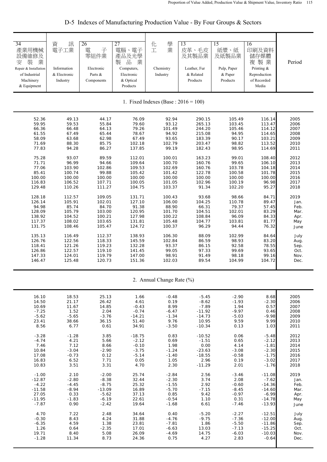| 34<br>產業用機械<br>設備維修及<br>業<br>裝<br>安<br>Repair & Installation<br>of Industrial<br>Machinery<br>& Equipment | 資<br>訊<br>電子工業<br>Information<br>& Electronic<br>Industry | 26<br>子<br>雷<br>零組件業<br>Electronic<br>Parts &<br>Components | $\overline{27}$<br>電腦、電子<br>產品及光學<br>品<br>製<br>業<br>Computers,<br>Electronic<br>& Optical<br>Products | 學<br>化<br>工<br>業<br>Chemistry<br>Industry | 13<br>皮革、毛皮<br>及其製品業<br>Leather, Fur<br>& Related<br>Products | 15<br>紙漿、紙<br>及紙製品業<br>Pulp, Paper<br>& Paper<br>Products | 16<br>印刷及資料<br>儲存媒體<br>複製業<br>Printing &<br>Reproduction<br>of Recorded<br>Media | Period |
|-----------------------------------------------------------------------------------------------------------|-----------------------------------------------------------|-------------------------------------------------------------|-------------------------------------------------------------------------------------------------------|-------------------------------------------|---------------------------------------------------------------|-----------------------------------------------------------|----------------------------------------------------------------------------------|--------|
|                                                                                                           |                                                           |                                                             |                                                                                                       | 1. Fixed Indexes (Base : $2016 = 100$ )   |                                                               |                                                           |                                                                                  |        |
| 52.36                                                                                                     | 49.13                                                     | 44.17                                                       | 76.09                                                                                                 | 92.94                                     | 290.15                                                        | 105.49                                                    | 116.14                                                                           | 2005   |
| 59.95                                                                                                     | 59.53                                                     | 55.84                                                       | 79.60                                                                                                 | 93.12                                     | 265.13                                                        | 103.45                                                    | 113.47                                                                           | 2006   |
| 66.36                                                                                                     | 66.48                                                     | 64.13                                                       | 79.26                                                                                                 | 101.49                                    | 244.20                                                        | 105.46                                                    | 114.12                                                                           | 2007   |
| 61.55                                                                                                     | 67.49                                                     | 65.44                                                       | 78.67                                                                                                 | 94.92                                     | 215.08                                                        | 94.95                                                     | 114.65                                                                           | 2008   |
| 58.09                                                                                                     | 63.68                                                     | 62.98                                                       | 67.49                                                                                                 | 93.65                                     | 183.39                                                        | 90.17                                                     | 103.21                                                                           | 2009   |
| 71.69                                                                                                     | 88.30                                                     | 85.75                                                       | 102.18                                                                                                | 102.79                                    | 203.47                                                        | 98.82                                                     | 113.52                                                                           | 2010   |
| 77.83                                                                                                     | 94.28                                                     | 86.27                                                       | 137.85                                                                                                | 99.19                                     | 182.43                                                        | 98.95                                                     | 114.69                                                                           | 2011   |
| 75.28                                                                                                     | 93.07                                                     | 89.59                                                       | 112.01                                                                                                | 100.01                                    | 163.23                                                        | 99.01                                                     | 108.40                                                                           | 2012   |
| 71.71                                                                                                     | 96.99                                                     | 94.66                                                       | 109.64                                                                                                | 100.70                                    | 160.76                                                        | 99.65                                                     | 106.10                                                                           | 2013   |
| 77.06                                                                                                     | 103.90                                                    | 102.86                                                      | 109.53                                                                                                | 102.69                                    | 160.76                                                        | 103.78                                                    | 104.18                                                                           | 2014   |
| 85.41                                                                                                     | 100.74                                                    | 99.88                                                       | 105.42                                                                                                | 101.42                                    | 122.78                                                        | 100.58                                                    | 101.78                                                                           | 2015   |
| 100.00                                                                                                    | 100.00                                                    | 100.00                                                      | 100.00                                                                                                | 100.00                                    | 100.00                                                        | 100.00                                                    | 100.00                                                                           | 2016   |
| 116.83                                                                                                    | 106.52                                                    | 107.71                                                      | 100.05                                                                                                | 101.05                                    | 102.96                                                        | 100.19                                                    | 96.98                                                                            | 2017   |
| 129.48                                                                                                    | 110.26                                                    | 111.27                                                      | 104.75                                                                                                | 103.37                                    | 91.34                                                         | 102.20                                                    | 95.27                                                                            | 2018   |
| 128.18                                                                                                    | 112.57                                                    | 109.05                                                      | 131.71                                                                                                | 100.43                                    | 93.68                                                         | 98.66                                                     | 84.71                                                                            | 2019   |
| 126.14                                                                                                    | 105.91                                                    | 102.01                                                      | 127.10                                                                                                | 106.00                                    | 104.25                                                        | 110.78                                                    | 89.47                                                                            | Jan.   |
| 94.98                                                                                                     | 85.74                                                     | 84.70                                                       | 91.38                                                                                                 | 88.90                                     | 66.31                                                         | 79.37                                                     | 57.45                                                                            | Feb.   |
| 128.09                                                                                                    | 105.79                                                    | 103.00                                                      | 120.95                                                                                                | 101.70                                    | 104.51                                                        | 102.01                                                    | 83.29                                                                            | Mar.   |
| 138.92                                                                                                    | 104.52                                                    | 100.21                                                      | 127.98                                                                                                | 100.22                                    | 108.84                                                        | 96.09                                                     | 84.33                                                                            | Apr.   |
| 117.37                                                                                                    | 108.02                                                    | 103.65                                                      | 131.81                                                                                                | 105.48                                    | 104.77                                                        | 103.81                                                    | 81.77                                                                            | May    |
| 131.75                                                                                                    | 108.46                                                    | 105.47                                                      | 124.72                                                                                                | 100.37                                    | 96.29                                                         | 94.44                                                     | 76.32                                                                            | June   |
| 135.13                                                                                                    | 116.49                                                    | 112.37                                                      | 138.93                                                                                                | 106.30                                    | 88.09                                                         | 102.99                                                    | 84.64                                                                            | July   |
| 126.76                                                                                                    | 122.56                                                    | 118.33                                                      | 145.59                                                                                                | 102.84                                    | 86.59                                                         | 98.93                                                     | 83.20                                                                            | Aug.   |
| 118.41                                                                                                    | 121.26                                                    | 119.23                                                      | 132.28                                                                                                | 93.37                                     | 86.15                                                         | 92.58                                                     | 78.55                                                                            | Sep.   |
| 126.86                                                                                                    | 122.57                                                    | 119.10                                                      | 141.45                                                                                                | 99.05                                     | 97.33                                                         | 99.69                                                     | 93.65                                                                            | Oct.   |
| 147.33                                                                                                    | 124.01                                                    | 119.79                                                      | 147.00                                                                                                | 98.91                                     | 91.49                                                         | 98.18                                                     | 99.16                                                                            | Nov.   |
| 146.47                                                                                                    | 125.48                                                    | 120.73                                                      | 151.36                                                                                                | 102.03                                    | 89.54                                                         | 104.99                                                    | 104.72                                                                           | Dec.   |

D-5 Indexes of Manufacturing Production Value - By Four Groups & Sectors

2. Annual Change Rate (%)

| 16.10    | 18.53   | 25.13    | 1.66     | $-0.48$ | $-5.45$  | $-2.90$ | 8.68     | 2005 |
|----------|---------|----------|----------|---------|----------|---------|----------|------|
| 14.50    | 21.17   | 26.42    | 4.61     | 0.19    | $-8.62$  | $-1.93$ | $-2.30$  | 2006 |
| 10.69    | 11.67   | 14.85    | $-0.43$  | 8.99    | $-7.89$  | 1.94    | 0.57     | 2007 |
| $-7.25$  | 1.52    | 2.04     | $-0.74$  | $-6.47$ | $-11.92$ | $-9.97$ | 0.46     | 2008 |
| $-5.62$  | $-5.65$ | $-3.76$  | $-14.21$ | $-1.34$ | $-14.73$ | $-5.03$ | $-9.98$  | 2009 |
| 23.41    | 38.66   | 36.15    | 51.40    | 9.76    | 10.95    | 9.59    | 9.99     | 2010 |
| 8.56     | 6.77    | 0.61     | 34.91    | $-3.50$ | $-10.34$ | 0.13    | 1.03     | 2011 |
| $-3.28$  |         | 3.85     |          |         |          |         |          | 2012 |
|          | $-1.28$ |          | $-18.75$ | 0.83    | $-10.52$ | 0.06    | $-5.48$  | 2013 |
| $-4.74$  | 4.21    | 5.66     | $-2.12$  | 0.69    | $-1.51$  | 0.65    | $-2.12$  |      |
| 7.46     | 7.12    | 8.66     | $-0.10$  | 1.98    | 0.00     | 4.14    | $-1.81$  | 2014 |
| 10.84    | $-3.04$ | $-2.90$  | $-3.75$  | $-1.24$ | $-23.63$ | $-3.08$ | $-2.30$  | 2015 |
| 17.08    | $-0.73$ | 0.12     | $-5.14$  | $-1.40$ | $-18.55$ | $-0.58$ | $-1.75$  | 2016 |
| 16.83    | 6.52    | 7.71     | 0.05     | 1.05    | 2.96     | 0.19    | $-3.02$  | 2017 |
| 10.83    | 3.51    | 3.31     | 4.70     | 2.30    | $-11.29$ | 2.01    | $-1.76$  | 2018 |
| $-1.00$  | 2.10    | $-2.00$  | 25.74    | $-2.84$ | 2.56     | $-3.46$ | $-11.08$ | 2019 |
| $-12.87$ | $-2.80$ | $-8.38$  | 32.44    | $-2.30$ | 3.74     | 2.08    | $-7.62$  | Jan. |
| $-4.22$  | $-4.45$ | $-8.75$  | 25.32    | $-1.55$ | 2.92     | $-0.60$ | $-14.36$ | Feb. |
| $-11.58$ | $-8.94$ | $-13.09$ | 16.89    | $-5.70$ | $-7.15$  | $-8.45$ |          |      |
|          |         |          |          |         |          |         | $-14.60$ | Mar. |
| 27.05    | 0.33    | $-5.62$  | 37.13    | 0.85    | 9.42     | $-0.97$ | $-6.99$  | Apr. |
| $-11.95$ | $-1.83$ | $-6.19$  | 22.61    | $-0.54$ | 1.10     | 0.31    | $-14.78$ | May  |
| $-7.87$  | 0.90    | $-2.42$  | 19.64    | $-1.68$ | 6.61     | $-7.46$ | $-13.93$ | June |
| 4.70     | 7.22    | 2.48     | 34.64    | 0.40    | $-5.20$  | $-2.27$ | $-12.51$ | July |
| $-0.30$  | 8.43    | 4.24     | 31.88    | $-4.76$ | $-9.75$  | $-7.36$ | $-12.00$ | Aug. |
| $-6.35$  | 4.59    | 1.38     | 23.81    | $-7.81$ | 1.86     | $-5.50$ | $-11.86$ | Sep. |
| 1.26     | 0.64    | $-2.35$  | 17.01    | $-6.63$ | 13.03    | $-7.13$ | $-15.25$ | Oct. |
| 19.71    | 8.40    | 5.08     | 26.09    | $-4.69$ | 14.75    | $-6.03$ | $-10.03$ | Nov. |
| $-1.28$  | 11.34   | 8.73     | 24.36    | 0.75    | 4.27     | 2.83    | $-0.64$  | Dec. |
|          |         |          |          |         |          |         |          |      |
|          |         |          |          |         |          |         |          |      |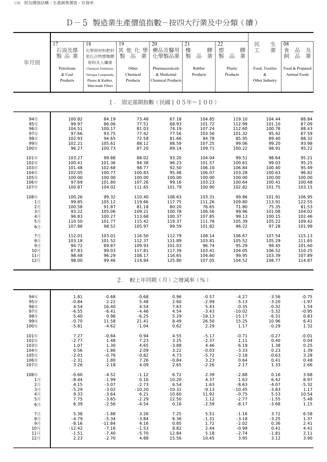D-5 製造業生產價值指數-按四大行業及中分類(續)

| 年月別                         | 17<br>石油及煤<br>製品業<br>Petroleum<br>& Coal<br>Products | 18<br>化學原材料肥料<br>氮化合物塑橡膠<br>原料及人纖業<br>Chemical, Fertilizers,<br>Nitrogen Compounds,<br>Plastic & Rubber,<br>Man-made Fibres | 19<br>其<br>學<br>他<br>化<br>製<br>業<br>品<br>Other<br>Chemical<br>Products | 20<br>藥品及醫用<br>化學製品業<br>Pharmaceuticals<br>& Medicinal<br><b>Chemical Products</b> | 21<br>橡<br>膠<br>製<br>業<br>品<br>Rubber<br>Products | 22<br>塑<br>膠<br>製<br>品<br>業<br>Plastic<br>Products | 民<br>生<br>業<br>工<br>Food, Textiles<br>$\&$<br>Other Industry | 08<br>品<br>食<br>及<br>業<br>飼<br>品<br>Food & Prepared<br>Animal Feeds |  |
|-----------------------------|------------------------------------------------------|-----------------------------------------------------------------------------------------------------------------------------|------------------------------------------------------------------------|------------------------------------------------------------------------------------|---------------------------------------------------|----------------------------------------------------|--------------------------------------------------------------|---------------------------------------------------------------------|--|
| 固定基期指數(民國105年=100)<br>$1$ . |                                                      |                                                                                                                             |                                                                        |                                                                                    |                                                   |                                                    |                                                              |                                                                     |  |
| 94年                         | 100.82                                               | 84.19                                                                                                                       | 73.48                                                                  | 67.18                                                                              | 104.85                                            | 119.10                                             | 104.44                                                       | 88.84                                                               |  |
| 95年                         | 99.97                                                | 86.06                                                                                                                       | 77.51                                                                  | 68.93                                                                              | 101.72                                            | 112.99                                             | 101.10                                                       | 87.09                                                               |  |
| 96年                         | 104.51                                               | 100.17                                                                                                                      | 81.03                                                                  | 74.19                                                                              | 107.24                                            | 112.60                                             | 100.78                                                       | 88.43                                                               |  |
| 97年                         | 97.66                                                | 93.75                                                                                                                       | 77.42                                                                  | 77.56                                                                              | 103.56                                            | 101.32                                             | 95.42                                                        | 87.59                                                               |  |
| 98年                         | 102.93                                               | 94.65                                                                                                                       | 72.58                                                                  | 81.66                                                                              | 84.78                                             | 85.95                                              | 89.40                                                        | 88.32                                                               |  |
| 99年                         | 102.21                                               | 105.61                                                                                                                      | 88.12                                                                  | 88.59                                                                              | 107.25                                            | 99.06                                              | 99.20                                                        | 93.98                                                               |  |
| 100年                        | 96.27                                                | 100.73                                                                                                                      | 87.20                                                                  | 89.14                                                                              | 109.71                                            | 100.22                                             | 98.91                                                        | 95.22                                                               |  |
| 101年                        | 103.27                                               | 99.88                                                                                                                       | 88.02                                                                  | 93.20                                                                              | 104.04                                            | 99.51                                              | 98.64                                                        | 95.21                                                               |  |
| 102年                        | 100.41                                               | 101.36                                                                                                                      | 94.38                                                                  | 96.23                                                                              | 101.57                                            | 100.61                                             | 99.03                                                        | 95.25                                                               |  |
| 103年                        | 101.48                                               | 102.68                                                                                                                      | 98.77                                                                  | 92.50                                                                              | 106.10                                            | 106.84                                             | 100.40                                                       | 95.49                                                               |  |
| 104年                        | 102.05                                               | 100.77                                                                                                                      | 100.83                                                                 | 95.48                                                                              | 106.07                                            | 103.28                                             | 100.63                                                       | 96.82                                                               |  |
| 105年                        | 100.00                                               | 100.00                                                                                                                      | 100.00                                                                 | 100.00                                                                             | 100.00                                            | 100.00                                             | 100.00                                                       | 100.00                                                              |  |
| 106年                        | 97.69                                                | 101.80                                                                                                                      | 107.26                                                                 | 99.16                                                                              | 103.23                                            | 100.64                                             | 100.41                                                       | 100.48                                                              |  |
| 107年                        | 100.87                                               | 104.02                                                                                                                      | 111.65                                                                 | 101.79                                                                             | 100.90                                            | 102.82                                             | 101.75                                                       | 103.15                                                              |  |
| 108年                        | 100.26                                               | 99.32                                                                                                                       | 110.40                                                                 | 108.63                                                                             | 103.31                                            | 99.86                                              | 101.91                                                       | 106.95                                                              |  |
| 1月                          | 99.85                                                | 105.12                                                                                                                      | 119.66                                                                 | 117.75                                                                             | 111.26                                            | 109.80                                             | 113.91                                                       | 122.55                                                              |  |
| 2月                          | 100.58                                               | 91.87                                                                                                                       | 81.18                                                                  | 80.20                                                                              | 76.65                                             | 71.80                                              | 75.35                                                        | 81.53                                                               |  |
| 3月                          | 93.22                                                | 105.06                                                                                                                      | 109.21                                                                 | 100.78                                                                             | 106.56                                            | 99.96                                              | 101.08                                                       | 104.02                                                              |  |
| 4月                          | 96.83                                                | 100.27                                                                                                                      | 113.68                                                                 | 100.37                                                                             | 107.85                                            | 99.13                                              | 100.15                                                       | 102.46                                                              |  |
| 5月                          | 110.50                                               | 101.77                                                                                                                      | 115.42                                                                 | 119.37                                                                             | 111.78                                            | 105.39                                             | 105.22                                                       | 109.42                                                              |  |
| 6月                          | 107.86                                               | 98.52                                                                                                                       | 105.97                                                                 | 99.59                                                                              | 101.82                                            | 96.22                                              | 97.28                                                        | 101.99                                                              |  |
| 7月                          | 112.01                                               | 103.01                                                                                                                      | 116.50                                                                 | 112.79                                                                             | 108.14                                            | 106.67                                             | 107.54                                                       | 115.13                                                              |  |
| 8月                          | 103.18                                               | 101.52                                                                                                                      | 112.37                                                                 | 111.89                                                                             | 103.81                                            | 105.52                                             | 105.29                                                       | 111.65                                                              |  |
| 9月                          | 94.72                                                | 89.87                                                                                                                       | 109.93                                                                 | 101.03                                                                             | 96.74                                             | 95.29                                              | 98.45                                                        | 101.60                                                              |  |
| 10月                         | 87.83                                                | 99.03                                                                                                                       | 117.81                                                                 | 117.39                                                                             | 103.41                                            | 104.05                                             | 106.52                                                       | 110.25                                                              |  |
| 11月                         | 98.48                                                | 96.29                                                                                                                       | 108.17                                                                 | 116.65                                                                             | 104.60                                            | 99.95                                              | 103.39                                                       | 107.89                                                              |  |
| 12月                         | 98.00                                                | 99.46                                                                                                                       | 114.84                                                                 | 125.80                                                                             | 107.05                                            | 104.52                                             | 108.77                                                       | 114.87                                                              |  |
|                             |                                                      |                                                                                                                             | $2$ .                                                                  | 較上年同期 (月) 之增減率 (%)                                                                 |                                                   |                                                    |                                                              |                                                                     |  |
| 94年                         | 1.81                                                 | $-0.68$                                                                                                                     | $-0.68$                                                                | 0.96                                                                               | $-0.57$                                           | $-4.27$                                            | $-3.56$                                                      | $-0.75$                                                             |  |
| 95年                         | $-0.84$                                              | 2.22                                                                                                                        | 5.48                                                                   | 2.60                                                                               | $-2.99$                                           | $-5.13$                                            | $-3.20$                                                      | $-1.97$                                                             |  |
| 96年                         | 4.54                                                 | 16.40                                                                                                                       | 4.54                                                                   | 7.63                                                                               | 5.43                                              | $-0.35$                                            | $-0.32$                                                      | 1.54                                                                |  |
| 97年                         | $-6.55$                                              | $-6.41$                                                                                                                     | $-4.46$                                                                | 4.54                                                                               | $-3.43$                                           | $-10.02$                                           | $-5.32$                                                      | $-0.95$                                                             |  |
| 98年                         | 5.40                                                 | 0.96                                                                                                                        | $-6.25$                                                                | 5.29                                                                               | $-18.13$                                          | $-15.17$                                           | $-6.31$                                                      | 0.83                                                                |  |
| 99年                         | $-0.70$                                              | 11.58                                                                                                                       | 21.41                                                                  | 8.49                                                                               | 26.50                                             | 15.25                                              | 10.96                                                        | 6.41                                                                |  |
| 100年                        | $-5.81$                                              | $-4.62$                                                                                                                     | $-1.04$                                                                | 0.62                                                                               | 2.29                                              | 1.17                                               | $-0.29$                                                      | 1.32                                                                |  |
| 101年                        | 7.27                                                 | $-0.84$                                                                                                                     | 0.94                                                                   | 4.55                                                                               | $-5.17$                                           | $-0.71$                                            | $-0.27$                                                      | $-0.01$                                                             |  |
| 102年                        | $-2.77$                                              | 1.48                                                                                                                        | 7.23                                                                   | 3.25                                                                               | $-2.37$                                           | 1.11                                               | 0.40                                                         | 0.04                                                                |  |
| 103年                        | 1.07                                                 | 1.30                                                                                                                        | 4.65                                                                   | $-3.88$                                                                            | 4.46                                              | 6.19                                               | 1.38                                                         | 0.25                                                                |  |
| 104年                        | 0.56                                                 | $-1.86$                                                                                                                     | 2.09                                                                   | 3.22                                                                               | $-0.03$                                           | $-3.33$                                            | 0.23                                                         | 1.39                                                                |  |
| 105年                        | $-2.01$                                              | $-0.76$                                                                                                                     | $-0.82$                                                                | 4.73                                                                               | $-5.72$                                           | $-3.18$                                            | $-0.63$                                                      | 3.28                                                                |  |
| 106年                        | $-2.31$                                              | 1.80                                                                                                                        | 7.26                                                                   | $-0.84$                                                                            | 3.23                                              | 0.64                                               | 0.41                                                         | 0.48                                                                |  |
| 107年                        | 3.26                                                 | 2.18                                                                                                                        | 4.09                                                                   | 2.65                                                                               | $-2.26$                                           | 2.17                                               | 1.33                                                         | 2.66                                                                |  |
| 108年                        | $-0.60$                                              | $-4.52$                                                                                                                     | $-1.12$                                                                | 6.72                                                                               | 2.39                                              | $-2.88$                                            | 0.16                                                         | 3.68                                                                |  |
| 1月                          | $-8.44$                                              | $-1.99$                                                                                                                     | 0.16                                                                   | 10.20                                                                              | 4.37                                              | 1.63                                               | 6.42                                                         | 8.97                                                                |  |
| 2月                          | 4.15                                                 | $-3.07$                                                                                                                     | $-2.73$                                                                | 6.54                                                                               | 1.63                                              | $-8.63$                                            | $-4.07$                                                      | $-5.32$                                                             |  |
| 3月                          | $-5.29$                                              | $-3.02$                                                                                                                     | $-10.20$                                                               | $-10.31$                                                                           | $-9.13$                                           | $-10.45$                                           | $-3.83$                                                      | 1.17                                                                |  |
| 4月                          | 9.33                                                 | $-3.64$                                                                                                                     | 6.21                                                                   | 10.60                                                                              | 11.92                                             | $-0.75$                                            | 5.53                                                         | 10.54                                                               |  |
| 5月                          | 7.75                                                 | $-3.65$                                                                                                                     | $-2.29$                                                                | 12.50                                                                              | 1.12                                              | $-2.77$                                            | $-1.55$                                                      | 5.48                                                                |  |
| 6月                          | 6.39                                                 | $-2.56$                                                                                                                     | -4.54                                                                  | 0.16                                                                               | $-2.59$                                           | $-8.17$                                            | $-3.68$                                                      | 1.15                                                                |  |
| 7月                          | 5.38                                                 | $-1.88$                                                                                                                     | 3.26                                                                   | 7.25                                                                               | 5.51                                              | $-1.16$                                            | 3.72                                                         | 6.58                                                                |  |
| 8月                          | $-4.79$                                              | $-5.34$                                                                                                                     | $-3.84$                                                                | 6.36                                                                               | $-1.31$                                           | $-3.18$                                            | $-3.25$                                                      | 1.37                                                                |  |
| 9月                          | $-8.16$                                              | $-11.84$                                                                                                                    | 4.16                                                                   | 0.85                                                                               | 1.72                                              | $-2.02$                                            | 0.36                                                         | 2.41                                                                |  |
| 10月                         | $-12.42$                                             | $-7.16$                                                                                                                     | $-1.53$                                                                | 8.82                                                                               | 2.44                                              | $-0.99$                                            | 0.41                                                         | 4.41                                                                |  |
| 11月                         | $-1.51$                                              | $-7.40$                                                                                                                     | $-5.70$                                                                | 12.84                                                                              | 5.18                                              | $-2.74$                                            | $-1.81$                                                      | 2.11                                                                |  |
| 12月                         | 2.23                                                 | $-2.70$                                                                                                                     | 4.88                                                                   | 15.56                                                                              | 10.45                                             | 3.95                                               | 3.12                                                         | 3.90                                                                |  |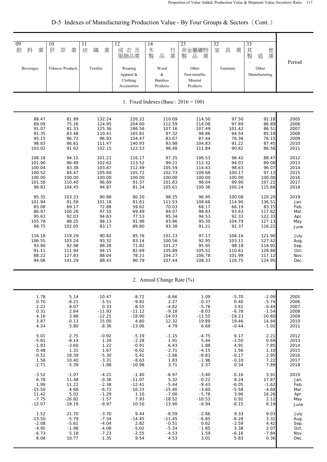D-5 Indexes of Manufacturing Production Value - By Four Groups & Sectors (Cont.)

| 09<br>料<br>業<br>飲<br><b>Beverages</b> | 10<br>菸<br>草<br>業<br><b>Tobacco Products</b> | 11<br>織<br>紡<br>業<br>Textiles | $\overline{12}$<br>成衣及<br>服飾品業<br>Wearing<br>Apparel & | 14<br>木<br>竹<br>業<br>製<br>$\frac{\Box}{\Box \Box}$<br>Wood | 23<br>非金屬礦物<br>製<br>品<br>業<br>Other | 32<br>家<br>具<br>業<br>Furniture | 33<br>其<br>他<br>製<br>業<br>造<br>Other<br>Manufacturing | Period |  |  |
|---------------------------------------|----------------------------------------------|-------------------------------|--------------------------------------------------------|------------------------------------------------------------|-------------------------------------|--------------------------------|-------------------------------------------------------|--------|--|--|
|                                       |                                              |                               | Clothing<br>Accessories                                | &<br>Bamboo<br>Products                                    | Non-metallic<br>Mineral<br>Products |                                |                                                       |        |  |  |
|                                       | 1. Fixed Indexes (Base : $2016 = 100$ )      |                               |                                                        |                                                            |                                     |                                |                                                       |        |  |  |
| 88.47                                 | 81.99                                        | 132.24                        | 226.22                                                 | 110.09                                                     | 114.50                              | 97.50                          | 92.18                                                 | 2005   |  |  |
| 89.09                                 | 75.26                                        | 124.95                        | 204.00                                                 | 112.59                                                     | 114.08                              | 97.89                          | 86.89                                                 | 2006   |  |  |
| 91.07                                 | 81.33                                        | 125.36                        | 186.56                                                 | 107.16                                                     | 107.49                              | 101.42                         | 86.51                                                 | 2007   |  |  |
| 91.35                                 | 83.48                                        | 110.41                        | 165.81                                                 | 97.32                                                      | 98.86                               | 94.54                          | 85.18                                                 | 2008   |  |  |
| 95.15                                 | 86.72                                        | 96.93                         | 134.47                                                 | 83.67                                                      | 87.44                               | 76.36                          | 76.15                                                 | 2009   |  |  |
| 98.83                                 | 86.61                                        | 111.47                        | 140.93                                                 | 93.98                                                      | 104.83                              | 91.22                          | 87.45                                                 | 2010   |  |  |
| 103.02                                | 91.63                                        | 102.15                        | 122.53                                                 | 98.48                                                      | 111.84                              | 90.82                          | 86.56                                                 | 2011   |  |  |
| 108.18                                | 94.15                                        | 101.21                        | 116.17                                                 | 97.35                                                      | 106.53                              | 96.42                          | 88.47                                                 | 2012   |  |  |
| 101.90                                | 86.49                                        | 102.62                        | 113.52                                                 | 99.21                                                      | 112.32                              | 94.01                          | 89.08                                                 | 2013   |  |  |
| 100.04                                | 83.38                                        | 103.87                        | 112.49                                                 | 105.59                                                     | 114.43                              | 98.63                          | 96.07                                                 | 2014   |  |  |
| 100.52                                | 84.47                                        | 105.60                        | 105.72                                                 | 102.73                                                     | 109.68                              | 100.17                         | 97.13                                                 | 2015   |  |  |
| 100.00                                | 100.00                                       | 100.00                        | 100.00                                                 | 100.00                                                     | 100.00                              | 100.00                         | 100.00                                                | 2016   |  |  |
| 101.58                                | 110.40                                       | 96.69                         | 91.37                                                  | 101.83                                                     | 98.04                               | 99.90                          | 107.22                                                | 2017   |  |  |
| 98.83                                 | 104.45                                       | 94.87                         | 81.34                                                  | 105.61                                                     | 100.36                              | 100.24                         | 115.68                                                | 2018   |  |  |
| 95.35                                 | 103.33                                       | 90.88                         | 80.20                                                  | 98.25                                                      | 96.95                               | 100.08                         | 120.20                                                | 2019   |  |  |
| 101.94                                | 91.59                                        | 101.18                        | 81.61                                                  | 111.53                                                     | 108.66                              | 114.90                         | 136.51                                                | Jan.   |  |  |
| 65.08                                 | 69.17                                        | 72.88                         | 59.62                                                  | 70.03                                                      | 68.17                               | 66.19                          | 83.15                                                 | Feb.   |  |  |
| 86.97                                 | 100.26                                       | 97.55                         | 69.49                                                  | 94.07                                                      | 98.83                               | 93.63                          | 117.82                                                | Mar.   |  |  |
| 95.63                                 | 92.03                                        | 94.63                         | 77.53                                                  | 95.34                                                      | 94.53                               | 92.33                          | 122.33                                                | Apr.   |  |  |
| 105.78                                | 88.25                                        | 98.13                         | 91.98                                                  | 93.96                                                      | 95.30                               | 104.79                         | 127.13                                                | May    |  |  |
| 98.75                                 | 102.05                                       | 83.17                         | 89.80                                                  | 93.38                                                      | 91.21                               | 92.37                          | 116.22                                                | June   |  |  |
| 116.18                                | 119.29                                       | 90.82                         | 85.76                                                  | 101.23                                                     | 97.17                               | 106.16                         | 121.90                                                | July   |  |  |
| 106.55                                | 103.24                                       | 93.32                         | 83.14                                                  | 100.56                                                     | 92.95                               | 103.11                         | 127.42                                                | Aug.   |  |  |
| 93.90                                 | 92.98                                        | 88.28                         | 71.82                                                  | 101.27                                                     | 95.95                               | 98.18                          | 118.95                                                | Sep.   |  |  |
| 91.11                                 | 111.94                                       | 94.15                         | 82.69                                                  | 105.89                                                     | 105.52                              | 110.61                         | 128.88                                                | Oct.   |  |  |
| 88.22                                 | 127.83                                       | 88.04                         | 78.21                                                  | 104.27                                                     | 106.78                              | 101.99                         | 117.12                                                | Nov.   |  |  |
| 94.06                                 | 141.29                                       | 88.43                         | 90.79                                                  | 107.44                                                     | 108.33                              | 116.75                         | 124.95                                                | Dec.   |  |  |
|                                       |                                              |                               |                                                        | 2. Annual Change Rate (%)                                  |                                     |                                |                                                       |        |  |  |
| 1.78                                  | 5.14                                         | $-10.47$                      | $-8.72$                                                | $-8.66$                                                    | 1.09                                | $-5.70$                        | $-2.09$                                               | 2005   |  |  |
| 0.70                                  | $-8.21$                                      | $-5.51$                       | $-9.82$                                                | 2.27                                                       | $-0.37$                             | 0.40                           | $-5.74$                                               | 2006   |  |  |
| 2.22                                  | 8.07                                         | 0.33                          | $-8.55$                                                | $-4.82$                                                    | $-5.78$                             | 3.61                           | $-0.44$                                               | 2007   |  |  |
| 0.31                                  | 2.64                                         | $-11.93$                      | $-11.12$                                               | $-9.18$                                                    | $-8.03$                             | $-6.78$                        | $-1.54$                                               | 2008   |  |  |
| 4.16                                  | 3.88                                         | $-12.21$                      | $-18.90$                                               | $-14.03$                                                   | $-11.55$                            | $-19.23$                       | $-10.60$                                              | 2009   |  |  |
| 3.87                                  | $-0.13$                                      | 15.00                         | 4.80                                                   | 12.32                                                      | 19.89                               | 19.46                          | 14.84                                                 | 2010   |  |  |
| 4.24                                  | 5.80                                         | $-8.36$                       | $-13.06$                                               | 4.79                                                       | 6.69                                | $-0.44$                        | $-1.02$                                               | 2011   |  |  |
| 5.01                                  | 2.75                                         | $-0.92$                       | $-5.19$                                                | $-1.15$                                                    | $-4.75$                             | 6.17                           | 2.21                                                  | 2012   |  |  |
| $-5.81$                               | $-8.14$                                      | 1.39                          | $-2.28$                                                | 1.91                                                       | 5.44                                | $-2.50$                        | 0.69                                                  | 2013   |  |  |
| $-1.83$                               | $-3.60$                                      | 1.22                          | $-0.91$                                                | 6.43                                                       | 1.88                                | 4.91                           | 7.85                                                  | 2014   |  |  |
| 0.48                                  | 1.31                                         | 1.67                          | $-6.02$                                                | $-2.71$                                                    | $-4.15$                             | 1.56                           | 1.10                                                  | 2015   |  |  |
| $-0.52$                               | 18.39                                        | $-5.30$                       | $-5.41$                                                | $-2.66$                                                    | $-8.83$                             | $-0.17$                        | 2.95                                                  | 2016   |  |  |
| 1.58                                  | 10.40                                        | $-3.31$                       | $-8.63$                                                | 1.83                                                       | $-1.96$                             | $-0.10$                        | 7.22                                                  | 2017   |  |  |
| $-2.71$                               | $-5.39$                                      | $-1.88$                       | $-10.98$                                               | 3.71                                                       | 2.37                                | 0.34                           | 7.89                                                  | 2018   |  |  |
| $-3.52$                               | $-1.07$                                      | $-4.21$                       | $-1.40$                                                | $-6.97$                                                    | $-3.40$                             | $-0.16$                        | 3.91                                                  | 2019   |  |  |
| 6.78                                  | 11.48                                        | $-0.36$                       | $-11.07$                                               | 5.32                                                       | $-0.22$                             | 8.24                           | 17.87                                                 | Jan.   |  |  |
| 1.99                                  | 11.22                                        | $-2.38$                       | $-12.41$                                               | $-5.44$                                                    | $-9.43$                             | $-6.05$                        | $-1.62$                                               | Feb.   |  |  |
| $-15.50$                              | $-4.68$                                      | $-6.72$                       | $-10.23$                                               | $-15.40$                                                   | $-3.60$                             | $-5.58$                        | $-4.84$                                               | Mar.   |  |  |
| 11.42                                 | 5.02                                         | $-1.29$                       | 1.10                                                   | $-7.00$                                                    | $-5.78$                             | 3.96                           | 16.26                                                 | Apr.   |  |  |
| $-7.75$                               | $-26.82$                                     | $-1.57$                       | 7.93                                                   | $-18.52$                                                   | $-10.53$                            | 0.92                           | 2.12                                                  | May    |  |  |
| $-12.07$                              | $-19.19$                                     | $-9.97$                       | 10.50                                                  | $-13.90$                                                   | $-6.94$                             | $-8.15$                        | 8.19                                                  | June   |  |  |
| 1.52                                  | 21.70                                        | $-3.70$                       | 9.44                                                   | $-8.59$                                                    | $-2.66$                             | 9.33                           | 9.03                                                  | July   |  |  |
| $-13.50$                              | $-5.79$                                      | $-7.34$                       | $-14.45$                                               | $-11.45$                                                   | $-6.85$                             | $-6.28$                        | 3.32                                                  | Aug.   |  |  |
| $-2.08$                               | $-5.61$                                      | $-4.04$                       | 2.82                                                   | $-0.51$                                                    | 0.62                                | $-2.59$                        | 4.42                                                  | Sep.   |  |  |

-4.95 -1.98 -4.08 -5.02 -5.24 -1.85 3.38 2.07 Oct. -6.73 5.18 -7.23 -2.55 -4.53 1.59 -6.16 -7.84 Nov. 8.08 10.77 -1.35 9.54 4.53 3.01 5.83 0.36 Dec.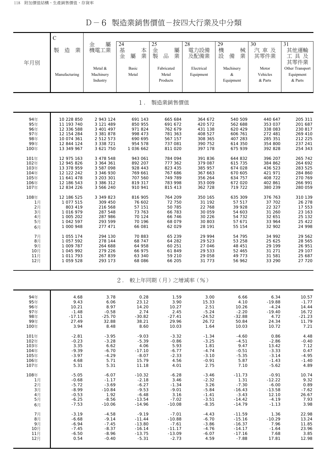D-6 製造業銷售價值-按四大行業及中分類

|              | $\mathsf{C}$             |                                  |                             |                                 |                         |                             |                              |                                         |
|--------------|--------------------------|----------------------------------|-----------------------------|---------------------------------|-------------------------|-----------------------------|------------------------------|-----------------------------------------|
|              | 製<br>造<br>業              | 屬<br>金<br>機電工業                   | 24<br>基<br>本<br>業<br>金<br>屬 | 25<br>金<br>屬<br>製<br>業<br>品     | 28<br>電力設備<br>及配備業      | 29<br>機<br>械<br>設<br>業<br>備 | 30<br>汽車及<br>其零件業            | 31<br>其他運輸<br>工具及<br>其零件業               |
| 年月別          | Manufacturing            | Metal &<br>Machinery<br>Industry | Basic<br>Metal              | Fabricated<br>Metal<br>Products | Electrical<br>Equipment | Machinery<br>&<br>Equipment | Motor<br>Vehicles<br>& Parts | Other Transport<br>Equipment<br>& Parts |
|              |                          |                                  | $1$ .                       | 製造業銷售價值                         |                         |                             |                              |                                         |
| 94年          | 10 228 850               | 2 943 124                        | 691 143                     | 665 684                         | 364 672                 | 540 509                     | 440 647                      | 205 311                                 |
| 95年          | 11 193 740               | 3 121 489                        | 850 955                     | 691 672                         | 420 572                 | 562 688                     | 353 037                      | 201 687                                 |
| 96年          | 12 336 588               | 3 401 497                        | 971824                      | 762 679                         | 431 138                 | 620 429                     | 338 083                      | 230 817                                 |
| 97年<br>98年   | 12 154 284<br>10 074 361 | 3 381 878<br>2 5 1 2 5 7 3       | 998 473<br>690 695          | 781 363<br>567 157              | 408 527<br>308 365      | 606 761<br>407 283          | 272 481<br>285 351           | 269 410<br>212 225                      |
| 99年          | 12 844 124               | 3 3 3 7 2 1                      | 954 578                     | 737 081                         | 390 752                 | 614 350                     | 354 800                      | 237 241                                 |
| 100年         | 13 349 967               | 3 621 750                        | 1 036 662                   | 811 020                         | 397 178                 | 675 939                     | 392 828                      | 254 343                                 |
| 101年         | 12 975 163               | 3 478 548                        | 943 061                     | 784 094                         | 391 836                 | 644 832                     | 396 207                      | 265 742                                 |
| 102年         | 12 945 826               | 3 364 361                        | 892 207                     | 777 362                         | 379 087                 | 615 735                     | 384 862                      | 264 692                                 |
| 103年         | 13 378 959               | 3 587 098                        | 928 443                     | 823 435                         | 385 957                 | 674 028                     | 436 523                      | 283 525                                 |
| 104年         | 12 122 242               | 3 346 930                        | 769 661                     | 767 686                         | 367 663                 | 670 605                     | 421 971                      | 284 860                                 |
| 105年<br>106年 | 11 641 478<br>12 186 543 | 3 203 301<br>3 386 312           | 707 560<br>819 317          | 749 789<br>783 998              | 356 264<br>353 009      | 634 757<br>672 020          | 408 722<br>402 861           | 270 769<br>266 991                      |
| 107年         | 12 834 226               | 3 566 240                        | 910 941                     | 815 413                         | 362 728                 | 719 722                     | 380 239                      | 280 059                                 |
| 108年         | 12 186 525               | 3 349 823                        | 816 905                     | 764 209                         | 350 165                 | 635 309                     | 376 763                      | 310 139                                 |
| 1月           | 1 077 515                | 309 450                          | 76 602                      | 72 750                          | 31 192                  | 57 517                      | 37 702                       | 26 278                                  |
| 2月           | 803 419                  | 216 568                          | 57 151                      | 50 785                          | 22 768                  | 39 928                      | 22 327                       | 17 553                                  |
| 3月<br>4月     | 1 016 979<br>1 005 202   | 287 548<br>287 986               | 73 763<br>70 124            | 66 783<br>66 746                | 30 059<br>30 226        | 54 603<br>54 732            | 31 260<br>32 651             | 23 163<br>25 132                        |
| 5月           | 1 042 597                | 293 599                          | 70 196                      | 68 079                          | 30 803                  | 57 671                      | 33 964                       | 25 422                                  |
| 6月           | 1 000 948                | 277 471                          | 66 081                      | 62 029                          | 28 191                  | 55 154                      | 32 902                       | 24 998                                  |
| 7月           | 1 055 174                | 294 130                          | 70 883                      | 65 239                          | 29 994                  | 54 795                      | 34 992                       | 29 562                                  |
| 8月           | 1 057 592                | 278 144                          | 68 747                      | 64 282                          | 29 523                  | 53 258                      | 25 625                       | 28 565                                  |
| 9月           | 1 009 787                | 264 688                          | 64 958                      | 60 251                          | 27 046                  | 48 451                      | 29 199                       | 26 951                                  |
| 10月          | 1 045 992                | 279 226                          | 66 975                      | 61849                           | 29 533                  | 52 465                      | 31 271                       | 29 107                                  |
| 11月<br>12月   | 1 011 793<br>1 059 528   | 267 839<br>293 173               | 63 340<br>68 086            | 59 210<br>66 205                | 29 058<br>31 773        | 49 773<br>56 962            | 31 581<br>33 290             | 25 687<br>27 720                        |
|              |                          |                                  | $2$ .                       | 較上年同期(月)之增減率(%)                 |                         |                             |                              |                                         |

| 94年  | 4.68     | 3.78     | 0.28     | 1.59     | 3.00     | 6.66     | 6.34     | 10.57    |
|------|----------|----------|----------|----------|----------|----------|----------|----------|
| 95年  | 9.43     | 6.06     | 23.12    | 3.90     | 15.33    | 4.10     | $-19.88$ | $-1.77$  |
| 96年  | 10.21    | 8.97     | 14.20    | 10.27    | 2.51     | 10.26    | $-4.24$  | 14.44    |
| 97年  | $-1.48$  | $-0.58$  | 2.74     | 2.45     | $-5.24$  | $-2.20$  | $-19.40$ | 16.72    |
| 98年  | $-17.11$ | $-25.70$ | $-30.82$ | $-27.41$ | $-24.52$ | $-32.88$ | 4.72     | $-21.23$ |
| 99年  | 27.49    | 32.88    | 38.21    | 29.96    | 26.72    | 50.84    | 24.34    | 11.79    |
| 100年 | 3.94     | 8.48     | 8.60     | 10.03    | 1.64     | 10.03    | 10.72    | 7.21     |
| 101年 | $-2.81$  | $-3.95$  | $-9.03$  | $-3.32$  | $-1.34$  | $-4.60$  | 0.86     | 4.48     |
| 102年 | $-0.23$  | $-3.28$  | $-5.39$  | $-0.86$  | $-3.25$  | $-4.51$  | $-2.86$  | $-0.40$  |
| 103年 | 3.35     | 6.62     | 4.06     | 5.93     | 1.81     | 9.47     | 13.42    | 7.12     |
| 104年 | $-9.39$  | $-6.70$  | $-17.10$ | $-6.77$  | $-4.74$  | $-0.51$  | $-3.33$  | 0.47     |
| 105年 | $-3.97$  | $-4.29$  | $-8.07$  | $-2.33$  | $-3.10$  | $-5.35$  | $-3.14$  | $-4.95$  |
| 106年 | 4.68     | 5.71     | 15.79    | 4.56     | $-0.91$  | 5.87     | $-1.43$  | $-1.40$  |
| 107年 | 5.31     | 5.31     | 11.18    | 4.01     | 2.75     | 7.10     | $-5.62$  | 4.89     |
| 108年 | $-5.05$  | $-6.07$  | $-10.32$ | $-6.28$  | $-3.46$  | $-11.73$ | $-0.91$  | 10.74    |
| 1月   | $-0.68$  | $-1.17$  | $-2.18$  | 3.46     | $-2.32$  | 1.31     | $-12.22$ | 9.32     |
| 2月   | $-5.72$  | $-3.69$  | $-6.27$  | $-1.34$  | 3.26     | $-7.30$  | $-6.00$  | 0.89     |
| 3月   | $-8.99$  | $-10.84$ | $-9.53$  | $-9.01$  | $-5.84$  | $-16.43$ | $-13.58$ | $-7.62$  |
| 4月   | $-0.53$  | 1.92     | $-6.48$  | 3.16     | $-1.41$  | $-3.43$  | 12.10    | 26.67    |
| 5月   | $-6.25$  | $-8.56$  | $-13.54$ | $-7.02$  | $-3.51$  | $-14.42$ | $-4.19$  | 7.93     |
| 6月   | $-7.53$  | $-10.06$ | $-14.96$ | $-10.08$ | $-8.35$  | $-14.79$ | $-1.13$  | 3.98     |
| 7月   | $-3.19$  | $-4.58$  | $-9.19$  | $-7.01$  | $-4.43$  | $-11.59$ | 1.36     | 22.98    |
| 8月   | $-6.68$  | $-9.14$  | $-11.44$ | $-10.88$ | $-6.70$  | $-15.16$ | $-10.29$ | 13.24    |
| 9月   | $-6.94$  | $-7.45$  | $-13.80$ | $-7.61$  | $-3.86$  | $-16.37$ | 7.96     | 11.85    |
| 10月  | $-7.45$  | $-8.37$  | $-16.14$ | $-11.17$ | $-4.76$  | $-14.17$ | $-1.64$  | 23.96    |
| 11月  | $-6.50$  | $-8.96$  | $-13.75$ | $-13.09$ | $-6.07$  | $-17.16$ | 7.68     | 3.85     |
| 12月  | 0.54     | $-0.40$  | $-5.31$  | $-2.73$  | 4.59     | $-7.88$  | 17.81    | 12.98    |
|      |          |          |          |          |          |          |          |          |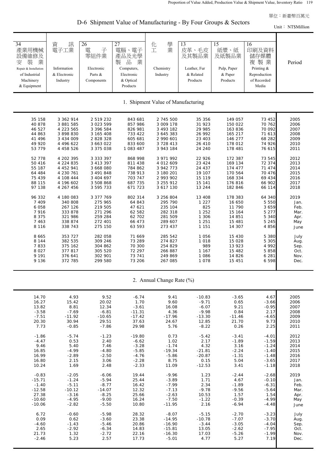D-6 Shipment Value of Manufacturing - By Four Groups & Sectors

Unit: NT\$Million

| $\overline{34}$<br>產業用機械<br>設備維修及<br>装<br>業<br>安<br>Repair & Installation<br>of Industrial<br>Machinery<br>& Equipment | 訊<br>資<br>電子工業<br>Information<br>& Electronic<br>Industry | 26<br>電<br>子<br>零組件業<br>Electronic<br>Parts &<br>Components | 27<br>電腦、電子<br>產品及光學<br>品<br>製<br>業<br>Computers,<br>Electronic<br>& Optical<br>Products | 學<br>化<br>業<br>工<br>Chemistry<br>Industry | 13<br>皮革、毛皮<br>及其製品業<br>Leather, Fur<br>& Related<br>Products | 15<br>紙漿、紙<br>及紙製品業<br>Pulp, Paper<br>& Paper<br>Products | 16<br>印刷及資料<br>儲存媒體<br>複製業<br>Printing &<br>Reproduction<br>of Recorded<br>Media | Period |
|------------------------------------------------------------------------------------------------------------------------|-----------------------------------------------------------|-------------------------------------------------------------|------------------------------------------------------------------------------------------|-------------------------------------------|---------------------------------------------------------------|-----------------------------------------------------------|----------------------------------------------------------------------------------|--------|
|                                                                                                                        |                                                           |                                                             |                                                                                          | 1. Shipment Value of Manufacturing        |                                                               |                                                           |                                                                                  |        |
| 35 158                                                                                                                 | 3 362 914                                                 | 2 519 232                                                   | 843 681                                                                                  | 2 745 500                                 | 35 356                                                        | 149 057                                                   | 73 452                                                                           | 2005   |
| 40 878                                                                                                                 | 3 881 585                                                 | 3 023 599                                                   | 857 986                                                                                  | 3 009 178                                 | 31 923                                                        | 150 022                                                   | 70 762                                                                           | 2006   |
| 46 527                                                                                                                 | 4 223 565                                                 | 3 396 584                                                   | 826 981                                                                                  | 3 493 182                                 | 29 985                                                        | 163 836                                                   | 70 092                                                                           | 2007   |
| 44 863                                                                                                                 | 3 898 830                                                 | 3 165 408                                                   | 733 422                                                                                  | 3 645 383                                 | 26 992                                                        | 165 217                                                   | 71 613                                                                           | 2008   |
| 41 496                                                                                                                 | 3 434 009                                                 | 2 828 328                                                   | 605 681                                                                                  | 2 990 601                                 | 23 403                                                        | 146 277                                                   | 68 282                                                                           | 2009   |
| 49 920                                                                                                                 | 4 496 622                                                 | 3 663 022                                                   | 833 600                                                                                  | 3 728 413                                 | 26 410                                                        | 178 012                                                   | 74 926                                                                           | 2010   |
| 53 779                                                                                                                 | 4 458 526                                                 | 3 375 038                                                   | 1 083 487                                                                                | 3 943 184                                 | 24 240                                                        | 178 481                                                   | 76 615                                                                           | 2011   |
| 52 778                                                                                                                 | 4 202 395                                                 | 3 3 3 3 3 9 7                                               | 868 998                                                                                  | 3 971 992                                 | 22 926                                                        | 172 387                                                   | 73 545                                                                           | 2012   |
| 50 416                                                                                                                 | 4 224 835                                                 | 3 413 397                                                   | 811 438                                                                                  | 4 012 609                                 | 23 4 24                                                       | 169 134                                                   | 72 374                                                                           | 2013   |
| 55 187                                                                                                                 | 4 452 941                                                 | 3 668 080                                                   | 784 862                                                                                  | 3 942 773                                 | 24 437                                                        | 174 477                                                   | 71 474                                                                           | 2014   |
| 64 484                                                                                                                 | 4 230 761                                                 | 3 491 848                                                   | 738 913                                                                                  | 3 180 201                                 | 19 107                                                        | 170 564                                                   | 70 476                                                                           | 2015   |
| 75 439                                                                                                                 | 4 108 444                                                 | 3 404 697                                                   | 703 747                                                                                  | 2 993 902                                 | 15 119                                                        | 168 334                                                   | 69 434                                                                           | 2016   |
| 88 115                                                                                                                 | 4 196 602                                                 | 3 508 868                                                   | 687 735                                                                                  | 3 255 912                                 | 15 141                                                        | 176816                                                    | 66 902                                                                           | 2017   |
| 97 138                                                                                                                 | 4 267 456                                                 | 3 595 733                                                   | 671 723                                                                                  | 3 617 130                                 | 13 244                                                        | 182 846                                                   | 66 114                                                                           | 2018   |
| 96 332                                                                                                                 | 4 180 083                                                 | 3 377 769                                                   | 802 314                                                                                  | 3 256 804                                 | 13 408                                                        | 178 383                                                   | 64 340                                                                           | 2019   |
| 7 4 0 9                                                                                                                | 340 808                                                   | 275 965                                                     | 64 843                                                                                   | 295 790                                   | 1 2 2 7                                                       | 16 650                                                    | 5 5 5 0                                                                          | Jan.   |
| 6 0 5 8                                                                                                                | 267 126                                                   | 219 505                                                     | 47 621                                                                                   | 235 104                                   | 825                                                           | 11 790                                                    | 3659                                                                             | Feb.   |
| 7916                                                                                                                   | 333 878                                                   | 271 296                                                     | 62 582                                                                                   | 282 318                                   | 1 2 5 2                                                       | 15 164                                                    | 5 2 7 7                                                                          | Mar.   |
| 8 3 7 5                                                                                                                | 321 986                                                   | 259 284                                                     | 62 702                                                                                   | 281 509                                   | 1 3 0 6                                                       | 14 851                                                    | 5 3 4 0                                                                          | Apr.   |
| 7 4 6 3                                                                                                                | 338 874                                                   | 272 401                                                     | 66 473                                                                                   | 289 607                                   | 1 2 5 1                                                       | 15 481                                                    | 5 2 4 5                                                                          | May    |
| 8 1 1 6                                                                                                                | 338 743                                                   | 275 150                                                     | 63 593                                                                                   | 273 437                                   | 1 1 5 1                                                       | 14 307                                                    | 4 8 5 6                                                                          | June   |
| 8 6 6 5                                                                                                                | 353 727                                                   | 282 058                                                     | 71 669                                                                                   | 285 542                                   | 1 0 5 6                                                       | 15 430                                                    | 5 3 8 0                                                                          | July   |
| 8 1 4 4                                                                                                                | 382 535                                                   | 309 246                                                     | 73 289                                                                                   | 274 827                                   | 1 0 1 8                                                       | 15 0 28                                                   | 5 3 0 5                                                                          | Aug.   |
| 7833                                                                                                                   | 375 162                                                   | 304 862                                                     | 70 300                                                                                   | 254 829                                   | 989                                                           | 13 923                                                    | 4 9 9 2                                                                          | Sep.   |
| 8 0 2 7                                                                                                                | 377 817                                                   | 305 520                                                     | 72 297                                                                                   | 266 887                                   | 1 1 6 7                                                       | 15 482                                                    | 5 8 5 8                                                                          | Oct.   |
| 9 1 9 1                                                                                                                | 376 641                                                   | 302 901                                                     | 73 741                                                                                   | 249 869                                   | 1 0 8 6                                                       | 14 8 26                                                   | 6 2 8 1                                                                          | Nov.   |
| 9 1 3 6                                                                                                                | 372 785                                                   | 299 580                                                     | 73 206                                                                                   | 267 085                                   | 1 0 7 8                                                       | 15 451                                                    | 6 5 9 8                                                                          | Dec.   |
|                                                                                                                        |                                                           |                                                             |                                                                                          | 2. Annual Change Rate (%)                 |                                                               |                                                           |                                                                                  |        |
| 14.70                                                                                                                  | 4.93                                                      | 9.52                                                        | $-6.74$                                                                                  | 9.41                                      | $-10.83$                                                      | $-3.65$                                                   | 4.67                                                                             | 2005   |
| 16.27                                                                                                                  | 15.42                                                     | 20.02                                                       | 1.70                                                                                     | 9.60                                      | $-9.71$                                                       | 0.65                                                      | $-3.66$                                                                          | 2006   |
| 13.82                                                                                                                  | 8.81                                                      | 12.34                                                       | $-3.61$                                                                                  | 16.08                                     | $-6.07$                                                       | 9.21                                                      | $-0.95$                                                                          | 2007   |
| $-3.58$                                                                                                                | $-7.69$                                                   | $-6.81$                                                     | $-11.31$                                                                                 | 4.36                                      | $-9.98$                                                       | 0.84                                                      | 2.17                                                                             | 2008   |
| $-7.51$                                                                                                                | $-11.92$                                                  | $-10.65$                                                    | $-17.42$                                                                                 | $-17.96$                                  | $-13.30$                                                      | $-11.46$                                                  | $-4.65$                                                                          | 2009   |
| 20.30                                                                                                                  | 30.94                                                     | 29.51                                                       | 37.63                                                                                    | 24.67                                     | 12.85                                                         | 21.70                                                     | 9.73                                                                             | 2010   |
| 7.73                                                                                                                   | $-0.85$                                                   | $-7.86$                                                     | 29.98                                                                                    | 5.76                                      | $-8.22$                                                       | 0.26                                                      | 2.25                                                                             | 2011   |
| $-1.86$                                                                                                                | $-5.74$                                                   | $-1.23$                                                     | $-19.80$                                                                                 | 0.73                                      | $-5.42$                                                       | $-3.41$                                                   | $-4.01$                                                                          | 2012   |
| $-4.47$                                                                                                                | 0.53                                                      | 2.40                                                        | $-6.62$                                                                                  | 1.02                                      | 2.17                                                          | $-1.89$                                                   | $-1.59$                                                                          | 2013   |
| 9.46                                                                                                                   | 5.40                                                      | 7.46                                                        | $-3.28$                                                                                  | $-1.74$                                   | 4.32                                                          | 3.16                                                      | $-1.24$                                                                          | 2014   |
| 16.85                                                                                                                  | $-4.99$                                                   | $-4.80$                                                     | $-5.85$                                                                                  | $-19.34$                                  | $-21.81$                                                      | $-2.24$                                                   | $-1.40$                                                                          | 2015   |
| 16.99                                                                                                                  | $-2.89$                                                   | $-2.50$                                                     | $-4.76$                                                                                  | $-5.86$                                   | $-20.87$                                                      | $-1.31$                                                   | $-1.48$                                                                          | 2016   |
| 16.80                                                                                                                  | 2.15                                                      | 3.06                                                        | $-2.28$                                                                                  | 8.75                                      | 0.15                                                          | 5.04                                                      | $-3.65$                                                                          | 2017   |
| 10.24                                                                                                                  | 1.69                                                      | 2.48                                                        | $-2.33$                                                                                  | 11.09                                     | $-12.53$                                                      | 3.41                                                      | $-1.18$                                                                          | 2018   |
| $-0.83$                                                                                                                | $-2.05$                                                   | $-6.06$                                                     | 19.44                                                                                    | $-9.96$                                   | 1.23                                                          | $-2.44$                                                   | $-2.68$                                                                          | 2019   |
| $-15.71$                                                                                                               | $-1.24$                                                   | $-5.94$                                                     | 25.44                                                                                    | $-3.89$                                   | 1.71                                                          | 4.67                                                      | $-0.10$                                                                          | Jan.   |
| $-1.40$                                                                                                                | $-5.11$                                                   | $-8.77$                                                     | 16.42                                                                                    | $-7.99$                                   | 2.34                                                          | $-1.89$                                                   | $-6.31$                                                                          | Feb.   |
| $-12.58$                                                                                                               | $-10.12$                                                  | $-14.07$                                                    | 12.32                                                                                    | $-7.13$                                   | $-9.78$                                                       | $-9.56$                                                   | $-5.64$                                                                          | Mar.   |
| 27.38                                                                                                                  | $-3.16$                                                   | $-8.25$                                                     | 25.66                                                                                    | $-2.63$                                   | 10.53                                                         | 1.57                                                      | 1.54                                                                             | Apr.   |
| $-10.60$                                                                                                               | $-4.95$                                                   | $-9.00$                                                     | 16.24                                                                                    | $-7.50$                                   | $-1.22$                                                       | $-0.39$                                                   | $-4.99$                                                                          | May    |
| $-10.06$                                                                                                               | $-2.82$                                                   | $-5.50$                                                     | 10.80                                                                                    | $-11.95$                                  | 2.16                                                          | $-6.94$                                                   | $-4.48$                                                                          | June   |
| 6.72                                                                                                                   | $-0.60$                                                   | $-5.98$                                                     | 28.32                                                                                    | $-8.07$                                   | $-5.15$                                                       | $-2.70$                                                   | $-3.23$                                                                          | July   |
| 0.09                                                                                                                   | 0.62                                                      | $-3.60$                                                     | 23.38                                                                                    | $-14.95$                                  | $-10.78$                                                      | $-7.07$                                                   | $-3.70$                                                                          | Aug.   |
| $-4.60$                                                                                                                | $-1.43$                                                   | $-5.46$                                                     | 20.86                                                                                    | $-16.90$                                  | $-3.44$                                                       | $-3.05$                                                   | $-4.04$                                                                          | Sep.   |
| 2.65                                                                                                                   | $-2.92$                                                   | $-6.34$                                                     | 14.83                                                                                    | $-15.81$                                  | 13.05                                                         | $-2.62$                                                   | $-7.95$                                                                          | Oct.   |
| 21.73                                                                                                                  | 1.32                                                      | $-2.72$                                                     | 22.16                                                                                    | $-16.30$                                  | 17.03                                                         | $-5.26$                                                   | $-1.99$                                                                          | Nov.   |
| $-2.46$                                                                                                                | 5.23                                                      | 2.57                                                        | 17.73                                                                                    | $-5.01$                                   | 4.77                                                          | 5.27                                                      | 7.19                                                                             | Dec.   |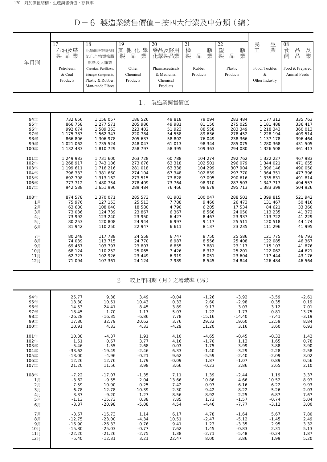## D-6 製造業銷售價值-按四大行業及中分類(續)

| 年月別  | $\overline{17}$<br>石油及煤<br>製品業 | 18<br>化學原材料肥料<br>氮化合物塑橡膠<br>原料及人纖業 | 19<br>其<br>他<br>學<br>化<br>製<br>品<br>業 | 20<br>藥品及醫用<br>化學製品業 | 21<br>橡<br>膠<br>業<br>製<br>品 | 22<br>塑<br>膠<br>品<br>業<br>製 | 生<br>民<br>業<br>工 | 08<br>品<br>食<br>及<br>業<br>品<br>飼 |
|------|--------------------------------|------------------------------------|---------------------------------------|----------------------|-----------------------------|-----------------------------|------------------|----------------------------------|
|      | Petroleum                      | Chemical, Fertilizers,             | Other                                 | Pharmaceuticals      | Rubber                      | Plastic                     | Food, Textiles   | Food & Prepared                  |
|      | & Coal                         | Nitrogen Compounds,                | Chemical                              | & Medicinal          | Products                    | Products                    | $\&$             | Animal Feeds                     |
|      | Products                       | Plastic & Rubber,                  | Products                              | Chemical             |                             |                             | Other Industry   |                                  |
|      |                                | Man-made Fibres                    |                                       | Products             |                             |                             |                  |                                  |
|      |                                |                                    |                                       |                      |                             |                             |                  |                                  |
|      |                                |                                    | $1$ .                                 | 製造業銷售價值              |                             |                             |                  |                                  |
| 94年  | 732 656                        | 1 156 057                          | 186 526                               | 49 818               | 79 094                      | 283 484                     | 1 177 312        | 335 763                          |
| 95年  | 866 758                        | 1 277 571                          | 205 986                               | 49 981               | 81 150                      | 275 025                     | 1 181 488        | 336 417                          |
| 96年  | 992 674                        | 1 589 363                          | 223 402                               | 51 923               | 88 558                      | 283 349                     | 1 218 343        | 360 013                          |
| 97年  | 1 175 783                      | 1 562 347                          | 220 784                               | 54 558               | 89 636                      | 278 452                     | 1 228 194        | 409 514                          |
| 98年  | 866 806                        | 1 306 978                          | 205 637                               | 58 802               | 76 049                      | 238 366                     | 1 137 178        | 396 464                          |
| 99年  | 1 021 062                      | 1 735 524                          | 248 047                               | 61 013               | 98 344                      | 285 075                     | 1 280 368        | 431 505                          |
| 100年 | 1 132 483                      | 1 810 729                          | 258 797                               | 58 395               | 109 363                     | 294 080                     | 1 326 508        | 461 413                          |
| 101年 | 1 249 983                      | 1 731 600                          | 263 728                               | 60 788               | 104 274                     | 292 762                     | 1 322 227        | 467 983                          |
| 102年 | 1 268 917                      | 1 743 186                          | 273 676                               | 63 318               | 102 501                     | 296 079                     | 1 344 021        | 471 655                          |
| 103年 | 1 199 611                      | 1 716 216                          | 281 018                               | 63 338               | 104 299                     | 307 904                     | 1 396 146        | 490 050                          |
| 104年 | 796 333                        | 1 381 660                          | 274 104                               | 67 348               | 102 839                     | 297 770                     | 1 364 351        | 477 396                          |
| 105年 | 692 798                        | 1 313 162                          | 273 515                               | 73 828               | 97 095                      | 290 616                     | 1 335 831        | 491 814                          |
| 106年 | 777 712                        | 1 480 754                          | 278 409                               | 73 764               | 98 910                      | 287 503                     | 1 347 717        | 494 557                          |
| 107年 | 942 588                        | 1 651 996                          | 289 484                               | 76 466               | 98 679                      | 295 713                     | 1 383 399        | 504 926                          |
| 108年 | 874 578                        | 1 370 071                          | 285 573                               | 81 903               | 100 047                     | 288 501                     | 1 399 815        | 521 942                          |
| 1月   | 75 976                         | 127 153                            | 25 513                                | 7 7 8 8              | 9 4 6 0                     | 26 473                      | 131 467          | 50 416                           |
| 2月   | 63 680                         | 108 040                            | 18 580                                | 4 7 9 0              | 6 205                       | 17 534                      | 84 621           | 33 360                           |
| 3月   | 73 036                         | 124 739                            | 23 867                                | 6 3 6 7              | 8 5 6 6                     | 24 050                      | 113 235          | 41 372                           |
| 4月   | 73 992                         | 123 240                            | 23 950                                | 6 4 2 7              | 8 4 6 7                     | 23 937                      | 113 722          | 41 229                           |
| 5月   | 80 253                         | 120 808                            | 24 944                                | 6 9 9 7              | 9 1 1 7                     | 25 511                      | 120 518          | 44 174                           |
| 6月   | 81 942                         | 110 250                            | 22 947                                | 6 6 1 1              | 8 1 3 7                     | 23 235                      | 111 296          | 41 995                           |
| 7月   | 80 248                         | 117 788                            | 24 558                                | 6 7 4 7              | 8 7 5 0                     | 25 586                      | 121 775          | 46 793                           |
| 8月   | 74 039                         | 113 715                            | 24 770                                | 6 9 8 7              | 8 5 5 6                     | 25 408                      | 122 085          | 46 367                           |
| 9月   | 69 467                         | 103 797                            | 23 807                                | 6855                 | 7881                        | 23 117                      | 115 107          | 41 876                           |
| 10月  | 68 124                         | 110 252                            | 25 065                                | 7 4 2 6              | 8 3 1 2                     | 25 201                      | 122 062          | 44 621                           |
| 11月  | 62 727                         | 102 926                            | 23 4 4 9                              | 6919                 | 8 0 5 1                     | 23 604                      | 117 444          | 43 176                           |
| 12月  | 71 094                         | 107 361                            | 24 124                                | 7989                 | 8 5 4 5                     | 24 844                      | 126 484          | 46 564                           |
|      |                                |                                    |                                       |                      |                             |                             |                  |                                  |

## 2. 較上年同期(月)之增減率(%)

| 94年  | 25.77    | 9.38     | 3.49     | $-0.04$ | $-1.26$  | $-3.92$  |         |         |
|------|----------|----------|----------|---------|----------|----------|---------|---------|
|      |          |          |          |         |          |          | $-3.59$ | $-2.61$ |
| 95年  | 18.30    | 10.51    | 10.43    | 0.33    | 2.60     | $-2.98$  | 0.35    | 0.19    |
| 96年  | 14.53    | 24.41    | 8.45     | 3.89    | 9.13     | 3.03     | 3.12    | 7.01    |
| 97年  | 18.45    | $-1.70$  | $-1.17$  | 5.07    | 1.22     | $-1.73$  | 0.81    | 13.75   |
| 98年  | $-26.28$ | $-16.35$ | $-6.86$  | 7.78    | $-15.16$ | $-14.40$ | $-7.41$ | $-3.19$ |
| 99年  | 17.80    | 32.79    | 20.62    | 3.76    | 29.32    | 19.60    | 12.59   | 8.84    |
| 100年 | 10.91    | 4.33     | 4.33     | $-4.29$ | 11.20    | 3.16     | 3.60    | 6.93    |
| 101年 | 10.38    | $-4.37$  | 1.91     | 4.10    | $-4.65$  | $-0.45$  | $-0.32$ | 1.42    |
| 102年 | 1.51     | 0.67     | 3.77     | 4.16    | $-1.70$  | 1.13     | 1.65    | 0.78    |
| 103年 | $-5.46$  | $-1.55$  | 2.68     | 0.03    | 1.75     | 3.99     | 3.88    | 3.90    |
| 104年 | $-33.62$ | $-19.49$ | $-2.46$  | 6.33    | $-1.40$  | $-3.29$  | $-2.28$ | $-2.58$ |
| 105年 | $-13.00$ | $-4.96$  | $-0.21$  | 9.62    | $-5.59$  | $-2.40$  | $-2.09$ | 3.02    |
| 106年 | 12.26    | 12.76    | 1.79     | $-0.09$ | 1.87     | $-1.07$  | 0.89    | 0.56    |
| 107年 | 21.20    | 11.56    | 3.98     | 3.66    | $-0.23$  | 2.86     | 2.65    | 2.10    |
| 108年 | $-7.22$  | $-17.07$ | $-1.35$  | 7.11    | 1.39     | $-2.44$  | 1.19    | 3.37    |
| 1月   | $-3.62$  | $-9.55$  | 2.04     | 13.66   | 10.86    | 4.66     | 10.52   | 8.93    |
| 2月   | $-7.59$  | $-10.90$ | $-0.25$  | $-7.42$ | 0.97     | $-6.16$  | $-6.22$ | $-9.93$ |
| 3月   | 6.78     | $-12.78$ | $-10.39$ | $-2.30$ | $-9.42$  | $-8.22$  | $-5.26$ | $-2.03$ |
|      | 3.37     | $-9.20$  | 1.27     | 8.56    | 8.92     | 2.25     | 6.87    | 7.67    |
| 4月   | $-1.13$  | $-15.73$ | 0.38     | 7.85    | 1.73     | $-1.57$  | $-0.74$ | 5.04    |
| 5月   |          |          |          |         |          |          |         |         |
| 6月   | $-3.87$  | $-20.98$ | $-5.08$  | 4.54    | $-4.46$  | $-7.77$  | $-3.12$ | 3.00    |
| 7月   | $-3.67$  | $-15.73$ | 1.14     | 6.17    | 4.78     | $-1.64$  | 5.67    | 7.80    |
| 8月   | $-12.75$ | $-23.00$ | $-4.34$  | 10.51   | $-2.47$  | $-5.12$  | $-1.45$ | 2.49    |
| 9月   | $-16.90$ | $-26.33$ | 0.76     | 9.41    | 1.23     | $-3.35$  | 2.95    | 3.32    |
| 10月  | $-15.80$ | $-25.03$ | $-0.77$  | 7.62    | 1.45     | $-0.83$  | 2.31    | 5.13    |
| 11月  | $-22.20$ | $-21.26$ | $-2.75$  | 1.38    | $-2.71$  | $-5.48$  | $-0.24$ | 1.87    |
| 12月  | $-5.40$  | $-12.31$ | 3.21     | 22.47   | 8.00     | 3.86     | 1.99    | 5.20    |
|      |          |          |          |         |          |          |         |         |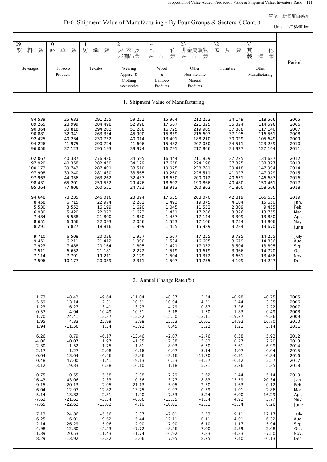D-6 Shipment Value of Manufacturing - By Four Groups & Sectors (Cont.)

Unit: NT\$Million

| $\overline{09}$<br>業<br>飲<br>料<br><b>Beverages</b> | 10<br>草<br>菸<br>業<br>Tobacco       | 11<br>紡<br>織<br>業<br>Textiles | 12<br>成衣及<br>服飾品業<br>Wearing | 14<br>木<br>竹<br>業<br>品<br>製<br>Wood | 23<br>非金屬礦物<br>製<br>品<br>業<br>Other | 32<br>家<br>具<br>業<br>Furniture | 33<br>其<br>他<br>業<br>製<br>造<br>Other | Period |  |  |
|----------------------------------------------------|------------------------------------|-------------------------------|------------------------------|-------------------------------------|-------------------------------------|--------------------------------|--------------------------------------|--------|--|--|
|                                                    | Products                           |                               | Apparel &<br>Clothing        | &<br>Bamboo                         | Non-metallic<br>Mineral             |                                | Manufacturing                        |        |  |  |
|                                                    |                                    |                               | Accessories                  | Products                            | Products                            |                                |                                      |        |  |  |
|                                                    | 1. Shipment Value of Manufacturing |                               |                              |                                     |                                     |                                |                                      |        |  |  |
| 84 539                                             | 25 632                             | 291 225                       | 59 221                       | 15 964                              | 212 253                             | 34 149                         | 118 566                              | 2005   |  |  |
| 89 265                                             | 28 999                             | 284 498                       | 52 998                       | 17 567                              | 221 825                             | 35 324                         | 114 596                              | 2006   |  |  |
| 90 364                                             | 30 818                             | 294 202                       | 51 288                       | 16 725                              | 219 905                             | 37 888                         | 117 140                              | 2007   |  |  |
| 90 881                                             | 32 341                             | 263 334                       | 45 900                       | 15 859                              | 216 607                             | 37 195                         | 116 561                              | 2008   |  |  |
| 92 425                                             | 40 234                             | 230 752                       | 40 014                       | 13 401                              | 188 210                             | 30 0 29                        | 105 649                              | 2009   |  |  |
| 94 226                                             | 41 975                             | 290 724                       | 41 606                       | 15 482                              | 207 050                             | 34 511                         | 123 289                              | 2010   |  |  |
| 96 056                                             | 37 123                             | 295 193                       | 39 974                       | 16 791                              | 217 866                             | 34 927                         | 127 164                              | 2011   |  |  |
| 102 067                                            | 40 387                             | 276 980                       | 34 595                       | 16 444                              | 211 859                             | 37 225                         | 134 687                              | 2012   |  |  |
| 97 920                                             | 40 358                             | 282 450                       | 34 129                       | 17 658                              | 224 198                             | 37 325                         | 138 327                              | 2013   |  |  |
| 100 173                                            | 39 743                             | 287 401                       | 33 510                       | 19 075                              | 238 781                             | 39 418                         | 147 994                              | 2014   |  |  |
| 97 998                                             | 39 240                             | 281 430                       | 33 565                       | 19 260                              | 226 511                             | 41 023                         | 147 929                              | 2015   |  |  |
| 97 963                                             | 44 356                             | 263 262                       | 32 437                       | 18 650                              | 200 012                             | 40 651                         | 146 687                              | 2016   |  |  |
| 98 431                                             | 65 201                             | 259 552                       | 29 4 7 6                     | 18 692                              | 190 866                             | 40 480                         | 150 461                              | 2017   |  |  |
| 95 364                                             | 77 806                             | 260 551                       | 24 731                       | 18 913                              | 200 802                             | 41 800                         | 158 506                              | 2018   |  |  |
| 94 648                                             | 78 235                             | 246 016                       | 23 894                       | 17 535                              | 208 070                             | 42 819                         | 166 655                              | 2019   |  |  |
| 8 4 5 8                                            | 6 7 1 5                            | 22 974                        | 2 2 8 2                      | 1 4 9 3                             | 19 375                              | 4 104                          | 15 650                               | Jan.   |  |  |
| 5 5 3 0                                            | 3 5 5 2                            | 16 199                        | 1 6 2 0                      | 1 0 4 5                             | 11 552                              | 2 3 0 9                        | 9 4 5 5                              | Feb.   |  |  |
| 6 9 3 0                                            | 5 4 2 0                            | 22 072                        | 1 6 2 3                      | 1 4 5 1                             | 17 286                              | 3 3 2 6                        | 13 755                               | Mar.   |  |  |
| 7 4 8 4                                            | 5 5 3 8                            | 21 800                        | 1880                         | 1 4 5 7                             | 17 144                              | 3 3 0 9                        | 13 880                               | Apr.   |  |  |
| 8 6 5 1                                            | 6 3 5 6                            | 22 093                        | 2 0 5 6                      | 1 5 2 3                             | 17 106                              | 3 7 5 4                        | 14 806                               | May    |  |  |
| 8 2 9 1                                            | 5827                               | 18 816                        | 1999                         | 1 4 2 5                             | 15 989                              | 3 2 8 4                        | 13 670                               | June   |  |  |
| 9 7 1 0                                            | 6 5 0 8                            | 20 036                        | 1927                         | 1 5 6 7                             | 17 255                              | 3725                           | 14 255                               | July   |  |  |
| 9 4 5 1                                            | 6 211                              | 21 412                        | 1 9 9 0                      | 1 5 3 4                             | 16 605                              | 3679                           | 14 836                               | Aug.   |  |  |
| 7923                                               | 7 4 8 8                            | 20 164                        | 1 805                        | 1 4 2 1                             | 17 032                              | 3 5 0 4                        | 13 895                               | Sep.   |  |  |
| 7 5 1 1                                            | 6 6 5 2                            | 21 181                        | 2 2 7 2                      | 1519                                | 19 619                              | 3 966                          | 14 720                               | Oct.   |  |  |
| 7 1 1 4                                            | 7 791                              | 19 211                        | 2 1 2 9                      | 1 504                               | 19 372                              | 3 661                          | 13 486                               | Nov.   |  |  |
| 7 5 9 6                                            | 10 177                             | 20 059                        | 2 3 1 1                      | 1 5 9 7                             | 19 735                              | 4 199                          | 14 247                               | Dec.   |  |  |
|                                                    |                                    |                               |                              |                                     |                                     |                                |                                      |        |  |  |
|                                                    |                                    |                               |                              | 2. Annual Change Rate (%)           |                                     |                                |                                      |        |  |  |
| 1.73                                               | $-8.42$                            | $-9.64$                       | $-11.04$                     | $-8.37$                             | 3.54                                | $-0.98$                        | $-0.75$                              | 2005   |  |  |
| 5.59                                               | 13.14                              | $-2.31$                       | $-10.51$                     | 10.04                               | 4.51                                | 3.44                           | $-3.35$                              | 2006   |  |  |
| 1.23                                               | 6.27                               | 3.41                          | $-3.23$                      | $-4.79$                             | $-0.87$                             | 7.26                           | 2.22                                 | 2007   |  |  |
| 0.57                                               | 4.94                               | $-10.49$                      | $-10.51$                     | $-5.18$                             | $-1.50$                             | $-1.83$                        | $-0.49$                              | 2008   |  |  |
| 1.70                                               | 24.41                              | $-12.37$                      | $-12.82$                     | $-15.50$                            | $-13.11$                            | -19.27                         | $-9.36$                              | 2009   |  |  |
| 1.95                                               | 4.33                               | 25.99                         | 3.98                         | 15.53                               | 10.01                               | 14.92                          | 16.70                                | 2010   |  |  |
| 1.94                                               | $-11.56$                           | 1.54                          | $-3.92$                      | 8.45                                | 5.22                                | 1.21                           | 3.14                                 | 2011   |  |  |
| 6.26                                               | 8.79                               | $-6.17$                       | $-13.46$                     | $-2.07$                             | $-2.76$                             | 6.58                           | 5.92                                 | 2012   |  |  |
| $-4.06$                                            | $-0.07$                            | 1.97                          | $-1.35$                      | 7.38                                | 5.82                                | 0.27                           | 2.70                                 | 2013   |  |  |
| 2.30                                               | $-1.52$                            | 1.75                          | $-1.81$                      | 8.03                                | 6.50                                | 5.61                           | 6.99                                 | 2014   |  |  |
| $-2.17$                                            | $-1.27$                            | $-2.08$                       | 0.16                         | 0.97                                | $-5.14$                             | 4.07                           | $-0.04$                              | 2015   |  |  |
| $-0.04$                                            | 13.04                              | $-6.46$                       | $-3.36$                      | $-3.16$                             | $-11.70$                            | $-0.91$                        | $-0.84$                              | 2016   |  |  |
| 0.48                                               | 47.00                              | $-1.41$                       | $-9.13$                      | 0.23                                | $-4.57$                             | $-0.42$                        | 2.57                                 | 2017   |  |  |
| $-3.12$                                            | 19.33                              | 0.38                          | $-16.10$                     | 1.18                                | 5.21                                | 3.26                           | 5.35                                 | 2018   |  |  |
| $-0.75$                                            | 0.55                               | $-5.58$                       | $-3.38$                      | $-7.29$                             | 3.62                                | 2.44                           | 5.14                                 | 2019   |  |  |
| 16.43                                              | 43.06                              | 2.33                          | $-0.56$                      | $-3.77$                             | 8.83                                | 13.59                          | 20.34                                | Jan.   |  |  |
| $-9.15$                                            | $-20.13$                           | 2.05                          | $-21.13$                     | $-5.05$                             | $-2.30$                             | $-1.63$                        | $-0.12$                              | Feb.   |  |  |
| $-6.04$                                            | $-12.97$                           | $-12.82$                      | $-13.75$                     | $-9.97$                             | $-0.39$                             | $-1.01$                        | $-2.86$                              | Mar.   |  |  |
| 5.14                                               | 13.82                              | 2.31                          | $-1.40$                      | $-7.53$                             | 5.24                                | 6.00                           | 16.29                                | Apr.   |  |  |
| $-7.63$                                            | $-21.61$                           | $-3.34$                       | $-0.06$                      | $-13.55$                            | $-1.54$                             | 4.92                           | 3.77                                 | May    |  |  |
| $-7.65$                                            | $-22.62$                           | $-13.02$                      | 4.10                         | $-10.01$                            | $-2.31$                             | $-5.34$                        | 8.26                                 | June   |  |  |
| 7.13                                               | 24.86                              | $-5.56$                       | 3.37                         | $-7.01$                             | 3.53                                | 9.11                           | 12.17                                | July   |  |  |
| $-6.25$                                            | $-6.01$                            | $-9.62$                       | $-5.44$                      | $-12.11$                            | $-0.11$                             | $-4.01$                        | 6.32                                 | Aug.   |  |  |
| $-2.14$                                            | 26.29                              | $-5.06$                       | 2.90                         | $-7.90$                             | 6.10                                | $-1.17$                        | 5.94                                 | Sep.   |  |  |

-4.98 12.80 -5.53 -7.72 -8.56 7.00 5.39 2.08 Oct. 1.39 20.53 -11.43 -1.74 -6.92 7.83 -4.83 -7.50 Nov. 8.29 -13.92 -3.82 2.06 7.95 8.75 7.40 -0.13 Dec.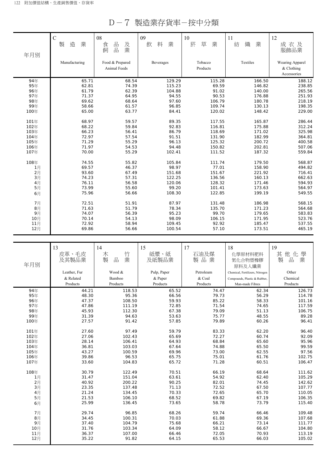D-7 製造業存貨率-按中分類

|      | $\mathsf{C}$  | 08              | 09          | 10          | 11          | 12              |
|------|---------------|-----------------|-------------|-------------|-------------|-----------------|
|      | 造<br>製<br>業   | 品<br>及<br>食     | 業<br>飲<br>料 | 菸<br>草<br>業 | 紡<br>織<br>業 | 成衣及             |
| 年月別  |               | 業<br>品<br>飼     |             |             |             | 服飾品業            |
|      | Manufacturing | Food & Prepared | Beverages   | Tobacco     | Textiles    | Wearing Apparel |
|      |               | Animal Feeds    |             | Products    |             | & Clothing      |
|      |               |                 |             |             |             | Accessories     |
| 94年  | 65.71         | 68.54           | 129.29      | 115.28      | 166.50      | 188.12          |
| 95年  | 62.81         | 74.39           | 115.23      | 69.59       | 146.82      | 238.85          |
| 96年  | 61.79         | 62.39           | 104.88      | 91.02       | 140.00      | 265.56          |
| 97年  | 71.37         | 64.95           | 94.55       | 90.53       | 176.88      | 251.93          |
| 98年  | 69.62         | 68.64           | 97.60       | 106.79      | 180.78      | 218.19          |
| 99年  | 58.66         | 61.57           | 96.85       | 109.74      | 130.13      | 198.35          |
| 100年 | 65.00         | 63.77           | 84.41       | 120.02      | 148.42      | 229.00          |
| 101年 | 68.97         | 59.57           | 89.35       | 117.55      | 165.87      | 286.44          |
| 102年 | 68.22         | 59.84           | 92.83       | 116.81      | 175.88      | 312.24          |
| 103年 | 66.23         | 56.41           | 86.79       | 118.69      | 171.02      | 325.98          |
| 104年 | 72.97         | 57.54           | 91.51       | 131.90      | 182.99      | 364.81          |
| 105年 | 71.29         | 55.29           | 96.13       | 125.32      | 200.72      | 400.58          |
| 106年 | 71.97         | 54.53           | 94.48       | 150.82      | 202.81      | 507.06          |
| 107年 | 70.00         | 55.29           | 102.41      | 111.52      | 187.32      | 559.84          |
| 108年 | 74.55         | 55.82           | 105.84      | 111.74      | 179.50      | 568.87          |
| 1月   | 69.57         | 46.37           | 98.97       | 77.01       | 158.90      | 494.82          |
| 2月   | 93.60         | 67.49           | 151.68      | 151.67      | 221.92      | 716.41          |
| 3月   | 74.23         | 57.31           | 122.25      | 136.56      | 160.13      | 662.63          |
| 4月   | 76.11         | 56.58           | 120.06      | 128.32      | 171.46      | 594.93          |
| 5月   | 73.99         | 55.60           | 99.20       | 101.41      | 173.63      | 564.97          |
| 6月   | 75.96         | 56.66           | 108.30      | 122.85      | 199.19      | 549.55          |
| 7月   | 72.51         | 51.91           | 87.97       | 131.48      | 186.98      | 568.15          |
| 8月   | 71.63         | 51.79           | 78.34       | 135.70      | 171.23      | 564.68          |
| 9月   | 74.07         | 56.39           | 95.23       | 99.70       | 179.65      | 583.83          |
| 10月  | 70.14         | 54.13           | 98.09       | 106.15      | 171.95      | 523.76          |
| 11月  | 72.92         | 58.94           | 109.45      | 92.92       | 185.47      | 537.55          |
| 12月  | 69.86         | 56.66           | 100.54      | 57.10       | 173.51      | 465.19          |

|       | 13           | 14          | 15          | 17        | 18                              | 19          |
|-------|--------------|-------------|-------------|-----------|---------------------------------|-------------|
|       | 皮革、毛皮        | 竹<br>木      | 紙漿、紙        | 石油及煤      | 化學原材料肥料                         | 其<br>他化學    |
|       | 及其製品業        | 業<br>製<br>品 | 及紙製品業       | 製品業       | 氮化合物塑橡膠                         | 製<br>業<br>品 |
| 年月別   |              |             |             |           | 原料及人纖業                          |             |
|       | Leather, Fur | Wood &      | Pulp, Paper | Petroleum | Chemical, Fertilizers, Nitrogen | Other       |
|       | & Related    | Bamboo      | & Paper     | & Coal    | Compounds, Plastic & Rubber,    | Chemical    |
|       | Products     | Products    | Products    | Products  | Man-made Fibres                 | Products    |
| 94年   | 44.21        | 118.53      | 65.52       | 74.47     | 62.34                           | 126.73      |
| 95年   | 48.30        | 95.36       | 66.56       | 79.73     | 56.29                           | 114.78      |
| 96年   | 47.37        | 108.50      | 59.93       | 85.22     | 58.33                           | 101.16      |
| 97年   | 47.86        | 111.19      | 72.85       | 71.54     | 74.65                           | 117.59      |
| 98年   | 45.93        | 112.30      | 67.38       | 79.09     | 51.13                           | 106.75      |
| 99年   | 31.39        | 94.63       | 53.63       | 75.77     | 48.55                           | 89.28       |
| 100年  | 27.57        | 91.42       | 57.85       | 79.89     | 60.26                           | 96.41       |
| 101年  | 27.60        | 97.49       | 59.79       | 83.33     | 62.20                           | 96.40       |
| 102年  | 27.06        | 102.43      | 65.69       | 72.27     | 60.74                           | 92.09       |
| 103年  | 28.14        | 106.41      | 64.93       | 68.84     | 65.60                           | 95.96       |
| 104年  | 36.81        | 103.03      | 67.64       | 74.88     | 65.50                           | 99.59       |
| 105年  | 43.27        | 100.59      | 69.96       | 73.00     | 62.55                           | 97.56       |
| 106年  | 39.86        | 96.53       | 65.75       | 75.01     | 61.76                           | 102.75      |
| 107年  | 33.60        | 104.83      | 65.72       | 71.28     | 60.51                           | 106.47      |
| 108年  | 30.79        | 122.49      | 70.51       | 66.19     | 68.64                           | 111.62      |
| 1月    | 31.47        | 151.04      | 63.61       | 54.92     | 62.40                           | 105.29      |
| 2月    | 40.92        | 200.22      | 90.25       | 82.01     | 74.45                           | 142.62      |
| 3月    | 23.35        | 137.48      | 71.13       | 72.52     | 67.50                           | 107.77      |
| 4月    | 21.24        | 134.45      | 70.33       | 72.65     | 65.70                           | 110.05      |
| 5月    | 21.53        | 106.10      | 68.52       | 69.82     | 67.19                           | 106.35      |
| 6月    | 25.99        | 136.45      | 73.65       | 58.78     | 73.79                           | 115.40      |
| 7月    | 29.74        | 96.85       | 68.26       | 59.74     | 66.46                           | 109.48      |
| $8$ 月 | 34.45        | 100.31      | 70.03       | 61.88     | 69.36                           | 107.68      |
| 9月    | 37.40        | 104.79      | 75.68       | 66.21     | 73.14                           | 111.77      |
| 10月   | 31.76        | 103.34      | 64.09       | 58.12     | 66.67                           | 104.80      |
| 11月   | 36.37        | 107.00      | 66.46       | 72.05     | 70.93                           | 113.19      |
| 12月   | 35.22        | 91.82       | 64.15       | 65.53     | 66.03                           | 105.02      |